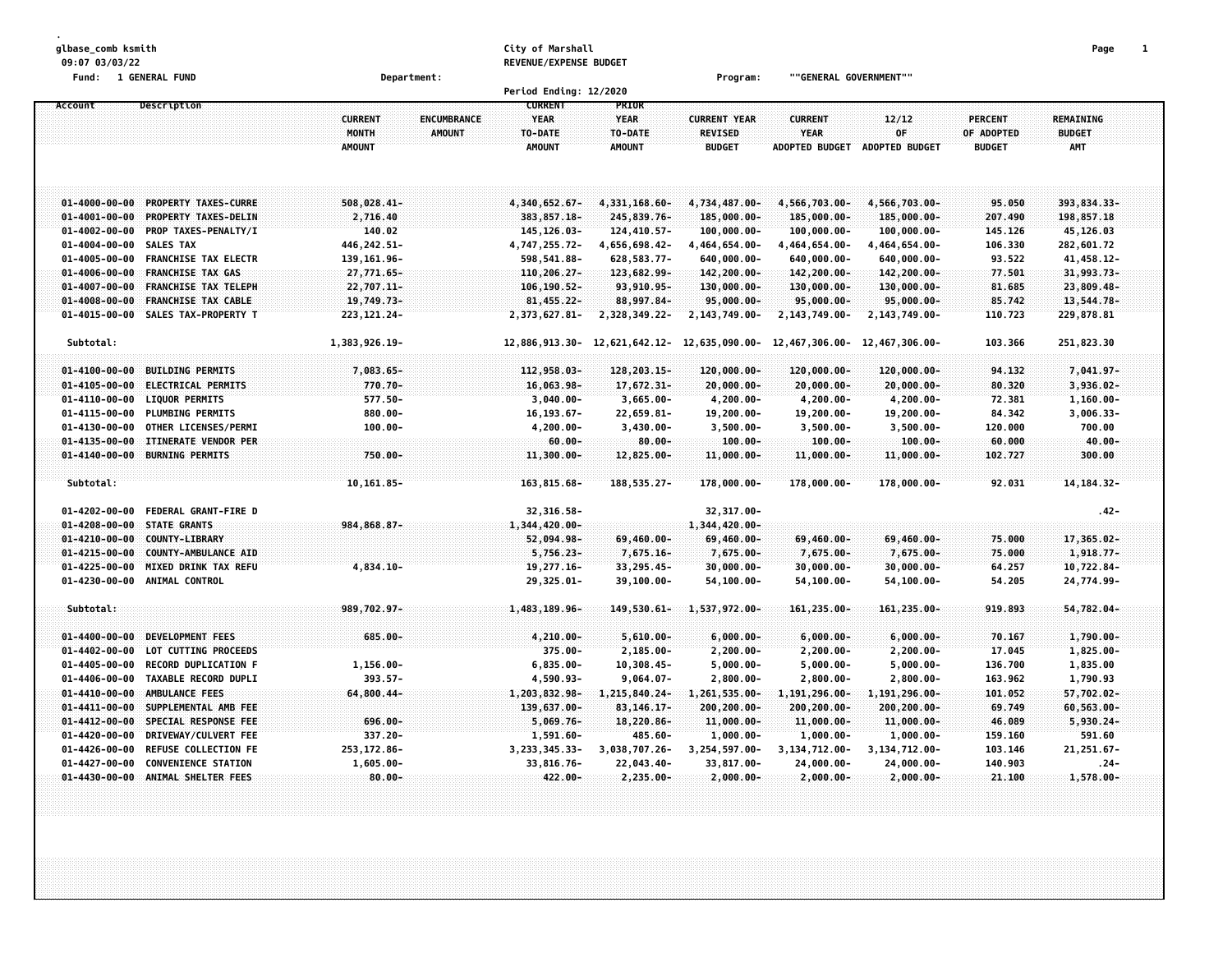| glbase_comb ksmith<br>09:07 03/03/22<br>Fund: 1 GENERAL FUND                                                                                            | Department:                                                                            | City of Marshall<br>REVENUE/EXPENSE BUDGET<br>Period Ending: 12/2020 |                                                  | Program:                                               | ""GENERAL GOVERNMENT""                                         |                                               |                                               | Page                                            | $\mathbf{1}$ |
|---------------------------------------------------------------------------------------------------------------------------------------------------------|----------------------------------------------------------------------------------------|----------------------------------------------------------------------|--------------------------------------------------|--------------------------------------------------------|----------------------------------------------------------------|-----------------------------------------------|-----------------------------------------------|-------------------------------------------------|--------------|
| Description<br>Account                                                                                                                                  | <b>CURRENT</b><br><b>ENCUMBRANCE</b><br><b>MONTH</b><br><b>AMOUNT</b><br><b>AMOUNT</b> | <b>CURRENT</b><br><b>YEAR</b><br>TO-DATE<br><b>AMOUNT</b>            | PRIOR<br><b>YEAR</b><br>TO-DATE<br><b>AMOUNT</b> | <b>CURRENT YEAR</b><br><b>REVISED</b><br><b>BUDGET</b> | <b>CURRENT</b><br><b>YEAR</b><br>ADOPTED BUDGET ADOPTED BUDGET | 12/12<br>OF                                   | <b>PERCENT</b><br>OF ADOPTED<br><b>BUDGET</b> | <b>REMAINING</b><br><b>BUDGET</b><br><b>AMT</b> |              |
| $01 - 4000 - 00 - 00$<br><b>PROPERTY TAXES-CURRE</b><br>$01 - 4001 - 00 - 00$<br>PROPERTY TAXES-DELIN                                                   | 508,028.41-<br>2,716.40                                                                | 4,340,652.67-<br>383, 857.18-                                        | 4,331,168.60-<br>245,839.76-                     | 4,734,487.00-<br>185,000.00-                           | 4,566,703.00-<br>185,000.00-                                   | 4,566,703.00-<br>$185,000.00 -$               | 95.050<br>207.490                             | 393, 834.33-<br>198,857.18                      |              |
| PROP TAXES-PENALTY/I<br>$01 - 4002 - 00 - 00$<br>$01 - 4004 - 00 - 00$<br><b>SALES TAX</b><br>$01 - 4005 - 00 - 00$<br><b>FRANCHISE TAX ELECTR</b>      | 140.02<br>446, 242.51-<br>139, 161.96-                                                 | 145, 126.03-<br>4,747,255.72-<br>598,541.88-                         | 124,410.57-<br>4,656,698.42-<br>628, 583. 77-    | 100,000.00-<br>4,464,654.00-<br>640,000.00-            | 100,000.00-<br>4,464,654.00-<br>640,000.00-                    | 100,000.00-<br>4,464,654.00-<br>640,000.00-   | 145.126<br>106.330<br>93.522                  | 45,126.03<br>282,601.72<br>41,458.12-           |              |
| $01 - 4006 - 00 - 00$<br><b>FRANCHISE TAX GAS</b><br><b>FRANCHISE TAX TELEPH</b><br>$01 - 4007 - 00 - 00$                                               | 27,771.65-<br>22,707.11-                                                               | $110, 206.27 -$<br>$106, 190.52 -$                                   | 123,682.99-<br>93,910.95-                        | $142, 200.00 -$<br>130,000.00-                         | $142, 200.00 -$<br>130,000.00-                                 | $142, 200.00 -$<br>130,000.00-                | 77.501<br>81.685                              | 31,993.73-<br>23,809.48-                        |              |
| $01 - 4008 - 00 - 00$<br><b>FRANCHISE TAX CABLE</b><br>$01 - 4015 - 00 - 00$<br>SALES TAX-PROPERTY T                                                    | 19,749.73-<br>223, 121.24-                                                             | 81,455.22-<br>2,373,627.81-                                          | 88,997.84-<br>2,328,349.22-                      | 95,000.00-<br>2,143,749.00-                            | 95,000.00-<br>2,143,749.00-                                    | 95,000.00-<br>2,143,749.00-                   | 85.742<br>110.723                             | 13,544.78-<br>229,878.81                        |              |
| Subtotal:                                                                                                                                               | 1,383,926.19-                                                                          |                                                                      | 12,886,913.30- 12,621,642.12- 12,635,090.00-     |                                                        | 12,467,306.00-                                                 | 12,467,306.00-                                | 103.366                                       | 251,823.30                                      |              |
| $01 - 4100 - 00 - 00$<br><b>BUILDING PERMITS</b><br>$01 - 4105 - 00 - 00$<br>ELECTRICAL PERMITS<br>$01 - 4110 - 00 - 00$<br><b>LIQUOR PERMITS</b>       | 7,083.65-<br>770.70-<br>577.50-                                                        | 112,958.03-<br>16,063.98-<br>$3,040.00 -$                            | 128,203.15-<br>17,672.31-<br>$3,665.00 -$        | 120,000.00-<br>20,000.00-<br>$4,200.00 -$              | 120,000.00-<br>20,000.00-<br>$4,200.00 -$                      | 120,000.00-<br>20,000.00-<br>$4,200.00 -$     | 94.132<br>80.320<br>72.381                    | 7,041.97-<br>3,936.02-<br>$1,160.00 -$          |              |
| $01 - 4115 - 00 - 00$<br><b>PLUMBING PERMITS</b><br>$01 - 4130 - 00 - 00$<br>OTHER LICENSES/PERMI                                                       | $880.00 -$<br>$100.00 -$                                                               | 16, 193. 67-<br>$4,200.00 -$                                         | 22,659.81-<br>$3,430.00 -$                       | 19,200.00-<br>$3,500.00 -$                             | 19,200.00-<br>$3,500.00 -$                                     | 19,200.00-<br>$3,500.00 -$                    | 84.342<br>120.000                             | 3,006.33-<br>700.00                             |              |
| $01 - 4135 - 00 - 00$<br>ITINERATE VENDOR PER<br>$01 - 4140 - 00 - 00$<br><b>BURNING PERMITS</b>                                                        | 750.00-                                                                                | 60.00-<br>11,300.00-                                                 | $80.00 -$<br>12,825.00-                          | $100.00 -$<br>11,000.00-                               | $100.00 -$<br>11,000.00-                                       | $100.00 -$<br>11,000.00-                      | 60.000<br>102.727                             | $40.00 -$<br>300.00                             |              |
| Subtotal:<br>$01 - 4202 - 00 - 00$<br>FEDERAL GRANT-FIRE D                                                                                              | 10,161.85-                                                                             | 163,815.68-<br>32, 316.58-                                           | 188, 535. 27-                                    | 178,000.00-<br>32,317.00-                              | 178,000.00-                                                    | 178,000.00-                                   | 92.031                                        | 14, 184. 32-<br>$.42 -$                         |              |
| $01 - 4208 - 00 - 00$<br>STATE GRANTS<br>$01 - 4210 - 00 - 00$<br>COUNTY-LIBRARY                                                                        | 984,868.87-                                                                            | $1,344,420.00 -$<br>52,094.98-                                       | 69,460.00-                                       | 1,344,420.00-<br>69,460.00-                            | 69,460.00-                                                     | 69,460.00-                                    | 75.000                                        | 17,365.02-                                      |              |
| $01 - 4215 - 00 - 00$<br>COUNTY-AMBULANCE AID<br>$01 - 4225 - 00 - 00$<br><b>MIXED DRINK TAX REFU</b><br>$01 - 4230 - 00 - 00$<br>ANIMAL CONTROL        | 4,834.10-                                                                              | $5,756.23-$<br>19,277.16-<br>29,325.01-                              | 7,675.16-<br>33, 295.45-<br>39,100.00-           | 7,675.00-<br>$30,000.00 -$<br>$54, 100.00 -$           | 7,675.00-<br>$30,000.00 -$<br>$54, 100.00 -$                   | 7,675.00-<br>30,000.00-<br>54,100.00-         | 75,000<br>64.257<br>54.205                    | $1,918.77-$<br>10,722.84-<br>24,774.99-         |              |
| Subtotal:                                                                                                                                               | 989,702.97-                                                                            | 1,483,189.96-                                                        | 149,530.61-                                      | 1,537,972.00-                                          | 161,235.00-                                                    | 161,235.00-                                   | 919.893                                       | 54,782,04-                                      |              |
| $01 - 4400 - 00 - 00$<br><b>DEVELOPMENT FEES</b><br>$01 - 4402 - 00 - 00$<br>LOT CUTTING PROCEEDS                                                       | 685.00-                                                                                | $4,210.00 -$<br>375.00-                                              | $5,610.00 -$<br>$2,185.00 -$                     | $6,000.00 -$<br>$2,200.00 -$                           | $6,000.00 -$<br>$2,200.00 -$                                   | $6,000.00 -$<br>$2,200.00 -$                  | 70.167<br>17.045                              | 1,790.00-<br>1,825.00-                          |              |
| $01 - 4405 - 00 - 00$<br><b>RECORD DUPLICATION F</b><br>TAXABLE RECORD DUPLI<br>$01 - 4406 - 00 - 00$<br>$01 - 4410 - 00 - 00$<br><b>AMBULANCE FEES</b> | 1,156.00-<br>393.57-<br>64,800.44-                                                     | $6,835.00 -$<br>4,590.93-<br>1,203,832.98-                           | 10,308.45-<br>$9,064.07 -$<br>1,215,840.24-      | $5,000.00 -$<br>$2,800.00 -$<br>1,261,535.00-          | $5,000.00 -$<br>$2,800.00 -$<br>1,191,296.00-                  | $5,000.00 -$<br>$2,800.00 -$<br>1,191,296.00- | 136.700<br>163.962<br>101.052                 | 1,835.00<br>1,790.93<br>57,702.02-              |              |
| $01 - 4411 - 00 - 00$<br>SUPPLEMENTAL AMB FEE<br>$01 - 4412 - 00 - 00$<br>SPECIAL RESPONSE FEE                                                          | 696.00-                                                                                | 139,637.00-<br>$5,069.76-$                                           | 83, 146, 17-<br>18,220.86-                       | 200,200.00-<br>$11,000.00 -$                           | 200,200.00-<br>$11,000.00 -$                                   | 200,200.00-<br>$11,000.00 -$                  | 69.749<br>46.089                              | 60,563.00-<br>$5,930.24 -$                      |              |
| $01 - 4420 - 00 - 00$<br>DRIVEWAY/CULVERT FEE<br>$01 - 4426 - 00 - 00$<br>REFUSE COLLECTION FE<br>$01 - 4427 - 00 - 00$<br><b>CONVENIENCE STATION</b>   | 337.20-<br>253, 172.86-<br>$1,605.00 -$                                                | 1,591.60-<br>3, 233, 345. 33-<br>33,816.76-                          | 485.60-<br>3,038,707.26-<br>22,043.40-           | $1,000.00-$<br>3,254,597.00-<br>33,817.00-             | $1,000.00-$<br>3,134,712.00-<br>24,000.00-                     | $1,000.00 -$<br>3,134,712.00-<br>24,000.00-   | 159.160<br>103.146<br>140.903                 | 591.60<br>21, 251.67-<br>$.24-$                 |              |
| $01 - 4430 - 00 - 00$<br>ANIMAL SHELTER FEES                                                                                                            | $80.00 -$                                                                              | 422.00-                                                              | $2,235.00 -$                                     | $2,000.00 -$                                           | $2,000.00 -$                                                   | $2,000.00 -$                                  | 21.100                                        | 1,578.00-                                       |              |
|                                                                                                                                                         |                                                                                        |                                                                      |                                                  |                                                        |                                                                |                                               |                                               |                                                 |              |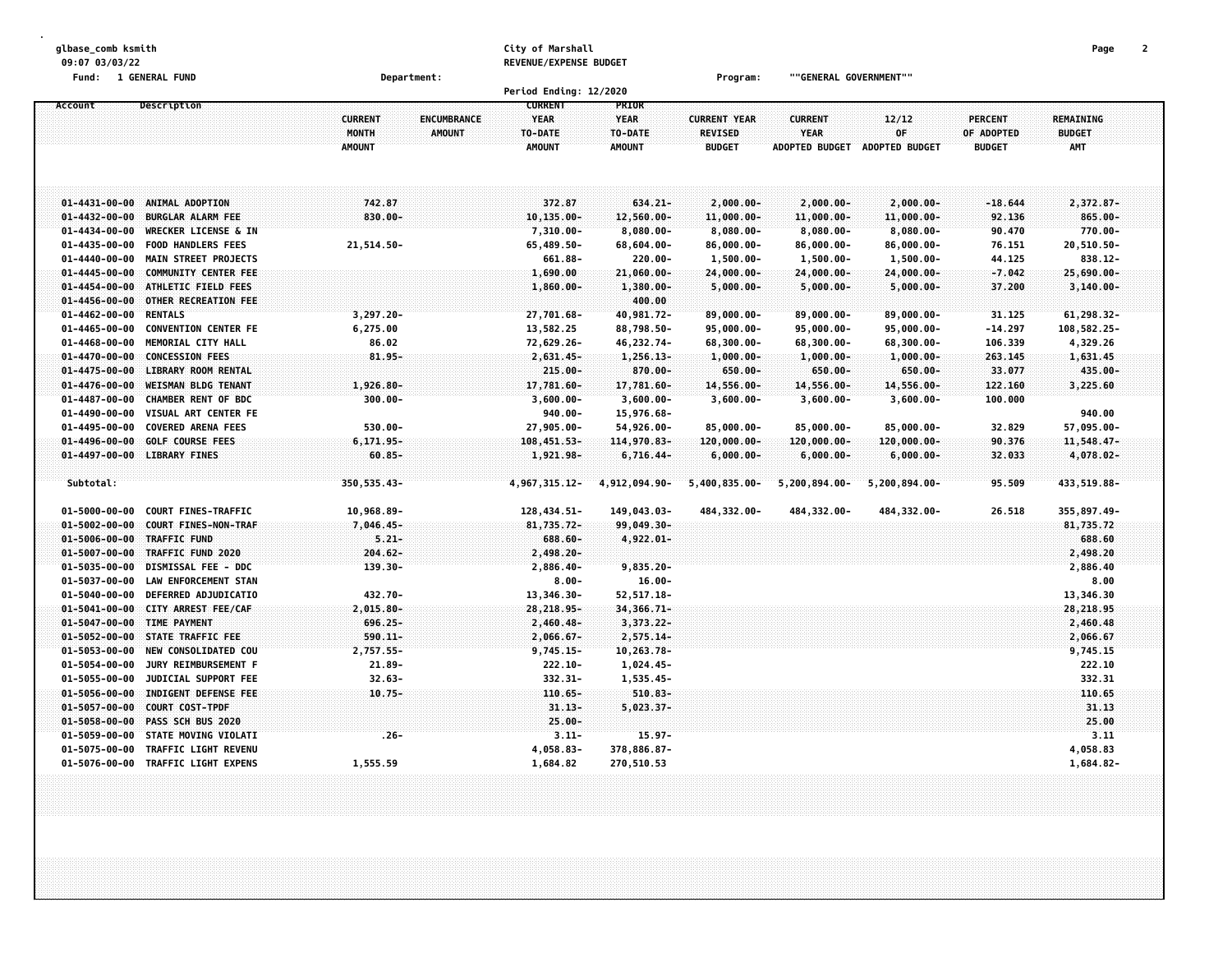| glbase_comb ksmith                                                                                          |                |                    | City of Marshall        |                            |                            |                            |                               |                  | Page                  | 2 |
|-------------------------------------------------------------------------------------------------------------|----------------|--------------------|-------------------------|----------------------------|----------------------------|----------------------------|-------------------------------|------------------|-----------------------|---|
| 09:07 03/03/22<br>Fund: 1 GENERAL FUND                                                                      |                |                    | REVENUE/EXPENSE BUDGET  |                            |                            | ""GENERAL GOVERNMENT""     |                               |                  |                       |   |
|                                                                                                             |                | Department:        | Period Ending: 12/2020  |                            | Program:                   |                            |                               |                  |                       |   |
| Description<br>Account                                                                                      |                |                    | <b>CURRENT</b>          | PRIOR                      |                            |                            |                               |                  |                       |   |
|                                                                                                             | <b>CURRENT</b> | <b>ENCUMBRANCE</b> | <b>YEAR</b>             | <b>YEAR</b>                | <b>CURRENT YEAR</b>        | <b>CURRENT</b>             | 12/12                         | <b>PERCENT</b>   | <b>REMAINING</b>      |   |
|                                                                                                             | MONTH          | <b>AMOUNT</b>      | TO-DATE                 | TO-DATE                    | REVISED                    | <b>YEAR</b>                | OF                            | OF ADOPTED       | <b>BUDGET</b>         |   |
|                                                                                                             | <b>AMOUNT</b>  |                    | <b>AMOUNT</b>           | <b>AMOUNT</b>              | <b>BUDGET</b>              | <b>ADOPTED BUDGET</b>      | <b>ADOPTED BUDGET</b>         | <b>BUDGET</b>    | <b>AMT</b>            |   |
|                                                                                                             |                |                    |                         |                            |                            |                            |                               |                  |                       |   |
|                                                                                                             |                |                    |                         |                            |                            |                            |                               |                  |                       |   |
| $01 - 4431 - 00 - 00$<br>ANIMAL ADOPTION                                                                    | 742.87         |                    | 372.87                  | $634.21 -$                 | $2,000.00 -$               | $2,000.00 -$               | $2,000.00 -$                  | $-18,644$        | 2,372.87-             |   |
| <b>BURGLAR ALARM FEE</b><br>$01 - 4432 - 00 - 00$<br>WRECKER LICENSE & IN<br>$01 - 4434 - 00 - 00$          | 830.00-        |                    | 10,135.00-              | 12,560.00-<br>$8,080.00 -$ | 11,000.00-<br>$8,080.00 -$ | 11,000.00-<br>$8,080.00 -$ | $11,000.00 -$<br>$8,080.00 -$ | 92.136<br>90.470 | $865.00 -$<br>770.00- |   |
| $01 - 4435 - 00 - 00$<br><b>FOOD HANDLERS FEES</b>                                                          | 21,514.50-     |                    | 7,310.00-<br>65,489.50- | 68,604.00-                 | 86,000.00-                 | 86,000.00-                 | 86,000.00-                    | 76.151           | 20,510.50-            |   |
| $01 - 4440 - 00 - 00$<br><b>MAIN STREET PROJECTS</b>                                                        |                |                    | 661.88-                 | $220.00 -$                 | $1,500.00-$                | $1,500.00 -$               | 1,500.00-                     | 44.125           | 838.12-               |   |
| $01 - 4445 - 00 - 00$<br><b>COMMUNITY CENTER FEE</b>                                                        |                |                    | 1,690.00                | $21,060.00 -$              | 24,000.00-                 | $24,000.00 -$              | $24,000.00 -$                 | $-7.042$         | 25,690.00-            |   |
| $01 - 4454 - 00 - 00$<br>ATHLETIC FIELD FEES                                                                |                |                    | 1,860.00-               | $1,380.00 -$               | $5,000.00 -$               | $5,000.00 -$               | $5,000.00 -$                  | 37.200           | 3,140.00-             |   |
| OTHER RECREATION FEE<br>$01 - 4456 - 00 - 00$                                                               |                |                    |                         | 400.00                     |                            |                            |                               |                  |                       |   |
| <b>RENTALS</b><br>$01 - 4462 - 00 - 00$                                                                     | $3,297.20 -$   |                    | 27,701.68-              | 40,981.72-                 | 89,000.00-                 | 89,000.00-                 | 89,000.00-                    | 31.125           | 61,298.32-            |   |
| $01 - 4465 - 00 - 00$<br><b>CONVENTION CENTER FE</b>                                                        | 6,275.00       |                    | 13,582.25               | 88,798.50-                 | 95,000.00-                 | 95,000.00-                 | 95,000.00-                    | $-14.297$        | 108,582.25-           |   |
| $01 - 4468 - 00 - 00$<br>MEMORIAL CITY HALL                                                                 | 86.02          |                    | 72,629.26-              | 46,232.74-                 | 68,300.00-                 | 68,300.00-                 | 68,300.00-                    | 106.339          | 4,329.26              |   |
| <b>CONCESSION FEES</b><br>$01 - 4470 - 00 - 00$                                                             | 81.95-         |                    | $2,631.45 -$            | 1,256.13-                  | $1,000.00 -$               | $1,000.00 -$               | $1,000.00 -$                  | 263.145          | 1,631.45              |   |
| $01 - 4475 - 00 - 00$<br>LIBRARY ROOM RENTAL                                                                |                |                    | $215.00 -$              | $870.00 -$                 | $650.00 -$                 | $650.00 -$                 | 650.00-                       | 33.077           | 435.00-               |   |
| $01 - 4476 - 00 - 00$<br><b>WEISMAN BLDG TENANT</b>                                                         | 1,926.80-      |                    | 17,781.60-              | 17,781.60-                 | 14,556.00-                 | 14,556.00-                 | 14,556.00-                    | 122.160          | 3,225.60              |   |
| <b>CHAMBER RENT OF BDC</b><br>$01 - 4487 - 00 - 00$                                                         | $300.00 -$     |                    | $3,600.00 -$            | $3,600.00 -$               | $3,600.00 -$               | $3,600.00 -$               | $3,600.00 -$                  | 100.000          |                       |   |
| VISUAL ART CENTER FE<br>$01 - 4490 - 00 - 00$                                                               |                |                    | $940.00 -$              | 15,976.68-                 |                            |                            |                               |                  | 940.00                |   |
| $01 - 4495 - 00 - 00$<br><b>COVERED ARENA FEES</b>                                                          | 530.00-        |                    | 27,905.00-              | 54,926.00-                 | 85,000.00-                 | $85,000.00 -$              | 85,000.00-                    | 32.829           | 57,095.00-            |   |
| $01 - 4496 - 00 - 00$<br>GOLF COURSE FEES                                                                   | $6, 171.95 -$  |                    | $108,451.53-$           | $114,970.83-$              | $120,000.00 -$             | 120,000.00-                | $120,000.00 -$                | 90.376           | 11,548.47-            |   |
| 01-4497-00-00 LIBRARY FINES                                                                                 | $60.85 -$      |                    | 1,921.98-               | $6,716.44-$                | $6,000.00-$                | $6,000.00-$                | $6,000.00-$                   | 32.033           | 4,078.02-             |   |
| Subtotal:                                                                                                   | 350, 535.43-   |                    | 4,967,315.12-           | 4,912,094.90-              | 5,400,835.00-              | 5,200,894.00-              | 5,200,894.00-                 | 95.509           | 433,519.88-           |   |
|                                                                                                             |                |                    |                         |                            |                            |                            |                               |                  |                       |   |
| COURT FINES-TRAFFIC<br>$01 - 5000 - 00 - 00$                                                                | 10,968.89-     |                    | 128, 434.51-            | 149,043.03-                | 484,332.00-                | 484,332.00-                | 484,332.00-                   | 26.518           | 355,897.49-           |   |
| $01 - 5002 - 00 - 00$<br><b>COURT FINES-NON-TRAF</b>                                                        | 7,046.45-      |                    | 81,735.72-              | 99,049.30-                 |                            |                            |                               |                  | 81,735.72             |   |
| $01 - 5006 - 00 - 00$<br><b>TRAFFIC FUND</b>                                                                | $5.21 -$       |                    | 688.60-                 | 4,922.01-                  |                            |                            |                               |                  | 688.60                |   |
| $01 - 5007 - 00 - 00$<br>TRAFFIC FUND 2020                                                                  | $204.62 -$     |                    | 2,498.20-               |                            |                            |                            |                               |                  | 2,498.20              |   |
| <b>DISMISSAL FEE - DDC</b><br>$01 - 5035 - 00 - 00$<br><b>LAW ENFORCEMENT STAN</b><br>$01 - 5037 - 00 - 00$ | 139.30-        |                    | 2,886.40-<br>$8.00 -$   | $9,835.20 -$<br>$16.00 -$  |                            |                            |                               |                  | 2,886.40<br>8.00      |   |
| DEFERRED ADJUDICATIO<br>$01 - 5040 - 00 - 00$                                                               | 432.70-        |                    | 13,346.30-              | 52, 517.18-                |                            |                            |                               |                  | 13,346.30             |   |
| CITY ARREST FEE/CAF<br>$01 - 5041 - 00 - 00$                                                                | $2,015.80 -$   |                    | 28,218.95-              | 34,366.71-                 |                            |                            |                               |                  | 28,218.95             |   |
| 01-5047-00-00 TIME PAYMENT                                                                                  | $696.25 -$     |                    | 2,460.48-               | $3,373.22 -$               |                            |                            |                               |                  | 2,460.48              |   |
| $01 - 5052 - 00 - 00$<br>STATE TRAFFIC FEE                                                                  | $590.11 -$     |                    | 2,066.67-               | $2,575.14-$                |                            |                            |                               |                  | 2,066.67              |   |
| $01 - 5053 - 00 - 00$<br>NEW CONSOLIDATED COU                                                               | 2,757.55-      |                    | $9,745.15-$             | 10,263.78-                 |                            |                            |                               |                  | 9,745.15              |   |
| JURY REIMBURSEMENT F<br>$01 - 5054 - 00 - 00$                                                               | $21.89 -$      |                    | $222.10 -$              | $1,024.45-$                |                            |                            |                               |                  | 222.10                |   |
| $01 - 5055 - 00 - 00$<br>JUDICIAL SUPPORT FEE                                                               | $32.63 -$      |                    | 332.31-                 | 1,535.45-                  |                            |                            |                               |                  | 332.31                |   |
| INDIGENT DEFENSE FEE<br>$01 - 5056 - 00 - 00$                                                               | $10.75 -$      |                    | $110.65 -$              | $510.83 -$                 |                            |                            |                               |                  | 110.65                |   |
| <b>COURT COST-TPDF</b><br>$01 - 5057 - 00 - 00$                                                             |                |                    | $31.13 -$               | $5,023.37-$                |                            |                            |                               |                  | 31.13                 |   |
| $01 - 5058 - 00 - 00$<br>PASS SCH BUS 2020                                                                  |                |                    | $25.00 -$               |                            |                            |                            |                               |                  | 25.00                 |   |
| $01 - 5059 - 00 - 00$<br><b>STATE MOVING VIOLATI</b>                                                        | $.26 -$        |                    | $3.11 -$                | $15.97 -$                  |                            |                            |                               |                  | 3.11                  |   |
| $01 - 5075 - 00 - 00$<br><b>TRAFFIC LIGHT REVENU</b>                                                        |                |                    | 4,058.83-               | 378,886.87-                |                            |                            |                               |                  | 4,058.83              |   |
| 01-5076-00-00 TRAFFIC LIGHT EXPENS                                                                          | 1,555.59       |                    | 1,684.82                | 270,510.53                 |                            |                            |                               |                  | 1,684.82-             |   |
|                                                                                                             |                |                    |                         |                            |                            |                            |                               |                  |                       |   |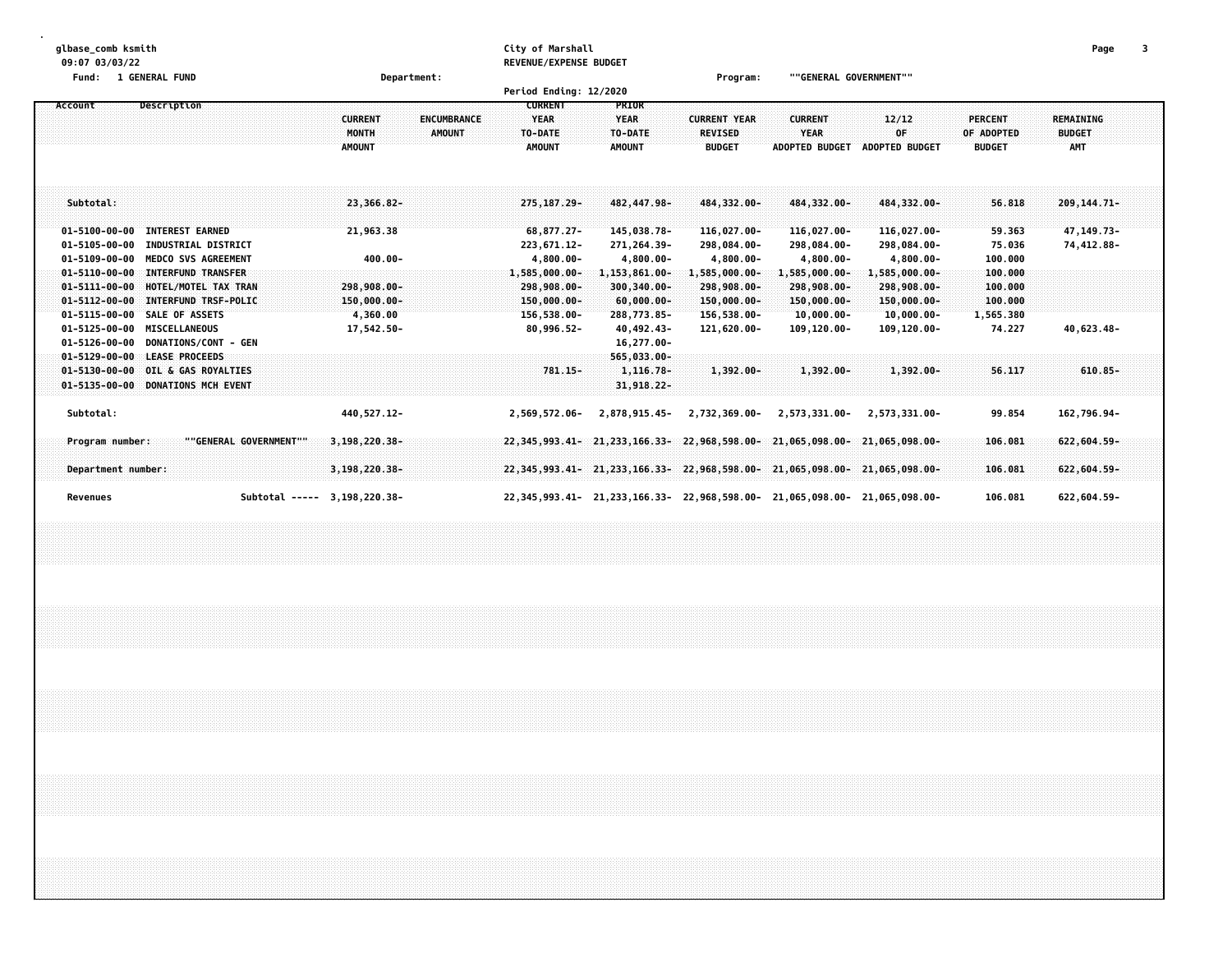| glbase comb ksmith<br>09:07 03/03/22<br><b>1 GENERAL FUND</b><br>Fund :                                                                                                                                                                                                                                                                                                                                                                                                                                                                                                                                                                               | Department:                                                                                                  | City of Marshall<br>REVENUE/EXPENSE BUDGET<br>Period Ending: 12/2020                                                                                                                                                                                                                                                                                                                            | Program:                                                                                                                                                               | ""GENERAL GOVERNMENT""                                                                                                                                                    |                                                                                                                                                                        |                                                                                                                   | 3<br>Page                                                                                 |
|-------------------------------------------------------------------------------------------------------------------------------------------------------------------------------------------------------------------------------------------------------------------------------------------------------------------------------------------------------------------------------------------------------------------------------------------------------------------------------------------------------------------------------------------------------------------------------------------------------------------------------------------------------|--------------------------------------------------------------------------------------------------------------|-------------------------------------------------------------------------------------------------------------------------------------------------------------------------------------------------------------------------------------------------------------------------------------------------------------------------------------------------------------------------------------------------|------------------------------------------------------------------------------------------------------------------------------------------------------------------------|---------------------------------------------------------------------------------------------------------------------------------------------------------------------------|------------------------------------------------------------------------------------------------------------------------------------------------------------------------|-------------------------------------------------------------------------------------------------------------------|-------------------------------------------------------------------------------------------|
| Description<br>Account                                                                                                                                                                                                                                                                                                                                                                                                                                                                                                                                                                                                                                | <b>CURRENT</b><br><b>ENCUMBRANCE</b><br>MONTH<br><b>AMOUNT</b><br><b>AMOUNT</b>                              | <b>CURRENT</b><br><b>PRIOR</b><br><b>YEAR</b><br><b>YEAR</b><br>TO-DATE<br>TO-DATE<br><b>AMOUNT</b><br><b>AMOUNT</b>                                                                                                                                                                                                                                                                            | <b>CURRENT YEAR</b><br><b>REVISED</b><br><b>BUDGET</b>                                                                                                                 | <b>CURRENT</b><br><b>YEAR</b><br><b>ADOPTED BUDGET</b>                                                                                                                    | 12/12<br>0F<br><b>ADOPTED BUDGET</b>                                                                                                                                   | <b>PERCENT</b><br>OF ADOPTED<br><b>BUDGET</b>                                                                     | <b>REMAINING</b><br><b>BUDGET</b><br>AMT                                                  |
| Subtotal:<br>$01 - 5100 - 00 - 00$<br><b>INTEREST EARNED</b><br>$01 - 5105 - 00 - 00$<br><b>INDUSTRIAL DISTRICT</b><br>$01 - 5109 - 00 - 00$<br><b>MEDCO SVS AGREEMENT</b><br>$01 - 5110 - 00 - 00$<br><b>INTERFUND TRANSFER</b><br>$01 - 5111 - 00 - 00$<br>HOTEL/MOTEL TAX TRAN<br>$01 - 5112 - 00 - 00$<br><b>INTERFUND TRSF-POLIC</b><br>$01 - 5115 - 00 - 00$<br>SALE OF ASSETS<br>$01 - 5125 - 00 - 00$<br><b>MISCELLANEOUS</b><br>$01 - 5126 - 00 - 00$<br><b>DONATIONS/CONT - GEN</b><br>$01 - 5129 - 00 - 00$<br>LEASE PROCEEDS<br>$01 - 5130 - 00 - 00$<br><b>OIL &amp; GAS ROYALTIES</b><br>01-5135-00-00 DONATIONS MCH EVENT<br>Subtotal: | $23,366.82 -$<br>21,963.38<br>400.00-<br>298,908.00-<br>150,000.00-<br>4,360.00<br>17,542.50-<br>440,527.12- | 275, 187, 29-<br>482, 447, 98-<br>68,877.27-<br>145,038.78-<br>223.671.12-<br>271,264.39-<br>4,800.00-<br>$4,800.00 -$<br>$1,585,000.00 -$<br>1,153,861.00-<br>298,908.00-<br>300,340.00-<br>150,000.00-<br>$60,000.00 -$<br>288,773.85-<br>156,538.00-<br>40,492.43-<br>80,996.52-<br>16,277.00-<br>565,033.00-<br>$1, 116.78 -$<br>$781.15 -$<br>31,918.22-<br>2,569,572.06-<br>2.878.915.45- | 484, 332, 00-<br>116,027.00-<br>298,084.00-<br>4,800.00-<br>1,585,000.00-<br>298,908.00-<br>150,000.00-<br>156,538.00-<br>121.620.00-<br>$1,392.00 -$<br>2,732,369.00- | 484,332.00-<br>116,027.00-<br>298,084.00-<br>$4,800.00 -$<br>1,585,000.00-<br>298,908.00-<br>150,000.00-<br>$10,000.00 -$<br>109,120.00-<br>$1,392.00 -$<br>2,573,331.00- | 484,332.00-<br>116,027.00-<br>298,084.00-<br>4,800.00-<br>1,585,000.00-<br>298,908.00-<br>150,000.00-<br>$10,000.00 -$<br>109,120.00-<br>$1,392.00 -$<br>2,573,331.00- | 56,818<br>59.363<br>75.036<br>100.000<br>100.000<br>100.000<br>100.000<br>1,565.380<br>74.227<br>56.117<br>99.854 | $209, 144, 71 -$<br>47, 149. 73-<br>74,412.88-<br>40,623.48-<br>$610.85 -$<br>162,796.94- |
| ""GENERAL GOVERNMENT""<br>Program number:<br>Department number:<br>Subtotal -----<br>Revenues                                                                                                                                                                                                                                                                                                                                                                                                                                                                                                                                                         | 3,198,220.38-<br>3,198,220.38-<br>3.198.220.38-                                                              | $21,233,166.33-$<br>22,345,993.41-<br>22, 345, 993. 41 - 21, 233, 166. 33 -<br>22.345.993.41-<br>21,233,166.33-                                                                                                                                                                                                                                                                                 | 22,968,598.00-<br>22,968,598.00-<br>22,968,598.00-                                                                                                                     | $21,065,098.00 -$<br>21,065,098.00-<br>21,065,098.00-                                                                                                                     | 21,065,098.00-<br>21,065,098.00-<br>21.065.098.00-                                                                                                                     | 106.081<br>106.081<br>106.081                                                                                     | $622,604.59 -$<br>622,604.59-<br>622,604.59-                                              |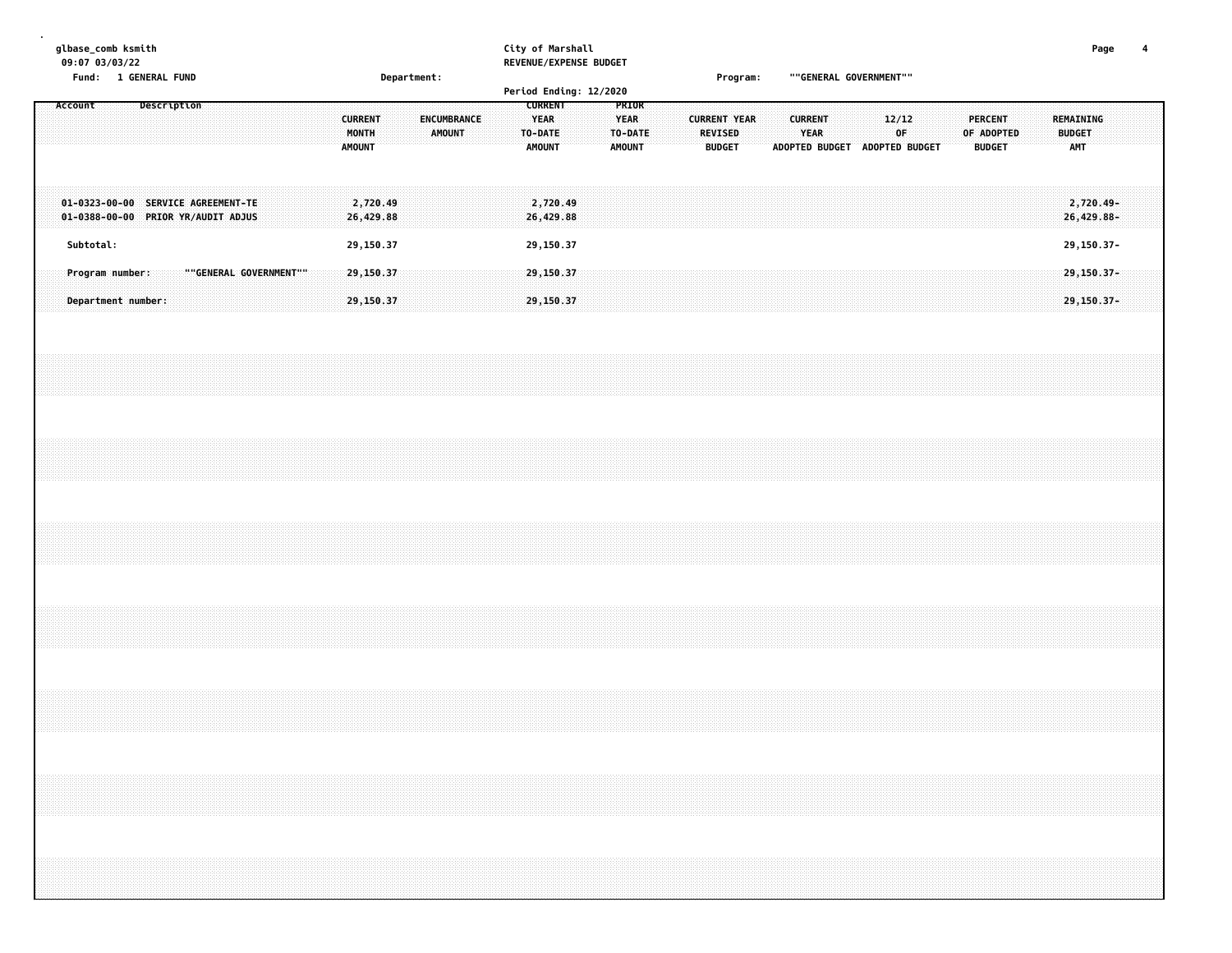|                        | glbase_comb ksmith<br>09:07 03/03/22<br>Fund: 1 GENERAL FUND             |  |             |  |                        |  |  |                                          |                                     | Department: |                    |               |  |                                         | City of Marshall                    | REVENUE/EXPENSE BUDGET<br>Period Ending: 12/2020 |                              |                  |  | Program:                                               |  |                        | ""GENERAL GOVERNMENT"" |       |                                     |  |                                 |            |  |                             |                                              | Page | 4 |  |
|------------------------|--------------------------------------------------------------------------|--|-------------|--|------------------------|--|--|------------------------------------------|-------------------------------------|-------------|--------------------|---------------|--|-----------------------------------------|-------------------------------------|--------------------------------------------------|------------------------------|------------------|--|--------------------------------------------------------|--|------------------------|------------------------|-------|-------------------------------------|--|---------------------------------|------------|--|-----------------------------|----------------------------------------------|------|---|--|
| Account                |                                                                          |  | Description |  |                        |  |  | <b>CURRENT</b><br>MONTH<br><b>AMOUNT</b> |                                     |             | <b>ENCUMBRANCE</b> | <b>AMOUNT</b> |  | <b>YEAR</b><br>TO-DATE<br><b>AMOUNT</b> | <b>CURRENT</b>                      |                                                  | <b>YEAR</b><br><b>AMOUNT</b> | PRIOR<br>TO-DATE |  | <b>CURRENT YEAR</b><br><b>REVISED</b><br><b>BUDGET</b> |  | <b>CURRENT</b><br>YEAR |                        | 12/12 | 0F<br>ADOPTED BUDGET ADOPTED BUDGET |  | <b>PERCENT</b><br><b>BUDGET</b> | OF ADOPTED |  | <b>BUDGET</b><br><b>AMT</b> | REMAINING                                    |      |   |  |
|                        | 01-0323-00-00 SERVICE AGREEMENT-TE<br>01-0388-00-00 PRIOR YR/AUDIT ADJUS |  |             |  |                        |  |  |                                          | 2,720.49<br>26,429.88               |             |                    |               |  |                                         | 2,720.49<br>26,429.88               |                                                  |                              |                  |  |                                                        |  |                        |                        |       |                                     |  |                                 |            |  |                             | 2,720.49-<br>26,429.88-                      |      |   |  |
|                        | Subtotal:<br>Program number:<br>Department number:                       |  |             |  | ""GENERAL GOVERNMENT"" |  |  |                                          | 29,150.37<br>29,150.37<br>29,150.37 |             |                    |               |  |                                         | 29,150.37<br>29,150.37<br>29,150.37 |                                                  |                              |                  |  |                                                        |  |                        |                        |       |                                     |  |                                 |            |  |                             | 29,150.37-<br>29, 150.37-<br>$29, 150, 37 -$ |      |   |  |
|                        |                                                                          |  |             |  |                        |  |  |                                          |                                     |             |                    |               |  |                                         |                                     |                                                  |                              |                  |  |                                                        |  |                        |                        |       |                                     |  |                                 |            |  |                             |                                              |      |   |  |
|                        |                                                                          |  |             |  |                        |  |  |                                          |                                     |             |                    |               |  |                                         |                                     |                                                  |                              |                  |  |                                                        |  |                        |                        |       |                                     |  |                                 |            |  |                             |                                              |      |   |  |
|                        |                                                                          |  |             |  |                        |  |  |                                          |                                     |             |                    |               |  |                                         |                                     |                                                  |                              |                  |  |                                                        |  |                        |                        |       |                                     |  |                                 |            |  |                             |                                              |      |   |  |
|                        |                                                                          |  |             |  |                        |  |  |                                          |                                     |             |                    |               |  |                                         |                                     |                                                  |                              |                  |  |                                                        |  |                        |                        |       |                                     |  |                                 |            |  |                             |                                              |      |   |  |
|                        |                                                                          |  |             |  |                        |  |  |                                          |                                     |             |                    |               |  |                                         |                                     |                                                  |                              |                  |  |                                                        |  |                        |                        |       |                                     |  |                                 |            |  |                             |                                              |      |   |  |
|                        |                                                                          |  |             |  |                        |  |  |                                          |                                     |             |                    |               |  |                                         |                                     |                                                  |                              |                  |  |                                                        |  |                        |                        |       |                                     |  |                                 |            |  |                             |                                              |      |   |  |
| a da da daga daga daga |                                                                          |  |             |  |                        |  |  |                                          |                                     |             |                    |               |  |                                         |                                     |                                                  |                              |                  |  |                                                        |  |                        |                        |       |                                     |  |                                 |            |  |                             |                                              |      |   |  |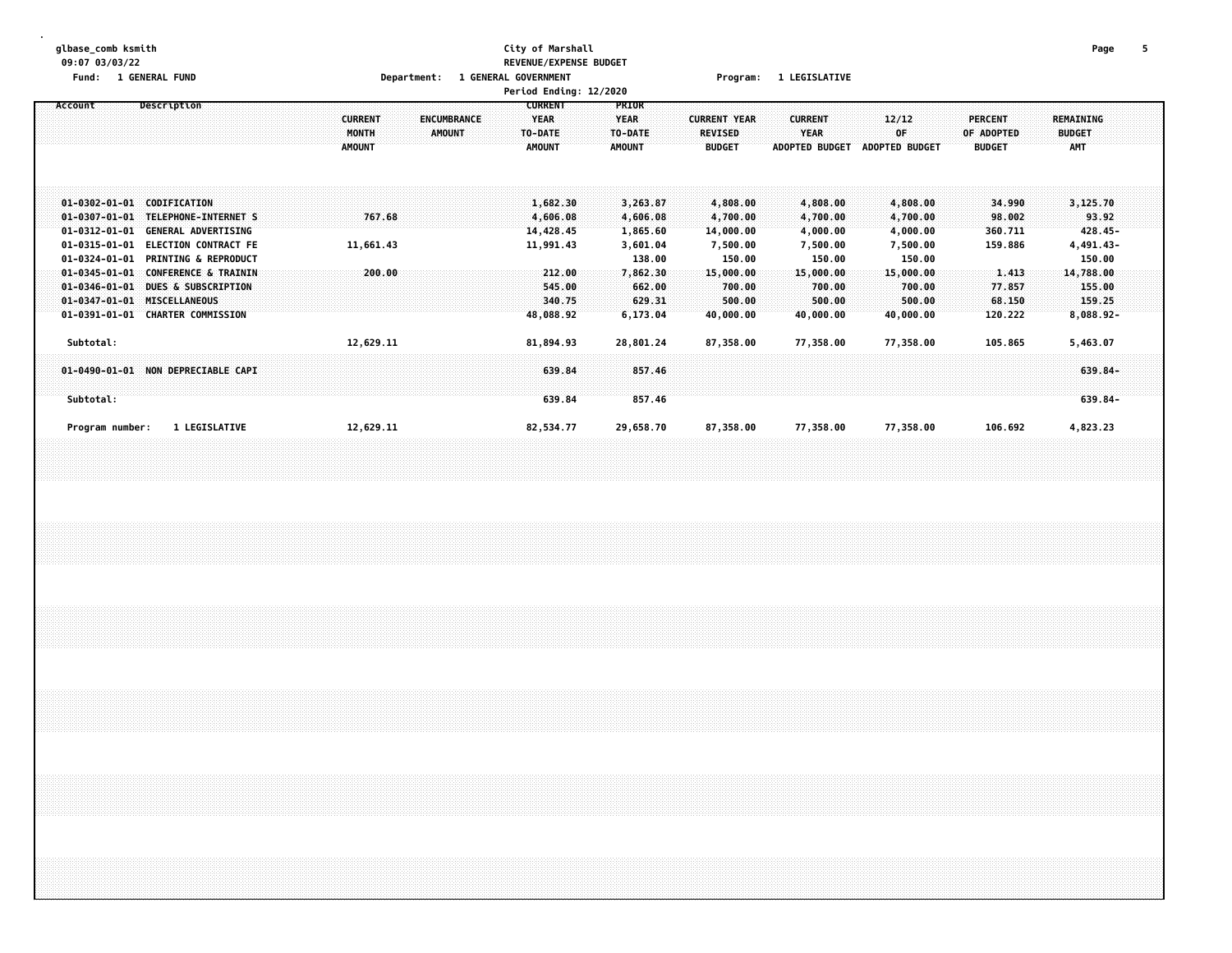### **glbase\_comb ksmith City of Marshall Page 5 09:07 03/03/22 REVENUE/EXPENSE BUDGET Fund: 1 GENERAL FUND Department: 1 GENERAL GOVERNMENT Program: 1 LEGISLATIVE**

|                                                                                                                                                                                                                                                                                                                                 | Period Ending: 12/2020<br><b>CURRENT</b><br>PRIOR<br>Description<br>YEAR<br>YEAR<br><b>ENCUMBRANCE</b><br><b>CURRENT YEAR</b><br><b>REMAINING</b><br><b>CURRENT</b><br><b>CURRENT</b><br>12/12<br>PERCENT<br>0F<br>MONTH<br><b>AMOUNT</b><br>TO-DATE<br>TO-DATE<br>REVISED<br><b>YEAR</b><br>OF ADOPTED<br><b>BUDGET</b> |                                                                                                                                                                                                                                                                                                                     |                                                                                                                                                                                                                                                                                             |  |  |  |  |  |  |  |  |  |  |  |
|---------------------------------------------------------------------------------------------------------------------------------------------------------------------------------------------------------------------------------------------------------------------------------------------------------------------------------|--------------------------------------------------------------------------------------------------------------------------------------------------------------------------------------------------------------------------------------------------------------------------------------------------------------------------|---------------------------------------------------------------------------------------------------------------------------------------------------------------------------------------------------------------------------------------------------------------------------------------------------------------------|---------------------------------------------------------------------------------------------------------------------------------------------------------------------------------------------------------------------------------------------------------------------------------------------|--|--|--|--|--|--|--|--|--|--|--|
| Account                                                                                                                                                                                                                                                                                                                         | <b>AMOUNT</b><br><b>AMOUNT</b>                                                                                                                                                                                                                                                                                           | <b>AMOUNT</b><br><b>BUDGET</b><br>ADOPTED BUDGET                                                                                                                                                                                                                                                                    | ADOPTED BUDGET<br><b>BUDGET</b><br><b>AMT</b>                                                                                                                                                                                                                                               |  |  |  |  |  |  |  |  |  |  |  |
| 01-0302-01-01 CODIFICATION<br>01-0307-01-01 TELEPHONE-INTERNET S<br>01-0312-01-01 GENERAL ADVERTISING<br>01-0315-01-01 ELECTION CONTRACT FE<br>01-0324-01-01 PRINTING & REPRODUCT<br>01-0345-01-01 CONFERENCE & TRAININ<br>01-0346-01-01 DUES & SUBSCRIPTION<br>01-0347-01-01 MISCELLANEOUS<br>01-0391-01-01 CHARTER COMMISSION | 1,682.30<br>767.68<br>4,606.08<br>14,428.45<br>11,661.43<br>11,991.43<br>200.00<br>212.00<br>545.00<br>340.75<br>48,088.92                                                                                                                                                                                               | 3,263.87<br>4,808.00<br>4,808.00<br>4,700.00<br>4,606.08<br>4,700.00<br>4,000.00<br>1,865.60<br>14,000.00<br>7,500.00<br>7,500.00<br>3,601.04<br>138.00<br>150.00<br>150.00<br>7,862.30<br>15,000.00<br>15,000.00<br>662.00<br>700.00<br>700.00<br>629.31<br>500.00<br>500.00<br>6,173.04<br>40,000.00<br>40,000.00 | 4,808.00<br>34.990<br>3,125.70<br>98.002<br>93.92<br>4,700.00<br>4,000.00<br>360.711<br>428.45-<br>4,491.43-<br>7,500.00<br>159.886<br>150.00<br>150.00<br>15,000.00<br>1.413<br>14,788.00<br>700.00<br>77.857<br>155.00<br>159.25<br>500.00<br>68.150<br>40,000.00<br>120.222<br>8,088.92- |  |  |  |  |  |  |  |  |  |  |  |
| Subtotal:<br>01-0490-01-01 NON DEPRECIABLE CAPI<br>Subtotal:                                                                                                                                                                                                                                                                    | 12,629.11<br>81,894.93<br>639.84<br>639.84                                                                                                                                                                                                                                                                               | 28,801.24<br>87,358.00<br>77,358.00<br>857.46<br>857.46                                                                                                                                                                                                                                                             | 105.865<br>77,358.00<br>5,463.07<br>$639.84 -$<br>639.84-                                                                                                                                                                                                                                   |  |  |  |  |  |  |  |  |  |  |  |
| Program number:<br>1 LEGISLATIVE                                                                                                                                                                                                                                                                                                | 12,629.11<br>82,534.77                                                                                                                                                                                                                                                                                                   | 29,658.70<br>87,358.00<br>77,358.00                                                                                                                                                                                                                                                                                 | 77,358.00<br>106.692<br>4,823.23                                                                                                                                                                                                                                                            |  |  |  |  |  |  |  |  |  |  |  |
|                                                                                                                                                                                                                                                                                                                                 |                                                                                                                                                                                                                                                                                                                          |                                                                                                                                                                                                                                                                                                                     |                                                                                                                                                                                                                                                                                             |  |  |  |  |  |  |  |  |  |  |  |
|                                                                                                                                                                                                                                                                                                                                 |                                                                                                                                                                                                                                                                                                                          |                                                                                                                                                                                                                                                                                                                     |                                                                                                                                                                                                                                                                                             |  |  |  |  |  |  |  |  |  |  |  |
|                                                                                                                                                                                                                                                                                                                                 |                                                                                                                                                                                                                                                                                                                          |                                                                                                                                                                                                                                                                                                                     |                                                                                                                                                                                                                                                                                             |  |  |  |  |  |  |  |  |  |  |  |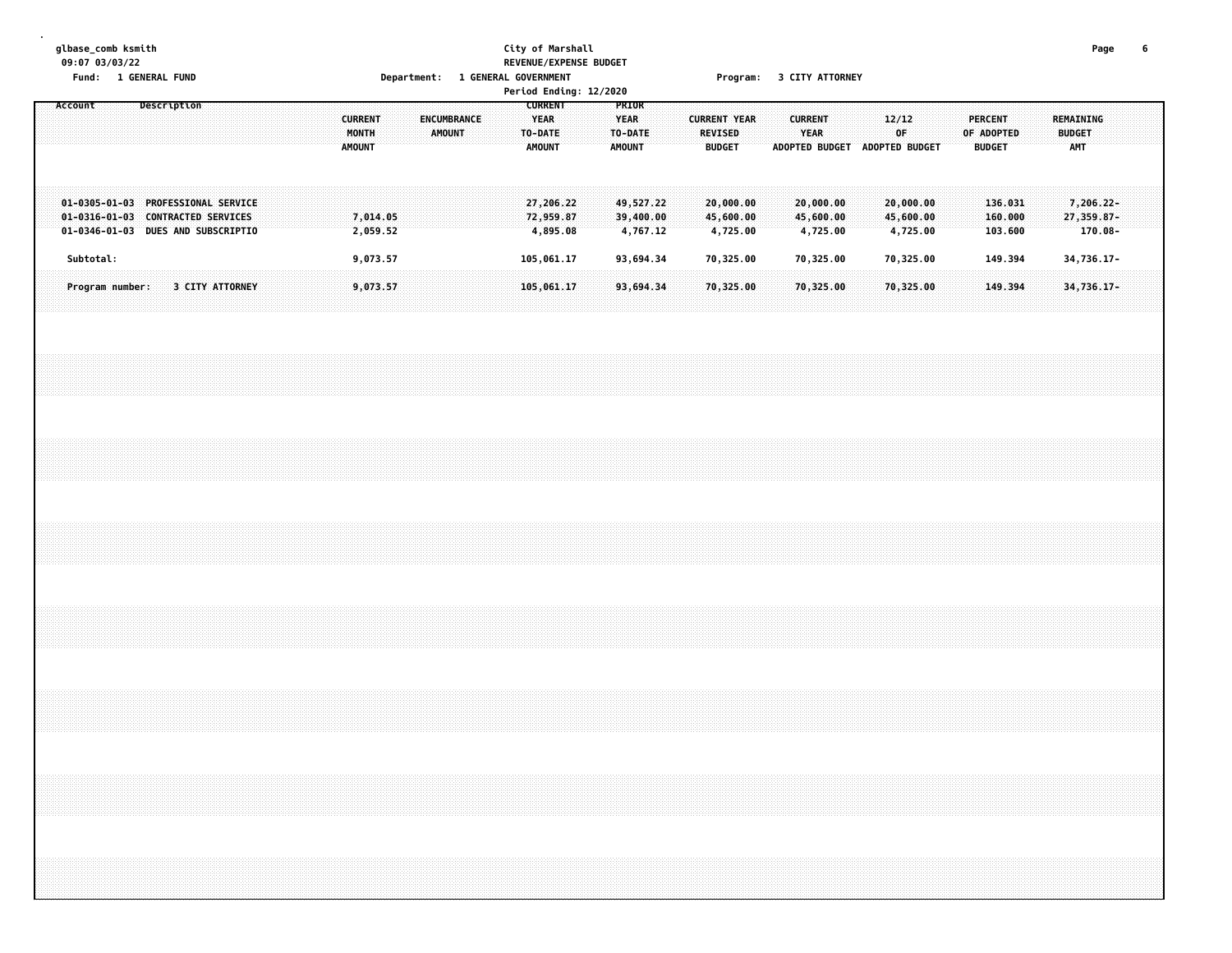#### **glbase\_comb ksmith City of Marshall Page 6 09:07 03/03/22 REVENUE/EXPENSE BUDGET** Fund: 1 GENERAL FUND CONTENT DEPARTMENT: 1 GENERAL GOVERNMENT COMPROMISE TO PROGRAM: 3 CITY ATTORNEY

|  | Period Ending: 12/2020<br><b>CURRENT</b><br>Account<br>Description<br>PRIOR<br>YEAR<br><b>YEAR</b><br>REMAINING<br><b>CURRENT</b><br>ENCUMBRANCE<br><b>CURRENT YEAR</b><br><b>CURRENT</b><br>12/12<br><b>PERCENT</b><br><b>YEAR</b><br>0 <sup>F</sup><br>MONTH<br>AMOUNT<br>TO-DATE<br>TO-DATE<br><b>REVISED</b><br><b>BUDGET</b><br>OF ADOPTED |  |                                   |  |  |  |  |  |                                                                          |  |  |  |  |  |                      |  |  |  |  |                                    |  |               |                                    |           |  |               |                                    |  |                        |          |  |                               |                       |  |               |                               |  |     |                                    |  |  |
|--|-------------------------------------------------------------------------------------------------------------------------------------------------------------------------------------------------------------------------------------------------------------------------------------------------------------------------------------------------|--|-----------------------------------|--|--|--|--|--|--------------------------------------------------------------------------|--|--|--|--|--|----------------------|--|--|--|--|------------------------------------|--|---------------|------------------------------------|-----------|--|---------------|------------------------------------|--|------------------------|----------|--|-------------------------------|-----------------------|--|---------------|-------------------------------|--|-----|------------------------------------|--|--|
|  |                                                                                                                                                                                                                                                                                                                                                 |  |                                   |  |  |  |  |  |                                                                          |  |  |  |  |  | <b>AMOUNT</b>        |  |  |  |  | AMOUNT                             |  | <b>AMOUNT</b> |                                    |           |  | <b>BUDGET</b> |                                    |  |                        |          |  | ADOPTED BUDGET ADOPTED BUDGET |                       |  | <b>BUDGET</b> |                               |  | AMT |                                    |  |  |
|  |                                                                                                                                                                                                                                                                                                                                                 |  | 01-0316-01-03 CONTRACTED SERVICES |  |  |  |  |  | 01-0305-01-03 PROFESSIONAL SERVICE<br>01-0346-01-03 DUES AND SUBSCRIPTIO |  |  |  |  |  | 7,014.05<br>2,059.52 |  |  |  |  | 27,206.22<br>72,959.87<br>4,895.08 |  |               | 49,527.22<br>39,400.00<br>4,767.12 |           |  |               | 20,000.00<br>45,600.00<br>4,725.00 |  | 20,000.00<br>45,600.00 | 4,725.00 |  | 45,600.00                     | 20,000.00<br>4,725.00 |  |               | 136.031<br>160.000<br>103.600 |  |     | 7,206.22-<br>27,359.87-<br>170.08- |  |  |
|  | Subtotal:                                                                                                                                                                                                                                                                                                                                       |  |                                   |  |  |  |  |  |                                                                          |  |  |  |  |  | 9,073.57             |  |  |  |  | 105,061.17                         |  |               | 93,694.34                          |           |  |               | 70,325.00                          |  | 70,325.00              |          |  | 70,325.00                     |                       |  |               | 149.394                       |  |     | 34,736.17-                         |  |  |
|  |                                                                                                                                                                                                                                                                                                                                                 |  | Program number:                   |  |  |  |  |  | <b>3 CITY ATTORNEY</b>                                                   |  |  |  |  |  | 9,073.57             |  |  |  |  | 105,061.17                         |  |               |                                    | 93,694.34 |  |               | 70,325.00                          |  | 70,325.00              |          |  | 70,325.00                     |                       |  |               | 149.394                       |  |     | 34,736.17-                         |  |  |
|  |                                                                                                                                                                                                                                                                                                                                                 |  |                                   |  |  |  |  |  |                                                                          |  |  |  |  |  |                      |  |  |  |  |                                    |  |               |                                    |           |  |               |                                    |  |                        |          |  |                               |                       |  |               |                               |  |     |                                    |  |  |
|  |                                                                                                                                                                                                                                                                                                                                                 |  |                                   |  |  |  |  |  |                                                                          |  |  |  |  |  |                      |  |  |  |  |                                    |  |               |                                    |           |  |               |                                    |  |                        |          |  |                               |                       |  |               |                               |  |     |                                    |  |  |
|  |                                                                                                                                                                                                                                                                                                                                                 |  |                                   |  |  |  |  |  |                                                                          |  |  |  |  |  |                      |  |  |  |  |                                    |  |               |                                    |           |  |               |                                    |  |                        |          |  |                               |                       |  |               |                               |  |     |                                    |  |  |
|  |                                                                                                                                                                                                                                                                                                                                                 |  |                                   |  |  |  |  |  |                                                                          |  |  |  |  |  |                      |  |  |  |  |                                    |  |               |                                    |           |  |               |                                    |  |                        |          |  |                               |                       |  |               |                               |  |     |                                    |  |  |
|  |                                                                                                                                                                                                                                                                                                                                                 |  |                                   |  |  |  |  |  |                                                                          |  |  |  |  |  |                      |  |  |  |  |                                    |  |               |                                    |           |  |               |                                    |  |                        |          |  |                               |                       |  |               |                               |  |     |                                    |  |  |
|  |                                                                                                                                                                                                                                                                                                                                                 |  |                                   |  |  |  |  |  |                                                                          |  |  |  |  |  |                      |  |  |  |  |                                    |  |               |                                    |           |  |               |                                    |  |                        |          |  |                               |                       |  |               |                               |  |     |                                    |  |  |
|  |                                                                                                                                                                                                                                                                                                                                                 |  |                                   |  |  |  |  |  |                                                                          |  |  |  |  |  |                      |  |  |  |  |                                    |  |               |                                    |           |  |               |                                    |  |                        |          |  |                               |                       |  |               |                               |  |     |                                    |  |  |
|  |                                                                                                                                                                                                                                                                                                                                                 |  |                                   |  |  |  |  |  |                                                                          |  |  |  |  |  |                      |  |  |  |  |                                    |  |               |                                    |           |  |               |                                    |  |                        |          |  |                               |                       |  |               |                               |  |     |                                    |  |  |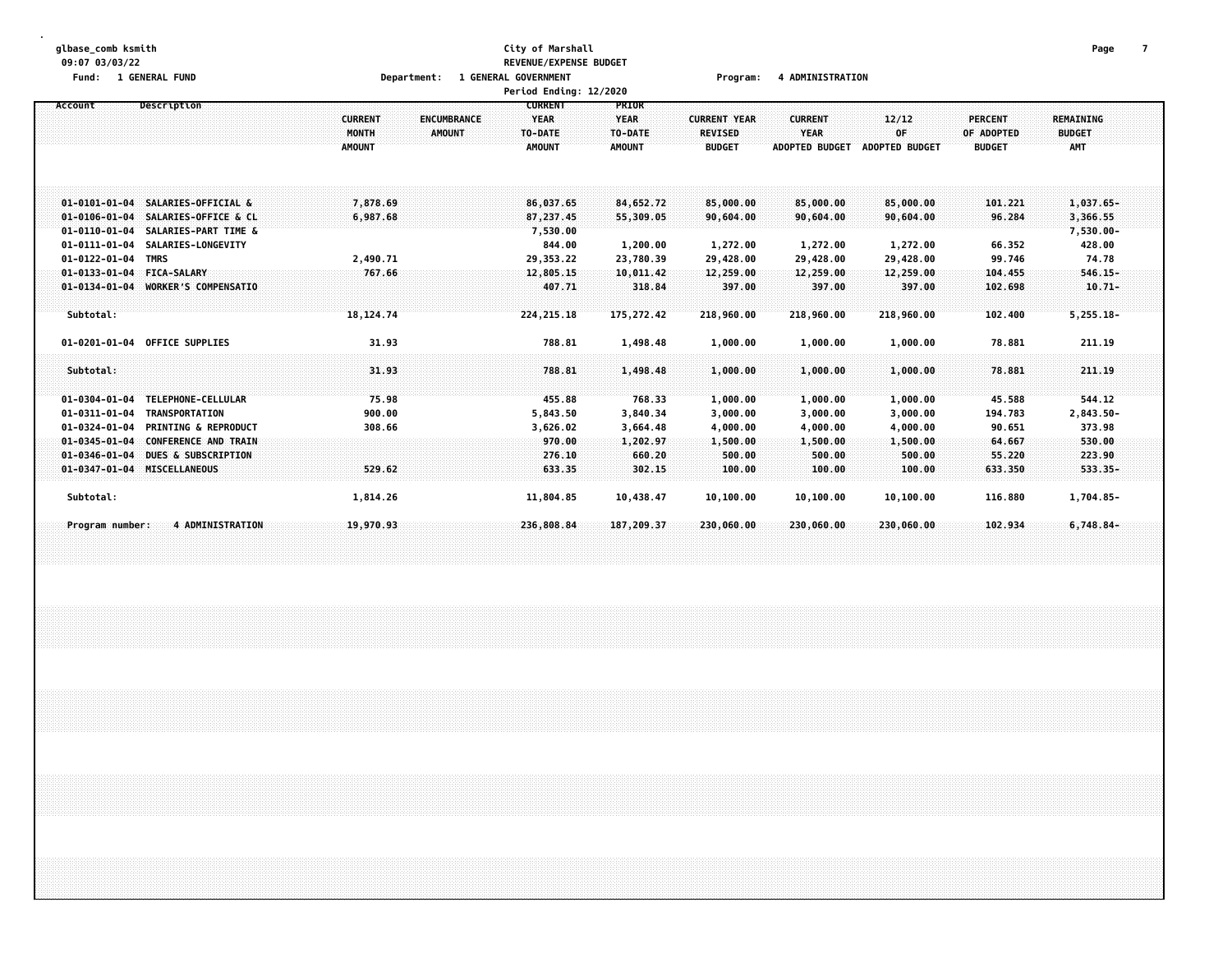#### **glbase\_comb ksmith City of Marshall Page 7 09:07 03/03/22 REVENUE/EXPENSE BUDGET Fund: 1 GENERAL FUND Department: 1 GENERAL GOVERNMENT Program: 4 ADMINISTRATION**

|                                                                                                                                                                                                                                                       | Period Ending: 12/2020<br><b>CURRENT</b><br>Description<br><b>PRIOR</b><br><b>YEAR</b><br><b>YEAR</b><br><b>CURRENT</b><br><b>ENCUMBRANCE</b><br><b>CURRENT YEAR</b><br><b>CURRENT</b><br>12/12<br><b>PERCENT</b><br><b>REMAINING</b> |                                                    |                                                      |                                                      |                                                      |                                                      |                                                  |                                                    |  |  |  |  |  |  |
|-------------------------------------------------------------------------------------------------------------------------------------------------------------------------------------------------------------------------------------------------------|---------------------------------------------------------------------------------------------------------------------------------------------------------------------------------------------------------------------------------------|----------------------------------------------------|------------------------------------------------------|------------------------------------------------------|------------------------------------------------------|------------------------------------------------------|--------------------------------------------------|----------------------------------------------------|--|--|--|--|--|--|
| Account                                                                                                                                                                                                                                               | MONTH<br><b>AMOUNT</b>                                                                                                                                                                                                                | <b>AMOUNT</b><br>TO-DATE<br><b>AMOUNT</b>          | TO-DATE<br><b>AMOUNT</b>                             | <b>REVISED</b><br><b>BUDGET</b>                      | <b>YEAR</b><br><b>ADOPTED BUDGET</b>                 | OF<br><b>ADOPTED BUDGET</b>                          | OF ADOPTED<br><b>BUDGET</b>                      | <b>BUDGET</b><br><b>AMT</b>                        |  |  |  |  |  |  |
| 01-0101-01-04 SALARIES-OFFICIAL &<br>SALARIES-OFFICE & CL<br>$01 - 0106 - 01 - 04$<br>01-0110-01-04 SALARIES-PART TIME &                                                                                                                              | 7,878.69<br>6,987.68                                                                                                                                                                                                                  | 86,037.65<br>87,237.45<br>7,530.00                 | 84,652.72<br>55,309.05                               | 85,000.00<br>90,604.00                               | 85,000.00<br>90,604.00                               | 85,000.00<br>90,604.00                               | 101.221<br>96.284                                | 1,037.65-<br>3,366.55<br>7,530.00-                 |  |  |  |  |  |  |
| 01-0111-01-04 SALARIES-LONGEVITY<br>01-0122-01-04 TMRS<br>01-0133-01-04 FICA-SALARY<br>01-0134-01-04 WORKER'S COMPENSATIO                                                                                                                             | 2,490.71<br>767.66                                                                                                                                                                                                                    | 844.00<br>29,353.22<br>12,805.15<br>407.71         | 1,200.00<br>23,780.39<br>10,011.42<br>318.84         | 1,272.00<br>29,428.00<br>12,259.00<br>397.00         | 1,272.00<br>29,428.00<br>12,259.00<br>397.00         | 1,272.00<br>29,428.00<br>12,259.00<br>397.00         | 66.352<br>99.746<br>104.455<br>102.698           | 428.00<br>74.78<br>$546.15 -$<br>$10.71 -$         |  |  |  |  |  |  |
| Subtotal:<br>01-0201-01-04 OFFICE SUPPLIES                                                                                                                                                                                                            | 18,124.74<br>31.93                                                                                                                                                                                                                    | 224, 215. 18<br>788.81                             | 175, 272.42<br>1,498.48                              | 218,960.00<br>1,000.00                               | 218,960.00<br>1,000.00                               | 218,960.00<br>1,000.00                               | 102.400<br>78.881                                | $5,255.18-$<br>211.19                              |  |  |  |  |  |  |
| Subtotal:<br>01-0304-01-04 TELEPHONE-CELLULAR                                                                                                                                                                                                         | 31.93<br>75.98                                                                                                                                                                                                                        | 788.81<br>455.88                                   | 1,498.48<br>768.33                                   | 1,000.00<br>1,000.00                                 | 1,000.00<br>1,000.00                                 | 1,000.00<br>1,000.00                                 | 78.881<br>45.588                                 | 211.19<br>544.12                                   |  |  |  |  |  |  |
| TRANSPORTATION<br>$01 - 0311 - 01 - 04$<br>$01 - 0324 - 01 - 04$<br><b>PRINTING &amp; REPRODUCT</b><br>$01 - 0345 - 01 - 04$<br><b>CONFERENCE AND TRAIN</b><br>$01 - 0346 - 01 - 04$<br><b>DUES &amp; SUBSCRIPTION</b><br>01-0347-01-04 MISCELLANEOUS | 900.00<br>308.66<br>529.62                                                                                                                                                                                                            | 5,843.50<br>3,626.02<br>970.00<br>276.10<br>633.35 | 3,840.34<br>3,664.48<br>1,202.97<br>660.20<br>302.15 | 3,000.00<br>4,000.00<br>1,500.00<br>500.00<br>100.00 | 3,000.00<br>4,000.00<br>1,500.00<br>500.00<br>100.00 | 3,000.00<br>4,000.00<br>1,500.00<br>500.00<br>100.00 | 194.783<br>90.651<br>64.667<br>55.220<br>633.350 | 2,843.50-<br>373.98<br>530.00<br>223.90<br>533.35- |  |  |  |  |  |  |
| Subtotal:                                                                                                                                                                                                                                             | 1,814.26                                                                                                                                                                                                                              | 11,804.85                                          | 10,438.47                                            | 10,100.00                                            | 10,100.00                                            | 10,100.00                                            | 116.880                                          | 1,704.85-                                          |  |  |  |  |  |  |
| Program number:                                                                                                                                                                                                                                       | 4 ADMINISTRATION<br>19,970.93                                                                                                                                                                                                         | 236,808.84                                         | 187,209.37                                           | 230,060.00                                           | 230,060.00                                           | 230,060.00                                           | 102.934                                          | $6,748.84-$                                        |  |  |  |  |  |  |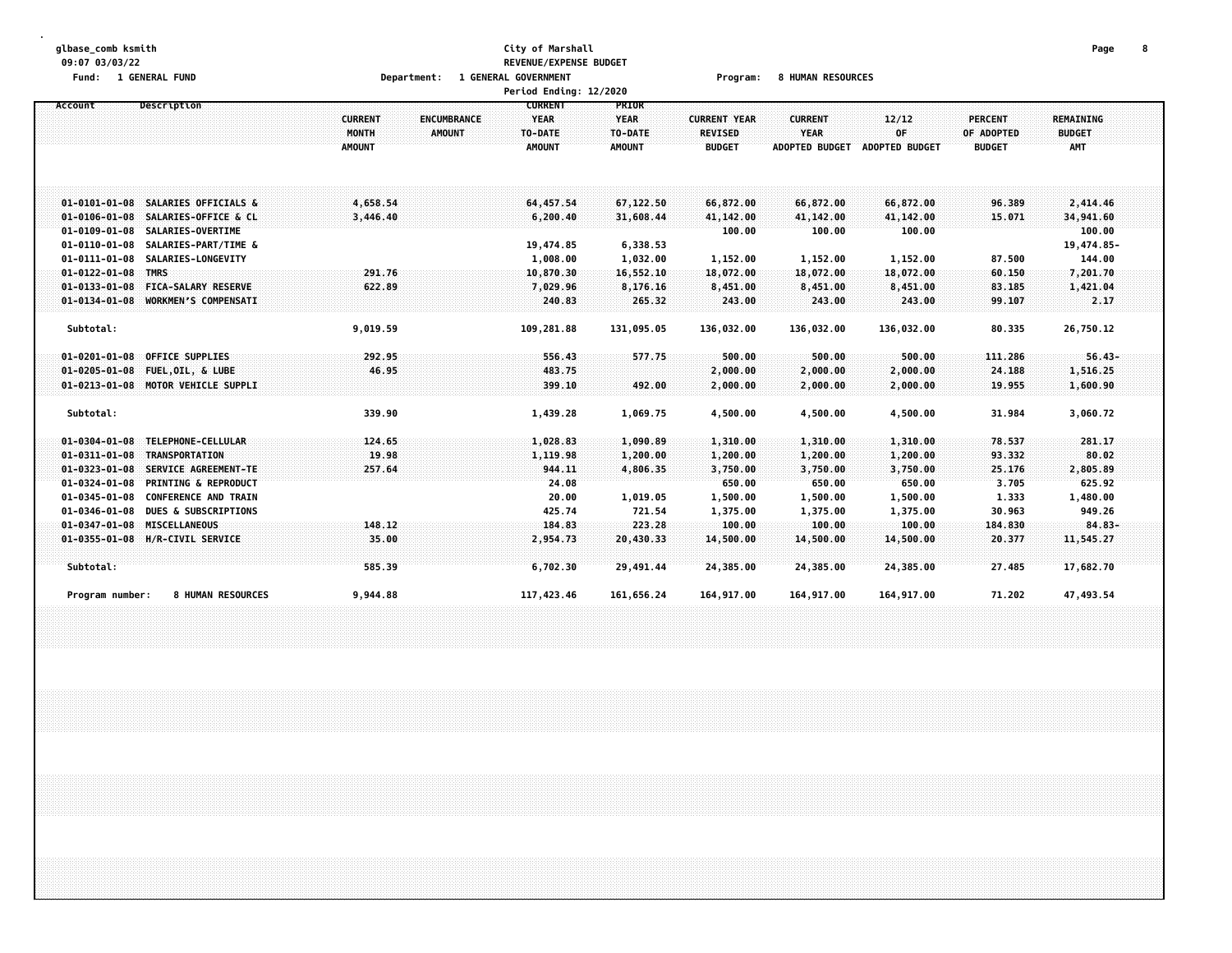#### **glbase\_comb ksmith City of Marshall Page 8 09:07 03/03/22 REVENUE/EXPENSE BUDGET Fund: 1 GENERAL FUND Department: 1 GENERAL GOVERNMENT Program: 8 HUMAN RESOURCES**

|                                                                                                                                                                                                                        |                                                                          | Period Ending: 12/2020                                    |                                                  |                                                        |                                                        |                                          |                                               |                                           |  |
|------------------------------------------------------------------------------------------------------------------------------------------------------------------------------------------------------------------------|--------------------------------------------------------------------------|-----------------------------------------------------------|--------------------------------------------------|--------------------------------------------------------|--------------------------------------------------------|------------------------------------------|-----------------------------------------------|-------------------------------------------|--|
| Description<br>Account                                                                                                                                                                                                 | <b>CURRENT</b><br>ENCUMBRANCE<br><b>MONTH</b><br>AMOUNT<br><b>AMOUNT</b> | <b>CURRENT</b><br><b>YEAR</b><br>TO-DATE<br><b>AMOUNT</b> | PRIOR<br><b>YEAR</b><br>TO-DATE<br><b>AMOUNT</b> | <b>CURRENT YEAR</b><br><b>REVISED</b><br><b>BUDGET</b> | <b>CURRENT</b><br><b>YEAR</b><br><b>ADOPTED BUDGET</b> | 12/12<br>OF<br>ADOPTED BUDGET            | <b>PERCENT</b><br>OF ADOPTED<br><b>BUDGET</b> | REMAINING<br><b>BUDGET</b><br>AMT         |  |
| <b>SALARIES OFFICIALS &amp;</b><br>$01 - 0101 - 01 - 08$<br>$01 - 0106 - 01 - 08$<br>SALARIES-OFFICE & CL                                                                                                              | 4,658.54<br>3,446.40                                                     | 64, 457, 54<br>6, 200.40                                  | 67,122,50<br>31,608.44                           | 66,872.00<br>41,142.00                                 | 66,872.00<br>41,142.00                                 | 66,872.00<br>41,142.00                   | 96.389<br>15.071                              | 2,414.46<br>34,941.60                     |  |
| SALARIES-OVERTIME<br>$01 - 0109 - 01 - 08$<br>$01 - 0110 - 01 - 08$<br>SALARIES-PART/TIME &<br>$01 - 0111 - 01 - 08$<br>SALARIES-LONGEVITY                                                                             |                                                                          | 19,474.85<br>1,008.00                                     | 6,338.53<br>1,032.00                             | 100.00<br>1,152.00                                     | 100.00<br>1,152.00                                     | 100.00<br>1,152.00                       | 87.500                                        | 100.00<br>19,474.85-<br>144.00            |  |
| $01 - 0122 - 01 - 08$<br>TMRS<br>$01 - 0133 - 01 - 08$<br><b>FICA-SALARY RESERVE</b><br>WORKMEN'S COMPENSATI<br>$01 - 0134 - 01 - 08$                                                                                  | 291.76<br>622.89                                                         | 10,870.30<br>7,029.96<br>240.83                           | 16,552.10<br>8,176.16<br>265.32                  | 18,072.00<br>8,451.00<br>243.00                        | 18,072.00<br>8,451.00<br>243.00                        | 18,072.00<br>8,451.00<br>243.00          | 60.150<br>83.185<br>99.107                    | 7,201.70<br>1,421.04<br>2.17              |  |
| Subtotal:                                                                                                                                                                                                              | 9,019.59                                                                 | 109,281.88                                                | 131,095.05                                       | 136,032.00                                             | 136,032.00                                             | 136,032.00                               | 80.335                                        | 26,750.12                                 |  |
| $01 - 0201 - 01 - 08$<br><b>OFFICE SUPPLIES</b><br>$01 - 0205 - 01 - 08$<br>FUEL, OIL, & LUBE<br>$01 - 0213 - 01 - 08$<br>MOTOR VEHICLE SUPPLI                                                                         | 292.95<br>46.95                                                          | 556.43<br>483.75<br>399.10                                | 577.75<br>492.00                                 | 500.00<br>2,000.00<br>2,000.00                         | 500.00<br>2,000.00<br>2,000.00                         | 500.00<br>2,000.00<br>2,000.00           | 111,286<br>24.188<br>19.955                   | $56.43-$<br>1,516.25<br>1,600.90          |  |
| Subtotal:                                                                                                                                                                                                              | 339.90                                                                   | 1,439.28                                                  | 1,069.75                                         | 4,500.00                                               | 4,500.00                                               | 4,500.00                                 | 31.984                                        | 3,060.72                                  |  |
| TELEPHONE-CELLULAR<br>$01 - 0304 - 01 - 08$<br><b>TRANSPORTATION</b><br>$01 - 0311 - 01 - 08$<br>$01 - 0323 - 01 - 08$<br>SERVICE AGREEMENT-TE                                                                         | 124.65<br>19.98<br>257.64                                                | 1,028.83<br>1,119.98<br>944.11                            | 1,090.89<br>1,200.00<br>4,806.35                 | 1,310.00<br>1,200.00<br>3,750.00                       | 1,310.00<br>1,200.00<br>3,750.00                       | 1,310.00<br>1,200.00<br>3,750.00         | 78.537<br>93.332<br>25.176                    | 281.17<br>80.02<br>2,805.89               |  |
| $01 - 0324 - 01 - 08$<br><b>PRINTING &amp; REPRODUCT</b><br>$01 - 0345 - 01 - 08$<br><b>CONFERENCE AND TRAIN</b><br>$01 - 0346 - 01 - 08$<br><b>DUES &amp; SUBSCRIPTIONS</b><br>$01 - 0347 - 01 - 08$<br>MISCELLANEOUS | 148.12                                                                   | 24.08<br>20.00<br>425.74<br>184.83                        | 1,019.05<br>721.54<br>223.28                     | 650.00<br>1,500.00<br>1,375.00<br>100.00               | 650.00<br>1,500.00<br>1,375.00<br>100.00               | 650.00<br>1,500.00<br>1,375.00<br>100.00 | 3.705<br>1.333<br>30.963<br>184.830           | 625.92<br>1,480.00<br>949.26<br>$84.83 -$ |  |
| 01-0355-01-08 H/R-CIVIL SERVICE<br>Subtotal:                                                                                                                                                                           | 35.00<br>585.39                                                          | 2,954.73<br>6,702.30                                      | 20,430.33<br>29,491.44                           | 14,500.00<br>24,385.00                                 | 14,500.00<br>24,385.00                                 | 14,500.00<br>24,385.00                   | 20.377<br>27.485                              | 11,545.27<br>17,682.70                    |  |
| <b>8 HUMAN RESOURCES</b><br>Program number:                                                                                                                                                                            | 9,944.88                                                                 | 117,423.46                                                | 161,656.24                                       | 164,917.00                                             | 164,917.00                                             | 164,917.00                               | 71.202                                        | 47,493.54                                 |  |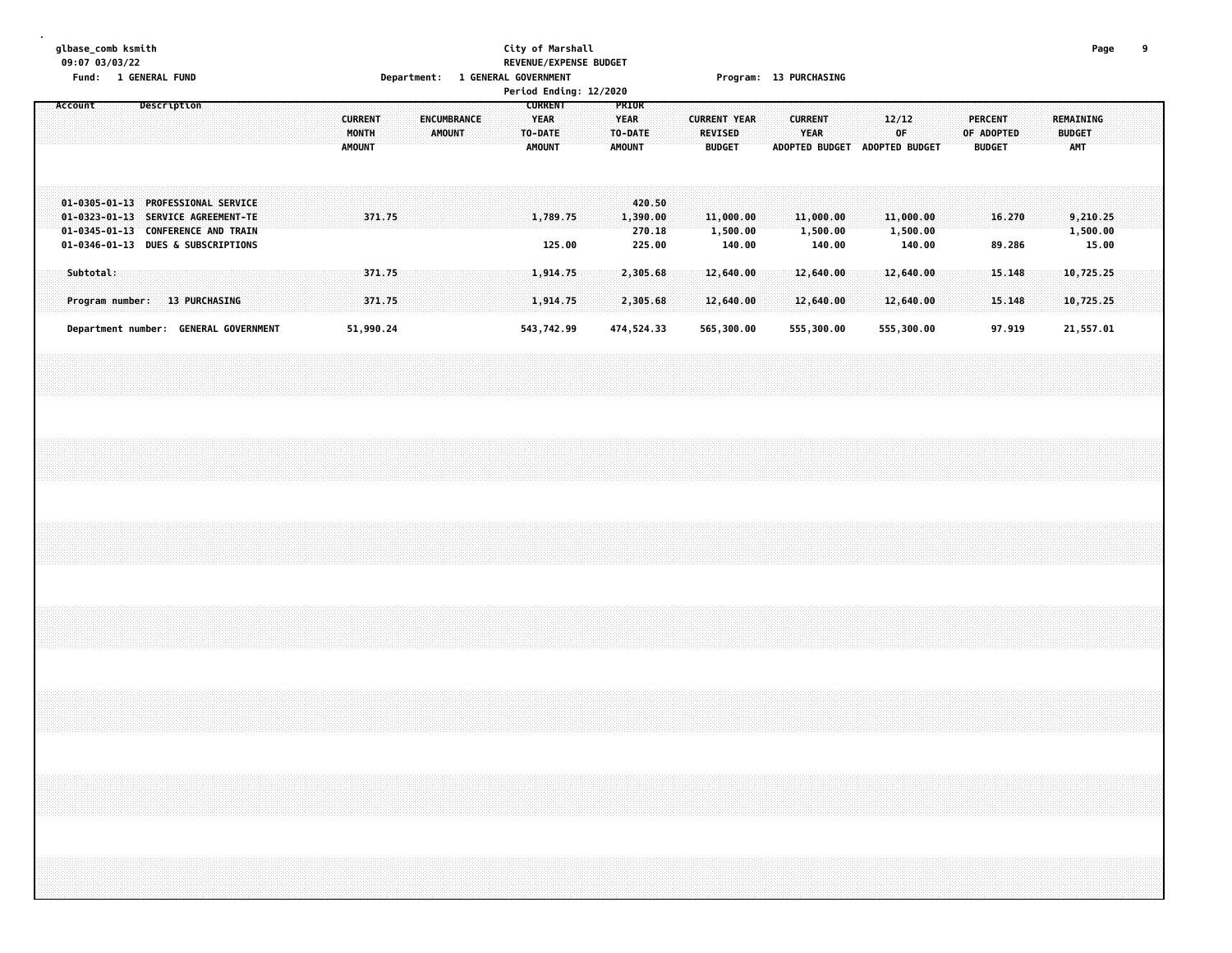### **glbase\_comb ksmith City of Marshall Page 9 09:07 03/03/22 REVENUE/EXPENSE BUDGET Fund: 1 GENERAL FUND Department: 1 GENERAL GOVERNMENT Program: 13 PURCHASING**

|  |           |  |  |             |                                                                                                                                                      |  |  |                                          |                  |  |                              |  |                                                           |        | Period Ending: 12/2020 |                              |                                        |  |                                 |                                 |  |                                                         |        |  |                                 |  |                                               |                  |  |                                          |                   |  |
|--|-----------|--|--|-------------|------------------------------------------------------------------------------------------------------------------------------------------------------|--|--|------------------------------------------|------------------|--|------------------------------|--|-----------------------------------------------------------|--------|------------------------|------------------------------|----------------------------------------|--|---------------------------------|---------------------------------|--|---------------------------------------------------------|--------|--|---------------------------------|--|-----------------------------------------------|------------------|--|------------------------------------------|-------------------|--|
|  | Account   |  |  | Description |                                                                                                                                                      |  |  | <b>CURRENT</b><br>MONTH<br><b>AMOUNT</b> |                  |  | ENCUMBRANCE<br><b>AMOUNT</b> |  | <b>CURRENT</b><br><b>YEAR</b><br>TO-DATE<br><b>AMOUNT</b> |        |                        | <b>YEAR</b><br><b>AMOUNT</b> | PRIOR<br>TO-DATE                       |  | <b>REVISED</b><br><b>BUDGET</b> | <b>CURRENT YEAR</b>             |  | <b>CURRENT</b><br>YEAR<br>ADOPTED BUDGET ADOPTED BUDGET |        |  | 12/12<br>0F                     |  | <b>PERCENT</b><br>OF ADOPTED<br><b>BUDGET</b> |                  |  | REMAINING<br><b>BUDGET</b><br><b>AMT</b> |                   |  |
|  |           |  |  |             | 01-0305-01-13 PROFESSIONAL SERVICE<br>01-0323-01-13 SERVICE AGREEMENT-TE<br>01-0345-01-13 CONFERENCE AND TRAIN<br>01-0346-01-13 DUES & SUBSCRIPTIONS |  |  |                                          | 371.75           |  |                              |  | 1,789.75                                                  | 125.00 |                        |                              | 420.50<br>1,390.00<br>270.18<br>225.00 |  |                                 | 11,000.00<br>1,500.00<br>140.00 |  | 11,000.00<br>1,500.00                                   | 140.00 |  | 11,000.00<br>1,500.00<br>140.00 |  |                                               | 16.270<br>89.286 |  | 1,500.00                                 | 9,210.25<br>15.00 |  |
|  | Subtotal: |  |  |             | Program number: 13 PURCHASING                                                                                                                        |  |  |                                          | 371.75<br>371.75 |  |                              |  | 1,914.75<br>1,914.75                                      |        |                        |                              | 2,305.68<br>2,305.68                   |  |                                 | 12,640.00<br>12,640.00          |  | 12,640.00<br>12,640.00                                  |        |  | 12,640.00<br>12,640.00          |  |                                               | 15.148<br>15.148 |  | 10,725.25<br>10,725.25                   |                   |  |
|  |           |  |  |             | Department number: GENERAL GOVERNMENT                                                                                                                |  |  | 51,990.24                                |                  |  |                              |  | 543,742.99                                                |        |                        |                              | 474,524.33                             |  |                                 | 565,300.00                      |  | 555,300.00                                              |        |  | 555,300.00                      |  |                                               | 97.919           |  | 21,557.01                                |                   |  |
|  |           |  |  |             |                                                                                                                                                      |  |  |                                          |                  |  |                              |  |                                                           |        |                        |                              |                                        |  |                                 |                                 |  |                                                         |        |  |                                 |  |                                               |                  |  |                                          |                   |  |
|  |           |  |  |             |                                                                                                                                                      |  |  |                                          |                  |  |                              |  |                                                           |        |                        |                              |                                        |  |                                 |                                 |  |                                                         |        |  |                                 |  |                                               |                  |  |                                          |                   |  |
|  |           |  |  |             |                                                                                                                                                      |  |  |                                          |                  |  |                              |  |                                                           |        |                        |                              |                                        |  |                                 |                                 |  |                                                         |        |  |                                 |  |                                               |                  |  |                                          |                   |  |
|  |           |  |  |             |                                                                                                                                                      |  |  |                                          |                  |  |                              |  |                                                           |        |                        |                              |                                        |  |                                 |                                 |  |                                                         |        |  |                                 |  |                                               |                  |  |                                          |                   |  |
|  |           |  |  |             |                                                                                                                                                      |  |  |                                          |                  |  |                              |  |                                                           |        |                        |                              |                                        |  |                                 |                                 |  |                                                         |        |  |                                 |  |                                               |                  |  |                                          |                   |  |
|  |           |  |  |             |                                                                                                                                                      |  |  |                                          |                  |  |                              |  |                                                           |        |                        |                              |                                        |  |                                 |                                 |  |                                                         |        |  |                                 |  |                                               |                  |  |                                          |                   |  |
|  |           |  |  |             |                                                                                                                                                      |  |  |                                          |                  |  |                              |  |                                                           |        |                        |                              |                                        |  |                                 |                                 |  |                                                         |        |  |                                 |  |                                               |                  |  |                                          |                   |  |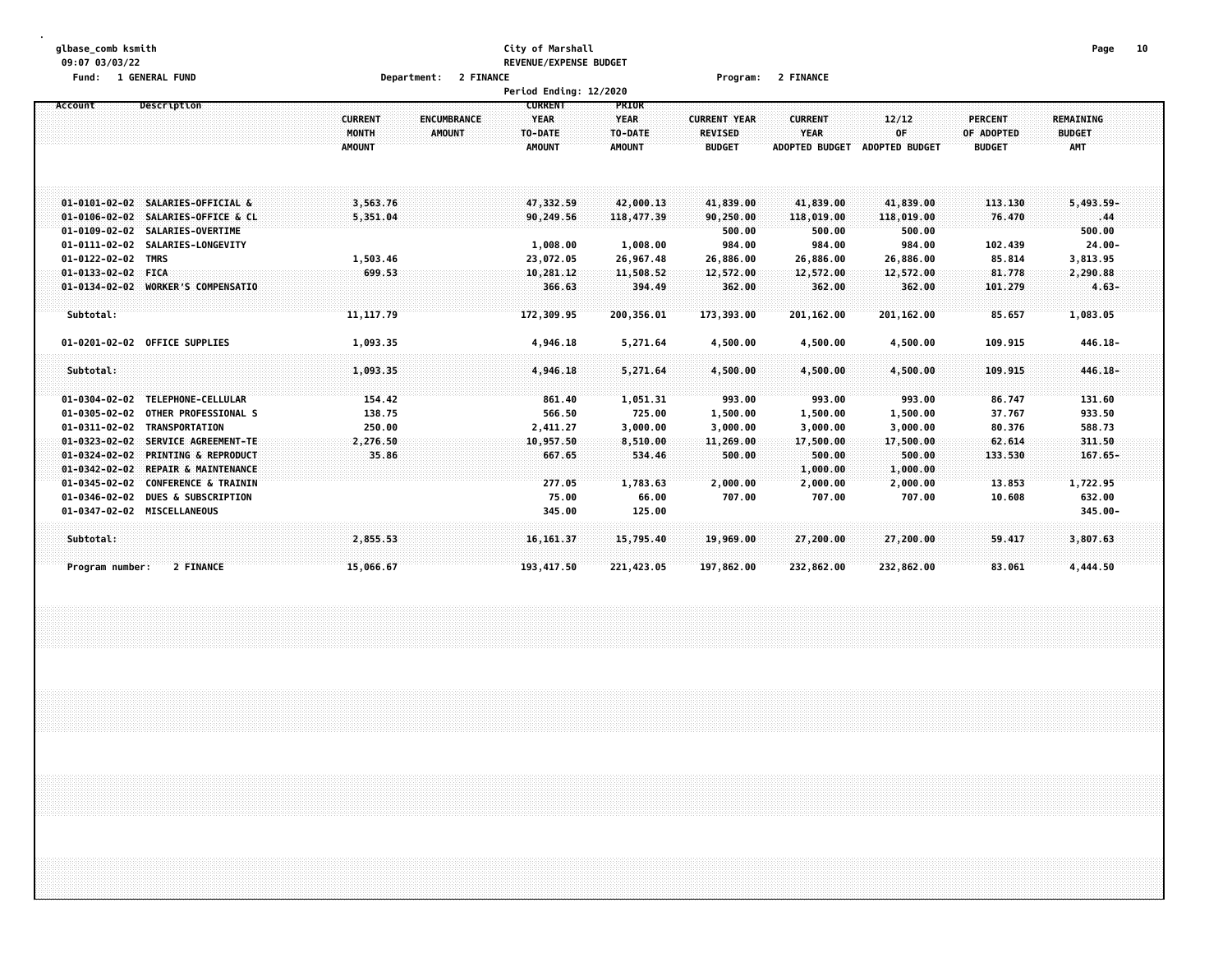#### **glbase\_comb ksmith City of Marshall Page 10 09:07 03/03/22 REVENUE/EXPENSE BUDGET Fund: 1 GENERAL FUND Department: 2 FINANCE Program: 2 FINANCE**

| Period Ending: 12/2020<br>Description<br><b>CURRENT</b><br>PRIOR<br><b>YEAR</b><br><b>CURRENT</b><br><b>ENCUMBRANCE</b><br><b>YEAR</b><br><b>CURRENT YEAR</b><br><b>PERCENT</b><br><b>CURRENT</b><br>12/12<br>REMAINING |               |               |               |                     |                       |                       |               |               |  |  |  |  |  |
|-------------------------------------------------------------------------------------------------------------------------------------------------------------------------------------------------------------------------|---------------|---------------|---------------|---------------------|-----------------------|-----------------------|---------------|---------------|--|--|--|--|--|
| Account<br>OF<br>MONTH<br><b>AMOUNT</b><br><b>REVISED</b><br><b>YEAR</b><br>OF ADOPTED<br>TO-DATE<br>TO-DATE<br><b>BUDGET</b>                                                                                           |               |               |               |                     |                       |                       |               |               |  |  |  |  |  |
|                                                                                                                                                                                                                         |               |               |               |                     |                       |                       |               |               |  |  |  |  |  |
|                                                                                                                                                                                                                         |               |               |               |                     |                       |                       |               |               |  |  |  |  |  |
|                                                                                                                                                                                                                         | <b>AMOUNT</b> | <b>AMOUNT</b> | <b>AMOUNT</b> | <b>BUDGET</b>       | <b>ADOPTED BUDGET</b> | <b>ADOPTED BUDGET</b> | <b>BUDGET</b> | <b>AMT</b>    |  |  |  |  |  |
|                                                                                                                                                                                                                         |               |               |               |                     |                       |                       |               |               |  |  |  |  |  |
|                                                                                                                                                                                                                         |               |               |               |                     |                       |                       |               |               |  |  |  |  |  |
| 01-0101-02-02 SALARIES-OFFICIAL &                                                                                                                                                                                       |               |               |               |                     |                       |                       |               |               |  |  |  |  |  |
| SALARIES-OFFICE & CL<br>$01 - 0106 - 02 - 02$                                                                                                                                                                           | 3,563.76      | 47,332,59     | 42,000.13     | 41,839.00           | 41,839.00             | 41,839.00             | 113,130       | 5,493.59-     |  |  |  |  |  |
| $01 - 0109 - 02 - 02$<br>SALARIES-OVERTIME                                                                                                                                                                              | 5,351.04      | 90,249.56     | 118,477.39    | 90,250.00<br>500.00 | 118,019.00<br>500.00  | 118,019.00            | 76.470        | .44<br>500.00 |  |  |  |  |  |
| $01 - 0111 - 02 - 02$<br>SALARIES-LONGEVITY                                                                                                                                                                             |               | 1,008.00      | 1,008.00      | 984.00              | 984.00                | 500.00<br>984.00      | 102.439       | $24.00 -$     |  |  |  |  |  |
| 01-0122-02-02 TMRS                                                                                                                                                                                                      | 1,503.46      | 23,072.05     | 26,967.48     | 26,886.00           | 26,886.00             | 26,886.00             | 85.814        | 3,813.95      |  |  |  |  |  |
| $01 - 0133 - 02 - 02$ FICA                                                                                                                                                                                              | 699.53        | 10,281.12     | 11,508.52     | 12,572.00           | 12,572.00             | 12,572.00             | 81.778        | 2,290.88      |  |  |  |  |  |
| <b>WORKER'S COMPENSATIO</b><br>$01 - 0134 - 02 - 02$                                                                                                                                                                    |               | 366.63        | 394.49        | 362.00              | 362.00                | 362.00                | 101.279       | $4.63 -$      |  |  |  |  |  |
|                                                                                                                                                                                                                         |               |               |               |                     |                       |                       |               |               |  |  |  |  |  |
| Subtotal:                                                                                                                                                                                                               | 11, 117.79    | 172,309.95    | 200,356.01    | 173,393.00          | 201,162.00            | 201,162.00            | 85.657        | 1,083.05      |  |  |  |  |  |
|                                                                                                                                                                                                                         |               |               |               |                     |                       |                       |               |               |  |  |  |  |  |
| $01 - 0201 - 02 - 02$<br><b>OFFICE SUPPLIES</b>                                                                                                                                                                         | 1,093.35      | 4,946.18      | 5,271.64      | 4,500.00            | 4,500.00              | 4,500.00              | 109.915       | 446.18-       |  |  |  |  |  |
|                                                                                                                                                                                                                         |               |               |               |                     |                       |                       |               |               |  |  |  |  |  |
| Subtotal:                                                                                                                                                                                                               | 1,093.35      | 4,946.18      | 5,271.64      | 4,500.00            | 4,500.00              | 4,500.00              | 109.915       | $446.18 -$    |  |  |  |  |  |
|                                                                                                                                                                                                                         |               |               |               |                     |                       |                       |               |               |  |  |  |  |  |
| TELEPHONE-CELLULAR<br>$01 - 0304 - 02 - 02$                                                                                                                                                                             | 154.42        | 861.40        | 1,051.31      | 993.00              | 993.00                | 993.00                | 86.747        | 131.60        |  |  |  |  |  |
| $01 - 0305 - 02 - 02$<br>OTHER PROFESSIONAL S                                                                                                                                                                           | 138.75        | 566.50        | 725.00        | 1,500.00            | 1,500.00              | 1,500.00              | 37.767        | 933.50        |  |  |  |  |  |
| $01 - 0311 - 02 - 02$<br>TRANSPORTATION                                                                                                                                                                                 | 250.00        | 2,411.27      | 3,000.00      | 3,000.00            | 3,000.00              | 3,000.00              | 80.376        | 588.73        |  |  |  |  |  |
| $01 - 0323 - 02 - 02$<br>SERVICE AGREEMENT-TE                                                                                                                                                                           | 2,276.50      | 10,957.50     | 8,510.00      | 11,269.00           | 17,500.00             | 17,500.00             | 62.614        | 311.50        |  |  |  |  |  |
| $01 - 0324 - 02 - 02$<br><b>PRINTING &amp; REPRODUCT</b>                                                                                                                                                                | 35.86         | 667.65        | 534.46        | 500.00              | 500.00                | 500.00                | 133.530       | $167.65 -$    |  |  |  |  |  |
| $01 - 0342 - 02 - 02$<br>REPAIR & MAINTENANCE                                                                                                                                                                           |               |               |               |                     | 1,000.00              | 1,000.00              |               |               |  |  |  |  |  |
| $01 - 0345 - 02 - 02$<br><b>CONFERENCE &amp; TRAININ</b>                                                                                                                                                                |               | 277.05        | 1,783.63      | 2,000.00            | 2,000.00              | 2,000.00              | 13.853        | 1,722.95      |  |  |  |  |  |
| $01 - 0346 - 02 - 02$<br><b>DUES &amp; SUBSCRIPTION</b>                                                                                                                                                                 |               | 75.00         | 66.00         | 707.00              | 707.00                | 707.00                | 10.608        | 632.00        |  |  |  |  |  |
| 01-0347-02-02 MISCELLANEOUS                                                                                                                                                                                             |               | 345.00        | 125.00        |                     |                       |                       |               | 345.00-       |  |  |  |  |  |
|                                                                                                                                                                                                                         |               |               |               |                     |                       |                       |               |               |  |  |  |  |  |
| Subtotal:                                                                                                                                                                                                               | 2,855.53      | 16, 161.37    | 15.795.40     | 19,969.00           | 27,200.00             | 27,200.00             | 59.417        | 3,807.63      |  |  |  |  |  |
|                                                                                                                                                                                                                         |               |               |               |                     |                       |                       |               |               |  |  |  |  |  |
| 2 FINANCE<br>Program number:                                                                                                                                                                                            | 15,066.67     | 193,417.50    | 221,423.05    | 197,862.00          | 232,862.00            | 232,862.00            | 83.061        | 4,444.50      |  |  |  |  |  |
|                                                                                                                                                                                                                         |               |               |               |                     |                       |                       |               |               |  |  |  |  |  |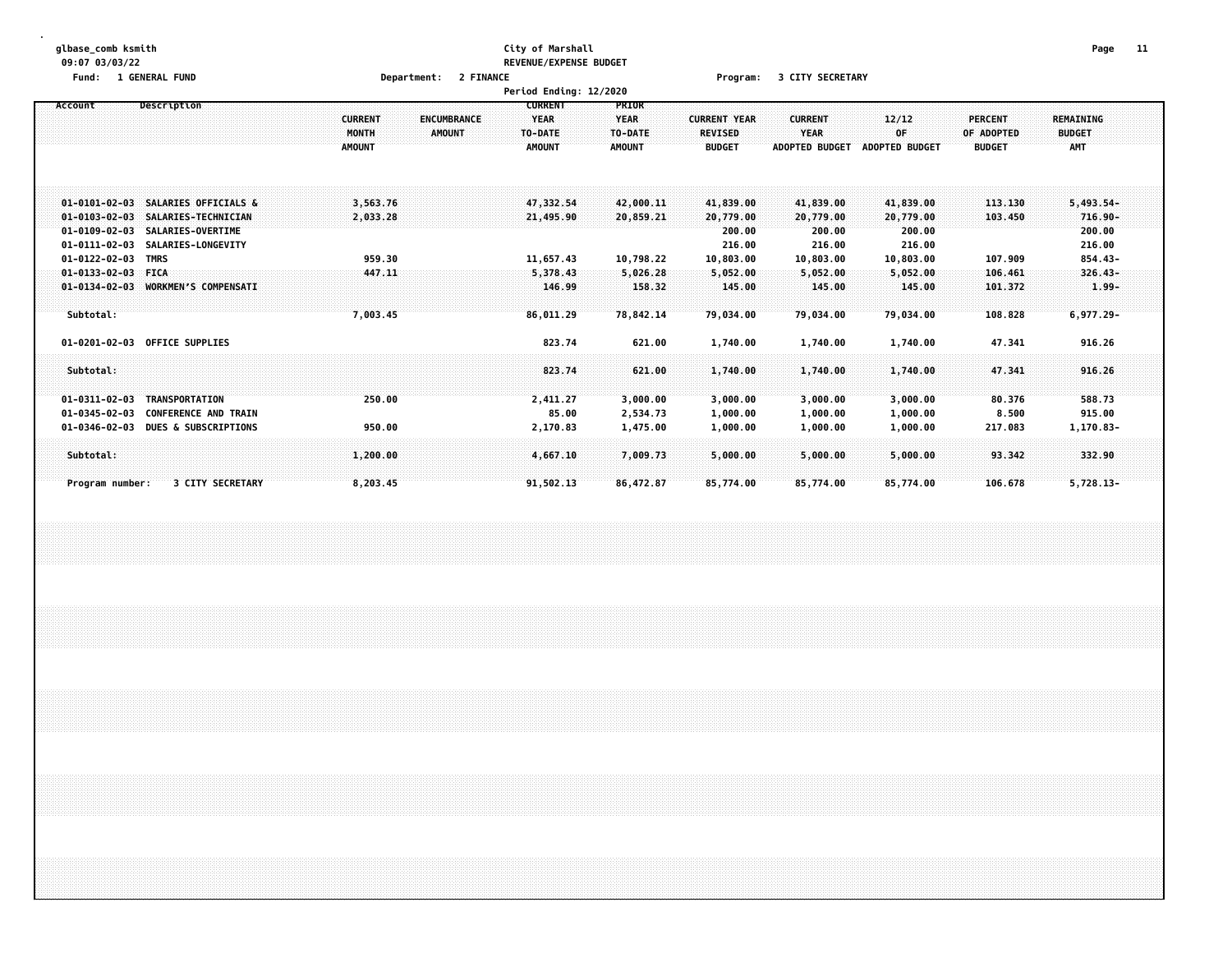# **glbase\_comb ksmith City of Marshall Page 11 09:07 03/03/22 REVENUE/EXPENSE BUDGET**

**Fund: 1 GENERAL FUND Department: 2 FINANCE Program: 3 CITY SECRETARY**

|                            |                                    |                               | Period Ending: 12/2020                    |                          |                                 |                                      |                      |                             |                             |  |
|----------------------------|------------------------------------|-------------------------------|-------------------------------------------|--------------------------|---------------------------------|--------------------------------------|----------------------|-----------------------------|-----------------------------|--|
| Account                    | Description                        |                               | <b>CURRENT</b>                            | PRIOR                    |                                 |                                      |                      |                             |                             |  |
|                            |                                    | <b>CURRENT</b>                | <b>YEAR</b><br><b>ENCUMBRANCE</b>         | <b>YEAR</b>              | <b>CURRENT YEAR</b>             | <b>CURRENT</b>                       | 12/12                | <b>PERCENT</b>              | <b>REMAINING</b>            |  |
|                            |                                    | <b>MONTH</b><br><b>AMOUNT</b> | <b>AMOUNT</b><br>TO-DATE<br><b>AMOUNT</b> | TO-DATE<br><b>AMOUNT</b> | <b>REVISED</b><br><b>BUDGET</b> | <b>YEAR</b><br><b>ADOPTED BUDGET</b> | OF<br>ADOPTED BUDGET | OF ADOPTED<br><b>BUDGET</b> | <b>BUDGET</b><br><b>AMT</b> |  |
|                            |                                    |                               |                                           |                          |                                 |                                      |                      |                             |                             |  |
|                            |                                    |                               |                                           |                          |                                 |                                      |                      |                             |                             |  |
|                            |                                    |                               |                                           |                          |                                 |                                      |                      |                             |                             |  |
|                            | 01-0101-02-03 SALARIES OFFICIALS & | 3,563.76                      | 47,332,54                                 | 42,000.11                | 41,839.00                       | 41,839.00                            | 41,839.00            | 113,130                     | 5,493.54-                   |  |
|                            | 01-0103-02-03 SALARIES-TECHNICIAN  | 2,033.28                      | 21,495.90                                 | 20,859.21                | 20,779.00                       | 20,779.00                            | 20,779.00            | 103.450                     | $716.90 -$                  |  |
|                            | 01-0109-02-03 SALARIES-OVERTIME    |                               |                                           |                          | 200.00                          | 200.00                               | 200.00               |                             | 200.00                      |  |
|                            | 01-0111-02-03 SALARIES-LONGEVITY   |                               |                                           |                          | 216.00                          | 216.00                               | 216.00               |                             | 216.00                      |  |
| 01-0122-02-03 TMRS         |                                    | 959.30                        | 11,657.43                                 | 10,798.22                | 10,803.00                       | 10,803.00                            | 10,803.00            | 107.909                     | 854.43-                     |  |
| $01 - 0133 - 02 - 03$ FICA |                                    | 447.11                        | 5,378.43                                  | 5,026.28                 | 5,052.00                        | 5,052.00                             | 5,052.00             | 106.461                     | $326.43 -$                  |  |
|                            | 01-0134-02-03 WORKMEN'S COMPENSATI |                               | 146.99                                    | 158.32                   | 145.00                          | 145.00                               | 145.00               | 101.372                     | $1.99 -$                    |  |
|                            |                                    |                               |                                           |                          |                                 |                                      |                      |                             |                             |  |
| Subtotal:                  |                                    | 7,003.45                      | 86,011.29                                 | 78,842.14                | 79,034.00                       | 79,034.00                            | 79,034.00            | 108.828                     | $6,977.29 -$                |  |
|                            |                                    |                               |                                           |                          |                                 |                                      |                      |                             |                             |  |
|                            | 01-0201-02-03 OFFICE SUPPLIES      |                               | 823.74                                    | 621.00                   | 1,740.00                        | 1,740.00                             | 1,740.00             | 47.341                      | 916.26                      |  |
| Subtotal:                  |                                    |                               | 823.74                                    | 621.00                   | 1,740.00                        | 1,740.00                             | 1,740.00             | 47.341                      | 916.26                      |  |
|                            |                                    |                               |                                           |                          |                                 |                                      |                      |                             |                             |  |
|                            | 01-0311-02-03 TRANSPORTATION       | 250.00                        | 2,411.27                                  | 3,000.00                 | 3,000.00                        | 3,000.00                             | 3,000.00             | 80.376                      | 588.73                      |  |
| $01 - 0345 - 02 - 03$      | <b>CONFERENCE AND TRAIN</b>        |                               | 85.00                                     | 2,534.73                 | 1,000.00                        | 1,000.00                             | 1,000.00             | 8.500                       | 915.00                      |  |
| $01 - 0346 - 02 - 03$      | <b>DUES &amp; SUBSCRIPTIONS</b>    | 950.00                        | 2,170.83                                  | 1,475.00                 | 1,000.00                        | 1,000.00                             | 1,000.00             | 217.083                     | 1,170.83-                   |  |
|                            |                                    |                               |                                           |                          |                                 |                                      |                      |                             |                             |  |
| Subtotal:                  |                                    | 1,200.00                      | 4,667.10                                  | 7,009.73                 | 5,000.00                        | 5,000.00                             | 5,000.00             | 93.342                      | 332,90                      |  |
|                            |                                    |                               |                                           |                          |                                 |                                      |                      |                             |                             |  |
| Program number:            | <b>3 CITY SECRETARY</b>            | 8,203.45                      | 91,502.13                                 | 86,472.87                | 85,774.00                       | 85,774.00                            | 85,774.00            | 106.678                     | $5,728.13-$                 |  |
|                            |                                    |                               |                                           |                          |                                 |                                      |                      |                             |                             |  |
|                            |                                    |                               |                                           |                          |                                 |                                      |                      |                             |                             |  |
|                            |                                    |                               |                                           |                          |                                 |                                      |                      |                             |                             |  |
|                            |                                    |                               |                                           |                          |                                 |                                      |                      |                             |                             |  |
|                            |                                    |                               |                                           |                          |                                 |                                      |                      |                             |                             |  |
|                            |                                    |                               |                                           |                          |                                 |                                      |                      |                             |                             |  |
|                            |                                    |                               |                                           |                          |                                 |                                      |                      |                             |                             |  |
|                            |                                    |                               |                                           |                          |                                 |                                      |                      |                             |                             |  |
|                            |                                    |                               |                                           |                          |                                 |                                      |                      |                             |                             |  |
|                            |                                    |                               |                                           |                          |                                 |                                      |                      |                             |                             |  |
|                            |                                    |                               |                                           |                          |                                 |                                      |                      |                             |                             |  |
|                            |                                    |                               |                                           |                          |                                 |                                      |                      |                             |                             |  |
|                            |                                    |                               |                                           |                          |                                 |                                      |                      |                             |                             |  |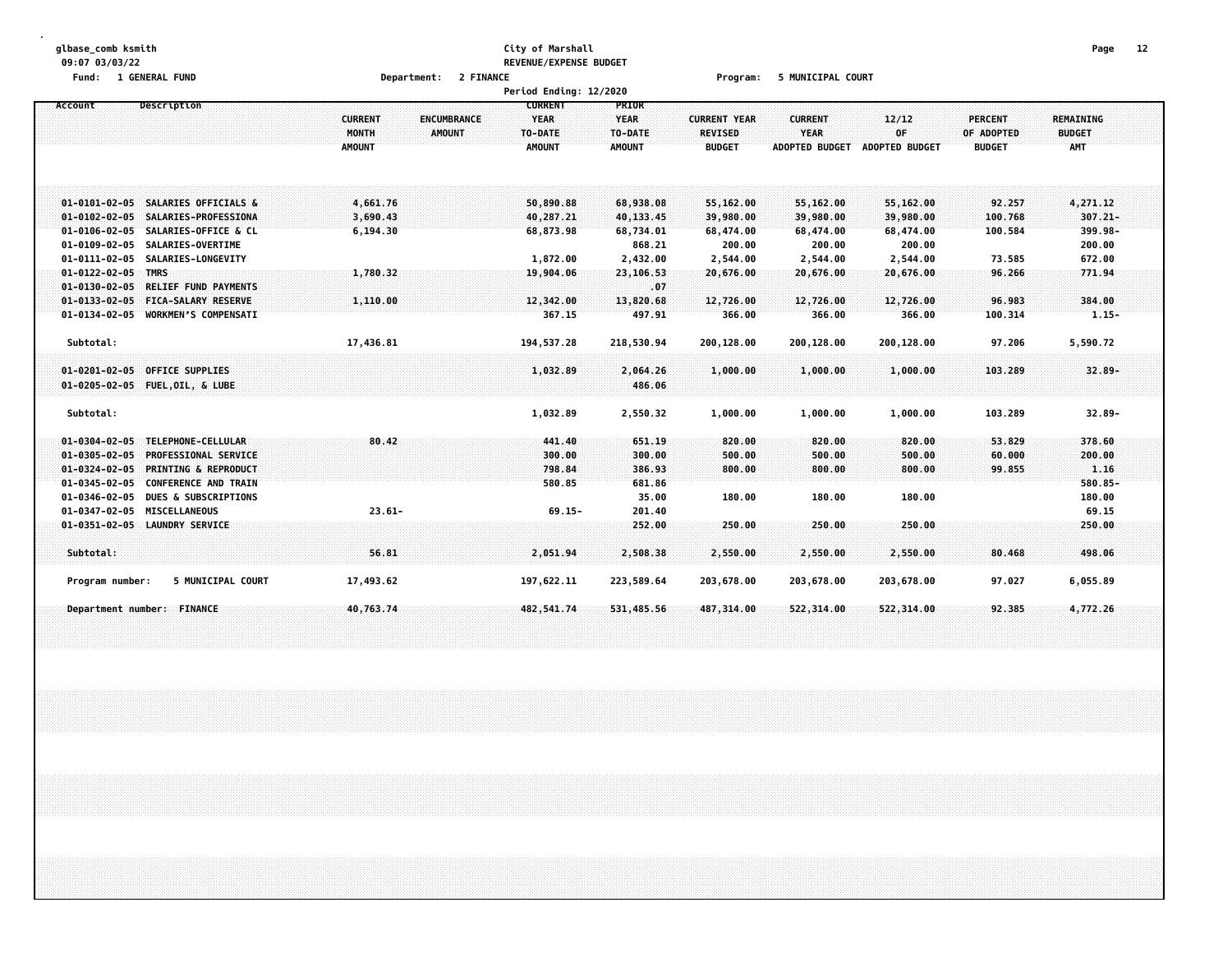# **glbase\_comb ksmith City of Marshall Page 12 09:07 03/03/22 REVENUE/EXPENSE BUDGET**

**Fund: 1 GENERAL FUND Department: 2 FINANCE Program: 5 MUNICIPAL COURT**

|                                                          |                               | Period Ending: 12/2020 |               |                     |                       |                       |                |                  |  |
|----------------------------------------------------------|-------------------------------|------------------------|---------------|---------------------|-----------------------|-----------------------|----------------|------------------|--|
| Account<br>Description                                   |                               | <b>CURRENT</b>         | <b>PRIOR</b>  |                     |                       |                       |                |                  |  |
|                                                          | <b>CURRENT</b><br>ENCUMBRANCE | <b>YEAR</b>            | <b>YEAR</b>   | <b>CURRENT YEAR</b> | <b>CURRENT</b>        | 12/12                 | <b>PERCENT</b> | <b>REMAINING</b> |  |
|                                                          | MONTH<br>AMOUNT               | TO-DATE                | TO-DATE       | <b>REVISED</b>      | YEAR                  | 0F                    | OF ADOPTED     | <b>BUDGET</b>    |  |
|                                                          | <b>AMOUNT</b>                 | <b>AMOUNT</b>          | <b>AMOUNT</b> | <b>BUDGET</b>       | <b>ADOPTED BUDGET</b> | <b>ADOPTED BUDGET</b> | <b>BUDGET</b>  | <b>AMT</b>       |  |
|                                                          |                               |                        |               |                     |                       |                       |                |                  |  |
|                                                          |                               |                        |               |                     |                       |                       |                |                  |  |
|                                                          |                               |                        |               |                     |                       |                       |                |                  |  |
| 01-0101-02-05 SALARIES OFFICIALS &                       | 4,661.76                      | 50,890.88              | 68,938.08     | 55,162.00           | 55,162.00             | 55,162.00             | 92.257         | 4,271.12         |  |
| 01-0102-02-05 SALARIES-PROFESSIONA                       | 3,690.43                      | 40,287.21              | 40,133.45     | 39,980.00           | 39,980.00             | 39,980.00             | 100.768        | $307.21 -$       |  |
| 01-0106-02-05 SALARIES-OFFICE & CL                       | 6,194.30                      | 68,873.98              | 68,734.01     | 68,474.00           | 68,474.00             | 68,474.00             | 100.584        | 399.98-          |  |
| $01 - 0109 - 02 - 05$<br>SALARIES-OVERTIME               |                               |                        | 868.21        | 200.00              | 200.00                | 200.00                |                | 200.00           |  |
| $01 - 0111 - 02 - 05$<br><b>SALARIES-LONGEVITY</b>       |                               | 1,872.00               | 2,432.00      | 2,544.00            | 2,544.00              | 2,544.00              | 73.585         | 672.00           |  |
| $01 - 0122 - 02 - 05$<br><b>TMRS</b>                     | 1,780.32                      | 19,904.06              | 23,106.53     | 20,676.00           | 20,676.00             | 20,676.00             | 96.266         | 771.94           |  |
| 01-0130-02-05 RELIEF FUND PAYMENTS                       |                               |                        | .07           |                     |                       |                       |                |                  |  |
| 01-0133-02-05 FICA-SALARY RESERVE                        | 1,110.00                      | 12,342.00              | 13,820.68     | 12,726.00           | 12,726.00             | 12,726.00             | 96.983         | 384,00           |  |
| <b>WORKMEN'S COMPENSATI</b><br>$01 - 0134 - 02 - 05$     |                               | 367.15                 | 497.91        | 366.00              | 366.00                | 366.00                | 100.314        | $1.15 -$         |  |
|                                                          |                               |                        |               |                     |                       |                       |                |                  |  |
| Subtotal:                                                | 17,436.81                     | 194,537.28             | 218,530.94    | 200,128.00          | 200,128.00            | 200,128.00            | 97.206         | 5,590.72         |  |
|                                                          |                               |                        |               |                     |                       |                       |                |                  |  |
| 01-0201-02-05 OFFICE SUPPLIES                            |                               | 1,032.89               | 2,064.26      | 1,000.00            | 1,000.00              | 1,000.00              | 103.289        | $32.89 -$        |  |
| 01-0205-02-05 FUEL, OIL, & LUBE                          |                               |                        | 486.06        |                     |                       |                       |                |                  |  |
|                                                          |                               |                        |               |                     |                       |                       |                |                  |  |
| Subtotal:                                                |                               | 1,032.89               | 2,550.32      | 1,000.00            | 1,000.00              | 1,000.00              | 103.289        | $32.89 -$        |  |
|                                                          |                               |                        |               |                     |                       |                       |                |                  |  |
| 01-0304-02-05 TELEPHONE-CELLULAR                         | 80.42                         | 441.40                 | 651.19        | 820.00              | 820.00                | 820.00                | 53.829         | 378.60           |  |
| <b>PROFESSIONAL SERVICE</b><br>$01 - 0305 - 02 - 05$     |                               | 300.00                 | 300.00        | 500.00              | 500.00                | 500.00                | 60.000         | 200.00           |  |
| 01-0324-02-05 PRINTING & REPRODUCT                       |                               | 798.84                 | 386.93        | 800.00              | 800.00                | 800.00                | 99.855         | 1.16             |  |
| 01-0345-02-05 CONFERENCE AND TRAIN                       |                               | 580.85                 | 681.86        |                     |                       |                       |                | 580.85-          |  |
| $01 - 0346 - 02 - 05$<br><b>DUES &amp; SUBSCRIPTIONS</b> |                               |                        | 35.00         | 180.00              | 180.00                | 180.00                |                | 180.00           |  |
| $01 - 0347 - 02 - 05$<br><b>MISCELLANEOUS</b>            | $23.61 -$                     | $69.15 -$              | 201.40        |                     |                       |                       |                | 69.15            |  |
| 01-0351-02-05 LAUNDRY SERVICE                            |                               |                        | 252.00        | 250.00              | 250.00                | 250.00                |                | 250.00           |  |
|                                                          |                               |                        |               |                     |                       |                       |                |                  |  |
| Subtotal:                                                | 56.81                         | 2,051.94               | 2,508.38      | 2,550.00            | 2,550.00              | 2,550.00              | 80,468         | 498.06           |  |
|                                                          |                               |                        |               |                     |                       |                       |                |                  |  |
| 5 MUNICIPAL COURT<br>Program number:                     | 17,493.62                     | 197,622.11             | 223,589.64    | 203,678.00          | 203,678.00            | 203,678.00            | 97.027         | 6,055.89         |  |
|                                                          |                               |                        |               |                     |                       |                       |                |                  |  |
| <b>FINANCE</b><br>Department number:                     | 40,763.74                     | 482,541.74             | 531,485.56    | 487,314.00          | 522,314.00            | 522,314.00            | 92.385         | 4,772,26         |  |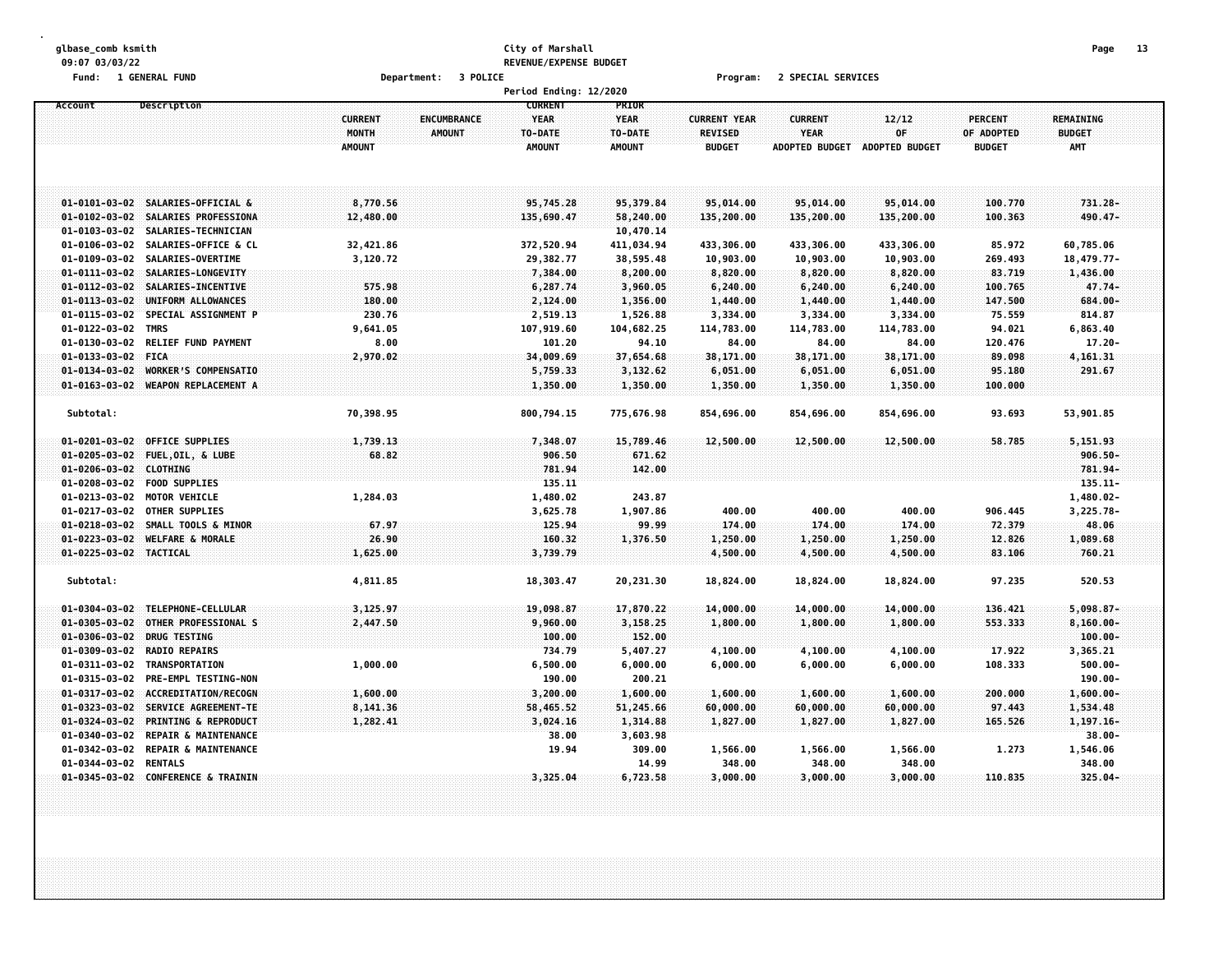# **glbase\_comb ksmith City of Marshall Page 13 09:07 03/03/22 REVENUE/EXPENSE BUDGET**

**Fund: 1 GENERAL FUND Department: 3 POLICE Program: 2 SPECIAL SERVICES**

|                                                |                                             |                | Period Ending: 12/2020            |                        |                     |                       |                       |                |                             |  |
|------------------------------------------------|---------------------------------------------|----------------|-----------------------------------|------------------------|---------------------|-----------------------|-----------------------|----------------|-----------------------------|--|
| Account                                        | Description                                 |                | <b>CURRENT</b>                    | PRIOR                  |                     |                       |                       |                |                             |  |
|                                                |                                             | <b>CURRENT</b> | <b>YEAR</b><br><b>ENCUMBRANCE</b> | <b>YEAR</b>            | <b>CURRENT YEAR</b> | <b>CURRENT</b>        | 12/12<br>0F           | <b>PERCENT</b> | <b>REMAINING</b>            |  |
|                                                |                                             | MONTH          | TO-DATE<br><b>AMOUNT</b>          | TO-DATE                | <b>REVISED</b>      | <b>YEAR</b>           |                       | OF ADOPTED     | <b>BUDGET</b><br><b>AMT</b> |  |
|                                                |                                             | <b>AMOUNT</b>  | <b>AMOUNT</b>                     | <b>AMOUNT</b>          | <b>BUDGET</b>       | <b>ADOPTED BUDGET</b> | <b>ADOPTED BUDGET</b> | <b>BUDGET</b>  |                             |  |
| $01 - 0101 - 03 - 02$                          | SALARIES-OFFICIAL &                         | 8,770.56       | 95,745.28                         | 95,379.84              | 95,014.00           | 95,014.00             | 95,014.00             | 100.770        | 731.28-                     |  |
| $01 - 0102 - 03 - 02$<br>$01 - 0103 - 03 - 02$ | SALARIES PROFESSIONA<br>SALARIES-TECHNICIAN | 12,480.00      | 135,690.47                        | 58,240.00<br>10,470.14 | 135,200.00          | 135,200.00            | 135,200.00            | 100.363        | $490.47 -$                  |  |
| $01 - 0106 - 03 - 02$                          | SALARIES-OFFICE & CL                        | 32,421.86      | 372,520.94                        | 411,034.94             | 433,306.00          | 433,306.00            | 433,306.00            | 85.972         | 60,785.06                   |  |
| $01 - 0109 - 03 - 02$                          | SALARIES-OVERTIME                           | 3,120.72       | 29,382.77                         | 38,595.48              | 10,903.00           | 10,903.00             | 10,903.00             | 269.493        | 18,479.77-                  |  |
| $01 - 0111 - 03 - 02$                          | SALARIES-LONGEVITY                          |                | 7,384.00                          | 8,200.00               | 8,820.00            | 8,820.00              | 8,820.00              | 83.719         | 1,436.00                    |  |
| $01 - 0112 - 03 - 02$                          | SALARIES-INCENTIVE                          | 575.98         | 6,287.74                          | 3,960.05               | 6,240.00            | 6,240.00              | 6,240.00              | 100.765        | 47.74-                      |  |
| $01 - 0113 - 03 - 02$                          | UNIFORM ALLOWANCES                          | 180.00         | 2,124.00                          | 1,356.00               | 1,440.00            | 1,440.00              | 1,440.00              | 147.500        | 684,00-                     |  |
| $01 - 0115 - 03 - 02$                          | SPECIAL ASSIGNMENT P                        | 230.76         | 2,519.13                          | 1,526.88               | 3,334.00            | 3,334.00              | 3,334.00              | 75.559         | 814.87                      |  |
| $01 - 0122 - 03 - 02$                          | <b>TMRS</b>                                 | 9,641.05       | 107,919.60                        | 104,682.25             | 114,783.00          | 114,783.00            | 114,783.00            | 94.021         | 6,863.40                    |  |
| 01-0130-03-02                                  | RELIEF FUND PAYMENT                         | 8.00           | 101.20                            | 94.10                  | 84.00               | 84.00                 | 84.00                 | 120.476        | $17.20 -$                   |  |
| $01 - 0133 - 03 - 02$                          | FICA                                        | 2,970.02       | 34,009.69                         | 37,654.68              | 38,171.00           | 38,171.00             | 38,171.00             | 89.098         | 4,161.31                    |  |
| $01 - 0134 - 03 - 02$                          | <b>WORKER'S COMPENSATIO</b>                 |                | 5,759.33                          | 3,132.62               | 6,051.00            | 6,051.00              | 6,051.00              | 95.180         | 291.67                      |  |
| $01 - 0163 - 03 - 02$                          | <b>WEAPON REPLACEMENT A</b>                 |                | 1,350.00                          | 1,350.00               | 1,350.00            | 1,350.00              | 1,350.00              | 100.000        |                             |  |
| Subtotal:                                      |                                             | 70,398.95      | 800,794.15                        | 775,676.98             | 854,696.00          | 854,696.00            | 854,696.00            | 93.693         | 53,901.85                   |  |
| $01 - 0201 - 03 - 02$                          | <b>OFFICE SUPPLIES</b>                      | 1,739.13       | 7,348.07                          | 15,789.46              | 12,500.00           | 12,500.00             | 12,500.00             | 58.785         | 5,151.93                    |  |
| $01 - 0205 - 03 - 02$                          | FUEL, OIL, & LUBE                           | 68.82          | 906.50                            | 671.62                 |                     |                       |                       |                | $906.50 -$                  |  |
| $01 - 0206 - 03 - 02$                          | <b>CLOTHING</b>                             |                | 781.94                            | 142.00                 |                     |                       |                       |                | 781.94-                     |  |
| $01 - 0208 - 03 - 02$                          | <b>FOOD SUPPLIES</b>                        |                | 135.11                            |                        |                     |                       |                       |                | 135.11-                     |  |
| $01 - 0213 - 03 - 02$                          | MOTOR VEHICLE                               | 1,284.03       | 1,480.02                          | 243.87                 |                     |                       |                       |                | $1,480.02 -$                |  |
| $01 - 0217 - 03 - 02$                          | <b>OTHER SUPPLIES</b>                       |                | 3,625.78                          | 1,907.86               | 400.00              | 400.00                | 400.00                | 906.445        | 3,225.78-                   |  |
| $01 - 0218 - 03 - 02$                          | SMALL TOOLS & MINOR                         | 67.97          | 125.94                            | 99.99                  | 174.00              | 174.00                | 174.00                | 72.379         | 48.06                       |  |
| $01 - 0223 - 03 - 02$                          | <b>WELFARE &amp; MORALE</b>                 | 26.90          | 160.32                            | 1,376.50               | 1,250.00            | 1,250.00              | 1,250.00              | 12.826         | 1,089.68                    |  |
| 01-0225-03-02 TACTICAL                         |                                             | 1,625.00       | 3,739.79                          |                        | 4,500.00            | 4,500.00              | 4,500.00              | 83.106         | 760.21                      |  |
| Subtotal:                                      |                                             | 4,811.85       | 18,303.47                         | 20,231.30              | 18,824.00           | 18,824.00             | 18,824.00             | 97.235         | 520.53                      |  |
| $01 - 0304 - 03 - 02$                          | TELEPHONE-CELLULAR                          | 3,125.97       | 19,098.87                         | 17,870.22              | 14,000.00           | 14,000.00             | 14,000.00             | 136.421        | $5,098.87-$                 |  |
| $01 - 0305 - 03 - 02$                          | OTHER PROFESSIONAL S                        | 2,447.50       | 9,960.00                          | 3,158.25               | 1,800.00            | 1,800.00              | 1,800.00              | 553.333        | $8,160.00 -$                |  |
| $01 - 0306 - 03 - 02$                          | <b>DRUG TESTING</b>                         |                | 100.00                            | 152.00                 |                     |                       |                       |                | $100.00 -$                  |  |
| $01 - 0309 - 03 - 02$                          | <b>RADIO REPAIRS</b>                        |                | 734.79                            | 5,407.27               | 4,100.00            | 4,100.00              | 4,100.00              | 17.922         | 3,365.21                    |  |
| 01-0311-03-02                                  | TRANSPORTATION                              | 1,000.00       | 6,500.00                          | 6,000.00               | 6,000.00            | 6,000.00              | 6,000.00              | 108.333        | $500.00 -$                  |  |
| 01-0315-03-02                                  | PRE-EMPL TESTING-NON                        |                | 190.00                            | 200.21                 |                     |                       |                       |                | $190.00 -$                  |  |
| $01 - 0317 - 03 - 02$                          | ACCREDITATION/RECOGN                        | 1,600.00       | 3,200.00                          | 1,600.00               | 1,600.00            | 1,600.00              | 1,600.00              | 200.000        | $1,600.00 -$                |  |
| $01 - 0323 - 03 - 02$                          | <b>SERVICE AGREEMENT-TE</b>                 | 8,141.36       | 58,465.52                         | 51,245.66              | 60,000.00           | 60,000.00             | 60,000.00             | 97.443         | 1,534.48                    |  |
| $01 - 0324 - 03 - 02$                          | <b>PRINTING &amp; REPRODUCT</b>             | 1,282.41       | 3,024.16                          | 1,314.88               | 1,827.00            | 1,827.00              | 1,827.00              | 165.526        | $1, 197.16 -$               |  |
| 01-0340-03-02                                  | <b>REPAIR &amp; MAINTENANCE</b>             |                | 38.00                             | 3,603.98               |                     |                       |                       |                | $38.00 -$                   |  |
| $01 - 0342 - 03 - 02$                          | REPAIR & MAINTENANCE                        |                | 19.94                             | 309.00                 | 1,566.00            | 1,566.00              | 1,566.00              | 1.273          | 1,546.06                    |  |
| $01 - 0344 - 03 - 02$                          | <b>RENTALS</b>                              |                |                                   | 14.99                  | 348.00              | 348.00                | 348.00                |                | 348.00                      |  |
| $01 - 0345 - 03 - 02$                          | <b>CONFERENCE &amp; TRAININ</b>             |                | 3,325.04                          | 6,723.58               | 3,000.00            | 3,000.00              | 3,000.00              | 110.835        | $325.04 -$                  |  |
|                                                |                                             |                |                                   |                        |                     |                       |                       |                |                             |  |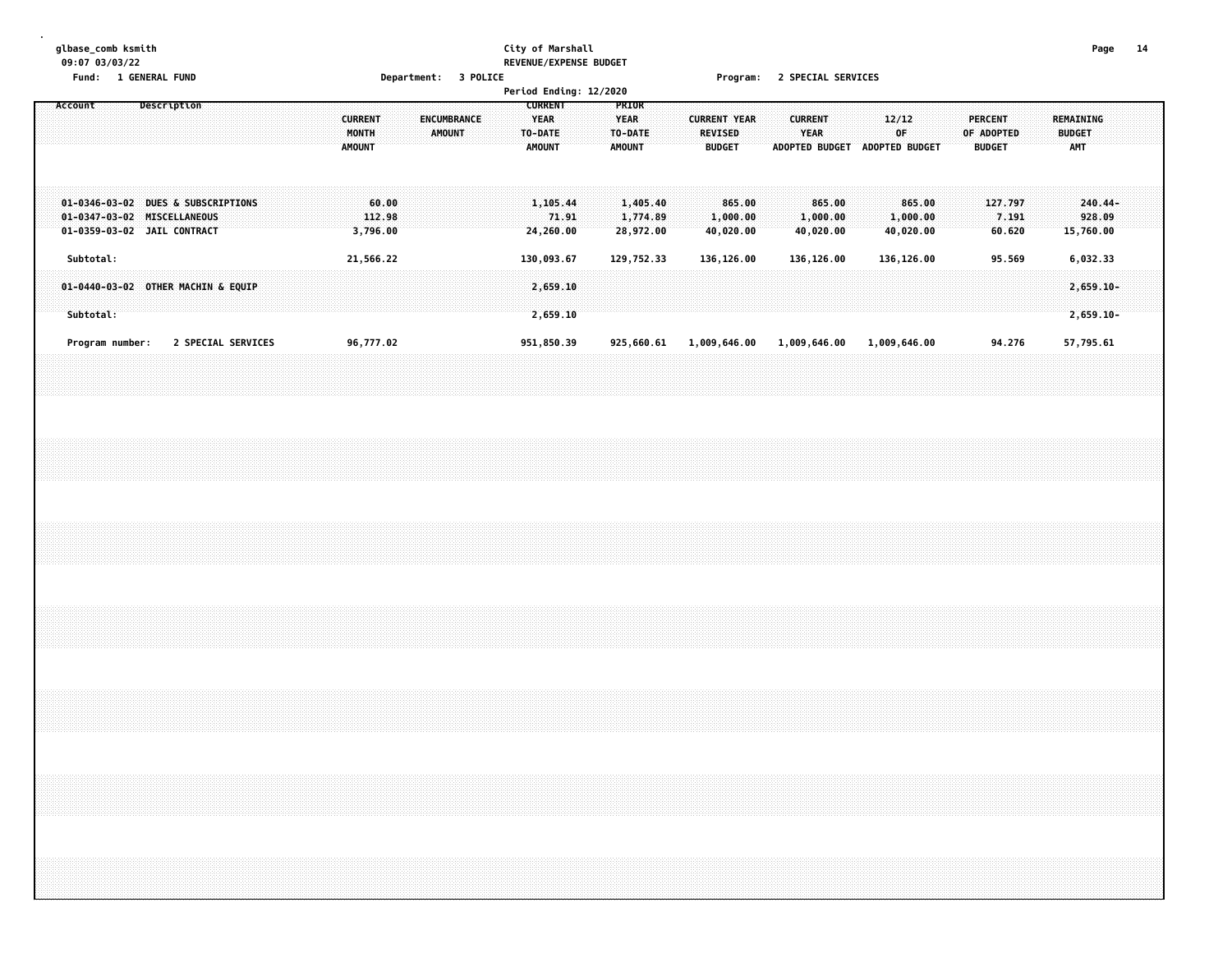#### **glbase\_comb ksmith City of Marshall Page 14 09:07 03/03/22 REVENUE/EXPENSE BUDGET Fund: 1 GENERAL FUND Department: 3 POLICE Program: 2 SPECIAL SERVICES**

| runu;                                                                                            | <b>T ACMERAL LOWD</b> |                    |  |  |  |                                          |                             |  | Department: 5 PULICE                |  |                                                           |       | Period Ending: 12/2020 |                                                  |  |                     |                                 |                                 |  |                                 | Program: 2 SPECIAL SERVICES   |       |                                 |  |                                 |                            |  |                                                 |                                       |  |
|--------------------------------------------------------------------------------------------------|-----------------------|--------------------|--|--|--|------------------------------------------|-----------------------------|--|-------------------------------------|--|-----------------------------------------------------------|-------|------------------------|--------------------------------------------------|--|---------------------|---------------------------------|---------------------------------|--|---------------------------------|-------------------------------|-------|---------------------------------|--|---------------------------------|----------------------------|--|-------------------------------------------------|---------------------------------------|--|
| Account                                                                                          |                       | Description        |  |  |  | <b>CURRENT</b><br>MONTH<br><b>AMOUNT</b> |                             |  | <b>ENCUMBRANCE</b><br><b>AMOUNT</b> |  | <b>CURRENT</b><br><b>YEAR</b><br>TO-DATE<br><b>AMOUNT</b> |       |                        | PRIOR<br><b>YEAR</b><br>TO-DATE<br><b>AMOUNT</b> |  | <b>CURRENT YEAR</b> | <b>REVISED</b><br><b>BUDGET</b> |                                 |  | <b>CURRENT</b><br><b>YEAR</b>   | ADOPTED BUDGET ADOPTED BUDGET | 12/12 | 0F                              |  | <b>PERCENT</b><br><b>BUDGET</b> | OF ADOPTED                 |  | <b>REMAINING</b><br><b>BUDGET</b><br><b>AMT</b> |                                       |  |
| 01-0346-03-02 DUES & SUBSCRIPTIONS<br>01-0347-03-02 MISCELLANEOUS<br>01-0359-03-02 JAIL CONTRACT |                       |                    |  |  |  |                                          | 60.00<br>112.98<br>3,796.00 |  |                                     |  | 1,105.44<br>24,260.00                                     | 71.91 |                        | 1,405.40<br>1,774.89<br>28,972.00                |  |                     |                                 | 865.00<br>1,000.00<br>40,020.00 |  | 865.00<br>1,000.00<br>40,020.00 |                               |       | 865.00<br>1,000.00<br>40,020.00 |  |                                 | 127.797<br>7.191<br>60.620 |  |                                                 | 240.44-<br>928.09<br>15,760.00        |  |
| Subtotal:<br>01-0440-03-02 OTHER MACHIN & EQUIP<br>Subtotal:                                     |                       |                    |  |  |  | 21,566.22                                |                             |  |                                     |  | 130,093.67<br>2,659.10<br>2,659.10                        |       |                        | 129,752.33                                       |  |                     |                                 | 136,126.00                      |  | 136,126.00                      |                               |       | 136,126.00                      |  |                                 | 95.569                     |  |                                                 | 6,032.33<br>2,659.10-<br>$2,659.10 -$ |  |
|                                                                                                  | Program number:       | 2 SPECIAL SERVICES |  |  |  | 96,777.02                                |                             |  |                                     |  | 951,850.39                                                |       |                        | 925,660.61                                       |  | 1,009,646.00        |                                 |                                 |  | 1,009,646.00                    |                               |       | 1,009,646.00                    |  |                                 | 94.276                     |  |                                                 | 57,795.61                             |  |
|                                                                                                  |                       |                    |  |  |  |                                          |                             |  |                                     |  |                                                           |       |                        |                                                  |  |                     |                                 |                                 |  |                                 |                               |       |                                 |  |                                 |                            |  |                                                 |                                       |  |
|                                                                                                  |                       |                    |  |  |  |                                          |                             |  |                                     |  |                                                           |       |                        |                                                  |  |                     |                                 |                                 |  |                                 |                               |       |                                 |  |                                 |                            |  |                                                 |                                       |  |
|                                                                                                  |                       |                    |  |  |  |                                          |                             |  |                                     |  |                                                           |       |                        |                                                  |  |                     |                                 |                                 |  |                                 |                               |       |                                 |  |                                 |                            |  |                                                 |                                       |  |
|                                                                                                  |                       |                    |  |  |  |                                          |                             |  |                                     |  |                                                           |       |                        |                                                  |  |                     |                                 |                                 |  |                                 |                               |       |                                 |  |                                 |                            |  |                                                 |                                       |  |
|                                                                                                  |                       |                    |  |  |  |                                          |                             |  |                                     |  |                                                           |       |                        |                                                  |  |                     |                                 |                                 |  |                                 |                               |       |                                 |  |                                 |                            |  |                                                 |                                       |  |
|                                                                                                  |                       |                    |  |  |  |                                          |                             |  |                                     |  |                                                           |       |                        |                                                  |  |                     |                                 |                                 |  |                                 |                               |       |                                 |  |                                 |                            |  |                                                 |                                       |  |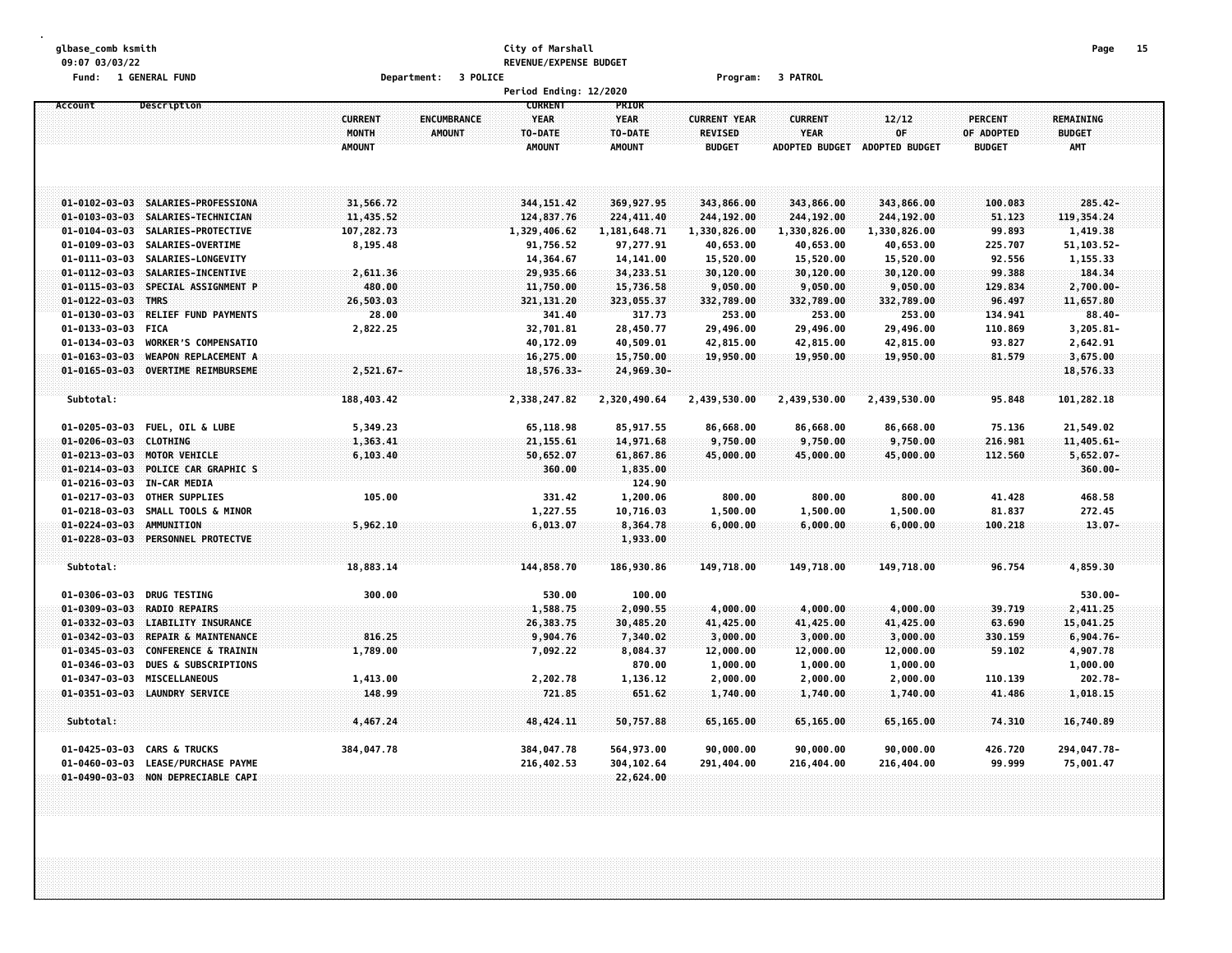#### **glbase\_comb ksmith City of Marshall Page 15 09:07 03/03/22 REVENUE/EXPENSE BUDGET Fund: 1 GENERAL FUND Department: 3 POLICE Program: 3 PATROL**

| runu :                     | I GENERAL FUNU                     | bepartment:<br><b>S</b> PULILE       |                        |               | rrogram:            | <b>J FAIRUL</b> |                               |                |                  |  |
|----------------------------|------------------------------------|--------------------------------------|------------------------|---------------|---------------------|-----------------|-------------------------------|----------------|------------------|--|
|                            |                                    |                                      | Period Ending: 12/2020 |               |                     |                 |                               |                |                  |  |
| Account                    | Description                        |                                      | <b>CURRENT</b>         | PRIOR         |                     |                 |                               |                |                  |  |
|                            |                                    | <b>CURRENT</b><br><b>ENCUMBRANCE</b> | <b>YEAR</b>            | <b>YEAR</b>   | <b>CURRENT YEAR</b> | <b>CURRENT</b>  | 12/12                         | <b>PERCENT</b> | <b>REMAINING</b> |  |
|                            |                                    | MONTH<br><b>AMOUNT</b>               | TO-DATE                | TO-DATE       | <b>REVISED</b>      | <b>YEAR</b>     | OF                            | OF ADOPTED     | <b>BUDGET</b>    |  |
|                            |                                    | <b>AMOUNT</b>                        | <b>AMOUNT</b>          | <b>AMOUNT</b> | <b>BUDGET</b>       |                 | ADOPTED BUDGET ADOPTED BUDGET | <b>BUDGET</b>  | <b>AMT</b>       |  |
|                            |                                    |                                      |                        |               |                     |                 |                               |                |                  |  |
|                            | 01-0102-03-03 SALARIES-PROFESSIONA | 31,566.72                            | 344, 151, 42           | 369,927.95    | 343,866.00          | 343,866.00      | 343,866.00                    | 100.083        | $285.42 -$       |  |
| $01 - 0103 - 03 - 03$      | SALARIES-TECHNICIAN                | 11,435.52                            | 124,837.76             | 224,411.40    | 244,192.00          | 244,192.00      | 244,192.00                    | 51.123         | 119,354.24       |  |
|                            | 01-0104-03-03 SALARIES-PROTECTIVE  | 107,282.73                           | 1,329,406.62           | 1,181,648.71  | 1,330,826.00        | 1,330,826.00    | 1,330,826.00                  | 99.893         | 1,419.38         |  |
| $01 - 0109 - 03 - 03$      | SALARIES-OVERTIME                  | 8,195.48                             | 91,756.52              | 97,277.91     | 40,653.00           | 40,653.00       | 40,653.00                     | 225.707        | 51,103.52-       |  |
| 01-0111-03-03              | SALARIES-LONGEVITY                 |                                      | 14,364.67              | 14, 141.00    | 15,520.00           | 15,520.00       | 15,520.00                     | 92.556         | 1,155.33         |  |
| $01 - 0112 - 03 - 03$      | SALARIES-INCENTIVE                 | 2,611.36                             | 29,935.66              | 34,233.51     | 30,120.00           | 30,120.00       | 30,120.00                     | 99.388         | 184.34           |  |
| $01 - 0115 - 03 - 03$      | SPECIAL ASSIGNMENT P               | 480.00                               | 11,750.00              | 15,736.58     | 9,050.00            | 9,050.00        | 9,050.00                      | 129.834        | $2,700.00 -$     |  |
| 01-0122-03-03 TMRS         |                                    | 26,503.03                            | 321, 131.20            | 323,055.37    | 332,789.00          | 332,789.00      | 332,789.00                    | 96.497         | 11,657.80        |  |
| $01 - 0130 - 03 - 03$      | <b>RELIEF FUND PAYMENTS</b>        | 28.00                                | 341.40                 | 317.73        | 253.00              | 253.00          | 253.00                        | 134.941        | $88.40 -$        |  |
| 01-0133-03-03              | <b>FICA</b>                        | 2,822.25                             | 32,701.81              | 28,450.77     | 29,496.00           | 29,496.00       | 29,496.00                     | 110.869        | $3,205.81 -$     |  |
| 01-0134-03-03              | <b>WORKER'S COMPENSATIO</b>        |                                      | 40,172.09              | 40,509.01     | 42,815.00           | 42,815.00       | 42,815.00                     | 93.827         | 2,642.91         |  |
| $01 - 0163 - 03 - 03$      | <b>WEAPON REPLACEMENT A</b>        |                                      | 16,275.00              | 15,750.00     | 19,950.00           | 19,950.00       | 19,950.00                     | 81.579         | 3,675.00         |  |
| $01 - 0165 - 03 - 03$      | OVERTIME REIMBURSEME               | 2,521.67-                            | 18,576.33-             | 24,969.30-    |                     |                 |                               |                | 18,576.33        |  |
|                            |                                    |                                      |                        |               |                     |                 |                               |                |                  |  |
| Subtotal:                  |                                    | 188,403.42                           | 2,338,247.82           | 2,320,490.64  | 2,439,530.00        | 2,439,530.00    | 2,439,530.00                  | 95.848         | 101,282.18       |  |
| 01-0205-03-03              | FUEL, OIL & LUBE                   | 5,349.23                             | 65,118.98              | 85, 917.55    | 86,668.00           | 86,668.00       | 86,668.00                     | 75.136         | 21,549.02        |  |
| 01-0206-03-03 CLOTHING     |                                    | 1,363.41                             | 21, 155.61             | 14,971.68     | 9,750.00            | 9,750.00        | 9,750.00                      | 216.981        | $11,405.61 -$    |  |
| $01 - 0213 - 03 - 03$      | <b>MOTOR VEHICLE</b>               | 6,103.40                             | 50,652.07              | 61,867.86     | 45,000.00           | 45,000.00       | 45,000.00                     | 112.560        | $5,652.07 -$     |  |
| $01 - 0214 - 03 - 03$      | POLICE CAR GRAPHIC S               |                                      | 360.00                 | 1,835.00      |                     |                 |                               |                | $360.00 -$       |  |
| 01-0216-03-03 IN-CAR MEDIA |                                    |                                      |                        | 124.90        |                     |                 |                               |                |                  |  |
|                            | 01-0217-03-03 OTHER SUPPLIES       | 105.00                               | 331.42                 | 1,200.06      | 800.00              | 800.00          | 800.00                        | 41.428         | 468.58           |  |
| 01-0218-03-03              | SMALL TOOLS & MINOR                |                                      | 1,227.55               | 10,716.03     | 1,500.00            | 1,500.00        | 1,500.00                      | 81.837         | 272.45           |  |
| $01 - 0224 - 03 - 03$      | AMMUNITION                         | 5,962.10                             | 6,013.07               | 8,364.78      | 6,000.00            | 6,000.00        | 6,000.00                      | 100.218        | $13.07 -$        |  |
|                            | 01-0228-03-03 PERSONNEL PROTECTVE  |                                      |                        | 1,933.00      |                     |                 |                               |                |                  |  |
| Subtotal:                  |                                    | 18,883.14                            | 144,858.70             | 186,930.86    | 149,718.00          | 149,718.00      | 149,718.00                    | 96.754         | 4,859.30         |  |
| 01-0306-03-03              | <b>DRUG TESTING</b>                | 300.00                               | 530.00                 | 100.00        |                     |                 |                               |                | $530.00 -$       |  |
| $01 - 0309 - 03 - 03$      | <b>RADIO REPAIRS</b>               |                                      | 1,588.75               | 2,090.55      | 4,000.00            | 4,000.00        | 4,000.00                      | 39.719         | 2,411.25         |  |
| 01-0332-03-03              | <b>LIABILITY INSURANCE</b>         |                                      | 26,383.75              | 30,485.20     | 41,425.00           | 41,425.00       | 41,425.00                     | 63.690         | 15,041.25        |  |
| $01 - 0342 - 03 - 03$      | REPAIR & MAINTENANCE               | 816.25                               | 9,904.76               | 7,340.02      | 3,000.00            | 3,000.00        | 3,000.00                      | 330.159        | $6,904.76-$      |  |
| $01 - 0345 - 03 - 03$      | <b>CONFERENCE &amp; TRAININ</b>    | 1,789.00                             | 7,092.22               | 8,084.37      | 12,000.00           | 12,000.00       | 12,000.00                     | 59.102         | 4,907.78         |  |
| $01 - 0346 - 03 - 03$      | DUES & SUBSCRIPTIONS               |                                      |                        | 870.00        | 1,000.00            | 1,000.00        | 1,000.00                      |                | 1,000.00         |  |
| $01 - 0347 - 03 - 03$      | MISCELLANEOUS                      | 1,413.00                             | 2,202.78               | 1,136.12      | 2,000.00            | 2,000.00        | 2,000.00                      | 110.139        | 202.78-          |  |
|                            | 01-0351-03-03 LAUNDRY SERVICE      | 148.99                               | 721.85                 | 651.62        | 1,740.00            | 1,740.00        | 1,740.00                      | 41.486         | 1,018.15         |  |
| Subtotal:                  |                                    | 4,467.24                             | 48, 424.11             | 50,757.88     | 65,165.00           | 65,165.00       | 65,165.00                     | 74.310         | 16,740.89        |  |
| 01-0425-03-03              | <b>CARS &amp; TRUCKS</b>           | 384,047.78                           | 384,047.78             | 564,973.00    | 90,000.00           | 90,000.00       | 90,000.00                     | 426.720        | 294,047.78-      |  |
| 01-0460-03-03              | <b>LEASE/PURCHASE PAYME</b>        |                                      | 216,402.53             | 304, 102.64   | 291,404.00          | 216,404.00      | 216,404.00                    | 99.999         | 75,001.47        |  |
|                            | 01-0490-03-03 NON DEPRECIABLE CAPI |                                      |                        | 22,624.00     |                     |                 |                               |                |                  |  |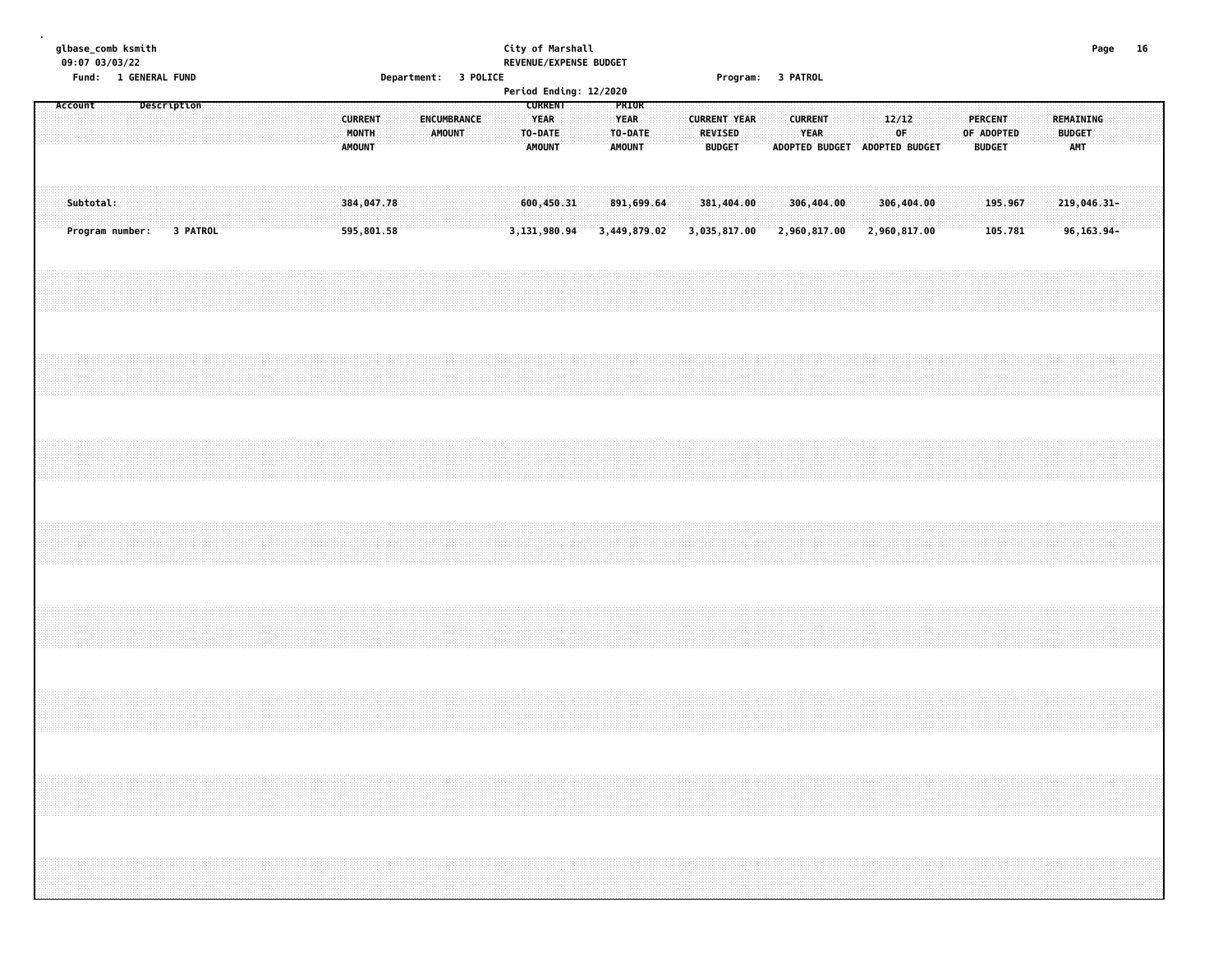|  |         |           | 09:07 03/03/22 | glbase_comb ksmith<br>Fund: 1 GENERAL FUND |             |          |  |  |  |                                          |                          |  | Department: 3 POLICE         |  |              |                                                           | City of Marshall<br>REVENUE/EXPENSE BUDGET |                                                  |                            |  |                                 |                            | Program: 3 PATROL |                |                            |                               |             |                            |  |                                               |  |                                          | Page | 16 |  |
|--|---------|-----------|----------------|--------------------------------------------|-------------|----------|--|--|--|------------------------------------------|--------------------------|--|------------------------------|--|--------------|-----------------------------------------------------------|--------------------------------------------|--------------------------------------------------|----------------------------|--|---------------------------------|----------------------------|-------------------|----------------|----------------------------|-------------------------------|-------------|----------------------------|--|-----------------------------------------------|--|------------------------------------------|------|----|--|
|  | Account |           |                |                                            | Description |          |  |  |  | <b>CURRENT</b><br>MONTH<br><b>AMOUNT</b> |                          |  | ENCUMBRANCE<br><b>AMOUNT</b> |  |              | <b>CURRENT</b><br><b>YEAR</b><br>TO-DATE<br><b>AMOUNT</b> | Period Ending: 12/2020                     | PRIOR<br><b>YEAR</b><br>TO-DATE<br><b>AMOUNT</b> |                            |  | <b>REVISED</b><br><b>BUDGET</b> | <b>CURRENT YEAR</b>        |                   | <b>CURRENT</b> | <b>YEAR</b>                | ADOPTED BUDGET ADOPTED BUDGET | 12/12<br>0F |                            |  | <b>PERCENT</b><br>OF ADOPTED<br><b>BUDGET</b> |  | REMAINING<br><b>BUDGET</b><br><b>AMT</b> |      |    |  |
|  |         | Subtotal: |                | Program number:                            |             | 3 PATROL |  |  |  |                                          | 384,047.78<br>595,801.58 |  |                              |  | 3,131,980.94 | 600,450.31                                                |                                            |                                                  | 891,699.64<br>3,449,879.02 |  |                                 | 381,404.00<br>3,035,817.00 |                   |                | 306,404.00<br>2,960,817.00 |                               |             | 306,404.00<br>2,960,817.00 |  | 195.967<br>105.781                            |  | 219,046.31-<br>96, 163. 94-              |      |    |  |
|  |         |           |                |                                            |             |          |  |  |  |                                          |                          |  |                              |  |              |                                                           |                                            |                                                  |                            |  |                                 |                            |                   |                |                            |                               |             |                            |  |                                               |  |                                          |      |    |  |
|  |         |           |                |                                            |             |          |  |  |  |                                          |                          |  |                              |  |              |                                                           |                                            |                                                  |                            |  |                                 |                            |                   |                |                            |                               |             |                            |  |                                               |  |                                          |      |    |  |
|  |         |           |                |                                            |             |          |  |  |  |                                          |                          |  |                              |  |              |                                                           |                                            |                                                  |                            |  |                                 |                            |                   |                |                            |                               |             |                            |  |                                               |  |                                          |      |    |  |
|  |         |           |                |                                            |             |          |  |  |  |                                          |                          |  |                              |  |              |                                                           |                                            |                                                  |                            |  |                                 |                            |                   |                |                            |                               |             |                            |  |                                               |  |                                          |      |    |  |
|  |         |           |                |                                            |             |          |  |  |  |                                          |                          |  |                              |  |              |                                                           |                                            |                                                  |                            |  |                                 |                            |                   |                |                            |                               |             |                            |  |                                               |  |                                          |      |    |  |
|  |         |           |                |                                            |             |          |  |  |  |                                          |                          |  |                              |  |              |                                                           |                                            |                                                  |                            |  |                                 |                            |                   |                |                            |                               |             |                            |  |                                               |  |                                          |      |    |  |
|  |         |           |                |                                            |             |          |  |  |  |                                          |                          |  |                              |  |              |                                                           |                                            |                                                  |                            |  |                                 |                            |                   |                |                            |                               |             |                            |  |                                               |  |                                          |      |    |  |
|  |         |           |                |                                            |             |          |  |  |  |                                          |                          |  |                              |  |              |                                                           |                                            |                                                  |                            |  |                                 |                            |                   |                |                            |                               |             |                            |  |                                               |  |                                          |      |    |  |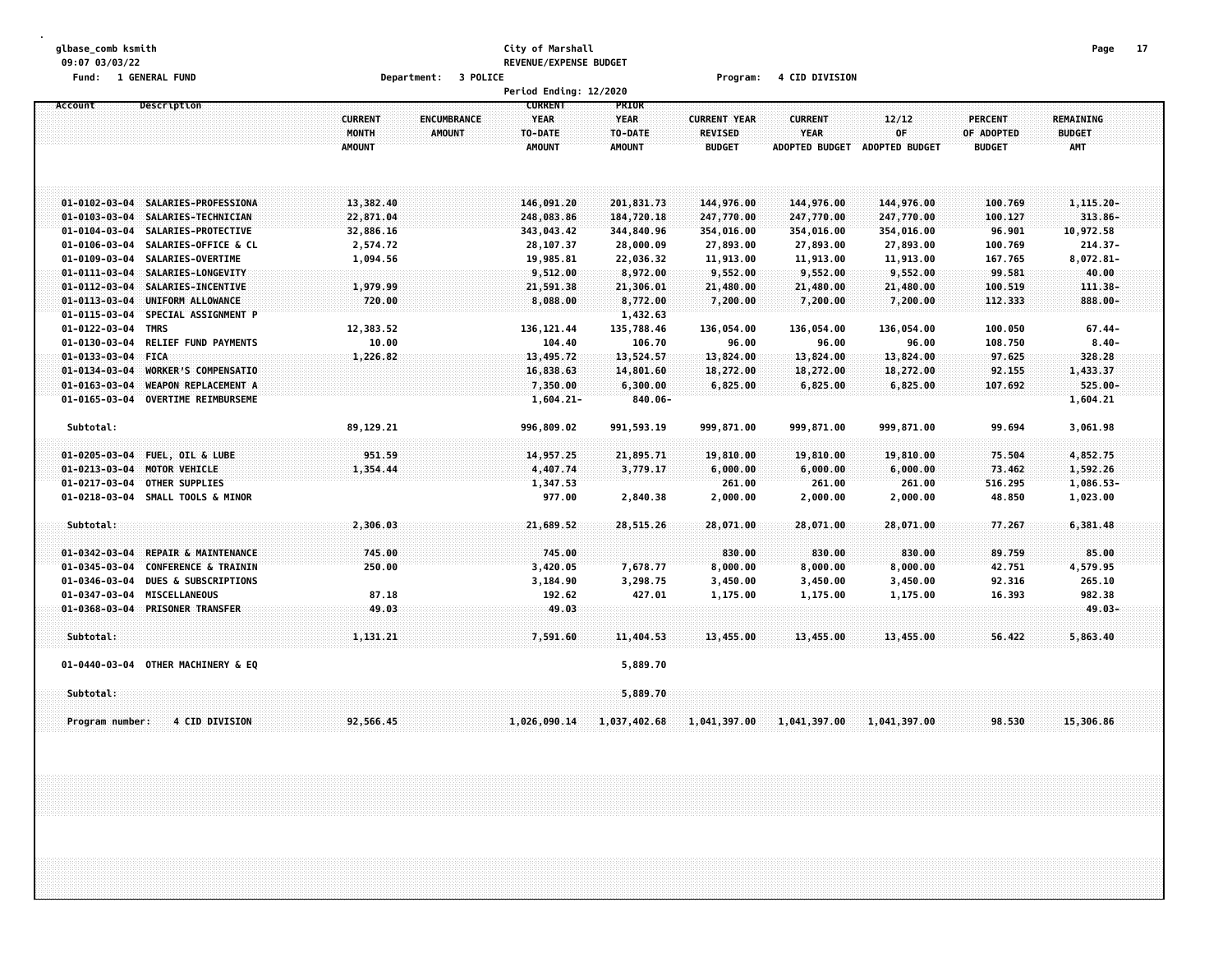#### **glbase\_comb ksmith City of Marshall Page 17 09:07 03/03/22 REVENUE/EXPENSE BUDGET Fund: 1 GENERAL FUND Department: 3 POLICE Program: 4 CID DIVISION**

| <b>CURRENT</b><br>PRIOR<br>Account<br>Description<br><b>CURRENT</b><br>ENCUMBRANCE<br><b>YEAR</b><br><b>YEAR</b><br><b>CURRENT YEAR</b><br><b>CURRENT</b><br>12/12<br><b>PERCENT</b><br><b>REMAINING</b><br>OF<br><b>MONTH</b><br><b>AMOUNT</b><br>TO-DATE<br>TO-DATE<br><b>REVISED</b><br><b>YEAR</b><br>OF ADOPTED<br><b>BUDGET</b><br><b>AMOUNT</b><br><b>AMOUNT</b><br><b>AMOUNT</b><br><b>BUDGET</b><br><b>BUDGET</b><br><b>AMT</b><br><b>ADOPTED BUDGET</b><br>ADOPTED BUDGET<br>SALARIES-PROFESSIONA<br>13,382.40<br>201,831.73<br>144,976.00<br>100.769<br>$01 - 0102 - 03 - 04$<br>146,091.20<br>144,976.00<br>144,976.00<br>22,871.04<br>184,720.18<br>247,770.00<br>100.127<br>$01 - 0103 - 03 - 04$<br>SALARIES-TECHNICIAN<br>248,083.86<br>247,770.00<br>247,770.00<br>$01 - 0104 - 03 - 04$<br>SALARIES-PROTECTIVE<br>32,886.16<br>343,043.42<br>344,840.96<br>354,016.00<br>354,016.00<br>354,016.00<br>96.901<br>28,000.09<br>$01 - 0106 - 03 - 04$<br>SALARIES-OFFICE & CL<br>2,574.72<br>28,107.37<br>27,893.00<br>27,893.00<br>27,893.00<br>100.769<br>$01 - 0109 - 03 - 04$<br>SALARIES-OVERTIME<br>1,094.56<br>19,985.81<br>22,036.32<br>11,913.00<br>11,913.00<br>11,913.00<br>167.765<br>$01 - 0111 - 03 - 04$<br>SALARIES-LONGEVITY<br>9,512.00<br>8,972.00<br>9,552.00<br>9,552.00<br>9,552.00<br>99.581<br>$01 - 0112 - 03 - 04$<br>SALARIES-INCENTIVE<br>1,979.99<br>21,591.38<br>21,306.01<br>21,480.00<br>21,480.00<br>21,480.00<br>100.519<br>$01 - 0113 - 03 - 04$<br>UNIFORM ALLOWANCE<br>720.00<br>8,088.00<br>8,772.00<br>7,200.00<br>7,200.00<br>7,200.00<br>112.333<br>$01 - 0115 - 03 - 04$<br>1,432.63<br>SPECIAL ASSIGNMENT P<br>$01 - 0122 - 03 - 04$<br><b>TMRS</b><br>12,383.52<br>135,788.46<br>136,054.00<br>136, 121.44<br>136,054.00<br>136,054.00<br>100.050<br><b>RELIEF FUND PAYMENTS</b><br>10.00<br>106.70<br>$01 - 0130 - 03 - 04$<br>104.40<br>96.00<br>96.00<br>96.00<br>108.750<br>$01 - 0133 - 03 - 04$<br><b>FICA</b><br>1,226.82<br>13,495.72<br>13,524.57<br>13,824.00<br>13,824.00<br>13,824.00<br>97.625<br>16,838.63<br>$01 - 0134 - 03 - 04$<br><b>WORKER'S COMPENSATIO</b><br>14,801.60<br>18,272.00<br>18,272.00<br>18,272.00<br>92.155<br>$01 - 0163 - 03 - 04$<br><b>WEAPON REPLACEMENT A</b><br>7,350.00<br>6,300.00<br>6,825.00<br>6,825.00<br>6,825.00<br>107.692<br>$01 - 0165 - 03 - 04$<br>1,604.21-<br>$840.06 -$<br><b>OVERTIME REIMBURSEME</b><br>Subtotal:<br>89,129.21<br>996,809.02<br>991, 593.19<br>999,871.00<br>999,871.00<br>999,871.00<br>99.694<br>951.59<br>FUEL, OIL & LUBE<br>75.504<br>$01 - 0205 - 03 - 04$<br>14,957.25<br>21,895.71<br>19,810.00<br>19,810.00<br>19,810.00<br>1,354.44<br>$01 - 0213 - 03 - 04$<br>MOTOR VEHICLE<br>4,407.74<br>3,779.17<br>6,000.00<br>6,000.00<br>6,000.00<br>73.462<br>$01 - 0217 - 03 - 04$<br><b>OTHER SUPPLIES</b><br>1,347.53<br>261.00<br>261.00<br>261.00<br>516.295<br>977.00<br>01-0218-03-04<br>SMALL TOOLS & MINOR<br>2,840.38<br>2,000.00<br>2,000.00<br>2,000.00<br>48.850<br>Subtotal:<br>2,306.03<br>21,689.52<br>28,515.26<br>28,071.00<br>28,071.00<br>28,071.00<br>77.267<br>REPAIR & MAINTENANCE<br>745.00<br>745.00<br>$01 - 0342 - 03 - 04$<br>830.00<br>830.00<br>830.00<br>89.759<br>85.00<br>$01 - 0345 - 03 - 04$<br><b>CONFERENCE &amp; TRAININ</b><br>250.00<br>3,420.05<br>7,678.77<br>8,000.00<br>8,000.00<br>8,000.00<br>42.751<br>4,579.95<br>3,450.00<br>265.10<br>$01 - 0346 - 03 - 04$<br><b>DUES &amp; SUBSCRIPTIONS</b><br>3,184.90<br>3,298.75<br>3,450.00<br>3,450.00<br>92.316<br>MISCELLANEOUS<br>192.62<br>427.01<br>982.38<br>01-0347-03-04<br>87.18<br>1,175.00<br>1,175.00<br>1,175.00<br>16.393<br>$01 - 0368 - 03 - 04$<br><b>PRISONER TRANSFER</b><br>49.03<br>49.03<br>Subtotal:<br>1,131.21<br>7,591.60<br>11,404.53<br>13,455.00<br>13,455.00<br>13,455.00<br>56.422<br>01-0440-03-04<br>OTHER MACHINERY & EQ<br>5,889.70<br>Subtotal:<br>5,889.70 |                                   |           | Period Ending: 12/2020 |              |              |              |              |        |              |
|-------------------------------------------------------------------------------------------------------------------------------------------------------------------------------------------------------------------------------------------------------------------------------------------------------------------------------------------------------------------------------------------------------------------------------------------------------------------------------------------------------------------------------------------------------------------------------------------------------------------------------------------------------------------------------------------------------------------------------------------------------------------------------------------------------------------------------------------------------------------------------------------------------------------------------------------------------------------------------------------------------------------------------------------------------------------------------------------------------------------------------------------------------------------------------------------------------------------------------------------------------------------------------------------------------------------------------------------------------------------------------------------------------------------------------------------------------------------------------------------------------------------------------------------------------------------------------------------------------------------------------------------------------------------------------------------------------------------------------------------------------------------------------------------------------------------------------------------------------------------------------------------------------------------------------------------------------------------------------------------------------------------------------------------------------------------------------------------------------------------------------------------------------------------------------------------------------------------------------------------------------------------------------------------------------------------------------------------------------------------------------------------------------------------------------------------------------------------------------------------------------------------------------------------------------------------------------------------------------------------------------------------------------------------------------------------------------------------------------------------------------------------------------------------------------------------------------------------------------------------------------------------------------------------------------------------------------------------------------------------------------------------------------------------------------------------------------------------------------------------------------------------------------------------------------------------------------------------------------------------------------------------------------------------------------------------------------------------------------------------------------------------------------------------------------------------------------------------------------------------------------------------------------------------------------------------------------------------------------------------------------------------------------------------------------------------------------------------------------------------------------------------------------------------------------------------------------------------------------------------------------------------------------------------------------------|-----------------------------------|-----------|------------------------|--------------|--------------|--------------|--------------|--------|--------------|
|                                                                                                                                                                                                                                                                                                                                                                                                                                                                                                                                                                                                                                                                                                                                                                                                                                                                                                                                                                                                                                                                                                                                                                                                                                                                                                                                                                                                                                                                                                                                                                                                                                                                                                                                                                                                                                                                                                                                                                                                                                                                                                                                                                                                                                                                                                                                                                                                                                                                                                                                                                                                                                                                                                                                                                                                                                                                                                                                                                                                                                                                                                                                                                                                                                                                                                                                                                                                                                                                                                                                                                                                                                                                                                                                                                                                                                                                                                                                     |                                   |           |                        |              |              |              |              |        |              |
|                                                                                                                                                                                                                                                                                                                                                                                                                                                                                                                                                                                                                                                                                                                                                                                                                                                                                                                                                                                                                                                                                                                                                                                                                                                                                                                                                                                                                                                                                                                                                                                                                                                                                                                                                                                                                                                                                                                                                                                                                                                                                                                                                                                                                                                                                                                                                                                                                                                                                                                                                                                                                                                                                                                                                                                                                                                                                                                                                                                                                                                                                                                                                                                                                                                                                                                                                                                                                                                                                                                                                                                                                                                                                                                                                                                                                                                                                                                                     |                                   |           |                        |              |              |              |              |        |              |
|                                                                                                                                                                                                                                                                                                                                                                                                                                                                                                                                                                                                                                                                                                                                                                                                                                                                                                                                                                                                                                                                                                                                                                                                                                                                                                                                                                                                                                                                                                                                                                                                                                                                                                                                                                                                                                                                                                                                                                                                                                                                                                                                                                                                                                                                                                                                                                                                                                                                                                                                                                                                                                                                                                                                                                                                                                                                                                                                                                                                                                                                                                                                                                                                                                                                                                                                                                                                                                                                                                                                                                                                                                                                                                                                                                                                                                                                                                                                     |                                   |           |                        |              |              |              |              |        |              |
|                                                                                                                                                                                                                                                                                                                                                                                                                                                                                                                                                                                                                                                                                                                                                                                                                                                                                                                                                                                                                                                                                                                                                                                                                                                                                                                                                                                                                                                                                                                                                                                                                                                                                                                                                                                                                                                                                                                                                                                                                                                                                                                                                                                                                                                                                                                                                                                                                                                                                                                                                                                                                                                                                                                                                                                                                                                                                                                                                                                                                                                                                                                                                                                                                                                                                                                                                                                                                                                                                                                                                                                                                                                                                                                                                                                                                                                                                                                                     |                                   |           |                        |              |              |              |              |        |              |
|                                                                                                                                                                                                                                                                                                                                                                                                                                                                                                                                                                                                                                                                                                                                                                                                                                                                                                                                                                                                                                                                                                                                                                                                                                                                                                                                                                                                                                                                                                                                                                                                                                                                                                                                                                                                                                                                                                                                                                                                                                                                                                                                                                                                                                                                                                                                                                                                                                                                                                                                                                                                                                                                                                                                                                                                                                                                                                                                                                                                                                                                                                                                                                                                                                                                                                                                                                                                                                                                                                                                                                                                                                                                                                                                                                                                                                                                                                                                     |                                   |           |                        |              |              |              |              |        | 1,115.20-    |
|                                                                                                                                                                                                                                                                                                                                                                                                                                                                                                                                                                                                                                                                                                                                                                                                                                                                                                                                                                                                                                                                                                                                                                                                                                                                                                                                                                                                                                                                                                                                                                                                                                                                                                                                                                                                                                                                                                                                                                                                                                                                                                                                                                                                                                                                                                                                                                                                                                                                                                                                                                                                                                                                                                                                                                                                                                                                                                                                                                                                                                                                                                                                                                                                                                                                                                                                                                                                                                                                                                                                                                                                                                                                                                                                                                                                                                                                                                                                     |                                   |           |                        |              |              |              |              |        | $313.86 -$   |
|                                                                                                                                                                                                                                                                                                                                                                                                                                                                                                                                                                                                                                                                                                                                                                                                                                                                                                                                                                                                                                                                                                                                                                                                                                                                                                                                                                                                                                                                                                                                                                                                                                                                                                                                                                                                                                                                                                                                                                                                                                                                                                                                                                                                                                                                                                                                                                                                                                                                                                                                                                                                                                                                                                                                                                                                                                                                                                                                                                                                                                                                                                                                                                                                                                                                                                                                                                                                                                                                                                                                                                                                                                                                                                                                                                                                                                                                                                                                     |                                   |           |                        |              |              |              |              |        | 10,972.58    |
|                                                                                                                                                                                                                                                                                                                                                                                                                                                                                                                                                                                                                                                                                                                                                                                                                                                                                                                                                                                                                                                                                                                                                                                                                                                                                                                                                                                                                                                                                                                                                                                                                                                                                                                                                                                                                                                                                                                                                                                                                                                                                                                                                                                                                                                                                                                                                                                                                                                                                                                                                                                                                                                                                                                                                                                                                                                                                                                                                                                                                                                                                                                                                                                                                                                                                                                                                                                                                                                                                                                                                                                                                                                                                                                                                                                                                                                                                                                                     |                                   |           |                        |              |              |              |              |        | $214.37 -$   |
|                                                                                                                                                                                                                                                                                                                                                                                                                                                                                                                                                                                                                                                                                                                                                                                                                                                                                                                                                                                                                                                                                                                                                                                                                                                                                                                                                                                                                                                                                                                                                                                                                                                                                                                                                                                                                                                                                                                                                                                                                                                                                                                                                                                                                                                                                                                                                                                                                                                                                                                                                                                                                                                                                                                                                                                                                                                                                                                                                                                                                                                                                                                                                                                                                                                                                                                                                                                                                                                                                                                                                                                                                                                                                                                                                                                                                                                                                                                                     |                                   |           |                        |              |              |              |              |        | $8,072.81 -$ |
|                                                                                                                                                                                                                                                                                                                                                                                                                                                                                                                                                                                                                                                                                                                                                                                                                                                                                                                                                                                                                                                                                                                                                                                                                                                                                                                                                                                                                                                                                                                                                                                                                                                                                                                                                                                                                                                                                                                                                                                                                                                                                                                                                                                                                                                                                                                                                                                                                                                                                                                                                                                                                                                                                                                                                                                                                                                                                                                                                                                                                                                                                                                                                                                                                                                                                                                                                                                                                                                                                                                                                                                                                                                                                                                                                                                                                                                                                                                                     |                                   |           |                        |              |              |              |              |        | 40.00        |
|                                                                                                                                                                                                                                                                                                                                                                                                                                                                                                                                                                                                                                                                                                                                                                                                                                                                                                                                                                                                                                                                                                                                                                                                                                                                                                                                                                                                                                                                                                                                                                                                                                                                                                                                                                                                                                                                                                                                                                                                                                                                                                                                                                                                                                                                                                                                                                                                                                                                                                                                                                                                                                                                                                                                                                                                                                                                                                                                                                                                                                                                                                                                                                                                                                                                                                                                                                                                                                                                                                                                                                                                                                                                                                                                                                                                                                                                                                                                     |                                   |           |                        |              |              |              |              |        | $111.38 -$   |
|                                                                                                                                                                                                                                                                                                                                                                                                                                                                                                                                                                                                                                                                                                                                                                                                                                                                                                                                                                                                                                                                                                                                                                                                                                                                                                                                                                                                                                                                                                                                                                                                                                                                                                                                                                                                                                                                                                                                                                                                                                                                                                                                                                                                                                                                                                                                                                                                                                                                                                                                                                                                                                                                                                                                                                                                                                                                                                                                                                                                                                                                                                                                                                                                                                                                                                                                                                                                                                                                                                                                                                                                                                                                                                                                                                                                                                                                                                                                     |                                   |           |                        |              |              |              |              |        | 888.00-      |
|                                                                                                                                                                                                                                                                                                                                                                                                                                                                                                                                                                                                                                                                                                                                                                                                                                                                                                                                                                                                                                                                                                                                                                                                                                                                                                                                                                                                                                                                                                                                                                                                                                                                                                                                                                                                                                                                                                                                                                                                                                                                                                                                                                                                                                                                                                                                                                                                                                                                                                                                                                                                                                                                                                                                                                                                                                                                                                                                                                                                                                                                                                                                                                                                                                                                                                                                                                                                                                                                                                                                                                                                                                                                                                                                                                                                                                                                                                                                     |                                   |           |                        |              |              |              |              |        |              |
|                                                                                                                                                                                                                                                                                                                                                                                                                                                                                                                                                                                                                                                                                                                                                                                                                                                                                                                                                                                                                                                                                                                                                                                                                                                                                                                                                                                                                                                                                                                                                                                                                                                                                                                                                                                                                                                                                                                                                                                                                                                                                                                                                                                                                                                                                                                                                                                                                                                                                                                                                                                                                                                                                                                                                                                                                                                                                                                                                                                                                                                                                                                                                                                                                                                                                                                                                                                                                                                                                                                                                                                                                                                                                                                                                                                                                                                                                                                                     |                                   |           |                        |              |              |              |              |        | $67.44 -$    |
|                                                                                                                                                                                                                                                                                                                                                                                                                                                                                                                                                                                                                                                                                                                                                                                                                                                                                                                                                                                                                                                                                                                                                                                                                                                                                                                                                                                                                                                                                                                                                                                                                                                                                                                                                                                                                                                                                                                                                                                                                                                                                                                                                                                                                                                                                                                                                                                                                                                                                                                                                                                                                                                                                                                                                                                                                                                                                                                                                                                                                                                                                                                                                                                                                                                                                                                                                                                                                                                                                                                                                                                                                                                                                                                                                                                                                                                                                                                                     |                                   |           |                        |              |              |              |              |        | $8.40 -$     |
|                                                                                                                                                                                                                                                                                                                                                                                                                                                                                                                                                                                                                                                                                                                                                                                                                                                                                                                                                                                                                                                                                                                                                                                                                                                                                                                                                                                                                                                                                                                                                                                                                                                                                                                                                                                                                                                                                                                                                                                                                                                                                                                                                                                                                                                                                                                                                                                                                                                                                                                                                                                                                                                                                                                                                                                                                                                                                                                                                                                                                                                                                                                                                                                                                                                                                                                                                                                                                                                                                                                                                                                                                                                                                                                                                                                                                                                                                                                                     |                                   |           |                        |              |              |              |              |        | 328.28       |
|                                                                                                                                                                                                                                                                                                                                                                                                                                                                                                                                                                                                                                                                                                                                                                                                                                                                                                                                                                                                                                                                                                                                                                                                                                                                                                                                                                                                                                                                                                                                                                                                                                                                                                                                                                                                                                                                                                                                                                                                                                                                                                                                                                                                                                                                                                                                                                                                                                                                                                                                                                                                                                                                                                                                                                                                                                                                                                                                                                                                                                                                                                                                                                                                                                                                                                                                                                                                                                                                                                                                                                                                                                                                                                                                                                                                                                                                                                                                     |                                   |           |                        |              |              |              |              |        | 1,433.37     |
|                                                                                                                                                                                                                                                                                                                                                                                                                                                                                                                                                                                                                                                                                                                                                                                                                                                                                                                                                                                                                                                                                                                                                                                                                                                                                                                                                                                                                                                                                                                                                                                                                                                                                                                                                                                                                                                                                                                                                                                                                                                                                                                                                                                                                                                                                                                                                                                                                                                                                                                                                                                                                                                                                                                                                                                                                                                                                                                                                                                                                                                                                                                                                                                                                                                                                                                                                                                                                                                                                                                                                                                                                                                                                                                                                                                                                                                                                                                                     |                                   |           |                        |              |              |              |              |        | 525.00-      |
|                                                                                                                                                                                                                                                                                                                                                                                                                                                                                                                                                                                                                                                                                                                                                                                                                                                                                                                                                                                                                                                                                                                                                                                                                                                                                                                                                                                                                                                                                                                                                                                                                                                                                                                                                                                                                                                                                                                                                                                                                                                                                                                                                                                                                                                                                                                                                                                                                                                                                                                                                                                                                                                                                                                                                                                                                                                                                                                                                                                                                                                                                                                                                                                                                                                                                                                                                                                                                                                                                                                                                                                                                                                                                                                                                                                                                                                                                                                                     |                                   |           |                        |              |              |              |              |        | 1,604.21     |
|                                                                                                                                                                                                                                                                                                                                                                                                                                                                                                                                                                                                                                                                                                                                                                                                                                                                                                                                                                                                                                                                                                                                                                                                                                                                                                                                                                                                                                                                                                                                                                                                                                                                                                                                                                                                                                                                                                                                                                                                                                                                                                                                                                                                                                                                                                                                                                                                                                                                                                                                                                                                                                                                                                                                                                                                                                                                                                                                                                                                                                                                                                                                                                                                                                                                                                                                                                                                                                                                                                                                                                                                                                                                                                                                                                                                                                                                                                                                     |                                   |           |                        |              |              |              |              |        | 3,061.98     |
|                                                                                                                                                                                                                                                                                                                                                                                                                                                                                                                                                                                                                                                                                                                                                                                                                                                                                                                                                                                                                                                                                                                                                                                                                                                                                                                                                                                                                                                                                                                                                                                                                                                                                                                                                                                                                                                                                                                                                                                                                                                                                                                                                                                                                                                                                                                                                                                                                                                                                                                                                                                                                                                                                                                                                                                                                                                                                                                                                                                                                                                                                                                                                                                                                                                                                                                                                                                                                                                                                                                                                                                                                                                                                                                                                                                                                                                                                                                                     |                                   |           |                        |              |              |              |              |        | 4,852.75     |
|                                                                                                                                                                                                                                                                                                                                                                                                                                                                                                                                                                                                                                                                                                                                                                                                                                                                                                                                                                                                                                                                                                                                                                                                                                                                                                                                                                                                                                                                                                                                                                                                                                                                                                                                                                                                                                                                                                                                                                                                                                                                                                                                                                                                                                                                                                                                                                                                                                                                                                                                                                                                                                                                                                                                                                                                                                                                                                                                                                                                                                                                                                                                                                                                                                                                                                                                                                                                                                                                                                                                                                                                                                                                                                                                                                                                                                                                                                                                     |                                   |           |                        |              |              |              |              |        | 1,592.26     |
|                                                                                                                                                                                                                                                                                                                                                                                                                                                                                                                                                                                                                                                                                                                                                                                                                                                                                                                                                                                                                                                                                                                                                                                                                                                                                                                                                                                                                                                                                                                                                                                                                                                                                                                                                                                                                                                                                                                                                                                                                                                                                                                                                                                                                                                                                                                                                                                                                                                                                                                                                                                                                                                                                                                                                                                                                                                                                                                                                                                                                                                                                                                                                                                                                                                                                                                                                                                                                                                                                                                                                                                                                                                                                                                                                                                                                                                                                                                                     |                                   |           |                        |              |              |              |              |        | 1,086.53-    |
|                                                                                                                                                                                                                                                                                                                                                                                                                                                                                                                                                                                                                                                                                                                                                                                                                                                                                                                                                                                                                                                                                                                                                                                                                                                                                                                                                                                                                                                                                                                                                                                                                                                                                                                                                                                                                                                                                                                                                                                                                                                                                                                                                                                                                                                                                                                                                                                                                                                                                                                                                                                                                                                                                                                                                                                                                                                                                                                                                                                                                                                                                                                                                                                                                                                                                                                                                                                                                                                                                                                                                                                                                                                                                                                                                                                                                                                                                                                                     |                                   |           |                        |              |              |              |              |        | 1,023.00     |
|                                                                                                                                                                                                                                                                                                                                                                                                                                                                                                                                                                                                                                                                                                                                                                                                                                                                                                                                                                                                                                                                                                                                                                                                                                                                                                                                                                                                                                                                                                                                                                                                                                                                                                                                                                                                                                                                                                                                                                                                                                                                                                                                                                                                                                                                                                                                                                                                                                                                                                                                                                                                                                                                                                                                                                                                                                                                                                                                                                                                                                                                                                                                                                                                                                                                                                                                                                                                                                                                                                                                                                                                                                                                                                                                                                                                                                                                                                                                     |                                   |           |                        |              |              |              |              |        | 6,381.48     |
|                                                                                                                                                                                                                                                                                                                                                                                                                                                                                                                                                                                                                                                                                                                                                                                                                                                                                                                                                                                                                                                                                                                                                                                                                                                                                                                                                                                                                                                                                                                                                                                                                                                                                                                                                                                                                                                                                                                                                                                                                                                                                                                                                                                                                                                                                                                                                                                                                                                                                                                                                                                                                                                                                                                                                                                                                                                                                                                                                                                                                                                                                                                                                                                                                                                                                                                                                                                                                                                                                                                                                                                                                                                                                                                                                                                                                                                                                                                                     |                                   |           |                        |              |              |              |              |        |              |
|                                                                                                                                                                                                                                                                                                                                                                                                                                                                                                                                                                                                                                                                                                                                                                                                                                                                                                                                                                                                                                                                                                                                                                                                                                                                                                                                                                                                                                                                                                                                                                                                                                                                                                                                                                                                                                                                                                                                                                                                                                                                                                                                                                                                                                                                                                                                                                                                                                                                                                                                                                                                                                                                                                                                                                                                                                                                                                                                                                                                                                                                                                                                                                                                                                                                                                                                                                                                                                                                                                                                                                                                                                                                                                                                                                                                                                                                                                                                     |                                   |           |                        |              |              |              |              |        |              |
|                                                                                                                                                                                                                                                                                                                                                                                                                                                                                                                                                                                                                                                                                                                                                                                                                                                                                                                                                                                                                                                                                                                                                                                                                                                                                                                                                                                                                                                                                                                                                                                                                                                                                                                                                                                                                                                                                                                                                                                                                                                                                                                                                                                                                                                                                                                                                                                                                                                                                                                                                                                                                                                                                                                                                                                                                                                                                                                                                                                                                                                                                                                                                                                                                                                                                                                                                                                                                                                                                                                                                                                                                                                                                                                                                                                                                                                                                                                                     |                                   |           |                        |              |              |              |              |        |              |
|                                                                                                                                                                                                                                                                                                                                                                                                                                                                                                                                                                                                                                                                                                                                                                                                                                                                                                                                                                                                                                                                                                                                                                                                                                                                                                                                                                                                                                                                                                                                                                                                                                                                                                                                                                                                                                                                                                                                                                                                                                                                                                                                                                                                                                                                                                                                                                                                                                                                                                                                                                                                                                                                                                                                                                                                                                                                                                                                                                                                                                                                                                                                                                                                                                                                                                                                                                                                                                                                                                                                                                                                                                                                                                                                                                                                                                                                                                                                     |                                   |           |                        |              |              |              |              |        |              |
|                                                                                                                                                                                                                                                                                                                                                                                                                                                                                                                                                                                                                                                                                                                                                                                                                                                                                                                                                                                                                                                                                                                                                                                                                                                                                                                                                                                                                                                                                                                                                                                                                                                                                                                                                                                                                                                                                                                                                                                                                                                                                                                                                                                                                                                                                                                                                                                                                                                                                                                                                                                                                                                                                                                                                                                                                                                                                                                                                                                                                                                                                                                                                                                                                                                                                                                                                                                                                                                                                                                                                                                                                                                                                                                                                                                                                                                                                                                                     |                                   |           |                        |              |              |              |              |        | 49.03-       |
|                                                                                                                                                                                                                                                                                                                                                                                                                                                                                                                                                                                                                                                                                                                                                                                                                                                                                                                                                                                                                                                                                                                                                                                                                                                                                                                                                                                                                                                                                                                                                                                                                                                                                                                                                                                                                                                                                                                                                                                                                                                                                                                                                                                                                                                                                                                                                                                                                                                                                                                                                                                                                                                                                                                                                                                                                                                                                                                                                                                                                                                                                                                                                                                                                                                                                                                                                                                                                                                                                                                                                                                                                                                                                                                                                                                                                                                                                                                                     |                                   |           |                        |              |              |              |              |        |              |
|                                                                                                                                                                                                                                                                                                                                                                                                                                                                                                                                                                                                                                                                                                                                                                                                                                                                                                                                                                                                                                                                                                                                                                                                                                                                                                                                                                                                                                                                                                                                                                                                                                                                                                                                                                                                                                                                                                                                                                                                                                                                                                                                                                                                                                                                                                                                                                                                                                                                                                                                                                                                                                                                                                                                                                                                                                                                                                                                                                                                                                                                                                                                                                                                                                                                                                                                                                                                                                                                                                                                                                                                                                                                                                                                                                                                                                                                                                                                     |                                   |           |                        |              |              |              |              |        | 5,863.40     |
|                                                                                                                                                                                                                                                                                                                                                                                                                                                                                                                                                                                                                                                                                                                                                                                                                                                                                                                                                                                                                                                                                                                                                                                                                                                                                                                                                                                                                                                                                                                                                                                                                                                                                                                                                                                                                                                                                                                                                                                                                                                                                                                                                                                                                                                                                                                                                                                                                                                                                                                                                                                                                                                                                                                                                                                                                                                                                                                                                                                                                                                                                                                                                                                                                                                                                                                                                                                                                                                                                                                                                                                                                                                                                                                                                                                                                                                                                                                                     |                                   |           |                        |              |              |              |              |        |              |
|                                                                                                                                                                                                                                                                                                                                                                                                                                                                                                                                                                                                                                                                                                                                                                                                                                                                                                                                                                                                                                                                                                                                                                                                                                                                                                                                                                                                                                                                                                                                                                                                                                                                                                                                                                                                                                                                                                                                                                                                                                                                                                                                                                                                                                                                                                                                                                                                                                                                                                                                                                                                                                                                                                                                                                                                                                                                                                                                                                                                                                                                                                                                                                                                                                                                                                                                                                                                                                                                                                                                                                                                                                                                                                                                                                                                                                                                                                                                     |                                   |           |                        |              |              |              |              |        |              |
|                                                                                                                                                                                                                                                                                                                                                                                                                                                                                                                                                                                                                                                                                                                                                                                                                                                                                                                                                                                                                                                                                                                                                                                                                                                                                                                                                                                                                                                                                                                                                                                                                                                                                                                                                                                                                                                                                                                                                                                                                                                                                                                                                                                                                                                                                                                                                                                                                                                                                                                                                                                                                                                                                                                                                                                                                                                                                                                                                                                                                                                                                                                                                                                                                                                                                                                                                                                                                                                                                                                                                                                                                                                                                                                                                                                                                                                                                                                                     | Program number:<br>4 CID DIVISION | 92,566.45 | 1,026,090.14           | 1,037,402.68 | 1,041,397.00 | 1,041,397.00 | 1,041,397.00 | 98.530 | 15,306.86    |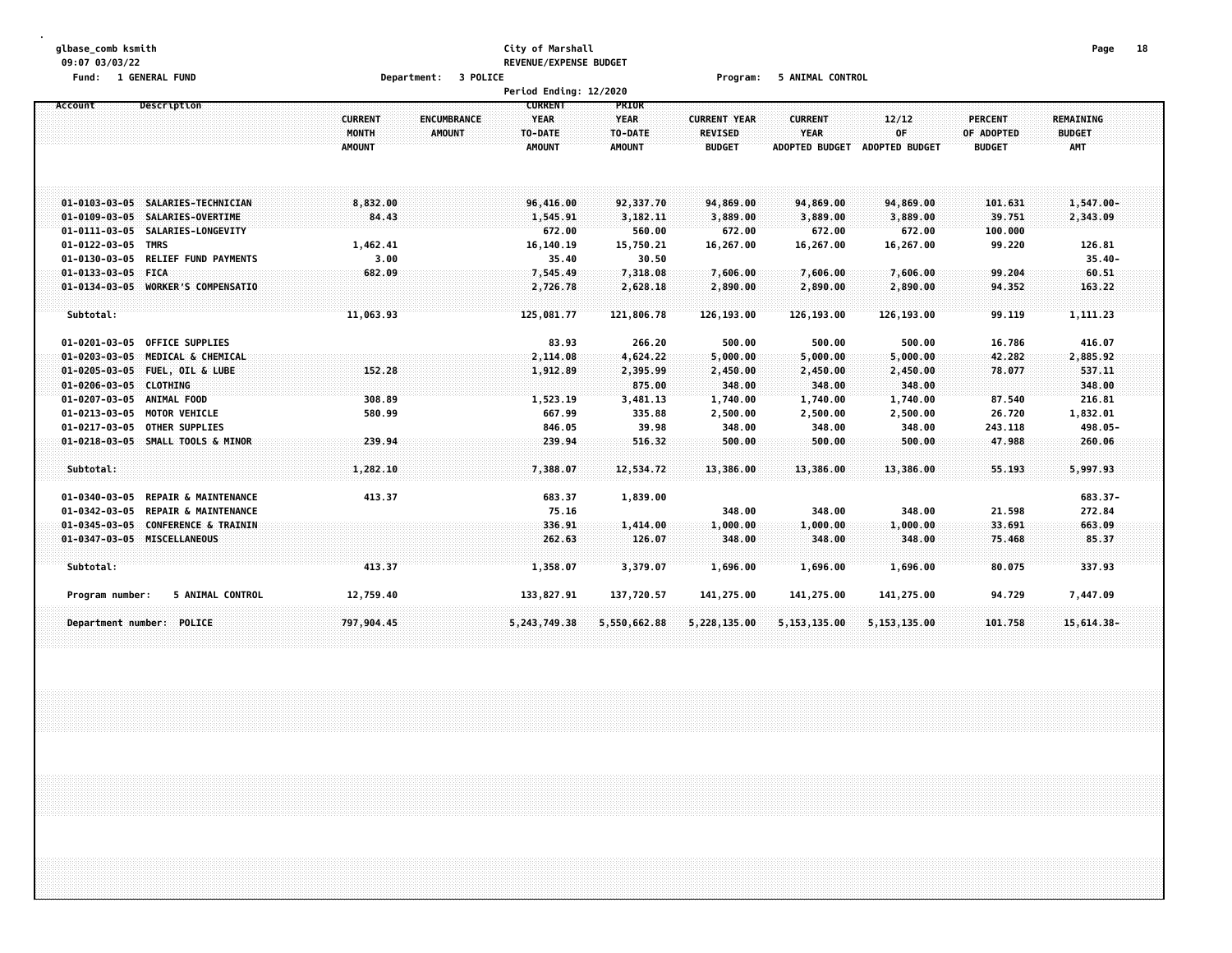#### **glbase\_comb ksmith City of Marshall Page 18 09:07 03/03/22 REVENUE/EXPENSE BUDGET Fund: 1 GENERAL FUND Department: 3 POLICE Program: 5 ANIMAL CONTROL**

|                                                |                                            |                | Period Ending: 12/2020            |                    |                     |                       |                       |                   |                    |  |
|------------------------------------------------|--------------------------------------------|----------------|-----------------------------------|--------------------|---------------------|-----------------------|-----------------------|-------------------|--------------------|--|
| Account                                        | Description                                |                | <b>CURRENT</b>                    | <b>PRIOR</b>       |                     |                       |                       |                   |                    |  |
|                                                |                                            | <b>CURRENT</b> | <b>ENCUMBRANCE</b><br><b>YEAR</b> | <b>YEAR</b>        | <b>CURRENT YEAR</b> | <b>CURRENT</b>        | 12/12                 | <b>PERCENT</b>    | <b>REMAINING</b>   |  |
|                                                |                                            | MONTH          | <b>AMOUNT</b><br>TO-DATE          | TO-DATE            | <b>REVISED</b>      | <b>YEAR</b>           | 0F                    | OF ADOPTED        | <b>BUDGET</b>      |  |
|                                                |                                            | <b>AMOUNT</b>  | <b>AMOUNT</b>                     | <b>AMOUNT</b>      | <b>BUDGET</b>       | <b>ADOPTED BUDGET</b> | <b>ADOPTED BUDGET</b> | <b>BUDGET</b>     | <b>AMT</b>         |  |
|                                                |                                            |                |                                   |                    |                     |                       |                       |                   |                    |  |
|                                                |                                            |                |                                   |                    |                     |                       |                       |                   |                    |  |
|                                                |                                            |                |                                   |                    |                     |                       |                       |                   |                    |  |
| $01 - 0103 - 03 - 05$                          | SALARIES-TECHNICIAN                        | 8,832.00       | 96,416.00                         | 92,337.70          | 94,869.00           | 94,869.00             | 94,869.00             | 101.631           | 1,547.00-          |  |
| $01 - 0109 - 03 - 05$                          | SALARIES-OVERTIME                          | 84.43          | 1,545.91                          | 3,182.11           | 3,889.00            | 3,889.00              | 3,889.00              | 39.751            | 2,343.09           |  |
| $01 - 0111 - 03 - 05$                          | SALARIES-LONGEVITY                         |                | 672.00                            | 560.00             | 672.00              | 672.00                | 672.00                | 100.000<br>99.220 |                    |  |
| $01 - 0122 - 03 - 05$                          | <b>TMRS</b>                                | 1,462.41       | 16,140.19                         | 15,750.21<br>30.50 | 16,267.00           | 16,267.00             | 16,267.00             |                   | 126.81             |  |
| $01 - 0130 - 03 - 05$<br>$01 - 0133 - 03 - 05$ | <b>RELIEF FUND PAYMENTS</b><br><b>FICA</b> | 3.00<br>682.09 | 35.40                             | 7,318.08           | 7,606.00            | 7,606.00              | 7,606.00              | 99.204            | $35.40 -$<br>60.51 |  |
|                                                | 01-0134-03-05 WORKER'S COMPENSATIO         |                | 7,545.49<br>2,726.78              | 2,628.18           | 2,890.00            | 2,890.00              | 2,890.00              | 94.352            | 163.22             |  |
|                                                |                                            |                |                                   |                    |                     |                       |                       |                   |                    |  |
| Subtotal:                                      |                                            | 11,063.93      | 125,081.77                        | 121,806.78         | 126, 193.00         | 126,193.00            | 126,193.00            | 99.119            | 1,111.23           |  |
|                                                |                                            |                |                                   |                    |                     |                       |                       |                   |                    |  |
| 01-0201-03-05                                  | <b>OFFICE SUPPLIES</b>                     |                | 83.93                             | 266.20             | 500.00              | 500.00                | 500.00                | 16.786            | 416.07             |  |
| $01 - 0203 - 03 - 05$                          | MEDICAL & CHEMICAL                         |                | 2,114.08                          | 4,624.22           | 5,000.00            | 5,000.00              | 5,000.00              | 42.282            | 2,885.92           |  |
| $01 - 0205 - 03 - 05$                          | FUEL, OIL & LUBE                           | 152.28         | 1,912.89                          | 2,395.99           | 2,450.00            | 2,450.00              | 2,450.00              | 78.077            | 537.11             |  |
| $01 - 0206 - 03 - 05$                          | <b>CLOTHING</b>                            |                |                                   | 875.00             | 348.00              | 348.00                | 348.00                |                   | 348.00             |  |
| $01 - 0207 - 03 - 05$                          | ANIMAL FOOD                                | 308.89         | 1,523.19                          | 3,481.13           | 1,740.00            | 1,740.00              | 1,740.00              | 87.540            | 216.81             |  |
| $01 - 0213 - 03 - 05$                          | <b>MOTOR VEHICLE</b>                       | 580.99         | 667.99                            | 335.88             | 2,500.00            | 2,500.00              | 2,500.00              | 26.720            | 1,832.01           |  |
| $01 - 0217 - 03 - 05$                          | <b>OTHER SUPPLIES</b>                      |                | 846.05                            | 39.98              | 348.00              | 348.00                | 348.00                | 243.118           | 498.05-            |  |
|                                                | 01-0218-03-05 SMALL TOOLS & MINOR          | 239.94         | 239.94                            | 516.32             | 500.00              | 500.00                | 500.00                | 47.988            | 260.06             |  |
|                                                |                                            |                |                                   |                    |                     |                       |                       |                   |                    |  |
| Subtotal:                                      |                                            | 1,282.10       | 7,388.07                          | 12,534.72          | 13,386.00           | 13,386.00             | 13,386.00             | 55.193            | 5,997.93           |  |
|                                                |                                            |                |                                   |                    |                     |                       |                       |                   |                    |  |
| 01-0340-03-05                                  | REPAIR & MAINTENANCE                       | 413.37         | 683.37                            | 1,839.00           |                     |                       |                       |                   | 683.37-            |  |
| $01 - 0342 - 03 - 05$                          | <b>REPAIR &amp; MAINTENANCE</b>            |                | 75.16                             |                    | 348.00              | 348.00                | 348.00                | 21.598            | 272.84             |  |
| $01 - 0345 - 03 - 05$                          | <b>CONFERENCE &amp; TRAININ</b>            |                | 336.91                            | 1,414.00           | 1,000.00            | 1,000.00              | 1,000.00              | 33.691            | 663.09             |  |
|                                                | 01-0347-03-05 MISCELLANEOUS                |                | 262.63                            | 126.07             | 348.00              | 348.00                | 348.00                | 75.468            | 85.37              |  |
|                                                |                                            |                |                                   |                    |                     |                       |                       |                   |                    |  |
| Subtotal:                                      |                                            | 413.37         | 1,358.07                          | 3,379.07           | 1,696.00            | 1,696.00              | 1,696.00              | 80.075            | 337.93             |  |
|                                                |                                            |                |                                   |                    |                     |                       |                       |                   |                    |  |
| Program number:                                | 5 ANIMAL CONTROL                           | 12,759.40      | 133,827.91                        | 137,720.57         | 141,275.00          | 141,275.00            | 141,275.00            | 94.729            | 7,447.09           |  |
|                                                | Department number: POLICE                  | 797,904.45     | 5,243,749.38                      | 5,550,662.88       | 5,228,135.00        | 5,153,135.00          | 5,153,135.00          | 101.758           | 15,614.38-         |  |
|                                                |                                            |                |                                   |                    |                     |                       |                       |                   |                    |  |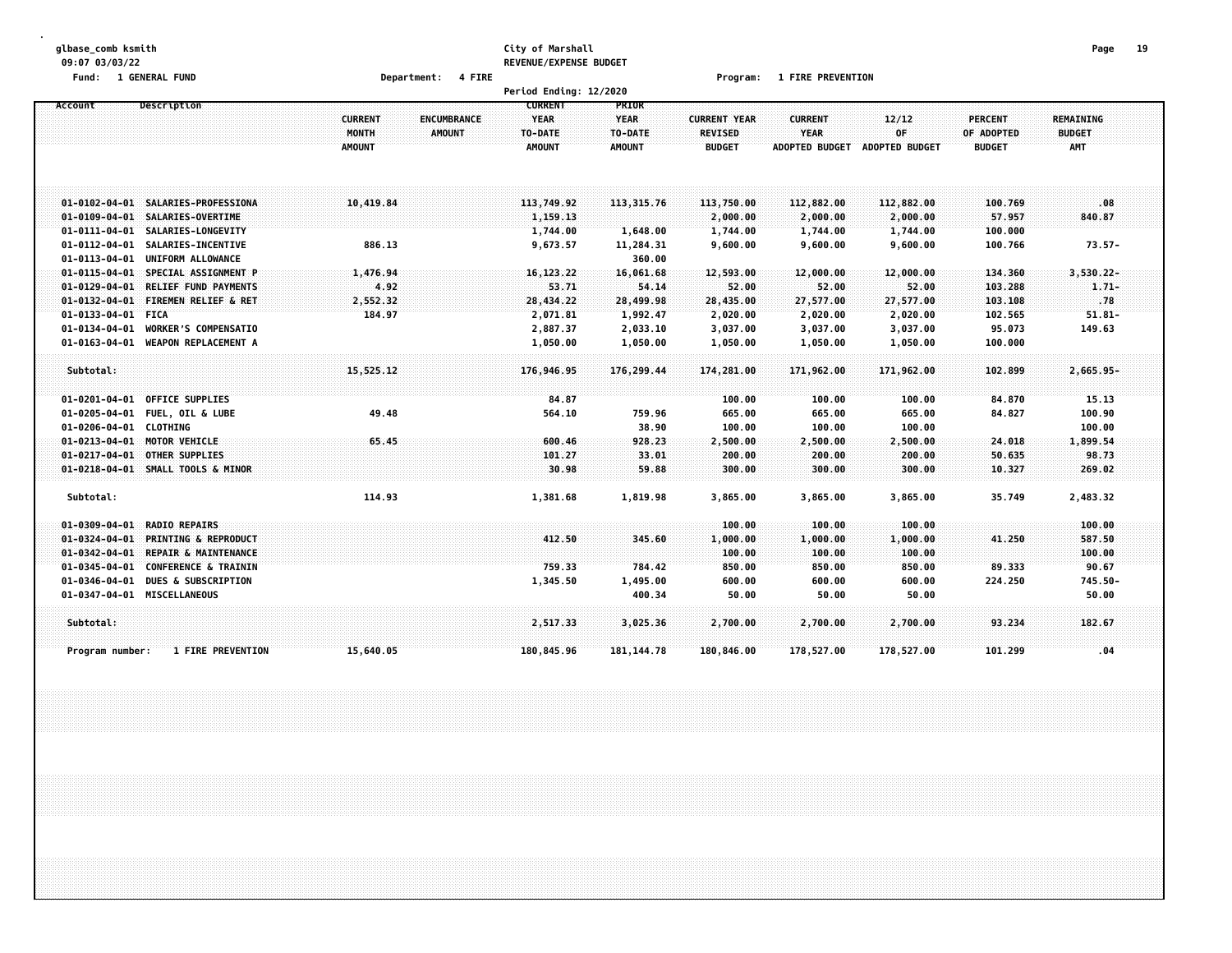#### **glbase\_comb ksmith City of Marshall Page 19 09:07 03/03/22 REVENUE/EXPENSE BUDGET**

**Fund: 1 GENERAL FUND Department: 4 FIRE Program: 1 FIRE PREVENTION**

|                                                                                                                  |                                                 | Period Ending: 12/2020                                                                           |                                                         |                                                        |                                                        |                                      |                                               |                                                 |  |
|------------------------------------------------------------------------------------------------------------------|-------------------------------------------------|--------------------------------------------------------------------------------------------------|---------------------------------------------------------|--------------------------------------------------------|--------------------------------------------------------|--------------------------------------|-----------------------------------------------|-------------------------------------------------|--|
| Account<br>Description                                                                                           | <b>CURRENT</b><br><b>MONTH</b><br><b>AMOUNT</b> | <b>CURRENT</b><br><b>YEAR</b><br><b>ENCUMBRANCE</b><br><b>AMOUNT</b><br>TO-DATE<br><b>AMOUNT</b> | <b>PRIOR</b><br><b>YEAR</b><br>TO-DATE<br><b>AMOUNT</b> | <b>CURRENT YEAR</b><br><b>REVISED</b><br><b>BUDGET</b> | <b>CURRENT</b><br><b>YEAR</b><br><b>ADOPTED BUDGET</b> | 12/12<br>0F<br><b>ADOPTED BUDGET</b> | <b>PERCENT</b><br>OF ADOPTED<br><b>BUDGET</b> | <b>REMAINING</b><br><b>BUDGET</b><br><b>AMT</b> |  |
| 01-0102-04-01 SALARIES-PROFESSIONA                                                                               | 10,419.84                                       | 113,749.92                                                                                       | 113, 315, 76                                            | 113,750.00                                             | 112,882.00                                             | 112,882.00                           | 100.769                                       | .08                                             |  |
| 01-0109-04-01 SALARIES-OVERTIME<br>01-0111-04-01 SALARIES-LONGEVITY                                              |                                                 | 1,159.13<br>1,744.00                                                                             | 1,648.00                                                | 2,000.00<br>1,744.00                                   | 2,000.00<br>1,744.00                                   | 2,000.00<br>1,744.00                 | 57.957<br>100.000                             | 840.87                                          |  |
| 01-0112-04-01 SALARIES-INCENTIVE<br>01-0113-04-01 UNIFORM ALLOWANCE<br>01-0115-04-01 SPECIAL ASSIGNMENT P        | 886.13<br>1,476.94                              | 9,673.57<br>16, 123. 22                                                                          | 11,284.31<br>360.00<br>16,061.68                        | 9,600.00<br>12,593.00                                  | 9,600.00<br>12,000.00                                  | 9,600.00<br>12,000.00                | 100.766<br>134.360                            | $73.57 -$<br>$3,530.22 -$                       |  |
| 01-0129-04-01 RELIEF FUND PAYMENTS<br>01-0132-04-01 FIREMEN RELIEF & RET                                         | 4.92<br>2,552.32                                | 53.71<br>28,434.22                                                                               | 54.14<br>28,499.98                                      | 52.00<br>28,435.00                                     | 52.00<br>27,577.00                                     | 52.00<br>27,577.00                   | 103.288<br>103.108                            | $1.71-$<br>.78                                  |  |
| 01-0133-04-01 FICA<br><b>WORKER'S COMPENSATIO</b><br>$01 - 0134 - 04 - 01$<br>01-0163-04-01 WEAPON REPLACEMENT A | 184.97                                          | 2,071.81<br>2,887.37<br>1,050.00                                                                 | 1,992.47<br>2,033.10<br>1,050.00                        | 2,020.00<br>3,037.00<br>1,050.00                       | 2,020.00<br>3,037.00<br>1,050.00                       | 2,020.00<br>3,037.00<br>1,050.00     | 102.565<br>95.073<br>100.000                  | $51.81 -$<br>149.63                             |  |
| Subtotal:                                                                                                        | 15,525.12                                       | 176,946.95                                                                                       | 176,299.44                                              | 174,281.00                                             | 171,962.00                                             | 171,962.00                           | 102.899                                       | $2,665.95 -$                                    |  |
| 01-0201-04-01 OFFICE SUPPLIES<br>01-0205-04-01 FUEL, OIL & LUBE                                                  | 49.48                                           | 84.87<br>564.10                                                                                  | 759.96                                                  | 100.00<br>665.00                                       | 100.00<br>665.00                                       | 100.00<br>665.00                     | 84.870<br>84.827                              | 15.13<br>100.90                                 |  |
| 01-0206-04-01 CLOTHING<br>01-0213-04-01 MOTOR VEHICLE                                                            | 65.45                                           | 600.46                                                                                           | 38.90<br>928.23                                         | 100.00<br>2,500.00                                     | 100.00<br>2,500.00                                     | 100.00<br>2,500.00                   | 24.018                                        | 100.00<br>1,899.54                              |  |
| 01-0217-04-01 OTHER SUPPLIES<br>01-0218-04-01 SMALL TOOLS & MINOR                                                |                                                 | 101.27<br>30.98                                                                                  | 33.01<br>59.88                                          | 200.00<br>300.00                                       | 200.00<br>300.00                                       | 200.00<br>300.00                     | 50.635<br>10.327                              | 98,73<br>269.02                                 |  |
| Subtotal:                                                                                                        | 114.93                                          | 1,381.68                                                                                         | 1,819.98                                                | 3,865.00                                               | 3,865.00                                               | 3.865.00                             | 35.749                                        | 2,483.32                                        |  |
| 01-0309-04-01 RADIO REPAIRS<br>01-0324-04-01 PRINTING & REPRODUCT                                                |                                                 | 412.50                                                                                           | 345.60                                                  | 100.00<br>1,000.00                                     | 100.00<br>1,000.00                                     | 100.00<br>1,000.00                   | 41.250                                        | 100.00<br>587.50                                |  |
| 01-0342-04-01 REPAIR & MAINTENANCE<br>01-0345-04-01 CONFERENCE & TRAININ<br>01-0346-04-01 DUES & SUBSCRIPTION    |                                                 | 759.33<br>1,345.50                                                                               | 784.42<br>1,495.00                                      | 100.00<br>850.00<br>600.00                             | 100.00<br>850.00<br>600.00                             | 100.00<br>850.00<br>600.00           | 89.333<br>224.250                             | 100.00<br>90.67<br>745.50-                      |  |
| 01-0347-04-01 MISCELLANEOUS                                                                                      |                                                 |                                                                                                  | 400.34                                                  | 50.00                                                  | 50.00                                                  | 50.00                                |                                               | 50.00                                           |  |
| Subtotal:                                                                                                        |                                                 | 2,517.33                                                                                         | 3,025.36                                                | 2,700.00                                               | 2,700.00                                               | 2,700.00                             | 93.234                                        | 182.67                                          |  |
| <b>1 FIRE PREVENTION</b><br>Program number:                                                                      | 15,640.05                                       | 180,845.96                                                                                       | 181, 144.78                                             | 180,846.00                                             | 178,527.00                                             | 178,527.00                           | 101.299                                       | .04                                             |  |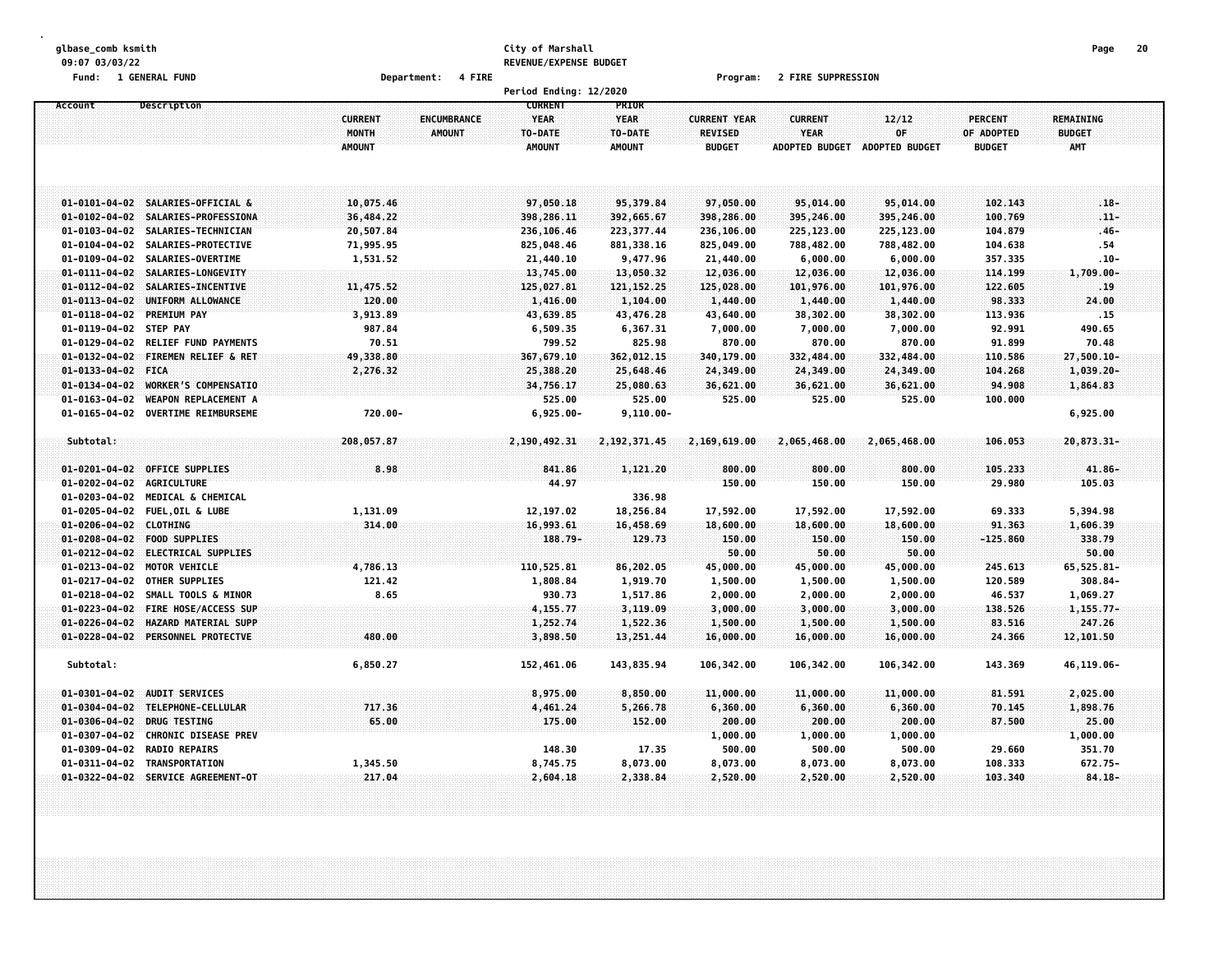#### **glbase\_comb ksmith City of Marshall Page 20 09:07 03/03/22 REVENUE/EXPENSE BUDGET**

**Fund: 1 GENERAL FUND Department: 4 FIRE Program: 2 FIRE SUPPRESSION**

| 12/12<br>OF<br>ADOPTED BUDGET<br>95,014.00<br>395,246.00<br>225,123.00<br>788,482.00<br>6,000.00<br>12,036.00<br>101,976.00<br>1,440.00<br>38,302.00<br>7,000.00<br>870.00 | <b>REMAINING</b><br><b>PERCENT</b><br>OF ADOPTED<br><b>BUDGET</b><br><b>AMT</b><br><b>BUDGET</b><br>102.143<br>$.18 -$<br>$:11 -$<br>100.769<br>104.879<br>$.46-$<br>104.638<br>.54<br>357.335<br>$.10 -$<br>1,709.00-<br>114.199<br>122.605<br>.19<br>98.333<br>24.00<br>113.936<br>.15<br>92.991<br>490.65 |
|----------------------------------------------------------------------------------------------------------------------------------------------------------------------------|--------------------------------------------------------------------------------------------------------------------------------------------------------------------------------------------------------------------------------------------------------------------------------------------------------------|
|                                                                                                                                                                            |                                                                                                                                                                                                                                                                                                              |
|                                                                                                                                                                            |                                                                                                                                                                                                                                                                                                              |
|                                                                                                                                                                            |                                                                                                                                                                                                                                                                                                              |
|                                                                                                                                                                            |                                                                                                                                                                                                                                                                                                              |
|                                                                                                                                                                            |                                                                                                                                                                                                                                                                                                              |
|                                                                                                                                                                            |                                                                                                                                                                                                                                                                                                              |
|                                                                                                                                                                            |                                                                                                                                                                                                                                                                                                              |
|                                                                                                                                                                            |                                                                                                                                                                                                                                                                                                              |
|                                                                                                                                                                            |                                                                                                                                                                                                                                                                                                              |
|                                                                                                                                                                            |                                                                                                                                                                                                                                                                                                              |
|                                                                                                                                                                            |                                                                                                                                                                                                                                                                                                              |
|                                                                                                                                                                            | 70.48<br>91.899                                                                                                                                                                                                                                                                                              |
| 332,484.00                                                                                                                                                                 | 27,500.10-<br>110.586                                                                                                                                                                                                                                                                                        |
| 24,349.00                                                                                                                                                                  | 1,039.20-<br>104.268                                                                                                                                                                                                                                                                                         |
| 36,621.00                                                                                                                                                                  | 94.908<br>1,864.83                                                                                                                                                                                                                                                                                           |
| 525.00                                                                                                                                                                     | 100.000                                                                                                                                                                                                                                                                                                      |
|                                                                                                                                                                            | 6,925.00                                                                                                                                                                                                                                                                                                     |
| 2,065,468.00                                                                                                                                                               | 106.053<br>$20,873.31 -$                                                                                                                                                                                                                                                                                     |
| 800.00                                                                                                                                                                     | 105.233<br>$41.86 -$                                                                                                                                                                                                                                                                                         |
| 150.00                                                                                                                                                                     | 29.980<br>105.03                                                                                                                                                                                                                                                                                             |
|                                                                                                                                                                            |                                                                                                                                                                                                                                                                                                              |
| 17,592.00                                                                                                                                                                  | 69.333<br>5,394.98                                                                                                                                                                                                                                                                                           |
| 18,600.00                                                                                                                                                                  | 1,606.39<br>91.363                                                                                                                                                                                                                                                                                           |
| 150.00                                                                                                                                                                     | $-125.860$<br>338.79                                                                                                                                                                                                                                                                                         |
| 50.00                                                                                                                                                                      | 50.00                                                                                                                                                                                                                                                                                                        |
| 45,000.00                                                                                                                                                                  | 65,525.81-<br>245.613                                                                                                                                                                                                                                                                                        |
| 1,500.00                                                                                                                                                                   | 308.84-<br>120.589                                                                                                                                                                                                                                                                                           |
| 2,000.00                                                                                                                                                                   | 46.537<br>1,069.27                                                                                                                                                                                                                                                                                           |
| 3,000.00                                                                                                                                                                   | 138.526<br>1,155.77-                                                                                                                                                                                                                                                                                         |
| 1,500.00                                                                                                                                                                   | 247.26<br>83.516                                                                                                                                                                                                                                                                                             |
| 16,000.00                                                                                                                                                                  | 24.366<br>12,101.50                                                                                                                                                                                                                                                                                          |
| 106,342.00                                                                                                                                                                 | 143.369<br>46,119.06-                                                                                                                                                                                                                                                                                        |
|                                                                                                                                                                            | 81.591<br>2,025.00                                                                                                                                                                                                                                                                                           |
|                                                                                                                                                                            | 70.145<br>1,898.76                                                                                                                                                                                                                                                                                           |
| 6,360.00                                                                                                                                                                   | 87.500<br>25.00                                                                                                                                                                                                                                                                                              |
| 200.00                                                                                                                                                                     | 1,000.00                                                                                                                                                                                                                                                                                                     |
| 1,000.00                                                                                                                                                                   | 29.660<br>351.70                                                                                                                                                                                                                                                                                             |
| 500.00                                                                                                                                                                     |                                                                                                                                                                                                                                                                                                              |
| 8,073.00                                                                                                                                                                   | 108.333<br>672.75-                                                                                                                                                                                                                                                                                           |
|                                                                                                                                                                            | 11,000.00                                                                                                                                                                                                                                                                                                    |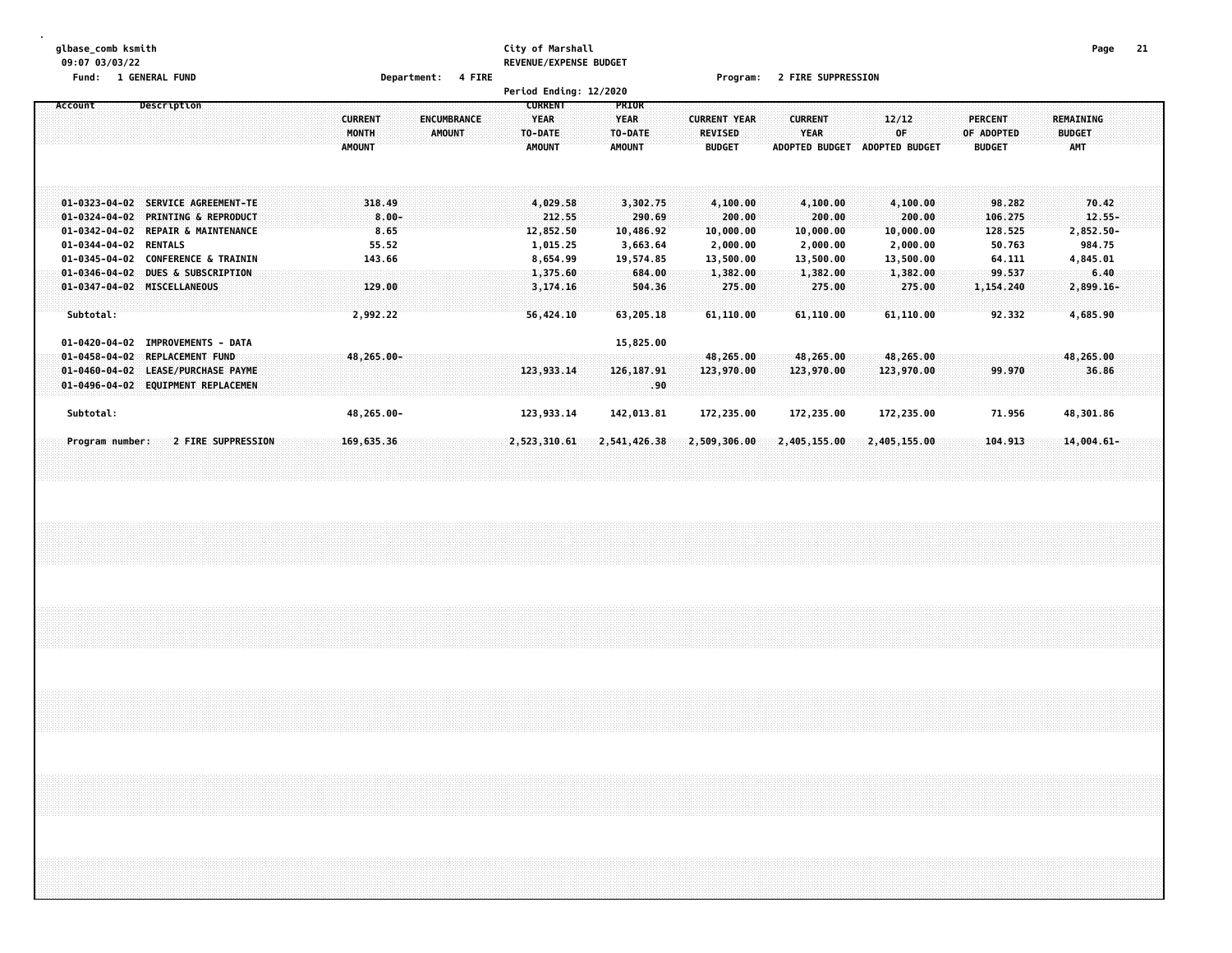# **glbase\_comb ksmith City of Marshall Page 21 09:07 03/03/22 REVENUE/EXPENSE BUDGET**

**Fund: 1 GENERAL FUND Department: 4 FIRE Program: 2 FIRE SUPPRESSION**

|         |                              | <b>I GLIBLIANE LUBB</b>                                                                                                                                                                                                                           |             |                    |  |  |                                          |                                                         | pepar ument. |                              | 91.DL |  |              |                                                                                 | Period Ending: 12/2020 |                              |                                                                              |     |                                                        |                                                                                | riogram. <i>L</i> TIME SUFFRESSION |                                                            |                               |       |                                                                                |  |                                               |                                                                         |  |                                                 |                                                                            |  |  |
|---------|------------------------------|---------------------------------------------------------------------------------------------------------------------------------------------------------------------------------------------------------------------------------------------------|-------------|--------------------|--|--|------------------------------------------|---------------------------------------------------------|--------------|------------------------------|-------|--|--------------|---------------------------------------------------------------------------------|------------------------|------------------------------|------------------------------------------------------------------------------|-----|--------------------------------------------------------|--------------------------------------------------------------------------------|------------------------------------|------------------------------------------------------------|-------------------------------|-------|--------------------------------------------------------------------------------|--|-----------------------------------------------|-------------------------------------------------------------------------|--|-------------------------------------------------|----------------------------------------------------------------------------|--|--|
| Account |                              |                                                                                                                                                                                                                                                   | Description |                    |  |  | <b>CURRENT</b><br>MONTH<br><b>AMOUNT</b> |                                                         |              | ENCUMBRANCE<br><b>AMOUNT</b> |       |  | TO-DATE      | <b>CURRENT</b><br><b>YEAR</b><br><b>AMOUNT</b>                                  |                        | <b>YEAR</b><br><b>AMOUNT</b> | PRIOR<br>TO-DATE                                                             |     | <b>CURRENT YEAR</b><br><b>REVISED</b><br><b>BUDGET</b> |                                                                                |                                    | <b>CURRENT</b><br><b>YEAR</b>                              | ADOPTED BUDGET ADOPTED BUDGET | 12/12 | OF                                                                             |  | <b>PERCENT</b><br>OF ADOPTED<br><b>BUDGET</b> |                                                                         |  | <b>REMAINING</b><br><b>BUDGET</b><br><b>AMT</b> |                                                                            |  |  |
|         |                              | 01-0323-04-02 SERVICE AGREEMENT-TE<br>01-0324-04-02 PRINTING & REPRODUCT<br>01-0342-04-02 REPAIR & MAINTENANCE<br>01-0344-04-02 RENTALS<br>01-0345-04-02 CONFERENCE & TRAININ<br>01-0346-04-02 DUES & SUBSCRIPTION<br>01-0347-04-02 MISCELLANEOUS |             |                    |  |  |                                          | 318.49<br>$8.00 -$<br>8.65<br>55.52<br>143.66<br>129.00 |              |                              |       |  |              | 4,029.58<br>212.55<br>12,852.50<br>1,015.25<br>8,654.99<br>1,375.60<br>3,174.16 |                        |                              | 3,302.75<br>290.69<br>10,486.92<br>3,663.64<br>19,574.85<br>684.00<br>504.36 |     |                                                        | 4,100.00<br>200.00<br>10,000.00<br>2,000.00<br>13,500.00<br>1,382.00<br>275.00 |                                    | 4,100.00<br>10,000.00<br>2,000.00<br>13,500.00<br>1,382.00 | 200.00<br>275.00              |       | 4,100.00<br>200.00<br>10,000.00<br>2,000.00<br>13,500.00<br>1,382.00<br>275.00 |  |                                               | 98.282<br>106.275<br>128.525<br>50.763<br>64.111<br>99.537<br>1,154.240 |  |                                                 | 70.42<br>$12.55 -$<br>2,852.50-<br>984.75<br>4,845.01<br>6.40<br>2,899.16- |  |  |
|         | Subtotal:                    | 01-0420-04-02 IMPROVEMENTS - DATA<br>01-0458-04-02 REPLACEMENT FUND<br>01-0460-04-02 LEASE/PURCHASE PAYME<br>01-0496-04-02 EQUIPMENT REPLACEMEN                                                                                                   |             |                    |  |  |                                          | 2,992.22<br>48,265.00-                                  |              |                              |       |  |              | 56,424.10<br>123,933.14                                                         |                        |                              | 63,205.18<br>15,825.00<br>126, 187.91                                        | .90 | 123,970.00                                             | 61,110.00<br>48,265.00                                                         |                                    | 61,110.00<br>48,265.00<br>123,970.00                       |                               |       | 61,110.00<br>48,265.00<br>123,970.00                                           |  |                                               | 92.332<br>99.970                                                        |  | 48,265.00                                       | 4,685.90<br>36.86                                                          |  |  |
|         | Subtotal:<br>Program number: |                                                                                                                                                                                                                                                   |             | 2 FIRE SUPPRESSION |  |  |                                          | 48,265.00-<br>169,635.36                                |              |                              |       |  |              | 123,933.14                                                                      |                        |                              | 142,013.81                                                                   |     | 172,235.00                                             |                                                                                |                                    | 172,235.00                                                 |                               |       | 172,235.00                                                                     |  |                                               | 71.956<br>104.913                                                       |  | 48,301.86<br>$14,004.61-$                       |                                                                            |  |  |
|         |                              |                                                                                                                                                                                                                                                   |             |                    |  |  |                                          |                                                         |              |                              |       |  | 2,523,310.61 |                                                                                 |                        |                              | 2,541,426.38                                                                 |     | 2,509,306.00                                           |                                                                                |                                    | 2,405,155.00                                               |                               |       | 2,405,155.00                                                                   |  |                                               |                                                                         |  |                                                 |                                                                            |  |  |
|         |                              |                                                                                                                                                                                                                                                   |             |                    |  |  |                                          |                                                         |              |                              |       |  |              |                                                                                 |                        |                              |                                                                              |     |                                                        |                                                                                |                                    |                                                            |                               |       |                                                                                |  |                                               |                                                                         |  |                                                 |                                                                            |  |  |
|         |                              |                                                                                                                                                                                                                                                   |             |                    |  |  |                                          |                                                         |              |                              |       |  |              |                                                                                 |                        |                              |                                                                              |     |                                                        |                                                                                |                                    |                                                            |                               |       |                                                                                |  |                                               |                                                                         |  |                                                 |                                                                            |  |  |
|         |                              |                                                                                                                                                                                                                                                   |             |                    |  |  |                                          |                                                         |              |                              |       |  |              |                                                                                 |                        |                              |                                                                              |     |                                                        |                                                                                |                                    |                                                            |                               |       |                                                                                |  |                                               |                                                                         |  |                                                 |                                                                            |  |  |
|         |                              |                                                                                                                                                                                                                                                   |             |                    |  |  |                                          |                                                         |              |                              |       |  |              |                                                                                 |                        |                              |                                                                              |     |                                                        |                                                                                |                                    |                                                            |                               |       |                                                                                |  |                                               |                                                                         |  |                                                 |                                                                            |  |  |
|         |                              |                                                                                                                                                                                                                                                   |             |                    |  |  |                                          |                                                         |              |                              |       |  |              |                                                                                 |                        |                              |                                                                              |     |                                                        |                                                                                |                                    |                                                            |                               |       |                                                                                |  |                                               |                                                                         |  |                                                 |                                                                            |  |  |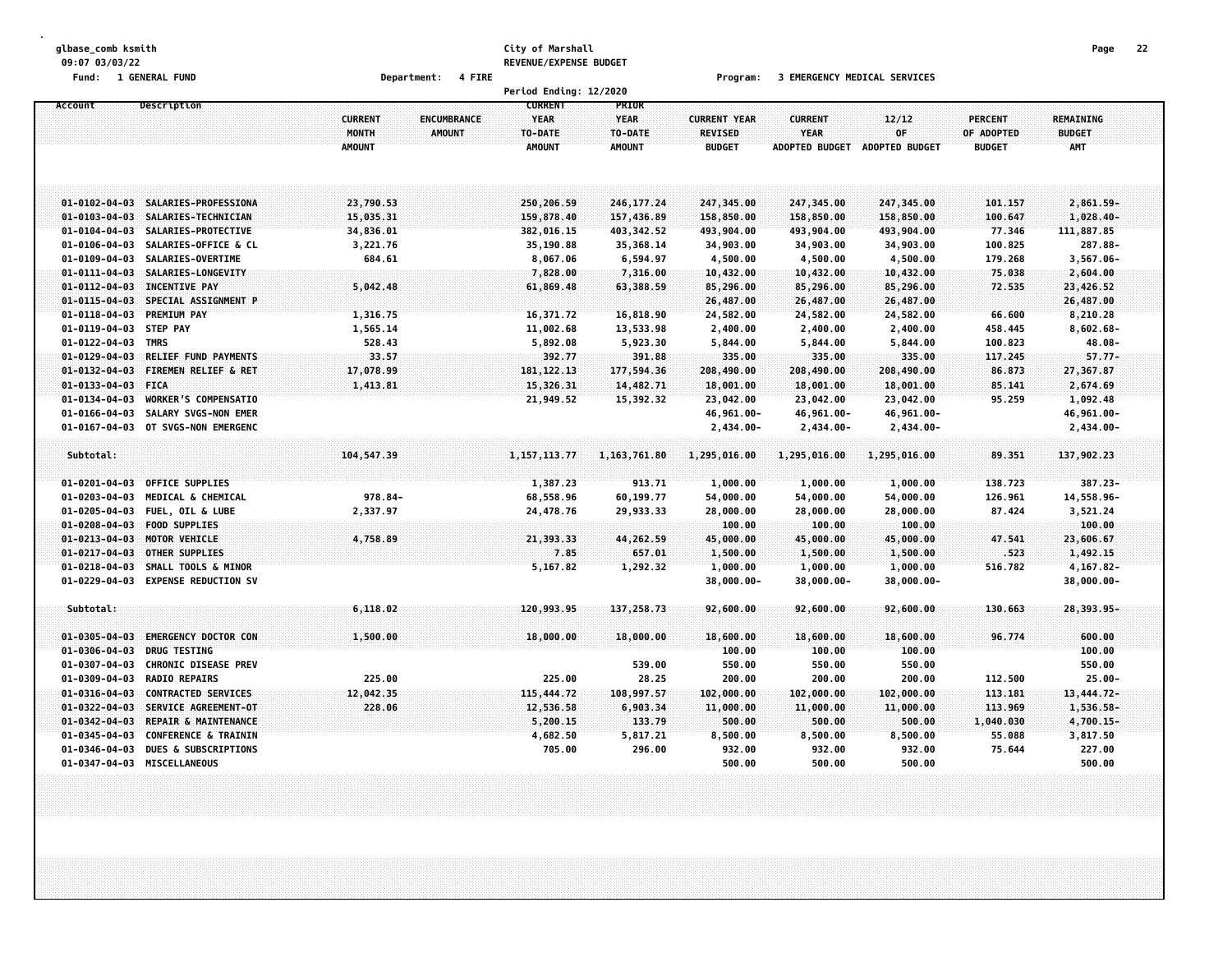### **glbase\_comb ksmith City of Marshall Page 22 09:07 03/03/22 REVENUE/EXPENSE BUDGET**

**Fund: 1 GENERAL FUND Department: 4 FIRE Program: 3 EMERGENCY MEDICAL SERVICES**

|                       |                             |                | Period Ending: 12/2020     |               |                     |                       |                |                |               |  |
|-----------------------|-----------------------------|----------------|----------------------------|---------------|---------------------|-----------------------|----------------|----------------|---------------|--|
| Account               | Description                 |                | <b>CURRENT</b>             | PRIOR         |                     |                       |                |                |               |  |
|                       |                             | <b>CURRENT</b> | <b>YEAR</b><br>ENCUMBRANCE | <b>YEAR</b>   | <b>CURRENT YEAR</b> | <b>CURRENT</b>        | 12/12          | <b>PERCENT</b> | REMAINING     |  |
|                       |                             | <b>MONTH</b>   | <b>AMOUNT</b><br>TO-DATE   | TO-DATE       | <b>REVISED</b>      | <b>YEAR</b>           | OF             | OF ADOPTED     | <b>BUDGET</b> |  |
|                       |                             | <b>AMOUNT</b>  | <b>AMOUNT</b>              | <b>AMOUNT</b> | <b>BUDGET</b>       | <b>ADOPTED BUDGET</b> | ADOPTED BUDGET | <b>BUDGET</b>  | <b>AMT</b>    |  |
|                       |                             |                |                            |               |                     |                       |                |                |               |  |
| $01 - 0102 - 04 - 03$ | SALARIES-PROFESSIONA        | 23,790.53      | 250,206.59                 | 246, 177.24   | 247,345.00          | 247,345.00            | 247,345.00     | 101.157        | 2,861.59-     |  |
| $01 - 0103 - 04 - 03$ | SALARIES-TECHNICIAN         | 15,035.31      | 159,878.40                 | 157,436.89    | 158,850.00          | 158,850.00            | 158,850.00     | 100.647        | $1,028.40-$   |  |
| $01 - 0104 - 04 - 03$ | SALARIES-PROTECTIVE         | 34,836.01      | 382,016.15                 | 403,342.52    | 493,904.00          | 493,904.00            | 493,904.00     | 77.346         | 111,887.85    |  |
| $01 - 0106 - 04 - 03$ | SALARIES-OFFICE & CL        | 3,221.76       | 35,190.88                  | 35,368.14     | 34,903.00           | 34,903.00             | 34,903.00      | 100.825        | 287.88-       |  |
| $01 - 0109 - 04 - 03$ | SALARIES-OVERTIME           | 684.61         | 8,067.06                   | 6,594.97      | 4,500.00            | 4,500.00              | 4,500.00       | 179.268        | 3,567.06-     |  |
| $01 - 0111 - 04 - 03$ | SALARIES-LONGEVITY          |                | 7,828.00                   | 7,316.00      | 10,432.00           | 10,432.00             | 10,432.00      | 75.038         | 2,604.00      |  |
| $01 - 0112 - 04 - 03$ | <b>INCENTIVE PAY</b>        | 5,042.48       | 61,869.48                  | 63,388.59     | 85,296.00           | 85,296.00             | 85,296.00      | 72.535         | 23,426.52     |  |
| $01 - 0115 - 04 - 03$ | SPECIAL ASSIGNMENT P        |                |                            |               | 26,487.00           | 26,487.00             | 26,487.00      |                | 26,487.00     |  |
| $01 - 0118 - 04 - 03$ | <b>PREMIUM PAY</b>          | 1,316.75       | 16,371.72                  | 16,818.90     | 24,582.00           | 24,582.00             | 24,582.00      | 66.600         | 8,210.28      |  |
| $01 - 0119 - 04 - 03$ | <b>STEP PAY</b>             | 1,565.14       | 11,002.68                  | 13,533.98     | 2,400.00            | 2,400.00              | 2,400.00       | 458.445        | $8,602.68 -$  |  |
| $01 - 0122 - 04 - 03$ | <b>TMRS</b>                 | 528.43         | 5,892.08                   | 5,923.30      | 5,844.00            | 5,844.00              | 5,844.00       | 100.823        | $48.08 -$     |  |
| $01 - 0129 - 04 - 03$ | RELIEF FUND PAYMENTS        | 33.57          | 392.77                     | 391.88        | 335.00              | 335.00                | 335.00         | 117.245        | $57.77-$      |  |
| $01 - 0132 - 04 - 03$ | FIREMEN RELIEF & RET        | 17,078.99      | 181, 122. 13               | 177,594.36    | 208,490.00          | 208,490.00            | 208,490.00     | 86.873         | 27,367.87     |  |
| $01 - 0133 - 04 - 03$ | <b>FICA</b>                 | 1,413.81       | 15,326.31                  | 14,482.71     | 18,001.00           | 18,001.00             | 18,001.00      | 85.141         | 2,674.69      |  |
| $01 - 0134 - 04 - 03$ | <b>WORKER'S COMPENSATIO</b> |                | 21,949.52                  | 15,392.32     | 23,042.00           | 23,042.00             | 23,042.00      | 95.259         | 1,092.48      |  |
| $01 - 0166 - 04 - 03$ | SALARY SVGS-NON EMER        |                |                            |               | 46,961.00-          | 46,961.00-            | 46,961.00-     |                | 46,961.00-    |  |
| $01 - 0167 - 04 - 03$ | OT SVGS-NON EMERGENC        |                |                            |               | 2,434.00-           | 2,434.00-             | $2,434.00 -$   |                | 2,434.00-     |  |
| Subtotal:             |                             | 104,547.39     | 1, 157, 113.77             | 1,163,761.80  | 1,295,016.00        | 1,295,016.00          | 1,295,016.00   | 89.351         | 137,902.23    |  |
|                       |                             |                |                            |               |                     |                       |                |                |               |  |
| $01 - 0201 - 04 - 03$ | <b>OFFICE SUPPLIES</b>      |                | 1,387.23                   | 913.71        | 1,000.00            | 1,000.00              | 1,000.00       | 138.723        | 387.23-       |  |
| $01 - 0203 - 04 - 03$ | MEDICAL & CHEMICAL          | 978.84-        | 68,558.96                  | 60,199.77     | 54,000.00           | 54,000.00             | 54,000.00      | 126.961        | 14,558.96-    |  |
| $01 - 0205 - 04 - 03$ | FUEL, OIL & LUBE            | 2,337.97       | 24,478.76                  | 29,933.33     | 28,000.00           | 28,000.00             | 28,000.00      | 87.424         | 3,521.24      |  |
| $01 - 0208 - 04 - 03$ | <b>FOOD SUPPLIES</b>        |                |                            |               | 100.00              | 100.00                | 100.00         |                | 100.00        |  |
| $01 - 0213 - 04 - 03$ | MOTOR VEHICLE               | 4,758.89       | 21,393.33<br>7.85          | 44, 262.59    | 45,000.00           | 45,000.00             | 45,000.00      | 47.541<br>.523 | 23,606.67     |  |
| $01 - 0217 - 04 - 03$ | <b>OTHER SUPPLIES</b>       |                |                            | 657.01        | 1,500.00            | 1,500.00              | 1,500.00       |                | 1,492.15      |  |
| $01 - 0218 - 04 - 03$ | SMALL TOOLS & MINOR         |                | 5,167.82                   | 1,292.32      | 1,000.00            | 1,000.00              | 1,000.00       | 516.782        | 4,167.82-     |  |
| $01 - 0229 - 04 - 03$ | <b>EXPENSE REDUCTION SV</b> |                |                            |               | 38,000.00-          | 38,000.00-            | 38,000.00-     |                | 38,000.00-    |  |
| Subtotal:             |                             | 6,118.02       | 120,993.95                 | 137,258.73    | 92,600.00           | 92,600.00             | 92,600.00      | 130.663        | 28,393.95-    |  |
| $01 - 0305 - 04 - 03$ | <b>EMERGENCY DOCTOR CON</b> | 1,500.00       | 18,000.00                  | 18,000.00     | 18,600.00           | 18,600.00             | 18,600.00      | 96.774         | 600.00        |  |
| $01 - 0306 - 04 - 03$ | <b>DRUG TESTING</b>         |                |                            |               | 100.00              | 100.00                | 100.00         |                | 100.00        |  |
| $01 - 0307 - 04 - 03$ | <b>CHRONIC DISEASE PREV</b> |                |                            | 539.00        | 550.00              | 550.00                | 550.00         |                | 550.00        |  |
| $01 - 0309 - 04 - 03$ | <b>RADIO REPAIRS</b>        | 225.00         | 225.00                     | 28.25         | 200.00              | 200.00                | 200.00         | 112.500        | $25.00 -$     |  |
| $01 - 0316 - 04 - 03$ | <b>CONTRACTED SERVICES</b>  | 12,042.35      | 115,444.72                 | 108,997.57    | 102,000.00          | 102,000.00            | 102,000.00     | 113.181        | 13,444.72-    |  |
| $01 - 0322 - 04 - 03$ | SERVICE AGREEMENT-OT        | 228.06         | 12,536.58                  | 6,903.34      | 11,000.00           | 11,000.00             | 11,000.00      | 113.969        | 1,536.58-     |  |
| $01 - 0342 - 04 - 03$ | REPAIR & MAINTENANCE        |                | 5,200.15                   | 133.79        | 500.00              | 500.00                | 500.00         | 1,040.030      | 4,700.15-     |  |
| $01 - 0345 - 04 - 03$ | CONFERENCE & TRAININ        |                | 4,682.50                   | 5,817.21      | 8,500.00            | 8,500.00              | 8,500.00       | 55.088         | 3,817.50      |  |
| $01 - 0346 - 04 - 03$ | DUES & SUBSCRIPTIONS        |                | 705.00                     | 296.00        | 932.00              | 932.00                | 932.00         | 75.644         | 227.00        |  |
| 01-0347-04-03         | MISCELLANEOUS               |                |                            |               | 500.00              | 500.00                | 500.00         |                | 500.00        |  |
|                       |                             |                |                            |               |                     |                       |                |                |               |  |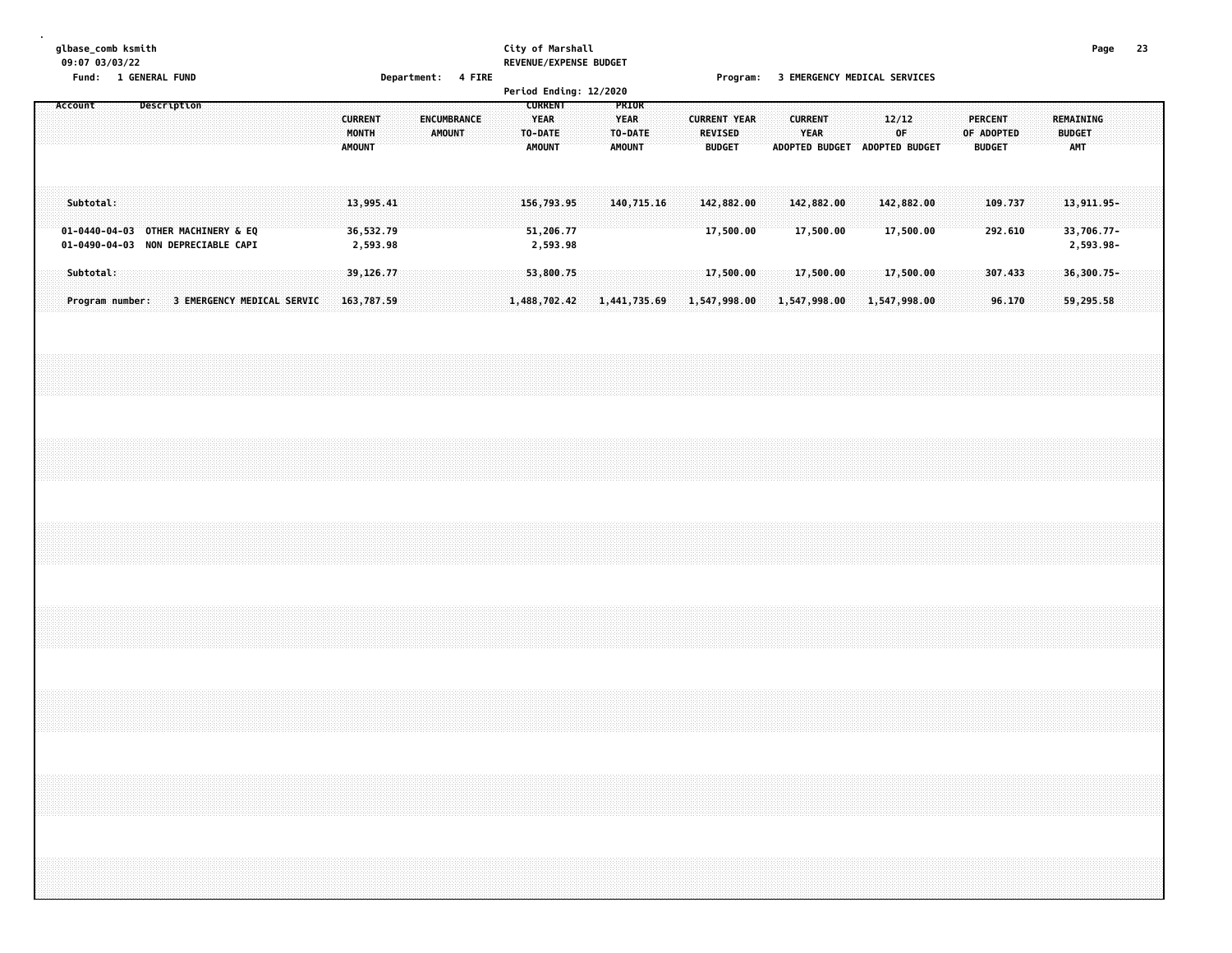#### **glbase\_comb ksmith City of Marshall Page 23 09:07 03/03/22 REVENUE/EXPENSE BUDGET**

**Fund: 1 GENERAL FUND Department: 4 FIRE Program: 3 EMERGENCY MEDICAL SERVICES**

|  | Account   |                 | Description                                                              |  |                            |  |                         |  |                       |  | <b>CURRENT</b>        | Period Ending: 12/2020 | PRIOR                  |              |  |                |                     |  |                               |  |              |                         |                               |  |                              |  |               |                         |  |  |
|--|-----------|-----------------|--------------------------------------------------------------------------|--|----------------------------|--|-------------------------|--|-----------------------|--|-----------------------|------------------------|------------------------|--------------|--|----------------|---------------------|--|-------------------------------|--|--------------|-------------------------|-------------------------------|--|------------------------------|--|---------------|-------------------------|--|--|
|  |           |                 |                                                                          |  |                            |  | <b>CURRENT</b><br>MONTH |  | ENCUMBRANCE<br>AMOUNT |  | YEAR<br>TO-DATE       |                        | <b>YEAR</b><br>TO-DATE |              |  | <b>REVISED</b> | <b>CURRENT YEAR</b> |  | <b>CURRENT</b><br><b>YEAR</b> |  |              | 12/12<br>0 <sup>F</sup> |                               |  | <b>PERCENT</b><br>OF ADOPTED |  | <b>BUDGET</b> | REMAINING               |  |  |
|  |           |                 |                                                                          |  |                            |  | <b>AMOUNT</b>           |  |                       |  | <b>AMOUNT</b>         |                        | <b>AMOUNT</b>          |              |  | <b>BUDGET</b>  |                     |  |                               |  |              |                         | ADOPTED BUDGET ADOPTED BUDGET |  | <b>BUDGET</b>                |  | AMT           |                         |  |  |
|  |           |                 |                                                                          |  |                            |  |                         |  |                       |  |                       |                        |                        |              |  |                |                     |  |                               |  |              |                         |                               |  |                              |  |               |                         |  |  |
|  | Subtotal: |                 |                                                                          |  |                            |  | 13,995.41               |  |                       |  | 156,793.95            |                        | 140,715.16             |              |  |                | 142,882.00          |  | 142,882.00                    |  | 142,882.00   |                         |                               |  | 109.737                      |  |               | 13, 911.95-             |  |  |
|  |           |                 | 01-0440-04-03 OTHER MACHINERY & EQ<br>01-0490-04-03 NON DEPRECIABLE CAPI |  |                            |  | 36,532.79<br>2,593.98   |  |                       |  | 51,206.77<br>2,593.98 |                        |                        |              |  |                | 17,500.00           |  | 17,500.00                     |  |              | 17,500.00               |                               |  | 292.610                      |  |               | 33,706.77-<br>2,593.98- |  |  |
|  | Subtotal: |                 |                                                                          |  |                            |  | 39,126.77               |  |                       |  | 53,800.75             |                        |                        |              |  |                | 17,500.00           |  | 17,500.00                     |  |              | 17,500.00               |                               |  | 307.433                      |  |               | $36,300.75 -$           |  |  |
|  |           | Program number: |                                                                          |  | 3 EMERGENCY MEDICAL SERVIC |  | 163,787.59              |  |                       |  | 1,488,702.42          |                        |                        | 1,441,735.69 |  |                | 1,547,998.00        |  | 1,547,998.00                  |  | 1,547,998.00 |                         |                               |  | 96.170                       |  |               | 59,295.58               |  |  |
|  |           |                 |                                                                          |  |                            |  |                         |  |                       |  |                       |                        |                        |              |  |                |                     |  |                               |  |              |                         |                               |  |                              |  |               |                         |  |  |
|  |           |                 |                                                                          |  |                            |  |                         |  |                       |  |                       |                        |                        |              |  |                |                     |  |                               |  |              |                         |                               |  |                              |  |               |                         |  |  |
|  |           |                 |                                                                          |  |                            |  |                         |  |                       |  |                       |                        |                        |              |  |                |                     |  |                               |  |              |                         |                               |  |                              |  |               |                         |  |  |
|  |           |                 |                                                                          |  |                            |  |                         |  |                       |  |                       |                        |                        |              |  |                |                     |  |                               |  |              |                         |                               |  |                              |  |               |                         |  |  |
|  |           |                 |                                                                          |  |                            |  |                         |  |                       |  |                       |                        |                        |              |  |                |                     |  |                               |  |              |                         |                               |  |                              |  |               |                         |  |  |
|  |           |                 |                                                                          |  |                            |  |                         |  |                       |  |                       |                        |                        |              |  |                |                     |  |                               |  |              |                         |                               |  |                              |  |               |                         |  |  |
|  |           |                 |                                                                          |  |                            |  |                         |  |                       |  |                       |                        |                        |              |  |                |                     |  |                               |  |              |                         |                               |  |                              |  |               |                         |  |  |
|  |           |                 |                                                                          |  |                            |  |                         |  |                       |  |                       |                        |                        |              |  |                |                     |  |                               |  |              |                         |                               |  |                              |  |               |                         |  |  |
|  |           |                 |                                                                          |  |                            |  |                         |  |                       |  |                       |                        |                        |              |  |                |                     |  |                               |  |              |                         |                               |  |                              |  |               |                         |  |  |
|  |           |                 |                                                                          |  |                            |  |                         |  |                       |  |                       |                        |                        |              |  |                |                     |  |                               |  |              |                         |                               |  |                              |  |               |                         |  |  |
|  |           |                 |                                                                          |  |                            |  |                         |  |                       |  |                       |                        |                        |              |  |                |                     |  |                               |  |              |                         |                               |  |                              |  |               |                         |  |  |
|  |           |                 |                                                                          |  |                            |  |                         |  |                       |  |                       |                        |                        |              |  |                |                     |  |                               |  |              |                         |                               |  |                              |  |               |                         |  |  |
|  |           |                 |                                                                          |  |                            |  |                         |  |                       |  |                       |                        |                        |              |  |                |                     |  |                               |  |              |                         |                               |  |                              |  |               |                         |  |  |
|  |           |                 |                                                                          |  |                            |  |                         |  |                       |  |                       |                        |                        |              |  |                |                     |  |                               |  |              |                         |                               |  |                              |  |               |                         |  |  |
|  |           |                 |                                                                          |  |                            |  |                         |  |                       |  |                       |                        |                        |              |  |                |                     |  |                               |  |              |                         |                               |  |                              |  |               |                         |  |  |
|  |           |                 |                                                                          |  |                            |  |                         |  |                       |  |                       |                        |                        |              |  |                |                     |  |                               |  |              |                         |                               |  |                              |  |               |                         |  |  |
|  |           |                 |                                                                          |  |                            |  |                         |  |                       |  |                       |                        |                        |              |  |                |                     |  |                               |  |              |                         |                               |  |                              |  |               |                         |  |  |
|  |           |                 |                                                                          |  |                            |  |                         |  |                       |  |                       |                        |                        |              |  |                |                     |  |                               |  |              |                         |                               |  |                              |  |               |                         |  |  |
|  |           |                 |                                                                          |  |                            |  |                         |  |                       |  |                       |                        |                        |              |  |                |                     |  |                               |  |              |                         |                               |  |                              |  |               |                         |  |  |
|  |           |                 |                                                                          |  |                            |  |                         |  |                       |  |                       |                        |                        |              |  |                |                     |  |                               |  |              |                         |                               |  |                              |  |               |                         |  |  |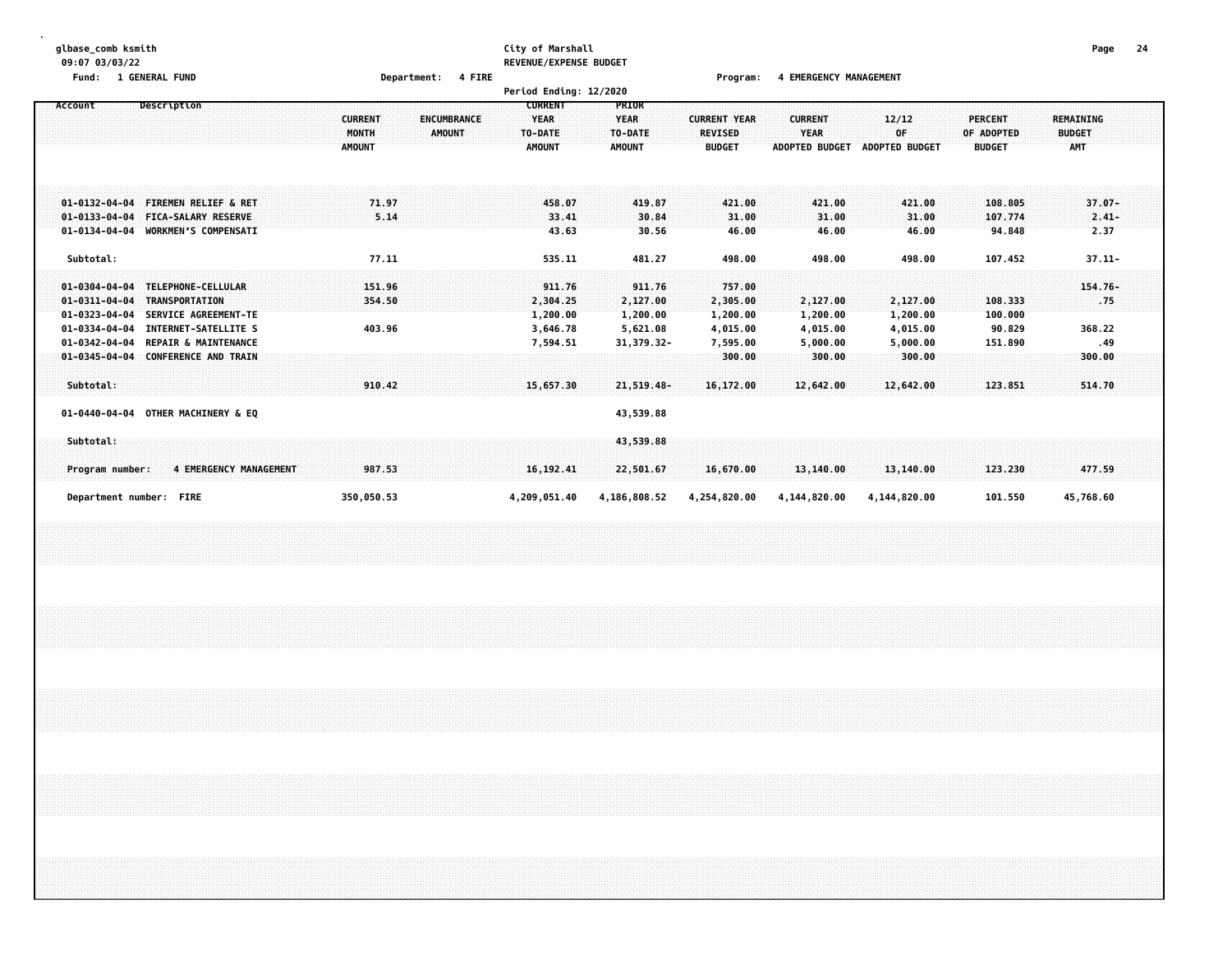# **glbase\_comb ksmith City of Marshall Page 24**

**09:07 03/03/22 REVENUE/EXPENSE BUDGET**

**Fund: 1 GENERAL FUND Department: 4 FIRE Program: 4 EMERGENCY MANAGEMENT**

|                                                                                                                                                                                                                                                                                                     |                                                                                 | Period Ending: 12/2020                                    |                                                            |                                                                  |                                                        |                                                        |                                               |                                             |
|-----------------------------------------------------------------------------------------------------------------------------------------------------------------------------------------------------------------------------------------------------------------------------------------------------|---------------------------------------------------------------------------------|-----------------------------------------------------------|------------------------------------------------------------|------------------------------------------------------------------|--------------------------------------------------------|--------------------------------------------------------|-----------------------------------------------|---------------------------------------------|
| Description<br>Account                                                                                                                                                                                                                                                                              | <b>CURRENT</b><br><b>ENCUMBRANCE</b><br>MONTH<br><b>AMOUNT</b><br><b>AMOUNT</b> | <b>CURRENT</b><br><b>YEAR</b><br>TO-DATE<br><b>AMOUNT</b> | PRIOR<br><b>YEAR</b><br>TO-DATE<br><b>AMOUNT</b>           | <b>CURRENT YEAR</b><br><b>REVISED</b><br><b>BUDGET</b>           | <b>CURRENT</b><br><b>YEAR</b><br><b>ADOPTED BUDGET</b> | 12/12<br>OF<br>ADOPTED BUDGET                          | <b>PERCENT</b><br>OF ADOPTED<br><b>BUDGET</b> | REMAINING<br><b>BUDGET</b><br><b>AMT</b>    |
| <b>FIREMEN RELIEF &amp; RET</b><br>$01 - 0132 - 04 - 04$<br><b>FICA-SALARY RESERVE</b><br>$01 - 0133 - 04 - 04$<br><b>WORKMEN'S COMPENSATI</b><br>01-0134-04-04                                                                                                                                     | 71.97<br>5.14                                                                   | 458.07<br>33.41<br>43.63                                  | 419.87<br>30.84<br>30.56                                   | 421.00<br>31.00<br>46.00                                         | 421.00<br>31.00<br>46.00                               | 421.00<br>31.00<br>46.00                               | 108.805<br>107.774<br>94.848                  | $37.07 -$<br>$2.41 -$<br>2.37               |
| Subtotal:                                                                                                                                                                                                                                                                                           | 77.11                                                                           | 535.11                                                    | 481.27                                                     | 498.00                                                           | 498.00                                                 | 498.00                                                 | 107.452                                       | $37.11 -$                                   |
| TELEPHONE-CELLULAR<br>$01 - 0304 - 04 - 04$<br>$01 - 0311 - 04 - 04$<br>TRANSPORTATION<br>$01 - 0323 - 04 - 04$<br>SERVICE AGREEMENT-TE<br>01-0334-04-04<br><b>INTERNET-SATELLITE S</b><br>01-0342-04-04<br><b>REPAIR &amp; MAINTENANCE</b><br><b>CONFERENCE AND TRAIN</b><br>$01 - 0345 - 04 - 04$ | 151.96<br>354.50<br>403.96                                                      | 911.76<br>2,304.25<br>1,200.00<br>3,646.78<br>7,594.51    | 911.76<br>2,127.00<br>1,200.00<br>5,621.08<br>31, 379. 32- | 757.00<br>2,305.00<br>1,200.00<br>4,015.00<br>7,595.00<br>300.00 | 2,127.00<br>1,200.00<br>4,015.00<br>5,000.00<br>300.00 | 2,127.00<br>1,200.00<br>4,015.00<br>5,000.00<br>300.00 | 108.333<br>100.000<br>90.829<br>151.890       | $154.76-$<br>.75<br>368.22<br>.49<br>300.00 |
| Subtotal:                                                                                                                                                                                                                                                                                           | 910.42                                                                          | 15,657.30                                                 | 21,519.48-                                                 | 16,172.00                                                        | 12,642.00                                              | 12,642.00                                              | 123.851                                       | 514.70                                      |
| 01-0440-04-04 OTHER MACHINERY & EQ                                                                                                                                                                                                                                                                  |                                                                                 |                                                           | 43,539.88                                                  |                                                                  |                                                        |                                                        |                                               |                                             |
| Subtotal:<br><b>4 EMERGENCY MANAGEMENT</b><br>Program number:                                                                                                                                                                                                                                       | 987.53                                                                          | 16, 192. 41                                               | 43,539.88<br>22,501.67                                     | 16,670.00                                                        | 13,140.00                                              | 13,140.00                                              | 123.230                                       | 477.59                                      |
| Department number: FIRE                                                                                                                                                                                                                                                                             | 350,050.53                                                                      | 4,209,051.40                                              | 4,186,808.52                                               | 4,254,820.00                                                     | 4,144,820.00                                           | 4,144,820.00                                           | 101.550                                       | 45,768.60                                   |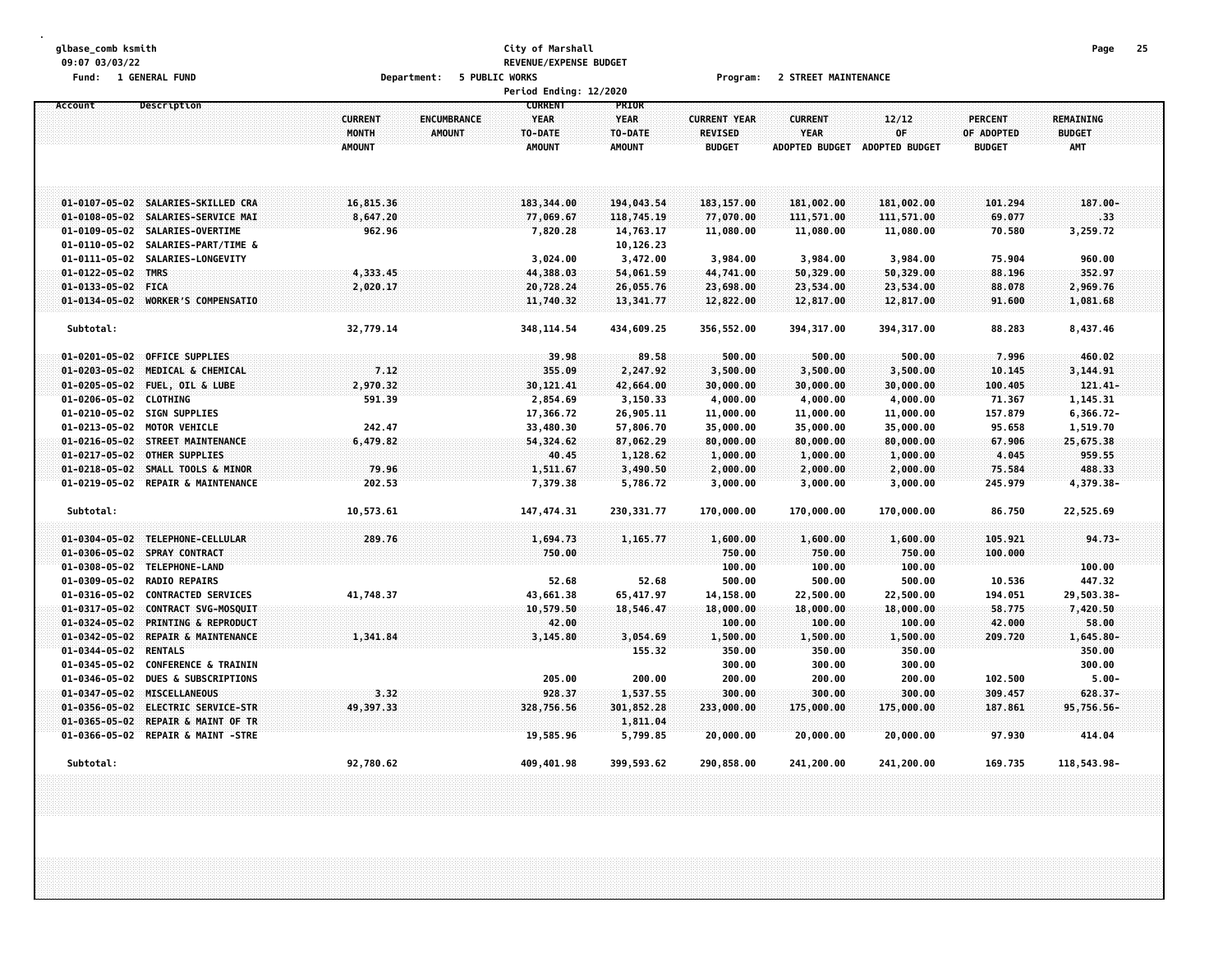#### **glbase\_comb ksmith City of Marshall Page 25 09:07 03/03/22 REVENUE/EXPENSE BUDGET Fund: 1 GENERAL FUND Department: 5 PUBLIC WORKS Program: 2 STREET MAINTENANCE**

|                            |                                    |                | Period Ending: 12/2020            |              |                     |                |                |                |                  |  |
|----------------------------|------------------------------------|----------------|-----------------------------------|--------------|---------------------|----------------|----------------|----------------|------------------|--|
| Account                    | Description                        |                | <b>CURRENT</b>                    | PRIOR        |                     |                |                |                |                  |  |
|                            |                                    | <b>CURRENT</b> | <b>YEAR</b><br><b>ENCUMBRANCE</b> | <b>YEAR</b>  | <b>CURRENT YEAR</b> | <b>CURRENT</b> | 12/12          | <b>PERCENT</b> | <b>REMAINING</b> |  |
|                            |                                    | <b>MONTH</b>   | <b>AMOUNT</b><br>TO-DATE          | TO-DATE      | REVISED             | <b>YEAR</b>    | OF             | OF ADOPTED     | <b>BUDGET</b>    |  |
|                            |                                    | <b>AMOUNT</b>  | <b>AMOUNT</b>                     | AMOUNT       | <b>BUDGET</b>       | ADOPTED BUDGET | ADOPTED BUDGET | <b>BUDGET</b>  | <b>AMT</b>       |  |
|                            |                                    |                |                                   |              |                     |                |                |                |                  |  |
|                            |                                    |                |                                   |              |                     |                |                |                |                  |  |
|                            | 01-0107-05-02 SALARIES-SKILLED CRA | 16,815.36      | 183, 344, 00                      | 194,043.54   | 183, 157.00         | 181,002.00     | 181,002.00     | 101.294        | $187.00 -$       |  |
|                            | 01-0108-05-02 SALARIES-SERVICE MAI | 8,647.20       | 77,069.67                         | 118,745.19   | 77,070.00           | 111,571.00     | 111,571.00     | 69.077         | . 33             |  |
|                            | 01-0109-05-02 SALARIES-OVERTIME    | 962.96         | 7,820.28                          | 14,763.17    | 11,080.00           | 11,080.00      | 11,080.00      | 70.580         | 3,259.72         |  |
|                            | 01-0110-05-02 SALARIES-PART/TIME & |                |                                   | 10,126.23    |                     |                |                |                |                  |  |
|                            | 01-0111-05-02 SALARIES-LONGEVITY   |                | 3,024.00                          | 3,472.00     | 3,984.00            | 3,984.00       | 3,984.00       | 75.904         | 960.00           |  |
| $01 - 0122 - 05 - 02$ TMRS |                                    | 4,333.45       | 44,388.03                         | 54,061.59    | 44,741.00           | 50,329.00      | 50,329.00      | 88.196         | 352.97           |  |
| 01-0133-05-02 FICA         |                                    | 2,020.17       | 20,728.24                         | 26,055.76    | 23,698.00           | 23,534.00      | 23,534.00      | 88.078         | 2,969.76         |  |
|                            | 01-0134-05-02 WORKER'S COMPENSATIO |                | 11,740.32                         | 13,341.77    | 12,822.00           | 12,817.00      | 12,817.00      | 91.600         | 1,081.68         |  |
| Subtotal:                  |                                    | 32,779.14      | 348, 114.54                       | 434,609.25   | 356,552.00          | 394, 317.00    | 394, 317.00    | 88.283         | 8,437.46         |  |
|                            | 01-0201-05-02 OFFICE SUPPLIES      |                | 39.98                             | 89.58        | 500.00              | 500.00         | 500.00         | 7.996          | 460.02           |  |
|                            | 01-0203-05-02 MEDICAL & CHEMICAL   | 7.12           | 355.09                            | 2,247.92     | 3,500.00            | 3,500.00       | 3,500.00       | 10.145         | 3,144.91         |  |
|                            | 01-0205-05-02 FUEL, OIL & LUBE     | 2,970.32       | 30,121.41                         | 42,664.00    | 30,000.00           | 30,000.00      | 30,000.00      | 100.405        | $121.41-$        |  |
| 01-0206-05-02 CLOTHING     |                                    | 591.39         | 2,854.69                          | 3,150.33     | 4,000.00            | 4,000.00       | 4,000.00       | 71.367         | 1,145.31         |  |
|                            | 01-0210-05-02 SIGN SUPPLIES        |                | 17,366.72                         | 26,905.11    | 11,000.00           | 11,000.00      | 11,000.00      | 157.879        | $6,366.72-$      |  |
|                            | 01-0213-05-02 MOTOR VEHICLE        | 242.47         | 33,480.30                         | 57,806.70    | 35,000.00           | 35,000.00      | 35,000.00      | 95.658         | 1,519.70         |  |
|                            | 01-0216-05-02 STREET MAINTENANCE   | 6,479.82       | 54,324.62                         | 87,062.29    | 80,000.00           | 80,000.00      | 80,000.00      | 67.906         | 25,675.38        |  |
|                            | 01-0217-05-02 OTHER SUPPLIES       |                | 40.45                             | 1,128.62     | 1,000.00            | 1,000.00       | 1,000.00       | 4.045          | 959.55           |  |
|                            | 01-0218-05-02 SMALL TOOLS & MINOR  | 79.96          | 1,511.67                          | 3,490.50     | 2,000.00            | 2,000.00       | 2,000.00       | 75.584         | 488.33           |  |
|                            | 01-0219-05-02 REPAIR & MAINTENANCE | 202.53         | 7,379.38                          | 5,786.72     | 3,000.00            | 3,000.00       | 3,000.00       | 245.979        | 4,379.38-        |  |
| Subtotal:                  |                                    | 10,573.61      | 147, 474.31                       | 230, 331.77  | 170,000.00          | 170,000.00     | 170,000.00     | 86.750         | 22,525.69        |  |
|                            | 01-0304-05-02 TELEPHONE-CELLULAR   | 289.76         | 1,694.73                          | 1,165.77     | 1,600.00            | 1,600.00       | 1,600.00       | 105.921        | $94.73 -$        |  |
|                            | 01-0306-05-02 SPRAY CONTRACT       |                | 750.00                            |              | 750.00              | 750.00         | 750.00         | 100,000        |                  |  |
|                            | 01-0308-05-02 TELEPHONE-LAND       |                |                                   |              | 100.00              | 100.00         | 100.00         |                | 100.00           |  |
| 01-0309-05-02              | <b>RADIO REPAIRS</b>               |                | 52.68                             | 52.68        | 500.00              | 500.00         | 500.00         | 10.536         | 447.32           |  |
|                            | 01-0316-05-02 CONTRACTED SERVICES  | 41,748.37      | 43,661.38                         | 65,417.97    | 14,158.00           | 22,500.00      | 22,500.00      | 194.051        | 29,503.38-       |  |
|                            | 01-0317-05-02 CONTRACT SVG-MOSQUIT |                | 10,579.50                         | 18,546.47    | 18,000.00           | 18,000.00      | 18,000.00      | 58.775         | 7,420.50         |  |
| $01 - 0324 - 05 - 02$      | <b>PRINTING &amp; REPRODUCT</b>    |                | 42.00                             |              | 100.00              | 100.00         | 100.00         | 42.000         | 58.00            |  |
| $01 - 0342 - 05 - 02$      | REPAIR & MAINTENANCE               | 1,341.84       | 3,145.80                          | 3,054.69     | 1,500.00            | 1,500.00       | 1,500.00       | 209.720        | $1,645.80 -$     |  |
| $01 - 0344 - 05 - 02$      | <b>RENTALS</b>                     |                |                                   | 155.32       | 350.00              | 350.00         | 350.00         |                | 350.00           |  |
| 01-0345-05-02              | <b>CONFERENCE &amp; TRAININ</b>    |                |                                   |              | 300.00              | 300.00         | 300.00         |                | 300.00           |  |
| 01-0346-05-02              | <b>DUES &amp; SUBSCRIPTIONS</b>    |                | 205.00                            | 200.00       | 200.00              | 200.00         | 200.00         | 102.500        | $5.00 -$         |  |
|                            | 01-0347-05-02 MISCELLANEOUS        | 3.32           | 928.37                            | 1,537.55     | 300.00              | 300.00         | 300.00         | 309.457        | $628.37 -$       |  |
|                            | 01-0356-05-02 ELECTRIC SERVICE-STR | 49,397.33      | 328,756.56                        | 301, 852, 28 | 233,000.00          | 175,000.00     | 175,000.00     | 187,861        | 95,756.56-       |  |
|                            | 01-0365-05-02 REPAIR & MAINT OF TR |                |                                   | 1,811.04     |                     |                |                |                |                  |  |
|                            | 01-0366-05-02 REPAIR & MAINT -STRE |                | 19,585.96                         | 5,799.85     | 20,000.00           | 20,000.00      | 20,000.00      | 97.930         | 414.04           |  |
| Subtotal:                  |                                    | 92,780.62      | 409,401.98                        | 399,593.62   | 290,858.00          | 241,200.00     | 241,200.00     | 169.735        | 118,543.98-      |  |
|                            |                                    |                |                                   |              |                     |                |                |                |                  |  |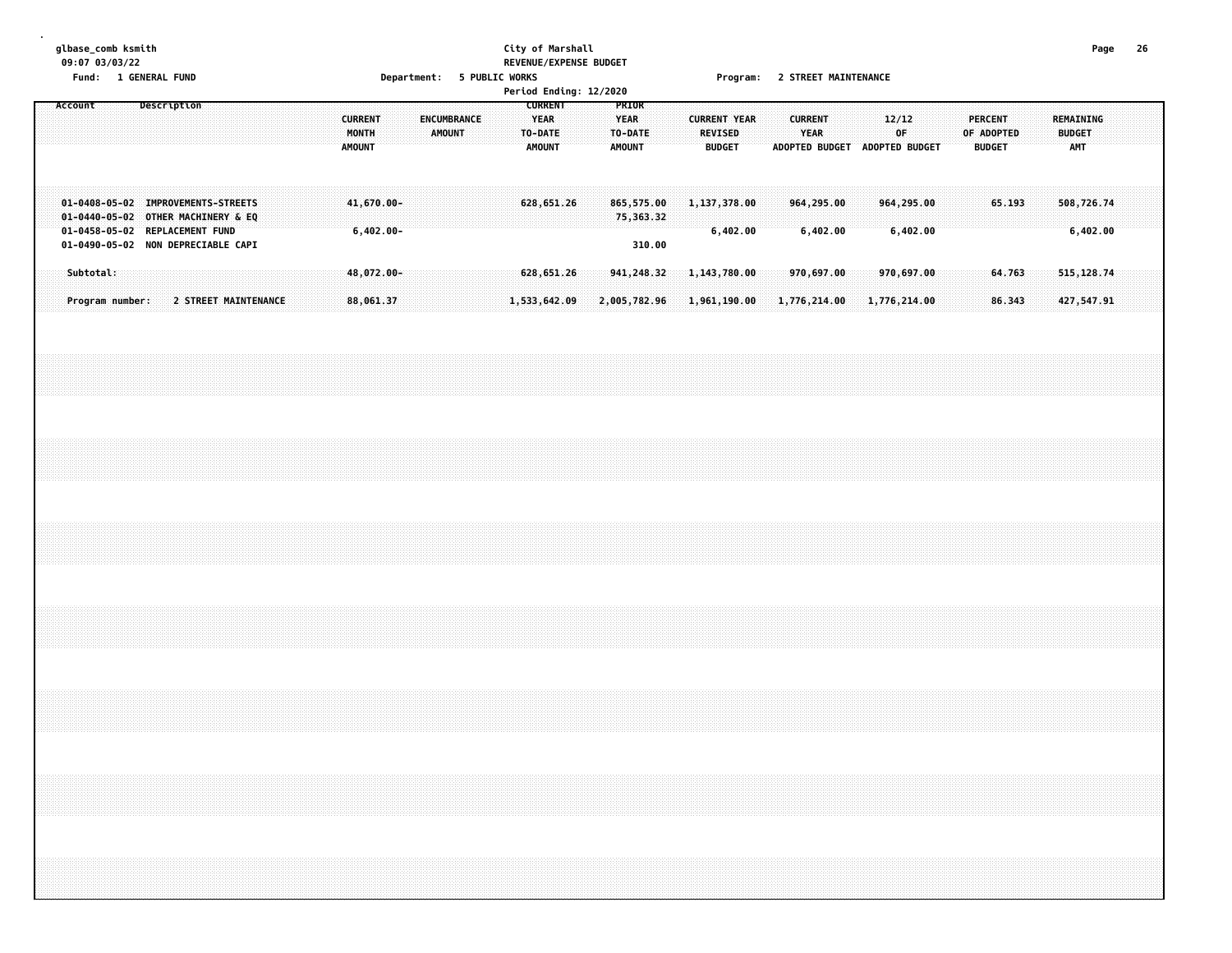#### **glbase\_comb ksmith City of Marshall Page 26 09:07 03/03/22 REVENUE/EXPENSE BUDGET Fund: 1 GENERAL FUND Department: 5 PUBLIC WORKS Program: 2 STREET MAINTENANCE**

|         |                                                                                                                                                  |             |                      |  |  |  |                                          |                            |  |                              |  |                                                           |                            | Period Ending: 12/2020 |                                                  |                                   |  |                |                                      |  |                            |          |                               |                            |          |  |                                        |  |               |                           |  |  |
|---------|--------------------------------------------------------------------------------------------------------------------------------------------------|-------------|----------------------|--|--|--|------------------------------------------|----------------------------|--|------------------------------|--|-----------------------------------------------------------|----------------------------|------------------------|--------------------------------------------------|-----------------------------------|--|----------------|--------------------------------------|--|----------------------------|----------|-------------------------------|----------------------------|----------|--|----------------------------------------|--|---------------|---------------------------|--|--|
| Account |                                                                                                                                                  | Description |                      |  |  |  | <b>CURRENT</b><br>MONTH<br><b>AMOUNT</b> |                            |  | <b>ENCUMBRANCE</b><br>AMOUNT |  | <b>CURRENT</b><br><b>YEAR</b><br>TO-DATE<br><b>AMOUNT</b> |                            |                        | PRIOR<br><b>YEAR</b><br>TO-DATE<br><b>AMOUNT</b> |                                   |  | <b>REVISED</b> | <b>CURRENT YEAR</b><br><b>BUDGET</b> |  | <b>CURRENT</b>             | YEAR     | ADOPTED BUDGET ADOPTED BUDGET | 12/12<br>0F                |          |  | PERCENT<br>OF ADOPTED<br><b>BUDGET</b> |  | <b>BUDGET</b> | REMAINING<br><b>AMT</b>   |  |  |
|         | 01-0408-05-02 IMPROVEMENTS-STREETS<br>01-0440-05-02 OTHER MACHINERY & EQ<br>01-0458-05-02 REPLACEMENT FUND<br>01-0490-05-02 NON DEPRECIABLE CAPI |             |                      |  |  |  |                                          | 41,670.00-<br>$6,402.00 -$ |  |                              |  |                                                           | 628, 651.26                |                        |                                                  | 865,575.00<br>75,363.32<br>310.00 |  |                | 1,137,378.00<br>6,402.00             |  | 964,295.00                 | 6,402.00 |                               | 964,295.00                 | 6,402.00 |  | 65.193                                 |  |               | 508,726.74<br>6,402.00    |  |  |
|         | Subtotal:<br>Program number:                                                                                                                     |             | 2 STREET MAINTENANCE |  |  |  |                                          | 48,072.00-<br>88,061.37    |  |                              |  |                                                           | 628,651.26<br>1,533,642.09 |                        |                                                  | 941,248.32<br>2,005,782.96        |  |                | 1,143,780.00<br>1,961,190.00         |  | 970,697.00<br>1,776,214.00 |          |                               | 970,697.00<br>1,776,214.00 |          |  | 64.763<br>86.343                       |  |               | 515, 128.74<br>427,547.91 |  |  |
|         |                                                                                                                                                  |             |                      |  |  |  |                                          |                            |  |                              |  |                                                           |                            |                        |                                                  |                                   |  |                |                                      |  |                            |          |                               |                            |          |  |                                        |  |               |                           |  |  |
|         |                                                                                                                                                  |             |                      |  |  |  |                                          |                            |  |                              |  |                                                           |                            |                        |                                                  |                                   |  |                |                                      |  |                            |          |                               |                            |          |  |                                        |  |               |                           |  |  |
|         |                                                                                                                                                  |             |                      |  |  |  |                                          |                            |  |                              |  |                                                           |                            |                        |                                                  |                                   |  |                |                                      |  |                            |          |                               |                            |          |  |                                        |  |               |                           |  |  |
|         |                                                                                                                                                  |             |                      |  |  |  |                                          |                            |  |                              |  |                                                           |                            |                        |                                                  |                                   |  |                |                                      |  |                            |          |                               |                            |          |  |                                        |  |               |                           |  |  |
|         |                                                                                                                                                  |             |                      |  |  |  |                                          |                            |  |                              |  |                                                           |                            |                        |                                                  |                                   |  |                |                                      |  |                            |          |                               |                            |          |  |                                        |  |               |                           |  |  |
|         |                                                                                                                                                  |             |                      |  |  |  |                                          |                            |  |                              |  |                                                           |                            |                        |                                                  |                                   |  |                |                                      |  |                            |          |                               |                            |          |  |                                        |  |               |                           |  |  |
|         |                                                                                                                                                  |             |                      |  |  |  |                                          |                            |  |                              |  |                                                           |                            |                        |                                                  |                                   |  |                |                                      |  |                            |          |                               |                            |          |  |                                        |  |               |                           |  |  |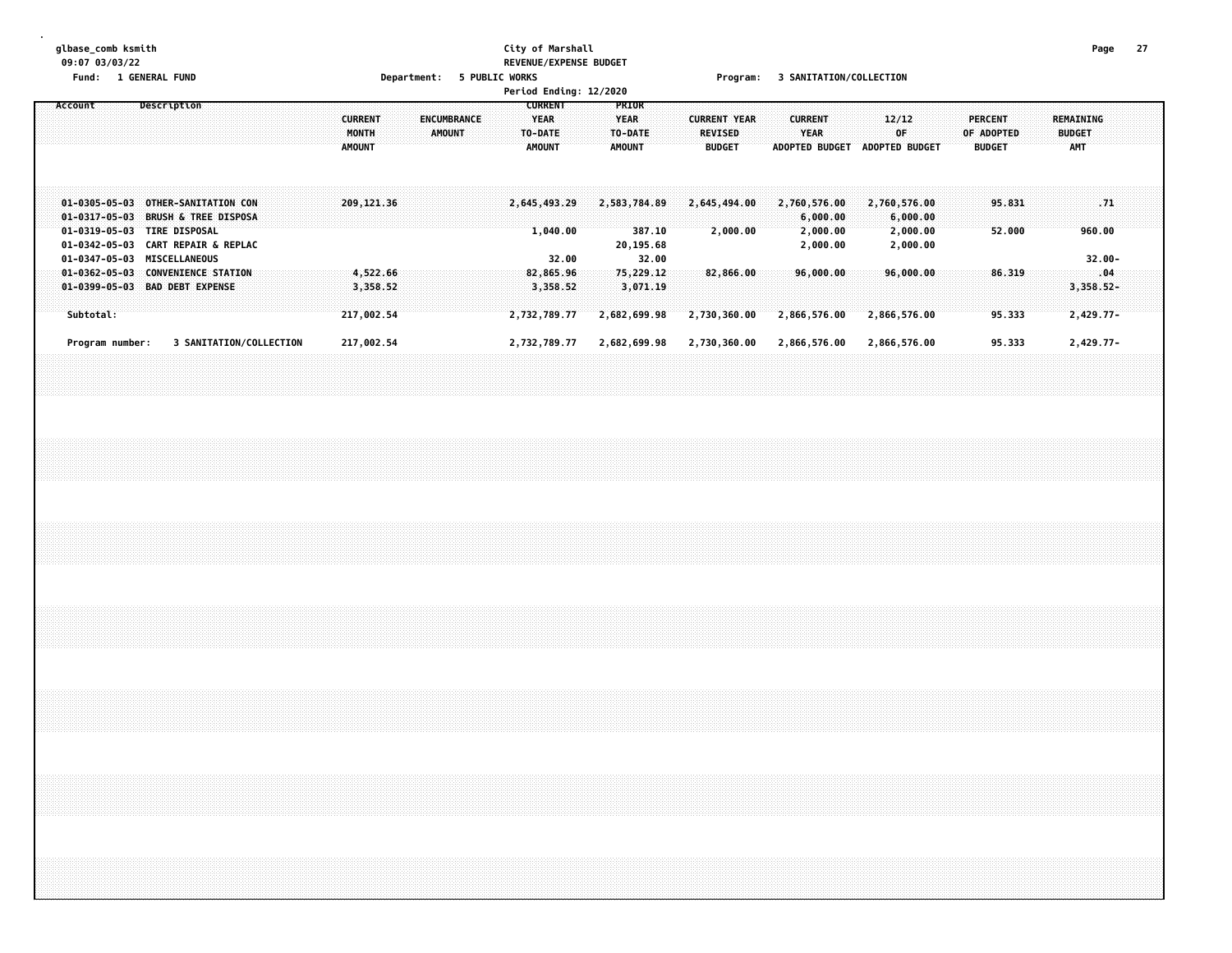#### **glbase\_comb ksmith City of Marshall Page 27 09:07 03/03/22 REVENUE/EXPENSE BUDGET Fund: 1 GENERAL FUND Department: 5 PUBLIC WORKS Program: 3 SANITATION/COLLECTION**

|                                                                                                                                                                              |  |             |                         |  |  |                                 |                                    |  |               |                    |  |                                         |                       | Period Ending: 12/2020 |                                                  |                                              |  |                                 |                           |  |                                                  |                               |              |                                  |  |                                 |                  |  |                                                 |                               |  |
|------------------------------------------------------------------------------------------------------------------------------------------------------------------------------|--|-------------|-------------------------|--|--|---------------------------------|------------------------------------|--|---------------|--------------------|--|-----------------------------------------|-----------------------|------------------------|--------------------------------------------------|----------------------------------------------|--|---------------------------------|---------------------------|--|--------------------------------------------------|-------------------------------|--------------|----------------------------------|--|---------------------------------|------------------|--|-------------------------------------------------|-------------------------------|--|
| Account                                                                                                                                                                      |  | Description |                         |  |  | <b>CURRENT</b><br><b>AMOUNT</b> | MONTH                              |  | <b>AMOUNT</b> | <b>ENCUMBRANCE</b> |  | <b>YEAR</b><br>TO-DATE<br><b>AMOUNT</b> | <b>CURRENT</b>        |                        | PRIOR<br><b>YEAR</b><br>TO-DATE<br><b>AMOUNT</b> |                                              |  | <b>REVISED</b><br><b>BUDGET</b> | <b>CURRENT YEAR</b>       |  | <b>CURRENT</b><br>YEAR                           | ADOPTED BUDGET ADOPTED BUDGET | 12/12<br>0F  |                                  |  | <b>PERCENT</b><br><b>BUDGET</b> | OF ADOPTED       |  | <b>REMAINING</b><br><b>BUDGET</b><br><b>AMT</b> |                               |  |
| 01-0305-05-03 OTHER-SANITATION CON<br>01-0317-05-03 BRUSH & TREE DISPOSA<br>01-0319-05-03 TIRE DISPOSAL<br>01-0342-05-03 CART REPAIR & REPLAC<br>01-0347-05-03 MISCELLANEOUS |  |             |                         |  |  |                                 | 209,121.36                         |  |               |                    |  | 2,645,493.29                            | 1,040.00<br>32.00     |                        |                                                  | 2,583,784.89<br>387.10<br>20,195.68<br>32.00 |  |                                 | 2,645,494.00<br>2,000.00  |  | 2,760,576.00<br>6,000.00<br>2,000.00<br>2,000.00 |                               | 2,760,576.00 | 6,000.00<br>2,000.00<br>2,000.00 |  |                                 | 95.831<br>52.000 |  |                                                 | .71<br>960.00<br>$32.00 -$    |  |
| 01-0362-05-03 CONVENIENCE STATION<br>01-0399-05-03 BAD DEBT EXPENSE<br>Subtotal:                                                                                             |  |             |                         |  |  |                                 | 4,522.66<br>3,358.52<br>217,002.54 |  |               |                    |  | 2,732,789.77                            | 82,865.96<br>3,358.52 |                        |                                                  | 75,229.12<br>3,071.19<br>2,682,699.98        |  |                                 | 82,866.00<br>2,730,360.00 |  | 96,000.00<br>2,866,576.00                        |                               | 2,866,576.00 | 96,000.00                        |  |                                 | 86.319<br>95.333 |  |                                                 | .04<br>3,358.52-<br>2,429.77- |  |
| Program number:                                                                                                                                                              |  |             | 3 SANITATION/COLLECTION |  |  |                                 | 217,002.54                         |  |               |                    |  | 2,732,789.77                            |                       |                        |                                                  | 2,682,699.98                                 |  |                                 | 2,730,360.00              |  | 2,866,576.00                                     |                               | 2,866,576.00 |                                  |  |                                 | 95.333           |  |                                                 | 2,429.77-                     |  |
|                                                                                                                                                                              |  |             |                         |  |  |                                 |                                    |  |               |                    |  |                                         |                       |                        |                                                  |                                              |  |                                 |                           |  |                                                  |                               |              |                                  |  |                                 |                  |  |                                                 |                               |  |
|                                                                                                                                                                              |  |             |                         |  |  |                                 |                                    |  |               |                    |  |                                         |                       |                        |                                                  |                                              |  |                                 |                           |  |                                                  |                               |              |                                  |  |                                 |                  |  |                                                 |                               |  |
|                                                                                                                                                                              |  |             |                         |  |  |                                 |                                    |  |               |                    |  |                                         |                       |                        |                                                  |                                              |  |                                 |                           |  |                                                  |                               |              |                                  |  |                                 |                  |  |                                                 |                               |  |
|                                                                                                                                                                              |  |             |                         |  |  |                                 |                                    |  |               |                    |  |                                         |                       |                        |                                                  |                                              |  |                                 |                           |  |                                                  |                               |              |                                  |  |                                 |                  |  |                                                 |                               |  |
|                                                                                                                                                                              |  |             |                         |  |  |                                 |                                    |  |               |                    |  |                                         |                       |                        |                                                  |                                              |  |                                 |                           |  |                                                  |                               |              |                                  |  |                                 |                  |  |                                                 |                               |  |
|                                                                                                                                                                              |  |             |                         |  |  |                                 |                                    |  |               |                    |  |                                         |                       |                        |                                                  |                                              |  |                                 |                           |  |                                                  |                               |              |                                  |  |                                 |                  |  |                                                 |                               |  |
|                                                                                                                                                                              |  |             |                         |  |  |                                 |                                    |  |               |                    |  |                                         |                       |                        |                                                  |                                              |  |                                 |                           |  |                                                  |                               |              |                                  |  |                                 |                  |  |                                                 |                               |  |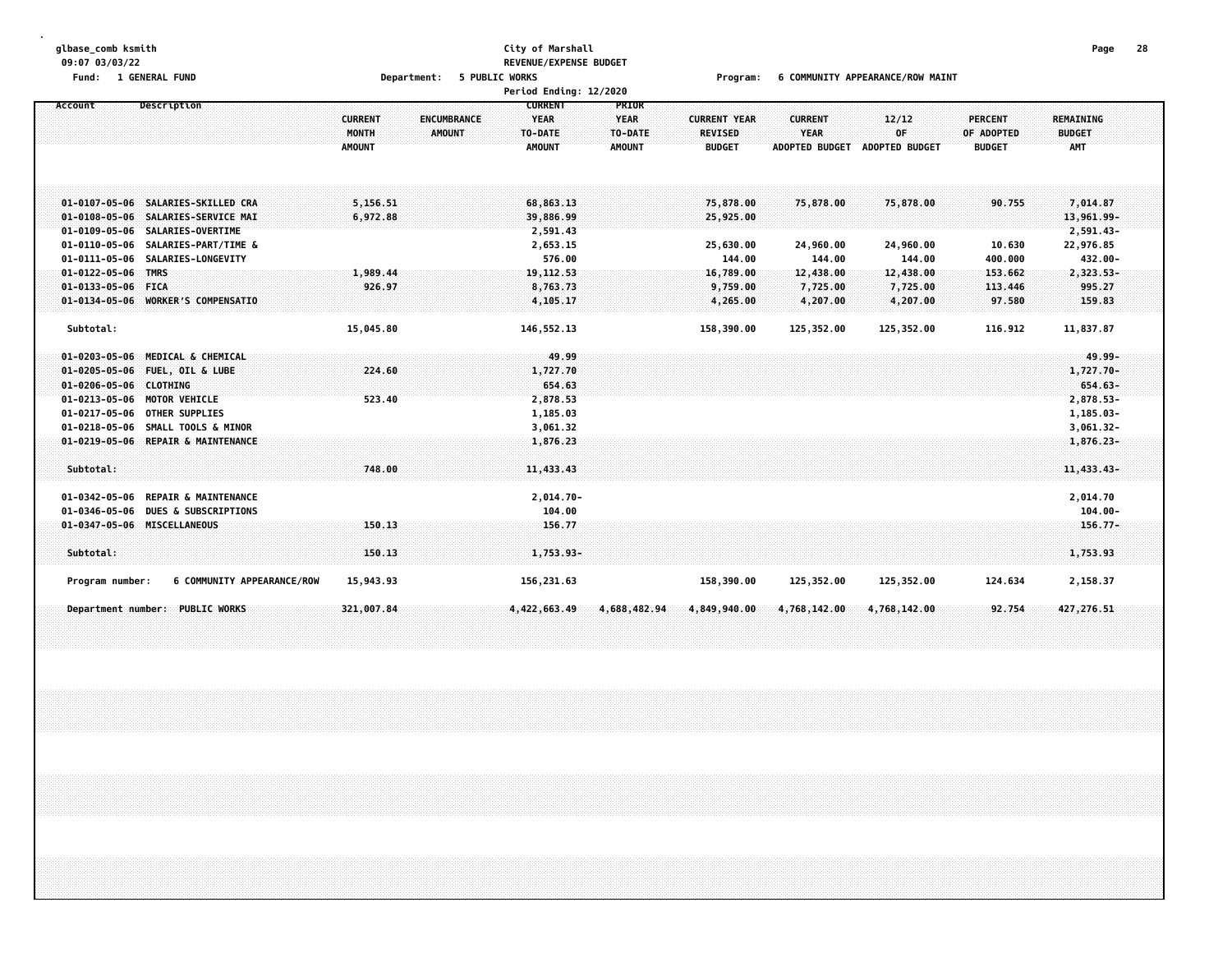#### **glbase\_comb ksmith City of Marshall Page 28 09:07 03/03/22 REVENUE/EXPENSE BUDGET**

Fund: 1 GENERAL FUND CONDUCT MARINT CONDUCT AND RESPONDENT TO A DEPARTMENT COMMUNITY APPEARANCE/ROW MAINT

|                                                                                                                                                                                                                                                                                               |                                            | Period Ending: 12/2020                                                                           |                                                                                                     |                                                                       |                                                                       |                                                             |                                                                                                       |  |
|-----------------------------------------------------------------------------------------------------------------------------------------------------------------------------------------------------------------------------------------------------------------------------------------------|--------------------------------------------|--------------------------------------------------------------------------------------------------|-----------------------------------------------------------------------------------------------------|-----------------------------------------------------------------------|-----------------------------------------------------------------------|-------------------------------------------------------------|-------------------------------------------------------------------------------------------------------|--|
| Account<br>Description                                                                                                                                                                                                                                                                        | <b>CURRENT</b><br>MONTH<br><b>AMOUNT</b>   | <b>CURRENT</b><br><b>YEAR</b><br><b>ENCUMBRANCE</b><br><b>AMOUNT</b><br>TO-DATE<br><b>AMOUNT</b> | PRIOR<br><b>YEAR</b><br><b>CURRENT YEAR</b><br>TO-DATE<br><b>REVISED</b><br>AMOUNT<br><b>BUDGET</b> | <b>CURRENT</b><br><b>YEAR</b><br><b>ADOPTED BUDGET</b>                | 12/12<br>OF<br><b>ADOPTED BUDGET</b>                                  | <b>PERCENT</b><br>OF ADOPTED<br><b>BUDGET</b>               | REMAINING<br><b>BUDGET</b><br>AMT                                                                     |  |
| 01-0107-05-06 SALARIES-SKILLED CRA<br>SALARIES-SERVICE MAI<br>$01 - 0108 - 05 - 06$<br>01-0109-05-06 SALARIES-OVERTIME<br>01-0110-05-06 SALARIES-PART/TIME &<br>01-0111-05-06 SALARIES-LONGEVITY<br>TMRS<br>$01 - 0122 - 05 - 06$<br>01-0133-05-06 FICA<br>01-0134-05-06 WORKER'S COMPENSATIO | 5,156.51<br>6,972.88<br>1,989.44<br>926.97 | 68,863.13<br>39,886.99<br>2,591.43<br>2,653.15<br>576.00<br>19,112.53<br>8,763.73<br>4,105.17    | 75,878.00<br>25,925.00<br>25,630.00<br>144.00<br>16,789.00<br>9,759.00<br>4,265.00                  | 75,878.00<br>24,960.00<br>144.00<br>12,438.00<br>7,725.00<br>4,207.00 | 75,878.00<br>24,960.00<br>144.00<br>12,438.00<br>7,725.00<br>4,207.00 | 90.755<br>10.630<br>400.000<br>153.662<br>113.446<br>97.580 | 7,014.87<br>13,961.99-<br>2,591.43-<br>22,976.85<br>432.00-<br>2,323.53-<br>995.27<br>159.83          |  |
| Subtotal:                                                                                                                                                                                                                                                                                     | 15,045.80                                  | 146,552.13                                                                                       | 158,390.00                                                                                          | 125,352.00                                                            | 125,352.00                                                            | 116.912                                                     | 11,837.87                                                                                             |  |
| 01-0203-05-06 MEDICAL & CHEMICAL<br>01-0205-05-06 FUEL, OIL & LUBE<br>01-0206-05-06 CLOTHING<br>$01 - 0213 - 05 - 06$<br><b>MOTOR VEHICLE</b><br><b>OTHER SUPPLIES</b><br>01-0217-05-06<br>$01 - 0218 - 05 - 06$<br>SMALL TOOLS & MINOR<br>01-0219-05-06 REPAIR & MAINTENANCE<br>Subtotal:    | 224.60<br>523.40<br>748.00                 | 49.99<br>1,727.70<br>654.63<br>2,878.53<br>1,185.03<br>3,061.32<br>1,876.23<br>11,433.43         |                                                                                                     |                                                                       |                                                                       |                                                             | 49.99-<br>1,727.70-<br>654.63-<br>2,878.53-<br>1,185.03-<br>$3,061.32 -$<br>$1,876.23-$<br>11,433.43- |  |
| <b>REPAIR &amp; MAINTENANCE</b><br>01-0342-05-06<br>01-0346-05-06 DUES & SUBSCRIPTIONS<br>01-0347-05-06 MISCELLANEOUS                                                                                                                                                                         | 150.13                                     | $2,014.70-$<br>104.00<br>156.77                                                                  |                                                                                                     |                                                                       |                                                                       |                                                             | 2,014.70<br>$104.00 -$<br>$156.77 -$                                                                  |  |
| Subtotal:                                                                                                                                                                                                                                                                                     | 150.13                                     | 1,753.93-                                                                                        |                                                                                                     |                                                                       |                                                                       |                                                             | 1,753.93                                                                                              |  |
| 6 COMMUNITY APPEARANCE/ROW<br>Program number:                                                                                                                                                                                                                                                 | 15,943.93                                  | 156,231.63                                                                                       | 158,390.00                                                                                          | 125,352.00                                                            | 125,352.00                                                            | 124.634                                                     | 2,158.37                                                                                              |  |
| Department number: PUBLIC WORKS                                                                                                                                                                                                                                                               | 321,007.84                                 | 4,422,663.49                                                                                     | 4,688,482.94<br>4,849,940.00                                                                        | 4,768,142.00                                                          | 4,768,142.00                                                          | 92.754                                                      | 427,276.51                                                                                            |  |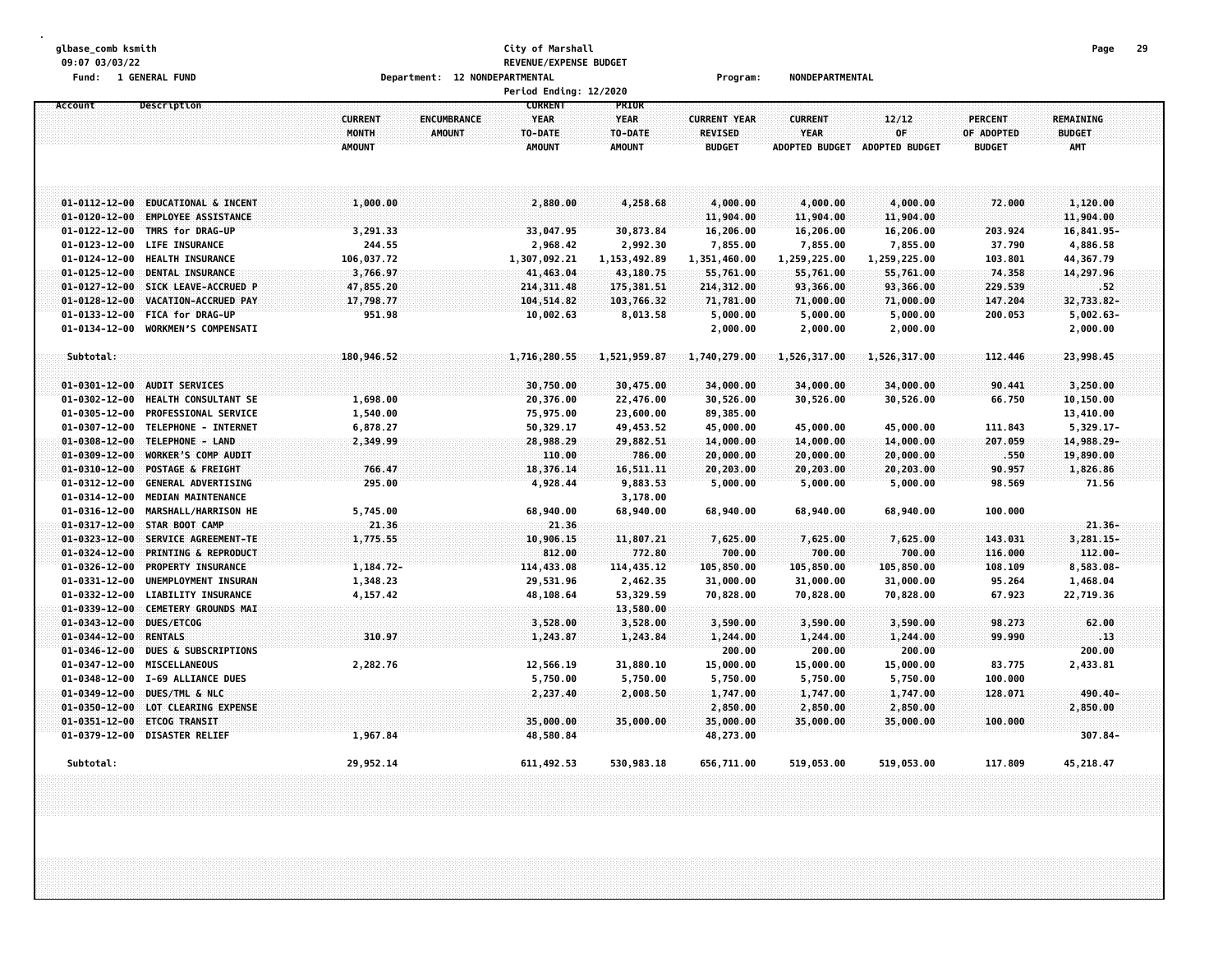#### **glbase\_comb ksmith City of Marshall Page 29 09:07 03/03/22 REVENUE/EXPENSE BUDGET Fund: 1 GENERAL FUND Department: 12 NONDEPARTMENTAL Program: NONDEPARTMENTAL**

|                       |                                 |                                          | Period Ending: 12/2020                                                                           |                                                  |                                                        |                                                        |                                      |                                               |                                                 |  |
|-----------------------|---------------------------------|------------------------------------------|--------------------------------------------------------------------------------------------------|--------------------------------------------------|--------------------------------------------------------|--------------------------------------------------------|--------------------------------------|-----------------------------------------------|-------------------------------------------------|--|
| Account               | Description                     | <b>CURRENT</b><br>MONTH<br><b>AMOUNT</b> | <b>CURRENT</b><br><b>ENCUMBRANCE</b><br><b>YEAR</b><br><b>AMOUNT</b><br>TO-DATE<br><b>AMOUNT</b> | PRIOR<br><b>YEAR</b><br>TO-DATE<br><b>AMOUNT</b> | <b>CURRENT YEAR</b><br><b>REVISED</b><br><b>BUDGET</b> | <b>CURRENT</b><br><b>YEAR</b><br><b>ADOPTED BUDGET</b> | 12/12<br>OF<br><b>ADOPTED BUDGET</b> | <b>PERCENT</b><br>OF ADOPTED<br><b>BUDGET</b> | <b>REMAINING</b><br><b>BUDGET</b><br><b>AMT</b> |  |
| $01 - 0112 - 12 - 00$ | <b>EDUCATIONAL &amp; INCENT</b> | 1,000.00                                 | 2,880.00                                                                                         | 4,258.68                                         | 4,000.00                                               | 4,000.00                                               | 4,000.00                             | 72.000                                        | 1,120.00                                        |  |
| $01 - 0120 - 12 - 00$ | <b>EMPLOYEE ASSISTANCE</b>      |                                          |                                                                                                  |                                                  | 11,904.00                                              | 11,904.00                                              | 11,904.00                            |                                               | 11,904.00                                       |  |
| $01 - 0122 - 12 - 00$ | TMRS for DRAG-UP                | 3,291.33                                 | 33,047.95                                                                                        | 30,873.84                                        | 16,206.00                                              | 16,206.00                                              | 16,206.00                            | 203.924                                       | 16,841.95-                                      |  |
| $01 - 0123 - 12 - 00$ | <b>LIFE INSURANCE</b>           | 244.55                                   | 2,968.42                                                                                         | 2,992.30                                         | 7,855.00                                               | 7,855.00                                               | 7,855.00                             | 37.790                                        | 4,886.58                                        |  |
| $01 - 0124 - 12 - 00$ | HEALTH INSURANCE                | 106,037.72                               | 1,307,092.21                                                                                     | 1, 153, 492.89                                   | 1,351,460.00                                           | 1,259,225.00                                           | 1,259,225.00                         | 103.801                                       | 44,367.79                                       |  |
| $01 - 0125 - 12 - 00$ | DENTAL INSURANCE                | 3,766.97                                 | 41,463.04                                                                                        | 43,180.75                                        | 55,761.00                                              | 55,761.00                                              | 55,761.00                            | 74.358                                        | 14,297.96                                       |  |
| $01 - 0127 - 12 - 00$ | SICK LEAVE-ACCRUED P            | 47,855.20                                | 214, 311.48                                                                                      | 175,381.51                                       | 214,312.00                                             | 93,366.00                                              | 93,366.00                            | 229.539                                       | .52                                             |  |
| $01 - 0128 - 12 - 00$ | VACATION-ACCRUED PAY            | 17,798.77                                | 104,514.82                                                                                       | 103,766.32                                       | 71,781.00                                              | 71,000.00                                              | 71,000.00                            | 147.204                                       | 32,733.82-                                      |  |
| $01 - 0133 - 12 - 00$ | <b>FICA for DRAG-UP</b>         | 951.98                                   | 10,002.63                                                                                        | 8,013.58                                         | 5,000.00                                               | 5,000.00                                               | 5,000.00                             | 200.053                                       | $5,002.63-$                                     |  |
| $01 - 0134 - 12 - 00$ | <b>WORKMEN'S COMPENSATI</b>     |                                          |                                                                                                  |                                                  | 2,000.00                                               | 2,000.00                                               | 2,000.00                             |                                               | 2,000.00                                        |  |
| Subtotal:             |                                 | 180,946.52                               | 1,716,280.55                                                                                     | 1,521,959.87                                     | 1,740,279.00                                           | 1,526,317.00                                           | 1,526,317.00                         | 112.446                                       | 23,998.45                                       |  |
| $01 - 0301 - 12 - 00$ | <b>AUDIT SERVICES</b>           |                                          | 30,750.00                                                                                        | 30,475.00                                        | 34,000.00                                              | 34,000.00                                              | 34,000.00                            | 90.441                                        | 3,250.00                                        |  |
| $01 - 0302 - 12 - 00$ | HEALTH CONSULTANT SE            | 1,698.00                                 | 20,376.00                                                                                        | 22,476.00                                        | 30,526.00                                              | 30,526.00                                              | 30,526.00                            | 66.750                                        | 10,150.00                                       |  |
| $01 - 0305 - 12 - 00$ | PROFESSIONAL SERVICE            | 1,540.00                                 | 75,975.00                                                                                        | 23,600.00                                        | 89,385.00                                              |                                                        |                                      |                                               | 13,410.00                                       |  |
| $01 - 0307 - 12 - 00$ | TELEPHONE - INTERNET            | 6,878.27                                 | 50,329.17                                                                                        | 49,453.52                                        | 45,000.00                                              | 45,000.00                                              | 45,000.00                            | 111.843                                       | 5,329.17-                                       |  |
| $01 - 0308 - 12 - 00$ | TELEPHONE - LAND                | 2,349.99                                 | 28,988.29                                                                                        | 29,882.51                                        | 14,000.00                                              | 14,000.00                                              | 14,000.00                            | 207.059                                       | 14,988.29-                                      |  |
| $01 - 0309 - 12 - 00$ | <b>WORKER'S COMP AUDIT</b>      |                                          | 110.00                                                                                           | 786.00                                           | 20,000.00                                              | 20,000.00                                              | 20,000.00                            | .550                                          | 19,890.00                                       |  |
| $01 - 0310 - 12 - 00$ | <b>POSTAGE &amp; FREIGHT</b>    | 766.47                                   | 18,376.14                                                                                        | 16,511.11                                        | 20,203.00                                              | 20,203.00                                              | 20,203.00                            | 90.957                                        | 1,826.86                                        |  |
| $01 - 0312 - 12 - 00$ | <b>GENERAL ADVERTISING</b>      | 295.00                                   | 4,928.44                                                                                         | 9,883.53                                         | 5,000.00                                               | 5,000.00                                               | 5,000.00                             | 98.569                                        | 71.56                                           |  |
| $01 - 0314 - 12 - 00$ | <b>MEDIAN MAINTENANCE</b>       |                                          |                                                                                                  | 3,178.00                                         |                                                        |                                                        |                                      |                                               |                                                 |  |
| $01 - 0316 - 12 - 00$ | <b>MARSHALL/HARRISON HE</b>     | 5,745.00                                 | 68,940.00                                                                                        | 68,940.00                                        | 68,940.00                                              | 68,940.00                                              | 68,940.00                            | 100.000                                       |                                                 |  |
| $01 - 0317 - 12 - 00$ | STAR BOOT CAMP                  | 21.36                                    | 21.36                                                                                            |                                                  |                                                        |                                                        |                                      |                                               | $21.36 -$                                       |  |
| $01 - 0323 - 12 - 00$ | SERVICE AGREEMENT-TE            | 1,775.55                                 | 10,906.15                                                                                        | 11,807.21                                        | 7,625.00                                               | 7,625.00                                               | 7,625.00                             | 143.031                                       | $3,281.15-$                                     |  |
| $01 - 0324 - 12 - 00$ | <b>PRINTING &amp; REPRODUCT</b> |                                          | 812,00                                                                                           | 772.80                                           | 700.00                                                 | 700.00                                                 | 700.00                               | 116,000                                       | $112.00 -$                                      |  |
| $01 - 0326 - 12 - 00$ | <b>PROPERTY INSURANCE</b>       | 1,184.72-                                | 114,433.08                                                                                       | 114,435.12                                       | 105,850.00                                             | 105,850.00                                             | 105,850.00                           | 108.109                                       | 8,583.08-                                       |  |
| $01 - 0331 - 12 - 00$ | UNEMPLOYMENT INSURAN            | 1,348.23                                 | 29,531.96                                                                                        | 2,462.35                                         | 31,000.00                                              | 31,000.00                                              | 31,000.00                            | 95.264                                        | 1,468.04                                        |  |
| $01 - 0332 - 12 - 00$ | <b>LIABILITY INSURANCE</b>      | 4,157.42                                 | 48,108.64                                                                                        | 53,329.59                                        | 70,828.00                                              | 70,828.00                                              | 70,828.00                            | 67.923                                        | 22,719.36                                       |  |
| $01 - 0339 - 12 - 00$ | <b>CEMETERY GROUNDS MAI</b>     |                                          |                                                                                                  | 13,580.00                                        |                                                        |                                                        |                                      |                                               |                                                 |  |
| $01 - 0343 - 12 - 00$ | DUES/ETCOG                      |                                          | 3,528.00                                                                                         | 3,528.00                                         | 3,590.00                                               | 3,590.00                                               | 3,590.00                             | 98.273                                        | 62.00                                           |  |
| $01 - 0344 - 12 - 00$ | <b>RENTALS</b>                  | 310.97                                   | 1,243.87                                                                                         | 1,243.84                                         | 1,244.00                                               | 1,244.00                                               | 1,244.00                             | 99.990                                        | .13                                             |  |
| $01 - 0346 - 12 - 00$ | <b>DUES &amp; SUBSCRIPTIONS</b> |                                          |                                                                                                  |                                                  | 200.00                                                 | 200.00                                                 | 200.00                               |                                               | 200.00                                          |  |
| $01 - 0347 - 12 - 00$ | <b>MISCELLANEOUS</b>            | 2,282.76                                 | 12,566.19                                                                                        | 31,880.10                                        | 15,000.00                                              | 15,000.00                                              | 15,000.00                            | 83.775                                        | 2,433.81                                        |  |
| $01 - 0348 - 12 - 00$ | <b>I-69 ALLIANCE DUES</b>       |                                          | 5,750.00                                                                                         | 5,750.00                                         | 5,750.00                                               | 5,750.00                                               | 5,750.00                             | 100.000                                       |                                                 |  |
| $01 - 0349 - 12 - 00$ | DUES/TML & NLC                  |                                          | 2,237.40                                                                                         | 2,008.50                                         | 1,747.00                                               | 1,747.00                                               | 1,747.00                             | 128.071                                       | 490.40-                                         |  |
| $01 - 0350 - 12 - 00$ | LOT CLEARING EXPENSE            |                                          |                                                                                                  |                                                  | 2,850.00                                               | 2,850.00                                               | 2,850.00                             |                                               | 2,850.00                                        |  |
| $01 - 0351 - 12 - 00$ | <b>ETCOG TRANSIT</b>            |                                          | 35,000.00                                                                                        | 35,000.00                                        | 35,000.00                                              | 35,000.00                                              | 35,000.00                            | 100.000                                       |                                                 |  |
| $01 - 0379 - 12 - 00$ | <b>DISASTER RELIEF</b>          | 1,967.84                                 | 48,580.84                                                                                        |                                                  | 48,273.00                                              |                                                        |                                      |                                               | 307.84-                                         |  |
| Subtotal:             |                                 | 29,952.14                                | 611,492.53                                                                                       | 530,983.18                                       | 656,711.00                                             | 519,053.00                                             | 519,053.00                           | 117.809                                       | 45,218.47                                       |  |
|                       |                                 |                                          |                                                                                                  |                                                  |                                                        |                                                        |                                      |                                               |                                                 |  |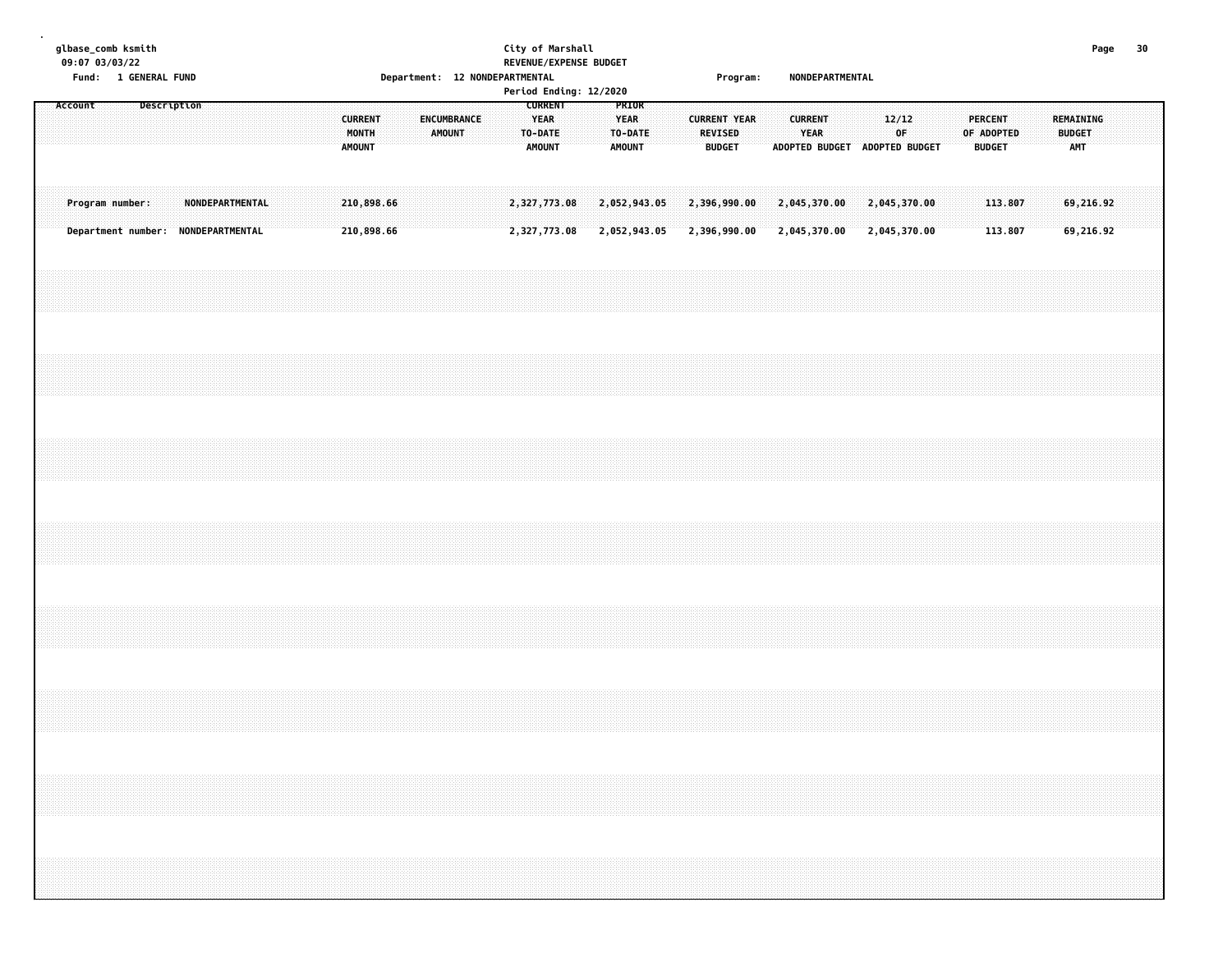# **glbase\_comb ksmith City of Marshall Page 30 09:07 03/03/22 REVENUE/EXPENSE BUDGET**

**Fund: 1 GENERAL FUND Department: 12 NONDEPARTMENTAL Program: NONDEPARTMENTAL**

|  | , unu . | <b>T ALMENTE I AIA</b>                                |             |  |                        |  |  |                                 |       |  |        | Debat calcules as MONDELUNTHERING |  | Period Ending: 12/2020                      |  |                                           |  |              |                                                 | r ı vyı alır. |  |                                                         | <b>NUMBER ANTIFICIAL</b> |  |             |                              |  |                                               |                    |  |                                   |  |  |
|--|---------|-------------------------------------------------------|-------------|--|------------------------|--|--|---------------------------------|-------|--|--------|-----------------------------------|--|---------------------------------------------|--|-------------------------------------------|--|--------------|-------------------------------------------------|---------------|--|---------------------------------------------------------|--------------------------|--|-------------|------------------------------|--|-----------------------------------------------|--------------------|--|-----------------------------------|--|--|
|  | Account |                                                       | Description |  |                        |  |  | <b>CURRENT</b><br><b>AMOUNT</b> | MONTH |  | AMOUNT | ENCUMBRANCE                       |  | <b>CURRENT</b><br>YEAR<br>TO-DATE<br>AMOUNT |  | PRIOR<br>YEAR<br>TO-DATE<br><b>AMOUNT</b> |  |              | <b>CURRENT YEAR</b><br>REVISED<br><b>BUDGET</b> |               |  | <b>CURRENT</b><br>YEAR<br>ADOPTED BUDGET ADOPTED BUDGET |                          |  | 12/12<br>OF |                              |  | <b>PERCENT</b><br>OF ADOPTED<br><b>BUDGET</b> |                    |  | REMAINING<br><b>BUDGET</b><br>AMT |  |  |
|  |         | Program number:<br>Department number: NONDEPARTMENTAL |             |  | <b>NONDEPARTMENTAL</b> |  |  | 210,898.66<br>210,898.66        |       |  |        |                                   |  | 2,327,773.08<br>2,327,773.08                |  | 2,052,943.05<br>2,052,943.05              |  | 2,396,990.00 | 2,396,990.00                                    |               |  | 2,045,370.00<br>2,045,370.00                            |                          |  |             | 2,045,370.00<br>2,045,370.00 |  |                                               | 113.807<br>113.807 |  | 69,216.92<br>69,216.92            |  |  |
|  |         |                                                       |             |  |                        |  |  |                                 |       |  |        |                                   |  |                                             |  |                                           |  |              |                                                 |               |  |                                                         |                          |  |             |                              |  |                                               |                    |  |                                   |  |  |
|  |         |                                                       |             |  |                        |  |  |                                 |       |  |        |                                   |  |                                             |  |                                           |  |              |                                                 |               |  |                                                         |                          |  |             |                              |  |                                               |                    |  |                                   |  |  |
|  |         |                                                       |             |  |                        |  |  |                                 |       |  |        |                                   |  |                                             |  |                                           |  |              |                                                 |               |  |                                                         |                          |  |             |                              |  |                                               |                    |  |                                   |  |  |
|  |         |                                                       |             |  |                        |  |  |                                 |       |  |        |                                   |  |                                             |  |                                           |  |              |                                                 |               |  |                                                         |                          |  |             |                              |  |                                               |                    |  |                                   |  |  |
|  |         |                                                       |             |  |                        |  |  |                                 |       |  |        |                                   |  |                                             |  |                                           |  |              |                                                 |               |  |                                                         |                          |  |             |                              |  |                                               |                    |  |                                   |  |  |
|  |         |                                                       |             |  |                        |  |  |                                 |       |  |        |                                   |  |                                             |  |                                           |  |              |                                                 |               |  |                                                         |                          |  |             |                              |  |                                               |                    |  |                                   |  |  |
|  |         |                                                       |             |  |                        |  |  |                                 |       |  |        |                                   |  |                                             |  |                                           |  |              |                                                 |               |  |                                                         |                          |  |             |                              |  |                                               |                    |  |                                   |  |  |
|  |         |                                                       |             |  |                        |  |  |                                 |       |  |        |                                   |  |                                             |  |                                           |  |              |                                                 |               |  |                                                         |                          |  |             |                              |  |                                               |                    |  |                                   |  |  |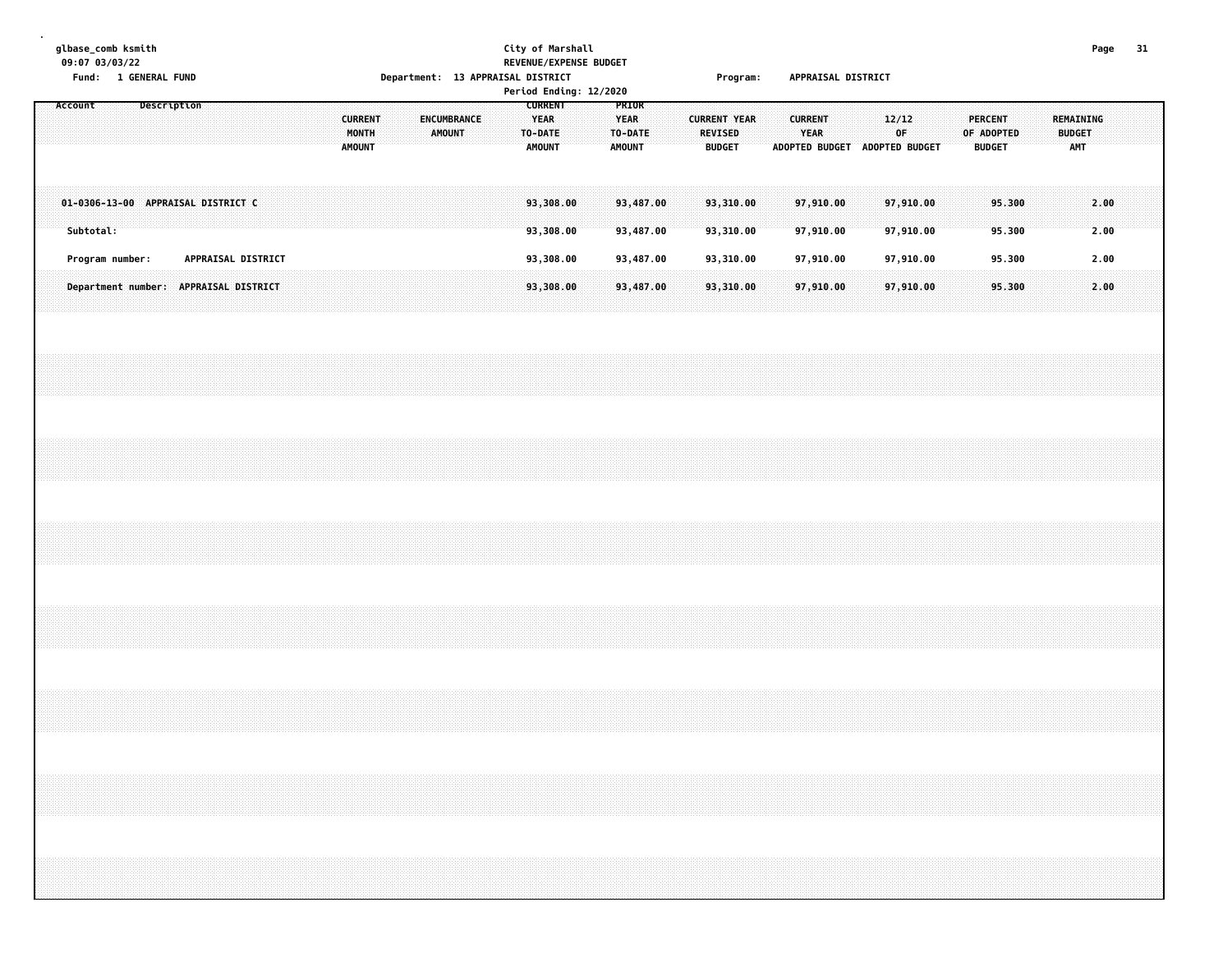**glbase\_comb ksmith City of Marshall Page 31 09:07 03/03/22 REVENUE/EXPENSE BUDGET Fund: 1 GENERAL FUND Department: 13 APPRAISAL DISTRICT Program: APPRAISAL DISTRICT Period Ending: 12/2020**

**.**

**Account Description CURRENT PRIOR CURRENT ENCUMBRANCE YEAR YEAR CURRENT YEAR CURRENT 12/12 PERCENT REMAINING MONTH AMOUNT TO-DATE TO-DATE REVISED YEAR OF OF ADOPTED BUDGET AMOUNT AMOUNT AMOUNT BUDGET ADOPTED BUDGET ADOPTED BUDGET BUDGET AMT** .<br>01-0306-13-00 APPRAISAL DISTRICT Charles Company (1993), 200 (1993), 200 (1993), 487.00 (1993), 487.00 (1993), 487.00 (1993), 487.00 (1993), 487.00 (1993), 487.00 (1993), 487.00 (1993), 487.00 (1993), 487.00 (1993), 487.  **Subtotal: 93,308.00 93,487.00 93,310.00 97,910.00 97,910.00 95.300 2.00** Program number: APPRAISAL DISTRICT 93,308.00 93,487.00 97,310.00 97,910.00 97,910.00 95.300 2.00 Department number: APPRAISAL DISTRICT (2.00) (2.00) (2.00) (3.308.00) (3.487.00) (3.487.00) (3.487.00) (3.487.00) (3.487.00) (3.487.00) (3.487.00) (3.487.00) (3.487.00) (3.487.00) (3.487.00) (3.487.00) (3.487.00) (3.487.00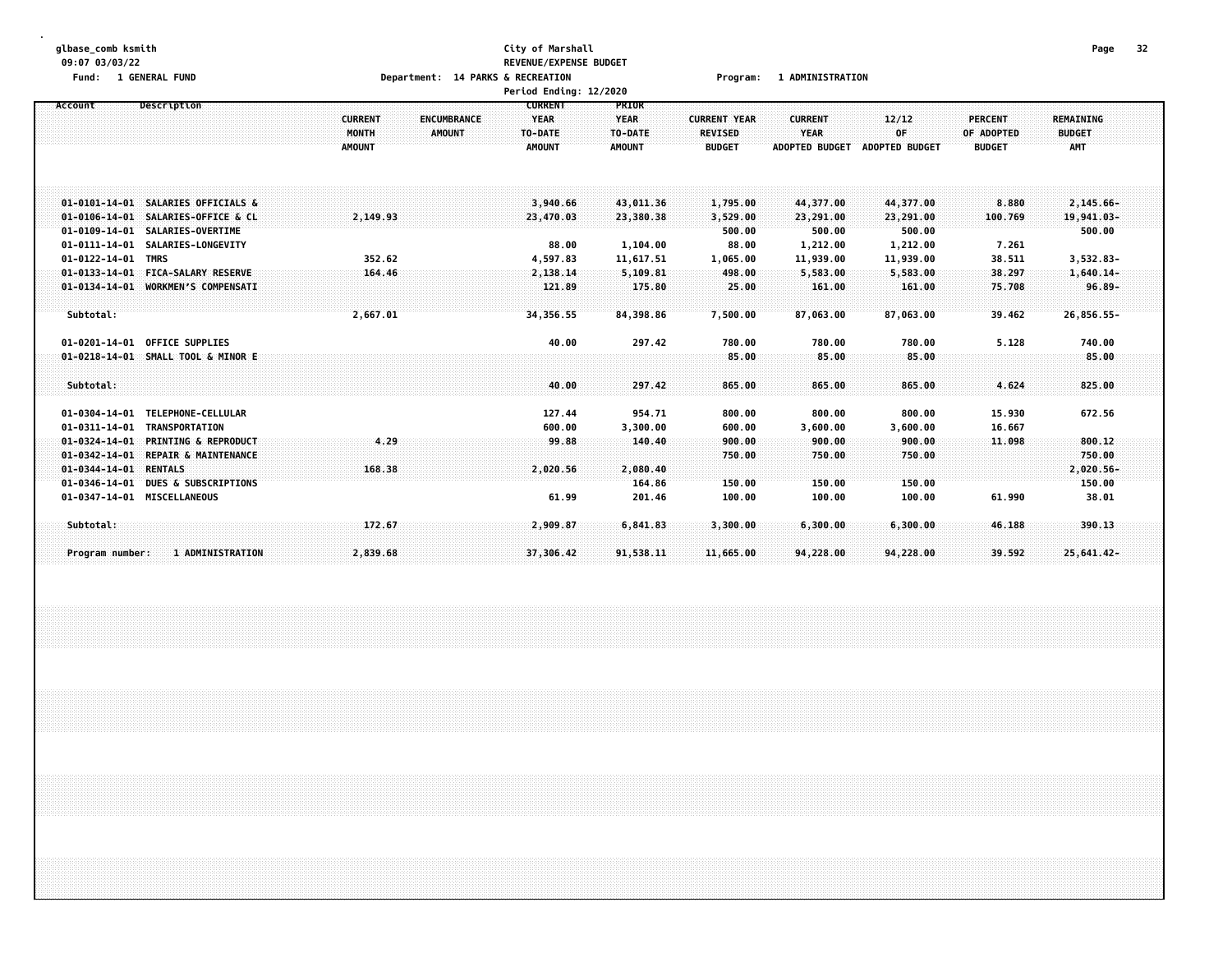#### **glbase\_comb ksmith City of Marshall Page 32 09:07 03/03/22 REVENUE/EXPENSE BUDGET** Fund: 1 GENERAL FUND CONTENTS OF THE RESERVE OPPRIMING THE PARKS & RECREATION CONTENTS OF THE PROGRAM: 1 ADMINISTRATION **Period Ending: 12/2020**

|                                                |                                                   |                                          | . C. Cou Enuchy, 12/2020                                                                         |                                                  |                                                        |                                                        |                                      |                                               |                                          |  |
|------------------------------------------------|---------------------------------------------------|------------------------------------------|--------------------------------------------------------------------------------------------------|--------------------------------------------------|--------------------------------------------------------|--------------------------------------------------------|--------------------------------------|-----------------------------------------------|------------------------------------------|--|
| Account                                        | Description                                       | <b>CURRENT</b><br>MONTH<br><b>AMOUNT</b> | <b>CURRENT</b><br><b>ENCUMBRANCE</b><br><b>YEAR</b><br><b>AMOUNT</b><br>TO-DATE<br><b>AMOUNT</b> | PRIOR<br><b>YEAR</b><br>TO-DATE<br><b>AMOUNT</b> | <b>CURRENT YEAR</b><br><b>REVISED</b><br><b>BUDGET</b> | <b>CURRENT</b><br><b>YEAR</b><br><b>ADOPTED BUDGET</b> | 12/12<br>0F<br><b>ADOPTED BUDGET</b> | <b>PERCENT</b><br>OF ADOPTED<br><b>BUDGET</b> | REMAINING<br><b>BUDGET</b><br><b>AMT</b> |  |
|                                                | 01-0101-14-01 SALARIES OFFICIALS &                |                                          | 3,940.66                                                                                         | 43,011.36                                        | 1,795.00                                               | 44,377.00                                              | 44,377.00                            | 8.880                                         | $2,145.66 -$                             |  |
| $01 - 0106 - 14 - 01$<br>$01 - 0109 - 14 - 01$ | SALARIES-OFFICE & CL<br>SALARIES-OVERTIME         | 2,149.93                                 | 23,470.03                                                                                        | 23,380.38                                        | 3,529.00<br>500.00                                     | 23,291.00<br>500.00                                    | 23,291.00<br>500.00                  | 100.769                                       | 19,941.03-<br>500.00                     |  |
| $01 - 0111 - 14 - 01$                          | SALARIES-LONGEVITY                                |                                          | 88.00                                                                                            | 1,104.00                                         | 88.00                                                  | 1,212.00                                               | 1,212.00                             | 7.261                                         |                                          |  |
| 01-0122-14-01 TMRS<br>$01 - 0133 - 14 - 01$    | <b>FICA-SALARY RESERVE</b>                        | 352.62<br>164.46                         | 4,597.83<br>2,138.14                                                                             | 11,617.51<br>5,109.81                            | 1,065.00<br>498.00                                     | 11,939.00<br>5,583.00                                  | 11,939.00<br>5,583.00                | 38.511<br>38.297                              | 3,532.83-<br>$1,640.14-$                 |  |
|                                                | 01-0134-14-01 WORKMEN'S COMPENSATI                |                                          | 121.89                                                                                           | 175.80                                           | 25.00                                                  | 161.00                                                 | 161.00                               | 75.708                                        | $96.89 -$                                |  |
| Subtotal:                                      |                                                   | 2,667.01                                 | 34,356.55                                                                                        | 84,398.86                                        | 7,500.00                                               | 87,063.00                                              | 87,063.00                            | 39.462                                        | $26,856.55 -$                            |  |
| 01-0201-14-01                                  | <b>OFFICE SUPPLIES</b>                            |                                          | 40.00                                                                                            | 297.42                                           | 780.00                                                 | 780.00                                                 | 780.00                               | 5.128                                         | 740.00                                   |  |
|                                                | 01-0218-14-01 SMALL TOOL & MINOR E                |                                          |                                                                                                  |                                                  | 85.00                                                  | 85.00                                                  | 85.00                                |                                               | 85.00                                    |  |
| Subtotal:                                      |                                                   |                                          | 40.00                                                                                            | 297.42                                           | 865.00                                                 | 865.00                                                 | 865.00                               | 4.624                                         | 825.00                                   |  |
| $01 - 0304 - 14 - 01$                          | TELEPHONE-CELLULAR                                |                                          | 127.44                                                                                           | 954.71                                           | 800.00                                                 | 800.00                                                 | 800.00                               | 15.930                                        | 672.56                                   |  |
| $01 - 0311 - 14 - 01$                          | <b>TRANSPORTATION</b>                             |                                          | 600.00                                                                                           | 3,300.00                                         | 600.00                                                 | 3,600.00                                               | 3,600.00                             | 16.667                                        |                                          |  |
| $01 - 0324 - 14 - 01$                          | <b>PRINTING &amp; REPRODUCT</b>                   | 4.29                                     | 99.88                                                                                            | 140.40                                           | 900.00                                                 | 900.00                                                 | 900.00                               | 11.098                                        | 800.12                                   |  |
| $01 - 0342 - 14 - 01$<br>$01 - 0344 - 14 - 01$ | <b>REPAIR &amp; MAINTENANCE</b><br><b>RENTALS</b> | 168.38                                   | 2,020.56                                                                                         | 2,080.40                                         | 750.00                                                 | 750.00                                                 | 750.00                               |                                               | 750.00<br>2,020.56-                      |  |
| $01 - 0346 - 14 - 01$                          | <b>DUES &amp; SUBSCRIPTIONS</b>                   |                                          |                                                                                                  | 164.86                                           | 150.00                                                 | 150.00                                                 | 150.00                               |                                               | 150.00                                   |  |
|                                                | 01-0347-14-01 MISCELLANEOUS                       |                                          | 61.99                                                                                            | 201.46                                           | 100.00                                                 | 100.00                                                 | 100.00                               | 61.990                                        | 38.01                                    |  |
| Subtotal:                                      |                                                   | 172.67                                   | 2,909.87                                                                                         | 6,841.83                                         | 3,300.00                                               | 6,300.00                                               | 6,300.00                             | 46.188                                        | 390.13                                   |  |
|                                                |                                                   |                                          |                                                                                                  |                                                  |                                                        |                                                        |                                      |                                               |                                          |  |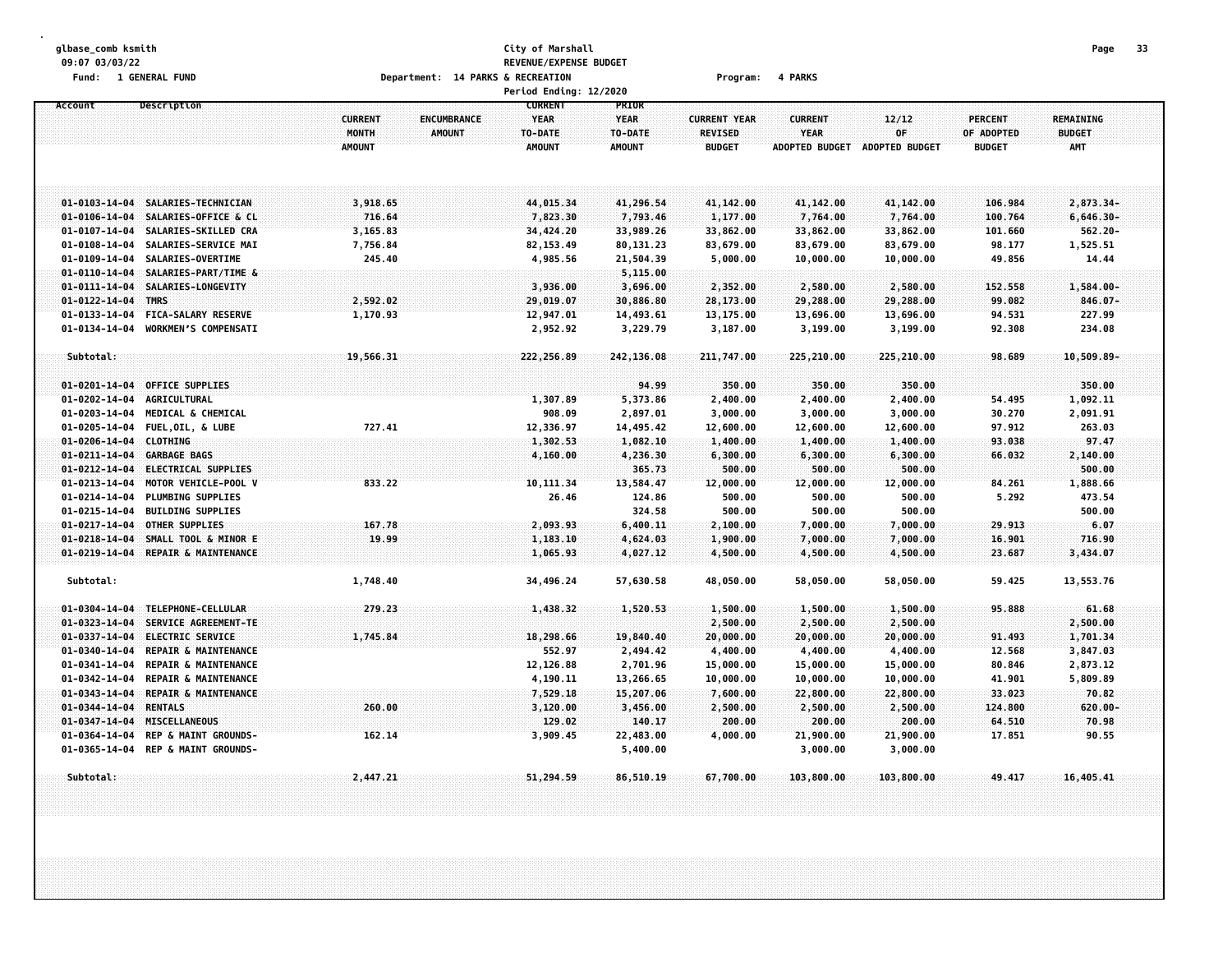### **glbase\_comb ksmith City of Marshall Page 33 09:07 03/03/22 REVENUE/EXPENSE BUDGET** Fund: 1 GENERAL FUND CONTEXANT DEPARTMENT: 14 PARKS & RECREATION CONTEXANT PROGRAM: 4 PARKS

**Period Ending: 12/2020 Account Description CURRENT PRIOR CURRENT ENCUMBRANCE YEAR YEAR CURRENT YEAR CURRENT 12/12 PERCENT REMAINING MONTH AMOUNT TO-DATE TO-DATE REVISED YEAR OF OF ADOPTED BUDGET AMOUNT AMOUNT AMOUNT BUDGET ADOPTED BUDGET ADOPTED BUDGET BUDGET AMT** 01-0103-14-04 SALARIES-TECHNICIAN 3,918.65 44,015.34 41,296.54 41,142.00 41,142.00 41,142.00 106.984 2,873.34-**01-0106-14-04 SALARIES-OFFICE & CL 716.64 7,823.30 7,793.46 1,177.00 7,764.00 7,764.00 100.764 6,646.30-** 01-0107-14-04 SALARIES-SKILLED CRA 3,165.83 34,424.20 33,989.26 33,862.00 33,862.00 33,862.00 101.660 562.20-01-0108-14-04 SALARIES-SERVICE MAI 7,756.84 82,153.49 80,131.23 83,679.00 83,679.00 98.177 1,525.51 01-0109-14-04 SALARIES-OVERTIME 245.40 4,985.56 21,504.39 5,000.00 10,000.00 10,000.00 49.856 14.44 **01-0110-14-04 SALARIES-PART/TIME & 5,115.00 01-0111-14-04 SALARIES-LONGEVITY 3,936.00 3,696.00 2,352.00 2,580.00 2,580.00 152.558 1,584.00- 01-0122-14-04 TMRS 2,592.02 29,019.07 30,886.80 28,173.00 29,288.00 29,288.00 99.082 846.07-** 01-0133-14-04 FICA-SALARY RESERVE 1,170.93 12,947.01 14,493.61 13,175.00 13,696.00 13,696.00 94.531 227.99 01-0134-14-04 WORKMEN'S COMPENSATI COMPOST COMPRESS AND RESOUND A SALE 234.08 2,952.92 3,229.79 3,187.00 3,199.00 3,199.00 3,199.00 92.308 234.08  **Subtotal: 19,566.31 222,256.89 242,136.08 211,747.00 225,210.00 225,210.00 98.689 10,509.89- 01-0201-14-04 OFFICE SUPPLIES 94.99 350.00 350.00 350.00 350.00 01-0202-14-04 AGRICULTURAL 1,307.89 5,373.86 2,400.00 2,400.00 2,400.00 54.495 1,092.11 01-0203-14-04 MEDICAL & CHEMICAL 908.09 2,897.01 3,000.00 3,000.00 3,000.00 30.270 2,091.91** 01-0205-14-04 FUEL,0IL, & LUBE 727.41 12,336.97 14,495.42 12,600.00 12,600.00 12,600.00 97.912 263.03 **01-0206-14-04 CLOTHING 1,302.53 1,082.10 1,400.00 1,400.00 1,400.00 93.038 97.47 01-0211-14-04 GARBAGE BAGS 4,160.00 4,236.30 6,300.00 6,300.00 6,300.00 66.032 2,140.00 01-0212-14-04 ELECTRICAL SUPPLIES 365.73 500.00 500.00 500.00 500.00**

|                       | - ELECTRICAL JUFFLIEJ              |          |            | 303.73    | JUU . UU  | JUU . UU   | <b>JUU.UU</b> |         | ,,,,,,     |  |
|-----------------------|------------------------------------|----------|------------|-----------|-----------|------------|---------------|---------|------------|--|
|                       | 01-0213-14-04 MOTOR VEHICLE-POOL V | 833.22   | 10, 111.34 | 13,584.47 | 12,000.00 | 12,000.00  | 12,000.00     | 84.261  | 1,888.66   |  |
|                       | 01-0214-14-04 PLUMBING SUPPLIES    |          | 26.46      | 124.86    | 500.00    | 500.00     | 500.00        | 5.292   | 473.54     |  |
|                       | 01-0215-14-04 BUILDING SUPPLIES    |          |            | 324.58    | 500.00    | 500.00     | 500.00        |         | 500.00     |  |
|                       | 01-0217-14-04 OTHER SUPPLIES       | 167.78   | 2,093.93   | 6,400.11  | 2,100.00  | 7,000.00   | 7,000.00      | 29.913  | 6.07       |  |
| $01 - 0218 - 14 - 04$ | SMALL TOOL & MINOR E               | 19.99    | 1,183.10   | 4,624.03  | 1,900.00  | 7,000.00   | 7,000.00      | 16.901  | 716.90     |  |
|                       | 01-0219-14-04 REPAIR & MAINTENANCE |          | 1,065.93   | 4,027,12  | 4,500.00  | 4,500.00   | 4,500.00      | 23.687  | 3,434.07   |  |
|                       |                                    |          |            |           |           |            |               |         |            |  |
| Subtotal:             |                                    | 1,748.40 | 34,496.24  | 57,630.58 | 48,050.00 | 58,050.00  | 58,050.00     | 59.425  | 13,553.76  |  |
|                       |                                    |          |            |           |           |            |               |         |            |  |
|                       | 01-0304-14-04 TELEPHONE-CELLULAR   | 279.23   | 1,438.32   | 1,520.53  | 1,500.00  | 1,500.00   | 1,500.00      | 95.888  | 61,68      |  |
| $01 - 0323 - 14 - 04$ | SERVICE AGREEMENT-TE               |          |            |           | 2,500.00  | 2,500.00   | 2,500.00      |         | 2,500.00   |  |
|                       | 01-0337-14-04 ELECTRIC SERVICE     | 1,745.84 | 18,298.66  | 19,840.40 | 20,000.00 | 20,000.00  | 20,000.00     | 91.493  | 1,701.34   |  |
|                       | 01-0340-14-04 REPAIR & MAINTENANCE |          | 552.97     | 2,494.42  | 4,400.00  | 4,400.00   | 4,400.00      | 12.568  | 3,847.03   |  |
|                       | 01-0341-14-04 REPAIR & MAINTENANCE |          | 12,126.88  | 2,701.96  | 15,000.00 | 15,000.00  | 15,000.00     | 80.846  | 2,873.12   |  |
|                       | 01-0342-14-04 REPAIR & MAINTENANCE |          | 4,190.11   | 13,266.65 | 10,000.00 | 10,000.00  | 10,000.00     | 41.901  | 5,809.89   |  |
|                       | 01-0343-14-04 REPAIR & MAINTENANCE |          | 7,529.18   | 15,207.06 | 7,600.00  | 22,800.00  | 22,800.00     | 33.023  | 70.82      |  |
| 01-0344-14-04 RENTALS |                                    | 260.00   | 3,120.00   | 3,456.00  | 2,500.00  | 2,500.00   | 2,500.00      | 124,800 | $620.00 -$ |  |
|                       | 01-0347-14-04 MISCELLANEOUS        |          | 129.02     | 140.17    | 200.00    | 200.00     | 200.00        | 64.510  | 70.98      |  |
|                       | 01-0364-14-04 REP & MAINT GROUNDS- | 162.14   | 3,909.45   | 22,483.00 | 4,000.00  | 21,900.00  | 21,900.00     | 17.851  | 90.55      |  |
|                       | 01-0365-14-04 REP & MAINT GROUNDS- |          |            | 5,400.00  |           | 3,000.00   | 3,000.00      |         |            |  |
|                       |                                    |          |            |           |           |            |               |         |            |  |
| Subtotal:             |                                    | 2,447.21 | 51,294.59  | 86,510.19 | 67,700.00 | 103,800.00 | 103,800.00    | 49.417  | 16,405.41  |  |
|                       |                                    |          |            |           |           |            |               |         |            |  |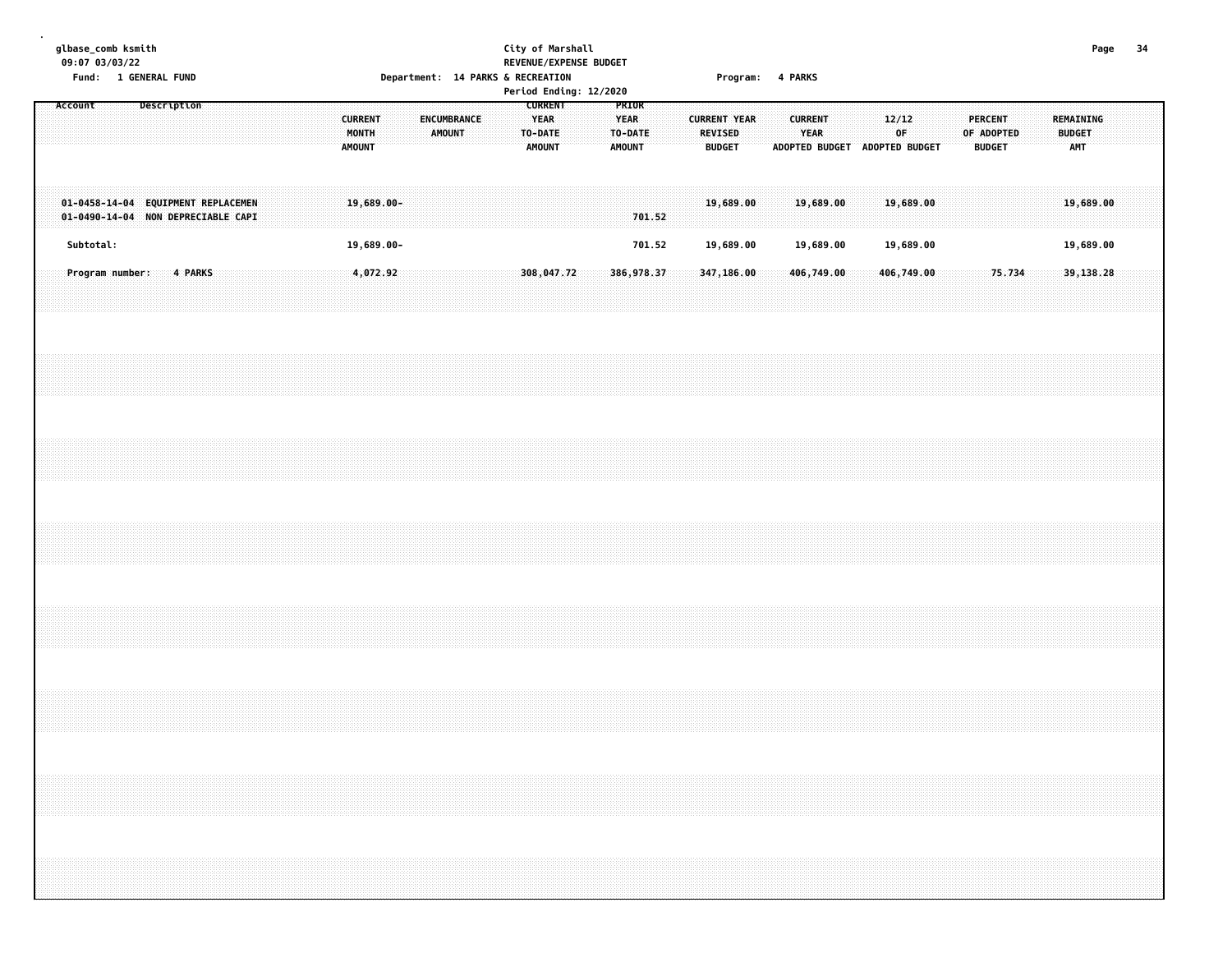# **glbase\_comb ksmith City of Marshall Page 34 09:07 03/03/22 REVENUE/EXPENSE BUDGET**

|                                                                          |  | Fund: 1 GENERAL FUND |         |  |  |                                          |               |  |                              |  | Department: 14 PARKS & RECREATION<br>Period Ending: 12/2020 |                                                           |  |                                                  |            |  |                          |                     | Program: 4 PARKS |                        |  |                                              |  |            |                                 |  |                                   |           |  |
|--------------------------------------------------------------------------|--|----------------------|---------|--|--|------------------------------------------|---------------|--|------------------------------|--|-------------------------------------------------------------|-----------------------------------------------------------|--|--------------------------------------------------|------------|--|--------------------------|---------------------|------------------|------------------------|--|----------------------------------------------|--|------------|---------------------------------|--|-----------------------------------|-----------|--|
| Account                                                                  |  | <b>Description</b>   |         |  |  | <b>CURRENT</b><br>MONTH<br><b>AMOUNT</b> |               |  | ENCUMBRANCE<br><b>AMOUNT</b> |  |                                                             | <b>CURRENT</b><br><b>YEAR</b><br>TO-DATE<br><b>AMOUNT</b> |  | PRIOR<br><b>YEAR</b><br>TO-DATE<br><b>AMOUNT</b> |            |  | REVISED<br><b>BUDGET</b> | <b>CURRENT YEAR</b> |                  | <b>CURRENT</b><br>YEAR |  | 12/12<br>0F<br>ADOPTED BUDGET ADOPTED BUDGET |  | OF ADOPTED | <b>PERCENT</b><br><b>BUDGET</b> |  | REMAINING<br><b>BUDGET</b><br>AMT |           |  |
| 01-0458-14-04 EQUIPMENT REPLACEMEN<br>01-0490-14-04 NON DEPRECIABLE CAPI |  |                      |         |  |  |                                          | $19,689.00 -$ |  |                              |  |                                                             |                                                           |  |                                                  | 701.52     |  |                          | 19,689.00           |                  | 19,689.00              |  | 19,689.00                                    |  |            |                                 |  |                                   | 19,689.00 |  |
| Subtotal:                                                                |  |                      |         |  |  |                                          | 19,689.00-    |  |                              |  |                                                             |                                                           |  |                                                  | 701.52     |  |                          | 19,689.00           |                  | 19,689.00              |  | 19,689.00                                    |  |            |                                 |  |                                   | 19,689.00 |  |
| Program number:                                                          |  |                      | 4 PARKS |  |  |                                          | 4,072.92      |  |                              |  |                                                             | 308,047.72                                                |  |                                                  | 386,978.37 |  |                          | 347,186.00          |                  | 406,749.00             |  | 406,749.00                                   |  |            | 75.734                          |  |                                   | 39,138.28 |  |
|                                                                          |  |                      |         |  |  |                                          |               |  |                              |  |                                                             |                                                           |  |                                                  |            |  |                          |                     |                  |                        |  |                                              |  |            |                                 |  |                                   |           |  |
|                                                                          |  |                      |         |  |  |                                          |               |  |                              |  |                                                             |                                                           |  |                                                  |            |  |                          |                     |                  |                        |  |                                              |  |            |                                 |  |                                   |           |  |
|                                                                          |  |                      |         |  |  |                                          |               |  |                              |  |                                                             |                                                           |  |                                                  |            |  |                          |                     |                  |                        |  |                                              |  |            |                                 |  |                                   |           |  |
|                                                                          |  |                      |         |  |  |                                          |               |  |                              |  |                                                             |                                                           |  |                                                  |            |  |                          |                     |                  |                        |  |                                              |  |            |                                 |  |                                   |           |  |
|                                                                          |  |                      |         |  |  |                                          |               |  |                              |  |                                                             |                                                           |  |                                                  |            |  |                          |                     |                  |                        |  |                                              |  |            |                                 |  |                                   |           |  |
|                                                                          |  |                      |         |  |  |                                          |               |  |                              |  |                                                             |                                                           |  |                                                  |            |  |                          |                     |                  |                        |  |                                              |  |            |                                 |  |                                   |           |  |
|                                                                          |  |                      |         |  |  |                                          |               |  |                              |  |                                                             |                                                           |  |                                                  |            |  |                          |                     |                  |                        |  |                                              |  |            |                                 |  |                                   |           |  |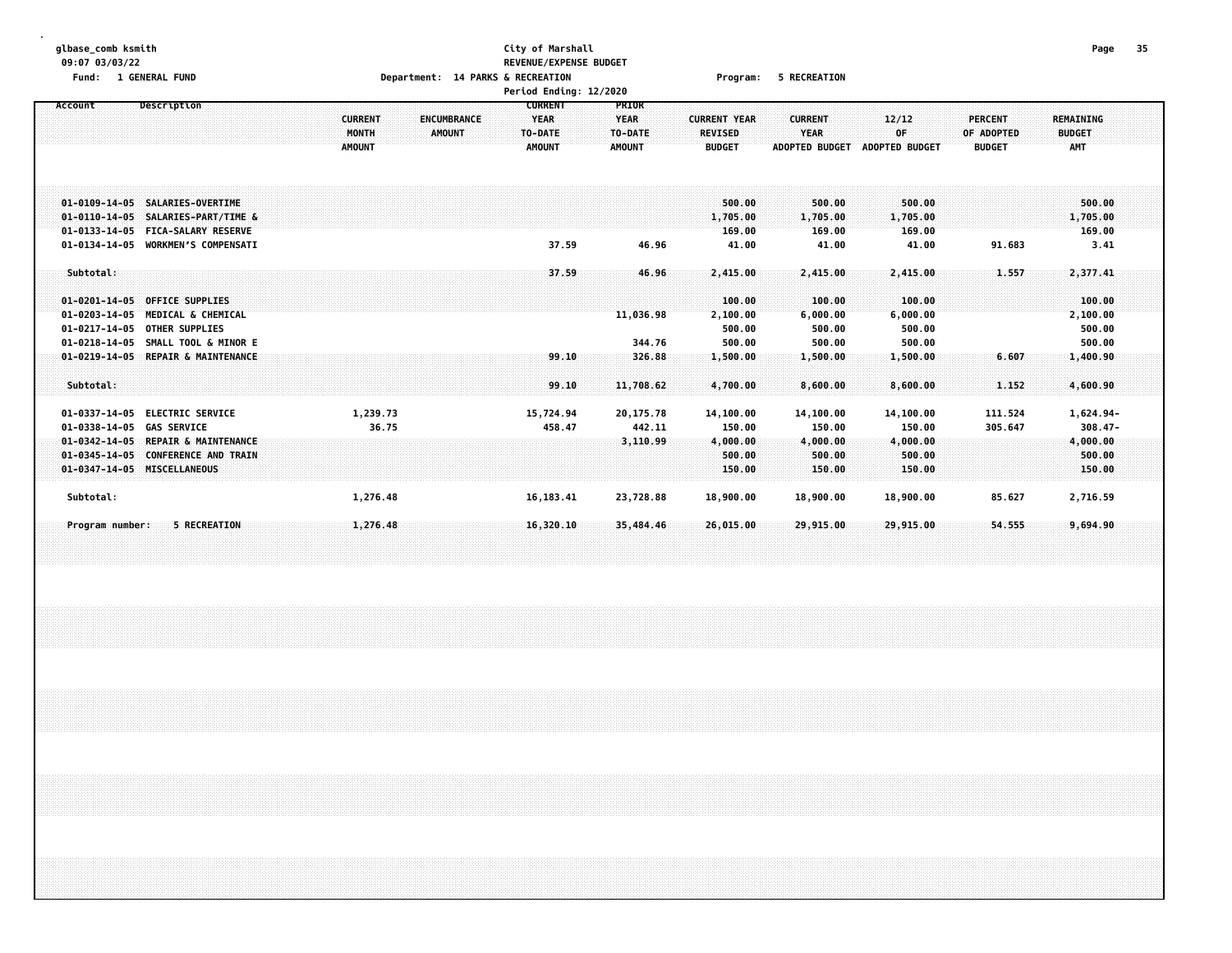# **glbase\_comb ksmith City of Marshall Page 35 09:07 03/03/22 REVENUE/EXPENSE BUDGET** Fund: 1 GENERAL FUND CONTENTS OPERATOR CONTENTS OPERATOR DEPRITS ON THE RECREATION CONTENTS OF PROGRAMS OF RECREATION

|                                                                                                        |                                                                                                                                                       |                                          |                                     | Period Ending: 12/2020                                    |                                                  |                                                        |                                                        |                                                    |                                               |                                                    |
|--------------------------------------------------------------------------------------------------------|-------------------------------------------------------------------------------------------------------------------------------------------------------|------------------------------------------|-------------------------------------|-----------------------------------------------------------|--------------------------------------------------|--------------------------------------------------------|--------------------------------------------------------|----------------------------------------------------|-----------------------------------------------|----------------------------------------------------|
| Account                                                                                                | Description                                                                                                                                           | <b>CURRENT</b><br>MONTH<br><b>AMOUNT</b> | <b>ENCUMBRANCE</b><br><b>AMOUNT</b> | <b>CURRENT</b><br><b>YEAR</b><br>TO-DATE<br><b>AMOUNT</b> | PRIOR<br><b>YEAR</b><br>TO-DATE<br><b>AMOUNT</b> | <b>CURRENT YEAR</b><br><b>REVISED</b><br><b>BUDGET</b> | <b>CURRENT</b><br><b>YEAR</b><br><b>ADOPTED BUDGET</b> | 12/12<br>0F<br><b>ADOPTED BUDGET</b>               | <b>PERCENT</b><br>OF ADOPTED<br><b>BUDGET</b> | <b>REMAINING</b><br><b>BUDGET</b><br><b>AMT</b>    |
| $01 - 0133 - 14 - 05$                                                                                  | 01-0109-14-05 SALARIES-OVERTIME<br>01-0110-14-05 SALARIES-PART/TIME &<br><b>FICA-SALARY RESERVE</b><br>01-0134-14-05 WORKMEN'S COMPENSATI             |                                          |                                     | 37.59                                                     | 46.96                                            | 500.00<br>1,705.00<br>169.00<br>41.00                  | 500.00<br>1,705.00<br>169.00<br>41.00                  | 500.00<br>1,705.00<br>169.00<br>41.00              | 91.683                                        | 500.00<br>1,705.00<br>169.00<br>3.41               |
| Subtotal:<br>$01 - 0203 - 14 - 05$<br>$01 - 0217 - 14 - 05$<br>01-0218-14-05                           | 01-0201-14-05 OFFICE SUPPLIES<br>MEDICAL & CHEMICAL<br><b>OTHER SUPPLIES</b><br><b>SMALL TOOL &amp; MINOR E</b><br>01-0219-14-05 REPAIR & MAINTENANCE |                                          |                                     | 37.59                                                     | 46.96<br>11,036.98<br>344.76<br>326.88           | 2,415.00<br>100.00<br>2,100.00<br>500.00<br>500.00     | 2,415.00<br>100.00<br>6,000.00<br>500.00<br>500.00     | 2,415.00<br>100.00<br>6,000.00<br>500.00<br>500.00 | 1.557<br>6.607                                | 2,377.41<br>100.00<br>2,100.00<br>500.00<br>500.00 |
| Subtotal:<br>$01 - 0337 - 14 - 05$                                                                     | <b>ELECTRIC SERVICE</b>                                                                                                                               | 1,239.73                                 |                                     | 99.10<br>99.10<br>15,724.94                               | 11,708.62<br>20,175.78                           | 1,500.00<br>4,700.00<br>14,100.00                      | 1,500.00<br>8,600.00<br>14,100.00                      | 1,500.00<br>8,600.00<br>14,100.00                  | 1.152<br>111.524                              | 1,400.90<br>4,600.90<br>1,624.94-                  |
| $01 - 0338 - 14 - 05$<br>$01 - 0342 - 14 - 05$<br>$01 - 0345 - 14 - 05$<br>01-0347-14-05 MISCELLANEOUS | <b>GAS SERVICE</b><br>REPAIR & MAINTENANCE<br><b>CONFERENCE AND TRAIN</b>                                                                             | 36.75                                    |                                     | 458.47                                                    | 442.11<br>3,110.99                               | 150.00<br>4,000.00<br>500.00<br>150.00                 | 150.00<br>4,000.00<br>500.00<br>150.00                 | 150.00<br>4,000.00<br>500.00<br>150.00             | 305.647                                       | $308.47 -$<br>4,000.00<br>500.00<br>150.00         |
| Subtotal:<br>Program number:                                                                           | 5 RECREATION                                                                                                                                          | 1,276.48<br>1,276.48                     |                                     | 16, 183. 41<br>16,320.10                                  | 23,728.88<br>35,484.46                           | 18,900.00<br>26,015.00                                 | 18,900.00<br>29,915.00                                 | 18,900.00<br>29,915.00                             | 85.627<br>54.555                              | 2,716.59<br>9,694.90                               |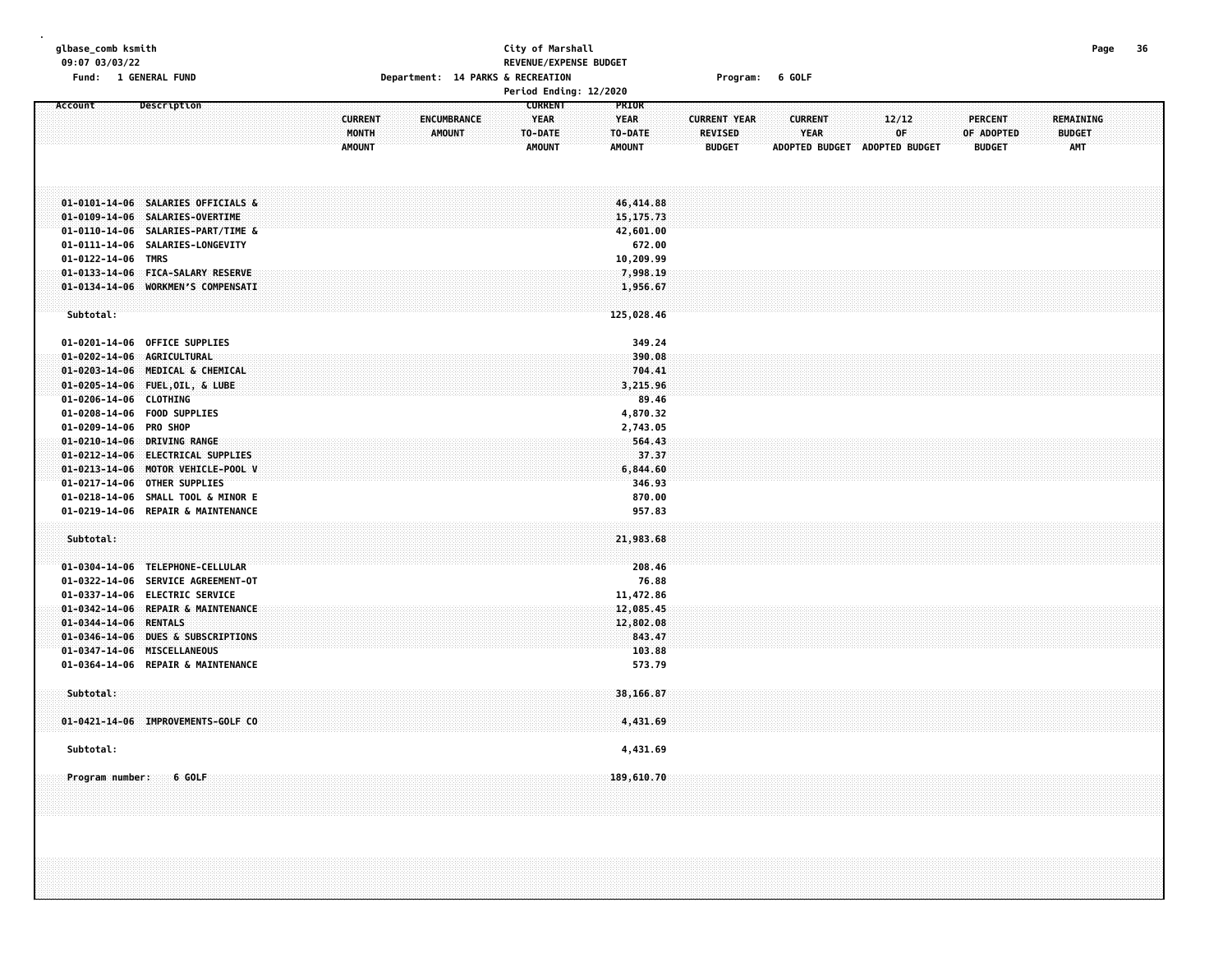| glbase_comb ksmith |  |
|--------------------|--|
|--------------------|--|

## **glbase\_comb ksmith City of Marshall Page 36 09:07 03/03/22 REVENUE/EXPENSE BUDGET Fund: 1 GENERAL FUND Department: 14 PARKS & RECREATION Program: 6 GOLF**

| Page |  |
|------|--|
|      |  |

| Period Ending: 12/2020 |                 |                                                                         |  |  |                         |  |                                     |  |  |                        |  |  |                        |                |                     |  |                               |  |             |                               |  |                              |  |                                   |  |  |
|------------------------|-----------------|-------------------------------------------------------------------------|--|--|-------------------------|--|-------------------------------------|--|--|------------------------|--|--|------------------------|----------------|---------------------|--|-------------------------------|--|-------------|-------------------------------|--|------------------------------|--|-----------------------------------|--|--|
| Account                |                 | Description                                                             |  |  |                         |  |                                     |  |  | <b>CURRENT</b>         |  |  | PRIOR                  |                |                     |  |                               |  |             |                               |  |                              |  |                                   |  |  |
|                        |                 |                                                                         |  |  | <b>CURRENT</b><br>MONTH |  | <b>ENCUMBRANCE</b><br><b>AMOUNT</b> |  |  | <b>YEAR</b><br>TO-DATE |  |  | <b>YEAR</b><br>TO-DATE | <b>REVISED</b> | <b>CURRENT YEAR</b> |  | <b>CURRENT</b><br><b>YEAR</b> |  | 12/12<br>OF |                               |  | <b>PERCENT</b><br>OF ADOPTED |  | <b>REMAINING</b><br><b>BUDGET</b> |  |  |
|                        |                 |                                                                         |  |  | <b>AMOUNT</b>           |  |                                     |  |  | <b>AMOUNT</b>          |  |  | <b>AMOUNT</b>          | <b>BUDGET</b>  |                     |  |                               |  |             | ADOPTED BUDGET ADOPTED BUDGET |  | <b>BUDGET</b>                |  | <b>AMT</b>                        |  |  |
|                        |                 |                                                                         |  |  |                         |  |                                     |  |  |                        |  |  |                        |                |                     |  |                               |  |             |                               |  |                              |  |                                   |  |  |
|                        |                 |                                                                         |  |  |                         |  |                                     |  |  |                        |  |  |                        |                |                     |  |                               |  |             |                               |  |                              |  |                                   |  |  |
|                        |                 |                                                                         |  |  |                         |  |                                     |  |  |                        |  |  |                        |                |                     |  |                               |  |             |                               |  |                              |  |                                   |  |  |
|                        |                 | 01-0101-14-06 SALARIES OFFICIALS &                                      |  |  |                         |  |                                     |  |  |                        |  |  | 46,414.88              |                |                     |  |                               |  |             |                               |  |                              |  |                                   |  |  |
|                        |                 | 01-0109-14-06 SALARIES-OVERTIME                                         |  |  |                         |  |                                     |  |  |                        |  |  | 15, 175. 73            |                |                     |  |                               |  |             |                               |  |                              |  |                                   |  |  |
|                        |                 | 01-0110-14-06 SALARIES-PART/TIME &                                      |  |  |                         |  |                                     |  |  |                        |  |  | 42,601.00<br>672.00    |                |                     |  |                               |  |             |                               |  |                              |  |                                   |  |  |
| 01-0122-14-06 TMRS     |                 | 01-0111-14-06 SALARIES-LONGEVITY                                        |  |  |                         |  |                                     |  |  |                        |  |  | 10,209.99              |                |                     |  |                               |  |             |                               |  |                              |  |                                   |  |  |
|                        |                 | 01-0133-14-06 FICA-SALARY RESERVE                                       |  |  |                         |  |                                     |  |  |                        |  |  | 7,998.19               |                |                     |  |                               |  |             |                               |  |                              |  |                                   |  |  |
|                        |                 | 01-0134-14-06 WORKMEN'S COMPENSATI                                      |  |  |                         |  |                                     |  |  |                        |  |  | 1,956.67               |                |                     |  |                               |  |             |                               |  |                              |  |                                   |  |  |
|                        |                 |                                                                         |  |  |                         |  |                                     |  |  |                        |  |  |                        |                |                     |  |                               |  |             |                               |  |                              |  |                                   |  |  |
| Subtotal:              |                 |                                                                         |  |  |                         |  |                                     |  |  |                        |  |  | 125,028.46             |                |                     |  |                               |  |             |                               |  |                              |  |                                   |  |  |
|                        |                 |                                                                         |  |  |                         |  |                                     |  |  |                        |  |  |                        |                |                     |  |                               |  |             |                               |  |                              |  |                                   |  |  |
|                        |                 | 01-0201-14-06 OFFICE SUPPLIES<br>01-0202-14-06 AGRICULTURAL             |  |  |                         |  |                                     |  |  |                        |  |  | 349.24<br>390.08       |                |                     |  |                               |  |             |                               |  |                              |  |                                   |  |  |
|                        |                 | 01-0203-14-06 MEDICAL & CHEMICAL                                        |  |  |                         |  |                                     |  |  |                        |  |  | 704.41                 |                |                     |  |                               |  |             |                               |  |                              |  |                                   |  |  |
|                        |                 | 01-0205-14-06 FUEL, OIL, & LUBE                                         |  |  |                         |  |                                     |  |  |                        |  |  | 3,215.96               |                |                     |  |                               |  |             |                               |  |                              |  |                                   |  |  |
| 01-0206-14-06 CLOTHING |                 |                                                                         |  |  |                         |  |                                     |  |  |                        |  |  | 89.46                  |                |                     |  |                               |  |             |                               |  |                              |  |                                   |  |  |
|                        |                 | 01-0208-14-06 FOOD SUPPLIES                                             |  |  |                         |  |                                     |  |  |                        |  |  | 4,870.32               |                |                     |  |                               |  |             |                               |  |                              |  |                                   |  |  |
| 01-0209-14-06 PRO SHOP |                 |                                                                         |  |  |                         |  |                                     |  |  |                        |  |  | 2,743.05               |                |                     |  |                               |  |             |                               |  |                              |  |                                   |  |  |
|                        |                 | 01-0210-14-06 DRIVING RANGE                                             |  |  |                         |  |                                     |  |  |                        |  |  | 564.43                 |                |                     |  |                               |  |             |                               |  |                              |  |                                   |  |  |
|                        |                 | 01-0212-14-06 ELECTRICAL SUPPLIES<br>01-0213-14-06 MOTOR VEHICLE-POOL V |  |  |                         |  |                                     |  |  |                        |  |  | 37.37<br>6,844.60      |                |                     |  |                               |  |             |                               |  |                              |  |                                   |  |  |
|                        |                 | 01-0217-14-06 OTHER SUPPLIES                                            |  |  |                         |  |                                     |  |  |                        |  |  | 346.93                 |                |                     |  |                               |  |             |                               |  |                              |  |                                   |  |  |
|                        |                 | 01-0218-14-06 SMALL TOOL & MINOR E                                      |  |  |                         |  |                                     |  |  |                        |  |  | 870.00                 |                |                     |  |                               |  |             |                               |  |                              |  |                                   |  |  |
|                        |                 | 01-0219-14-06 REPAIR & MAINTENANCE                                      |  |  |                         |  |                                     |  |  |                        |  |  | 957.83                 |                |                     |  |                               |  |             |                               |  |                              |  |                                   |  |  |
|                        |                 |                                                                         |  |  |                         |  |                                     |  |  |                        |  |  |                        |                |                     |  |                               |  |             |                               |  |                              |  |                                   |  |  |
| Subtotal:              |                 |                                                                         |  |  |                         |  |                                     |  |  |                        |  |  | 21,983.68              |                |                     |  |                               |  |             |                               |  |                              |  |                                   |  |  |
|                        |                 |                                                                         |  |  |                         |  |                                     |  |  |                        |  |  |                        |                |                     |  |                               |  |             |                               |  |                              |  |                                   |  |  |
|                        |                 | 01-0304-14-06 TELEPHONE-CELLULAR<br>01-0322-14-06 SERVICE AGREEMENT-OT  |  |  |                         |  |                                     |  |  |                        |  |  | 208.46<br>76.88        |                |                     |  |                               |  |             |                               |  |                              |  |                                   |  |  |
|                        |                 | 01-0337-14-06 ELECTRIC SERVICE                                          |  |  |                         |  |                                     |  |  |                        |  |  | 11,472.86              |                |                     |  |                               |  |             |                               |  |                              |  |                                   |  |  |
|                        |                 | 01-0342-14-06 REPAIR & MAINTENANCE                                      |  |  |                         |  |                                     |  |  |                        |  |  | 12,085.45              |                |                     |  |                               |  |             |                               |  |                              |  |                                   |  |  |
| 01-0344-14-06 RENTALS  |                 |                                                                         |  |  |                         |  |                                     |  |  |                        |  |  | 12,802.08              |                |                     |  |                               |  |             |                               |  |                              |  |                                   |  |  |
|                        |                 | 01-0346-14-06 DUES & SUBSCRIPTIONS                                      |  |  |                         |  |                                     |  |  |                        |  |  | 843.47                 |                |                     |  |                               |  |             |                               |  |                              |  |                                   |  |  |
|                        |                 | 01-0347-14-06 MISCELLANEOUS                                             |  |  |                         |  |                                     |  |  |                        |  |  | 103.88                 |                |                     |  |                               |  |             |                               |  |                              |  |                                   |  |  |
|                        |                 | 01-0364-14-06 REPAIR & MAINTENANCE                                      |  |  |                         |  |                                     |  |  |                        |  |  | 573.79                 |                |                     |  |                               |  |             |                               |  |                              |  |                                   |  |  |
| Subtotal:              |                 |                                                                         |  |  |                         |  |                                     |  |  |                        |  |  | 38,166.87              |                |                     |  |                               |  |             |                               |  |                              |  |                                   |  |  |
|                        |                 |                                                                         |  |  |                         |  |                                     |  |  |                        |  |  |                        |                |                     |  |                               |  |             |                               |  |                              |  |                                   |  |  |
|                        |                 | 01-0421-14-06 IMPROVEMENTS-GOLF CO                                      |  |  |                         |  |                                     |  |  |                        |  |  | 4,431.69               |                |                     |  |                               |  |             |                               |  |                              |  |                                   |  |  |
|                        |                 |                                                                         |  |  |                         |  |                                     |  |  |                        |  |  |                        |                |                     |  |                               |  |             |                               |  |                              |  |                                   |  |  |
| Subtotal:              |                 |                                                                         |  |  |                         |  |                                     |  |  |                        |  |  | 4,431.69               |                |                     |  |                               |  |             |                               |  |                              |  |                                   |  |  |
|                        | Program number: | 6 GOLF                                                                  |  |  |                         |  |                                     |  |  |                        |  |  | 189,610.70             |                |                     |  |                               |  |             |                               |  |                              |  |                                   |  |  |
|                        |                 |                                                                         |  |  |                         |  |                                     |  |  |                        |  |  |                        |                |                     |  |                               |  |             |                               |  |                              |  |                                   |  |  |
|                        |                 |                                                                         |  |  |                         |  |                                     |  |  |                        |  |  |                        |                |                     |  |                               |  |             |                               |  |                              |  |                                   |  |  |
|                        |                 |                                                                         |  |  |                         |  |                                     |  |  |                        |  |  |                        |                |                     |  |                               |  |             |                               |  |                              |  |                                   |  |  |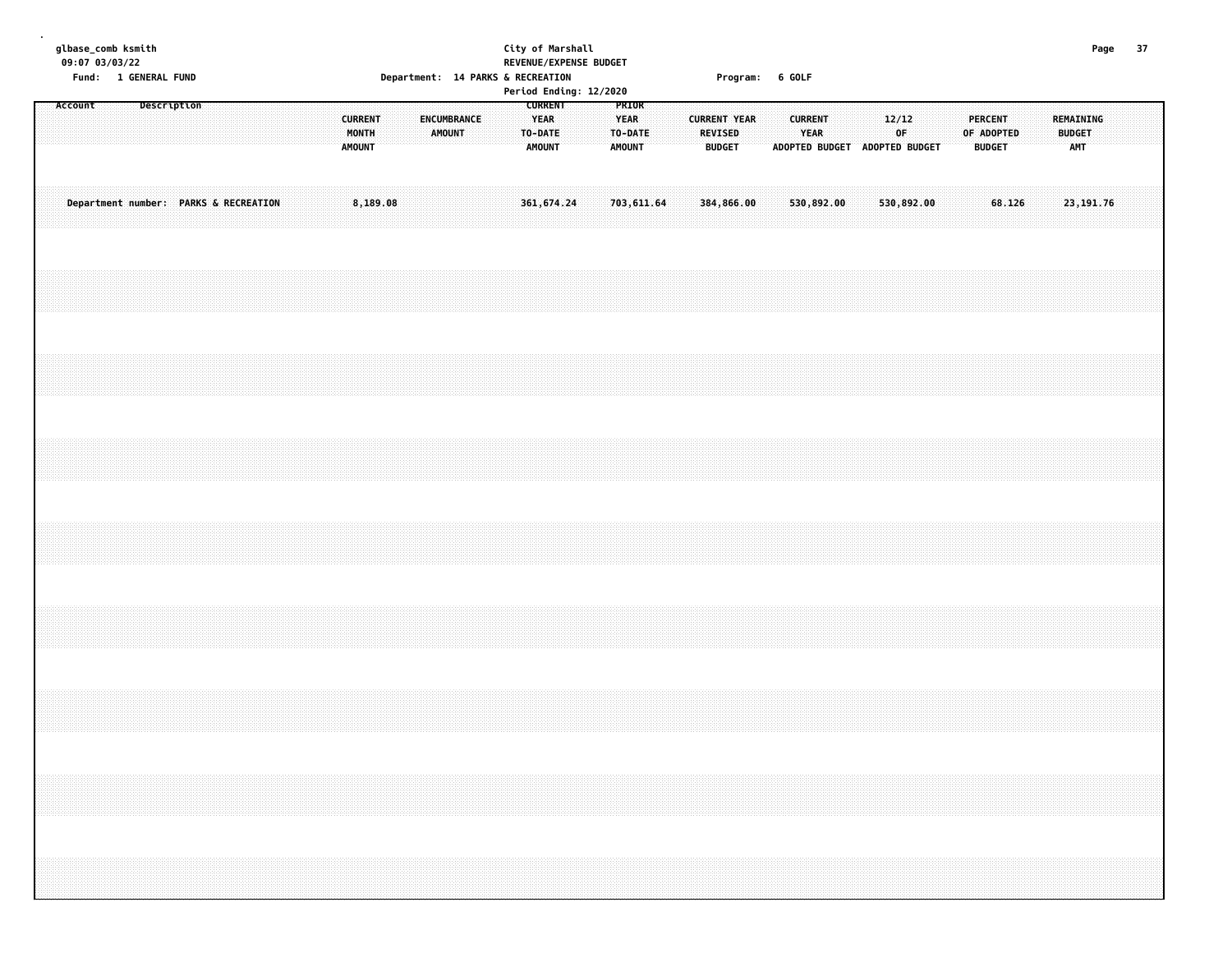| glbase_comb ksmith<br>09:07 03/03/22              | City of Marshall<br>REVENUE/EXPENSE BUDGET                                                                         |                                                                                                                                                                                                                 | Page 37 |
|---------------------------------------------------|--------------------------------------------------------------------------------------------------------------------|-----------------------------------------------------------------------------------------------------------------------------------------------------------------------------------------------------------------|---------|
| Fund: 1 GENERAL FUND<br>Account<br>Description    | Department: 14 PARKS & RECREATION<br>Period Ending: 12/2020<br><b>CURRENT</b><br>PRIOR                             | Program: 6 GOLF                                                                                                                                                                                                 |         |
| <b>CURRENT</b><br>MONTH<br><b>AMOUNT</b>          | ENCUMBRANCE<br><b>YEAR</b><br><b>YEAR</b><br><b>AMOUNT</b><br>TO-DATE<br>TO-DATE<br><b>AMOUNT</b><br><b>AMOUNT</b> | <b>CURRENT YEAR</b><br><b>CURRENT</b><br>12/12<br><b>PERCENT</b><br>REMAINING<br>YEAR<br>0F<br><b>BUDGET</b><br>REVISED<br>OF ADOPTED<br><b>BUDGET</b><br>ADOPTED BUDGET ADOPTED BUDGET<br><b>BUDGET</b><br>AMT |         |
| Department number: PARKS & RECREATION<br>8,189.08 | 361, 674.24<br>703, 611.64                                                                                         | 384,866.00<br>530,892.00<br>530,892.00<br>68.126<br>23, 191.76                                                                                                                                                  |         |
|                                                   |                                                                                                                    |                                                                                                                                                                                                                 |         |
|                                                   |                                                                                                                    |                                                                                                                                                                                                                 |         |
|                                                   |                                                                                                                    |                                                                                                                                                                                                                 |         |
|                                                   |                                                                                                                    |                                                                                                                                                                                                                 |         |
|                                                   |                                                                                                                    |                                                                                                                                                                                                                 |         |
|                                                   |                                                                                                                    |                                                                                                                                                                                                                 |         |
|                                                   |                                                                                                                    |                                                                                                                                                                                                                 |         |
|                                                   |                                                                                                                    |                                                                                                                                                                                                                 |         |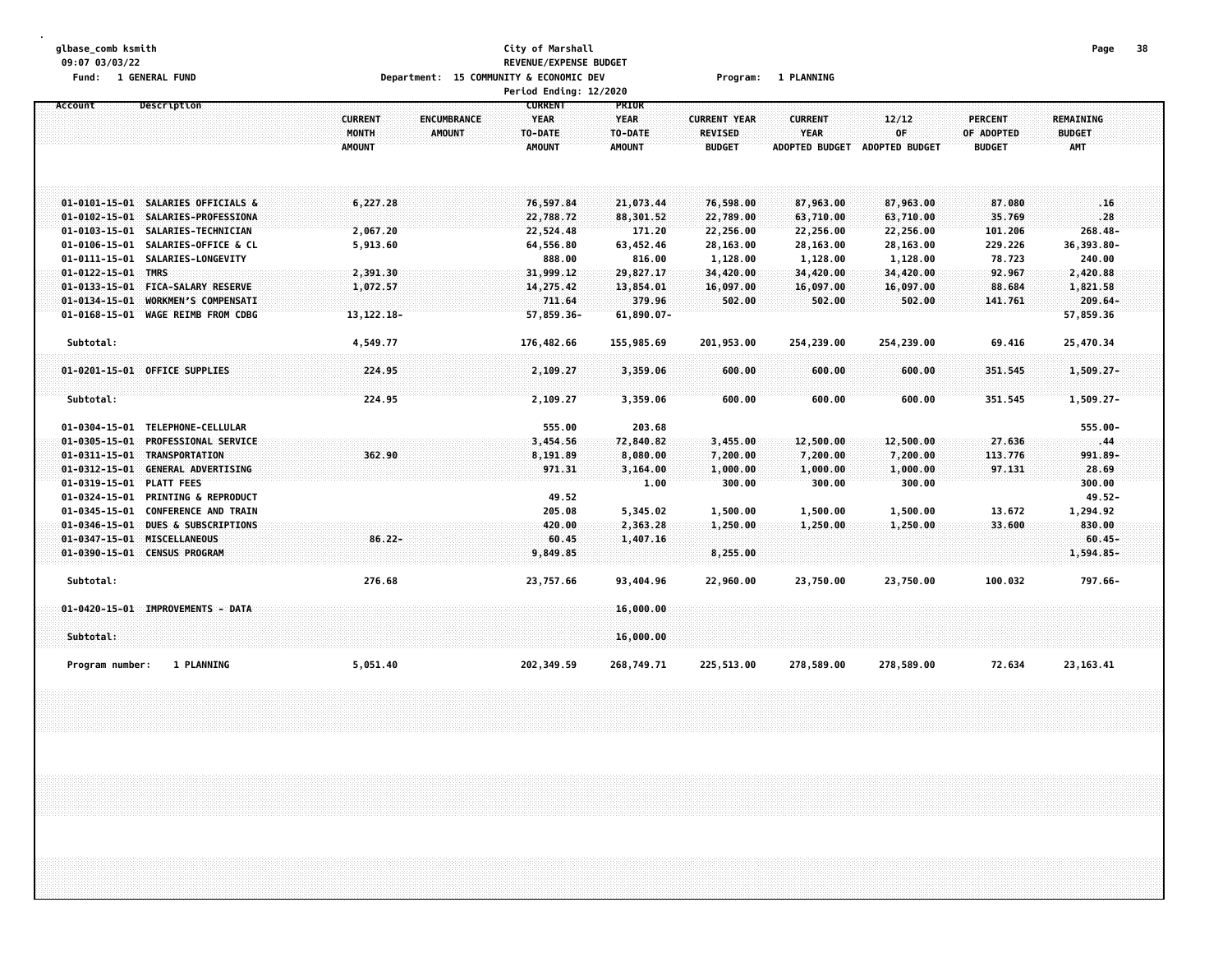# **glbase\_comb ksmith City of Marshall Page 38 09:07 03/03/22 REVENUE/EXPENSE BUDGET** Fund: 1 GENERAL FUND CONTENT TO THE PROGRESS OPPORTMENT: 15 COMMUNITY & ECONOMIC DEV THE PROGRESS Program: 1 PLANNING

|                                                                                                                                                                                   |                                                                          | Period Ending: 12/2020                             |                                                         |                                                        |                                                        |                                                 |                                               |                                                |  |
|-----------------------------------------------------------------------------------------------------------------------------------------------------------------------------------|--------------------------------------------------------------------------|----------------------------------------------------|---------------------------------------------------------|--------------------------------------------------------|--------------------------------------------------------|-------------------------------------------------|-----------------------------------------------|------------------------------------------------|--|
| Description<br>Account                                                                                                                                                            | <b>CURRENT</b><br>ENCUMBRANCE<br>MONTH<br><b>AMOUNT</b><br><b>AMOUNT</b> | <b>CURRENT</b><br>YEAR<br>TO-DATE<br><b>AMOUNT</b> | <b>PRIOR</b><br><b>YEAR</b><br>TO-DATE<br><b>AMOUNT</b> | <b>CURRENT YEAR</b><br><b>REVISED</b><br><b>BUDGET</b> | <b>CURRENT</b><br><b>YEAR</b><br><b>ADOPTED BUDGET</b> | 12/12<br>OF<br><b>ADOPTED BUDGET</b>            | <b>PERCENT</b><br>OF ADOPTED<br><b>BUDGET</b> | REMAINING<br><b>BUDGET</b><br><b>AMT</b>       |  |
| 01-0101-15-01 SALARIES OFFICIALS &<br>01-0102-15-01 SALARIES-PROFESSIONA                                                                                                          | 6,227.28                                                                 | 76,597.84<br>22,788.72                             | 21,073.44<br>88,301.52                                  | 76,598.00<br>22,789.00                                 | 87,963.00<br>63,710.00                                 | 87,963.00<br>63,710.00                          | 87.080<br>35.769                              | .16<br>.28                                     |  |
| 01-0103-15-01 SALARIES-TECHNICIAN<br>01-0106-15-01 SALARIES-OFFICE & CL<br>01-0111-15-01 SALARIES-LONGEVITY<br>01-0122-15-01 TMRS                                                 | 2,067.20<br>5,913.60<br>2,391.30                                         | 22,524.48<br>64,556.80<br>888.00<br>31,999.12      | 171.20<br>63,452.46<br>816.00<br>29,827.17              | 22,256.00<br>28,163.00<br>1,128.00<br>34,420.00        | 22,256.00<br>28,163.00<br>1,128.00<br>34,420.00        | 22,256.00<br>28,163.00<br>1,128.00<br>34,420.00 | 101.206<br>229.226<br>78.723<br>92.967        | $268.48 -$<br>36,393.80-<br>240.00<br>2,420.88 |  |
| 01-0133-15-01 FICA-SALARY RESERVE<br>WORKMEN'S COMPENSATI<br>$01 - 0134 - 15 - 01$<br>01-0168-15-01 WAGE REIMB FROM CDBG                                                          | 1,072.57<br>13, 122. 18-                                                 | 14, 275.42<br>711.64<br>57,859.36-                 | 13,854.01<br>379.96<br>61,890.07-                       | 16,097.00<br>502.00                                    | 16,097.00<br>502.00                                    | 16,097.00<br>502.00                             | 88.684<br>141.761                             | 1,821.58<br>209.64-<br>57,859.36               |  |
| Subtotal:<br>01-0201-15-01 OFFICE SUPPLIES<br>Subtotal:                                                                                                                           | 4,549.77<br>224.95<br>224.95                                             | 176,482.66<br>2,109.27<br>2,109.27                 | 155,985.69<br>3,359.06<br>3,359.06                      | 201,953.00<br>600.00<br>600.00                         | 254,239.00<br>600.00<br>600.00                         | 254,239.00<br>600.00<br>600.00                  | 69.416<br>351.545<br>351.545                  | 25,470.34<br>$1,509.27 -$<br>1,509.27-         |  |
| 01-0304-15-01 TELEPHONE-CELLULAR<br>01-0305-15-01 PROFESSIONAL SERVICE<br>01-0311-15-01 TRANSPORTATION                                                                            | 362.90                                                                   | 555.00<br>3,454.56<br>8,191.89                     | 203.68<br>72,840.82<br>8,080.00                         | 3,455.00<br>7,200.00                                   | 12,500.00<br>7,200.00                                  | 12,500.00<br>7,200.00                           | 27.636<br>113.776                             | $555.00 -$<br>.44<br>991.89-                   |  |
| 01-0312-15-01 GENERAL ADVERTISING<br>01-0319-15-01 PLATT FEES<br>$01 - 0324 - 15 - 01$<br><b>PRINTING &amp; REPRODUCT</b><br>$01 - 0345 - 15 - 01$<br><b>CONFERENCE AND TRAIN</b> |                                                                          | 971.31<br>49.52<br>205.08                          | 3,164.00<br>1.00<br>5,345.02                            | 1,000.00<br>300.00<br>1,500.00                         | 1,000.00<br>300.00<br>1,500.00                         | 1,000.00<br>300.00<br>1,500.00                  | 97.131<br>13.672                              | 28.69<br>300.00<br>$49.52 -$<br>1,294.92       |  |
| 01-0346-15-01 DUES & SUBSCRIPTIONS<br>01-0347-15-01 MISCELLANEOUS<br>01-0390-15-01 CENSUS PROGRAM<br>Subtotal:                                                                    | $86.22 -$<br>276.68                                                      | 420.00<br>60.45<br>9,849.85<br>23,757.66           | 2,363.28<br>1,407.16<br>93,404.96                       | 1,250.00<br>8,255.00<br>22,960.00                      | 1,250.00<br>23,750.00                                  | 1,250.00<br>23,750.00                           | 33.600<br>100.032                             | 830.00<br>$60.45 -$<br>1,594.85-<br>797.66-    |  |
| 01-0420-15-01 IMPROVEMENTS - DATA<br>Subtotal:                                                                                                                                    |                                                                          |                                                    | 16,000.00<br>16,000.00                                  |                                                        |                                                        |                                                 |                                               |                                                |  |
| 1 PLANNING<br>Program number:                                                                                                                                                     | 5,051.40                                                                 | 202,349.59                                         | 268,749.71                                              | 225,513.00                                             | 278,589.00                                             | 278,589.00                                      | 72.634                                        | 23, 163.41                                     |  |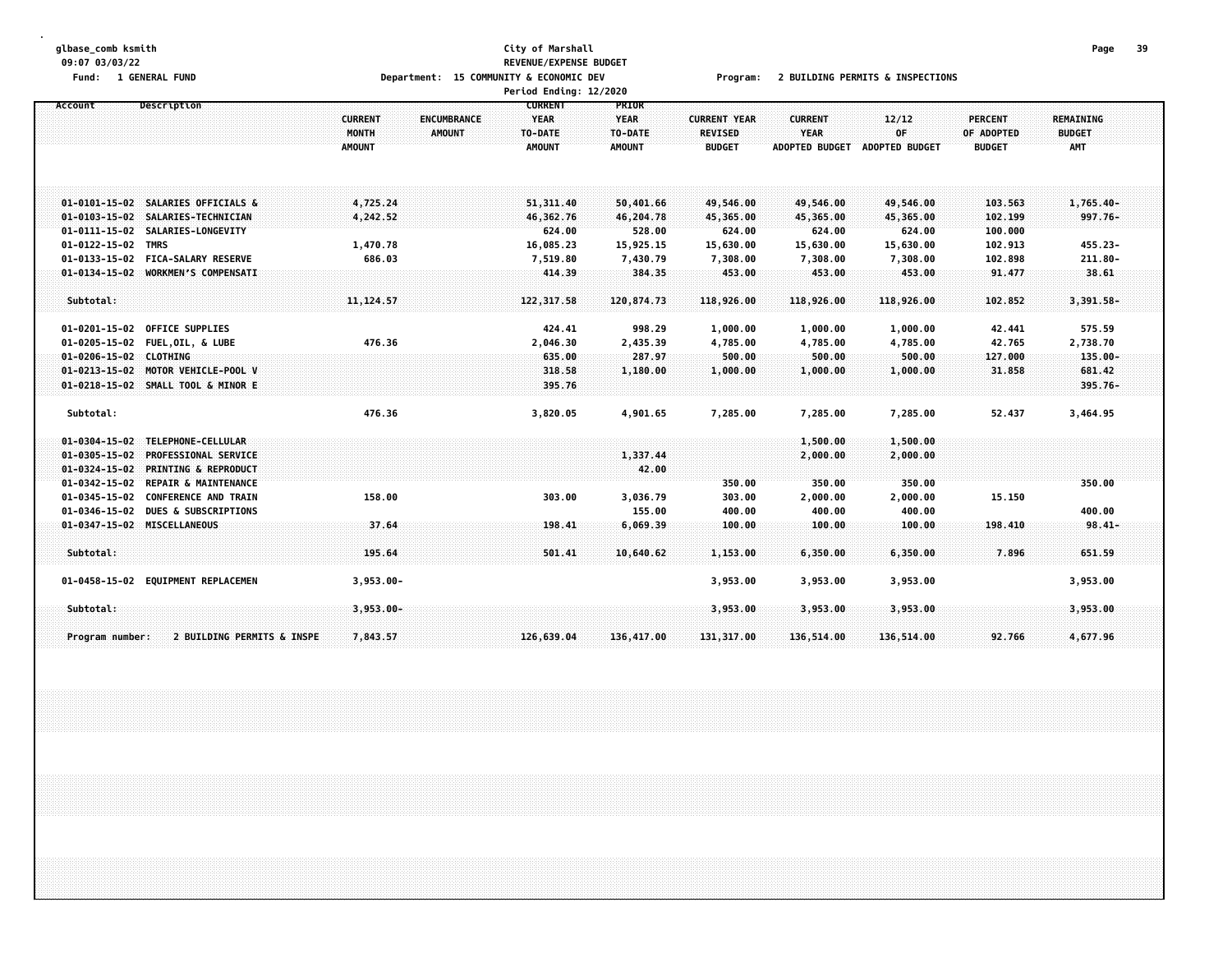#### **glbase\_comb ksmith City of Marshall Page 39 09:07 03/03/22 REVENUE/EXPENSE BUDGET** Fund: 1 GENERAL FUND CONNECTIONS COMMUNITY & COMMUNITY & ECONOMIC DEV Program: 2 BUILDING PERMITS & INSPECTIONS **Period Ending: 12/2020**

|                                                |                                                         |                                          |                              | , c, cou chuchg, c,                                       |                                                  |                                                        |                                                        |                               |                                        |                                                 |  |
|------------------------------------------------|---------------------------------------------------------|------------------------------------------|------------------------------|-----------------------------------------------------------|--------------------------------------------------|--------------------------------------------------------|--------------------------------------------------------|-------------------------------|----------------------------------------|-------------------------------------------------|--|
| Account                                        | Description                                             | <b>CURRENT</b><br>MONTH<br><b>AMOUNT</b> | ENCUMBRANCE<br><b>AMOUNT</b> | <b>CURRENT</b><br><b>YEAR</b><br>TO-DATE<br><b>AMOUNT</b> | <b>PRIOR</b><br><b>YEAR</b><br>TO-DATE<br>AMOUNT | <b>CURRENT YEAR</b><br><b>REVISED</b><br><b>BUDGET</b> | <b>CURRENT</b><br><b>YEAR</b><br><b>ADOPTED BUDGET</b> | 12/12<br>0F<br>ADOPTED BUDGET | PERCENT<br>OF ADOPTED<br><b>BUDGET</b> | <b>REMAINING</b><br><b>BUDGET</b><br><b>AMT</b> |  |
| $01 - 0101 - 15 - 02$                          | SALARIES OFFICIALS &                                    | 4,725.24                                 |                              | 51, 311, 40                                               | 50,401.66                                        | 49,546.00                                              | 49,546.00                                              | 49,546.00                     | 103.563                                | 1,765.40-                                       |  |
| $01 - 0103 - 15 - 02$                          | SALARIES-TECHNICIAN<br>01-0111-15-02 SALARIES-LONGEVITY | 4,242.52                                 |                              | 46,362.76<br>624.00                                       | 46,204.78<br>528.00                              | 45,365.00<br>624.00                                    | 45,365.00<br>624.00                                    | 45,365.00<br>624.00           | 102.199<br>100.000                     | $997.76 -$                                      |  |
| 01-0122-15-02 TMRS                             |                                                         | 1,470.78                                 |                              | 16,085.23                                                 | 15,925.15                                        | 15,630.00                                              | 15,630.00                                              | 15,630.00                     | 102.913                                | 455.23-                                         |  |
| 01-0133-15-02                                  | <b>FICA-SALARY RESERVE</b>                              | 686.03                                   |                              | 7,519.80                                                  | 7,430.79                                         | 7,308.00                                               | 7,308.00                                               | 7,308.00                      | 102.898                                | $211.80 -$                                      |  |
|                                                | 01-0134-15-02 WORKMEN'S COMPENSATI                      |                                          |                              | 414.39                                                    | 384.35                                           | 453.00                                                 | 453.00                                                 | 453.00                        | 91.477                                 | 38.61                                           |  |
| Subtotal:                                      |                                                         | 11, 124.57                               |                              | 122, 317.58                                               | 120,874.73                                       | 118,926.00                                             | 118,926.00                                             | 118,926.00                    | 102.852                                | $3,391.58 -$                                    |  |
|                                                | 01-0201-15-02 OFFICE SUPPLIES                           |                                          |                              | 424.41                                                    | 998.29                                           | 1,000.00                                               | 1,000.00                                               | 1,000.00                      | 42.441                                 | 575.59                                          |  |
|                                                | 01-0205-15-02 FUEL, OIL, & LUBE                         | 476.36                                   |                              | 2,046.30                                                  | 2,435.39                                         | 4,785.00                                               | 4,785.00                                               | 4,785.00                      | 42.765                                 | 2,738.70                                        |  |
| 01-0206-15-02 CLOTHING                         |                                                         |                                          |                              | 635.00                                                    | 287.97                                           | 500.00                                                 | 500.00                                                 | 500.00                        | 127,000                                | $135.00 -$                                      |  |
| $01 - 0213 - 15 - 02$                          | MOTOR VEHICLE-POOL V                                    |                                          |                              | 318.58                                                    | 1,180.00                                         | 1,000.00                                               | 1,000.00                                               | 1,000.00                      | 31.858                                 | 681.42                                          |  |
|                                                | 01-0218-15-02 SMALL TOOL & MINOR E                      |                                          |                              | 395.76                                                    |                                                  |                                                        |                                                        |                               |                                        | 395.76-                                         |  |
| Subtotal:                                      |                                                         | 476.36                                   |                              | 3,820.05                                                  | 4,901.65                                         | 7,285.00                                               | 7,285.00                                               | 7,285.00                      | 52.437                                 | 3,464.95                                        |  |
| $01 - 0304 - 15 - 02$                          | TELEPHONE-CELLULAR                                      |                                          |                              |                                                           |                                                  |                                                        | 1,500.00                                               | 1,500.00                      |                                        |                                                 |  |
| $01 - 0305 - 15 - 02$                          | <b>PROFESSIONAL SERVICE</b>                             |                                          |                              |                                                           | 1,337.44                                         |                                                        | 2,000.00                                               | 2,000.00                      |                                        |                                                 |  |
| $01 - 0324 - 15 - 02$                          | PRINTING & REPRODUCT                                    |                                          |                              |                                                           | 42.00                                            |                                                        |                                                        |                               |                                        |                                                 |  |
| $01 - 0342 - 15 - 02$<br>$01 - 0345 - 15 - 02$ | REPAIR & MAINTENANCE<br><b>CONFERENCE AND TRAIN</b>     | 158.00                                   |                              | 303.00                                                    | 3,036.79                                         | 350.00<br>303.00                                       | 350.00<br>2,000.00                                     | 350.00<br>2,000.00            | 15.150                                 | 350.00                                          |  |
| 01-0346-15-02                                  | <b>DUES &amp; SUBSCRIPTIONS</b>                         |                                          |                              |                                                           | 155.00                                           | 400.00                                                 | 400.00                                                 | 400.00                        |                                        | 400.00                                          |  |
| 01-0347-15-02 MISCELLANEOUS                    |                                                         | 37.64                                    |                              | 198.41                                                    | 6,069.39                                         | 100.00                                                 | 100.00                                                 | 100.00                        | 198.410                                | $98.41 -$                                       |  |
| Subtotal:                                      |                                                         | 195.64                                   |                              | 501.41                                                    | 10,640.62                                        | 1,153.00                                               | 6,350.00                                               | 6,350.00                      | 7.896                                  | 651.59                                          |  |
|                                                | 01-0458-15-02 EQUIPMENT REPLACEMEN                      | $3,953.00 -$                             |                              |                                                           |                                                  | 3,953.00                                               | 3,953.00                                               | 3,953.00                      |                                        | 3,953.00                                        |  |
| Subtotal:                                      |                                                         | $3,953.00 -$                             |                              |                                                           |                                                  | 3,953.00                                               | 3,953.00                                               | 3,953.00                      |                                        | 3,953.00                                        |  |
| Program number:                                | <b>2 BUILDING PERMITS &amp; INSPE</b>                   | 7,843.57                                 |                              | 126,639.04                                                | 136,417.00                                       | 131, 317, 00                                           | 136,514.00                                             | 136,514.00                    | 92.766                                 | 4,677.96                                        |  |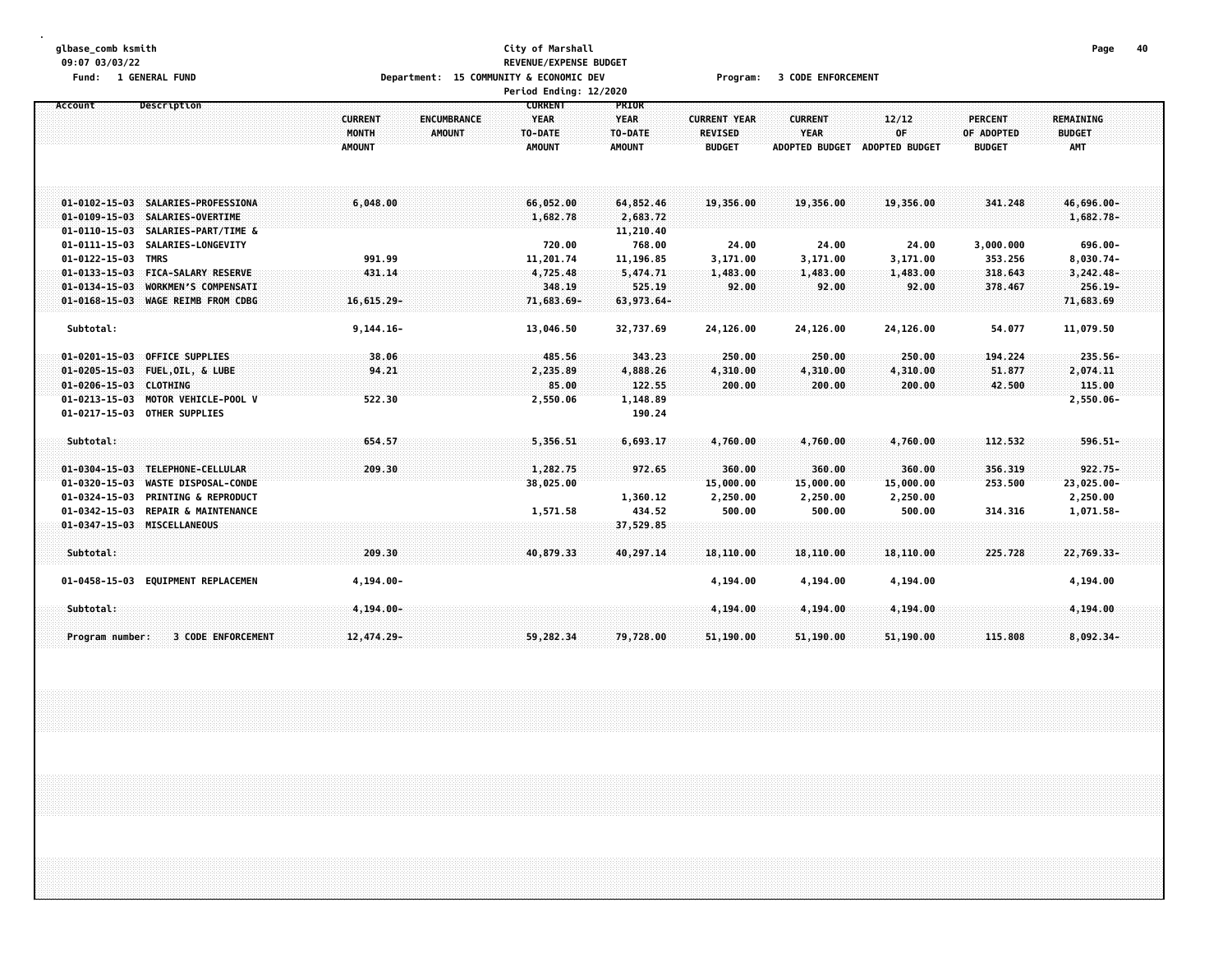#### **glbase\_comb ksmith City of Marshall Page 40 09:07 03/03/22 REVENUE/EXPENSE BUDGET** Fund: 1 GENERAL FUND CODE CONTROLLER SECONDUNTY & ECONOMIC DEV PROGRAM: 2 CODE ENFORCEMENT **Period Ending: 12/2020**

| Fer tou Endthy. 12/2020 |                                    |                |                            |              |                     |                       |                       |                |                  |  |
|-------------------------|------------------------------------|----------------|----------------------------|--------------|---------------------|-----------------------|-----------------------|----------------|------------------|--|
| Account                 | Description                        |                | <b>CURRENT</b>             | <b>PRIOR</b> |                     |                       |                       |                |                  |  |
|                         |                                    | <b>CURRENT</b> | <b>ENCUMBRANCE</b><br>YEAR | <b>YEAR</b>  | <b>CURRENT YEAR</b> | <b>CURRENT</b>        | 12/12                 | <b>PERCENT</b> | <b>REMAINING</b> |  |
|                         |                                    | MONTH          | <b>AMOUNT</b><br>TO-DATE   | TO-DATE      | <b>REVISED</b>      | YEAR                  | OF                    | OF ADOPTED     | <b>BUDGET</b>    |  |
|                         |                                    | <b>AMOUNT</b>  | <b>AMOUNT</b>              | AMOUNT       | <b>BUDGET</b>       | <b>ADOPTED BUDGET</b> | <b>ADOPTED BUDGET</b> | <b>BUDGET</b>  | <b>AMT</b>       |  |
|                         |                                    |                |                            |              |                     |                       |                       |                |                  |  |
|                         |                                    |                |                            |              |                     |                       |                       |                |                  |  |
|                         |                                    |                |                            |              |                     |                       |                       |                |                  |  |
| $01 - 0102 - 15 - 03$   | SALARIES-PROFESSIONA               | 6,048.00       | 66,052.00                  | 64,852.46    | 19,356.00           | 19,356.00             | 19,356.00             | 341.248        | 46,696.00-       |  |
| $01 - 0109 - 15 - 03$   | SALARIES-OVERTIME                  |                | 1,682.78                   | 2,683.72     |                     |                       |                       |                | $1,682.78-$      |  |
| $01 - 0110 - 15 - 03$   | SALARIES-PART/TIME &               |                |                            | 11,210.40    |                     |                       |                       |                |                  |  |
| $01 - 0111 - 15 - 03$   | SALARIES-LONGEVITY                 |                | 720.00                     | 768.00       | 24.00               | 24.00                 | 24.00                 | 3,000.000      | 696.00-          |  |
| $01 - 0122 - 15 - 03$   | <b>TMRS</b>                        | 991.99         | 11,201.74                  | 11,196.85    | 3,171.00            | 3,171.00              | 3,171.00              | 353.256        | $8,030.74-$      |  |
| $01 - 0133 - 15 - 03$   | <b>FICA-SALARY RESERVE</b>         | 431.14         | 4,725.48                   | 5,474.71     | 1,483.00            | 1,483.00              | 1,483.00              | 318.643        | $3,242.48-$      |  |
| $01 - 0134 - 15 - 03$   | WORKMEN'S COMPENSATI               |                | 348.19                     | 525.19       | 92.00               | 92.00                 | 92.00                 | 378.467        | $256.19 -$       |  |
|                         | 01-0168-15-03 WAGE REIMB FROM CDBG | 16,615.29-     | 71,683.69-                 | 63,973.64-   |                     |                       |                       |                | 71,683.69        |  |
|                         |                                    |                |                            |              |                     |                       |                       |                |                  |  |
|                         |                                    | $9, 144.16 -$  |                            |              | 24,126.00           | 24,126.00             | 24,126.00             |                | 11,079.50        |  |
| Subtotal:               |                                    |                | 13,046.50                  | 32,737.69    |                     |                       |                       | 54.077         |                  |  |
|                         |                                    |                |                            |              |                     |                       |                       |                |                  |  |
| $01 - 0201 - 15 - 03$   | <b>OFFICE SUPPLIES</b>             | 38.06          | 485.56                     | 343.23       | 250.00              | 250.00                | 250.00                | 194,224        | $235.56 -$       |  |
| $01 - 0205 - 15 - 03$   | FUEL, OIL, & LUBE                  | 94.21          | 2,235.89                   | 4,888.26     | 4,310.00            | 4,310.00              | 4,310.00              | 51.877         | 2,074.11         |  |
| $01 - 0206 - 15 - 03$   | CLOTHING                           |                | 85.00                      | 122.55       | 200.00              | 200.00                | 200.00                | 42.500         | 115.00           |  |
| $01 - 0213 - 15 - 03$   | MOTOR VEHICLE-POOL V               | 522.30         | 2,550.06                   | 1,148.89     |                     |                       |                       |                | 2,550.06-        |  |
|                         | 01-0217-15-03 OTHER SUPPLIES       |                |                            | 190.24       |                     |                       |                       |                |                  |  |
|                         |                                    |                |                            |              |                     |                       |                       |                |                  |  |
| Subtotal:               |                                    | 654.57         | 5,356.51                   | 6,693.17     | 4,760.00            | 4,760.00              | 4,760.00              | 112.532        | $596.51 -$       |  |
|                         |                                    |                |                            |              |                     |                       |                       |                |                  |  |
| $01 - 0304 - 15 - 03$   | TELEPHONE-CELLULAR                 | 209.30         | 1,282.75                   | 972.65       | 360.00              | 360.00                | 360.00                | 356.319        | $922.75 -$       |  |
| $01 - 0320 - 15 - 03$   | <b>WASTE DISPOSAL-CONDE</b>        |                | 38,025.00                  |              | 15,000.00           | 15,000.00             | 15,000.00             | 253.500        | 23,025.00-       |  |
| $01 - 0324 - 15 - 03$   | <b>PRINTING &amp; REPRODUCT</b>    |                |                            | 1,360.12     | 2,250.00            | 2,250.00              | 2,250.00              |                | 2,250.00         |  |
| 01-0342-15-03           | <b>REPAIR &amp; MAINTENANCE</b>    |                | 1,571.58                   | 434.52       | 500.00              | 500.00                | 500.00                | 314.316        | 1,071.58-        |  |
| $01 - 0347 - 15 - 03$   | MISCELLANEOUS                      |                |                            | 37,529.85    |                     |                       |                       |                |                  |  |
|                         |                                    |                |                            |              |                     |                       |                       |                |                  |  |
| Subtotal:               |                                    | 209.30         | 40,879.33                  | 40,297.14    | 18,110.00           | 18,110.00             | 18,110.00             | 225.728        | 22,769.33-       |  |
|                         |                                    |                |                            |              |                     |                       |                       |                |                  |  |
|                         | 01-0458-15-03 EQUIPMENT REPLACEMEN | $4, 194.00 -$  |                            |              | 4,194.00            | 4,194.00              | 4,194.00              |                | 4,194.00         |  |
|                         |                                    |                |                            |              |                     |                       |                       |                |                  |  |
| Subtotal:               |                                    | 4,194.00-      |                            |              | 4,194.00            | 4,194.00              | 4,194.00              |                | 4,194,00         |  |
|                         |                                    |                |                            |              |                     |                       |                       |                |                  |  |
| Program number:         | <b>3 CODE ENFORCEMENT</b>          | 12,474.29-     | 59,282.34                  | 79,728.00    | 51,190.00           | 51,190.00             | 51,190.00             | 115,808        | $8,092.34-$      |  |
|                         |                                    |                |                            |              |                     |                       |                       |                |                  |  |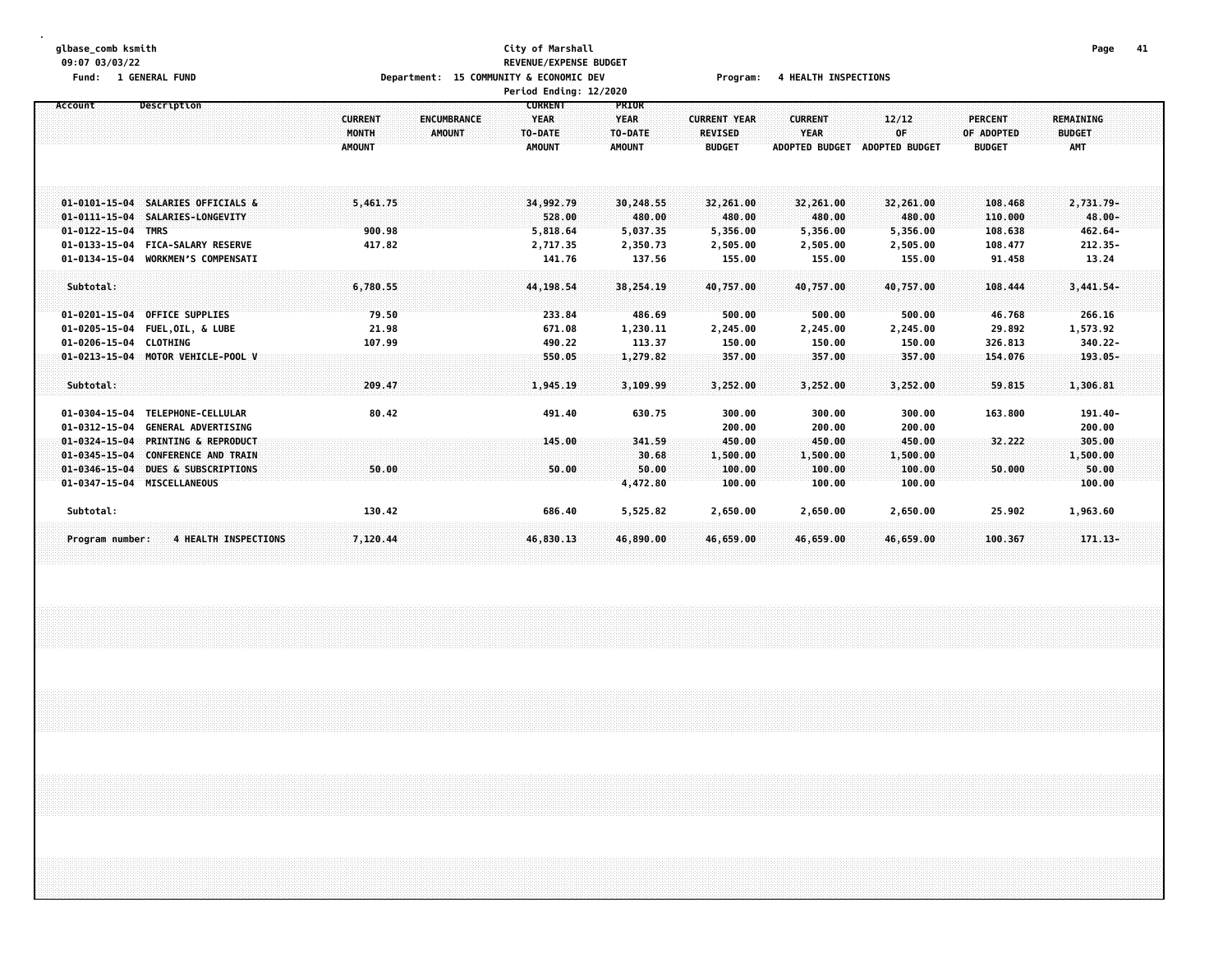#### **glbase\_comb ksmith City of Marshall Page 41 09:07 03/03/22 REVENUE/EXPENSE BUDGET** Fund: 1 GENERAL FUND CONNECTIONS Department: 15 COMMUNITY & ECONOMIC DEV Program: 4 HEALTH INSPECTIONS **Period Ending: 12/2020**

|                                                                              |                                                                                 | . 6. com Finacity, 76/6060                                |                                                         |                                                        |                                                        |                               |                                               |                                          |  |
|------------------------------------------------------------------------------|---------------------------------------------------------------------------------|-----------------------------------------------------------|---------------------------------------------------------|--------------------------------------------------------|--------------------------------------------------------|-------------------------------|-----------------------------------------------|------------------------------------------|--|
| Description<br>Account                                                       | <b>CURRENT</b><br><b>ENCUMBRANCE</b><br>MONTH<br><b>AMOUNT</b><br><b>AMOUNT</b> | <b>CURRENT</b><br><b>YEAR</b><br>TO-DATE<br><b>AMOUNT</b> | <b>PRIOR</b><br><b>YEAR</b><br>TO-DATE<br><b>AMOUNT</b> | <b>CURRENT YEAR</b><br><b>REVISED</b><br><b>BUDGET</b> | <b>CURRENT</b><br><b>YEAR</b><br><b>ADOPTED BUDGET</b> | 12/12<br>0F<br>ADOPTED BUDGET | <b>PERCENT</b><br>OF ADOPTED<br><b>BUDGET</b> | <b>REMAINING</b><br><b>BUDGET</b><br>AMT |  |
| 01-0101-15-04 SALARIES OFFICIALS &                                           | 5,461.75                                                                        | 34,992.79                                                 | 30,248.55                                               | 32,261.00                                              | 32,261.00                                              | 32,261.00                     | 108.468                                       | 2,731.79-                                |  |
| SALARIES-LONGEVITY<br>$01 - 0111 - 15 - 04$<br>01-0122-15-04 TMRS            | 900.98                                                                          | 528.00<br>5,818.64                                        | 480.00<br>5,037.35                                      | 480.00<br>5,356.00                                     | 480.00<br>5,356.00                                     | 480.00<br>5,356.00            | 110.000<br>108.638                            | 48.00-<br>462.64-                        |  |
| <b>FICA-SALARY RESERVE</b><br>01-0133-15-04                                  | 417.82                                                                          | 2,717.35                                                  | 2,350.73                                                | 2,505.00                                               | 2,505.00                                               | 2,505.00                      | 108.477                                       | $212.35 -$                               |  |
| <b>WORKMEN'S COMPENSATI</b><br>01-0134-15-04                                 |                                                                                 | 141.76                                                    | 137.56                                                  | 155.00                                                 | 155.00                                                 | 155.00                        | 91.458                                        | 13.24                                    |  |
| Subtotal:                                                                    | 6,780.55                                                                        | 44,198.54                                                 | 38,254.19                                               | 40,757.00                                              | 40,757.00                                              | 40,757.00                     | 108.444                                       | $3,441.54-$                              |  |
| 01-0201-15-04 OFFICE SUPPLIES                                                | 79.50                                                                           | 233.84                                                    | 486.69                                                  | 500.00                                                 | 500.00                                                 | 500.00                        | 46.768                                        | 266.16                                   |  |
| 01-0205-15-04<br><b>FUEL,OIL, &amp; LUBE</b>                                 | 21.98                                                                           | 671.08                                                    | 1,230.11                                                | 2,245.00                                               | 2,245.00                                               | 2,245.00                      | 29.892                                        | 1,573.92                                 |  |
| 01-0206-15-04<br><b>CLOTHING</b>                                             | 107.99                                                                          | 490.22                                                    | 113.37                                                  | 150.00                                                 | 150.00                                                 | 150.00                        | 326.813                                       | 340.22-                                  |  |
| 01-0213-15-04 MOTOR VEHICLE-POOL V                                           |                                                                                 | 550.05                                                    | 1,279.82                                                | 357.00                                                 | 357.00                                                 | 357.00                        | 154,076                                       | $193.05 -$                               |  |
| Subtotal:                                                                    | 209.47                                                                          | 1,945.19                                                  | 3,109.99                                                | 3,252.00                                               | 3,252.00                                               | 3,252.00                      | 59.815                                        | 1,306.81                                 |  |
| TELEPHONE-CELLULAR<br>01-0304-15-04                                          | 80.42                                                                           | 491.40                                                    | 630.75                                                  | 300.00                                                 | 300.00                                                 | 300.00                        | 163.800                                       | $191.40 -$                               |  |
| $01 - 0312 - 15 - 04$<br><b>GENERAL ADVERTISING</b>                          |                                                                                 |                                                           |                                                         | 200.00                                                 | 200.00                                                 | 200.00                        |                                               | 200.00                                   |  |
| PRINTING & REPRODUCT<br>$01 - 0324 - 15 - 04$                                |                                                                                 | 145.00                                                    | 341.59                                                  | 450.00                                                 | 450.00                                                 | 450.00                        | 32.222                                        | 305.00                                   |  |
| $01 - 0345 - 15 - 04$<br><b>CONFERENCE AND TRAIN</b>                         |                                                                                 |                                                           | 30.68                                                   | 1,500.00                                               | 1,500.00                                               | 1,500.00                      |                                               | 1,500.00                                 |  |
| $01 - 0346 - 15 - 04$<br>DUES & SUBSCRIPTIONS<br>01-0347-15-04 MISCELLANEOUS | 50.00                                                                           | 50.00                                                     | 50.00<br>4,472.80                                       | 100.00<br>100.00                                       | 100.00<br>100.00                                       | 100.00<br>100.00              | 50.000                                        | 50.00<br>100.00                          |  |
|                                                                              |                                                                                 |                                                           |                                                         |                                                        |                                                        |                               |                                               |                                          |  |
| Subtotal:                                                                    | 130.42                                                                          | 686.40                                                    | 5,525.82                                                | 2,650.00                                               | 2,650.00                                               | 2,650.00                      | 25.902                                        | 1,963.60                                 |  |
| <b>4 HEALTH INSPECTIONS</b><br>Program number:                               | 7,120.44                                                                        | 46,830.13                                                 | 46,890.00                                               | 46,659.00                                              | 46,659.00                                              | 46,659.00                     | 100.367                                       | 171.13-                                  |  |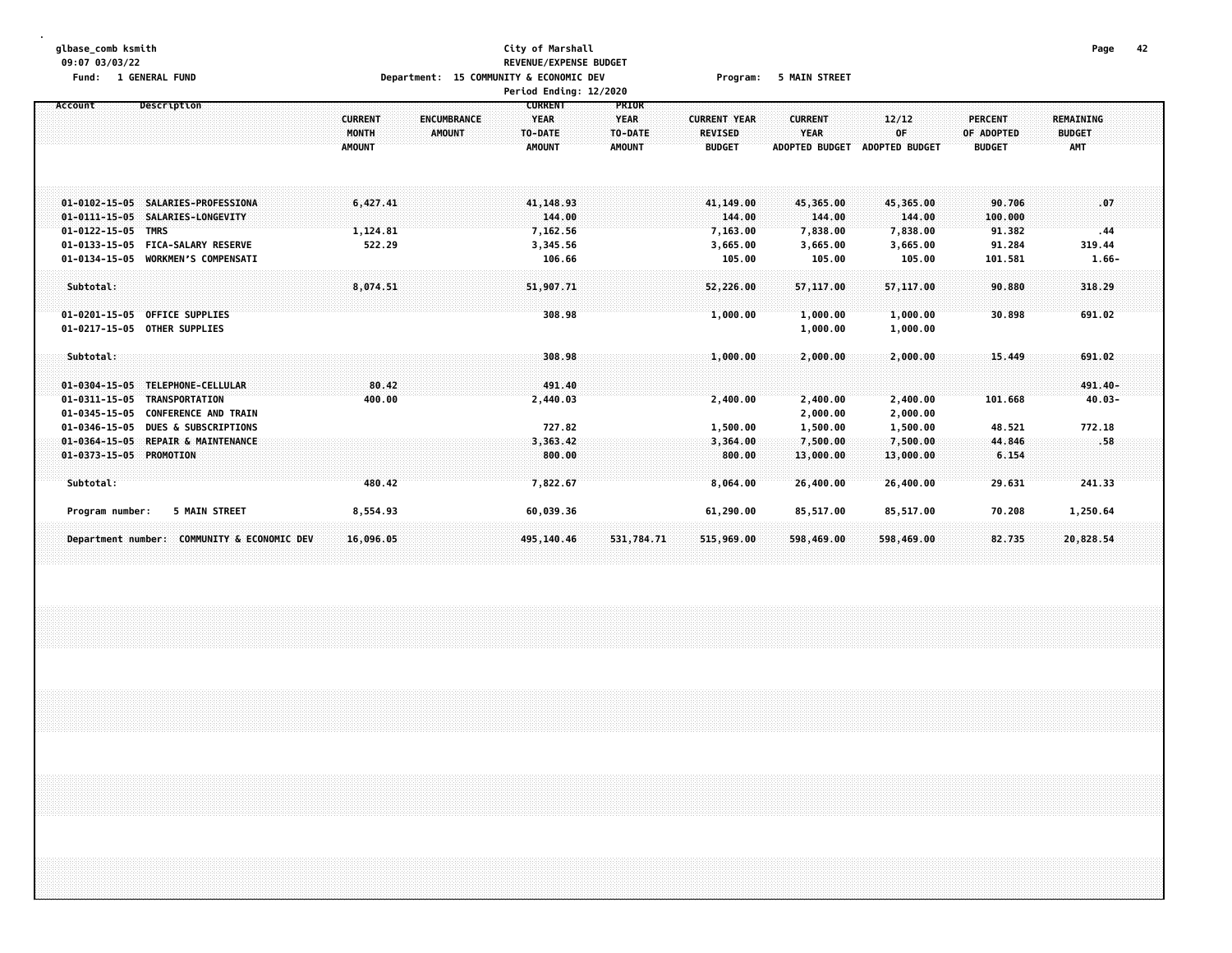# **glbase\_comb ksmith City of Marshall Page 42 09:07 03/03/22 REVENUE/EXPENSE BUDGET** Fund: 1 GENERAL FUND CONDEX TO POPER DESCRIPTION OF DEPARTMENT: 15 COMMUNITY & ECONOMIC DEV Program: 5 MAIN STREET

**Period Ending: 12/2020 Account Description CURRENT PRIOR CURRENT ENCUMBRANCE YEAR YEAR CURRENT YEAR CURRENT 12/12 PERCENT REMAINING MONTH AMOUNT TO-DATE TO-DATE REVISED YEAR OF OF ADOPTED BUDGET AMOUNT AMOUNT AMOUNT BUDGET ADOPTED BUDGET ADOPTED BUDGET BUDGET AMT 01-0102-15-05 SALARIES-PROFESSIONA 6,427.41 41,148.93 41,149.00 45,365.00 45,365.00 90.706 .07 01-0111-15-05 SALARIES-LONGEVITY 144.00 144.00 144.00 144.00 100.000 01-0122-15-05 TMRS 1,124.81 7,162.56 7,163.00 7,838.00 7,838.00 91.382 .44 01-0133-15-05 FICA-SALARY RESERVE 522.29 3,345.56 3,665.00 3,665.00 3,665.00 91.284 319.44 01-0134-15-05 WORKMENS COMPENSATI 106.66 105.00 105.00 105.00 101.581 1.66- Subtotal: 8,074.51 51,907.71 52,226.00 57,117.00 57,117.00 90.880 318.29 01-0201-15-05 OFFICE SUPPLIES 308.98 1,000.00 1,000.00 1,000.00 30.898 691.02 01-0217-15-05 OTHER SUPPLIES 1,000.00 1,000.00 Subtotal: 308.98 1,000.00 2,000.00 2,000.00 15.449 691.02 01-0304-15-05 TELEPHONE-CELLULAR 80.42 491.40 491.40- 01-0311-15-05 TRANSPORTATION 400.00 2,440.03 2,400.00 2,400.00 2,400.00 101.668 40.03- 01-0345-15-05 CONFERENCE AND TRAIN 2,000.00 2,000.00 01-0346-15-05 DUES & SUBSCRIPTIONS 727.82 1,500.00 1,500.00 1,500.00 48.521 772.18 01-0364-15-05 REPAIR & MAINTENANCE 3,363.42 3,364.00 7,500.00 7,500.00 44.846 .58 01-0373-15-05 PROMOTION 800.00 800.00 13,000.00 13,000.00 6.154 Subtotal: 480.42 7,822.67 8,064.00 26,400.00 26,400.00 29.631 241.33** 9,554,93 06.91% 06,039.36 06,039.36 06,039.36 06,039.36 06,039.36 06,039.36 06,039.36 06,039.36 07.90.30 07.517.00 07.00 085,517.00 07.00 085,517.00 07.0208 07.250.64 Department number: COMMUNITY & ECONOMIC DEV 16,096.05 495,140.46 531,784.71 515,969.00 598,469.00 598,469.00 598,469.00 82.735 20,828.54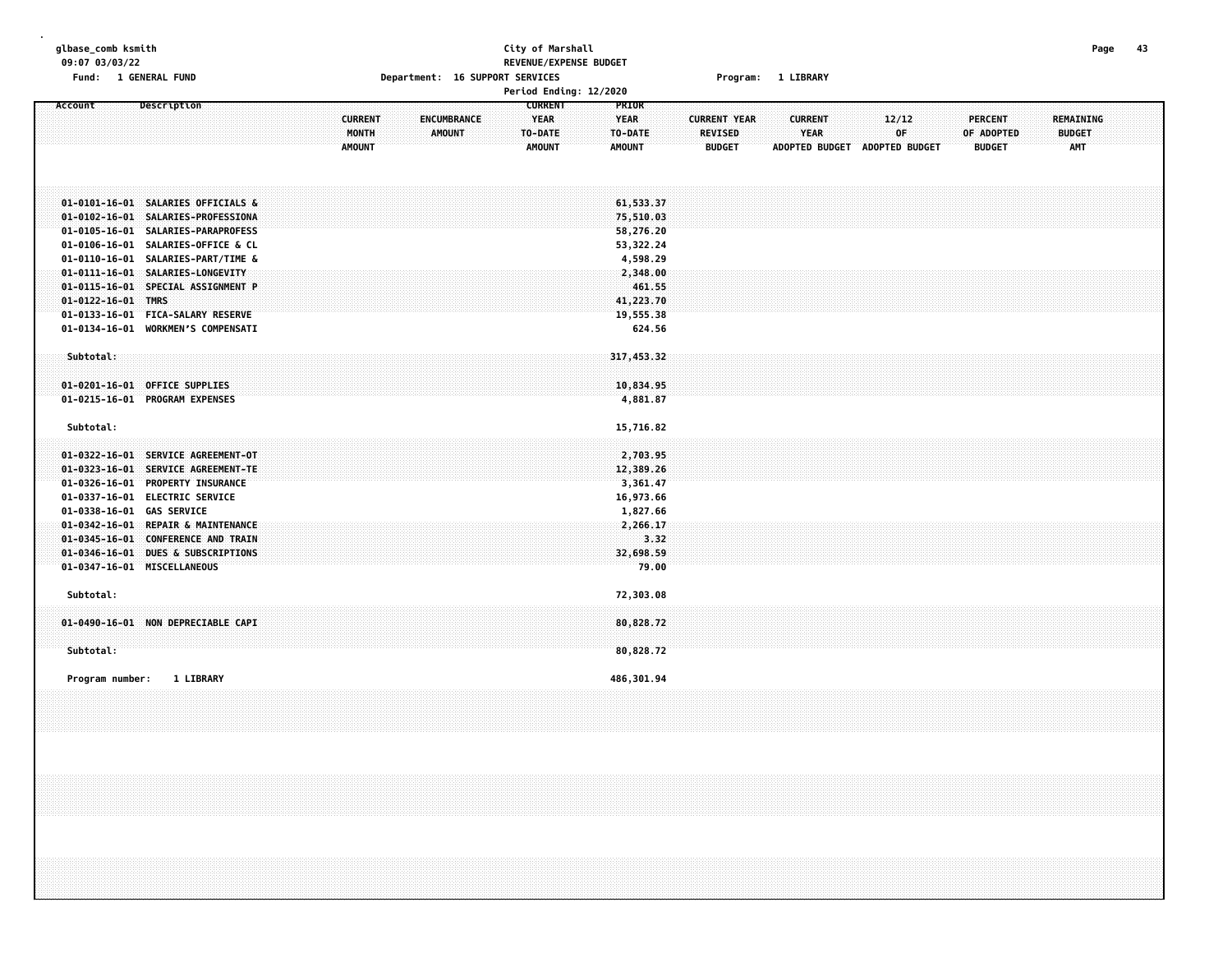# **glbase\_comb ksmith City of Marshall Page 43 09:07 03/03/22 REVENUE/EXPENSE BUDGET Fund: 1 GENERAL FUND Department: 16 SUPPORT SERVICES Program: 1 LIBRARY**

| runa:<br><b>I GENERAL FUND</b>                                           |                | Department: It SUPPORT SERVICES                     |                       |                     | Program: LLLBRARY |                |                |                  |  |
|--------------------------------------------------------------------------|----------------|-----------------------------------------------------|-----------------------|---------------------|-------------------|----------------|----------------|------------------|--|
|                                                                          |                | Period Ending: 12/2020                              |                       |                     |                   |                |                |                  |  |
| Description<br>Account                                                   | <b>CURRENT</b> | <b>CURRENT</b><br><b>ENCUMBRANCE</b><br><b>YEAR</b> | PRIOR<br><b>YEAR</b>  | <b>CURRENT YEAR</b> | <b>CURRENT</b>    | 12/12          | <b>PERCENT</b> | <b>REMAINING</b> |  |
|                                                                          | <b>MONTH</b>   | <b>AMOUNT</b><br>TO-DATE                            | TO-DATE               | <b>REVISED</b>      | <b>YEAR</b>       | OF             | OF ADOPTED     | <b>BUDGET</b>    |  |
|                                                                          | <b>AMOUNT</b>  | <b>AMOUNT</b>                                       | <b>AMOUNT</b>         | <b>BUDGET</b>       | ADOPTED BUDGET    | ADOPTED BUDGET | <b>BUDGET</b>  | <b>AMT</b>       |  |
|                                                                          |                |                                                     |                       |                     |                   |                |                |                  |  |
|                                                                          |                |                                                     |                       |                     |                   |                |                |                  |  |
|                                                                          |                |                                                     |                       |                     |                   |                |                |                  |  |
| 01-0101-16-01 SALARIES OFFICIALS &                                       |                |                                                     | 61,533.37             |                     |                   |                |                |                  |  |
| 01-0102-16-01 SALARIES-PROFESSIONA                                       |                |                                                     | 75,510.03             |                     |                   |                |                |                  |  |
| 01-0105-16-01 SALARIES-PARAPROFESS                                       |                |                                                     | 58,276.20             |                     |                   |                |                |                  |  |
| 01-0106-16-01 SALARIES-OFFICE & CL<br>01-0110-16-01 SALARIES-PART/TIME & |                |                                                     | 53,322.24<br>4,598.29 |                     |                   |                |                |                  |  |
| 01-0111-16-01 SALARIES-LONGEVITY                                         |                |                                                     | 2,348.00              |                     |                   |                |                |                  |  |
| 01-0115-16-01 SPECIAL ASSIGNMENT P                                       |                |                                                     | 461.55                |                     |                   |                |                |                  |  |
| 01-0122-16-01 TMRS                                                       |                |                                                     | 41,223.70             |                     |                   |                |                |                  |  |
| 01-0133-16-01 FICA-SALARY RESERVE                                        |                |                                                     | 19,555.38             |                     |                   |                |                |                  |  |
| 01-0134-16-01 WORKMEN'S COMPENSATI                                       |                |                                                     | 624.56                |                     |                   |                |                |                  |  |
|                                                                          |                |                                                     |                       |                     |                   |                |                |                  |  |
| Subtotal:                                                                |                |                                                     | 317,453.32            |                     |                   |                |                |                  |  |
| 01-0201-16-01 OFFICE SUPPLIES                                            |                |                                                     | 10,834.95             |                     |                   |                |                |                  |  |
| 01-0215-16-01 PROGRAM EXPENSES                                           |                |                                                     | 4,881.87              |                     |                   |                |                |                  |  |
|                                                                          |                |                                                     |                       |                     |                   |                |                |                  |  |
| Subtotal:                                                                |                |                                                     | 15,716.82             |                     |                   |                |                |                  |  |
| 01-0322-16-01 SERVICE AGREEMENT-OT                                       |                |                                                     | 2,703.95              |                     |                   |                |                |                  |  |
| 01-0323-16-01 SERVICE AGREEMENT-TE                                       |                |                                                     | 12,389.26             |                     |                   |                |                |                  |  |
| 01-0326-16-01 PROPERTY INSURANCE                                         |                |                                                     | 3,361.47              |                     |                   |                |                |                  |  |
| 01-0337-16-01 ELECTRIC SERVICE                                           |                |                                                     | 16,973.66             |                     |                   |                |                |                  |  |
| 01-0338-16-01 GAS SERVICE                                                |                |                                                     | 1,827.66              |                     |                   |                |                |                  |  |
| 01-0342-16-01 REPAIR & MAINTENANCE                                       |                |                                                     | 2,266.17              |                     |                   |                |                |                  |  |
| 01-0345-16-01 CONFERENCE AND TRAIN                                       |                |                                                     | 3.32                  |                     |                   |                |                |                  |  |
| 01-0346-16-01 DUES & SUBSCRIPTIONS                                       |                |                                                     | 32,698.59             |                     |                   |                |                |                  |  |
| 01-0347-16-01 MISCELLANEOUS                                              |                |                                                     | 79.00                 |                     |                   |                |                |                  |  |
|                                                                          |                |                                                     |                       |                     |                   |                |                |                  |  |
| Subtotal:                                                                |                |                                                     | 72,303.08             |                     |                   |                |                |                  |  |
|                                                                          |                |                                                     |                       |                     |                   |                |                |                  |  |
| 01-0490-16-01 NON DEPRECIABLE CAPI                                       |                |                                                     | 80,828.72             |                     |                   |                |                |                  |  |
| Subtotal:                                                                |                |                                                     | 80,828.72             |                     |                   |                |                |                  |  |
|                                                                          |                |                                                     |                       |                     |                   |                |                |                  |  |

 **Program number: 1 LIBRARY 486,301.94**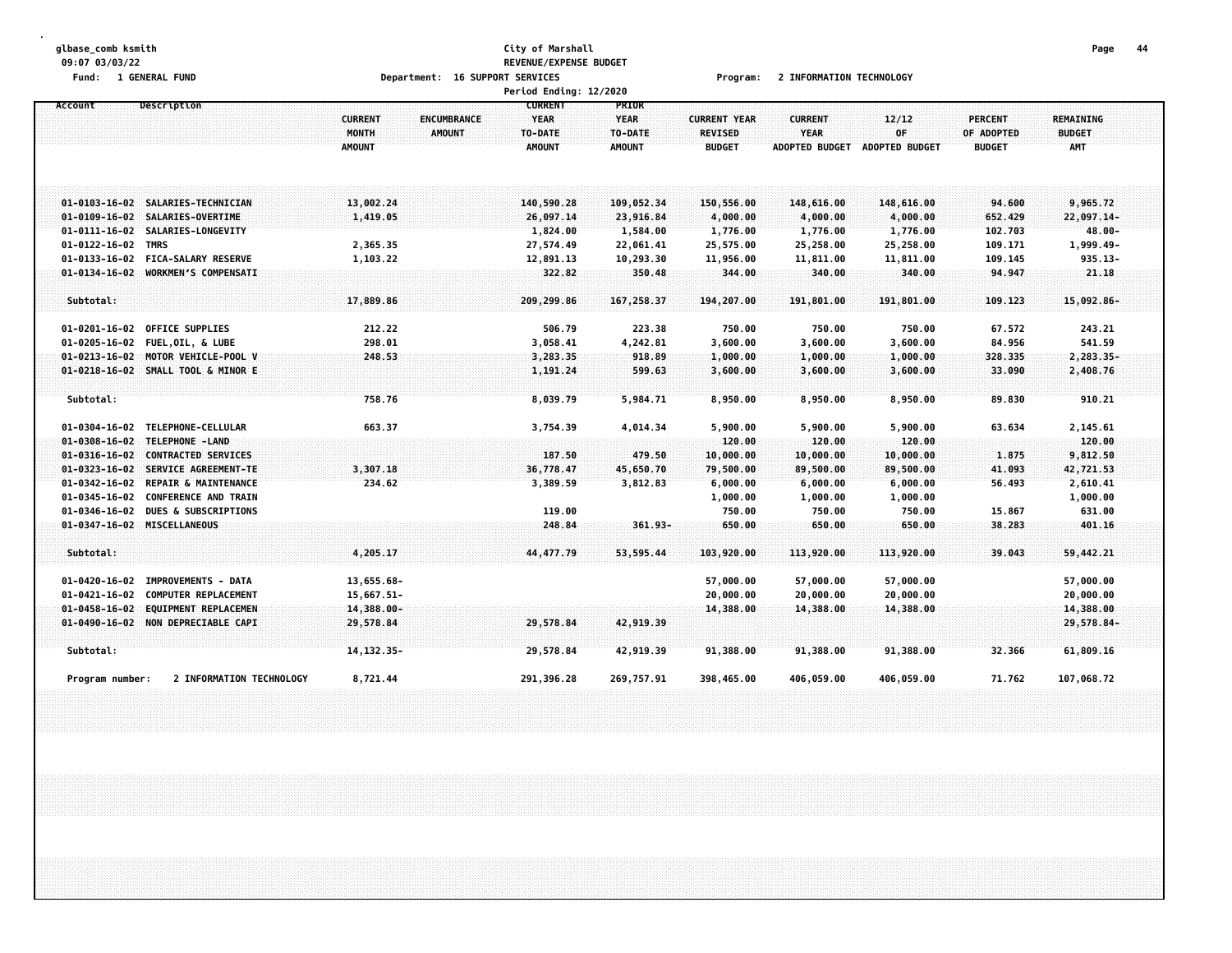## **glbase\_comb ksmith City of Marshall Page 44 09:07 03/03/22 REVENUE/EXPENSE BUDGET** Fund: 1 GENERAL FUND CONTEXT SERVICES TO POPORT SERVICES TO PROGRAMS PROGRAMS PROGRAMS PROGRAMS TO PROMATION TECHNOLOGY

| Period Ending: 12/2020                                                           |                                                                                                                       |                                          |                                                                                                  |                                                  |                                                        |                                                        |                                              |                                               |                                            |  |  |
|----------------------------------------------------------------------------------|-----------------------------------------------------------------------------------------------------------------------|------------------------------------------|--------------------------------------------------------------------------------------------------|--------------------------------------------------|--------------------------------------------------------|--------------------------------------------------------|----------------------------------------------|-----------------------------------------------|--------------------------------------------|--|--|
| Account                                                                          | Description                                                                                                           | <b>CURRENT</b><br>MONTH<br><b>AMOUNT</b> | <b>CURRENT</b><br><b>YEAR</b><br><b>ENCUMBRANCE</b><br><b>AMOUNT</b><br>TO-DATE<br><b>AMOUNT</b> | PRIOR<br><b>YEAR</b><br>TO-DATE<br><b>AMOUNT</b> | <b>CURRENT YEAR</b><br><b>REVISED</b><br><b>BUDGET</b> | <b>CURRENT</b><br><b>YEAR</b><br><b>ADOPTED BUDGET</b> | 12/12<br>0F<br><b>ADOPTED BUDGET</b>         | <b>PERCENT</b><br>OF ADOPTED<br><b>BUDGET</b> | REMAINING<br><b>BUDGET</b><br>AMT          |  |  |
| $01 - 0103 - 16 - 02$<br>$01 - 0109 - 16 - 02$                                   | SALARIES-TECHNICIAN<br>SALARIES-OVERTIME                                                                              | 13,002.24<br>1,419.05                    | 140,590.28<br>26,097.14                                                                          | 109,052.34<br>23,916.84                          | 150,556.00<br>4,000.00                                 | 148,616.00<br>4,000.00                                 | 148,616.00<br>4,000.00                       | 94.600<br>652.429                             | 9,965.72<br>22,097.14-                     |  |  |
| 01-0111-16-02<br>$01 - 0122 - 16 - 02$<br>01-0133-16-02<br>$01 - 0134 - 16 - 02$ | SALARIES-LONGEVITY<br><b>TMRS</b><br><b>FICA-SALARY RESERVE</b><br><b>WORKMEN'S COMPENSATT</b>                        | 2,365.35<br>1,103.22                     | 1,824.00<br>27,574.49<br>12,891.13<br>322.82                                                     | 1,584.00<br>22,061.41<br>10,293.30<br>350.48     | 1,776.00<br>25,575.00<br>11,956.00<br>344.00           | 1,776.00<br>25,258.00<br>11,811.00<br>340.00           | 1,776.00<br>25,258.00<br>11,811.00<br>340.00 | 102.703<br>109.171<br>109.145<br>94.947       | 48.00-<br>1,999.49-<br>$935.13 -$<br>21,18 |  |  |
| Subtotal:<br>01-0201-16-02                                                       | OFFICE SUPPLIES                                                                                                       | 17,889.86<br>212.22                      | 209,299.86<br>506.79                                                                             | 167,258.37<br>223.38                             | 194,207.00<br>750.00                                   | 191,801.00<br>750.00                                   | 191,801.00<br>750.00                         | 109.123<br>67.572                             | 15,092.86-<br>243.21                       |  |  |
| 01-0205-16-02<br>$01 - 0213 - 16 - 02$                                           | <b>FUEL,OIL, &amp; LUBE</b><br>MOTOR VEHICLE-POOL V<br>01-0218-16-02 SMALL TOOL & MINOR E                             | 298.01<br>248.53                         | 3,058.41<br>3,283.35<br>1,191.24                                                                 | 4,242.81<br>918.89<br>599.63                     | 3,600.00<br>1,000.00<br>3,600.00                       | 3,600.00<br>1,000.00<br>3,600.00                       | 3,600.00<br>1,000.00<br>3,600.00             | 84.956<br>328.335<br>33.090                   | 541.59<br>2,283.35-<br>2,408.76            |  |  |
| Subtotal:<br>$01 - 0304 - 16 - 02$                                               | TELEPHONE-CELLULAR                                                                                                    | 758.76<br>663.37                         | 8,039.79<br>3,754.39                                                                             | 5,984.71<br>4,014.34                             | 8,950.00<br>5,900.00                                   | 8,950.00<br>5,900.00                                   | 8,950.00<br>5,900.00                         | 89.830<br>63.634                              | 910.21<br>2,145.61                         |  |  |
| $01 - 0308 - 16 - 02$<br>$01 - 0316 - 16 - 02$<br>$01 - 0323 - 16 - 02$          | TELEPHONE - LAND<br><b>CONTRACTED SERVICES</b><br>SERVICE AGREEMENT-TE                                                | 3,307.18                                 | 187.50<br>36,778.47                                                                              | 479.50<br>45,650.70                              | 120.00<br>10,000.00<br>79,500.00                       | 120.00<br>10,000.00<br>89,500.00                       | 120.00<br>10,000.00<br>89,500.00             | 1.875<br>41.093                               | 120.00<br>9,812.50<br>42,721.53            |  |  |
| $01 - 0342 - 16 - 02$<br>01-0345-16-02<br>$01 - 0346 - 16 - 02$                  | REPAIR & MAINTENANCE<br><b>CONFERENCE AND TRAIN</b><br><b>DUES &amp; SUBSCRIPTIONS</b><br>01-0347-16-02 MISCELLANEOUS | 234.62                                   | 3,389.59<br>119.00<br>248.84                                                                     | 3,812.83<br>$361.93 -$                           | 6,000.00<br>1,000.00<br>750.00<br>650.00               | 6,000.00<br>1,000.00<br>750.00<br>650.00               | 6,000.00<br>1,000.00<br>750.00<br>650.00     | 56.493<br>15.867<br>38.283                    | 2,610.41<br>1,000.00<br>631.00<br>401.16   |  |  |
| Subtotal:<br>01-0420-16-02                                                       | <b>IMPROVEMENTS - DATA</b>                                                                                            | 4,205.17<br>13,655.68-                   | 44, 477.79                                                                                       | 53, 595.44                                       | 103,920,00<br>57,000.00                                | 113,920.00<br>57,000.00                                | 113,920.00<br>57,000.00                      | 39.043                                        | 59,442.21<br>57,000.00                     |  |  |
| 01-0421-16-02<br>$01 - 0458 - 16 - 02$<br>$01 - 0490 - 16 - 02$                  | COMPUTER REPLACEMENT<br><b>EQUIPMENT REPLACEMEN</b><br>NON DEPRECIABLE CAPI                                           | 15,667.51-<br>14,388.00-<br>29,578.84    | 29,578.84                                                                                        | 42,919.39                                        | 20,000.00<br>14,388.00                                 | 20,000.00<br>14,388.00                                 | 20,000.00<br>14,388.00                       |                                               | 20,000.00<br>14,388,00<br>29,578.84-       |  |  |
| Subtotal:<br>Program number:                                                     | 2 INFORMATION TECHNOLOGY                                                                                              | 14, 132.35-<br>8,721.44                  | 29,578.84<br>291,396.28                                                                          | 42,919.39<br>269,757.91                          | 91,388.00<br>398,465.00                                | 91,388.00<br>406,059.00                                | 91,388.00<br>406,059.00                      | 32.366<br>71.762                              | 61,809.16<br>107,068.72                    |  |  |
|                                                                                  |                                                                                                                       |                                          |                                                                                                  |                                                  |                                                        |                                                        |                                              |                                               |                                            |  |  |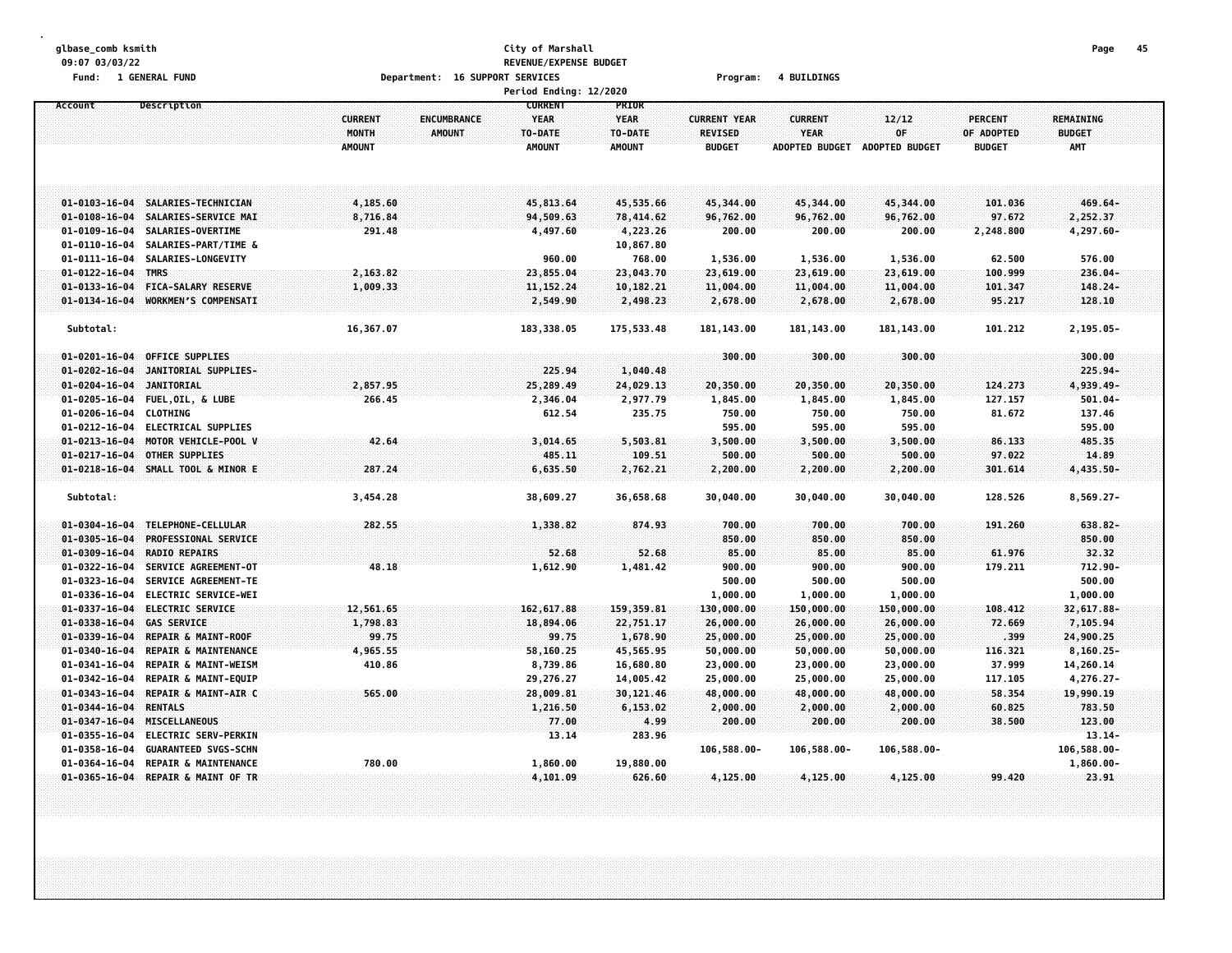# **glbase\_comb ksmith City of Marshall Page 45 09:07 03/03/22 REVENUE/EXPENSE BUDGET Fund: 1 GENERAL FUND Department: 16 SUPPORT SERVICES Program: 4 BUILDINGS**

|                                        |                                                         |                                                                                 | Period Ending: 12/2020                                    |                                                  |                                                 |                                                 |                                      |                                        |                                          |  |
|----------------------------------------|---------------------------------------------------------|---------------------------------------------------------------------------------|-----------------------------------------------------------|--------------------------------------------------|-------------------------------------------------|-------------------------------------------------|--------------------------------------|----------------------------------------|------------------------------------------|--|
| Account                                | Description                                             | <b>CURRENT</b><br><b>ENCUMBRANCE</b><br>MONTH<br><b>AMOUNT</b><br><b>AMOUNT</b> | <b>CURRENT</b><br><b>YEAR</b><br>TO-DATE<br><b>AMOUNT</b> | PRIOR<br><b>YEAR</b><br>TO-DATE<br><b>AMOUNT</b> | <b>CURRENT YEAR</b><br>REVISED<br><b>BUDGET</b> | <b>CURRENT</b><br>YEAR<br><b>ADOPTED BUDGET</b> | 12/12<br>OF<br><b>ADOPTED BUDGET</b> | PERCENT<br>OF ADOPTED<br><b>BUDGET</b> | REMAINING<br><b>BUDGET</b><br><b>AMT</b> |  |
|                                        | 01-0103-16-04 SALARIES-TECHNICIAN                       | 4,185.60                                                                        | 45,813.64                                                 | 45,535.66                                        | 45,344.00                                       | 45,344.00                                       | 45,344.00                            | 101.036                                | 469.64-                                  |  |
| $01 - 0108 - 16 - 04$                  | SALARIES-SERVICE MAI                                    | 8,716.84                                                                        | 94,509.63                                                 | 78,414.62                                        | 96,762.00                                       | 96,762.00                                       | 96,762.00                            | 97.672                                 | 2,252.37                                 |  |
| $01 - 0109 - 16 - 04$                  | SALARIES-OVERTIME                                       | 291.48                                                                          | 4,497.60                                                  | 4,223.26                                         | 200.00                                          | 200.00                                          | 200.00                               | 2,248.800                              | 4,297.60-                                |  |
| $01 - 0110 - 16 - 04$                  | SALARIES-PART/TIME &                                    |                                                                                 |                                                           | 10,867.80                                        |                                                 |                                                 |                                      |                                        |                                          |  |
| $01 - 0111 - 16 - 04$                  | SALARIES-LONGEVITY                                      |                                                                                 | 960.00                                                    | 768.00                                           | 1,536.00                                        | 1,536.00                                        | 1,536.00                             | 62.500                                 | 576.00                                   |  |
| $01 - 0122 - 16 - 04$ TMRS             |                                                         | 2,163.82                                                                        | 23,855.04                                                 | 23,043.70                                        | 23,619.00                                       | 23,619.00                                       | 23,619.00                            | 100.999                                | $236.04 -$                               |  |
| $01 - 0133 - 16 - 04$                  | <b>FICA-SALARY RESERVE</b>                              | 1,009.33                                                                        | 11, 152.24                                                | 10,182.21                                        | 11,004.00                                       | 11,004.00                                       | 11,004.00                            | 101.347                                | $148.24 -$                               |  |
| $01 - 0134 - 16 - 04$                  | WORKMEN'S COMPENSATT                                    |                                                                                 | 2,549.90                                                  | 2,498.23                                         | 2,678.00                                        | 2,678.00                                        | 2,678.00                             | 95.217                                 | 128,10                                   |  |
| Subtotal:                              |                                                         | 16,367.07                                                                       | 183,338.05                                                | 175,533.48                                       | 181, 143.00                                     | 181, 143.00                                     | 181, 143.00                          | 101.212                                | 2,195.05-                                |  |
| $01 - 0201 - 16 - 04$                  | <b>OFFICE SUPPLIES</b>                                  |                                                                                 |                                                           |                                                  | 300.00                                          | 300.00                                          | 300.00                               |                                        | 300.00                                   |  |
| $01 - 0202 - 16 - 04$                  | JANITORIAL SUPPLIES-                                    |                                                                                 | 225.94                                                    | 1,040.48                                         |                                                 |                                                 |                                      |                                        | $225.94 -$                               |  |
| $01 - 0204 - 16 - 04$                  | <b>JANITORIAL</b>                                       | 2,857.95                                                                        | 25,289.49                                                 | 24,029.13                                        | 20,350.00                                       | 20,350.00                                       | 20,350.00                            | 124.273                                | 4,939.49-                                |  |
|                                        | 01-0205-16-04 FUEL, OIL, & LUBE                         | 266.45                                                                          | 2,346.04                                                  | 2,977.79                                         | 1,845.00                                        | 1,845.00                                        | 1,845.00                             | 127.157                                | $501.04 -$                               |  |
| $01 - 0206 - 16 - 04$                  | <b>CLOTHING</b>                                         |                                                                                 | 612.54                                                    | 235.75                                           | 750.00                                          | 750.00                                          | 750.00                               | 81.672                                 | 137.46                                   |  |
| $01 - 0212 - 16 - 04$                  | <b>ELECTRICAL SUPPLIES</b>                              |                                                                                 |                                                           |                                                  | 595.00                                          | 595.00                                          | 595.00                               |                                        | 595.00                                   |  |
| $01 - 0213 - 16 - 04$                  | MOTOR VEHICLE-POOL V                                    | 42.64                                                                           | 3,014.65                                                  | 5,503.81                                         | 3,500.00                                        | 3,500.00                                        | 3,500.00                             | 86.133                                 | 485.35                                   |  |
| $01 - 0217 - 16 - 04$                  | <b>OTHER SUPPLIES</b>                                   |                                                                                 | 485.11                                                    | 109.51                                           | 500.00                                          | 500.00                                          | 500.00                               | 97.022                                 | 14,89                                    |  |
|                                        | 01-0218-16-04 SMALL TOOL & MINOR E                      | 287.24                                                                          | 6,635.50                                                  | 2,762.21                                         | 2,200.00                                        | 2,200.00                                        | 2,200.00                             | 301.614                                | 4,435.50-                                |  |
| Subtotal:                              |                                                         | 3,454.28                                                                        | 38,609.27                                                 | 36,658.68                                        | 30,040.00                                       | 30,040.00                                       | 30,040.00                            | 128.526                                | 8,569.27-                                |  |
| $01 - 0304 - 16 - 04$                  | TELEPHONE-CELLULAR                                      | 282.55                                                                          | 1,338.82                                                  | 874.93                                           | 700.00                                          | 700.00                                          | 700.00                               | 191.260                                | $638.82 -$                               |  |
| $01 - 0305 - 16 - 04$                  | PROFESSIONAL SERVICE                                    |                                                                                 |                                                           |                                                  | 850.00                                          | 850.00                                          | 850.00                               |                                        | 850.00                                   |  |
| $01 - 0309 - 16 - 04$                  | <b>RADIO REPAIRS</b>                                    |                                                                                 | 52.68                                                     | 52.68                                            | 85.00                                           | 85.00                                           | 85.00                                | 61.976                                 | 32.32                                    |  |
| $01 - 0322 - 16 - 04$                  | SERVICE AGREEMENT-OT                                    | 48.18                                                                           | 1,612.90                                                  | 1,481.42                                         | 900.00                                          | 900.00                                          | 900.00                               | 179.211                                | 712.90-                                  |  |
| $01 - 0323 - 16 - 04$                  | SERVICE AGREEMENT-TE                                    |                                                                                 |                                                           |                                                  | 500.00                                          | 500.00                                          | 500.00                               |                                        | 500.00                                   |  |
| 01-0336-16-04                          | <b>ELECTRIC SERVICE-WEI</b>                             |                                                                                 |                                                           |                                                  | 1,000.00                                        | 1,000.00                                        | 1,000.00                             |                                        | 1,000.00                                 |  |
| $01 - 0337 - 16 - 04$                  | <b>ELECTRIC SERVICE</b>                                 | 12,561.65                                                                       | 162,617.88                                                | 159,359.81                                       | 130,000.00                                      | 150,000.00                                      | 150,000.00                           | 108.412                                | 32,617.88-                               |  |
| $01 - 0338 - 16 - 04$                  | <b>GAS SERVICE</b>                                      | 1,798.83                                                                        | 18,894.06                                                 | 22,751.17                                        | 26,000.00                                       | 26,000.00                                       | 26,000.00                            | 72.669                                 | 7,105.94                                 |  |
| $01 - 0339 - 16 - 04$                  | REPAIR & MAINT-ROOF                                     | 99.75                                                                           | 99.75                                                     | 1,678.90                                         | 25,000.00                                       | 25,000.00                                       | 25,000.00                            | .399                                   | 24,900.25                                |  |
| $01 - 0340 - 16 - 04$                  | <b>REPAIR &amp; MAINTENANCE</b>                         | 4,965.55                                                                        | 58,160.25                                                 | 45,565.95                                        | 50,000.00                                       | 50,000.00                                       | 50,000.00                            | 116.321                                | $8,160.25 -$                             |  |
| $01 - 0341 - 16 - 04$                  | REPAIR & MAINT-WEISM                                    | 410.86                                                                          | 8,739.86                                                  | 16,680.80                                        | 23,000.00                                       | 23,000.00                                       | 23,000.00                            | 37.999                                 | 14,260.14                                |  |
| 01-0342-16-04                          | <b>REPAIR &amp; MAINT-EQUIP</b>                         |                                                                                 | 29,276.27                                                 | 14,005.42                                        | 25,000.00                                       | 25,000.00                                       | 25,000.00                            | 117.105                                | 4,276.27-                                |  |
| $01 - 0343 - 16 - 04$                  | REPAIR & MAINT-AIR C                                    | 565.00                                                                          | 28,009.81                                                 | 30,121.46                                        | 48,000.00                                       | 48,000.00                                       | 48,000.00                            | 58.354                                 | 19,990.19                                |  |
| $01 - 0344 - 16 - 04$                  | <b>RENTALS</b>                                          |                                                                                 | 1,216.50                                                  | 6,153.02                                         | 2,000.00                                        | 2,000.00                                        | 2,000.00                             | 60.825                                 | 783.50                                   |  |
| $01 - 0347 - 16 - 04$                  | MISCELLANEOUS                                           |                                                                                 | 77.00                                                     | 4.99                                             | 200.00                                          | 200.00                                          | 200.00                               | 38.500                                 | 123.00                                   |  |
| 01-0355-16-04                          | <b>ELECTRIC SERV-PERKIN</b>                             |                                                                                 | 13.14                                                     | 283.96                                           |                                                 |                                                 |                                      |                                        | $13.14 -$                                |  |
| $01 - 0358 - 16 - 04$                  | <b>GUARANTEED SVGS-SCHN</b>                             |                                                                                 |                                                           |                                                  | 106,588.00-                                     | 106,588.00-                                     | 106,588.00-                          |                                        | 106,588.00-                              |  |
| 01-0364-16-04<br>$01 - 0365 - 16 - 04$ | <b>REPAIR &amp; MAINTENANCE</b><br>REPAIR & MAINT OF TR | 780.00                                                                          | 1,860.00<br>4,101.09                                      | 19,880.00<br>626.60                              | 4,125.00                                        | 4,125.00                                        | 4,125.00                             | 99.420                                 | $1,860.00 -$<br>23.91                    |  |
|                                        |                                                         |                                                                                 |                                                           |                                                  |                                                 |                                                 |                                      |                                        |                                          |  |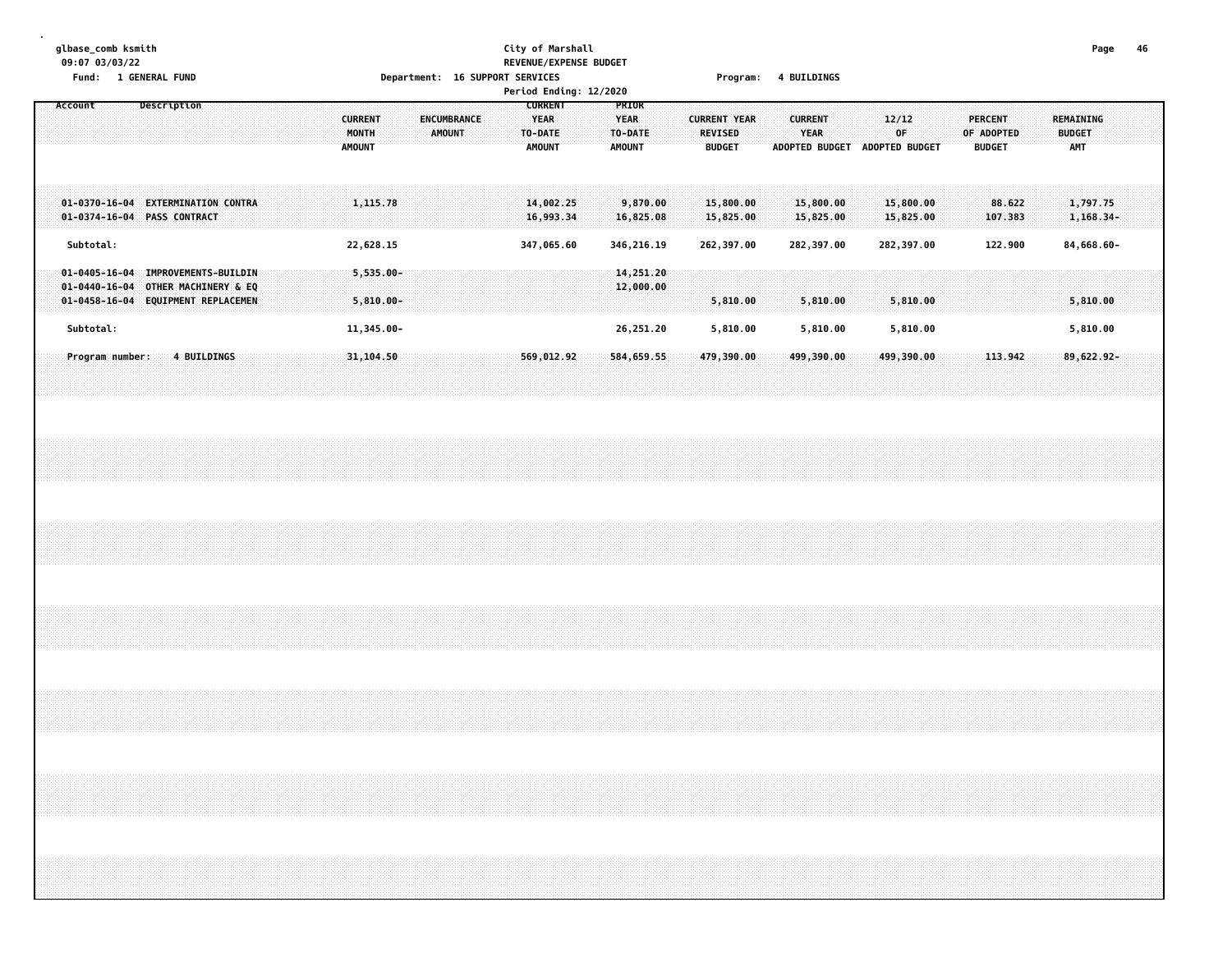# **glbase\_comb ksmith City of Marshall Page 46 09:07 03/03/22 REVENUE/EXPENSE BUDGET Fund: 1 GENERAL FUND Department: 16 SUPPORT SERVICES Program: 4 BUILDINGS**

| Period Ending: 12/2020                                                                                                                                        |                                                                          |                                                                                                                                                                                       |                                                                                         |                                                                                           |  |  |  |  |  |  |
|---------------------------------------------------------------------------------------------------------------------------------------------------------------|--------------------------------------------------------------------------|---------------------------------------------------------------------------------------------------------------------------------------------------------------------------------------|-----------------------------------------------------------------------------------------|-------------------------------------------------------------------------------------------|--|--|--|--|--|--|
| Description<br>Account                                                                                                                                        | <b>ENCUMBRANCE</b><br><b>CURRENT</b><br>MONTH<br>AMOUNT<br><b>AMOUNT</b> | <b>PRIOR</b><br><b>CURRENT</b><br><b>YEAR</b><br><b>YEAR</b><br><b>CURRENT YEAR</b><br>TO-DATE<br><b>REVISED</b><br><b>TO-DATE</b><br><b>AMOUNT</b><br><b>AMOUNT</b><br><b>BUDGET</b> | <b>CURRENT</b><br>12/12<br><b>YEAR</b><br>0F<br><b>ADOPTED BUDGET</b><br>ADOPTED BUDGET | <b>PERCENT</b><br>REMAINING<br>OF ADOPTED<br><b>BUDGET</b><br><b>AMT</b><br><b>BUDGET</b> |  |  |  |  |  |  |
| <b>EXTERMINATION CONTRA</b><br>$01 - 0370 - 16 - 04$<br><b>PASS CONTRACT</b><br>$01 - 0374 - 16 - 04$                                                         | 1, 115, 78                                                               | 14,002,25<br>9,870.00<br>15,800.00<br>16,993.34<br>16,825.08<br>15,825.00                                                                                                             | 15,800.00<br>15,800.00<br>15,825.00<br>15,825.00                                        | 1,797.75<br>88.622<br>1,168.34-<br>107.383                                                |  |  |  |  |  |  |
| Subtotal:                                                                                                                                                     | 22,628.15                                                                | 347,065.60<br>346,216.19<br>262,397.00                                                                                                                                                | 282,397.00<br>282,397.00                                                                | 122.900<br>84,668.60-                                                                     |  |  |  |  |  |  |
| $01 - 0405 - 16 - 04$<br><b>IMPROVEMENTS-BUILDIN</b><br>$01 - 0440 - 16 - 04$<br>OTHER MACHINERY & EQ<br><b>EQUIPMENT REPLACEMEN</b><br>$01 - 0458 - 16 - 04$ | $5,535.00 -$<br>$5,810.00 -$                                             | 14,251.20<br>12,000.00<br>5,810.00                                                                                                                                                    | 5,810.00<br>5,810.00                                                                    | 5,810,00                                                                                  |  |  |  |  |  |  |
| Subtotal:                                                                                                                                                     | 11,345.00-                                                               | 5,810.00<br>26,251.20                                                                                                                                                                 | 5,810.00<br>5,810.00                                                                    | 5,810.00                                                                                  |  |  |  |  |  |  |
| <b>4 BUTLDINGS</b><br>Program number:                                                                                                                         | 31,104.50                                                                | 584,659.55<br>479,390.00<br>569,012.92                                                                                                                                                | 499,390.00<br>499,390.00                                                                | 89,622.92-<br>113.942                                                                     |  |  |  |  |  |  |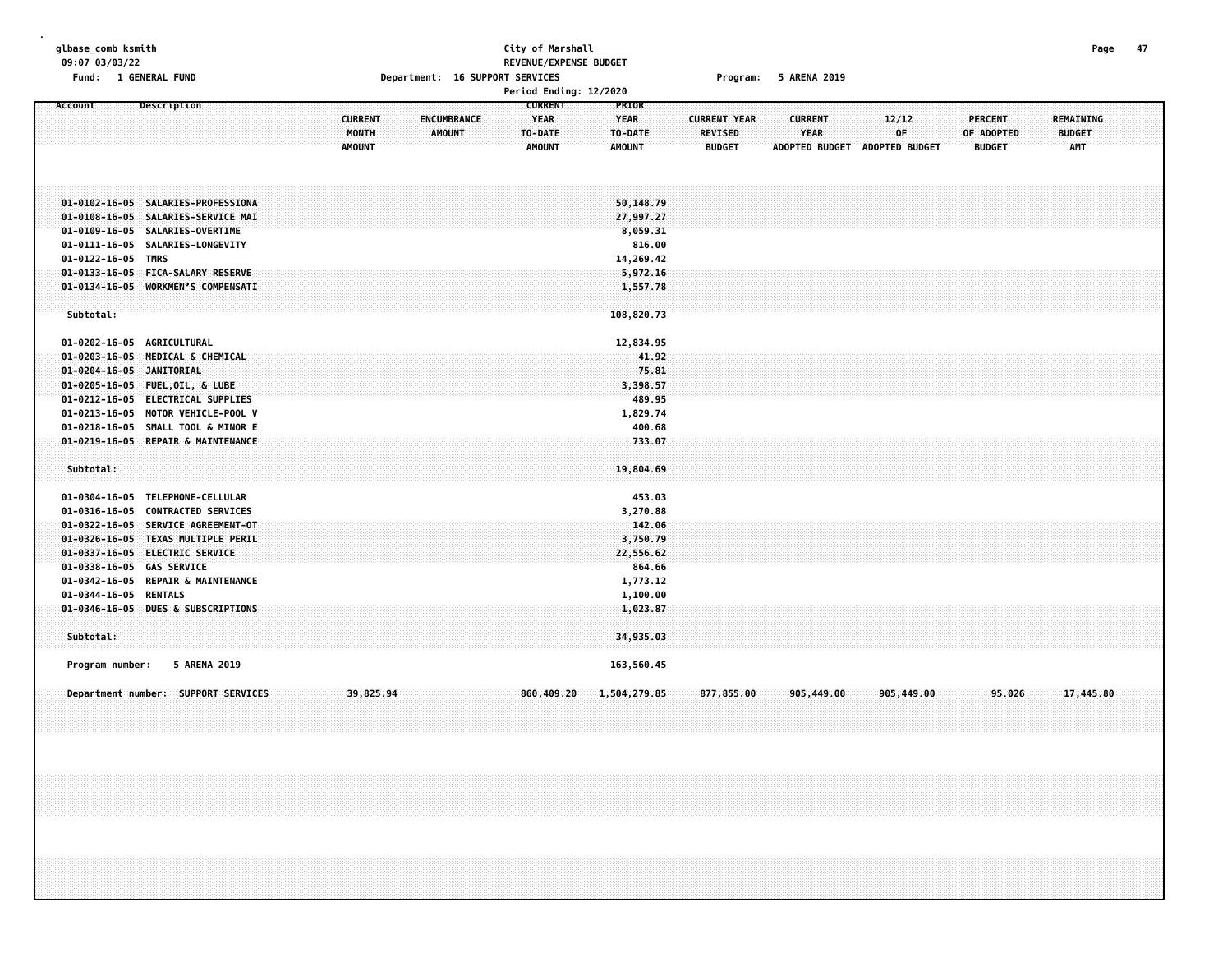# **glbase\_comb ksmith City of Marshall Page 47 09:07 03/03/22 REVENUE/EXPENSE BUDGET Fund: 1 GENERAL FUND Department: 16 SUPPORT SERVICES Program: 5 ARENA 2019**

|                                                        | Period Ending: 12/2020                                                                                                                                                                                                    |                                                 |                                     |                                                           |                                                                             |                                                        |                               |  |                                              |                                               |  |                                          |  |
|--------------------------------------------------------|---------------------------------------------------------------------------------------------------------------------------------------------------------------------------------------------------------------------------|-------------------------------------------------|-------------------------------------|-----------------------------------------------------------|-----------------------------------------------------------------------------|--------------------------------------------------------|-------------------------------|--|----------------------------------------------|-----------------------------------------------|--|------------------------------------------|--|
| Account                                                | <b>Description</b>                                                                                                                                                                                                        | <b>CURRENT</b><br><b>MONTH</b><br><b>AMOUNT</b> | <b>ENCUMBRANCE</b><br><b>AMOUNT</b> | <b>CURRENT</b><br><b>YEAR</b><br>TO-DATE<br><b>AMOUNT</b> | PRIOR<br><b>YEAR</b><br>TO-DATE<br><b>AMOUNT</b>                            | <b>CURRENT YEAR</b><br><b>REVISED</b><br><b>BUDGET</b> | <b>CURRENT</b><br><b>YEAR</b> |  | 12/12<br>0F<br>ADOPTED BUDGET ADOPTED BUDGET | <b>PERCENT</b><br>OF ADOPTED<br><b>BUDGET</b> |  | REMAINING<br><b>BUDGET</b><br><b>AMT</b> |  |
| 01-0122-16-05 TMRS                                     | 01-0102-16-05 SALARIES-PROFESSIONA<br>01-0108-16-05 SALARIES-SERVICE MAI<br>01-0109-16-05 SALARIES-OVERTIME<br>01-0111-16-05 SALARIES-LONGEVITY                                                                           |                                                 |                                     |                                                           | 50,148.79<br>27,997.27<br>8,059.31<br>816.00<br>14,269.42                   |                                                        |                               |  |                                              |                                               |  |                                          |  |
| Subtotal:                                              | 01-0133-16-05 FICA-SALARY RESERVE<br>01-0134-16-05 WORKMEN'S COMPENSATI                                                                                                                                                   |                                                 |                                     |                                                           | 5,972.16<br>1,557.78<br>108,820.73                                          |                                                        |                               |  |                                              |                                               |  |                                          |  |
| 01-0202-16-05 AGRICULTURAL<br>01-0204-16-05 JANITORIAL | 01-0203-16-05 MEDICAL & CHEMICAL<br>01-0205-16-05 FUEL, OIL, & LUBE<br>01-0212-16-05 ELECTRICAL SUPPLIES<br>01-0213-16-05 MOTOR VEHICLE-POOL V                                                                            |                                                 |                                     |                                                           | 12,834.95<br>41.92<br>75.81<br>3,398.57<br>489.95<br>1,829.74               |                                                        |                               |  |                                              |                                               |  |                                          |  |
| Subtotal:                                              | 01-0218-16-05 SMALL TOOL & MINOR E<br>01-0219-16-05 REPAIR & MAINTENANCE                                                                                                                                                  |                                                 |                                     |                                                           | 400.68<br>733.07<br>19,804.69                                               |                                                        |                               |  |                                              |                                               |  |                                          |  |
| 01-0338-16-05 GAS SERVICE                              | 01-0304-16-05 TELEPHONE-CELLULAR<br>01-0316-16-05 CONTRACTED SERVICES<br>01-0322-16-05 SERVICE AGREEMENT-0T<br>01-0326-16-05 TEXAS MULTIPLE PERIL<br>01-0337-16-05 ELECTRIC SERVICE<br>01-0342-16-05 REPAIR & MAINTENANCE |                                                 |                                     |                                                           | 453.03<br>3,270.88<br>142.06<br>3,750.79<br>22,556.62<br>864.66<br>1,773.12 |                                                        |                               |  |                                              |                                               |  |                                          |  |
| 01-0344-16-05 RENTALS<br>Subtotal:<br>Program number:  | 01-0346-16-05 DUES & SUBSCRIPTIONS<br>5 ARENA 2019                                                                                                                                                                        |                                                 |                                     |                                                           | 1,100.00<br>1,023.87<br>34,935.03<br>163,560.45                             |                                                        |                               |  |                                              |                                               |  |                                          |  |
|                                                        | Department number: SUPPORT SERVICES                                                                                                                                                                                       | 39,825.94                                       |                                     | 860,409.20                                                | 1,504,279.85                                                                | 877,855.00                                             | 905,449.00                    |  | 905,449.00                                   | 95.026                                        |  | 17,445.80                                |  |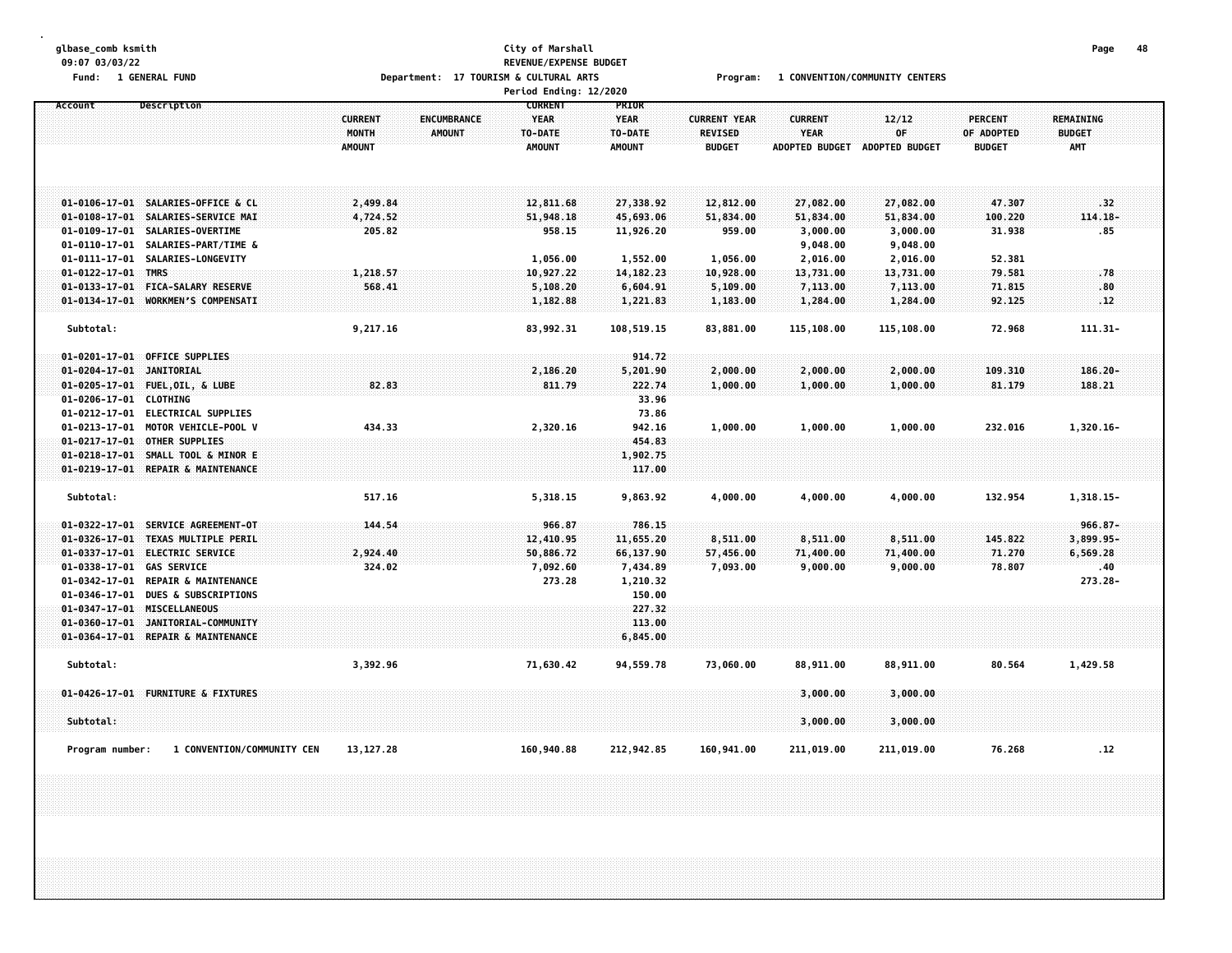# **glbase\_comb ksmith City of Marshall Page 48 09:07 03/03/22 REVENUE/EXPENSE BUDGET Pepartment: 17 TOURISM & CULTURAL ARTS**<br>**Period Ending: 12/**

Fund: 1 GENERAL FUND<br>
Department: 17 TOURISM & CULTURAL ARTS Program: 1 CONVENTION/COMMUNITY CENTERS

|                                                                          |                                          |                              | <b>Period Ending: 12/2020</b>                             |                                                  |                                                 |                                                        |                               |                                               |                                          |  |
|--------------------------------------------------------------------------|------------------------------------------|------------------------------|-----------------------------------------------------------|--------------------------------------------------|-------------------------------------------------|--------------------------------------------------------|-------------------------------|-----------------------------------------------|------------------------------------------|--|
| Description<br>Account                                                   | <b>CURRENT</b><br>MONTH<br><b>AMOUNT</b> | ENCUMBRANCE<br><b>AMOUNT</b> | <b>CURRENT</b><br><b>YEAR</b><br>TO-DATE<br><b>AMOUNT</b> | PRIOR<br><b>YEAR</b><br>TO-DATE<br><b>AMOUNT</b> | <b>CURRENT YEAR</b><br>REVISED<br><b>BUDGET</b> | <b>CURRENT</b><br><b>YEAR</b><br><b>ADOPTED BUDGET</b> | 12/12<br>OF<br>ADOPTED BUDGET | <b>PERCENT</b><br>OF ADOPTED<br><b>BUDGET</b> | REMAINING<br><b>BUDGET</b><br><b>AMT</b> |  |
| 01-0106-17-01 SALARIES-OFFICE & CL                                       | 2,499.84                                 |                              | 12,811.68                                                 | 27,338.92                                        | 12,812.00                                       | 27,082.00                                              | 27,082.00                     | 47.307                                        | .32                                      |  |
| SALARIES-SERVICE MAI<br>$01 - 0108 - 17 - 01$                            | 4,724.52                                 |                              | 51,948.18                                                 | 45,693.06                                        | 51,834.00                                       | 51,834.00                                              | 51,834.00                     | 100.220                                       | $114.18 -$                               |  |
| 01-0109-17-01 SALARIES-OVERTIME                                          | 205.82                                   |                              | 958.15                                                    | 11,926.20                                        | 959.00                                          | 3,000.00                                               | 3,000.00                      | 31.938                                        | .85                                      |  |
| SALARIES-PART/TIME &<br>$01 - 0110 - 17 - 01$                            |                                          |                              |                                                           |                                                  |                                                 | 9,048.00                                               | 9,048.00                      |                                               |                                          |  |
| 01-0111-17-01 SALARIES-LONGEVITY                                         |                                          |                              | 1,056.00                                                  | 1,552.00                                         | 1,056.00                                        | 2,016.00                                               | 2,016.00                      | 52.381                                        |                                          |  |
| $01 - 0122 - 17 - 01$ TMRS                                               | 1,218.57                                 |                              | 10,927.22                                                 | 14, 182. 23                                      | 10,928.00                                       | 13,731.00                                              | 13,731.00                     | 79.581                                        | .78                                      |  |
| 01-0133-17-01 FICA-SALARY RESERVE                                        | 568.41                                   |                              | 5,108.20                                                  | 6,604.91                                         | 5,109.00                                        | 7,113.00                                               | 7,113.00                      | 71.815                                        | .80                                      |  |
| $01 - 0134 - 17 - 01$<br><b>WORKMEN'S COMPENSATT</b>                     |                                          |                              | 1,182.88                                                  | 1,221.83                                         | 1,183.00                                        | 1,284.00                                               | 1,284.00                      | 92.125                                        | , 12                                     |  |
| Subtotal:                                                                | 9,217.16                                 |                              | 83,992.31                                                 | 108,519.15                                       | 83,881.00                                       | 115,108.00                                             | 115,108.00                    | 72.968                                        | $111.31 -$                               |  |
| 01-0201-17-01 OFFICE SUPPLIES                                            |                                          |                              |                                                           | 914.72                                           |                                                 |                                                        |                               |                                               |                                          |  |
| 01-0204-17-01 JANITORIAL                                                 |                                          |                              | 2,186.20                                                  | 5,201.90                                         | 2,000.00                                        | 2,000.00                                               | 2,000.00                      | 109.310                                       | $186.20 -$                               |  |
| 01-0205-17-01 FUEL, OIL, & LUBE                                          | 82.83                                    |                              | 811.79                                                    | 222.74                                           | 1,000.00                                        | 1,000.00                                               | 1,000.00                      | 81.179                                        | 188.21                                   |  |
| 01-0206-17-01 CLOTHING                                                   |                                          |                              |                                                           | 33.96                                            |                                                 |                                                        |                               |                                               |                                          |  |
| 01-0212-17-01 ELECTRICAL SUPPLIES                                        |                                          |                              |                                                           | 73.86                                            |                                                 |                                                        |                               |                                               |                                          |  |
| $01 - 0213 - 17 - 01$<br>MOTOR VEHICLE-POOL V                            | 434.33                                   |                              | 2,320.16                                                  | 942.16                                           | 1,000.00                                        | 1,000.00                                               | 1,000.00                      | 232.016                                       | $1,320.16-$                              |  |
| $01 - 0217 - 17 - 01$<br>OTHER SUPPLIES                                  |                                          |                              |                                                           | 454.83                                           |                                                 |                                                        |                               |                                               |                                          |  |
| $01 - 0218 - 17 - 01$<br>SMALL TOOL & MINOR E                            |                                          |                              |                                                           | 1,902.75                                         |                                                 |                                                        |                               |                                               |                                          |  |
| 01-0219-17-01 REPAIR & MAINTENANCE                                       |                                          |                              |                                                           | 117.00                                           |                                                 |                                                        |                               |                                               |                                          |  |
| Subtotal:                                                                | 517.16                                   |                              | 5,318.15                                                  | 9,863.92                                         | 4,000.00                                        | 4,000.00                                               | 4,000.00                      | 132.954                                       | 1,318.15-                                |  |
| 01-0322-17-01 SERVICE AGREEMENT-0T                                       | 144.54                                   |                              | 966.87                                                    | 786.15                                           |                                                 |                                                        |                               |                                               | $966.87 -$                               |  |
| 01-0326-17-01 TEXAS MULTIPLE PERIL                                       |                                          |                              | 12,410.95                                                 | 11,655.20                                        | 8,511.00                                        | 8,511.00                                               | 8,511.00                      | 145.822                                       | 3,899.95-                                |  |
| 01-0337-17-01 ELECTRIC SERVICE                                           | 2,924.40                                 |                              | 50,886.72                                                 | 66,137.90                                        | 57,456.00                                       | 71,400.00                                              | 71,400.00                     | 71.270                                        | 6,569.28                                 |  |
| 01-0338-17-01 GAS SERVICE                                                | 324.02                                   |                              | 7,092.60                                                  | 7,434.89                                         | 7,093.00                                        | 9,000.00                                               | 9,000.00                      | 78.807                                        | .40                                      |  |
| 01-0342-17-01 REPAIR & MAINTENANCE                                       |                                          |                              | 273.28                                                    | 1,210.32                                         |                                                 |                                                        |                               |                                               | 273.28-                                  |  |
| 01-0346-17-01 DUES & SUBSCRIPTIONS                                       |                                          |                              |                                                           | 150.00                                           |                                                 |                                                        |                               |                                               |                                          |  |
| 01-0347-17-01 MISCELLANEOUS                                              |                                          |                              |                                                           | 227.32                                           |                                                 |                                                        |                               |                                               |                                          |  |
| 01-0360-17-01 JANITORIAL-COMMUNITY<br>01-0364-17-01 REPAIR & MAINTENANCE |                                          |                              |                                                           | 113.00                                           |                                                 |                                                        |                               |                                               |                                          |  |
|                                                                          |                                          |                              |                                                           | 6,845.00                                         |                                                 |                                                        |                               |                                               |                                          |  |
| Subtotal:                                                                | 3,392.96                                 |                              | 71,630.42                                                 | 94,559.78                                        | 73,060.00                                       | 88,911.00                                              | 88,911.00                     | 80.564                                        | 1,429.58                                 |  |
| 01-0426-17-01 FURNITURE & FIXTURES                                       |                                          |                              |                                                           |                                                  |                                                 | 3,000.00                                               | 3,000.00                      |                                               |                                          |  |
| Subtotal:                                                                |                                          |                              |                                                           |                                                  |                                                 | 3,000.00                                               | 3,000.00                      |                                               |                                          |  |
| 1 CONVENTION/COMMUNITY CEN<br>Program number:                            | 13, 127. 28                              |                              | 160,940.88                                                | 212,942.85                                       | 160,941.00                                      | 211,019.00                                             | 211,019.00                    | 76.268                                        | .12                                      |  |
|                                                                          |                                          |                              |                                                           |                                                  |                                                 |                                                        |                               |                                               |                                          |  |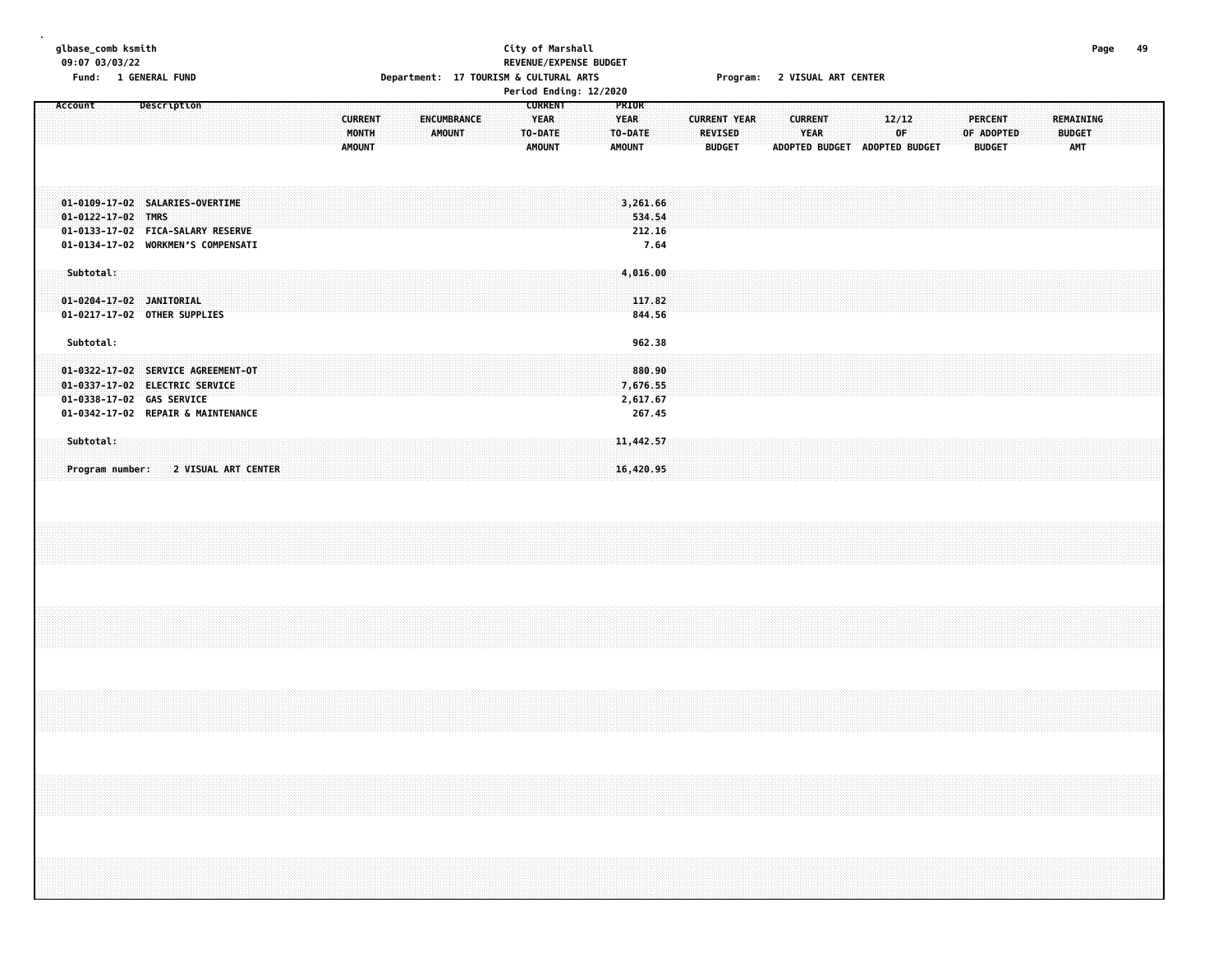**Program number: 2 VISUAL ART CENTER 16,420.95**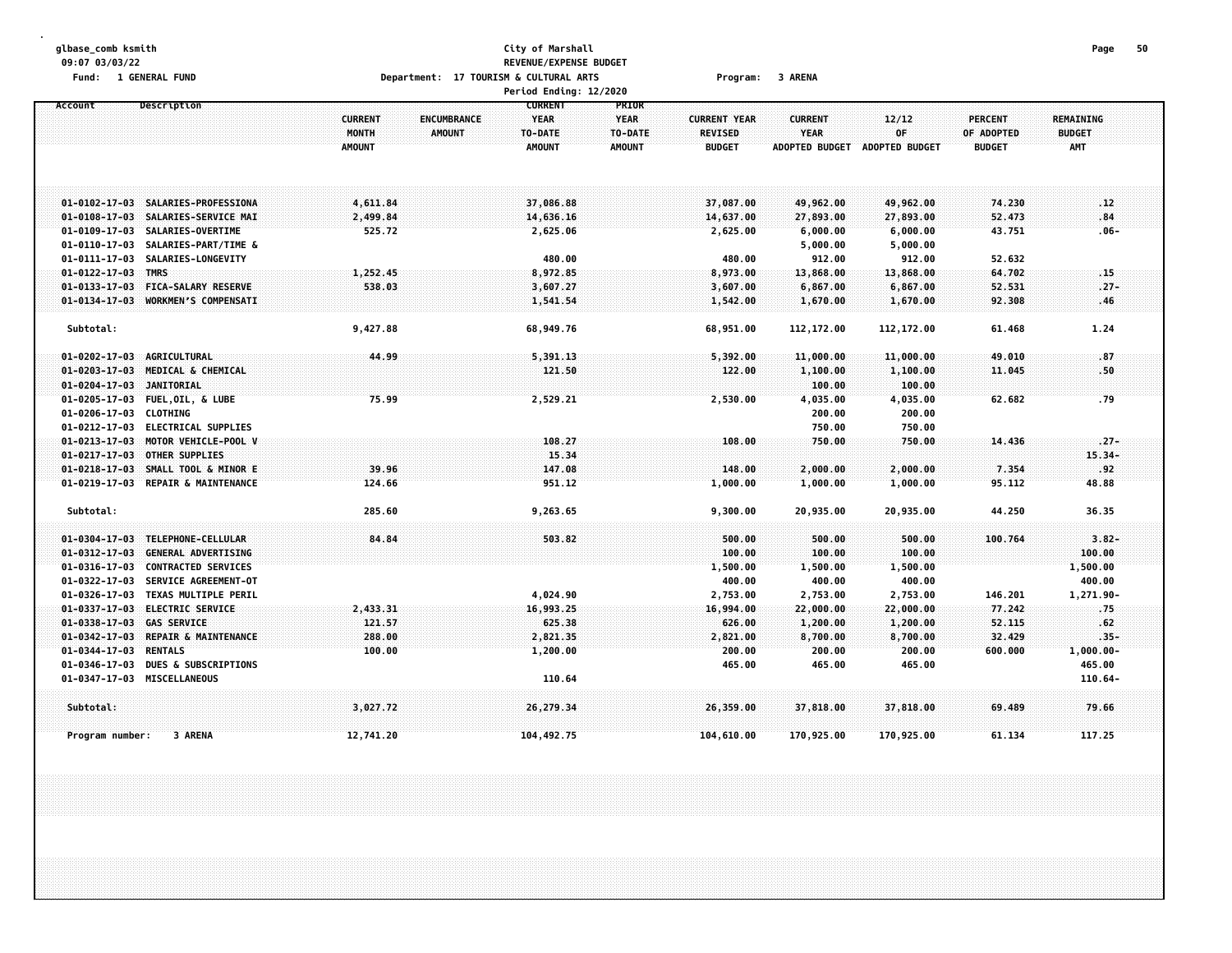# **glbase\_comb ksmith City of Marshall Page 50 09:07 03/03/22 REVENUE/EXPENSE BUDGET** Fund: 1 GENERAL FUND CONTEXT CONTEXT Department: 17 TOURISM & CULTURAL ARTS CONTEXT Program: 3 ARENA

|                                  |                                    |                                          | Period Ending: 12/2020                                                                    |                                                                                                            |                                                        |                                      |                                               |                                                 |  |
|----------------------------------|------------------------------------|------------------------------------------|-------------------------------------------------------------------------------------------|------------------------------------------------------------------------------------------------------------|--------------------------------------------------------|--------------------------------------|-----------------------------------------------|-------------------------------------------------|--|
| Account                          | Description                        | <b>CURRENT</b><br>MONTH<br><b>AMOUNT</b> | <b>CURRENT</b><br><b>YEAR</b><br>ENCUMBRANCE<br><b>AMOUNT</b><br>TO-DATE<br><b>AMOUNT</b> | PRIOR<br><b>YEAR</b><br><b>CURRENT YEAR</b><br><b>REVISED</b><br>TO-DATE<br><b>AMOUNT</b><br><b>BUDGET</b> | <b>CURRENT</b><br><b>YEAR</b><br><b>ADOPTED BUDGET</b> | 12/12<br>OF<br><b>ADOPTED BUDGET</b> | <b>PERCENT</b><br>OF ADOPTED<br><b>BUDGET</b> | <b>REMAINING</b><br><b>BUDGET</b><br><b>AMT</b> |  |
|                                  |                                    |                                          |                                                                                           |                                                                                                            |                                                        |                                      |                                               |                                                 |  |
|                                  | 01-0102-17-03 SALARIES-PROFESSIONA | 4,611.84                                 | 37,086.88                                                                                 | 37,087.00                                                                                                  | 49,962.00                                              | 49,962.00                            | 74.230                                        | ,12.                                            |  |
|                                  | 01-0108-17-03 SALARIES-SERVICE MAI | 2,499.84                                 | 14,636.16                                                                                 | 14,637.00                                                                                                  | 27,893.00                                              | 27,893.00                            | 52.473                                        | .84                                             |  |
| 01-0109-17-03 SALARIES-OVERTIME  |                                    | 525.72                                   | 2,625.06                                                                                  | 2,625.00                                                                                                   | 6,000.00                                               | 6,000.00                             | 43.751                                        | . 06-                                           |  |
|                                  | 01-0110-17-03 SALARIES-PART/TIME & |                                          |                                                                                           |                                                                                                            | 5,000.00                                               | 5,000.00                             |                                               |                                                 |  |
| 01-0111-17-03 SALARIES-LONGEVITY |                                    |                                          | 480.00                                                                                    | 480.00                                                                                                     | 912.00                                                 | 912.00                               | 52.632                                        |                                                 |  |
| 01-0122-17-03 TMRS               |                                    | 1,252.45                                 | 8,972.85                                                                                  | 8,973.00                                                                                                   | 13,868.00                                              | 13,868.00                            | 64.702                                        | $\cdot$ 15                                      |  |
|                                  | 01-0133-17-03 FICA-SALARY RESERVE  | 538.03                                   | 3,607.27                                                                                  | 3,607.00                                                                                                   | 6,867.00                                               | 6,867.00                             | 52.531                                        | $.27 -$                                         |  |
|                                  | 01-0134-17-03 WORKMEN'S COMPENSATI |                                          | 1,541.54                                                                                  | 1,542.00                                                                                                   | 1,670.00                                               | 1,670.00                             | 92.308                                        | .46                                             |  |
| Subtotal:                        |                                    | 9,427.88                                 | 68,949.76                                                                                 | 68,951.00                                                                                                  | 112,172.00                                             | 112,172.00                           | 61.468                                        | 1.24                                            |  |
| 01-0202-17-03 AGRICULTURAL       |                                    | 44.99                                    | 5,391.13                                                                                  | 5,392.00                                                                                                   | 11,000.00                                              | 11,000.00                            | 49.010                                        | .87                                             |  |
| 01-0203-17-03 MEDICAL & CHEMICAL |                                    |                                          | 121.50                                                                                    | 122.00                                                                                                     | 1,100.00                                               | 1,100.00                             | 11.045                                        | .50.                                            |  |
| 01-0204-17-03 JANITORIAL         |                                    |                                          |                                                                                           |                                                                                                            | 100.00                                                 | 100.00                               |                                               |                                                 |  |
| 01-0205-17-03 FUEL, OIL, & LUBE  |                                    | 75.99                                    | 2,529.21                                                                                  | 2,530.00                                                                                                   | 4,035.00                                               | 4,035.00                             | 62.682                                        | .79                                             |  |
| 01-0206-17-03 CLOTHING           |                                    |                                          |                                                                                           |                                                                                                            | 200.00                                                 | 200.00                               |                                               |                                                 |  |
|                                  | 01-0212-17-03 ELECTRICAL SUPPLIES  |                                          |                                                                                           |                                                                                                            | 750.00                                                 | 750.00                               |                                               |                                                 |  |
|                                  | 01-0213-17-03 MOTOR VEHICLE-POOL V |                                          | 108.27                                                                                    | 108.00                                                                                                     | 750.00                                                 | 750.00                               | 14.436                                        | $.27 -$                                         |  |
| 01-0217-17-03 OTHER SUPPLIES     |                                    |                                          | 15.34                                                                                     |                                                                                                            |                                                        |                                      |                                               | $15.34 -$                                       |  |
|                                  | 01-0218-17-03 SMALL TOOL & MINOR E | 39.96                                    | 147.08                                                                                    | 148.00                                                                                                     | 2,000.00                                               | 2,000.00                             | 7.354                                         | .92 <sub>1</sub>                                |  |
|                                  | 01-0219-17-03 REPAIR & MAINTENANCE | 124.66                                   | 951.12                                                                                    | 1,000.00                                                                                                   | 1,000.00                                               | 1,000.00                             | 95.112                                        | 48.88                                           |  |
| Subtotal:                        |                                    | 285.60                                   | 9,263.65                                                                                  | 9,300.00                                                                                                   | 20,935.00                                              | 20,935.00                            | 44.250                                        | 36.35                                           |  |
| 01-0304-17-03 TELEPHONE-CELLULAR |                                    | 84.84                                    | 503.82                                                                                    | 500.00                                                                                                     | 500.00                                                 | 500.00                               | 100.764                                       | $3.82 -$                                        |  |
|                                  | 01-0312-17-03 GENERAL ADVERTISING  |                                          |                                                                                           | 100.00                                                                                                     | 100.00                                                 | 100.00                               |                                               | 100.00                                          |  |
|                                  | 01-0316-17-03 CONTRACTED SERVICES  |                                          |                                                                                           | 1,500.00                                                                                                   | 1,500.00                                               | 1,500.00                             |                                               | 1,500.00                                        |  |
|                                  | 01-0322-17-03 SERVICE AGREEMENT-OT |                                          |                                                                                           | 400.00                                                                                                     | 400.00                                                 | 400.00                               |                                               | 400.00                                          |  |
|                                  | 01-0326-17-03 TEXAS MULTIPLE PERIL |                                          | 4,024.90                                                                                  | 2,753.00                                                                                                   | 2,753.00                                               | 2,753.00                             | 146.201                                       | 1,271.90-                                       |  |
| 01-0337-17-03 ELECTRIC SERVICE   |                                    | 2,433.31                                 | 16,993.25                                                                                 | 16,994.00                                                                                                  | 22,000.00                                              | 22,000.00                            | 77.242                                        | .75.                                            |  |
| 01-0338-17-03 GAS SERVICE        |                                    | 121.57                                   | 625.38                                                                                    | 626.00                                                                                                     | 1,200.00                                               | 1,200.00                             | 52.115                                        | .62                                             |  |
|                                  | 01-0342-17-03 REPAIR & MAINTENANCE | 288.00                                   | 2,821.35                                                                                  | 2,821.00                                                                                                   | 8,700.00                                               | 8,700.00                             | 32.429                                        | $.35 -$                                         |  |
| 01-0344-17-03 RENTALS            |                                    | 100.00                                   | 1,200.00                                                                                  | 200.00                                                                                                     | 200.00                                                 | 200.00                               | 600.000                                       | $1,000.00 -$                                    |  |
|                                  | 01-0346-17-03 DUES & SUBSCRIPTIONS |                                          |                                                                                           | 465.00                                                                                                     | 465.00                                                 | 465.00                               |                                               | 465.00                                          |  |
| 01-0347-17-03 MISCELLANEOUS      |                                    |                                          | 110.64                                                                                    |                                                                                                            |                                                        |                                      |                                               | $110.64 -$                                      |  |
| Subtotal:                        |                                    | 3,027.72                                 | 26,279.34                                                                                 | 26,359.00                                                                                                  | 37,818.00                                              | 37,818.00                            | 69.489                                        | 79.66                                           |  |
| Program number:                  | 3 ARENA                            | 12,741.20                                | 104,492.75                                                                                | 104,610.00                                                                                                 | 170,925.00                                             | 170,925.00                           | 61.134                                        | 117.25                                          |  |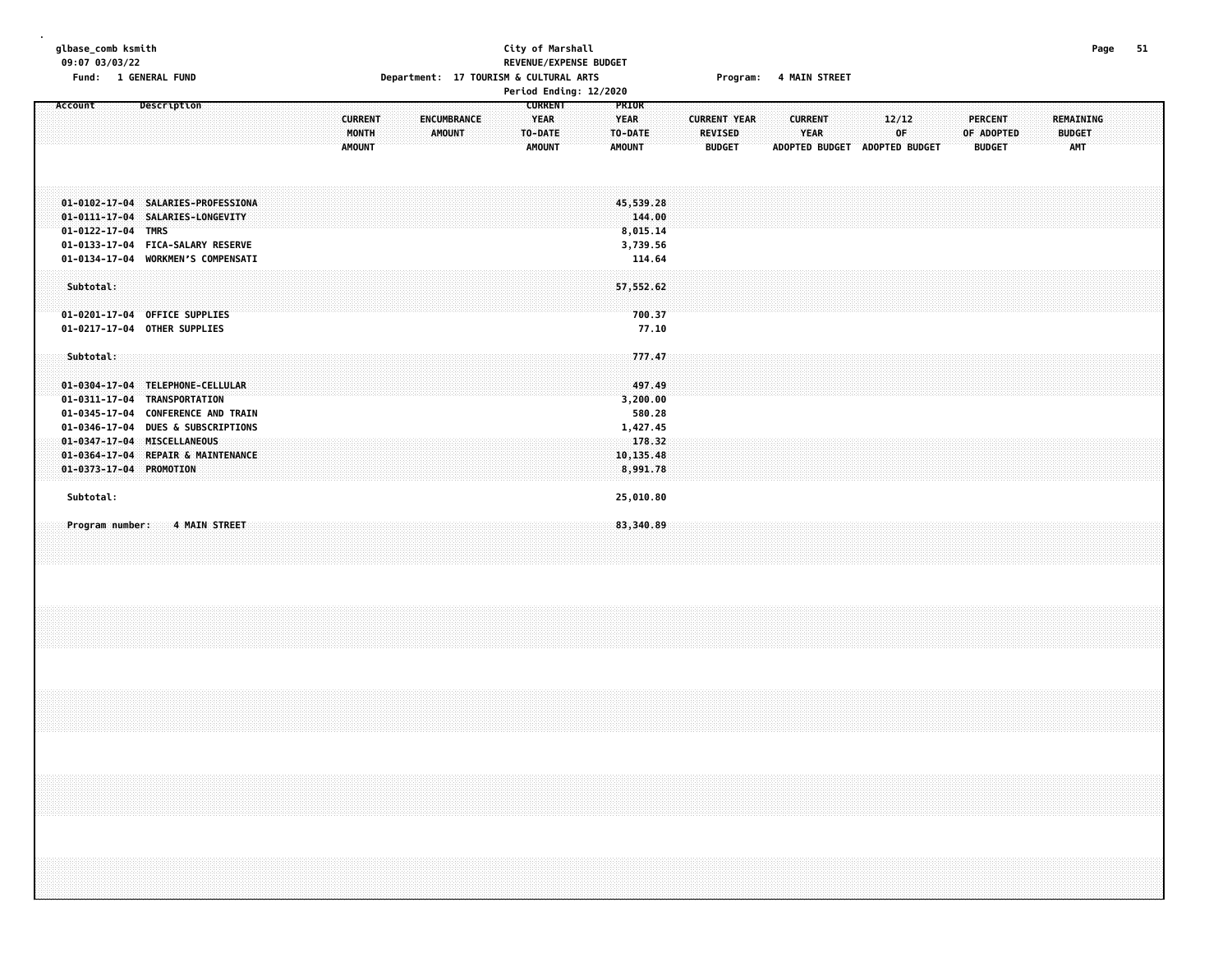| glbase_comb ksmith<br>09:07 03/03/22<br>Fund: 1 GENERAL FUND                                                                                                            | City of Marshall<br>Department: 17 TOURISM & CULTURAL ARTS                                                                            | REVENUE/EXPENSE BUDGET<br>Program:<br>Period Ending: 12/2020                                                      | <b>4 MAIN STREET</b>                                                                           | Page<br>- 51                                                                              |
|-------------------------------------------------------------------------------------------------------------------------------------------------------------------------|---------------------------------------------------------------------------------------------------------------------------------------|-------------------------------------------------------------------------------------------------------------------|------------------------------------------------------------------------------------------------|-------------------------------------------------------------------------------------------|
| Description<br>Account                                                                                                                                                  | <b>CURRENT</b><br><b>YEAR</b><br><b>ENCUMBRANCE</b><br><b>CURRENT</b><br>MONTH<br>AMOUNT<br>TO-DATE<br><b>AMOUNT</b><br><b>AMOUNT</b> | <b>PRIOR</b><br><b>YEAR</b><br><b>CURRENT YEAR</b><br>TO-DATE<br><b>REVISED</b><br><b>AMOUNT</b><br><b>BUDGET</b> | 12/12<br><b>CURRENT</b><br><b>YEAR</b><br>OF<br><b>ADOPTED BUDGET</b><br><b>ADOPTED BUDGET</b> | <b>PERCENT</b><br>REMAINING<br>OF ADOPTED<br><b>BUDGET</b><br><b>AMT</b><br><b>BUDGET</b> |
| 01-0102-17-04 SALARIES-PROFESSIONA<br>01-0111-17-04 SALARIES-LONGEVITY<br>01-0122-17-04 TMRS<br>01-0133-17-04 FICA-SALARY RESERVE<br>01-0134-17-04 WORKMEN'S COMPENSATI |                                                                                                                                       | 45,539.28<br>144.00<br>8,015.14<br>3,739.56<br>114.64                                                             |                                                                                                |                                                                                           |
| Subtotal:<br>01-0201-17-04 OFFICE SUPPLIES<br>01-0217-17-04 OTHER SUPPLIES                                                                                              |                                                                                                                                       | 57,552.62<br>700.37<br>77.10                                                                                      |                                                                                                |                                                                                           |
| Subtotal:<br>01-0304-17-04 TELEPHONE-CELLULAR<br>01-0311-17-04 TRANSPORTATION<br>01-0345-17-04 CONFERENCE AND TRAIN<br>01-0346-17-04 DUES & SUBSCRIPTIONS               |                                                                                                                                       | 777.47<br>497.49<br>3,200.00<br>580.28<br>1,427.45                                                                |                                                                                                |                                                                                           |
| 01-0347-17-04 MISCELLANEOUS<br>01-0364-17-04 REPAIR & MAINTENANCE<br>01-0373-17-04 PROMOTION<br>Subtotal:                                                               |                                                                                                                                       | 178.32<br>10,135.48<br>8,991.78<br>25,010.80                                                                      |                                                                                                |                                                                                           |
| Program number:<br>4 MAIN STREET                                                                                                                                        |                                                                                                                                       | 83,340.89                                                                                                         |                                                                                                |                                                                                           |
|                                                                                                                                                                         |                                                                                                                                       |                                                                                                                   |                                                                                                |                                                                                           |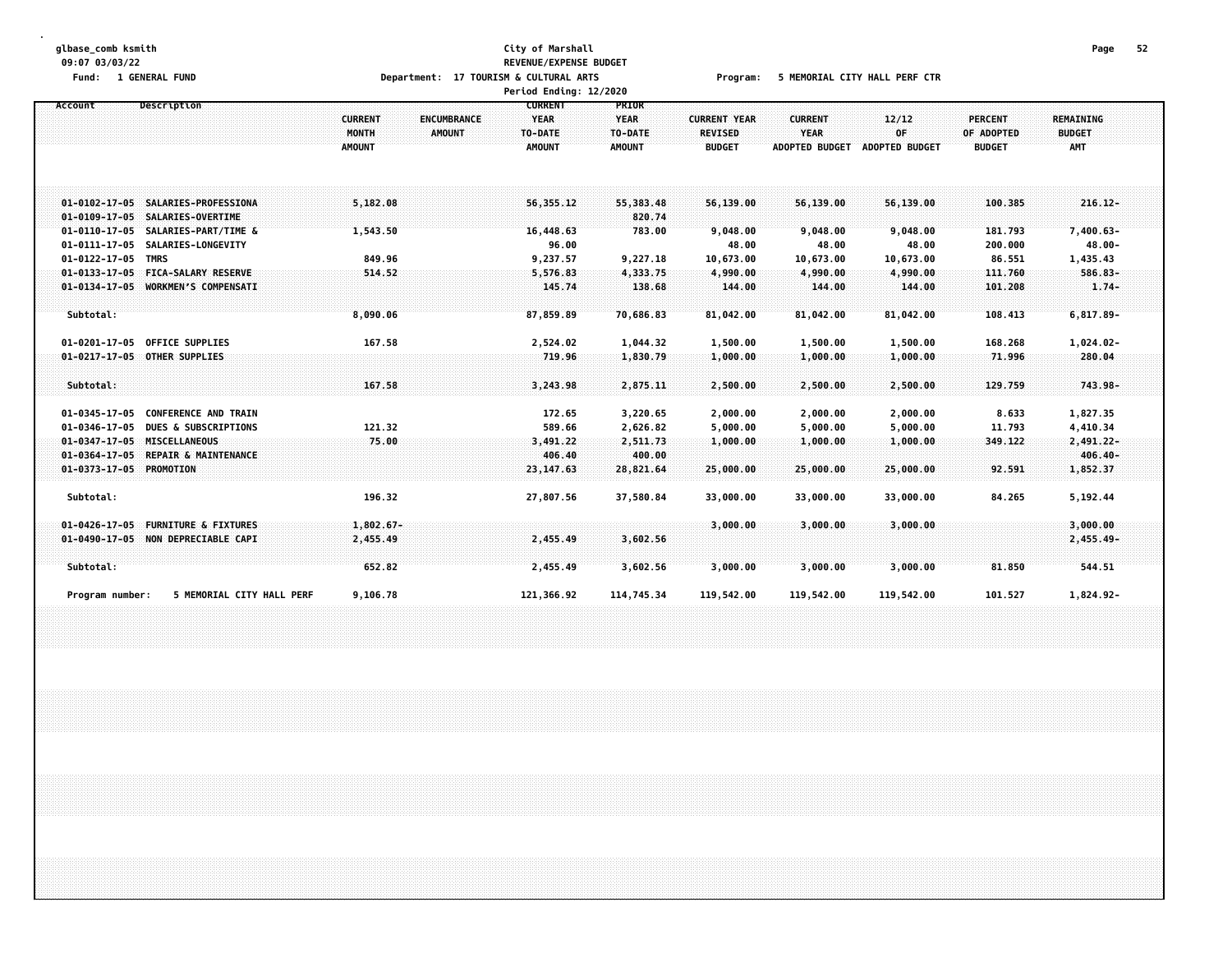#### **glbase\_comb ksmith City of Marshall Page 52 09:07 03/03/22 REVENUE/EXPENSE BUDGET** Fund: 1 GENERAL FUND CORPORT THE SERVICE OF DEPARTMENT: 17 TOURISM & CULTURAL ARTS PROGRAM: 5 MEMORIAL CITY HALL PERF CTR **Period Ending: 12/2020**

| <b>Description</b><br>Account                                                                                                                                  | <b>CURRENT</b><br>MONTH<br><b>AMOUNT</b> | <b>ENCUMBRANCE</b><br><b>AMOUNT</b> | <b>CURRENT</b><br><b>YEAR</b><br>TO-DATE<br><b>AMOUNT</b> | <b>PRIOR</b><br><b>YEAR</b><br>TO-DATE<br>AMOUNT | <b>CURRENT YEAR</b><br><b>REVISED</b><br><b>BUDGET</b> | <b>CURRENT</b><br><b>YEAR</b><br><b>ADOPTED BUDGET</b> | 12/12<br>0F<br><b>ADOPTED BUDGET</b> | <b>PERCENT</b><br>OF ADOPTED<br><b>BUDGET</b> | <b>REMAINING</b><br><b>BUDGET</b><br><b>AMT</b> |  |
|----------------------------------------------------------------------------------------------------------------------------------------------------------------|------------------------------------------|-------------------------------------|-----------------------------------------------------------|--------------------------------------------------|--------------------------------------------------------|--------------------------------------------------------|--------------------------------------|-----------------------------------------------|-------------------------------------------------|--|
| 01-0102-17-05 SALARIES-PROFESSIONA<br>01-0109-17-05 SALARIES-OVERTIME                                                                                          | 5,182.08                                 |                                     | 56,355.12                                                 | 55,383.48<br>820.74                              | 56,139.00                                              | 56,139.00                                              | 56,139.00                            | 100.385                                       | $216.12 -$                                      |  |
| 01-0110-17-05 SALARIES-PART/TIME &<br>01-0111-17-05 SALARIES-LONGEVITY<br>01-0122-17-05 TMRS                                                                   | 1,543.50<br>849.96                       |                                     | 16,448.63<br>96.00<br>9,237.57                            | 783.00<br>9,227.18                               | 9,048.00<br>48.00<br>10,673.00                         | 9,048.00<br>48.00<br>10,673.00                         | 9,048.00<br>48.00<br>10,673.00       | 181.793<br>200.000<br>86.551                  | $7,400.63 -$<br>$48.00 -$<br>1,435.43           |  |
| 01-0133-17-05 FICA-SALARY RESERVE<br>01-0134-17-05 WORKMEN'S COMPENSATI                                                                                        | 514.52                                   |                                     | 5,576.83<br>145.74                                        | 4,333.75<br>138.68                               | 4,990.00<br>144.00                                     | 4,990.00<br>144.00                                     | 4,990.00<br>144.00                   | 111.760<br>101.208                            | $586.83 -$<br>$1.74-$                           |  |
| Subtotal:                                                                                                                                                      | 8,090.06                                 |                                     | 87,859.89                                                 | 70,686.83                                        | 81,042.00                                              | 81,042.00                                              | 81,042.00                            | 108.413                                       | $6,817.89-$                                     |  |
| 01-0201-17-05 OFFICE SUPPLIES<br>01-0217-17-05 OTHER SUPPLIES                                                                                                  | 167.58                                   |                                     | 2,524.02<br>719.96                                        | 1,044.32<br>1,830.79                             | 1,500.00<br>1,000.00                                   | 1,500.00<br>1,000.00                                   | 1,500.00<br>1,000.00                 | 168.268<br>71.996                             | $1,024.02 -$<br>280.04                          |  |
| Subtotal:<br><b>CONFERENCE AND TRAIN</b><br>$01 - 0345 - 17 - 05$                                                                                              | 167.58                                   |                                     | 3,243.98<br>172.65                                        | 2,875.11<br>3,220.65                             | 2,500.00<br>2,000.00                                   | 2,500.00<br>2,000.00                                   | 2,500.00<br>2,000.00                 | 129.759<br>8.633                              | 743.98-<br>1,827.35                             |  |
| $01 - 0346 - 17 - 05$<br><b>DUES &amp; SUBSCRIPTIONS</b><br>$01 - 0347 - 17 - 05$<br>MISCELLANEOUS<br>$01 - 0364 - 17 - 05$<br><b>REPAIR &amp; MAINTENANCE</b> | 121.32<br>75.00                          |                                     | 589.66<br>3,491.22<br>406.40                              | 2,626.82<br>2,511.73<br>400.00                   | 5,000.00<br>1,000.00                                   | 5,000.00<br>1,000.00                                   | 5,000.00<br>1,000.00                 | 11.793<br>349.122                             | 4,410.34<br>$2,491.22 -$<br>$406.40 -$          |  |
| 01-0373-17-05 PROMOTION                                                                                                                                        |                                          |                                     | 23, 147.63                                                | 28,821.64                                        | 25,000.00                                              | 25,000.00                                              | 25,000.00                            | 92.591                                        | 1,852.37                                        |  |
| Subtotal:<br>$01 - 0426 - 17 - 05$<br><b>FURNITURE &amp; FIXTURES</b>                                                                                          | 196.32<br>$1,802.67-$                    |                                     | 27,807.56                                                 | 37,580.84                                        | 33,000.00<br>3,000.00                                  | 33,000.00<br>3,000.00                                  | 33,000.00<br>3,000.00                | 84.265                                        | 5,192.44<br>3,000.00                            |  |
| 01-0490-17-05 NON DEPRECIABLE CAPI<br>Subtotal:                                                                                                                | 2,455.49<br>652.82                       |                                     | 2,455.49<br>2,455.49                                      | 3,602.56<br>3,602.56                             | 3,000.00                                               | 3,000.00                                               | 3,000.00                             | 81.850                                        | $2,455.49-$<br>544.51                           |  |
| 5 MEMORIAL CITY HALL PERF<br>Program number:                                                                                                                   | 9,106.78                                 |                                     | 121,366.92                                                | 114,745.34                                       | 119,542.00                                             | 119,542.00                                             | 119,542.00                           | 101.527                                       | 1,824.92-                                       |  |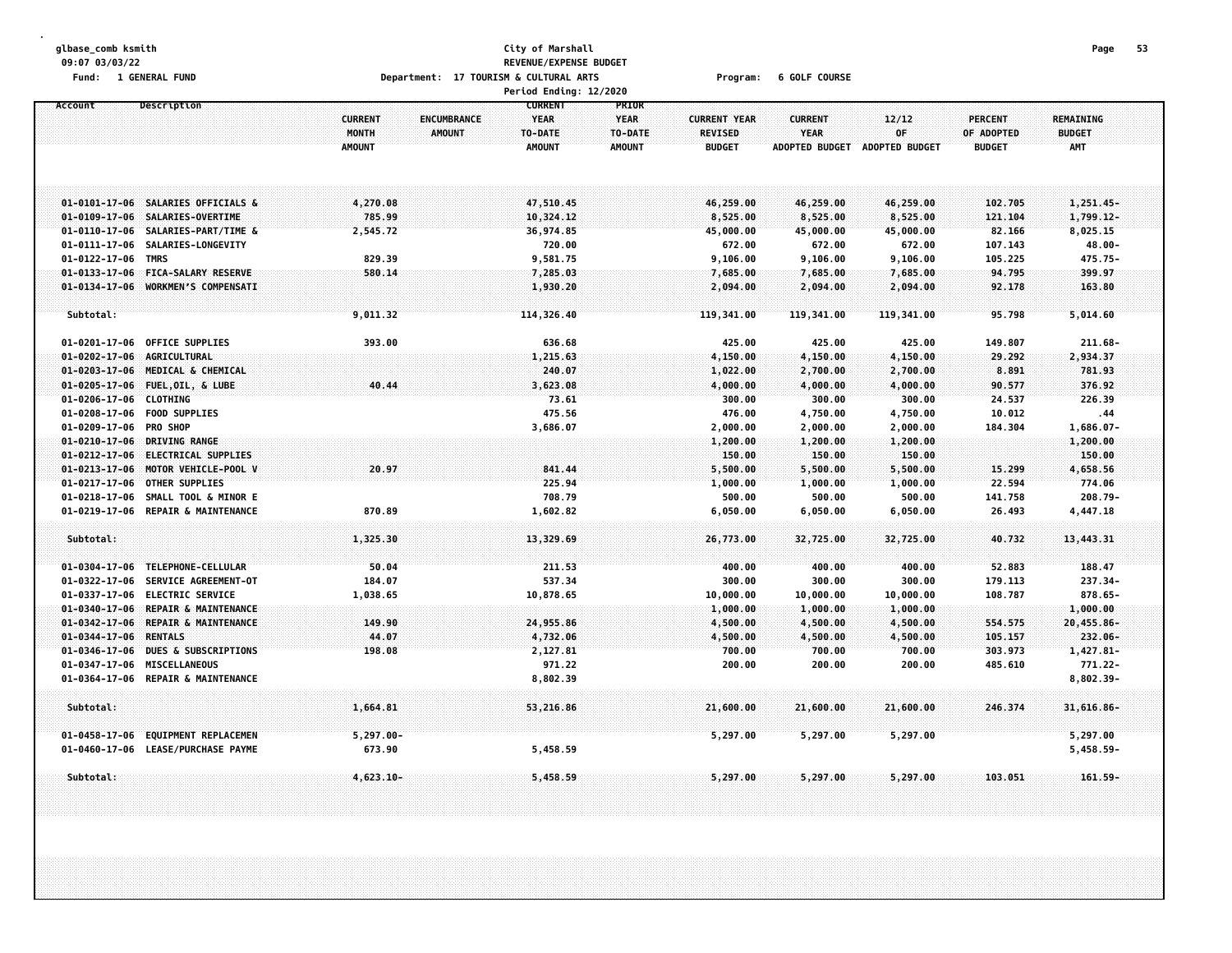#### **glbase\_comb ksmith City of Marshall Page 53 09:07 03/03/22 REVENUE/EXPENSE BUDGET** Fund: 1 GENERAL FUND COURSE COURSE Department: 17 TOURISM & CULTURAL ARTS Program: 6 GOLF COURSE **Period Ending: 12/2020**

|                            |                                                          |                                          | Pertoa Enatng: 12/2020                                                                    |                                                                                                            |                                                 |                                      |                                        |                                          |  |
|----------------------------|----------------------------------------------------------|------------------------------------------|-------------------------------------------------------------------------------------------|------------------------------------------------------------------------------------------------------------|-------------------------------------------------|--------------------------------------|----------------------------------------|------------------------------------------|--|
| Account                    | Description                                              | <b>CURRENT</b><br>MONTH<br><b>AMOUNT</b> | <b>CURRENT</b><br><b>YEAR</b><br>ENCUMBRANCE<br><b>AMOUNT</b><br>TO-DATE<br><b>AMOUNT</b> | PRIOR<br><b>YEAR</b><br><b>CURRENT YEAR</b><br>TO-DATE<br><b>REVISED</b><br><b>AMOUNT</b><br><b>BUDGET</b> | <b>CURRENT</b><br>YEAR<br><b>ADOPTED BUDGET</b> | 12/12<br>OF<br><b>ADOPTED BUDGET</b> | PERCENT<br>OF ADOPTED<br><b>BUDGET</b> | REMAINING<br><b>BUDGET</b><br><b>AMT</b> |  |
|                            | 01-0101-17-06 SALARIES OFFICIALS &                       | 4,270.08                                 | 47,510.45                                                                                 | 46,259.00                                                                                                  | 46,259.00                                       | 46,259.00                            | 102.705                                | 1,251.45-                                |  |
|                            | 01-0109-17-06 SALARIES-OVERTIME                          | 785.99                                   | 10,324.12                                                                                 | 8,525.00                                                                                                   | 8,525.00                                        | 8,525.00                             | 121.104                                | $1,799.12 -$                             |  |
| 01-0110-17-06              | SALARIES-PART/TIME &                                     | 2,545.72                                 | 36,974.85                                                                                 | 45,000.00                                                                                                  | 45,000.00                                       | 45,000.00                            | 82.166                                 | 8,025.15                                 |  |
| $01 - 0111 - 17 - 06$      | SALARIES-LONGEVITY                                       |                                          | 720.00                                                                                    | 672.00                                                                                                     | 672.00                                          | 672.00                               | 107.143                                | $48.00 -$                                |  |
| 01-0122-17-06 TMRS         |                                                          | 829.39                                   | 9,581.75                                                                                  | 9,106.00                                                                                                   | 9,106.00                                        | 9,106.00                             | 105.225                                | 475.75-                                  |  |
|                            | 01-0133-17-06 FICA-SALARY RESERVE                        | 580.14                                   | 7,285.03                                                                                  | 7,685.00                                                                                                   | 7,685.00                                        | 7,685.00                             | 94.795                                 | 399.97                                   |  |
|                            | 01-0134-17-06 WORKMEN'S COMPENSATI                       |                                          | 1,930.20                                                                                  | 2,094.00                                                                                                   | 2,094.00                                        | 2,094.00                             | 92.178                                 | 163.80                                   |  |
|                            |                                                          |                                          |                                                                                           |                                                                                                            |                                                 |                                      |                                        |                                          |  |
| Subtotal:                  |                                                          | 9,011.32                                 | 114,326.40                                                                                | 119,341.00                                                                                                 | 119,341.00                                      | 119,341.00                           | 95.798                                 | 5,014.60                                 |  |
|                            | 01-0201-17-06 OFFICE SUPPLIES                            | 393.00                                   | 636.68                                                                                    | 425.00                                                                                                     | 425.00                                          | 425.00                               | 149.807                                | $211.68 -$                               |  |
| 01-0202-17-06 AGRICULTURAL |                                                          |                                          | 1,215.63                                                                                  | 4,150.00                                                                                                   | 4,150.00                                        | 4,150.00                             | 29.292                                 | 2,934.37                                 |  |
|                            | 01-0203-17-06 MEDICAL & CHEMICAL                         |                                          | 240.07                                                                                    | 1,022.00                                                                                                   | 2,700.00                                        | 2,700.00                             | 8.891                                  | 781.93                                   |  |
|                            | 01-0205-17-06 FUEL, OIL, & LUBE                          | 40.44                                    | 3,623.08                                                                                  | 4,000.00                                                                                                   | 4,000.00                                        | 4,000.00                             | 90.577                                 | 376.92                                   |  |
| 01-0206-17-06 CLOTHING     |                                                          |                                          | 73.61                                                                                     | 300.00                                                                                                     | 300.00                                          | 300.00                               | 24.537                                 | 226.39                                   |  |
|                            | 01-0208-17-06 FOOD SUPPLIES                              |                                          | 475.56                                                                                    | 476.00                                                                                                     | 4,750.00                                        | 4,750.00                             | 10.012                                 | .44                                      |  |
| 01-0209-17-06 PRO SHOP     |                                                          |                                          | 3,686.07                                                                                  | 2,000.00                                                                                                   | 2,000.00                                        | 2,000.00                             | 184.304                                | 1,686.07-                                |  |
|                            | 01-0210-17-06 DRIVING RANGE                              |                                          |                                                                                           | 1,200.00                                                                                                   | 1,200.00                                        | 1,200.00                             |                                        | 1,200.00                                 |  |
| $01 - 0212 - 17 - 06$      | <b>ELECTRICAL SUPPLIES</b>                               |                                          |                                                                                           | 150.00                                                                                                     | 150.00                                          | 150.00                               |                                        | 150.00                                   |  |
|                            | 01-0213-17-06 MOTOR VEHICLE-POOL V                       | 20.97                                    | 841.44                                                                                    | 5,500.00                                                                                                   | 5,500.00                                        | 5,500.00                             | 15.299                                 | 4,658.56                                 |  |
| $01 - 0217 - 17 - 06$      | <b>OTHER SUPPLIES</b>                                    |                                          | 225.94                                                                                    | 1,000.00                                                                                                   | 1,000.00                                        | 1,000.00                             | 22.594                                 | 774.06                                   |  |
| $01 - 0218 - 17 - 06$      | SMALL TOOL & MINOR E                                     |                                          | 708.79                                                                                    | 500.00                                                                                                     | 500.00                                          | 500.00                               | 141.758                                | $208.79 -$                               |  |
| $01 - 0219 - 17 - 06$      | <b>REPAIR &amp; MAINTENANCE</b>                          | 870.89                                   | 1,602.82                                                                                  | 6,050.00                                                                                                   | 6,050.00                                        | 6,050.00                             | 26.493                                 | 4,447.18                                 |  |
| Subtotal:                  |                                                          | 1,325.30                                 | 13,329.69                                                                                 | 26,773.00                                                                                                  | 32,725.00                                       | 32,725.00                            | 40.732                                 | 13,443.31                                |  |
|                            |                                                          |                                          |                                                                                           |                                                                                                            |                                                 |                                      |                                        |                                          |  |
| $01 - 0322 - 17 - 06$      | 01-0304-17-06 TELEPHONE-CELLULAR<br>SERVICE AGREEMENT-OT | 50.04                                    | 211.53<br>537.34                                                                          | 400.00                                                                                                     | 400.00                                          | 400.00                               | 52.883<br>179.113                      | 188.47<br>237.34-                        |  |
|                            | 01-0337-17-06 ELECTRIC SERVICE                           | 184.07<br>1,038.65                       | 10,878.65                                                                                 | 300.00<br>10,000.00                                                                                        | 300.00<br>10,000.00                             | 300.00<br>10,000.00                  | 108.787                                | 878.65-                                  |  |
| $01 - 0340 - 17 - 06$      | REPAIR & MAINTENANCE                                     |                                          |                                                                                           | 1,000.00                                                                                                   | 1,000.00                                        | 1,000.00                             |                                        | 1,000,00                                 |  |
|                            | 01-0342-17-06 REPAIR & MAINTENANCE                       | 149.90                                   | 24,955.86                                                                                 | 4,500.00                                                                                                   | 4,500.00                                        | 4,500.00                             | 554.575                                | 20,455.86-                               |  |
| $01 - 0344 - 17 - 06$      | <b>RENTALS</b>                                           | 44.07                                    | 4,732.06                                                                                  | 4,500.00                                                                                                   | 4,500.00                                        | 4,500.00                             | 105.157                                | $232.06 -$                               |  |
| $01 - 0346 - 17 - 06$      | <b>DUES &amp; SUBSCRIPTIONS</b>                          | 198.08                                   | 2,127.81                                                                                  | 700.00                                                                                                     | 700.00                                          | 700.00                               | 303.973                                | $1,427.81-$                              |  |
| 01-0347-17-06              | <b>MISCELLANEOUS</b>                                     |                                          | 971.22                                                                                    | 200.00                                                                                                     | 200.00                                          | 200.00                               | 485.610                                | 771.22-                                  |  |
| 01-0364-17-06              | <b>REPAIR &amp; MAINTENANCE</b>                          |                                          | 8,802.39                                                                                  |                                                                                                            |                                                 |                                      |                                        | $8,802.39 -$                             |  |
| Subtotal:                  |                                                          | 1,664.81                                 | 53,216.86                                                                                 | 21,600.00                                                                                                  | 21,600.00                                       | 21,600.00                            | 246,374                                | 31,616.86-                               |  |
|                            |                                                          |                                          |                                                                                           |                                                                                                            |                                                 |                                      |                                        |                                          |  |
|                            | 01-0458-17-06 EQUIPMENT REPLACEMEN                       | $5,297.00 -$                             |                                                                                           | 5,297.00                                                                                                   | 5,297.00                                        | 5,297.00                             |                                        | 5,297.00                                 |  |
|                            | 01-0460-17-06 LEASE/PURCHASE PAYME                       | 673.90                                   | 5,458.59                                                                                  |                                                                                                            |                                                 |                                      |                                        | $5,458.59-$                              |  |
| Subtotal:                  |                                                          | $4,623.10 -$                             | 5,458.59                                                                                  | 5,297.00                                                                                                   | 5,297.00                                        | 5,297.00                             | 103.051                                | $161.59 -$                               |  |
|                            |                                                          |                                          |                                                                                           |                                                                                                            |                                                 |                                      |                                        |                                          |  |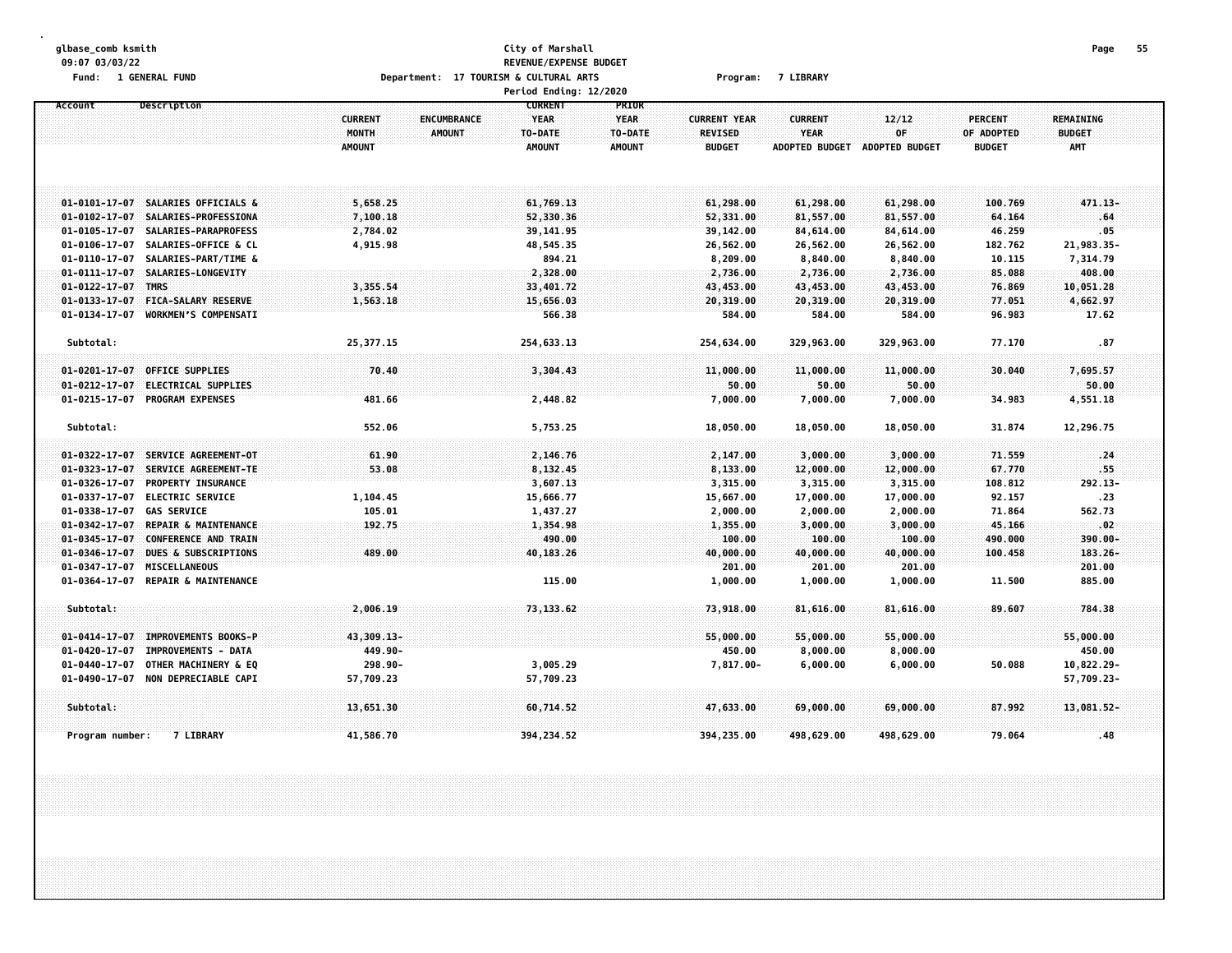# **glbase\_comb ksmith City of Marshall Page 55 09:07 03/03/22 REVENUE/EXPENSE BUDGET Fund: 1 GENERAL FUND Department: 17 TOURISM & CULTURAL ARTS Program: 7 LIBRARY**

|                                                |                                              |                | Period Ending: 12/2020     |                                    |                       |                      |                  |                    |  |
|------------------------------------------------|----------------------------------------------|----------------|----------------------------|------------------------------------|-----------------------|----------------------|------------------|--------------------|--|
| Account                                        | <b>Description</b>                           |                | <b>CURRENT</b>             | PRIOR                              |                       |                      |                  |                    |  |
|                                                |                                              | <b>CURRENT</b> | <b>YEAR</b><br>ENCUMBRANCE | <b>YEAR</b><br><b>CURRENT YEAR</b> | <b>CURRENT</b>        | 12/12                | <b>PERCENT</b>   | <b>REMAINING</b>   |  |
|                                                |                                              | MONTH          | TO-DATE<br><b>AMOUNT</b>   | REVISED<br>TO-DATE                 | <b>YEAR</b>           | 0F                   | OF ADOPTED       | <b>BUDGET</b>      |  |
|                                                |                                              | <b>AMOUNT</b>  | <b>AMOUNT</b>              | <b>AMOUNT</b><br><b>BUDGET</b>     | <b>ADOPTED BUDGET</b> | ADOPTED BUDGET       | <b>BUDGET</b>    | AMT                |  |
|                                                |                                              |                |                            |                                    |                       |                      |                  |                    |  |
|                                                |                                              |                |                            |                                    |                       |                      |                  |                    |  |
|                                                |                                              |                |                            |                                    |                       |                      |                  |                    |  |
|                                                | 01-0101-17-07 SALARIES OFFICIALS &           | 5,658.25       | 61,769.13                  | 61,298.00                          | 61,298.00             | 61,298.00            | 100.769          | 471.13-            |  |
| $01 - 0102 - 17 - 07$                          | SALARIES-PROFESSIONA                         | 7,100.18       | 52,330.36                  | 52,331.00                          | 81,557.00             | 81,557.00            | 64.164           | .64                |  |
| $01 - 0105 - 17 - 07$<br>$01 - 0106 - 17 - 07$ | SALARIES-PARAPROFESS                         | 2,784.02       | 39,141.95                  | 39,142.00                          | 84,614.00             | 84,614.00            | 46.259           | .05                |  |
| $01 - 0110 - 17 - 07$                          | SALARIES-OFFICE & CL<br>SALARIES-PART/TIME & | 4,915.98       | 48,545.35                  | 26,562.00                          | 26,562.00             | 26,562.00            | 182.762          | 21,983.35-         |  |
|                                                | 01-0111-17-07 SALARIES-LONGEVITY             |                | 894.21<br>2,328.00         | 8,209.00<br>2,736.00               | 8,840.00<br>2,736.00  | 8,840.00<br>2,736.00 | 10.115<br>85.088 | 7,314.79<br>408.00 |  |
| 01-0122-17-07 TMRS                             |                                              | 3,355.54       | 33,401.72                  | 43,453.00                          | 43,453.00             | 43,453.00            | 76.869           | 10,051.28          |  |
| $01 - 0133 - 17 - 07$                          | <b>FICA-SALARY RESERVE</b>                   | 1,563.18       | 15,656.03                  | 20,319.00                          | 20,319.00             | 20,319.00            | 77.051           | 4,662.97           |  |
| $01 - 0134 - 17 - 07$                          | <b>WORKMEN'S COMPENSATI</b>                  |                | 566.38                     | 584.00                             | 584.00                | 584.00               | 96.983           | 17.62              |  |
|                                                |                                              |                |                            |                                    |                       |                      |                  |                    |  |
| Subtotal:                                      |                                              | 25,377.15      | 254,633.13                 | 254,634.00                         | 329,963.00            | 329,963.00           | 77.170           | .87                |  |
|                                                |                                              |                |                            |                                    |                       |                      |                  |                    |  |
| $01 - 0201 - 17 - 07$                          | <b>OFFICE SUPPLIES</b>                       | 70.40          | 3,304.43                   | 11,000.00                          | 11,000.00             | 11,000.00            | 30.040           | 7,695.57           |  |
| $01 - 0212 - 17 - 07$                          | <b>ELECTRICAL SUPPLIES</b>                   |                |                            | 50.00                              | 50.00                 | 50.00                |                  | 50.00              |  |
| $01 - 0215 - 17 - 07$                          | <b>PROGRAM EXPENSES</b>                      | 481.66         | 2,448.82                   | 7,000.00                           | 7,000.00              | 7,000.00             | 34.983           | 4,551.18           |  |
|                                                |                                              |                |                            |                                    |                       |                      |                  |                    |  |
| Subtotal:                                      |                                              | 552.06         | 5,753.25                   | 18,050.00                          | 18,050.00             | 18,050.00            | 31.874           | 12,296.75          |  |
|                                                |                                              |                |                            |                                    |                       |                      |                  |                    |  |
| $01 - 0322 - 17 - 07$                          | <b>SERVICE AGREEMENT-OT</b>                  | 61.90          | 2,146.76                   | 2,147.00                           | 3,000.00              | 3,000.00             | 71.559           | .24                |  |
| $01 - 0323 - 17 - 07$                          | SERVICE AGREEMENT-TE                         | 53.08          | 8,132.45                   | 8,133.00                           | 12,000.00             | 12,000.00            | 67.770           | .55                |  |
| $01 - 0326 - 17 - 07$                          | <b>PROPERTY INSURANCE</b>                    |                | 3,607.13                   | 3,315.00                           | 3,315.00              | 3,315.00             | 108.812          | 292.13-            |  |
| 01-0337-17-07                                  | <b>ELECTRIC SERVICE</b>                      | 1,104.45       | 15,666.77                  | 15,667.00                          | 17,000.00             | 17,000.00            | 92.157           | .23                |  |
| $01 - 0338 - 17 - 07$                          | <b>GAS SERVICE</b>                           | 105.01         | 1,437.27                   | 2,000.00                           | 2,000.00              | 2,000.00             | 71.864           | 562.73             |  |
| $01 - 0342 - 17 - 07$                          | <b>REPAIR &amp; MAINTENANCE</b>              | 192.75         | 1,354.98                   | 1,355.00                           | 3,000.00              | 3,000.00             | 45.166           | .02                |  |
| $01 - 0345 - 17 - 07$                          | <b>CONFERENCE AND TRAIN</b>                  |                | 490.00                     | 100.00                             | 100.00                | 100.00               | 490.000          | $390.00 -$         |  |
| $01 - 0346 - 17 - 07$                          | <b>DUES &amp; SUBSCRIPTIONS</b>              | 489.00         | 40,183.26                  | 40,000.00                          | 40,000.00             | 40,000.00            | 100.458          | $183.26 -$         |  |
| $01 - 0347 - 17 - 07$                          | <b>MISCELLANEOUS</b>                         |                |                            | 201.00                             | 201.00                | 201.00               |                  | 201.00             |  |
| 01-0364-17-07                                  | <b>REPAIR &amp; MAINTENANCE</b>              |                | 115.00                     | 1,000.00                           | 1,000.00              | 1,000.00             | 11.500           | 885.00             |  |
| Subtotal:                                      |                                              | 2,006.19       | 73, 133.62                 | 73,918.00                          | 81,616.00             | 81,616.00            | 89.607           | 784.38             |  |
|                                                |                                              |                |                            |                                    |                       |                      |                  |                    |  |
| $01 - 0414 - 17 - 07$                          | <b>IMPROVEMENTS BOOKS-P</b>                  | 43,309.13-     |                            | 55,000.00                          | 55,000.00             | 55,000.00            |                  | 55,000.00          |  |
| $01 - 0420 - 17 - 07$                          | <b>IMPROVEMENTS - DATA</b>                   | 449.90-        |                            | 450.00                             | 8,000.00              | 8,000.00             |                  | 450.00             |  |
| $01 - 0440 - 17 - 07$                          | OTHER MACHINERY & EQ                         | 298.90-        | 3,005.29                   | 7,817.00-                          | 6,000.00              | 6,000.00             | 50.088           | 10,822.29-         |  |
| $01 - 0490 - 17 - 07$                          | NON DEPRECIABLE CAPI                         | 57,709.23      | 57,709.23                  |                                    |                       |                      |                  | 57,709.23-         |  |
|                                                |                                              |                |                            |                                    |                       |                      |                  |                    |  |
| Subtotal:                                      |                                              | 13,651.30      | 60,714.52                  | 47,633.00                          | 69,000.00             | 69,000.00            | 87.992           | 13,081.52-         |  |
|                                                |                                              |                |                            |                                    |                       |                      |                  |                    |  |
| Program number:                                | <b>7 LIBRARY</b>                             | 41,586.70      | 394,234.52                 | 394,235.00                         | 498,629.00            | 498,629.00           | 79.064           | . 48               |  |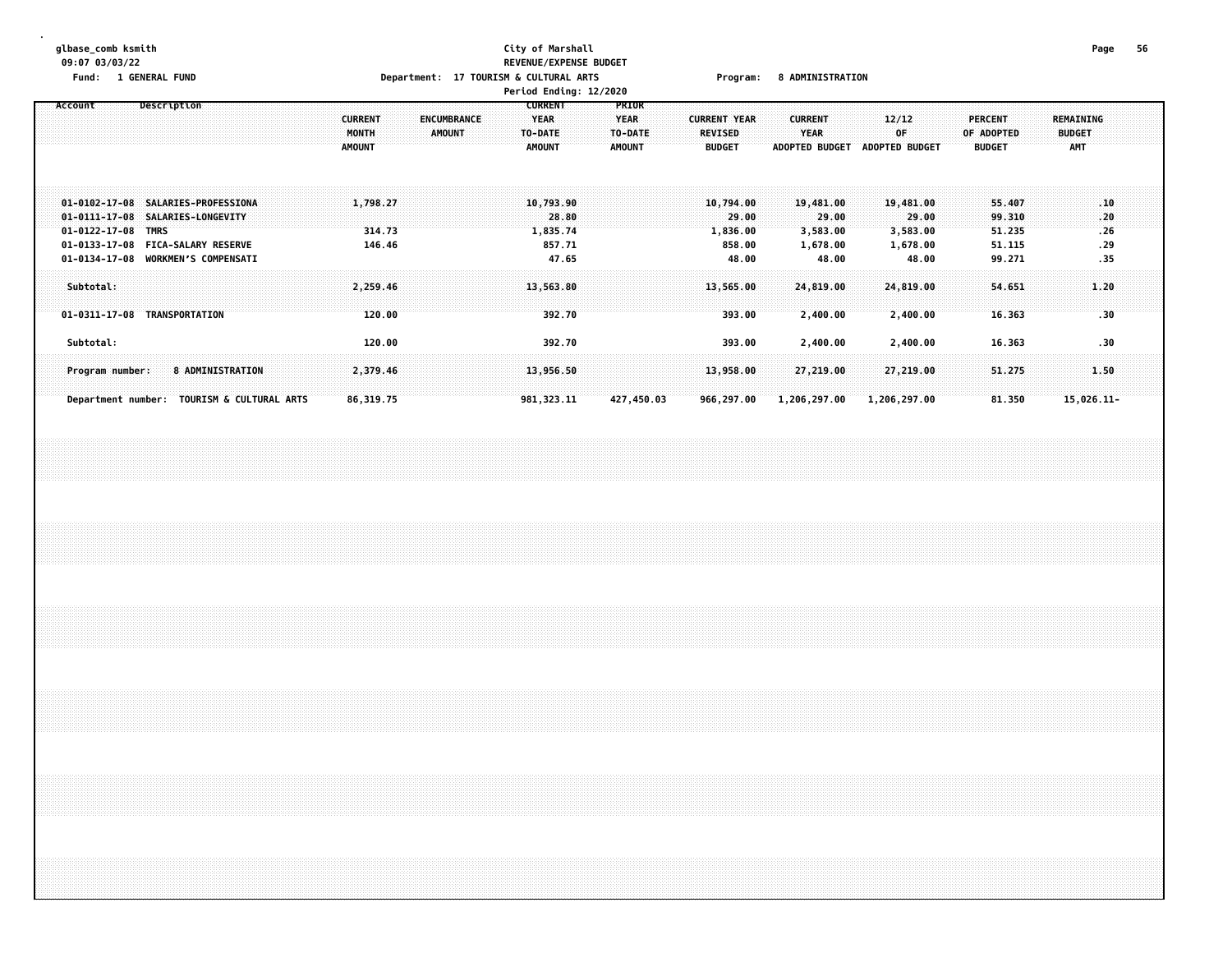# **glbase\_comb ksmith City of Marshall Page 56 09:07 03/03/22 REVENUE/EXPENSE BUDGET** Fund: 1 GENERAL FUND CONTENTS TO Department: 17 TOURISM & CULTURAL ARTS CONTENTS Program: 8 ADMINISTRATION

**Period Ending: 12/2020 Account Description CURRENT PRIOR CURRENT ENCUMBRANCE YEAR YEAR CURRENT YEAR CURRENT 12/12 PERCENT REMAINING MONTH AMOUNT TO-DATE TO-DATE REVISED YEAR OF OF ADOPTED BUDGET AMOUNT AMOUNT AMOUNT BUDGET ADOPTED BUDGET ADOPTED BUDGET BUDGET AMT 01-0102-17-08 SALARIES-PROFESSIONA 1,798.27 10,793.90 10,794.00 19,481.00 19,481.00 55.407 .10 01-0111-17-08 SALARIES-LONGEVITY 28.80 29.00 29.00 29.00 99.310 .20 01-0122-17-08 TMRS 314.73 1,835.74 1,836.00 3,583.00 3,583.00 51.235 .26 01-0133-17-08 FICA-SALARY RESERVE 146.46 857.71 858.00 1,678.00 1,678.00 51.115 .29 01-0134-17-08 WORKMENS COMPENSATI 47.65 48.00 48.00 48.00 99.271 .35 Subtotal: 2,259.46 13,563.80 13,565.00 24,819.00 24,819.00 54.651 1.20 01-0311-17-08 TRANSPORTATION 120.00 392.70 393.00 2,400.00 2,400.00 16.363 .30 Subtotal: 120.00 392.70 393.00 2,400.00 2,400.00 16.363 .30** Program number: 8 ADMINISTRATION 2,379.46 13,956.50 13,958.00 27,219.00 27,219.00 51.275 1.50 Department number: TOURISM & CULTURAL ARTS 86,319.75 381,323.11 427,450.03 966,297.00 1,206,297.00 1,206,297.00 1,206,297.00 1,206,297.00 1,206,297.00 1,206,297.00 1,206,297.00 1,206,297.00 1,206,297.00 1,206,297.00 1,206,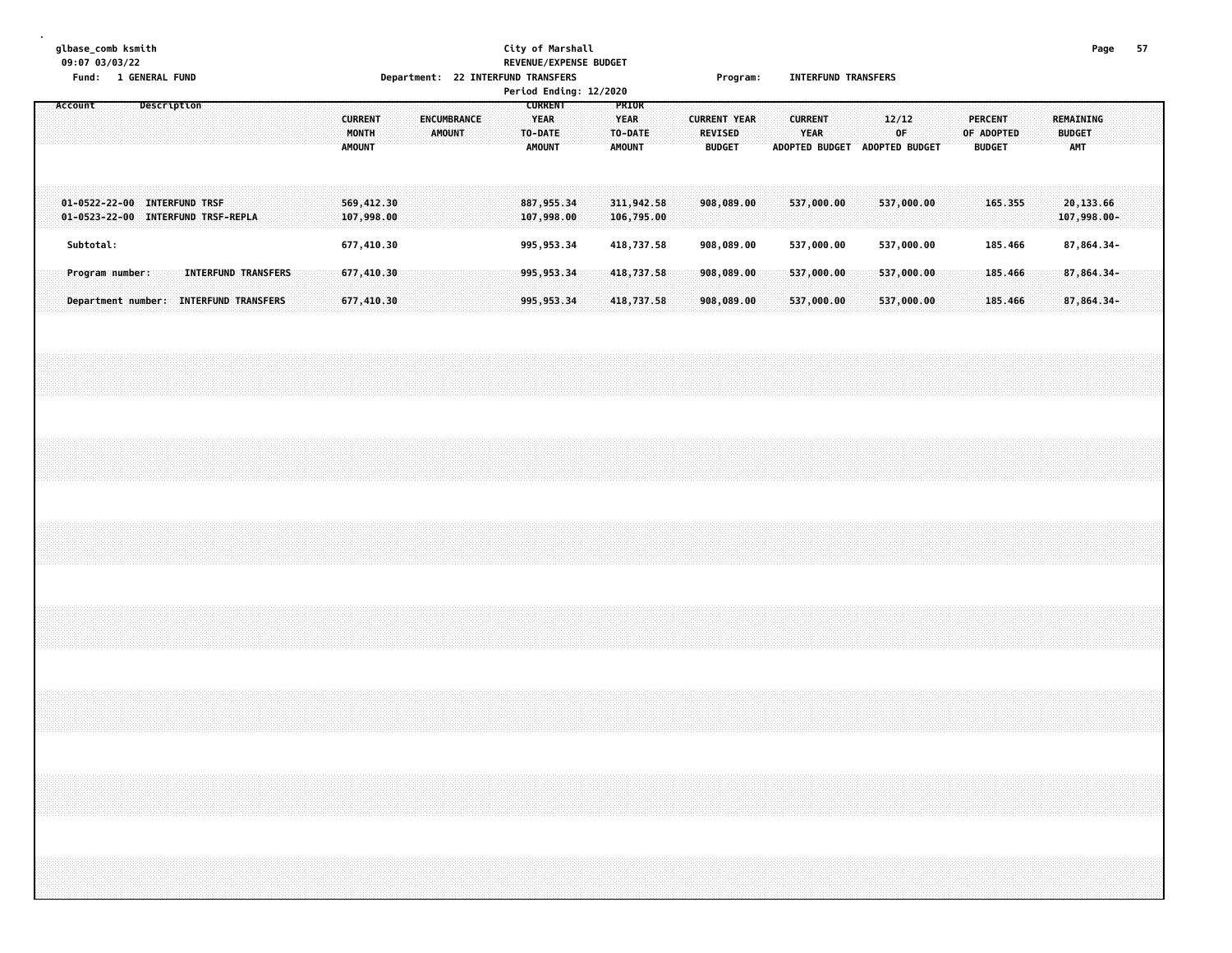# **glbase\_comb ksmith City of Marshall Page 57 09:07 03/03/22 REVENUE/EXPENSE BUDGET Fund: 1 GENERAL FUND Department: 22 INTERFUND TRANSFERS Program: INTERFUND TRANSFERS**

|         |           |                                                                    |             |                            |  |  |  |                                          |                          |  |        |             |  |                                                           |  | Period Ending: 12/2020 |                                                  |                          |  |                                 |                     |                               |                               |  |            |                |  |                                               |         |  |                                          |  |  |
|---------|-----------|--------------------------------------------------------------------|-------------|----------------------------|--|--|--|------------------------------------------|--------------------------|--|--------|-------------|--|-----------------------------------------------------------|--|------------------------|--------------------------------------------------|--------------------------|--|---------------------------------|---------------------|-------------------------------|-------------------------------|--|------------|----------------|--|-----------------------------------------------|---------|--|------------------------------------------|--|--|
| Account |           |                                                                    | Description |                            |  |  |  | <b>CURRENT</b><br>MONTH<br><b>AMOUNT</b> |                          |  | AMOUNT | ENCUMBRANCE |  | <b>CURRENT</b><br><b>YEAR</b><br>TO-DATE<br><b>AMOUNT</b> |  |                        | PRIOR<br><b>YEAR</b><br>TO-DATE<br><b>AMOUNT</b> |                          |  | <b>REVISED</b><br><b>BUDGET</b> | <b>CURRENT YEAR</b> | ADOPTED BUDGET ADOPTED BUDGET | <b>CURRENT</b><br><b>YEAR</b> |  | 12/12      | 0 <sup>F</sup> |  | <b>PERCENT</b><br>OF ADOPTED<br><b>BUDGET</b> |         |  | REMAINING<br><b>BUDGET</b><br><b>AMT</b> |  |  |
|         |           | 01-0522-22-00 INTERFUND TRSF<br>01-0523-22-00 INTERFUND TRSF-REPLA |             |                            |  |  |  |                                          | 569,412.30<br>107,998.00 |  |        |             |  | 887,955.34<br>107,998.00                                  |  |                        |                                                  | 311,942.58<br>106,795.00 |  |                                 | 908,089.00          |                               | 537,000.00                    |  | 537,000.00 |                |  |                                               | 165.355 |  | 20,133.66<br>107,998.00-                 |  |  |
|         | Subtotal: |                                                                    |             |                            |  |  |  |                                          | 677,410.30               |  |        |             |  | 995, 953.34                                               |  |                        |                                                  | 418,737.58               |  |                                 | 908,089.00          |                               | 537,000.00                    |  | 537,000.00 |                |  |                                               | 185.466 |  | 87,864.34-                               |  |  |
|         |           | Program number:                                                    |             | <b>INTERFUND TRANSFERS</b> |  |  |  |                                          | 677,410.30               |  |        |             |  | 995, 953.34                                               |  |                        |                                                  | 418,737.58               |  |                                 | 908,089.00          |                               | 537,000.00                    |  | 537,000.00 |                |  |                                               | 185.466 |  | 87,864.34-                               |  |  |
|         |           | Department number: INTERFUND TRANSFERS                             |             |                            |  |  |  |                                          | 677,410.30               |  |        |             |  | 995, 953.34                                               |  |                        |                                                  | 418,737.58               |  |                                 | 908,089.00          |                               | 537,000.00                    |  | 537,000.00 |                |  |                                               | 185.466 |  | 87,864.34-                               |  |  |
|         |           |                                                                    |             |                            |  |  |  |                                          |                          |  |        |             |  |                                                           |  |                        |                                                  |                          |  |                                 |                     |                               |                               |  |            |                |  |                                               |         |  |                                          |  |  |
|         |           |                                                                    |             |                            |  |  |  |                                          |                          |  |        |             |  |                                                           |  |                        |                                                  |                          |  |                                 |                     |                               |                               |  |            |                |  |                                               |         |  |                                          |  |  |
|         |           |                                                                    |             |                            |  |  |  |                                          |                          |  |        |             |  |                                                           |  |                        |                                                  |                          |  |                                 |                     |                               |                               |  |            |                |  |                                               |         |  |                                          |  |  |
|         |           |                                                                    |             |                            |  |  |  |                                          |                          |  |        |             |  |                                                           |  |                        |                                                  |                          |  |                                 |                     |                               |                               |  |            |                |  |                                               |         |  |                                          |  |  |
|         |           |                                                                    |             |                            |  |  |  |                                          |                          |  |        |             |  |                                                           |  |                        |                                                  |                          |  |                                 |                     |                               |                               |  |            |                |  |                                               |         |  |                                          |  |  |
|         |           |                                                                    |             |                            |  |  |  |                                          |                          |  |        |             |  |                                                           |  |                        |                                                  |                          |  |                                 |                     |                               |                               |  |            |                |  |                                               |         |  |                                          |  |  |
|         |           |                                                                    |             |                            |  |  |  |                                          |                          |  |        |             |  |                                                           |  |                        |                                                  |                          |  |                                 |                     |                               |                               |  |            |                |  |                                               |         |  |                                          |  |  |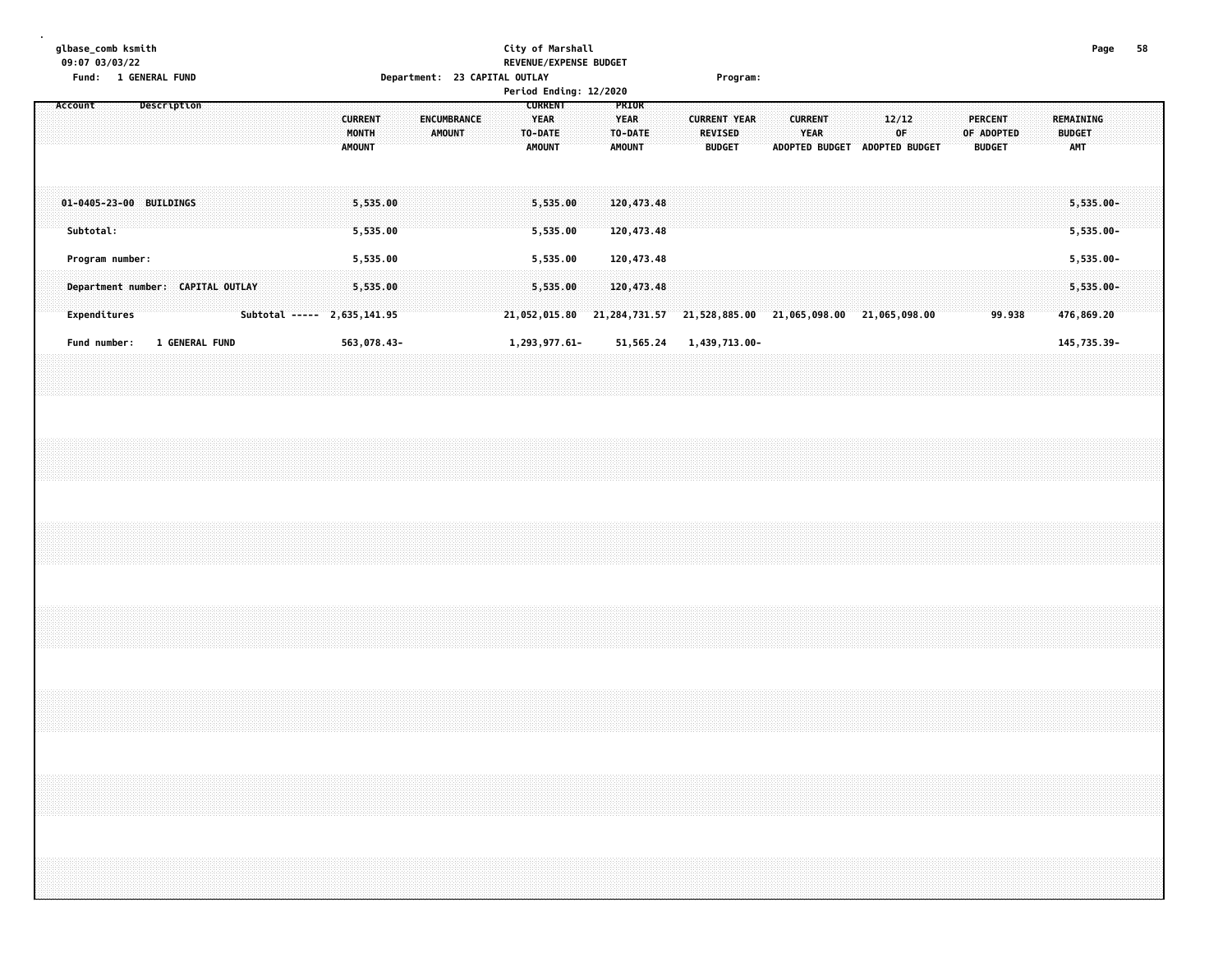# **glbase\_comb ksmith City of Marshall Page 58 09:07 03/03/22 REVENUE/EXPENSE BUDGET**

| Fund: 1 GENERAL FUND                 |                    |                             |                                   |                      |  | Department: 23 CAPITAL OUTLAY |  |                                                           | Period Ending: 12/2020 |                                                  |                          |                | Program:                             |                                           |                               |  |                               |  |                                               |        |                                   |                              |  |
|--------------------------------------|--------------------|-----------------------------|-----------------------------------|----------------------|--|-------------------------------|--|-----------------------------------------------------------|------------------------|--------------------------------------------------|--------------------------|----------------|--------------------------------------|-------------------------------------------|-------------------------------|--|-------------------------------|--|-----------------------------------------------|--------|-----------------------------------|------------------------------|--|
| Account                              | <b>Description</b> |                             | <b>CURRENT</b><br>MONTH<br>AMOUNT |                      |  | <b>ENCUMBRANCE</b><br>AMOUNT  |  | <b>CURRENT</b><br><b>YEAR</b><br>TO-DATE<br><b>AMOUNT</b> |                        | PRIOR<br><b>YEAR</b><br>TO-DATE<br><b>AMOUNT</b> |                          | <b>REVISED</b> | <b>CURRENT YEAR</b><br><b>BUDGET</b> | ADOPTED BUDGET                            | <b>CURRENT</b><br><b>YEAR</b> |  | 12/12<br>0F<br>ADOPTED BUDGET |  | <b>PERCENT</b><br>OF ADOPTED<br><b>BUDGET</b> |        | REMAINING<br><b>BUDGET</b><br>AMT |                              |  |
| 01-0405-23-00 BUILDINGS<br>Subtotal: |                    |                             |                                   | 5,535.00<br>5,535.00 |  |                               |  | 5,535.00<br>5,535.00                                      |                        |                                                  | 120,473.48<br>120,473.48 |                |                                      |                                           |                               |  |                               |  |                                               |        |                                   | $5,535.00 -$<br>$5,535.00 -$ |  |
| Program number:                      |                    |                             |                                   | 5,535.00             |  |                               |  | 5,535.00                                                  |                        |                                                  | 120,473.48               |                |                                      |                                           |                               |  |                               |  |                                               |        |                                   | 5,535.00-                    |  |
| Department number: CAPITAL OUTLAY    |                    |                             |                                   | 5,535.00             |  |                               |  | 5,535.00                                                  |                        |                                                  | 120,473.48               |                |                                      |                                           |                               |  |                               |  |                                               |        |                                   | $5,535.00 -$                 |  |
| Expenditures                         |                    | Subtotal ----- 2,635,141.95 |                                   |                      |  |                               |  | 21,052,015.80                                             |                        |                                                  | 21, 284, 731.57          |                |                                      | 21,528,885.00 21,065,098.00 21,065,098.00 |                               |  |                               |  |                                               | 99.938 |                                   | 476,869.20                   |  |
| Fund number:                         | 1 GENERAL FUND     |                             |                                   | 563,078.43-          |  |                               |  | 1,293,977.61-                                             |                        |                                                  | 51,565.24                |                | 1,439,713.00-                        |                                           |                               |  |                               |  |                                               |        |                                   | 145,735.39-                  |  |
|                                      |                    |                             |                                   |                      |  |                               |  |                                                           |                        |                                                  |                          |                |                                      |                                           |                               |  |                               |  |                                               |        |                                   |                              |  |
|                                      |                    |                             |                                   |                      |  |                               |  |                                                           |                        |                                                  |                          |                |                                      |                                           |                               |  |                               |  |                                               |        |                                   |                              |  |
|                                      |                    |                             |                                   |                      |  |                               |  |                                                           |                        |                                                  |                          |                |                                      |                                           |                               |  |                               |  |                                               |        |                                   |                              |  |
|                                      |                    |                             |                                   |                      |  |                               |  |                                                           |                        |                                                  |                          |                |                                      |                                           |                               |  |                               |  |                                               |        |                                   |                              |  |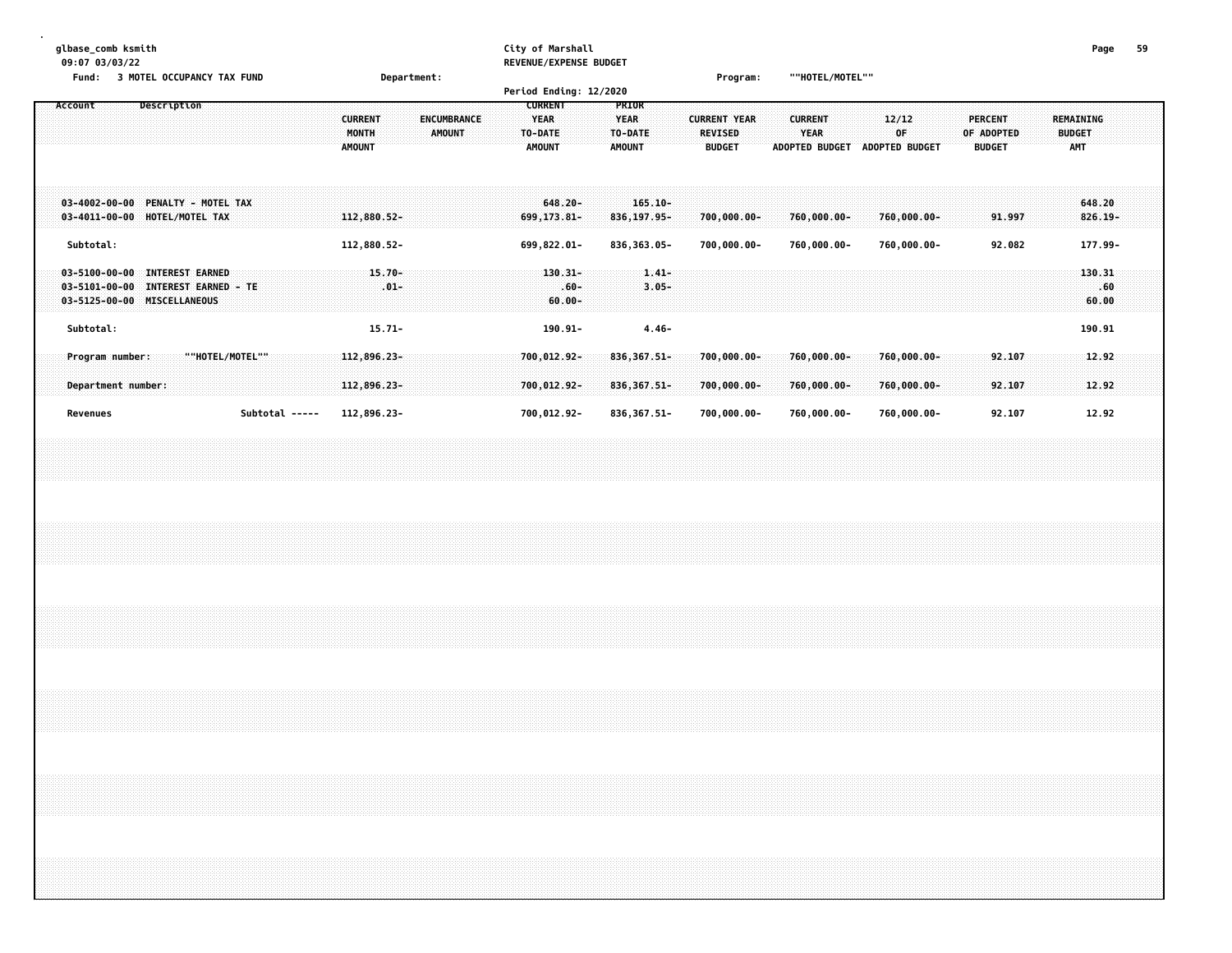**. glbase\_comb ksmith City of Marshall Page 59 09:07 03/03/22 REVENUE/EXPENSE BUDGET Fund: 3 MOTEL OCCUPANCY TAX FUND Department: Program: ""HOTEL/MOTEL"" Period Ending: 12/2020**

| <b>CURRENT</b><br>Description<br><b>PRIOR</b><br>Account<br><b>YEAR</b><br><b>YEAR</b><br><b>CURRENT YEAR</b><br><b>CURRENT</b><br>12/12<br>REMAINING<br><b>CURRENT</b><br><b>ENCUMBRANCE</b><br><b>PERCENT</b><br><b>REVISED</b><br><b>YEAR</b><br>0F<br><b>BUDGET</b><br>MONTH<br><b>AMOUNT</b><br>TO-DATE<br>TO-DATE<br>OF ADOPTED<br><b>AMT</b><br><b>BUDGET</b><br><b>AMOUNT</b><br><b>AMOUNT</b><br>AMOUNT<br><b>ADOPTED BUDGET</b><br>ADOPTED BUDGET<br><b>BUDGET</b><br>$165.10 -$<br>$03 - 4002 - 00 - 00$<br><b>PENALTY - MOTEL TAX</b><br>$648.20 -$<br>648.20<br>HOTEL/MOTEL TAX<br>$700,000.00 -$<br>760,000.00-<br>760,000.00-<br>$826.19 -$<br>$03 - 4011 - 00 - 00$<br>112,880.52-<br>$699, 173.81 -$<br>$836, 197.95 -$<br>91.997<br>Subtotal:<br>177.99-<br>112,880.52-<br>699,822.01-<br>836,363.05-<br>700,000.00-<br>760,000.00-<br>92.082<br>760,000.00-<br><b>INTEREST EARNED</b><br>$15.70 -$<br>130.31<br>$03 - 5100 - 00 - 00$<br>$130.31 -$<br>$1.41 -$<br>$.01 -$<br>$03 - 5101 - 00 - 00$<br><b>INTEREST EARNED - TE</b><br>$3.05 -$<br>.60<br>$.60 -$<br>03-5125-00-00 MISCELLANEOUS<br>$60.00 -$<br>60.00<br>Subtotal:<br>$15.71 -$<br>$4.46 -$<br>190.91<br>$190.91 -$<br>""HOTEL/MOTEL""<br>12.92<br>112,896.23-<br>700,012.92-<br>$836, 367.51 -$<br>700,000.00-<br>760,000.00-<br>760,000.00-<br>92.107<br>Program number: |  |
|---------------------------------------------------------------------------------------------------------------------------------------------------------------------------------------------------------------------------------------------------------------------------------------------------------------------------------------------------------------------------------------------------------------------------------------------------------------------------------------------------------------------------------------------------------------------------------------------------------------------------------------------------------------------------------------------------------------------------------------------------------------------------------------------------------------------------------------------------------------------------------------------------------------------------------------------------------------------------------------------------------------------------------------------------------------------------------------------------------------------------------------------------------------------------------------------------------------------------------------------------------------------------------------------------------------------------------------------------------------|--|
|                                                                                                                                                                                                                                                                                                                                                                                                                                                                                                                                                                                                                                                                                                                                                                                                                                                                                                                                                                                                                                                                                                                                                                                                                                                                                                                                                               |  |
|                                                                                                                                                                                                                                                                                                                                                                                                                                                                                                                                                                                                                                                                                                                                                                                                                                                                                                                                                                                                                                                                                                                                                                                                                                                                                                                                                               |  |
|                                                                                                                                                                                                                                                                                                                                                                                                                                                                                                                                                                                                                                                                                                                                                                                                                                                                                                                                                                                                                                                                                                                                                                                                                                                                                                                                                               |  |
|                                                                                                                                                                                                                                                                                                                                                                                                                                                                                                                                                                                                                                                                                                                                                                                                                                                                                                                                                                                                                                                                                                                                                                                                                                                                                                                                                               |  |
|                                                                                                                                                                                                                                                                                                                                                                                                                                                                                                                                                                                                                                                                                                                                                                                                                                                                                                                                                                                                                                                                                                                                                                                                                                                                                                                                                               |  |
| 12.92<br>700,012.92-<br>$836, 367.51 -$<br>700,000.00-<br>760,000.00-<br>Department number:<br>112,896.23-<br>760,000.00-<br>92.107<br>12.92<br>Subtotal -----<br>112,896.23-<br>700,012.92-<br>836, 367.51-<br>700,000.00-<br>760,000.00-<br>92.107<br>760,000.00-<br>Revenues                                                                                                                                                                                                                                                                                                                                                                                                                                                                                                                                                                                                                                                                                                                                                                                                                                                                                                                                                                                                                                                                               |  |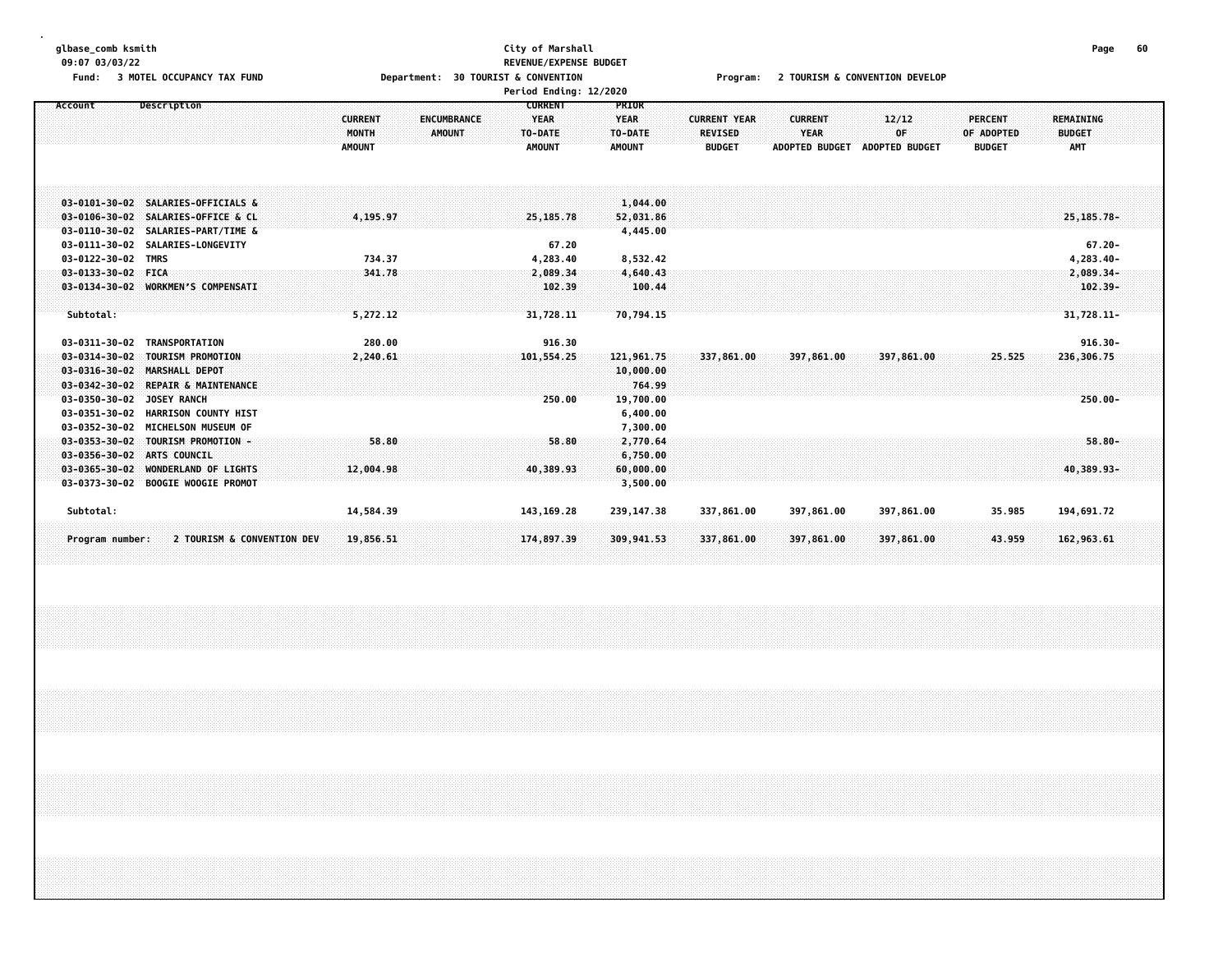**glbase\_comb ksmith City of Marshall Page 60**

**.**

# **09:07 03/03/22 REVENUE/EXPENSE BUDGET**

Fund: 3 MOTEL OCCUPANCY TAX FUND **Department: 30 TOURIST & CONVENTION** Program: 2 TOURISM & CONVENTION DEVELOP

|                       |                                                                 |                | Period Ending: 12/2020     |                       |                     |                       |                       |               |               |  |
|-----------------------|-----------------------------------------------------------------|----------------|----------------------------|-----------------------|---------------------|-----------------------|-----------------------|---------------|---------------|--|
| Account               | Description                                                     |                | <b>CURRENT</b>             | PRIOR                 |                     |                       |                       |               |               |  |
|                       |                                                                 | <b>CURRENT</b> | <b>YEAR</b><br>ENCUMBRANCE | <b>YEAR</b>           | <b>CURRENT YEAR</b> | <b>CURRENT</b>        | 12/12                 | PERCENT       | REMAINING     |  |
|                       |                                                                 | MONTH          | AMOUNT<br>TO-DATE          | TO-DATE               | <b>REVISED</b>      | YEAR                  | OF                    | OF ADOPTED    | <b>BUDGET</b> |  |
|                       |                                                                 | <b>AMOUNT</b>  | <b>AMOUNT</b>              | <b>AMOUNT</b>         | <b>BUDGET</b>       | <b>ADOPTED BUDGET</b> | <b>ADOPTED BUDGET</b> | <b>BUDGET</b> | <b>AMT</b>    |  |
|                       |                                                                 |                |                            |                       |                     |                       |                       |               |               |  |
|                       |                                                                 |                |                            |                       |                     |                       |                       |               |               |  |
|                       | 03-0101-30-02 SALARIES-OFFICIALS &                              |                |                            | 1,044.00              |                     |                       |                       |               |               |  |
|                       | 03-0106-30-02 SALARIES-OFFICE & CL                              | 4,195.97       | 25,185.78                  | 52,031.86             |                     |                       |                       |               | 25, 185. 78-  |  |
|                       | 03-0110-30-02 SALARIES-PART/TIME &                              |                |                            | 4,445.00              |                     |                       |                       |               |               |  |
|                       | 03-0111-30-02 SALARIES-LONGEVITY                                |                | 67.20                      |                       |                     |                       |                       |               | $67.20 -$     |  |
|                       | 03-0122-30-02 TMRS                                              | 734.37         | 4,283.40                   | 8,532.42              |                     |                       |                       |               | 4,283.40-     |  |
|                       | 03-0133-30-02 FICA                                              | 341.78         | 2,089.34                   | 4,640.43              |                     |                       |                       |               | $2,089.34-$   |  |
|                       | 03-0134-30-02 WORKMEN'S COMPENSATI                              |                | 102.39                     | 100.44                |                     |                       |                       |               | $102.39 -$    |  |
|                       |                                                                 |                |                            |                       |                     |                       |                       |               |               |  |
| Subtotal:             |                                                                 | 5,272.12       | 31,728.11                  | 70,794.15             |                     |                       |                       |               | 31,728.11-    |  |
|                       |                                                                 |                |                            |                       |                     |                       |                       |               |               |  |
| 03-0311-30-02         | TRANSPORTATION                                                  | 280.00         | 916.30                     |                       |                     |                       |                       |               | $916.30 -$    |  |
|                       | 03-0314-30-02 TOURISM PROMOTION                                 | 2,240.61       | 101,554.25                 | 121,961.75            | 337,861.00          | 397,861.00            | 397,861.00            | 25.525        | 236,306.75    |  |
|                       | 03-0316-30-02 MARSHALL DEPOT                                    |                |                            | 10,000.00             |                     |                       |                       |               |               |  |
| $03 - 0342 - 30 - 02$ | <b>REPAIR &amp; MAINTENANCE</b>                                 |                |                            | 764.99                |                     |                       |                       |               |               |  |
| $03 - 0350 - 30 - 02$ | JOSEY RANCH                                                     |                | 250.00                     | 19,700.00             |                     |                       |                       |               | $250.00 -$    |  |
|                       | 03-0351-30-02 HARRISON COUNTY HIST                              |                |                            | 6,400.00              |                     |                       |                       |               |               |  |
|                       | 03-0352-30-02 MICHELSON MUSEUM OF                               |                |                            | 7,300.00              |                     |                       |                       |               |               |  |
|                       | 03-0353-30-02 TOURISM PROMOTION -<br>03-0356-30-02 ARTS COUNCIL | 58.80          | 58.80                      | 2,770.64              |                     |                       |                       |               | $58.80 -$     |  |
|                       | 03-0365-30-02 WONDERLAND OF LIGHTS                              | 12,004.98      | 40,389.93                  | 6,750.00<br>60,000.00 |                     |                       |                       |               | 40,389.93-    |  |
|                       | 03-0373-30-02 BOOGIE WOOGIE PROMOT                              |                |                            | 3,500.00              |                     |                       |                       |               |               |  |
|                       |                                                                 |                |                            |                       |                     |                       |                       |               |               |  |
| Subtotal:             |                                                                 | 14,584.39      | 143, 169. 28               | 239,147.38            | 337,861.00          | 397,861.00            | 397,861.00            | 35.985        | 194,691.72    |  |
|                       |                                                                 |                |                            |                       |                     |                       |                       |               |               |  |
|                       | 2 TOURISM & CONVENTION DEV<br>Program number:                   | 19,856.51      | 174,897.39                 | 309,941.53            | 337,861.00          | 397,861.00            | 397,861.00            | 43.959        | 162,963.61    |  |
|                       |                                                                 |                |                            |                       |                     |                       |                       |               |               |  |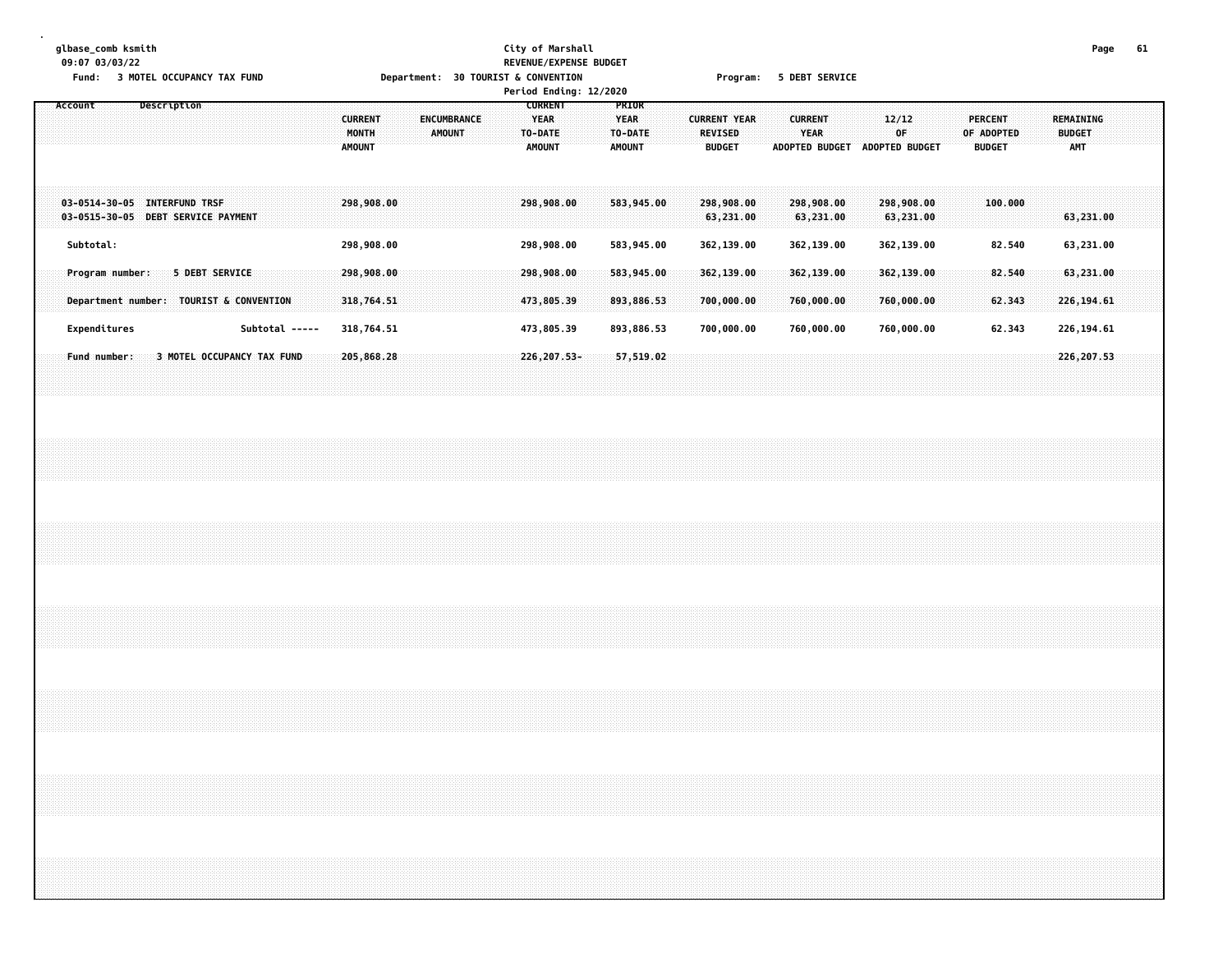### **glbase\_comb ksmith City of Marshall Page 61 09:07 03/03/22 REVENUE/EXPENSE BUDGET** Fund: 3 MOTEL OCCUPANCY TAX FUND **Department: 30 TOURIST & CONVENTION** Program: 5 DEBT SERVICE

|                                                                               | Period Ending: 12/2020                                                                                                                |                                                                                                            |                                                                                         |                                                                                    |
|-------------------------------------------------------------------------------|---------------------------------------------------------------------------------------------------------------------------------------|------------------------------------------------------------------------------------------------------------|-----------------------------------------------------------------------------------------|------------------------------------------------------------------------------------|
| Description<br>Account                                                        | <b>CURRENT</b><br><b>YEAR</b><br><b>CURRENT</b><br>ENCUMBRANCE<br>MONTH<br><b>AMOUNT</b><br>TO-DATE<br><b>AMOUNT</b><br><b>AMOUNT</b> | PRIOR<br><b>YEAR</b><br><b>CURRENT YEAR</b><br>TO-DATE<br><b>REVISED</b><br><b>BUDGET</b><br><b>AMOUNT</b> | <b>CURRENT</b><br>12/12<br>YEAR<br>OF<br><b>ADOPTED BUDGET</b><br><b>ADOPTED BUDGET</b> | <b>PERCENT</b><br>REMAINING<br><b>BUDGET</b><br>OF ADOPTED<br>AMT<br><b>BUDGET</b> |
| 03-0514-30-05 INTERFUND TRSF<br>DEBT SERVICE PAYMENT<br>$03 - 0515 - 30 - 05$ | 298,908.00<br>298,908,00                                                                                                              | 298,908.00<br>583,945.00<br>63,231.00                                                                      | 298,908.00<br>298,908.00<br>63,231.00<br>63,231.00                                      | 100,000<br>63,231.00                                                               |
| Subtotal:                                                                     | 298,908.00<br>298,908.00                                                                                                              | 583,945.00<br>362,139.00                                                                                   | 362,139.00<br>362,139.00                                                                | 63,231.00<br>82.540                                                                |
| 5 DEBT SERVICE<br>Program number:                                             | 298,908.00<br>298,908.00                                                                                                              | 583,945.00<br>362,139.00                                                                                   | 362,139.00<br>362,139.00                                                                | 82.540<br>63,231.00                                                                |
| <b>TOURIST &amp; CONVENTION</b><br>Department number:                         | 318,764.51<br>473,805.39                                                                                                              | 893,886.53<br>700,000.00                                                                                   | 760,000.00<br>760,000.00                                                                | 226,194.61<br>62.343                                                               |
| Expenditures<br>Subtotal -----                                                | 318,764.51<br>473,805.39                                                                                                              | 893,886.53<br>700,000.00                                                                                   | 760,000.00<br>760,000.00                                                                | 62.343<br>226,194.61                                                               |
| 3 MOTEL OCCUPANCY TAX FUND<br>Fund number:                                    | 205,868.28<br>226, 207, 53-                                                                                                           | 57,519.02                                                                                                  |                                                                                         | 226,207.53                                                                         |
|                                                                               |                                                                                                                                       |                                                                                                            |                                                                                         |                                                                                    |
|                                                                               |                                                                                                                                       |                                                                                                            |                                                                                         |                                                                                    |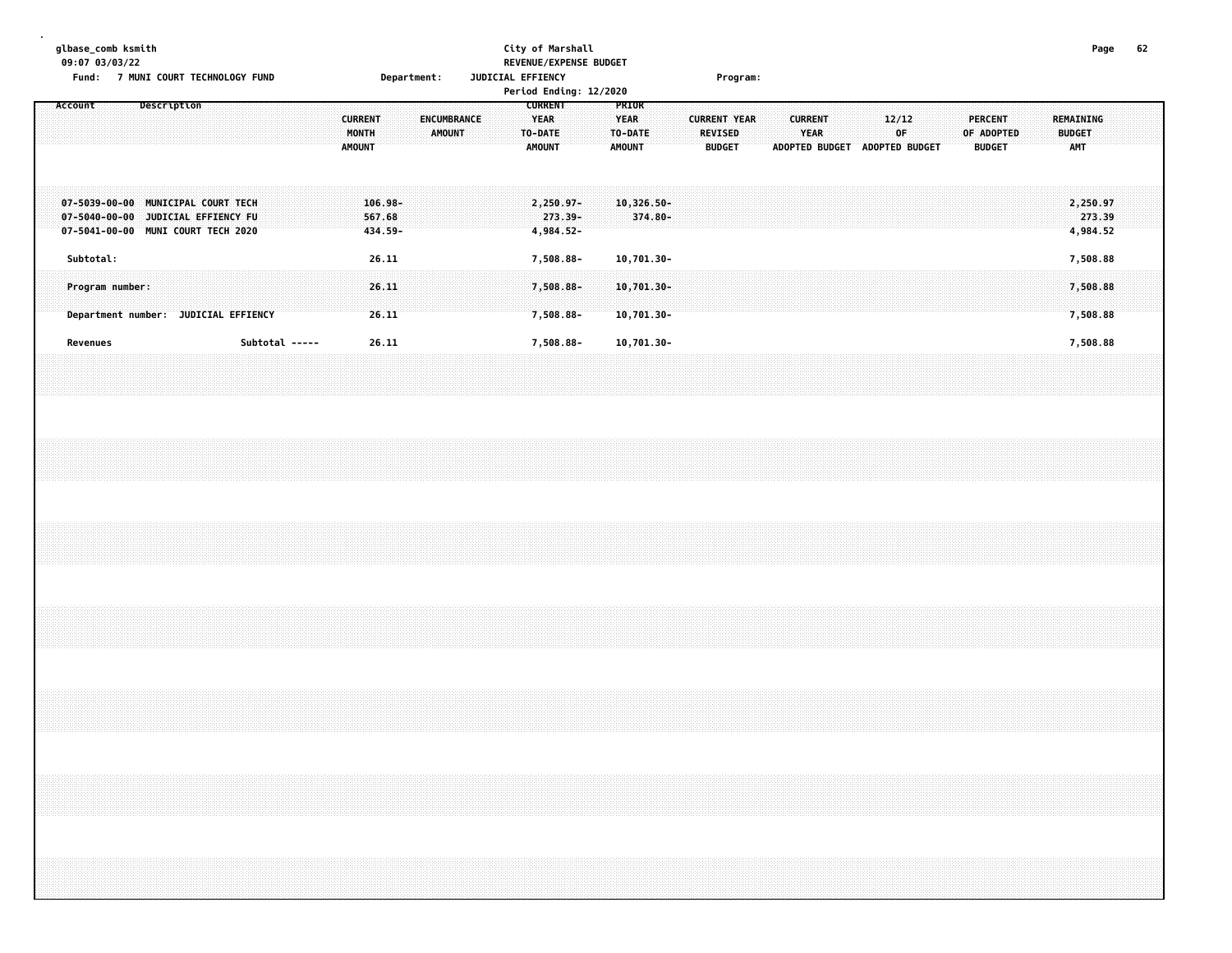|  |           | glbase_comb ksmith<br>09:07 03/03/22<br>Fund: 7 MUNI COURT TECHNOLOGY FUND                                     |             |  |  |                |  |  |                                          |                              | Department: |               |             | JUDICIAL EFFIENCY |                                                           | City of Marshall<br>REVENUE/EXPENSE BUDGET<br>Period Ending: 12/2020 |  |                              |                  |                          |  |                                                 | Program: |  |                        |  |                               |              |  |                                               |  |                                          | Page                           | 62 |  |
|--|-----------|----------------------------------------------------------------------------------------------------------------|-------------|--|--|----------------|--|--|------------------------------------------|------------------------------|-------------|---------------|-------------|-------------------|-----------------------------------------------------------|----------------------------------------------------------------------|--|------------------------------|------------------|--------------------------|--|-------------------------------------------------|----------|--|------------------------|--|-------------------------------|--------------|--|-----------------------------------------------|--|------------------------------------------|--------------------------------|----|--|
|  | Account   |                                                                                                                | Description |  |  |                |  |  | <b>CURRENT</b><br>MONTH<br><b>AMOUNT</b> |                              |             | <b>AMOUNT</b> | ENCUMBRANCE |                   | <b>CURRENT</b><br><b>YEAR</b><br>TO-DATE<br><b>AMOUNT</b> |                                                                      |  | <b>YEAR</b><br><b>AMOUNT</b> | PRIOR<br>TO-DATE |                          |  | <b>CURRENT YEAR</b><br>REVISED<br><b>BUDGET</b> |          |  | <b>CURRENT</b><br>YEAR |  | ADOPTED BUDGET ADOPTED BUDGET | 12/12<br>0F. |  | <b>PERCENT</b><br>OF ADOPTED<br><b>BUDGET</b> |  | REMAINING<br><b>BUDGET</b><br><b>AMT</b> |                                |    |  |
|  |           | 07-5039-00-00 MUNICIPAL COURT TECH<br>07-5040-00-00 JUDICIAL EFFIENCY FU<br>07-5041-00-00 MUNI COURT TECH 2020 |             |  |  |                |  |  |                                          | 106.98-<br>567.68<br>434.59- |             |               |             |                   |                                                           | 2,250.97-<br>273.39-<br>4,984.52-                                    |  |                              |                  | $10,326.50 -$<br>374.80- |  |                                                 |          |  |                        |  |                               |              |  |                                               |  |                                          | 2,250.97<br>273.39<br>4,984.52 |    |  |
|  | Subtotal: | Program number:                                                                                                |             |  |  |                |  |  |                                          | 26.11<br>26.11               |             |               |             |                   |                                                           | 7,508.88-<br>7,508.88-                                               |  |                              |                  | 10,701.30-<br>10,701.30- |  |                                                 |          |  |                        |  |                               |              |  |                                               |  |                                          | 7,508.88<br>7,508.88           |    |  |
|  |           | Department number: JUDICIAL EFFIENCY                                                                           |             |  |  |                |  |  |                                          | 26.11                        |             |               |             |                   |                                                           | 7,508.88-                                                            |  |                              |                  | $10,701.30 -$            |  |                                                 |          |  |                        |  |                               |              |  |                                               |  |                                          | 7,508.88                       |    |  |
|  | Revenues  |                                                                                                                |             |  |  | Subtotal ----- |  |  |                                          | 26.11                        |             |               |             |                   |                                                           | 7,508.88-                                                            |  |                              |                  | 10,701.30-               |  |                                                 |          |  |                        |  |                               |              |  |                                               |  |                                          | 7,508.88                       |    |  |
|  |           |                                                                                                                |             |  |  |                |  |  |                                          |                              |             |               |             |                   |                                                           |                                                                      |  |                              |                  |                          |  |                                                 |          |  |                        |  |                               |              |  |                                               |  |                                          |                                |    |  |
|  |           |                                                                                                                |             |  |  |                |  |  |                                          |                              |             |               |             |                   |                                                           |                                                                      |  |                              |                  |                          |  |                                                 |          |  |                        |  |                               |              |  |                                               |  |                                          |                                |    |  |
|  |           |                                                                                                                |             |  |  |                |  |  |                                          |                              |             |               |             |                   |                                                           |                                                                      |  |                              |                  |                          |  |                                                 |          |  |                        |  |                               |              |  |                                               |  |                                          |                                |    |  |
|  |           |                                                                                                                |             |  |  |                |  |  |                                          |                              |             |               |             |                   |                                                           |                                                                      |  |                              |                  |                          |  |                                                 |          |  |                        |  |                               |              |  |                                               |  |                                          |                                |    |  |
|  |           |                                                                                                                |             |  |  |                |  |  |                                          |                              |             |               |             |                   |                                                           |                                                                      |  |                              |                  |                          |  |                                                 |          |  |                        |  |                               |              |  |                                               |  |                                          |                                |    |  |
|  |           |                                                                                                                |             |  |  |                |  |  |                                          |                              |             |               |             |                   |                                                           |                                                                      |  |                              |                  |                          |  |                                                 |          |  |                        |  |                               |              |  |                                               |  |                                          |                                |    |  |
|  |           |                                                                                                                |             |  |  |                |  |  |                                          |                              |             |               |             |                   |                                                           |                                                                      |  |                              |                  |                          |  |                                                 |          |  |                        |  |                               |              |  |                                               |  |                                          |                                |    |  |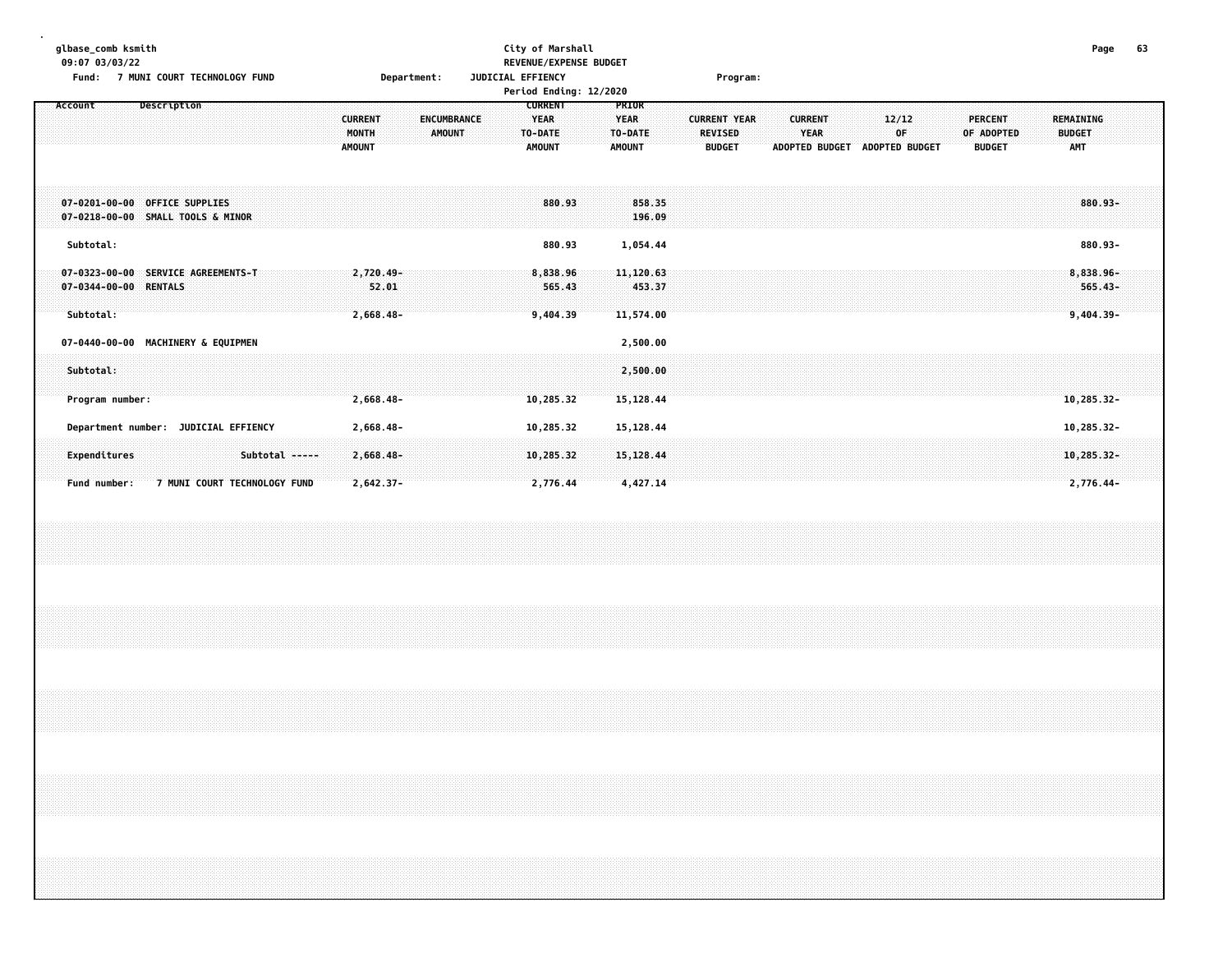| glbase_comb ksmith<br>09:07 03/03/22<br>Fund: 7 MUNI COURT TECHNOLOGY FUND                                             | City of Marshall<br>REVENUE/EXPENSE BUDGET<br>Department:<br>JUDICIAL EFFIENCY<br>Period Ending: 12/2020                                     | Program:                                                                                                   |                                                                                                                                | Page<br>63                                      |
|------------------------------------------------------------------------------------------------------------------------|----------------------------------------------------------------------------------------------------------------------------------------------|------------------------------------------------------------------------------------------------------------|--------------------------------------------------------------------------------------------------------------------------------|-------------------------------------------------|
| Account<br>Description                                                                                                 | <b>CURRENT</b><br><b>CURRENT</b><br><b>ENCUMBRANCE</b><br><b>YEAR</b><br>MONTH<br><b>AMOUNT</b><br>TO-DATE<br><b>AMOUNT</b><br><b>AMOUNT</b> | PRIOR<br><b>YEAR</b><br><b>CURRENT YEAR</b><br>TO-DATE<br><b>REVISED</b><br><b>BUDGET</b><br><b>AMOUNT</b> | <b>CURRENT</b><br>12/12<br><b>PERCENT</b><br><b>YEAR</b><br>0F<br>OF ADOPTED<br>ADOPTED BUDGET ADOPTED BUDGET<br><b>BUDGET</b> | <b>REMAINING</b><br><b>BUDGET</b><br><b>AMT</b> |
| 07-0201-00-00 OFFICE SUPPLIES<br>07-0218-00-00 SMALL TOOLS & MINOR                                                     | 880.93                                                                                                                                       | 858.35<br>196.09                                                                                           |                                                                                                                                | $880.93 -$                                      |
| Subtotal:<br>07-0323-00-00 SERVICE AGREEMENTS-T<br>07-0344-00-00 RENTALS<br>Subtotal:                                  | 880.93<br>$2,720.49 -$<br>8,838.96<br>565.43<br>52.01<br>2,668.48-<br>9,404.39                                                               | 1,054.44<br>11,120.63<br>453.37<br>11,574.00                                                               |                                                                                                                                | 880.93-<br>8,838.96-<br>565.43-<br>$9,404.39 -$ |
| 07-0440-00-00 MACHINERY & EQUIPMEN<br>Subtotal:<br>Program number:                                                     | 2,668.48-<br>10,285.32                                                                                                                       | 2,500.00<br>2,500.00<br>15,128.44                                                                          |                                                                                                                                | 10,285.32-                                      |
| Department number: JUDICIAL EFFIENCY<br>Expenditures<br>Subtotal -----<br>7 MUNI COURT TECHNOLOGY FUND<br>Fund number: | 10,285.32<br>2,668.48-<br>2,668.48-<br>10,285.32<br>$2,642.37 -$<br>2,776.44                                                                 | 15,128.44<br>15,128.44<br>4,427.14                                                                         |                                                                                                                                | 10,285.32-<br>$10, 285.32 -$<br>2,776.44-       |
|                                                                                                                        |                                                                                                                                              |                                                                                                            |                                                                                                                                |                                                 |
|                                                                                                                        |                                                                                                                                              |                                                                                                            |                                                                                                                                |                                                 |
|                                                                                                                        |                                                                                                                                              |                                                                                                            |                                                                                                                                |                                                 |
|                                                                                                                        |                                                                                                                                              |                                                                                                            |                                                                                                                                |                                                 |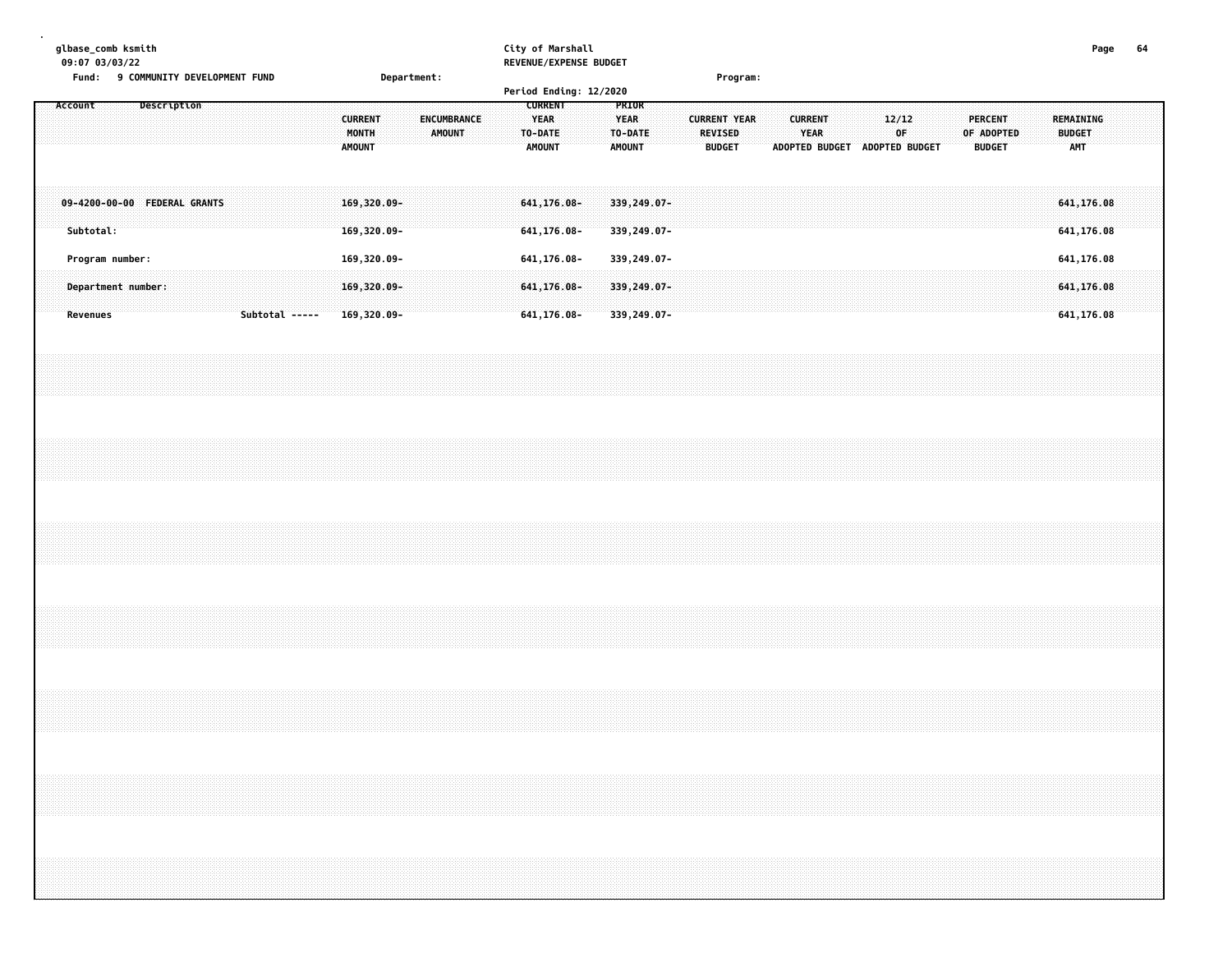|  |         |                 | glbase_comb ksmith<br>09:07 03/03/22 |                              |  | Fund: 9 COMMUNITY DEVELOPMENT FUND |                |  |  |                                           |  | Department: |               |             |  |                                                           | City of Marshall | REVENUE/EXPENSE BUDGET |                                                  |                                           |  | Program:                                               |  |                               |  |             |                               |  |                |                             |  |                                        | Page | 64 |  |
|--|---------|-----------------|--------------------------------------|------------------------------|--|------------------------------------|----------------|--|--|-------------------------------------------|--|-------------|---------------|-------------|--|-----------------------------------------------------------|------------------|------------------------|--------------------------------------------------|-------------------------------------------|--|--------------------------------------------------------|--|-------------------------------|--|-------------|-------------------------------|--|----------------|-----------------------------|--|----------------------------------------|------|----|--|
|  | Account |                 |                                      | Description                  |  |                                    |                |  |  | <b>CURRENT</b><br>MONTH<br><b>AMOUNT</b>  |  |             | <b>AMOUNT</b> | ENCUMBRANCE |  | <b>CURRENT</b><br><b>YEAR</b><br>TO-DATE<br><b>AMOUNT</b> |                  | Period Ending: 12/2020 | PRIOR<br><b>YEAR</b><br>TO-DATE<br><b>AMOUNT</b> |                                           |  | <b>CURRENT YEAR</b><br><b>REVISED</b><br><b>BUDGET</b> |  | <b>CURRENT</b><br><b>YEAR</b> |  | 12/12<br>0F | ADOPTED BUDGET ADOPTED BUDGET |  | <b>PERCENT</b> | OF ADOPTED<br><b>BUDGET</b> |  | REMAINING<br><b>BUDGET</b><br>AMT      |      |    |  |
|  |         | Subtotal:       |                                      | 09-4200-00-00 FEDERAL GRANTS |  |                                    |                |  |  | 169,320.09-<br>169,320.09-                |  |             |               |             |  | 641, 176.08-<br>641, 176.08-                              |                  |                        |                                                  | 339,249.07-<br>339,249.07-                |  |                                                        |  |                               |  |             |                               |  |                |                             |  | 641, 176.08<br>641,176.08              |      |    |  |
|  |         | <b>Revenues</b> | Program number:                      | Department number:           |  |                                    | Subtotal ----- |  |  | 169,320.09-<br>169,320.09-<br>169,320.09- |  |             |               |             |  | 641, 176.08-<br>641, 176.08-<br>641, 176.08-              |                  |                        |                                                  | 339,249.07-<br>339,249.07-<br>339,249.07- |  |                                                        |  |                               |  |             |                               |  |                |                             |  | 641,176.08<br>641,176.08<br>641,176.08 |      |    |  |
|  |         |                 |                                      |                              |  |                                    |                |  |  |                                           |  |             |               |             |  |                                                           |                  |                        |                                                  |                                           |  |                                                        |  |                               |  |             |                               |  |                |                             |  |                                        |      |    |  |
|  |         |                 |                                      |                              |  |                                    |                |  |  |                                           |  |             |               |             |  |                                                           |                  |                        |                                                  |                                           |  |                                                        |  |                               |  |             |                               |  |                |                             |  |                                        |      |    |  |
|  |         |                 |                                      |                              |  |                                    |                |  |  |                                           |  |             |               |             |  |                                                           |                  |                        |                                                  |                                           |  |                                                        |  |                               |  |             |                               |  |                |                             |  |                                        |      |    |  |
|  |         |                 |                                      |                              |  |                                    |                |  |  |                                           |  |             |               |             |  |                                                           |                  |                        |                                                  |                                           |  |                                                        |  |                               |  |             |                               |  |                |                             |  |                                        |      |    |  |
|  |         |                 |                                      |                              |  |                                    |                |  |  |                                           |  |             |               |             |  |                                                           |                  |                        |                                                  |                                           |  |                                                        |  |                               |  |             |                               |  |                |                             |  |                                        |      |    |  |
|  |         |                 |                                      |                              |  |                                    |                |  |  |                                           |  |             |               |             |  |                                                           |                  |                        |                                                  |                                           |  |                                                        |  |                               |  |             |                               |  |                |                             |  |                                        |      |    |  |
|  |         |                 |                                      |                              |  |                                    |                |  |  |                                           |  |             |               |             |  |                                                           |                  |                        |                                                  |                                           |  |                                                        |  |                               |  |             |                               |  |                |                             |  |                                        |      |    |  |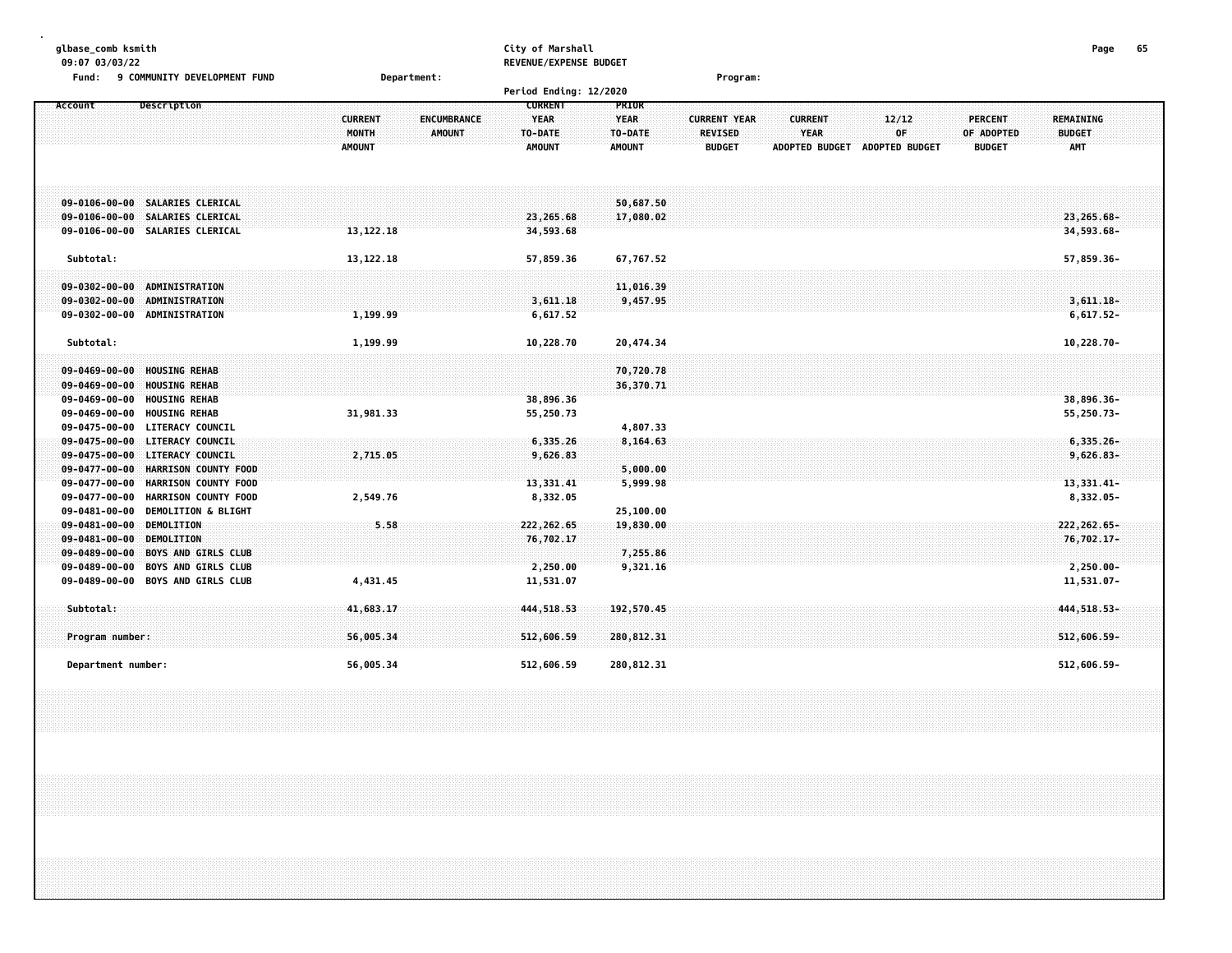| glbase_comb ksmith<br>09:07 03/03/22<br>Fund:                                                                             | 9 COMMUNITY DEVELOPMENT FUND                                                                                     |                                                                          | City of Marshall<br>REVENUE/EXPENSE BUDGET                |                                                  |                                                        |                                                        |                               |                                               | Page<br>65                               |  |
|---------------------------------------------------------------------------------------------------------------------------|------------------------------------------------------------------------------------------------------------------|--------------------------------------------------------------------------|-----------------------------------------------------------|--------------------------------------------------|--------------------------------------------------------|--------------------------------------------------------|-------------------------------|-----------------------------------------------|------------------------------------------|--|
|                                                                                                                           |                                                                                                                  | Department:                                                              | Period Ending: 12/2020                                    |                                                  | Program:                                               |                                                        |                               |                                               |                                          |  |
| Account                                                                                                                   | Description                                                                                                      | <b>CURRENT</b><br>ENCUMBRANCE<br>MONTH<br><b>AMOUNT</b><br><b>AMOUNT</b> | <b>CURRENT</b><br><b>YEAR</b><br>TO-DATE<br><b>AMOUNT</b> | PRIOR<br><b>YEAR</b><br>TO-DATE<br><b>AMOUNT</b> | <b>CURRENT YEAR</b><br><b>REVISED</b><br><b>BUDGET</b> | <b>CURRENT</b><br><b>YEAR</b><br><b>ADOPTED BUDGET</b> | 12/12<br>OF<br>ADOPTED BUDGET | <b>PERCENT</b><br>OF ADOPTED<br><b>BUDGET</b> | REMAINING<br><b>BUDGET</b><br><b>AMT</b> |  |
| 09-0106-00-00 SALARIES CLERICAL<br>09-0106-00-00 SALARIES CLERICAL<br>09-0106-00-00 SALARIES CLERICAL                     |                                                                                                                  | 13, 122. 18                                                              | 23,265.68<br>34,593.68                                    | 50,687.50<br>17,080.02                           |                                                        |                                                        |                               |                                               | 23,265.68-<br>34,593.68-                 |  |
| Subtotal:                                                                                                                 |                                                                                                                  | 13,122.18                                                                | 57,859.36                                                 | 67,767.52                                        |                                                        |                                                        |                               |                                               | 57,859.36-                               |  |
| $09 - 0302 - 00 - 00$<br>$09 - 0302 - 00 - 00$<br>09-0302-00-00 ADMINISTRATION                                            | ADMINISTRATION<br><b>ADMINISTRATION</b>                                                                          | 1,199.99                                                                 | 3,611.18<br>6,617.52                                      | 11,016.39<br>9,457.95                            |                                                        |                                                        |                               |                                               | $3,611.18-$<br>$6,617.52-$               |  |
| Subtotal:                                                                                                                 |                                                                                                                  | 1,199.99                                                                 | 10,228.70                                                 | 20,474.34                                        |                                                        |                                                        |                               |                                               | 10,228.70-                               |  |
| $09 - 0469 - 00 - 00$<br>$09 - 0469 - 00 - 00$<br>$09 - 0469 - 00 - 00$<br>$09 - 0469 - 00 - 00$                          | <b>HOUSING REHAB</b><br><b>HOUSING REHAB</b><br><b>HOUSING REHAB</b><br><b>HOUSING REHAB</b>                     | 31,981.33                                                                | 38,896.36<br>55,250.73                                    | 70,720.78<br>36,370.71                           |                                                        |                                                        |                               |                                               | 38,896.36-<br>55,250.73-                 |  |
| $09 - 0475 - 00 - 00$<br>$09 - 0475 - 00 - 00$<br>$09 - 0475 - 00 - 00$<br>$09 - 0477 - 00 - 00$<br>$09 - 0477 - 00 - 00$ | LITERACY COUNCIL<br>LITERACY COUNCIL<br><b>LITERACY COUNCIL</b><br>HARRISON COUNTY FOOD<br>HARRISON COUNTY FOOD  | 2,715.05                                                                 | 6,335.26<br>9,626.83<br>13,331.41                         | 4,807.33<br>8,164.63<br>5,000.00<br>5,999.98     |                                                        |                                                        |                               |                                               | $6,335.26-$<br>$9,626.83-$<br>13,331.41- |  |
| 09-0477-00-00<br>$09 - 0481 - 00 - 00$<br>$09 - 0481 - 00 - 00$<br>$09 - 0481 - 00 - 00$<br>$09 - 0489 - 00 - 00$         | HARRISON COUNTY FOOD<br><b>DEMOLITION &amp; BLIGHT</b><br>DEMOLITION<br>DEMOLITION<br><b>BOYS AND GIRLS CLUB</b> | 2,549.76<br>5.58                                                         | 8,332.05<br>222,262.65<br>76,702.17                       | 25,100.00<br>19,830.00<br>7,255.86               |                                                        |                                                        |                               |                                               | 8,332.05-<br>222, 262.65-<br>76,702.17-  |  |
| $09 - 0489 - 00 - 00$<br>09-0489-00-00                                                                                    | <b>BOYS AND GIRLS CLUB</b><br><b>BOYS AND GIRLS CLUB</b>                                                         | 4,431.45                                                                 | 2,250.00<br>11,531.07                                     | 9,321.16                                         |                                                        |                                                        |                               |                                               | $2,250.00 -$<br>11,531.07-               |  |
| Subtotal:<br>Program number:                                                                                              |                                                                                                                  | 41,683.17<br>56,005.34                                                   | 444,518.53<br>512,606.59                                  | 192,570.45<br>280, 812.31                        |                                                        |                                                        |                               |                                               | 444, 518, 53-<br>$512,606.59 -$          |  |
| Department number:                                                                                                        |                                                                                                                  | 56,005.34                                                                | 512,606.59                                                | 280,812.31                                       |                                                        |                                                        |                               |                                               | 512,606.59-                              |  |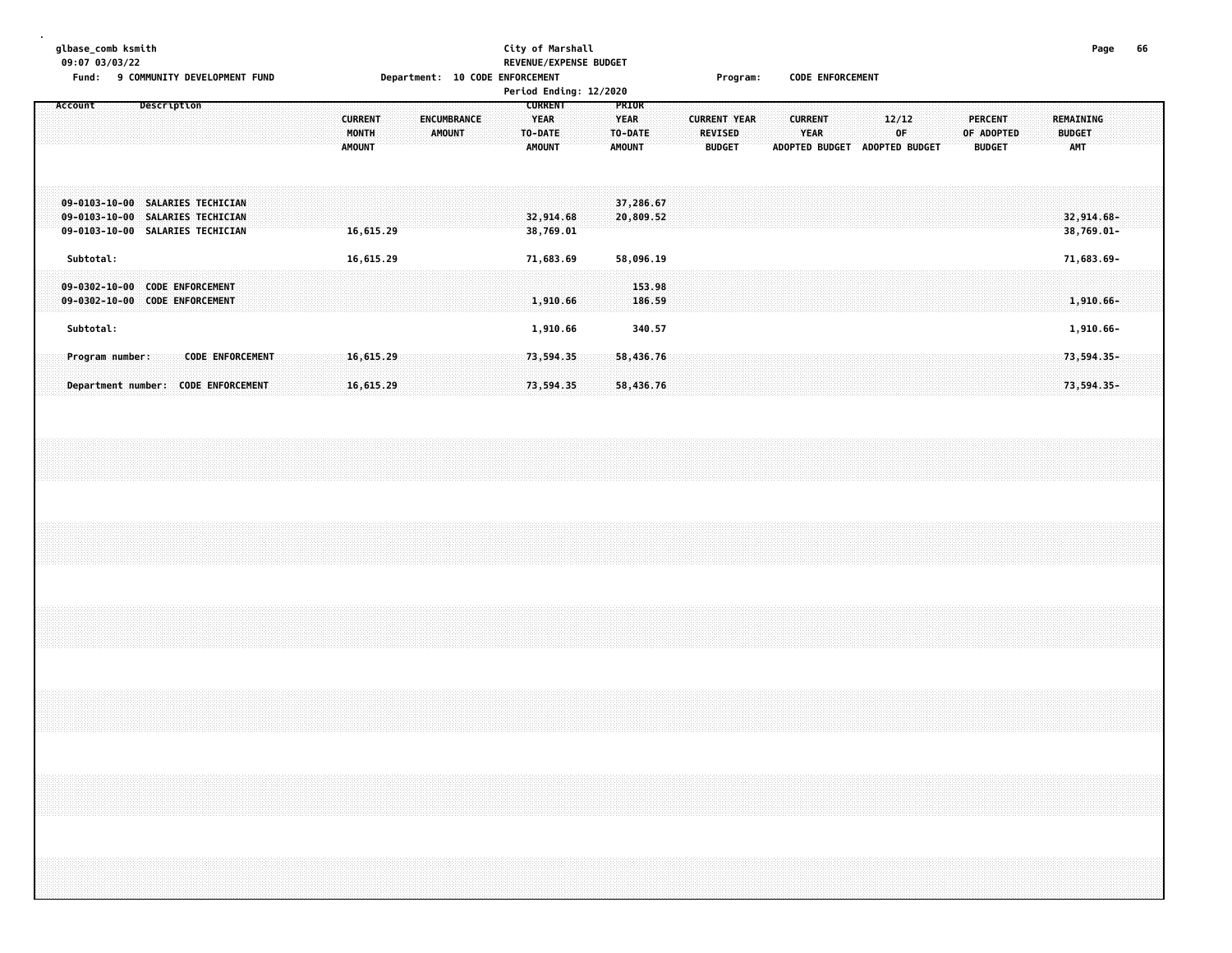# **glbase\_comb ksmith City of Marshall Page 66 09:07 03/03/22 REVENUE/EXPENSE BUDGET**

Fund: 9 COMMUNITY DEVELOPMENT FUND **Department: 10 CODE ENFORCEMENT** Frogram: CODE ENFORCEMENT

|                                    |                                                                                                          |                                          |                                     | Period Ending: 12/2020                             |                                                         |                                                        |                                                                                          |                                                                                           |  |
|------------------------------------|----------------------------------------------------------------------------------------------------------|------------------------------------------|-------------------------------------|----------------------------------------------------|---------------------------------------------------------|--------------------------------------------------------|------------------------------------------------------------------------------------------|-------------------------------------------------------------------------------------------|--|
| Account                            | Description                                                                                              | <b>CURRENT</b><br>MONTH<br><b>AMOUNT</b> | <b>ENCUMBRANCE</b><br><b>AMOUNT</b> | <b>CURRENT</b><br>YEAR<br>TO-DATE<br><b>AMOUNT</b> | <b>PRIOR</b><br><b>YEAR</b><br>TO-DATE<br><b>AMOUNT</b> | <b>CURRENT YEAR</b><br><b>REVISED</b><br><b>BUDGET</b> | <b>CURRENT</b><br>12/12<br>0F.<br>YEAR<br><b>ADOPTED BUDGET</b><br><b>ADOPTED BUDGET</b> | <b>PERCENT</b><br>REMAINING<br>OF ADOPTED<br><b>BUDGET</b><br><b>BUDGET</b><br><b>AMT</b> |  |
|                                    | 09-0103-10-00 SALARIES TECHICIAN<br>09-0103-10-00 SALARIES TECHICIAN<br>09-0103-10-00 SALARIES TECHICIAN | 16,615.29                                |                                     | 32,914.68<br>38,769.01                             | 37,286.67<br>20,809.52                                  |                                                        |                                                                                          | 32,914.68-<br>38,769.01-                                                                  |  |
| Subtotal:<br>$09 - 0302 - 10 - 00$ | <b>CODE ENFORCEMENT</b><br>09-0302-10-00 CODE ENFORCEMENT                                                | 16,615.29                                |                                     | 71,683.69<br>1,910.66                              | 58,096.19<br>153.98<br>186.59                           |                                                        |                                                                                          | 71,683.69-<br>$1,910.66 -$                                                                |  |
| Subtotal:                          |                                                                                                          |                                          |                                     | 1,910.66                                           | 340.57                                                  |                                                        |                                                                                          | $1,910.66 -$                                                                              |  |
| Program number:                    | <b>CODE ENFORCEMENT</b><br>Department number: CODE ENFORCEMENT                                           | 16,615.29<br>16,615.29                   |                                     | 73,594.35<br>73,594.35                             | 58,436.76<br>58,436.76                                  |                                                        |                                                                                          | 73,594.35-<br>73,594.35-                                                                  |  |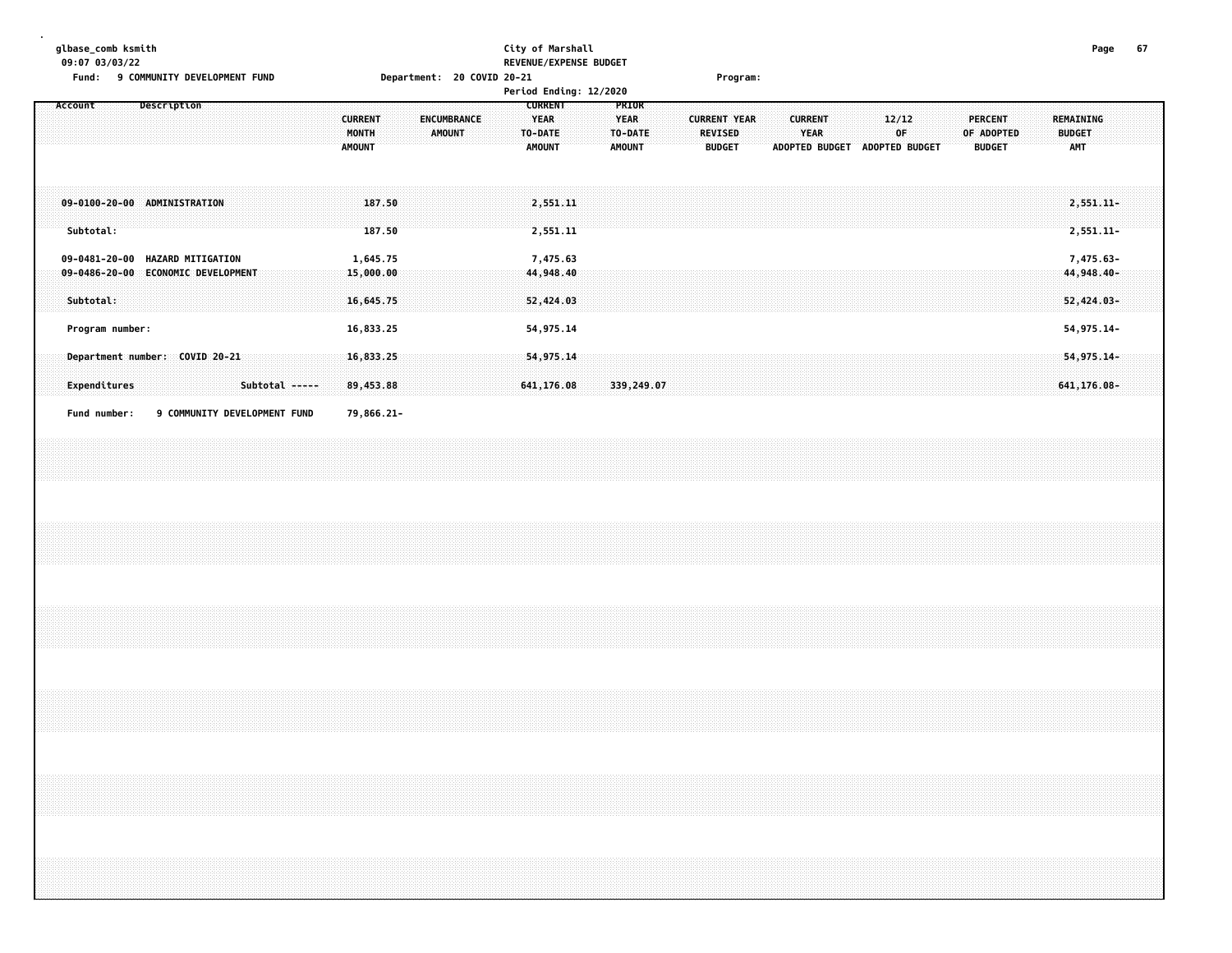| glbase_comb ksmith |  |
|--------------------|--|
| 00.07.02/02/22     |  |

#### **glbase\_comb ksmith City of Marshall Page 67 09:07 03/03/22 REVENUE/EXPENSE BUDGET Fund: 9 COMMUNITY DEVELOPMENT FUND Department: 20 COVID 20-21 Program:**

| гини.                                               |                    | <b>3 COMMUNITY DEVELOPMENT FOND</b>                     |                |                                          | Department. ZV COVID ZV-ZI |                                                    |                                                         | rı oyı alır.                                           |                                                        |                       |             |  |                                        |                                          |  |
|-----------------------------------------------------|--------------------|---------------------------------------------------------|----------------|------------------------------------------|----------------------------|----------------------------------------------------|---------------------------------------------------------|--------------------------------------------------------|--------------------------------------------------------|-----------------------|-------------|--|----------------------------------------|------------------------------------------|--|
|                                                     |                    |                                                         |                |                                          |                            | Period Ending: 12/2020                             |                                                         |                                                        |                                                        |                       |             |  |                                        |                                          |  |
| Account                                             |                    | Description                                             |                | <b>CURRENT</b><br>MONTH<br><b>AMOUNT</b> | ENCUMBRANCE<br>AMOUNT      | <b>CURRENT</b><br><b>YEAR</b><br>TO-DATE<br>AMOUNT | <b>PRIOR</b><br><b>YEAR</b><br>TO-DATE<br><b>AMOUNT</b> | <b>CURRENT YEAR</b><br><b>REVISED</b><br><b>BUDGET</b> | <b>CURRENT</b><br><b>YEAR</b><br><b>ADOPTED BUDGET</b> | <b>ADOPTED BUDGET</b> | 12/12<br>0F |  | PERCENT<br>OF ADOPTED<br><b>BUDGET</b> | REMAINING<br><b>BUDGET</b><br><b>AMT</b> |  |
| $09 - 0100 - 20 - 00$<br>Subtotal:                  |                    | ADMINISTRATION                                          |                | 187.50<br>187.50                         |                            | 2,551.11<br>2,551.11                               |                                                         |                                                        |                                                        |                       |             |  |                                        | $2,551.11-$<br>$2,551.11-$               |  |
| 09-0481-20-00<br>$09 - 0486 - 20 - 00$<br>Subtotal: |                    | <b>HAZARD MITIGATION</b><br><b>ECONOMIC DEVELOPMENT</b> |                | 1,645.75<br>15,000.00<br>16,645.75       |                            | 7,475.63<br>44,948.40<br>52,424.03                 |                                                         |                                                        |                                                        |                       |             |  |                                        | 7,475.63-<br>44,948.40-<br>52,424.03-    |  |
|                                                     | Program number:    |                                                         |                | 16,833.25                                |                            | 54,975.14                                          |                                                         |                                                        |                                                        |                       |             |  |                                        | 54, 975. 14-                             |  |
| Expenditures                                        | Department number: | COVID 20-21                                             | Subtotal ----- | 16,833.25<br>89,453.88                   |                            | 54,975.14<br>641,176.08                            | 339,249.07                                              |                                                        |                                                        |                       |             |  |                                        | 54,975.14-<br>641, 176.08-               |  |
| Fund number:                                        |                    | 9 COMMUNITY DEVELOPMENT FUND                            |                | 79,866.21-                               |                            |                                                    |                                                         |                                                        |                                                        |                       |             |  |                                        |                                          |  |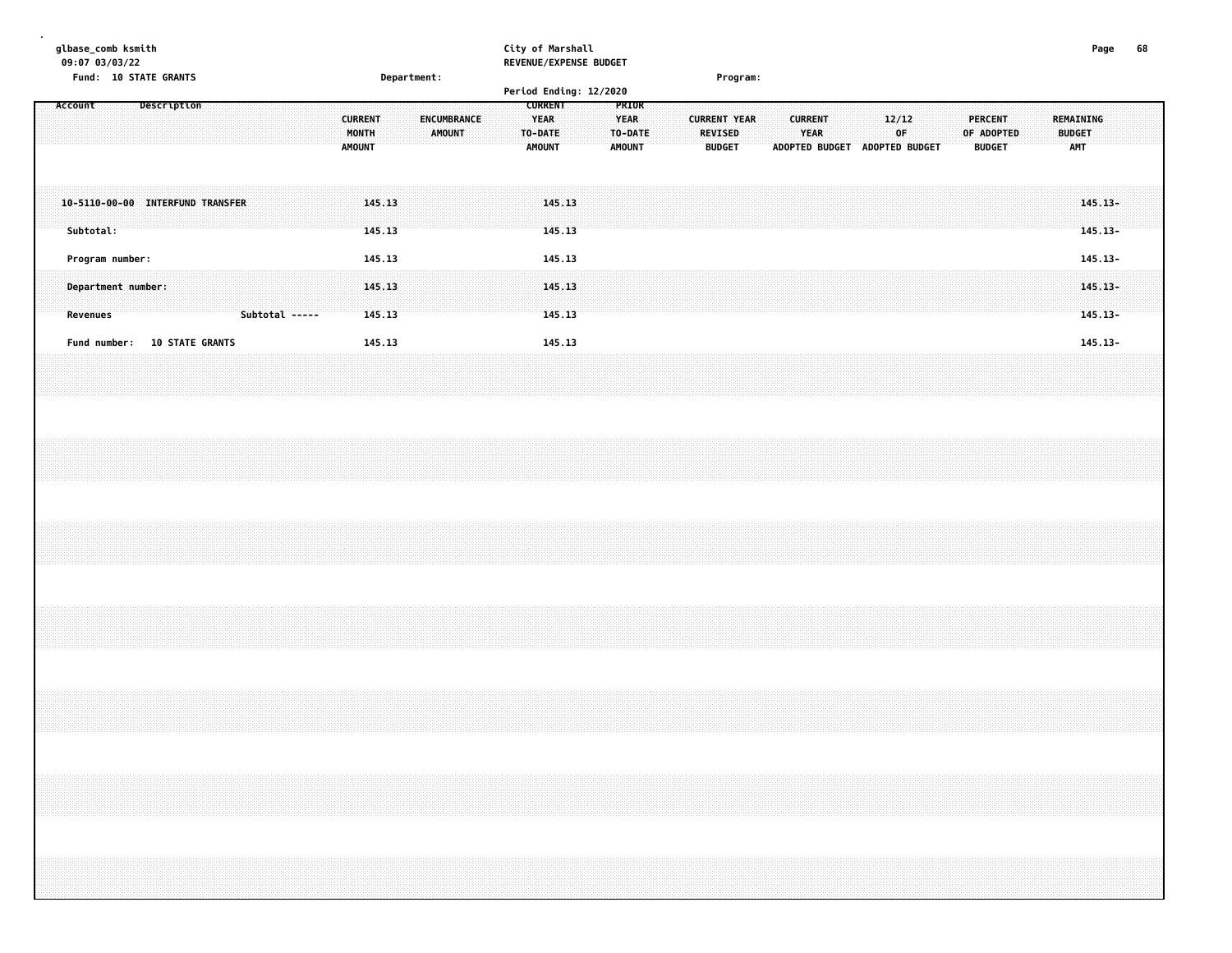| glbase_comb ksmith<br>09:07 03/03/22                                                                     | City of Marshall<br>REVENUE/EXPENSE BUDGET                                                                                                                                                                                                                                                                     | 68<br>Page                               |
|----------------------------------------------------------------------------------------------------------|----------------------------------------------------------------------------------------------------------------------------------------------------------------------------------------------------------------------------------------------------------------------------------------------------------------|------------------------------------------|
| Fund: 10 STATE GRANTS<br>Department:                                                                     | Program:<br>Period Ending: 12/2020                                                                                                                                                                                                                                                                             |                                          |
| Account<br>Description<br><b>CURRENT</b><br>ENCUMBRANCE<br>MONTH<br>AMOUNT<br><b>AMOUNT</b>              | <b>CURRENT</b><br>PRIOR<br><b>YEAR</b><br><b>YEAR</b><br><b>CURRENT YEAR</b><br><b>CURRENT</b><br>12/12<br><b>PERCENT</b><br>0 <sup>F</sup><br><b>REVISED</b><br>YEAR<br>OF ADOPTED<br>TO-DATE<br>TO-DATE<br><b>AMOUNT</b><br><b>AMOUNT</b><br><b>BUDGET</b><br>ADOPTED BUDGET ADOPTED BUDGET<br><b>BUDGET</b> | REMAINING<br><b>BUDGET</b><br><b>AMT</b> |
| 10-5110-00-00 INTERFUND TRANSFER<br>145.13<br>Subtotal:<br>145.13                                        | 145.13<br>145.13                                                                                                                                                                                                                                                                                               | 145.13-<br>145.13-                       |
| Program number:<br>145.13<br>Department number:<br>145.13<br>Subtotal -----<br>145.13<br><b>Revenues</b> | 145.13<br>145.13<br>145.13                                                                                                                                                                                                                                                                                     | 145.13-<br>145.13-<br>145.13-            |
| Fund number: 10 STATE GRANTS<br>145.13                                                                   | 145.13                                                                                                                                                                                                                                                                                                         | 145.13-                                  |
|                                                                                                          |                                                                                                                                                                                                                                                                                                                |                                          |
|                                                                                                          |                                                                                                                                                                                                                                                                                                                |                                          |
|                                                                                                          |                                                                                                                                                                                                                                                                                                                |                                          |
|                                                                                                          |                                                                                                                                                                                                                                                                                                                |                                          |
|                                                                                                          | ,我们的时候,我们就会在这里的时候,我们就会在这里,我们就会在这里,我们就会在这里,我们就会在这里,我们就会在这里,我们就会在这里,我们就会在这里,我们就会在这里                                                                                                                                                                                                                              |                                          |
|                                                                                                          |                                                                                                                                                                                                                                                                                                                |                                          |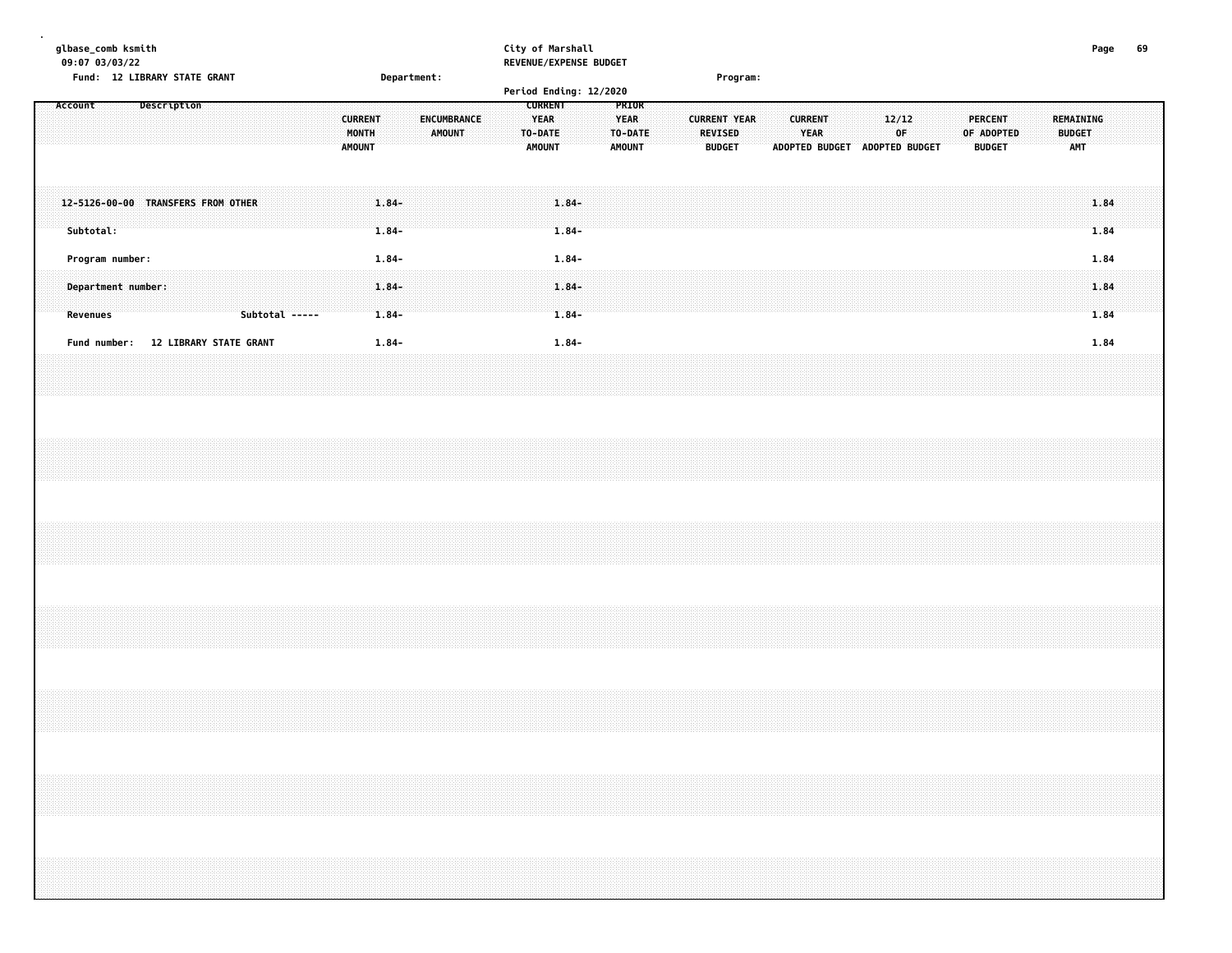| glbase_comb ksmith<br>09:07 03/03/22<br>Fund: 12 LIBRARY STATE GRANT       | Department:                      | City of Marshall<br>REVENUE/EXPENSE BUDGET<br>Period Ending: 12/2020                                          | Program:                                                                                                          |                                                              | 69<br>Page                                      |
|----------------------------------------------------------------------------|----------------------------------|---------------------------------------------------------------------------------------------------------------|-------------------------------------------------------------------------------------------------------------------|--------------------------------------------------------------|-------------------------------------------------|
| Account<br>Description<br><b>CURRENT</b><br>MONTH<br><b>AMOUNT</b>         | ENCUMBRANCE<br><b>AMOUNT</b>     | <b>CURRENT</b><br>PRIOR<br><b>YEAR</b><br><b>YEAR</b><br>TO-DATE<br>TO-DATE<br><b>AMOUNT</b><br><b>AMOUNT</b> | <b>CURRENT</b><br><b>CURRENT YEAR</b><br><b>REVISED</b><br>YEAR<br><b>BUDGET</b><br>ADOPTED BUDGET ADOPTED BUDGET | 12/12<br><b>PERCENT</b><br>0F<br>OF ADOPTED<br><b>BUDGET</b> | <b>REMAINING</b><br><b>BUDGET</b><br><b>AMT</b> |
| 12-5126-00-00 TRANSFERS FROM OTHER<br>Subtotal:                            | $1.84 -$<br>$1.84 -$             | $1.84 -$<br>$1.84 -$                                                                                          |                                                                                                                   |                                                              | 1.84<br>1.84                                    |
| Program number:<br>Department number:<br><b>Revenues</b><br>Subtotal ----- | $1.84 -$<br>$1.84 -$<br>$1.84 -$ | $1.84 -$<br>$1.84 -$<br>$1.84-$                                                                               |                                                                                                                   |                                                              | 1.84<br>1.84<br>1.84                            |
| <b>12 LIBRARY STATE GRANT</b><br>Fund number:                              | $1.84 -$                         | $1.84 -$                                                                                                      |                                                                                                                   |                                                              | 1.84                                            |
|                                                                            |                                  |                                                                                                               |                                                                                                                   |                                                              |                                                 |
|                                                                            |                                  |                                                                                                               |                                                                                                                   |                                                              |                                                 |
|                                                                            |                                  |                                                                                                               |                                                                                                                   |                                                              |                                                 |
|                                                                            |                                  |                                                                                                               |                                                                                                                   |                                                              |                                                 |
|                                                                            |                                  |                                                                                                               |                                                                                                                   |                                                              |                                                 |
|                                                                            |                                  |                                                                                                               |                                                                                                                   |                                                              |                                                 |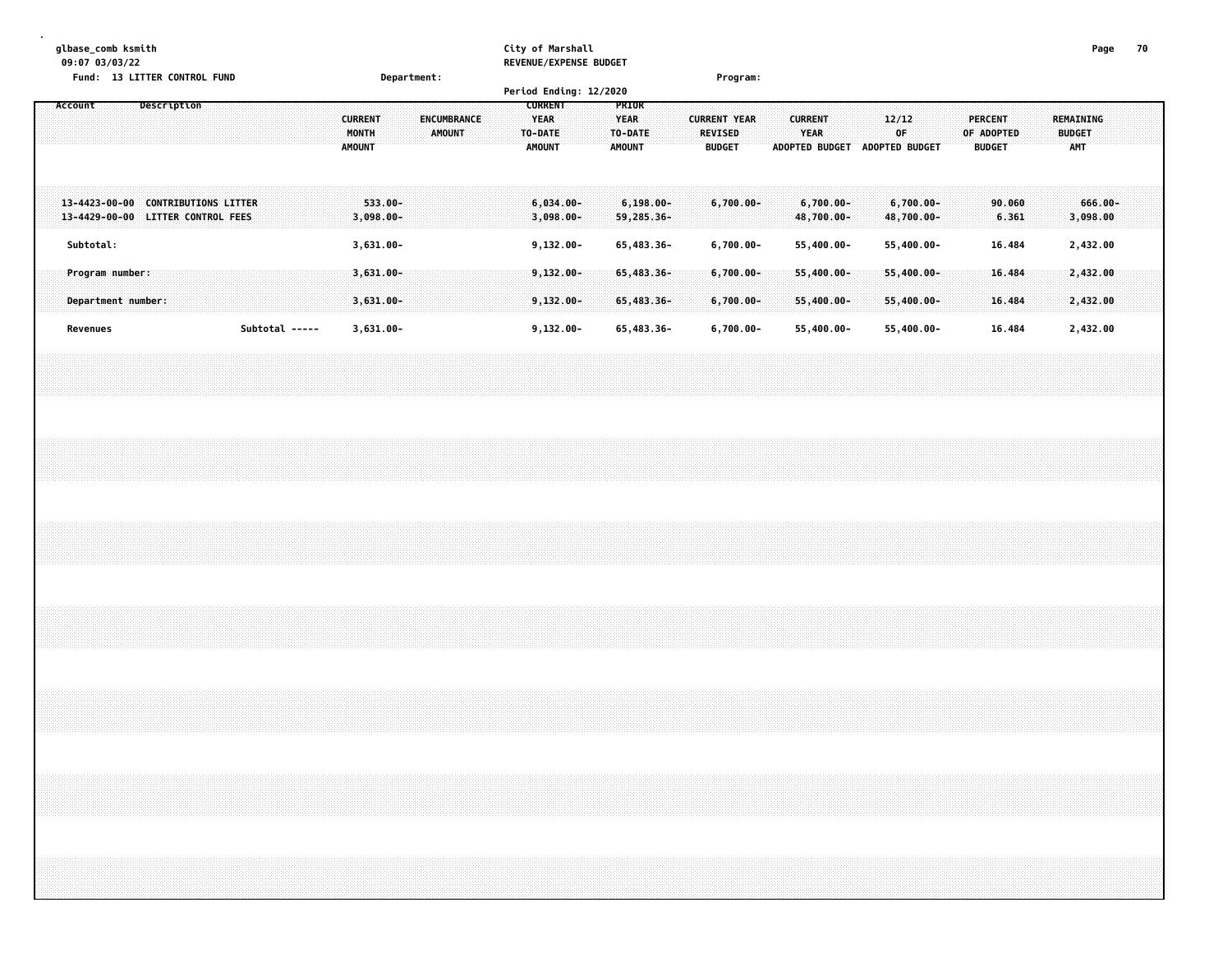|  |         |           | glbase_comb ksmith<br>09:07 03/03/22 |                    | Fund: 13 LITTER CONTROL FUND      |  |                                    |                |  |                        |                |                           | Department: |               |                    |  | City of Marshall<br>REVENUE/EXPENSE BUDGET<br>Period Ending: 12/2020 |  |  |                                                  |  |                     |                                 | Program:     |  |                |      |                             |  |                                              |  |  |                                               |       |  |                                          | Page                 | 70 |
|--|---------|-----------|--------------------------------------|--------------------|-----------------------------------|--|------------------------------------|----------------|--|------------------------|----------------|---------------------------|-------------|---------------|--------------------|--|----------------------------------------------------------------------|--|--|--------------------------------------------------|--|---------------------|---------------------------------|--------------|--|----------------|------|-----------------------------|--|----------------------------------------------|--|--|-----------------------------------------------|-------|--|------------------------------------------|----------------------|----|
|  | Account |           |                                      |                    | Description                       |  |                                    |                |  | MONTH<br><b>AMOUNT</b> | <b>CURRENT</b> |                           |             | <b>AMOUNT</b> | <b>ENCUMBRANCE</b> |  | <b>CURRENT</b><br><b>YEAR</b><br>TO-DATE<br><b>AMOUNT</b>            |  |  | PRIOR<br><b>YEAR</b><br>TO-DATE<br><b>AMOUNT</b> |  | <b>CURRENT YEAR</b> | <b>REVISED</b><br><b>BUDGET</b> |              |  | <b>CURRENT</b> | YEAR |                             |  | 12/12<br>0F<br>ADOPTED BUDGET ADOPTED BUDGET |  |  | <b>PERCENT</b><br>OF ADOPTED<br><b>BUDGET</b> |       |  | REMAINING<br><b>BUDGET</b><br><b>AMT</b> |                      |    |
|  |         |           |                                      |                    | 13-4429-00-00 LITTER CONTROL FEES |  | 13-4423-00-00 CONTRIBUTIONS LITTER |                |  |                        |                | 533.00-<br>$3,098.00 -$   |             |               |                    |  | $6,034.00 -$<br>$3,098.00 -$                                         |  |  | $6,198.00 -$<br>59,285.36-                       |  |                     |                                 | $6,700.00 -$ |  |                |      | $6,700.00 -$<br>48,700.00-  |  | $6,700.00 -$<br>48,700.00-                   |  |  | 90.060                                        | 6.361 |  |                                          | 666.00-<br>3,098.00  |    |
|  |         | Subtotal: | Program number:                      |                    |                                   |  |                                    |                |  |                        |                | 3,631.00-<br>$3,631.00 -$ |             |               |                    |  | $9,132.00 -$<br>$9,132,00-$                                          |  |  | 65,483.36-<br>65,483.36-                         |  |                     | 6,700.00-<br>$6,700.00 -$       |              |  |                |      | 55,400.00-<br>$55,400.00 -$ |  | 55,400.00-<br>$55,400.00 -$                  |  |  | 16.484<br>16.484                              |       |  |                                          | 2,432.00<br>2,432.00 |    |
|  |         |           |                                      | Department number: |                                   |  |                                    |                |  |                        |                | $3,631.00 -$              |             |               |                    |  | $9,132.00 -$                                                         |  |  | 65,483.36-                                       |  |                     | 6,700.00-                       |              |  |                |      | 55,400.00-                  |  | 55,400.00-                                   |  |  | 16.484                                        |       |  |                                          | 2,432.00             |    |
|  |         | Revenues  |                                      |                    |                                   |  |                                    | Subtotal ----- |  |                        |                | 3,631.00-                 |             |               |                    |  | $9,132.00 -$                                                         |  |  | 65,483.36-                                       |  |                     |                                 | $6,700.00 -$ |  |                |      | 55,400.00-                  |  | 55,400.00-                                   |  |  | 16.484                                        |       |  |                                          | 2,432.00             |    |
|  |         |           |                                      |                    |                                   |  |                                    |                |  |                        |                |                           |             |               |                    |  |                                                                      |  |  |                                                  |  |                     |                                 |              |  |                |      |                             |  |                                              |  |  |                                               |       |  |                                          |                      |    |
|  |         |           |                                      |                    |                                   |  |                                    |                |  |                        |                |                           |             |               |                    |  |                                                                      |  |  |                                                  |  |                     |                                 |              |  |                |      |                             |  |                                              |  |  |                                               |       |  |                                          |                      |    |
|  |         |           |                                      |                    |                                   |  |                                    |                |  |                        |                |                           |             |               |                    |  |                                                                      |  |  |                                                  |  |                     |                                 |              |  |                |      |                             |  |                                              |  |  |                                               |       |  |                                          |                      |    |
|  |         |           |                                      |                    |                                   |  |                                    |                |  |                        |                |                           |             |               |                    |  |                                                                      |  |  |                                                  |  |                     |                                 |              |  |                |      |                             |  |                                              |  |  |                                               |       |  |                                          |                      |    |
|  |         |           |                                      |                    |                                   |  |                                    |                |  |                        |                |                           |             |               |                    |  |                                                                      |  |  |                                                  |  |                     |                                 |              |  |                |      |                             |  |                                              |  |  |                                               |       |  |                                          |                      |    |
|  |         |           |                                      |                    |                                   |  |                                    |                |  |                        |                |                           |             |               |                    |  |                                                                      |  |  |                                                  |  |                     |                                 |              |  |                |      |                             |  |                                              |  |  |                                               |       |  |                                          |                      |    |
|  |         |           |                                      |                    |                                   |  |                                    |                |  |                        |                |                           |             |               |                    |  |                                                                      |  |  |                                                  |  |                     |                                 |              |  |                |      |                             |  |                                              |  |  |                                               |       |  |                                          |                      |    |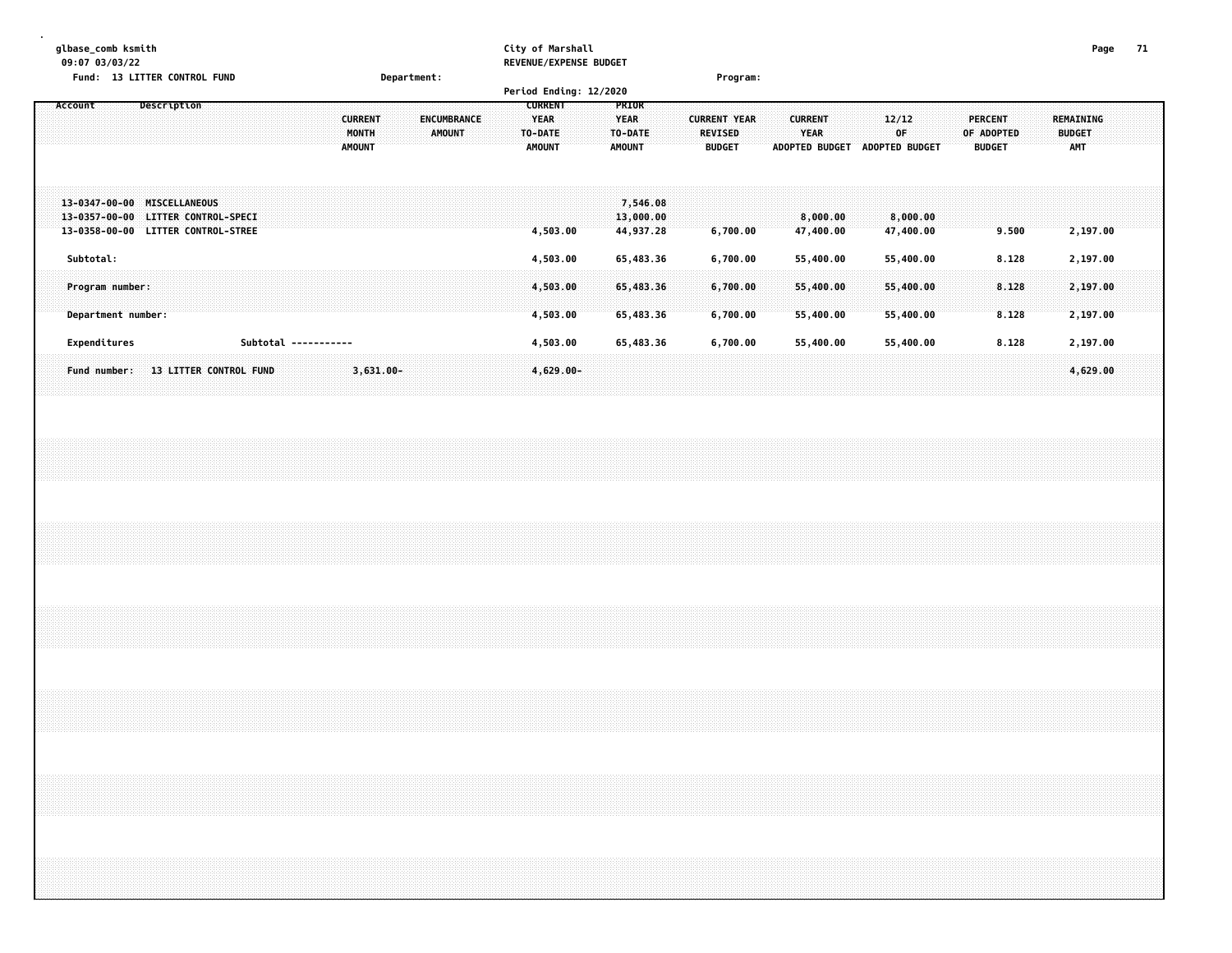| glbase_comb ksmith<br>09:07 03/03/22          |                               | City of Marshall<br>REVENUE/EXPENSE BUDGET |                                    |                                         | 71<br>Page                  |
|-----------------------------------------------|-------------------------------|--------------------------------------------|------------------------------------|-----------------------------------------|-----------------------------|
| Fund: 13 LITTER CONTROL FUND                  | Department:                   |                                            | Program:                           |                                         |                             |
|                                               |                               | Period Ending: 12/2020                     |                                    |                                         |                             |
| Description<br>Account                        |                               | <b>CURRENT</b>                             | PRIOR                              |                                         |                             |
|                                               | ENCUMBRANCE<br><b>CURRENT</b> | <b>YEAR</b>                                | <b>YEAR</b><br><b>CURRENT YEAR</b> | <b>CURRENT</b><br>12/12                 | <b>PERCENT</b><br>REMAINING |
|                                               | MONTH<br><b>AMOUNT</b>        | TO-DATE                                    | <b>REVISED</b><br>TO-DATE          | <b>YEAR</b><br>0F                       | OF ADOPTED<br><b>BUDGET</b> |
|                                               | <b>AMOUNT</b>                 | <b>AMOUNT</b>                              | <b>BUDGET</b><br><b>AMOUNT</b>     | <b>ADOPTED BUDGET</b><br>ADOPTED BUDGET | <b>AMT</b><br><b>BUDGET</b> |
|                                               |                               |                                            |                                    |                                         |                             |
|                                               |                               |                                            |                                    |                                         |                             |
|                                               |                               |                                            |                                    |                                         |                             |
| 13-0347-00-00 MISCELLANEOUS                   |                               |                                            | 7,546.08                           |                                         |                             |
| <b>LITTER CONTROL-SPECI</b><br>13-0357-00-00  |                               |                                            | 13,000.00                          | 8,000.00<br>8,000.00                    |                             |
| LITTER CONTROL-STREE<br>13-0358-00-00         |                               | 4,503.00                                   | 44,937.28<br>6,700.00              | 47,400.00<br>47,400.00                  | 9.500<br>2,197.00           |
|                                               |                               |                                            |                                    |                                         |                             |
| Subtotal:                                     |                               | 4,503.00                                   | 65,483.36<br>6,700.00              | 55,400.00<br>55,400.00                  | 2,197.00<br>8.128           |
|                                               |                               |                                            |                                    |                                         |                             |
| Program number:                               |                               | 4,503.00                                   | 65,483.36<br>6,700.00              | 55,400.00<br>55,400.00                  | 8.128<br>2,197.00           |
|                                               |                               |                                            |                                    |                                         |                             |
|                                               |                               |                                            |                                    |                                         |                             |
| Department number:                            |                               | 4,503.00                                   | 65,483.36<br>6,700.00              | 55,400.00<br>55,400.00                  | 8.128<br>2,197.00           |
|                                               |                               |                                            |                                    |                                         |                             |
| Expenditures                                  | Subtotal -----------          | 4,503.00                                   | 65,483.36<br>6,700.00              | 55,400.00<br>55,400.00                  | 2,197.00<br>8.128           |
|                                               |                               |                                            |                                    |                                         |                             |
| <b>13 LITTER CONTROL FUND</b><br>Fund number: | $3,631.00 -$                  | $4,629.00 -$                               |                                    |                                         | 4,629.00                    |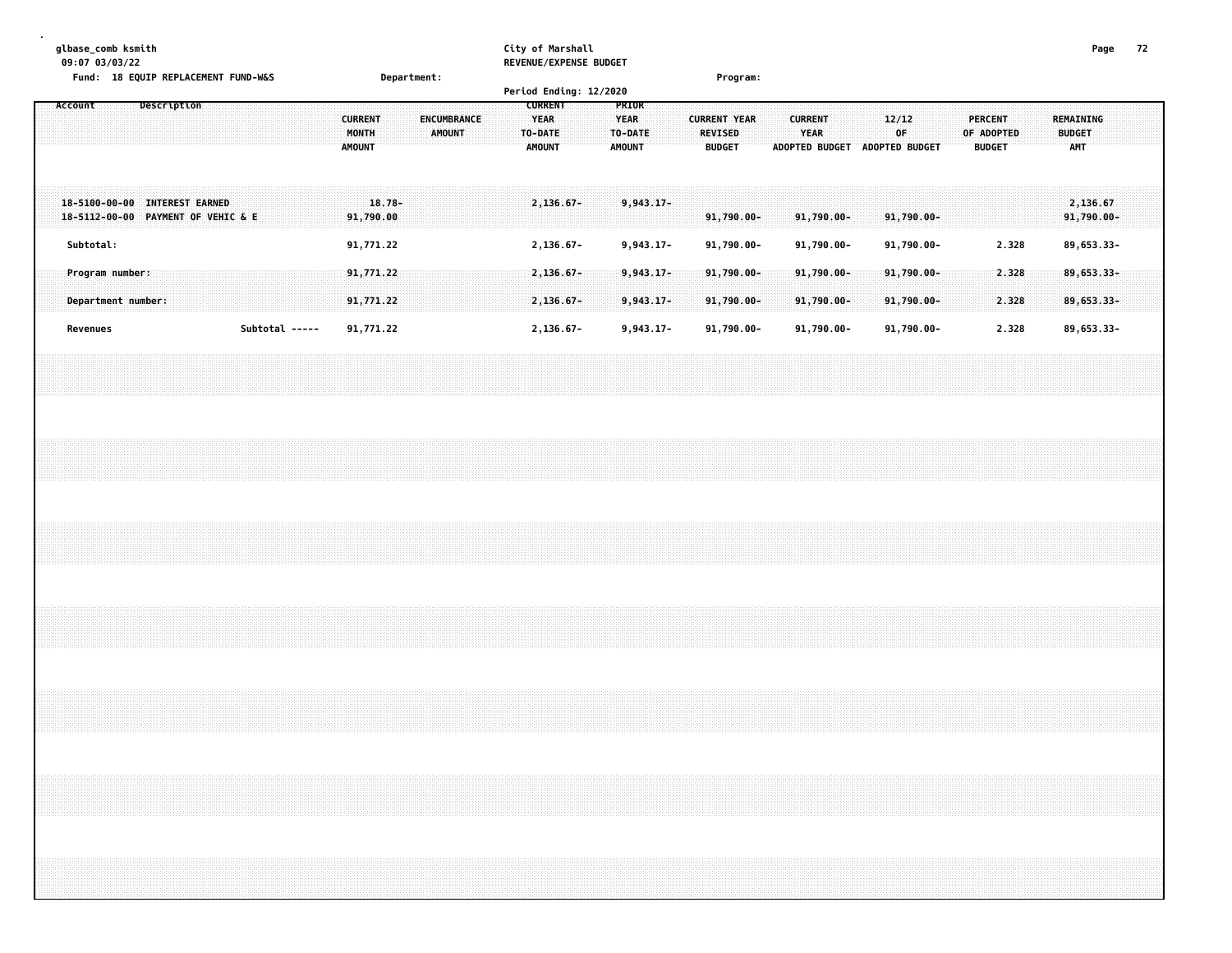| glbase comb ksmith                                |             | City of Marshall       | --<br>Page |
|---------------------------------------------------|-------------|------------------------|------------|
| 09:07 03/03/22                                    |             | REVENUE/EXPENSE BUDGET |            |
| <b>18 EOUIP REPLACEMENT FUND-W&amp;S</b><br>Fund: | Department: | Program                |            |

|  |         |                 |  |                    |                                                                     |  |  |                |  |                                          |                        |                    |        |  |                                                           |              | Period Ending: 12/2020 |                                                  |              |  |                                 |                     |  |                               |                       |  |                                      |  |                          |            |  |                                                 |                           |  |
|--|---------|-----------------|--|--------------------|---------------------------------------------------------------------|--|--|----------------|--|------------------------------------------|------------------------|--------------------|--------|--|-----------------------------------------------------------|--------------|------------------------|--------------------------------------------------|--------------|--|---------------------------------|---------------------|--|-------------------------------|-----------------------|--|--------------------------------------|--|--------------------------|------------|--|-------------------------------------------------|---------------------------|--|
|  | Account |                 |  | Description        |                                                                     |  |  |                |  | <b>CURRENT</b><br>MONTH<br><b>AMOUNT</b> |                        | <b>ENCUMBRANCE</b> | AMOUNT |  | <b>CURRENT</b><br><b>YEAR</b><br>TO-DATE<br><b>AMOUNT</b> |              |                        | PRIOR<br><b>YEAR</b><br>TO-DATE<br><b>AMOUNT</b> |              |  | <b>REVISED</b><br><b>BUDGET</b> | <b>CURRENT YEAR</b> |  | <b>CURRENT</b><br><b>YEAR</b> | <b>ADOPTED BUDGET</b> |  | 12/12<br>OF<br><b>ADOPTED BUDGET</b> |  | PERCENT<br><b>BUDGET</b> | OF ADOPTED |  | <b>REMAINING</b><br><b>BUDGET</b><br><b>AMT</b> |                           |  |
|  |         |                 |  |                    | 18-5100-00-00 INTEREST EARNED<br>18-5112-00-00 PAYMENT OF VEHIC & E |  |  |                |  |                                          | $18.78 -$<br>91,790.00 |                    |        |  |                                                           | $2,136.67 -$ |                        |                                                  | $9,943.17-$  |  |                                 | $91,790.00 -$       |  |                               | $91,790.00 -$         |  | 91,790.00-                           |  |                          |            |  |                                                 | 2,136.67<br>$91,790.00 -$ |  |
|  |         | Subtotal:       |  |                    |                                                                     |  |  |                |  |                                          | 91,771.22              |                    |        |  |                                                           | 2,136.67-    |                        |                                                  | $9,943.17 -$ |  |                                 | 91,790.00-          |  |                               | 91,790.00-            |  | 91,790.00-                           |  |                          | 2.328      |  |                                                 | 89,653.33-                |  |
|  |         | Program number: |  |                    |                                                                     |  |  |                |  |                                          | 91,771.22              |                    |        |  |                                                           | $2,136.67 -$ |                        |                                                  | $9,943.17-$  |  |                                 | $91,790.00 -$       |  |                               | $91,790.00 -$         |  | $91,790.00 -$                        |  |                          | 2.328      |  |                                                 | $89,653.33 -$             |  |
|  |         |                 |  | Department number: |                                                                     |  |  |                |  |                                          | 91,771.22              |                    |        |  |                                                           | $2,136.67-$  |                        |                                                  | $9,943.17-$  |  |                                 | $91,790.00 -$       |  |                               | $91,790.00 -$         |  | 91,790.00-                           |  |                          | 2.328      |  |                                                 | 89,653.33-                |  |
|  |         | Revenues        |  |                    |                                                                     |  |  | Subtotal ----- |  |                                          | 91,771.22              |                    |        |  |                                                           | 2,136.67-    |                        |                                                  | $9,943.17 -$ |  |                                 | 91,790.00-          |  |                               | 91,790.00-            |  | 91,790.00-                           |  |                          | 2.328      |  |                                                 | 89,653.33-                |  |
|  |         |                 |  |                    |                                                                     |  |  |                |  |                                          |                        |                    |        |  |                                                           |              |                        |                                                  |              |  |                                 |                     |  |                               |                       |  |                                      |  |                          |            |  |                                                 |                           |  |
|  |         |                 |  |                    |                                                                     |  |  |                |  |                                          |                        |                    |        |  |                                                           |              |                        |                                                  |              |  |                                 |                     |  |                               |                       |  |                                      |  |                          |            |  |                                                 |                           |  |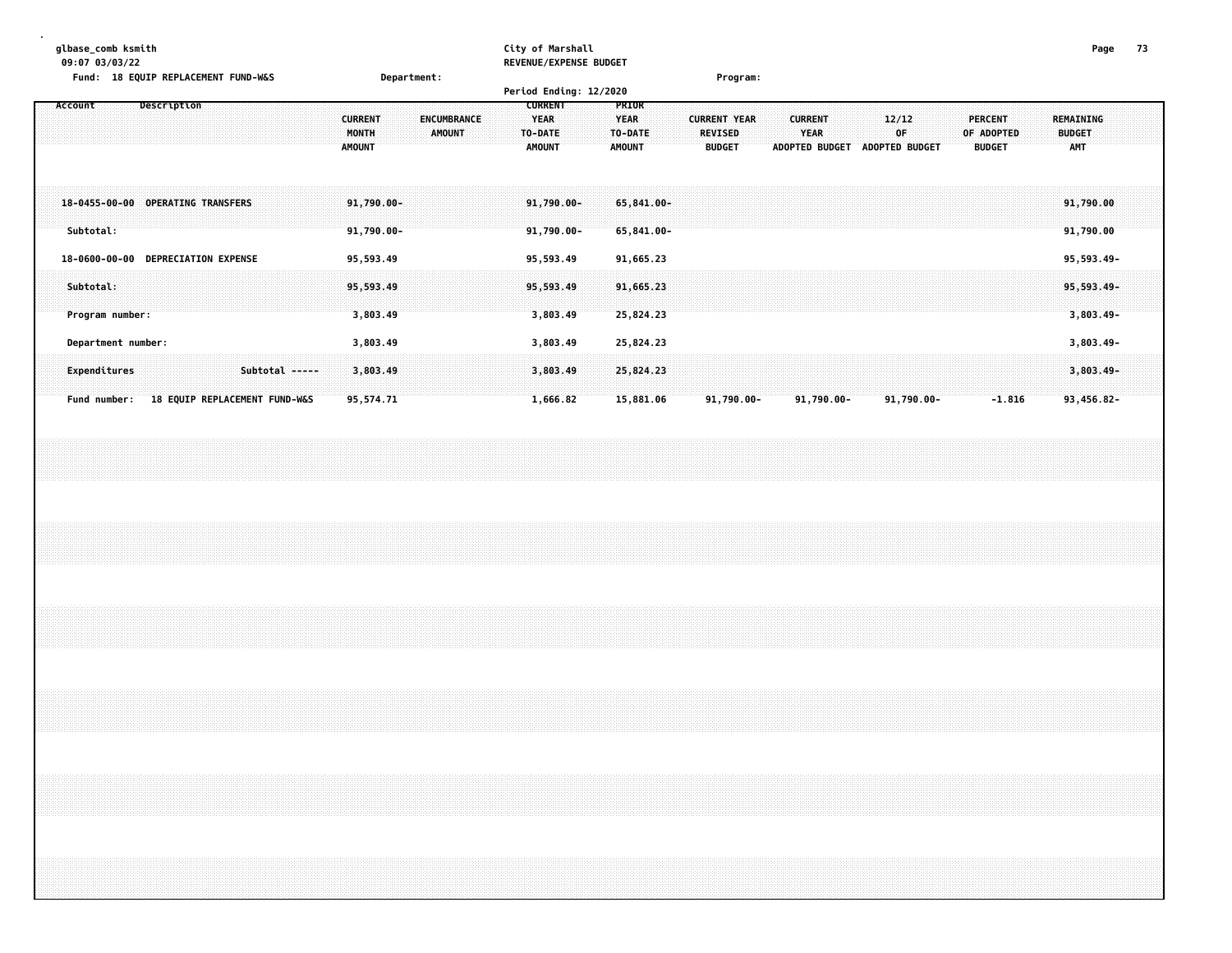**glbase\_comb ksmith City of Marshall Page 73 09:07 03/03/22 REVENUE/EXPENSE BUDGET Fund: 18 EQUIP REPLACEMENT FUND-W&S Department: Program:**

|                                    |                               |                |                                          |                              | Period Ending: 12/2020                                    |                                                  |                                                        |                                                 |                                      |                                               |          |                                          |  |
|------------------------------------|-------------------------------|----------------|------------------------------------------|------------------------------|-----------------------------------------------------------|--------------------------------------------------|--------------------------------------------------------|-------------------------------------------------|--------------------------------------|-----------------------------------------------|----------|------------------------------------------|--|
| Account                            | Description                   |                | <b>CURRENT</b><br>MONTH<br><b>AMOUNT</b> | ENCUMBRANCE<br><b>AMOUNT</b> | <b>CURRENT</b><br><b>YEAR</b><br>TO-DATE<br><b>AMOUNT</b> | PRIOR<br><b>YEAR</b><br>TO-DATE<br><b>AMOUNT</b> | <b>CURRENT YEAR</b><br><b>REVISED</b><br><b>BUDGET</b> | <b>CURRENT</b><br>YEAR<br><b>ADOPTED BUDGET</b> | 12/12<br>0F<br><b>ADOPTED BUDGET</b> | <b>PERCENT</b><br>OF ADOPTED<br><b>BUDGET</b> |          | <b>REMAINING</b><br><b>BUDGET</b><br>AMT |  |
| $18 - 0455 - 00 - 00$<br>Subtotal: | <b>OPERATING TRANSFERS</b>    |                | $91,790.00 -$<br>$91,790.00 -$           |                              | 91,790.00-<br>91,790.00-                                  | 65,841.00-<br>$65,841.00 -$                      |                                                        |                                                 |                                      |                                               |          | 91,790.00<br>91,790.00                   |  |
| 18-0600-00-00                      | <b>DEPRECIATION EXPENSE</b>   |                | 95,593.49                                |                              | 95,593.49                                                 | 91,665.23                                        |                                                        |                                                 |                                      |                                               |          | 95,593.49-                               |  |
| Subtotal:<br>Program number:       |                               |                | 95,593.49<br>3,803.49                    |                              | 95,593.49<br>3,803.49                                     | 91,665.23<br>25,824.23                           |                                                        |                                                 |                                      |                                               |          | $95,593.49 -$<br>$3,803.49 -$            |  |
| Department number:                 |                               |                | 3,803.49                                 |                              | 3,803.49                                                  | 25,824.23                                        |                                                        |                                                 |                                      |                                               |          | $3,803.49 -$                             |  |
| Expenditures<br>Fund number:       | 18 EQUIP REPLACEMENT FUND-W&S | Subtotal ----- | 3,803.49<br>95,574.71                    |                              | 3,803.49<br>1,666.82                                      | 25,824.23<br>15,881.06                           | 91,790.00-                                             | 91,790.00-                                      | 91,790.00-                           |                                               | $-1.816$ | $3,803.49 -$<br>93,456.82-               |  |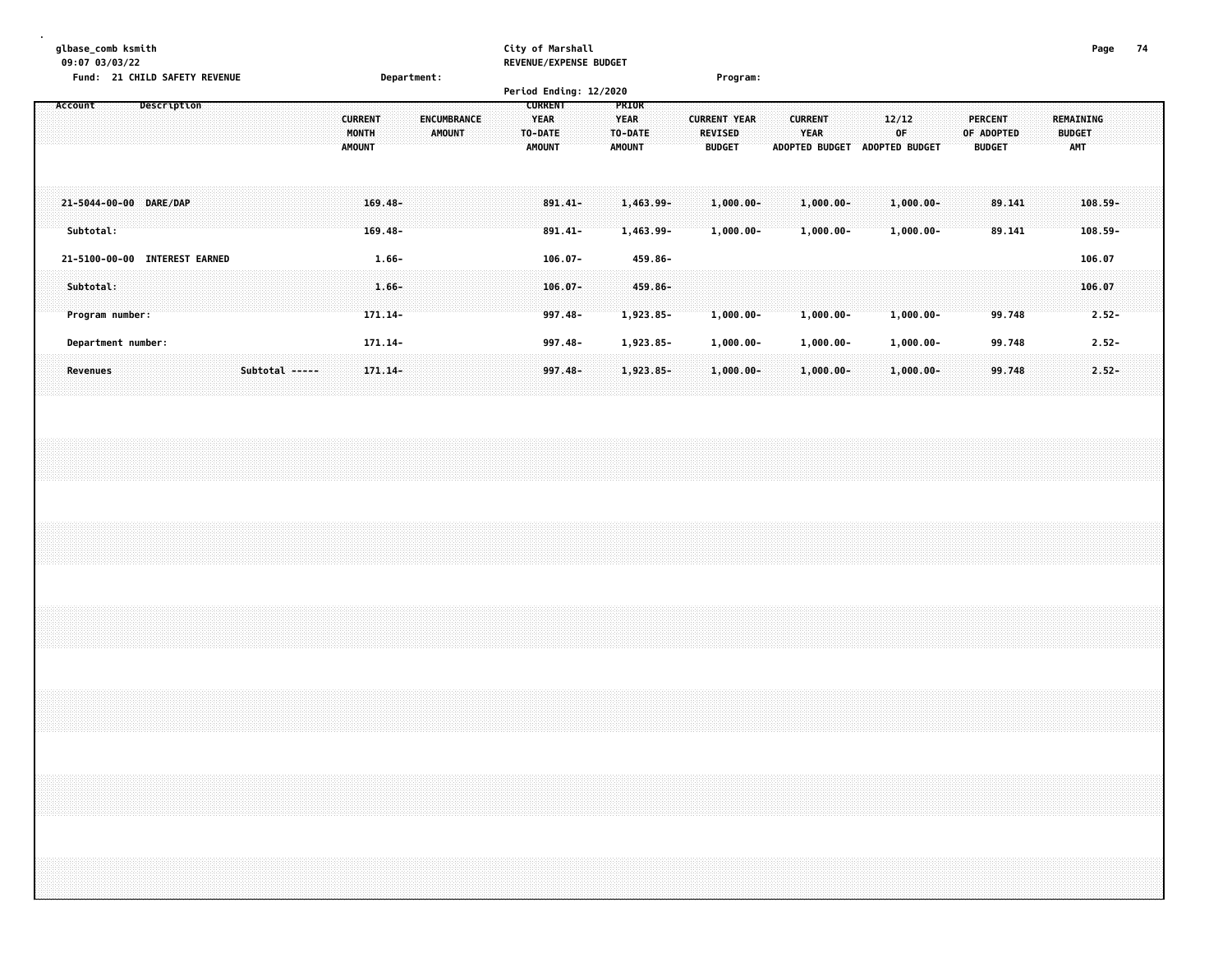| glbase_comb ksmith<br>09:07 03/03/22    |                                                                          | City of Marshall<br>REVENUE/EXPENSE BUDGET                                                                                                                |                                                                                                                                   | Page<br>74                                   |
|-----------------------------------------|--------------------------------------------------------------------------|-----------------------------------------------------------------------------------------------------------------------------------------------------------|-----------------------------------------------------------------------------------------------------------------------------------|----------------------------------------------|
| <b>21 CHILD SAFETY REVENUE</b><br>Fund: | Department:                                                              | Program:<br>Period Ending: 12/2020                                                                                                                        |                                                                                                                                   |                                              |
| Description<br>Account                  | <b>CURRENT</b><br>ENCUMBRANCE<br>MONTH<br><b>AMOUNT</b><br><b>AMOUNT</b> | <b>CURRENT</b><br>PRIOR<br>YEAR<br>YEAR<br><b>CURRENT YEAR</b><br>TO-DATE<br>TO-DATE<br><b>REVISED</b><br><b>BUDGET</b><br><b>AMOUNT</b><br><b>AMOUNT</b> | <b>CURRENT</b><br>12/12<br>PERCENT<br><b>YEAR</b><br>0F<br>OF ADOPTED<br><b>ADOPTED BUDGET</b><br>ADOPTED BUDGET<br><b>BUDGET</b> | REMAINING<br><b>BUDGET</b><br><b>AMT</b>     |
| 21-5044-00-00 DARE/DAP<br>Subtotal:     | $169.48 -$<br>$169.48 -$                                                 | $1,463,99-$<br>$891.41 -$<br>$1,000.00 -$<br>1,463.99-<br>$1,000.00 -$<br>891.41-                                                                         | $1,000.00 -$<br>$1,000.00 -$<br>$1,000.00 -$<br>$1,000.00 -$                                                                      | $108.59 -$<br>89.141<br>89.141<br>$108.59 -$ |
| 21-5100-00-00 INTEREST EARNED           | $1.66 -$                                                                 | 459.86-<br>106.07-                                                                                                                                        |                                                                                                                                   | 106.07                                       |
| Subtotal:<br>Program number:            | $1.66 -$<br>$171.14-$                                                    | $106.07 -$<br>459.86-<br>1,923.85-<br>$997.48 -$<br>$1,000.00 -$                                                                                          | $1,000.00 -$<br>$1,000.00 -$                                                                                                      | 106.07<br>$2.52 -$<br>99.748                 |
| Department number:                      | 171.14-                                                                  | 997.48-<br>1,923.85-<br>$1,000.00 -$                                                                                                                      | $1,000.00 -$<br>$1,000.00 -$                                                                                                      | $2.52 -$<br>99.748                           |

Revenues Subtotal ----- 171.14- 997.48- 1,923.85- 1,000.00- 1,000.00- 1,000.00- 99.748 2.52-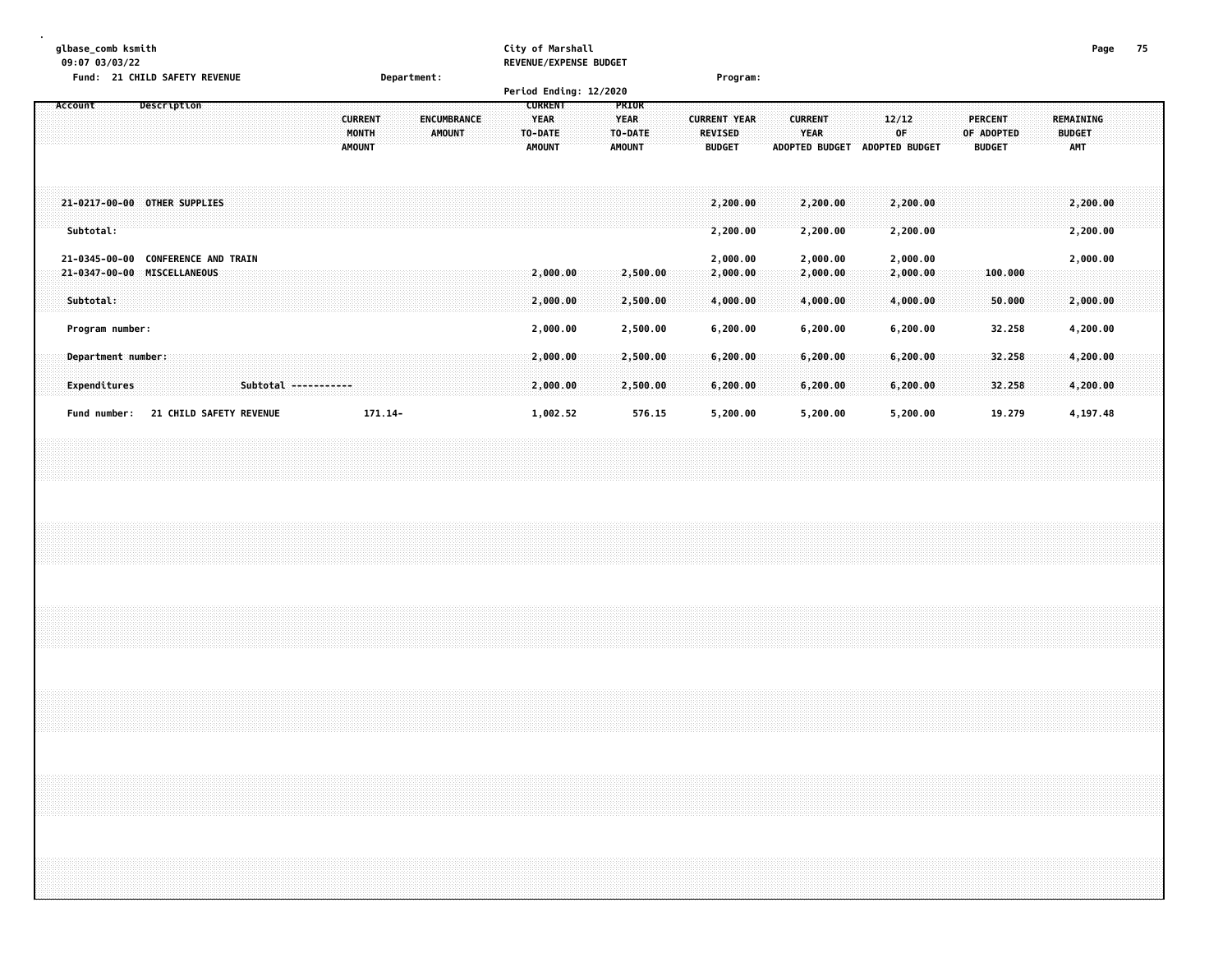| glbase_comb ksmith<br>09:07 03/03/22                | Fund: 21 CHILD SAFETY REVENUE                |                      | Department:                              |                              | City of Marshall<br>REVENUE/EXPENSE BUDGET<br>Period Ending: 12/2020 |                                                         | Program:                                               |                                                        |                                      |                                               | Page                                     | 75 |
|-----------------------------------------------------|----------------------------------------------|----------------------|------------------------------------------|------------------------------|----------------------------------------------------------------------|---------------------------------------------------------|--------------------------------------------------------|--------------------------------------------------------|--------------------------------------|-----------------------------------------------|------------------------------------------|----|
| Account                                             | Description                                  |                      | <b>CURRENT</b><br>MONTH<br><b>AMOUNT</b> | ENCUMBRANCE<br><b>AMOUNT</b> | <b>CURRENT</b><br><b>YEAR</b><br>TO-DATE<br><b>AMOUNT</b>            | <b>PRIOR</b><br><b>YEAR</b><br>TO-DATE<br><b>AMOUNT</b> | <b>CURRENT YEAR</b><br><b>REVISED</b><br><b>BUDGET</b> | <b>CURRENT</b><br><b>YEAR</b><br><b>ADOPTED BUDGET</b> | 12/12<br>0F<br><b>ADOPTED BUDGET</b> | <b>PERCENT</b><br>OF ADOPTED<br><b>BUDGET</b> | REMAINING<br><b>BUDGET</b><br><b>AMT</b> |    |
| 21-0217-00-00 OTHER SUPPLIES<br>Subtotal:           |                                              |                      |                                          |                              |                                                                      |                                                         | 2,200.00<br>2,200.00                                   | 2,200.00<br>2,200.00                                   | 2,200.00<br>2,200.00                 |                                               | 2,200.00<br>2,200.00                     |    |
| 21-0345-00-00<br>$21 - 0347 - 00 - 00$<br>Subtotal: | <b>CONFERENCE AND TRAIN</b><br>MISCELLANEOUS |                      |                                          |                              | 2,000.00<br>2,000.00                                                 | 2,500.00<br>2,500.00                                    | 2,000.00<br>2,000.00<br>4,000.00                       | 2,000.00<br>2,000.00<br>4,000.00                       | 2,000.00<br>2,000.00<br>4,000.00     | 100.000<br>50.000                             | 2,000.00<br>2,000.00                     |    |
| Program number:<br>Department number:               |                                              |                      |                                          |                              | 2,000.00<br>2,000.00                                                 | 2,500.00<br>2,500.00                                    | 6, 200.00<br>6,200.00                                  | 6,200.00<br>6,200.00                                   | 6,200.00<br>6,200.00                 | 32.258<br>32.258                              | 4,200.00<br>4,200.00                     |    |
| Expenditures                                        |                                              | Subtotal ----------- |                                          |                              | 2,000.00                                                             | 2,500.00                                                | 6,200.00                                               | 6,200.00                                               | 6,200.00                             | 32.258                                        | 4,200.00                                 |    |
| Fund number:                                        | <b>21 CHILD SAFETY REVENUE</b>               |                      | 171.14-                                  |                              | 1,002.52                                                             | 576.15                                                  | 5,200.00                                               | 5,200.00                                               | 5,200.00                             | 19.279                                        | 4,197.48                                 |    |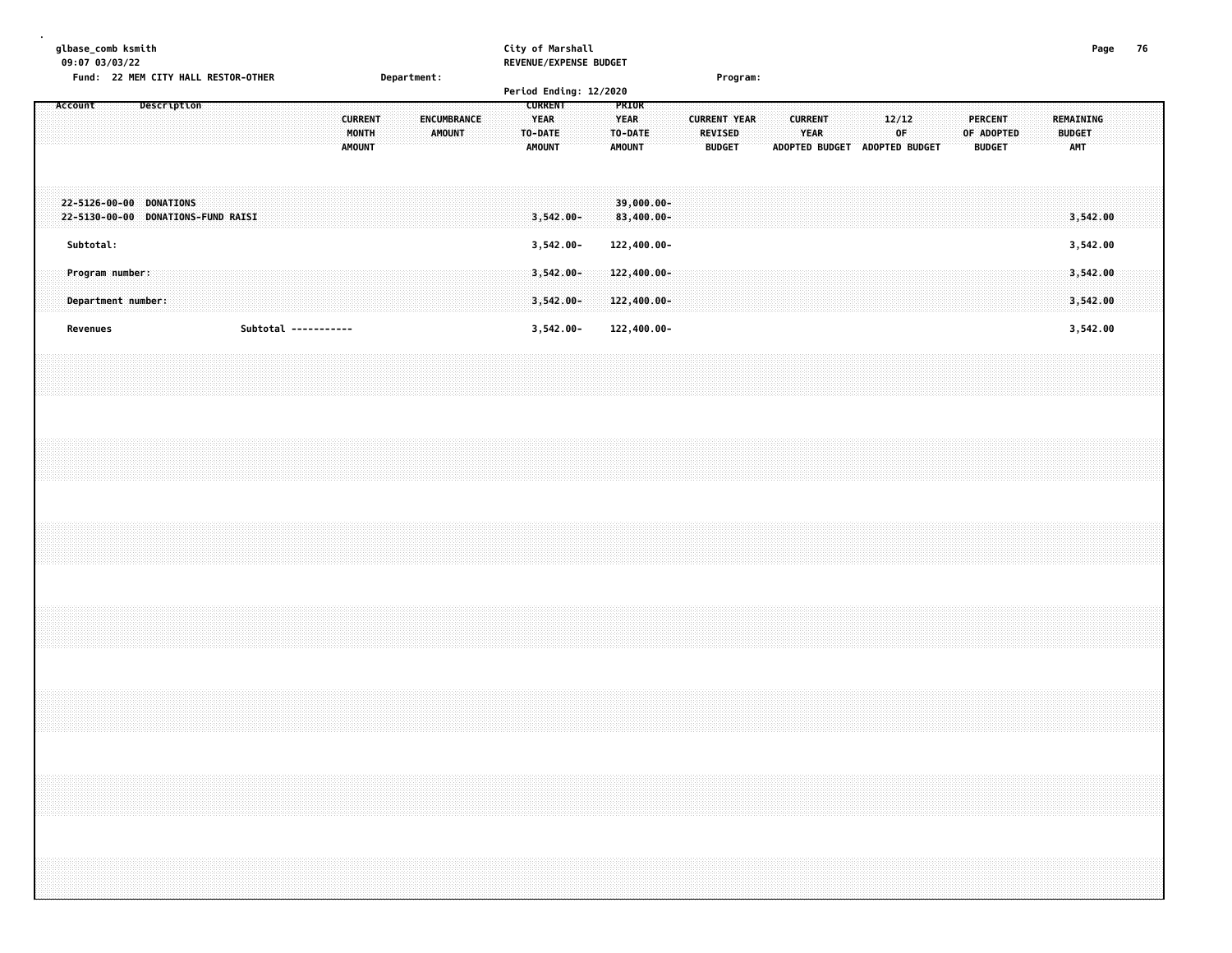| 76<br>Page                          |                        |                                                           | 3,542.00                           | 3,542.00     | 3,542.00<br>3,542.00                  | 3,542.00             |  |  |  |  |
|-------------------------------------|------------------------|-----------------------------------------------------------|------------------------------------|--------------|---------------------------------------|----------------------|--|--|--|--|
|                                     |                        | REMAINING<br><b>BUDGET</b><br><b>AMT</b>                  |                                    |              |                                       |                      |  |  |  |  |
|                                     |                        | <b>PERCENT</b><br>OF ADOPTED<br><b>BUDGET</b>             |                                    |              |                                       |                      |  |  |  |  |
|                                     |                        |                                                           |                                    |              |                                       |                      |  |  |  |  |
|                                     |                        |                                                           |                                    |              |                                       |                      |  |  |  |  |
|                                     |                        | 12/12<br>0F<br>ADOPTED BUDGET ADOPTED BUDGET              |                                    |              |                                       |                      |  |  |  |  |
|                                     |                        |                                                           |                                    |              |                                       |                      |  |  |  |  |
|                                     |                        | <b>CURRENT</b><br>YEAR                                    |                                    |              |                                       |                      |  |  |  |  |
|                                     |                        |                                                           |                                    |              |                                       |                      |  |  |  |  |
|                                     |                        |                                                           |                                    |              |                                       |                      |  |  |  |  |
| Program:                            |                        | <b>REVISED</b><br><b>BUDGET</b>                           |                                    |              |                                       |                      |  |  |  |  |
|                                     |                        | <b>CURRENT YEAR</b>                                       |                                    |              |                                       |                      |  |  |  |  |
|                                     |                        |                                                           |                                    |              |                                       |                      |  |  |  |  |
|                                     |                        | PRIOR<br><b>YEAR</b><br>TO-DATE<br><b>AMOUNT</b>          | $39,000.00 -$<br>83,400.00-        | 122,400.00-  | $122,400.00 -$<br>$122,400.00 -$      | 122,400.00-          |  |  |  |  |
| REVENUE/EXPENSE BUDGET              |                        |                                                           |                                    |              |                                       |                      |  |  |  |  |
|                                     | Period Ending: 12/2020 |                                                           |                                    |              |                                       |                      |  |  |  |  |
|                                     |                        | <b>CURRENT</b><br><b>YEAR</b><br>TO-DATE<br><b>AMOUNT</b> | $3,542.00 -$                       | $3,542.00 -$ | $3,542.00 -$<br>$3,542.00 -$          | $3,542.00 -$         |  |  |  |  |
|                                     |                        |                                                           |                                    |              |                                       |                      |  |  |  |  |
|                                     |                        |                                                           |                                    |              |                                       |                      |  |  |  |  |
|                                     |                        | ENCUMBRANCE<br>AMOUNT                                     |                                    |              |                                       |                      |  |  |  |  |
| Department:                         |                        |                                                           |                                    |              |                                       |                      |  |  |  |  |
|                                     |                        |                                                           |                                    |              |                                       |                      |  |  |  |  |
|                                     |                        | <b>CURRENT</b><br>MONTH<br><b>AMOUNT</b>                  |                                    |              |                                       |                      |  |  |  |  |
|                                     |                        |                                                           |                                    |              |                                       |                      |  |  |  |  |
|                                     |                        |                                                           |                                    |              |                                       | Subtotal ----------- |  |  |  |  |
|                                     |                        |                                                           |                                    |              |                                       |                      |  |  |  |  |
| Fund: 22 MEM CITY HALL RESTOR-OTHER |                        |                                                           | 22-5130-00-00 DONATIONS-FUND RAISI |              |                                       |                      |  |  |  |  |
|                                     |                        |                                                           |                                    |              |                                       |                      |  |  |  |  |
|                                     |                        | <b>Description</b>                                        |                                    |              |                                       |                      |  |  |  |  |
|                                     |                        |                                                           |                                    |              |                                       |                      |  |  |  |  |
| 09:07 03/03/22                      |                        |                                                           |                                    |              |                                       |                      |  |  |  |  |
|                                     |                        | Account                                                   | 22-5126-00-00 DONATIONS            | Subtotal:    | Program number:<br>Department number: | Revenues             |  |  |  |  |
|                                     |                        |                                                           |                                    |              |                                       |                      |  |  |  |  |
|                                     |                        |                                                           |                                    |              |                                       |                      |  |  |  |  |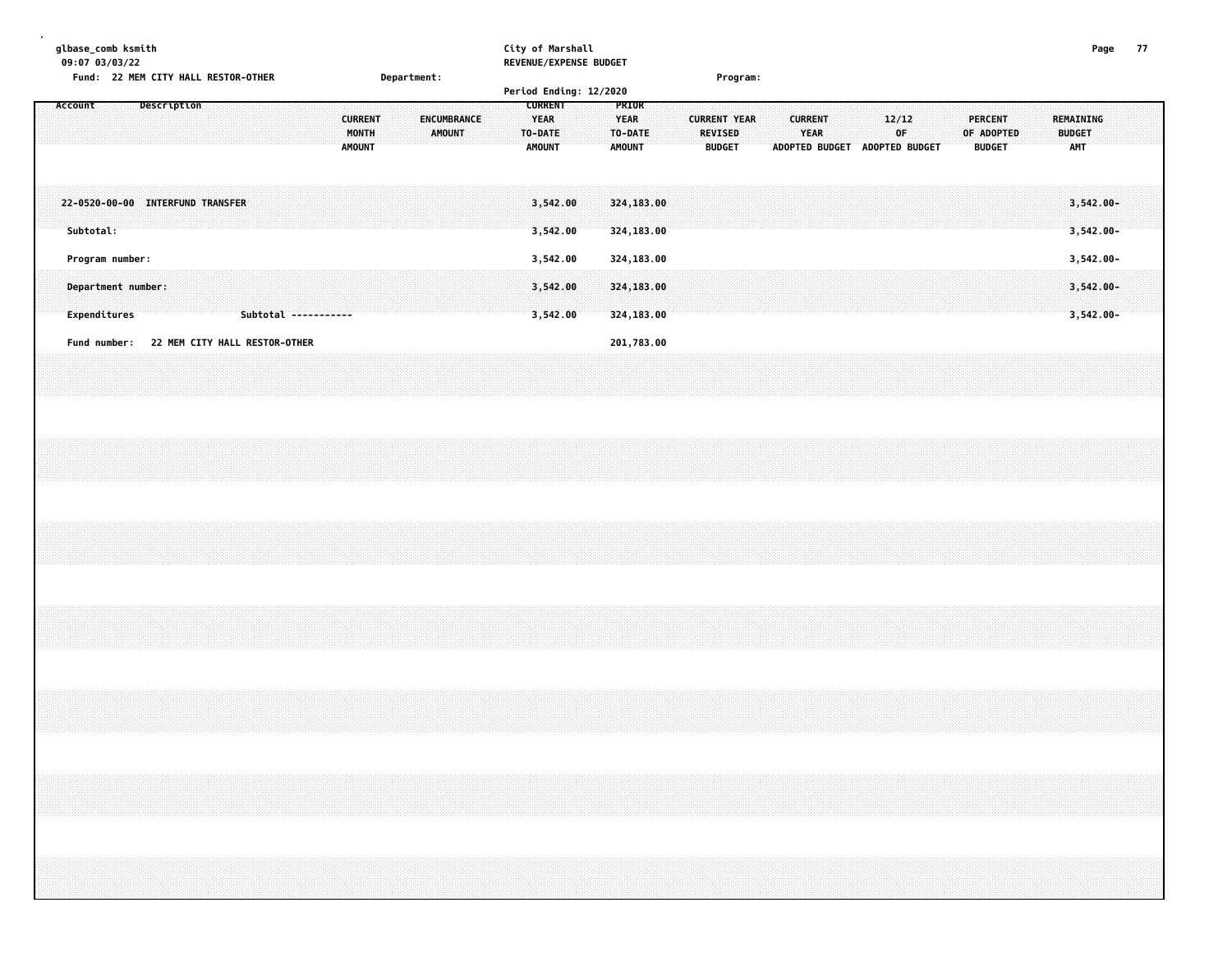| qlbase comb ksmith                  |             | City of Marshall       |          | Page | 77 |
|-------------------------------------|-------------|------------------------|----------|------|----|
| 09:07 03/03/22                      |             | REVENUE/EXPENSE BUDGET |          |      |    |
| Fund: 22 MEM CITY HALL RESTOR-OTHER | Department: |                        | Program: |      |    |
|                                     |             | Period Ending: 12/2020 |          |      |    |

| Account |                                               | Description |  |                               |  |                      | <b>CURRENT</b><br>MONTH<br><b>AMOUNT</b> |  | ENCUMBRANCE<br>AMOUNT |  | <b>CURRENT</b><br>YEAR<br>TO-DATE<br><b>AMOUNT</b> |  | <b>PRIOR</b><br><b>YEAR</b><br>TO-DATE:<br><b>AMOUNT</b> |  | <b>CURRENT YEAR</b> | <b>REVISED</b><br><b>BUDGET</b> |  | <b>CURRENT</b><br><b>YEAR</b> | ADOPTED BUDGET |  | 12/12<br>0F.<br>ADOPTED BUDGET |  | PERCENT<br>OF ADOPTED<br><b>BUDGET</b> |  | REMAINING<br><b>BUDGET</b><br><b>AMT</b> |  |  |
|---------|-----------------------------------------------|-------------|--|-------------------------------|--|----------------------|------------------------------------------|--|-----------------------|--|----------------------------------------------------|--|----------------------------------------------------------|--|---------------------|---------------------------------|--|-------------------------------|----------------|--|--------------------------------|--|----------------------------------------|--|------------------------------------------|--|--|
|         | 22-0520-00-00 INTERFUND TRANSFER<br>Subtotal: |             |  |                               |  |                      |                                          |  |                       |  | 3,542.00<br>3,542.00                               |  | 324,183.00<br>324,183.00                                 |  |                     |                                 |  |                               |                |  |                                |  |                                        |  | $3,542.00 -$<br>$3,542.00 -$             |  |  |
|         | Program number:                               |             |  |                               |  |                      |                                          |  |                       |  | 3,542.00                                           |  | 324,183.00                                               |  |                     |                                 |  |                               |                |  |                                |  |                                        |  | $3,542.00 -$                             |  |  |
|         | Department number:<br>Expenditures            |             |  |                               |  | Subtotal ----------- |                                          |  |                       |  | 3,542.00<br>3,542.00                               |  | 324, 183.00<br>324,183.00                                |  |                     |                                 |  |                               |                |  |                                |  |                                        |  | $3,542.00 -$<br>$3,542.00 -$             |  |  |
|         | Fund number:                                  |             |  | 22 MEM CITY HALL RESTOR-OTHER |  |                      |                                          |  |                       |  |                                                    |  | 201,783.00                                               |  |                     |                                 |  |                               |                |  |                                |  |                                        |  |                                          |  |  |
|         |                                               |             |  |                               |  |                      |                                          |  |                       |  |                                                    |  |                                                          |  |                     |                                 |  |                               |                |  |                                |  |                                        |  |                                          |  |  |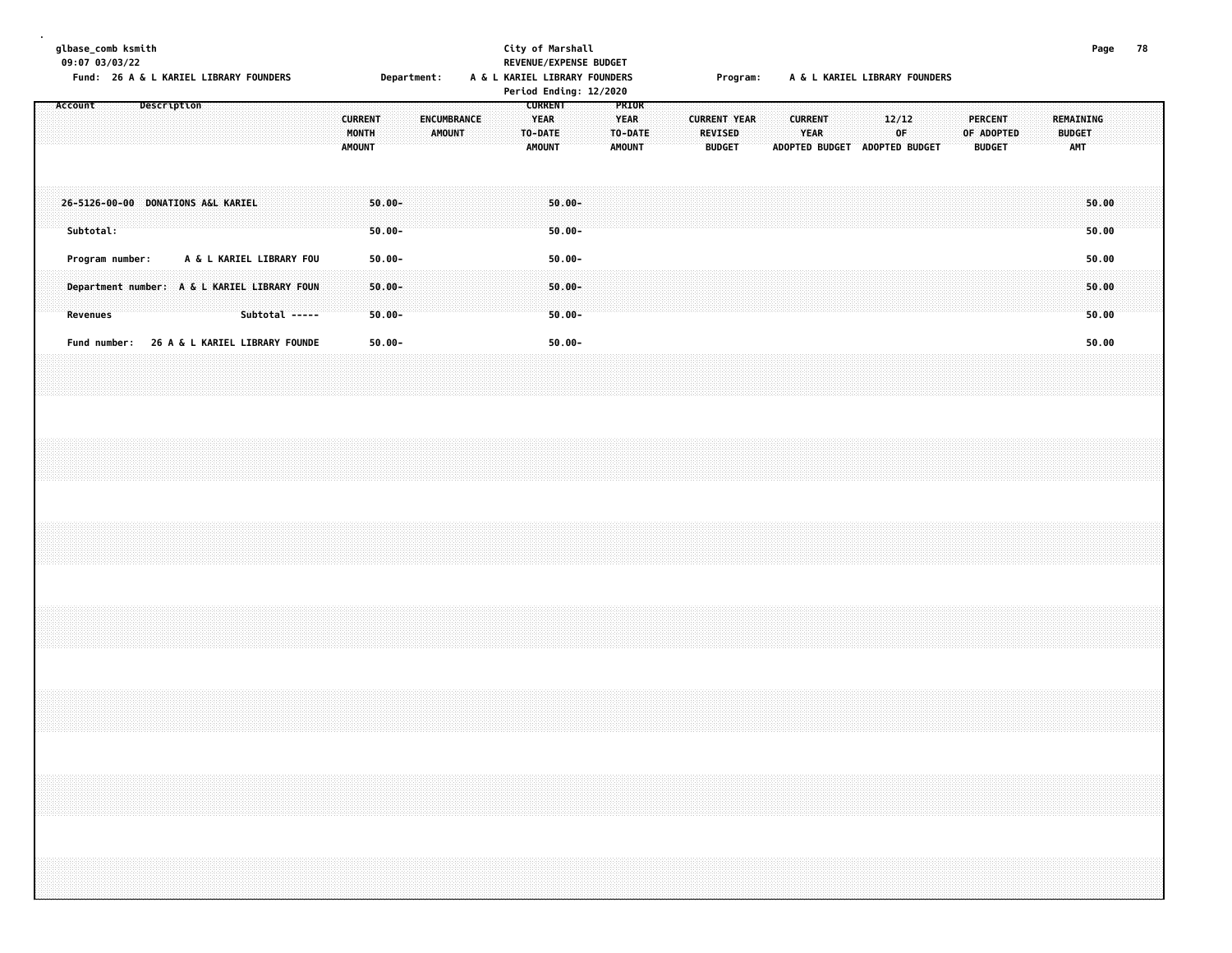|  |                 |                              | glbase_comb ksmith<br>09:07 03/03/22 |  |             | Fund: 26 A & L KARIEL LIBRARY FOUNDERS |  |  |                                                                                            |  |                                          |                                  | Department: |               |             |  |                                         | City of Marshall                    | REVENUE/EXPENSE BUDGET<br>A & L KARIEL LIBRARY FOUNDERS<br>Period Ending: 12/2020 |                                       |         |  |                     |                                 | Program: |                               |                        | A & L KARIEL LIBRARY FOUNDERS |       |    |  |            |                                 |  |                                                 | Page                    | 78 |  |
|--|-----------------|------------------------------|--------------------------------------|--|-------------|----------------------------------------|--|--|--------------------------------------------------------------------------------------------|--|------------------------------------------|----------------------------------|-------------|---------------|-------------|--|-----------------------------------------|-------------------------------------|-----------------------------------------------------------------------------------|---------------------------------------|---------|--|---------------------|---------------------------------|----------|-------------------------------|------------------------|-------------------------------|-------|----|--|------------|---------------------------------|--|-------------------------------------------------|-------------------------|----|--|
|  | Account         |                              |                                      |  | Description |                                        |  |  |                                                                                            |  | <b>CURRENT</b><br>MONTH<br><b>AMOUNT</b> |                                  |             | <b>AMOUNT</b> | ENCUMBRANCE |  | <b>YEAR</b><br>TO-DATE<br><b>AMOUNT</b> | <b>CURRENT</b>                      |                                                                                   | PRIOR<br><b>YEAR</b><br><b>AMOUNT</b> | TO-DATE |  | <b>CURRENT YEAR</b> | <b>REVISED</b><br><b>BUDGET</b> |          | ADOPTED BUDGET ADOPTED BUDGET | <b>CURRENT</b><br>YEAR |                               | 12/12 | 0F |  | OF ADOPTED | <b>PERCENT</b><br><b>BUDGET</b> |  | <b>REMAINING</b><br><b>BUDGET</b><br><b>AMT</b> |                         |    |  |
|  | Subtotal:       |                              |                                      |  |             | 26-5126-00-00 DONATIONS A&L KARIEL     |  |  |                                                                                            |  |                                          | $50.00 -$<br>$50.00 -$           |             |               |             |  |                                         | $50.00 -$<br>$50.00 -$              |                                                                                   |                                       |         |  |                     |                                 |          |                               |                        |                               |       |    |  |            |                                 |  |                                                 | 50.00<br>50.00          |    |  |
|  | <b>Revenues</b> |                              | Program number:                      |  |             |                                        |  |  | A & L KARIEL LIBRARY FOU<br>Department number: A & L KARIEL LIBRARY FOUN<br>Subtotal ----- |  |                                          | 50.00-<br>$50.00 -$<br>$50.00 -$ |             |               |             |  |                                         | $50.00 -$<br>$50.00 -$<br>$50.00 -$ |                                                                                   |                                       |         |  |                     |                                 |          |                               |                        |                               |       |    |  |            |                                 |  |                                                 | 50.00<br>50.00<br>50.00 |    |  |
|  |                 |                              |                                      |  |             |                                        |  |  | Fund number: 26 A & L KARIEL LIBRARY FOUNDE                                                |  |                                          | $50.00 -$                        |             |               |             |  |                                         | $50.00 -$                           |                                                                                   |                                       |         |  |                     |                                 |          |                               |                        |                               |       |    |  |            |                                 |  |                                                 | 50.00                   |    |  |
|  |                 |                              |                                      |  |             |                                        |  |  |                                                                                            |  |                                          |                                  |             |               |             |  |                                         |                                     |                                                                                   |                                       |         |  |                     |                                 |          |                               |                        |                               |       |    |  |            |                                 |  |                                                 |                         |    |  |
|  |                 |                              |                                      |  |             |                                        |  |  |                                                                                            |  |                                          |                                  |             |               |             |  |                                         |                                     |                                                                                   |                                       |         |  |                     |                                 |          |                               |                        |                               |       |    |  |            |                                 |  |                                                 |                         |    |  |
|  |                 |                              |                                      |  |             |                                        |  |  |                                                                                            |  |                                          |                                  |             |               |             |  |                                         |                                     |                                                                                   |                                       |         |  |                     |                                 |          |                               |                        |                               |       |    |  |            |                                 |  |                                                 |                         |    |  |
|  |                 |                              |                                      |  |             |                                        |  |  |                                                                                            |  |                                          |                                  |             |               |             |  |                                         |                                     |                                                                                   |                                       |         |  |                     |                                 |          |                               |                        |                               |       |    |  |            |                                 |  |                                                 |                         |    |  |
|  |                 | ,,,,,,,,,,,,,,,,,,,,,,,,,,,, |                                      |  |             |                                        |  |  |                                                                                            |  |                                          |                                  |             |               |             |  |                                         |                                     |                                                                                   |                                       |         |  |                     |                                 |          |                               |                        |                               |       |    |  |            |                                 |  |                                                 |                         |    |  |
|  |                 |                              |                                      |  |             |                                        |  |  |                                                                                            |  |                                          |                                  |             |               |             |  |                                         |                                     |                                                                                   |                                       |         |  |                     |                                 |          |                               |                        |                               |       |    |  |            |                                 |  |                                                 |                         |    |  |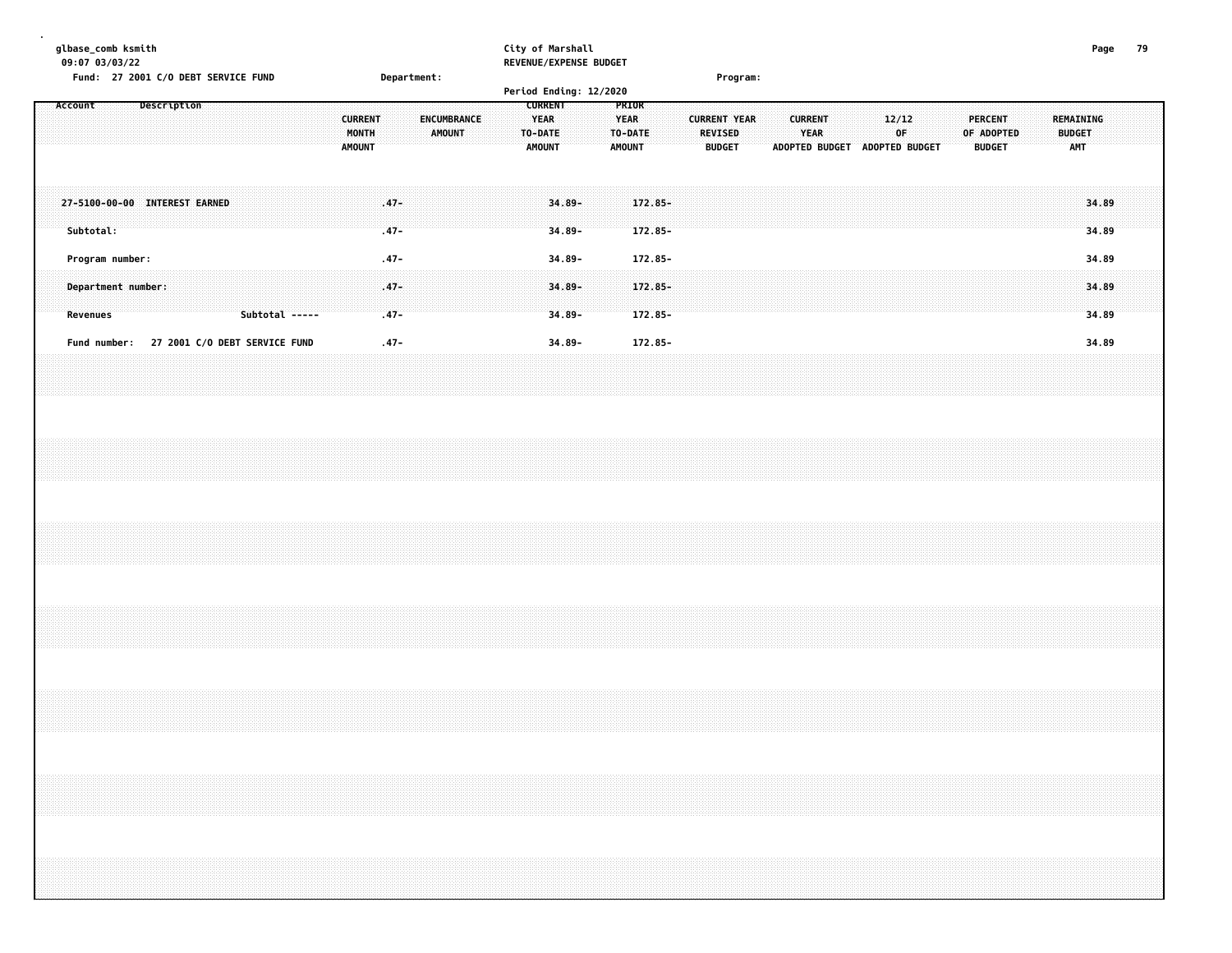| qlbase comb ksmith                  |             | City of Marshall<br>Page      |  |
|-------------------------------------|-------------|-------------------------------|--|
| 09:07 03/03/22                      |             | <b>REVENUE/EXPENSE BUDGET</b> |  |
| Fund: 27 2001 C/O DEBT SERVICE FUND | Department: | <b>Program:</b>               |  |
|                                     |             | ____                          |  |

|                                            |  |             |                               |                |  |                                          |                   |        |             |  |                                                    |                        | <b>Period Ending: 12/2020</b> |               |                          |  |                                                        |  |                                                        |  |                                |  |                                        |  |                                          |                |  |
|--------------------------------------------|--|-------------|-------------------------------|----------------|--|------------------------------------------|-------------------|--------|-------------|--|----------------------------------------------------|------------------------|-------------------------------|---------------|--------------------------|--|--------------------------------------------------------|--|--------------------------------------------------------|--|--------------------------------|--|----------------------------------------|--|------------------------------------------|----------------|--|
| Account                                    |  | Description |                               |                |  | <b>CURRENT</b><br>MONTH<br><b>AMOUNT</b> |                   | AMOUNT | ENCUMBRANCE |  | <b>CURRENT</b><br>YEAR<br>TO-DATE<br><b>AMOUNT</b> |                        |                               | <b>AMOUNT</b> | PRIOR<br>YEAR<br>TO-DATE |  | <b>CURRENT YEAR</b><br><b>REVISED</b><br><b>BUDGET</b> |  | <b>CURRENT</b><br><b>YEAR</b><br><b>ADOPTED BUDGET</b> |  | 12/12<br>∶OF<br>ADOPTED BUDGET |  | PERCENT<br>OF ADOPTED<br><b>BUDGET</b> |  | REMAINING<br><b>BUDGET</b><br><b>AMT</b> |                |  |
| 27-5100-00-00 INTEREST EARNED<br>Subtotal: |  |             |                               |                |  |                                          | $.47 -$<br>$.47-$ |        |             |  |                                                    | $34.89 -$<br>$34.89 -$ |                               |               | $172.85 -$<br>172.85-    |  |                                                        |  |                                                        |  |                                |  |                                        |  |                                          | 34.89<br>34.89 |  |
| Program number:                            |  |             |                               |                |  |                                          | $.47-$            |        |             |  |                                                    | 34.89-                 |                               |               | 172.85-                  |  |                                                        |  |                                                        |  |                                |  |                                        |  |                                          | 34.89          |  |
| Department number:<br>Revenues             |  |             |                               | Subtotal ----- |  |                                          | $.47-$<br>$.47 -$ |        |             |  |                                                    | $34.89 -$<br>$34.89 -$ |                               |               | $172.85 -$<br>$172.85 -$ |  |                                                        |  |                                                        |  |                                |  |                                        |  |                                          | 34.89<br>34.89 |  |
| Fund number:                               |  |             | 27 2001 C/O DEBT SERVICE FUND |                |  |                                          | $.47-$            |        |             |  |                                                    | 34.89-                 |                               |               | 172.85-                  |  |                                                        |  |                                                        |  |                                |  |                                        |  |                                          | 34.89          |  |
|                                            |  |             |                               |                |  |                                          |                   |        |             |  |                                                    |                        |                               |               |                          |  |                                                        |  |                                                        |  |                                |  |                                        |  |                                          |                |  |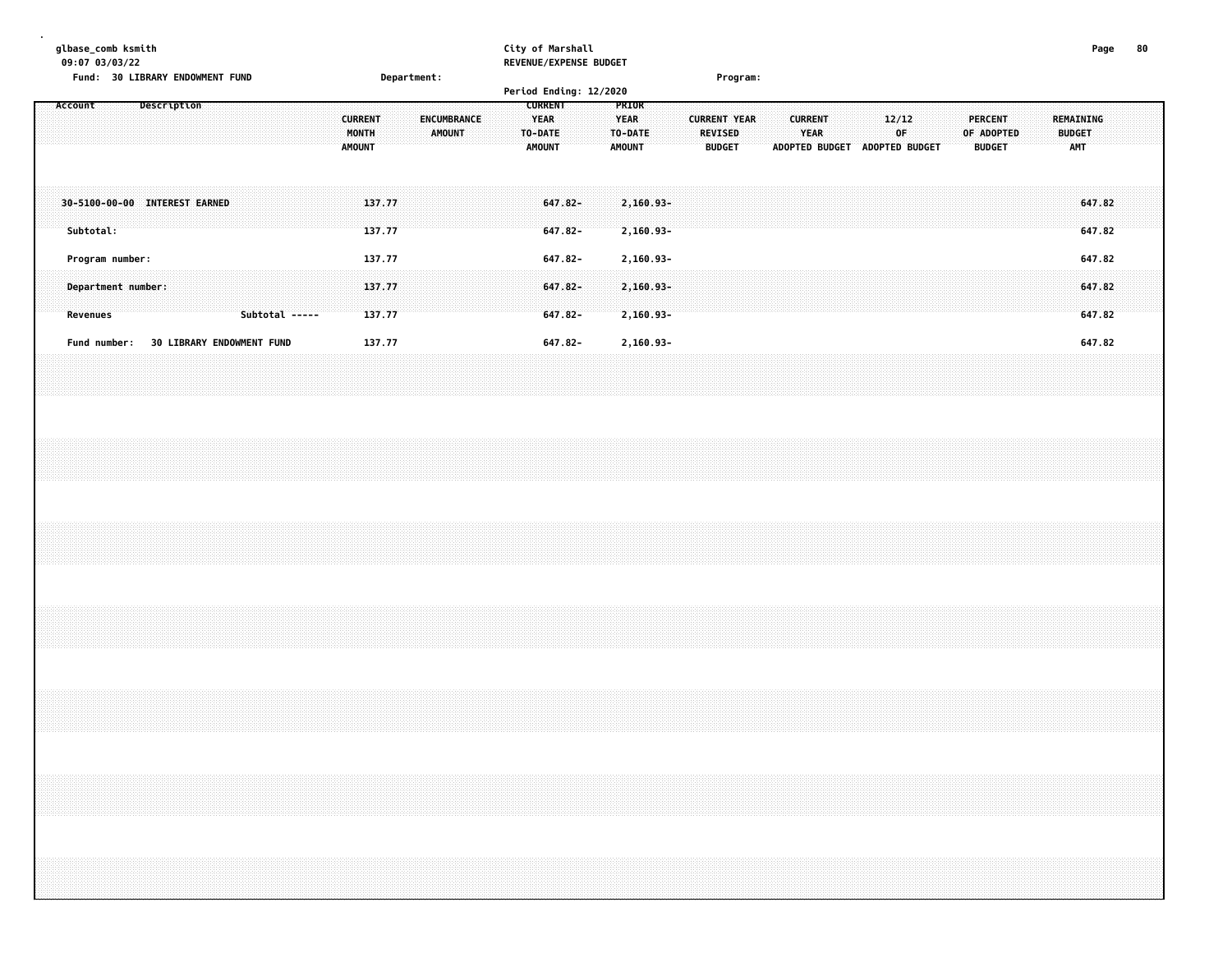| glbase_comb ksmith<br>09:07 03/03/22<br>Fund: 30 LIBRARY ENDOWMENT FUND | Department:                                                              | City of Marshall<br>REVENUE/EXPENSE BUDGET                                                                                        | Program:                                                                                                                         | Page<br>80                                                                                |
|-------------------------------------------------------------------------|--------------------------------------------------------------------------|-----------------------------------------------------------------------------------------------------------------------------------|----------------------------------------------------------------------------------------------------------------------------------|-------------------------------------------------------------------------------------------|
| Account<br>Description                                                  | <b>CURRENT</b><br><b>ENCUMBRANCE</b><br>MONTH<br>AMOUNT<br><b>AMOUNT</b> | Period Ending: 12/2020<br><b>CURRENT</b><br>PRIOR<br><b>YEAR</b><br><b>YEAR</b><br>TO-DATE<br>TO-DATE:<br><b>AMOUNT</b><br>AMOUNT | <b>CURRENT YEAR</b><br><b>CURRENT</b><br>12/12<br>0F<br><b>YEAR</b><br>REVISED<br><b>BUDGET</b><br>ADOPTED BUDGET ADOPTED BUDGET | <b>PERCENT</b><br>REMAINING<br>OF ADOPTED<br><b>BUDGET</b><br><b>BUDGET</b><br><b>AMT</b> |
| 30-5100-00-00 INTEREST EARNED<br>Subtotal:                              | 137.77<br>137.77                                                         | $647.82 -$<br>2,160.93-<br>647.82-<br>$2,160.93 -$                                                                                |                                                                                                                                  | 647.82<br>647.82                                                                          |
| Program number:<br>Department number:<br>Subtotal -----<br>Revenues     | 137.77<br>137.77<br>137.77                                               | 647.82-<br>2,160.93-<br>$647.82 -$<br>2,160.93-<br>647.82-<br>$2,160.93 -$                                                        |                                                                                                                                  | 647.82<br>647.82<br>647.82                                                                |
| 30 LIBRARY ENDOWMENT FUND<br>Fund number:                               | 137.77                                                                   | 2,160.93-<br>647.82-                                                                                                              |                                                                                                                                  | 647.82                                                                                    |
|                                                                         |                                                                          |                                                                                                                                   |                                                                                                                                  |                                                                                           |
|                                                                         |                                                                          |                                                                                                                                   |                                                                                                                                  |                                                                                           |
|                                                                         |                                                                          |                                                                                                                                   |                                                                                                                                  |                                                                                           |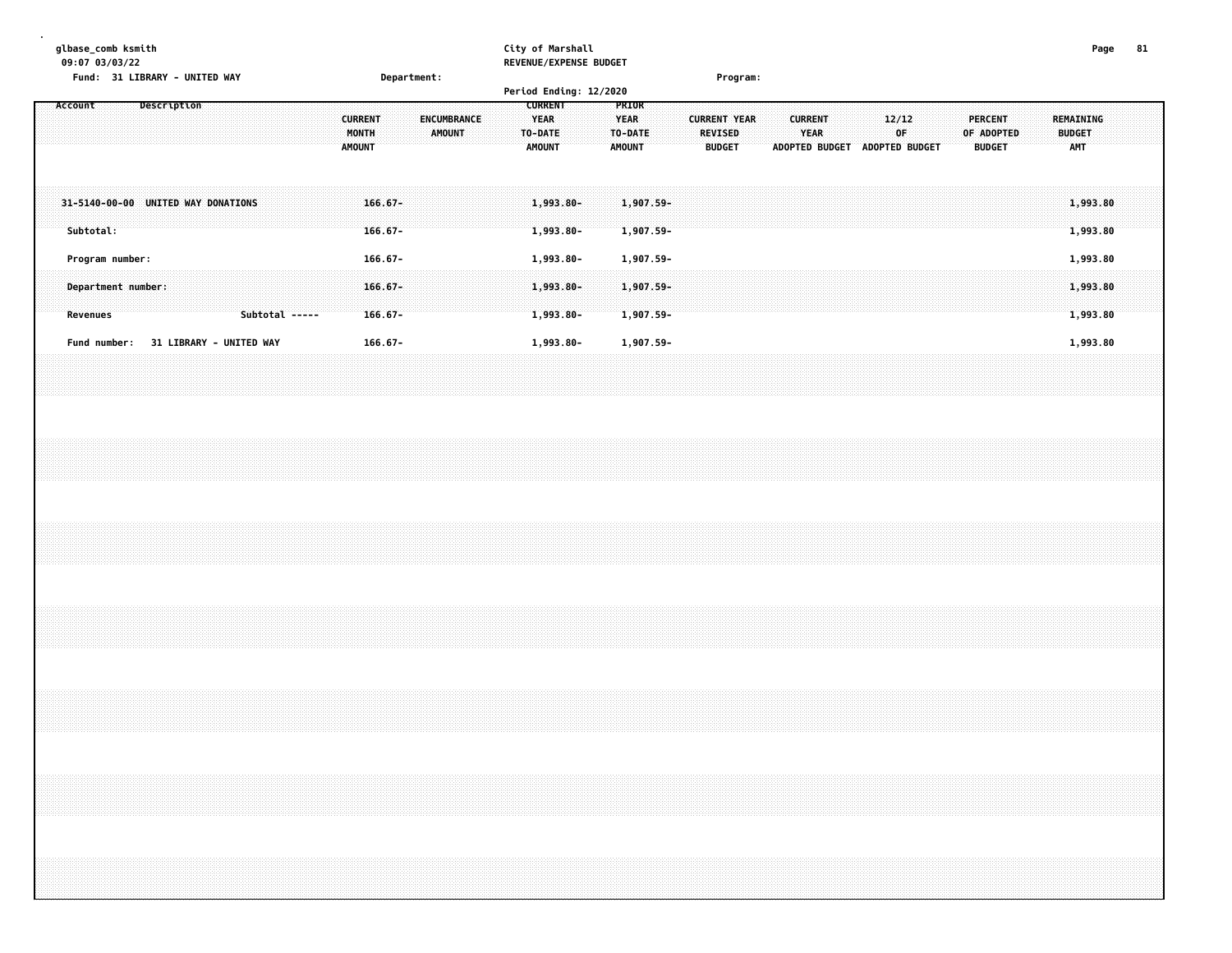| 09:07 03/03/22 | glbase_comb ksmith |                               |                             | City of Marshall<br>REVENUE/EXPENSE BUDGET  |                                                                                                                                                                                                                                                             | 81<br>rage      |
|----------------|--------------------|-------------------------------|-----------------------------|---------------------------------------------|-------------------------------------------------------------------------------------------------------------------------------------------------------------------------------------------------------------------------------------------------------------|-----------------|
|                |                    | Fund: 31 LIBRARY - UNITED WAY | Department:                 |                                             | Program:                                                                                                                                                                                                                                                    |                 |
|                |                    |                               |                             | Period Ending: 12/2020                      |                                                                                                                                                                                                                                                             |                 |
|                |                    |                               |                             | <b>CURRENT AND LOCAL CONTRACT OF STREET</b> |                                                                                                                                                                                                                                                             |                 |
|                |                    |                               |                             |                                             |                                                                                                                                                                                                                                                             |                 |
|                |                    |                               |                             | .                                           |                                                                                                                                                                                                                                                             |                 |
|                |                    |                               |                             |                                             |                                                                                                                                                                                                                                                             |                 |
|                |                    |                               | <b>MONTH</b><br>AMOUNT<br>. |                                             | <b>VFAR</b><br>and the second state of the second state of the second state of the second state of the second state of the second state of the second state of the second state of the second state of the second state of the second state o<br>OF ADOPTED |                 |
|                |                    |                               |                             |                                             |                                                                                                                                                                                                                                                             |                 |
|                |                    |                               | <b>AMOUNT</b>               | <b>AMOUNT</b><br><b>AMOUNT</b><br>.         | <b>ADOPTED BUDGET</b><br>ADOPTED BUDGET<br><b>BUDGET</b><br><b>BUDGET</b>                                                                                                                                                                                   | <b>AMT</b><br>. |

| UNITED WAY DONATIONS<br>31-5140-00-00<br>Subtotal:<br>Program number: | $166.67-$<br>$166.67 -$<br>$166.67 -$ | 1,907.59-<br>1,993.80-<br>$1,907.59 -$<br>$1,993.80 -$<br>1,907.59- | 1,993.80<br>1,993.80 |
|-----------------------------------------------------------------------|---------------------------------------|---------------------------------------------------------------------|----------------------|
| Department number:<br>Revenue                                         | $166.67 -$<br>166.67-                 | 1,907.59-<br>L.993.80-<br>$1,907.59 -$<br>1.993.80-                 | L.993.80             |
|                                                                       |                                       |                                                                     |                      |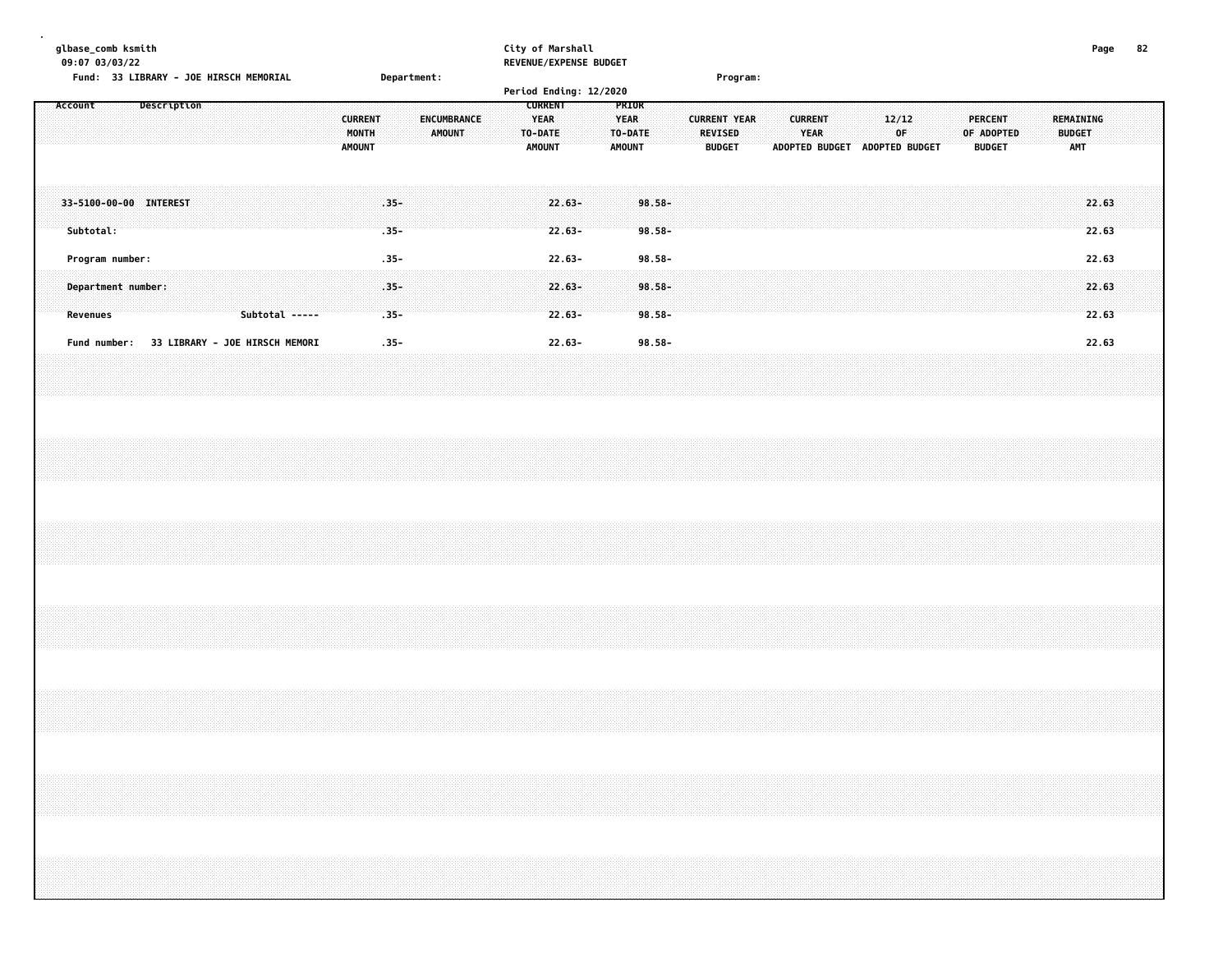| glbase_comb ksmith<br>09:07 03/03/22   |                    | City of Marshall<br>Page<br><b>REVENUE/EXPENSE BUDGET</b>                                                  | 82 |
|----------------------------------------|--------------------|------------------------------------------------------------------------------------------------------------|----|
| Fund: 33 LIBRARY - JOE HIRSCH MEMORIAL | <b>Department:</b> | <b>Program:</b>                                                                                            |    |
|                                        |                    | <b>Period Ending: 12/2020</b>                                                                              |    |
| Account                                | <b>CURRENT</b>     | PRIOR<br><b>CURRENT</b><br><b>CURRENT</b><br>12/12<br><b>CURRENT YEAR</b><br>YEAR<br><b>YEAR</b><br>.<br>. |    |

|                                             | <b>Revenues</b>        |                 | Subtotal:              |                                 |
|---------------------------------------------|------------------------|-----------------|------------------------|---------------------------------|
|                                             |                        | Program number: |                        |                                 |
|                                             | Department number:     |                 |                        |                                 |
| Fund number: 33 LIBRARY - JOE HIRSCH MEMORI |                        |                 | 33-5100-00-00 INTEREST |                                 |
|                                             |                        |                 |                        |                                 |
|                                             |                        |                 |                        |                                 |
|                                             | ----- Subtotal         |                 |                        |                                 |
|                                             |                        |                 |                        |                                 |
|                                             |                        |                 |                        |                                 |
|                                             |                        |                 |                        |                                 |
|                                             |                        |                 |                        | MONTH<br><b>AMOUNT</b>          |
|                                             |                        |                 |                        |                                 |
| $.35 -$                                     | . 35 –<br>. 35 –       | . 35 -          | . 35 -<br>$.35 -$      |                                 |
|                                             |                        |                 |                        |                                 |
|                                             |                        |                 |                        | AMOUNT                          |
|                                             |                        |                 |                        |                                 |
|                                             |                        |                 |                        |                                 |
|                                             |                        |                 |                        |                                 |
|                                             |                        |                 |                        | <b>TO-DATE</b><br><b>AMOUNT</b> |
| $22.63 -$                                   | $22.63 -$<br>$22.63 -$ | $22.63 -$       | $22.63 -$<br>$22.63 -$ |                                 |
|                                             |                        |                 |                        |                                 |
|                                             |                        |                 | anananan               | AMOUNT                          |
|                                             |                        |                 |                        | TO-DATE                         |
| 98.58-                                      | $98.58 -$<br>$98.58 -$ | 98.58-          | $98.58 -$<br>$98.58 -$ |                                 |
|                                             |                        |                 |                        |                                 |
|                                             |                        |                 |                        |                                 |
|                                             |                        |                 |                        | <b>REVISED</b><br><b>BUDGET</b> |
|                                             |                        |                 |                        |                                 |
|                                             |                        |                 |                        |                                 |
|                                             |                        |                 |                        | <b>YEAR</b>                     |
|                                             |                        |                 |                        | ADOPTED BUDGET                  |
|                                             |                        |                 |                        |                                 |
|                                             |                        |                 |                        |                                 |
|                                             |                        |                 |                        | 0F.<br>ADOPTED BUDGET           |
|                                             |                        |                 |                        |                                 |
|                                             |                        |                 |                        |                                 |
|                                             |                        |                 |                        |                                 |
|                                             |                        |                 |                        | OF ADOPTED<br><b>BUDGET</b>     |
|                                             |                        |                 |                        |                                 |
|                                             |                        |                 |                        |                                 |
|                                             |                        |                 |                        |                                 |
|                                             |                        |                 |                        | <b>BUDGET</b><br><b>AMT</b>     |
| 22.63                                       | 22.63<br>22.63         | 22.63           | 22.63<br>22.63         |                                 |
|                                             |                        |                 |                        |                                 |
|                                             |                        |                 |                        |                                 |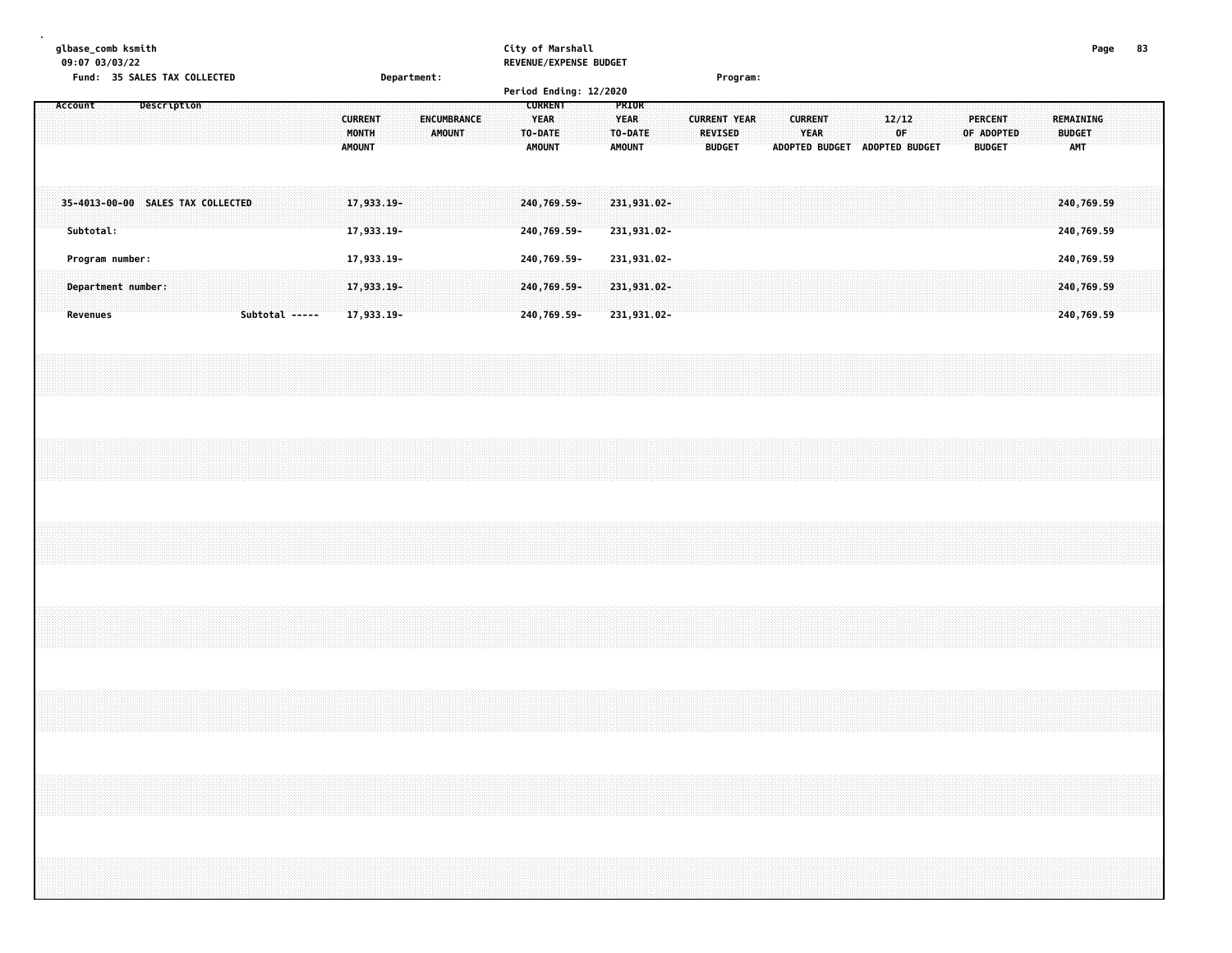| glbase_comb ksmith<br>09:07 03/03/22<br>Fund: 35 SALES TAX COLLECTED<br>Account<br>Description |                 |  |                                                                                                                                                                      |  |  |                |  |  |  |                                          |  | Department: |               |  |  | <b>CURRENT</b>                   |                            | City of Marshall | REVENUE/EXPENSE BUDGET<br>Period Ending: 12/2020 | PRIOR                                   |  |  |                                                        | Program: |  |                               |  |                               | 12/12 |  |  |                                               |  |               |     | Page<br>REMAINING        |  | 83 |  |
|------------------------------------------------------------------------------------------------|-----------------|--|----------------------------------------------------------------------------------------------------------------------------------------------------------------------|--|--|----------------|--|--|--|------------------------------------------|--|-------------|---------------|--|--|----------------------------------|----------------------------|------------------|--------------------------------------------------|-----------------------------------------|--|--|--------------------------------------------------------|----------|--|-------------------------------|--|-------------------------------|-------|--|--|-----------------------------------------------|--|---------------|-----|--------------------------|--|----|--|
|                                                                                                |                 |  |                                                                                                                                                                      |  |  |                |  |  |  | <b>CURRENT</b><br>MONTH<br><b>AMOUNT</b> |  | ENCUMBRANCE | <b>AMOUNT</b> |  |  | <b>YEAR</b><br>TO-DATE<br>AMOUNT |                            |                  |                                                  | <b>YEAR</b><br>TO-DATE<br><b>AMOUNT</b> |  |  | <b>CURRENT YEAR</b><br><b>REVISED</b><br><b>BUDGET</b> |          |  | <b>CURRENT</b><br><b>YEAR</b> |  | ADOPTED BUDGET ADOPTED BUDGET | 0F    |  |  | <b>PERCENT</b><br>OF ADOPTED<br><b>BUDGET</b> |  | <b>BUDGET</b> | AMT |                          |  |    |  |
| 35-4013-00-00 SALES TAX COLLECTED<br>Subtotal:                                                 |                 |  |                                                                                                                                                                      |  |  |                |  |  |  | 17,933.19-<br>17,933.19-                 |  |             |               |  |  |                                  | 240,769.59-<br>240,769.59- |                  |                                                  | 231,931.02-<br>231,931.02-              |  |  |                                                        |          |  |                               |  |                               |       |  |  |                                               |  |               |     | 240,769.59<br>240,769.59 |  |    |  |
| Program number:                                                                                |                 |  |                                                                                                                                                                      |  |  |                |  |  |  | 17,933.19-                               |  |             |               |  |  |                                  | 240,769.59-                |                  |                                                  | 231,931.02-                             |  |  |                                                        |          |  |                               |  |                               |       |  |  |                                               |  |               |     | 240,769.59               |  |    |  |
|                                                                                                | <b>Revenues</b> |  | Department number:                                                                                                                                                   |  |  | Subtotal ----- |  |  |  | 17,933.19-<br>17,933.19-                 |  |             |               |  |  |                                  | 240,769.59-<br>240,769.59- |                  |                                                  | 231,931.02-<br>231,931.02-              |  |  |                                                        |          |  |                               |  |                               |       |  |  |                                               |  |               |     | 240,769.59<br>240,769.59 |  |    |  |
|                                                                                                |                 |  |                                                                                                                                                                      |  |  |                |  |  |  |                                          |  |             |               |  |  |                                  |                            |                  |                                                  |                                         |  |  |                                                        |          |  |                               |  |                               |       |  |  |                                               |  |               |     |                          |  |    |  |
|                                                                                                |                 |  |                                                                                                                                                                      |  |  |                |  |  |  |                                          |  |             |               |  |  |                                  |                            |                  |                                                  |                                         |  |  |                                                        |          |  |                               |  |                               |       |  |  |                                               |  |               |     |                          |  |    |  |
|                                                                                                |                 |  |                                                                                                                                                                      |  |  |                |  |  |  |                                          |  |             |               |  |  |                                  |                            |                  |                                                  |                                         |  |  |                                                        |          |  |                               |  |                               |       |  |  |                                               |  |               |     |                          |  |    |  |
|                                                                                                |                 |  |                                                                                                                                                                      |  |  |                |  |  |  |                                          |  |             |               |  |  |                                  |                            |                  |                                                  |                                         |  |  |                                                        |          |  |                               |  |                               |       |  |  |                                               |  |               |     |                          |  |    |  |
|                                                                                                |                 |  |                                                                                                                                                                      |  |  |                |  |  |  |                                          |  |             |               |  |  |                                  |                            |                  |                                                  |                                         |  |  |                                                        |          |  |                               |  |                               |       |  |  |                                               |  |               |     |                          |  |    |  |
|                                                                                                |                 |  | ,我们就会在这里,我们就会在这里的时候,我们就会在这里,我们就会在这里,我们就会在这里,我们就会在这里,我们就会在这里,我们就会在这里,我们就会在这里,我们就会<br>第25章 我们的时候,我们就会在这里,我们就会在这里,我们就会在这里,我们就会在这里,我们就会在这里,我们就会在这里,我们就会在这里,我们就会在这里,我们就会在 |  |  |                |  |  |  |                                          |  |             |               |  |  |                                  |                            |                  |                                                  |                                         |  |  |                                                        |          |  |                               |  |                               |       |  |  |                                               |  |               |     |                          |  |    |  |
|                                                                                                |                 |  |                                                                                                                                                                      |  |  |                |  |  |  |                                          |  |             |               |  |  |                                  |                            |                  |                                                  |                                         |  |  |                                                        |          |  |                               |  |                               |       |  |  |                                               |  |               |     |                          |  |    |  |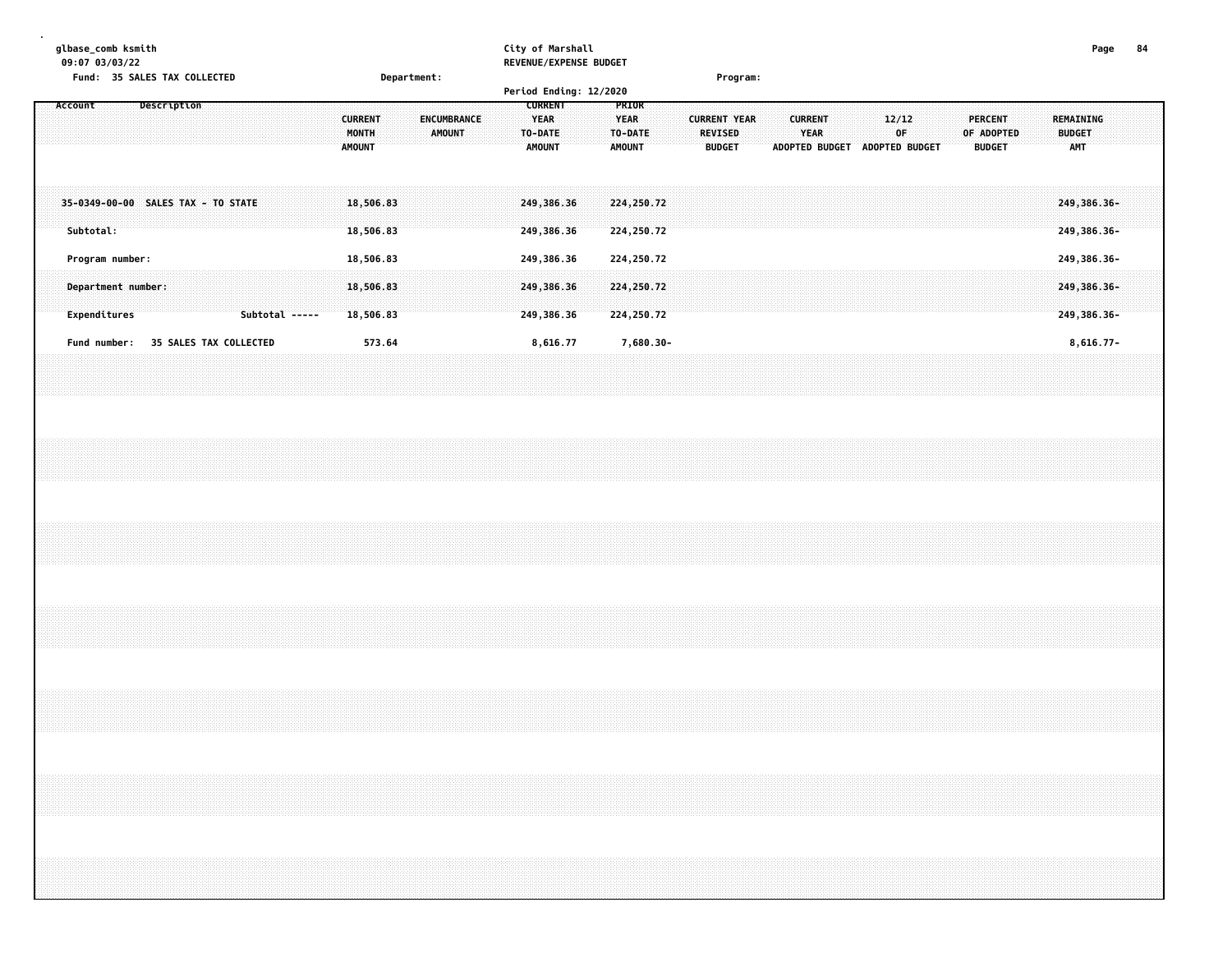| glbase_comb ksmith |           | 09:07 03/03/22 | Fund: 35 SALES TAX COLLECTED       |             |  |                        |  |  |                                          |                        | Department: |                                     |  |  | City of Marshall                                          |  | REVENUE/EXPENSE BUDGET<br>Period Ending: 12/2020 |                                                  |                            |  |                                 | Program:            |  |                |      |  |                                        |    |  |                                               |  |                                                                                                                                                                                                                                     | Page | 84 |
|--------------------|-----------|----------------|------------------------------------|-------------|--|------------------------|--|--|------------------------------------------|------------------------|-------------|-------------------------------------|--|--|-----------------------------------------------------------|--|--------------------------------------------------|--------------------------------------------------|----------------------------|--|---------------------------------|---------------------|--|----------------|------|--|----------------------------------------|----|--|-----------------------------------------------|--|-------------------------------------------------------------------------------------------------------------------------------------------------------------------------------------------------------------------------------------|------|----|
| Account            |           |                |                                    | Description |  |                        |  |  | <b>CURRENT</b><br>MONTH<br><b>AMOUNT</b> |                        |             | <b>ENCUMBRANCE</b><br><b>AMOUNT</b> |  |  | <b>CURRENT</b><br><b>YEAR</b><br>TO-DATE<br><b>AMOUNT</b> |  |                                                  | PRIOR<br><b>YEAR</b><br>TO-DATE<br><b>AMOUNT</b> |                            |  | <b>REVISED</b><br><b>BUDGET</b> | <b>CURRENT YEAR</b> |  | <b>CURRENT</b> | YEAR |  | 12/12<br>ADOPTED BUDGET ADOPTED BUDGET | OF |  | <b>PERCENT</b><br>OF ADOPTED<br><b>BUDGET</b> |  | REMAINING<br><b>BUDGET</b><br><b>AMT</b>                                                                                                                                                                                            |      |    |
|                    | Subtotal: |                | 35-0349-00-00 SALES TAX - TO STATE |             |  |                        |  |  |                                          | 18,506.83<br>18,506.83 |             |                                     |  |  | 249,386.36<br>249,386.36                                  |  |                                                  |                                                  | 224, 250.72<br>224, 250.72 |  |                                 |                     |  |                |      |  |                                        |    |  |                                               |  | 249,386.36-<br>249, 386. 36-                                                                                                                                                                                                        |      |    |
|                    |           |                | Program number:                    |             |  |                        |  |  |                                          | 18,506.83              |             |                                     |  |  | 249,386.36                                                |  |                                                  |                                                  | 224,250.72                 |  |                                 |                     |  |                |      |  |                                        |    |  |                                               |  | 249,386.36-                                                                                                                                                                                                                         |      |    |
|                    |           | Expenditures   | Department number:                 |             |  | Subtotal -----         |  |  |                                          | 18,506.83<br>18,506.83 |             |                                     |  |  | 249,386.36<br>249,386.36                                  |  |                                                  |                                                  | 224,250.72<br>224, 250. 72 |  |                                 |                     |  |                |      |  |                                        |    |  |                                               |  | 249,386.36-<br>249,386.36-                                                                                                                                                                                                          |      |    |
|                    |           |                | Fund number:                       |             |  | 35 SALES TAX COLLECTED |  |  |                                          | 573.64                 |             |                                     |  |  | 8,616.77                                                  |  |                                                  |                                                  | 7,680.30-                  |  |                                 |                     |  |                |      |  |                                        |    |  |                                               |  | $8,616.77-$                                                                                                                                                                                                                         |      |    |
|                    |           |                |                                    |             |  |                        |  |  |                                          |                        |             |                                     |  |  |                                                           |  |                                                  |                                                  |                            |  |                                 |                     |  |                |      |  |                                        |    |  |                                               |  |                                                                                                                                                                                                                                     |      |    |
|                    |           |                |                                    |             |  |                        |  |  |                                          |                        |             |                                     |  |  |                                                           |  |                                                  |                                                  |                            |  |                                 |                     |  |                |      |  |                                        |    |  |                                               |  |                                                                                                                                                                                                                                     |      |    |
|                    |           |                |                                    |             |  |                        |  |  |                                          |                        |             |                                     |  |  |                                                           |  |                                                  |                                                  |                            |  |                                 |                     |  |                |      |  |                                        |    |  |                                               |  |                                                                                                                                                                                                                                     |      |    |
|                    |           |                |                                    |             |  |                        |  |  |                                          |                        |             |                                     |  |  |                                                           |  |                                                  |                                                  |                            |  |                                 |                     |  |                |      |  |                                        |    |  |                                               |  |                                                                                                                                                                                                                                     |      |    |
|                    |           |                |                                    |             |  |                        |  |  |                                          |                        |             |                                     |  |  |                                                           |  |                                                  |                                                  |                            |  |                                 |                     |  |                |      |  |                                        |    |  |                                               |  |                                                                                                                                                                                                                                     |      |    |
|                    |           |                |                                    |             |  |                        |  |  |                                          |                        |             |                                     |  |  |                                                           |  |                                                  |                                                  |                            |  |                                 |                     |  |                |      |  |                                        |    |  |                                               |  | ,我们就会在这里,我们就会在这里的时候,我们就会在这里,我们就会在这里,我们就会在这里,我们就会在这里,我们就会在这里,我们就会在这里,我们就会在这里,我们就会<br>第25章 我们的时候,我们就会在这里,我们就会在这里,我们就会在这里,我们就会在这里,我们就会在这里,我们就会在这里,我们就会在这里,我们就会在这里,我们就会在                                                                |      |    |
|                    |           |                |                                    |             |  |                        |  |  |                                          |                        |             |                                     |  |  |                                                           |  |                                                  |                                                  |                            |  |                                 |                     |  |                |      |  |                                        |    |  |                                               |  | <b>1990年10月19日 - 1990年10月19日 - 1990年10月19日 - 1990年10月19日 - 1990年10月19日 - 1990年10月19日 - 1990年10月19日 - 1990年10月19日 - 1990年10月19日 - 1990年10月19日 - 1990年10月19日 - 1990年10月19日 - 1990年10月19日 - 1990年10月19日 - 1990年10月19日 - 1990年10月19</b> |      |    |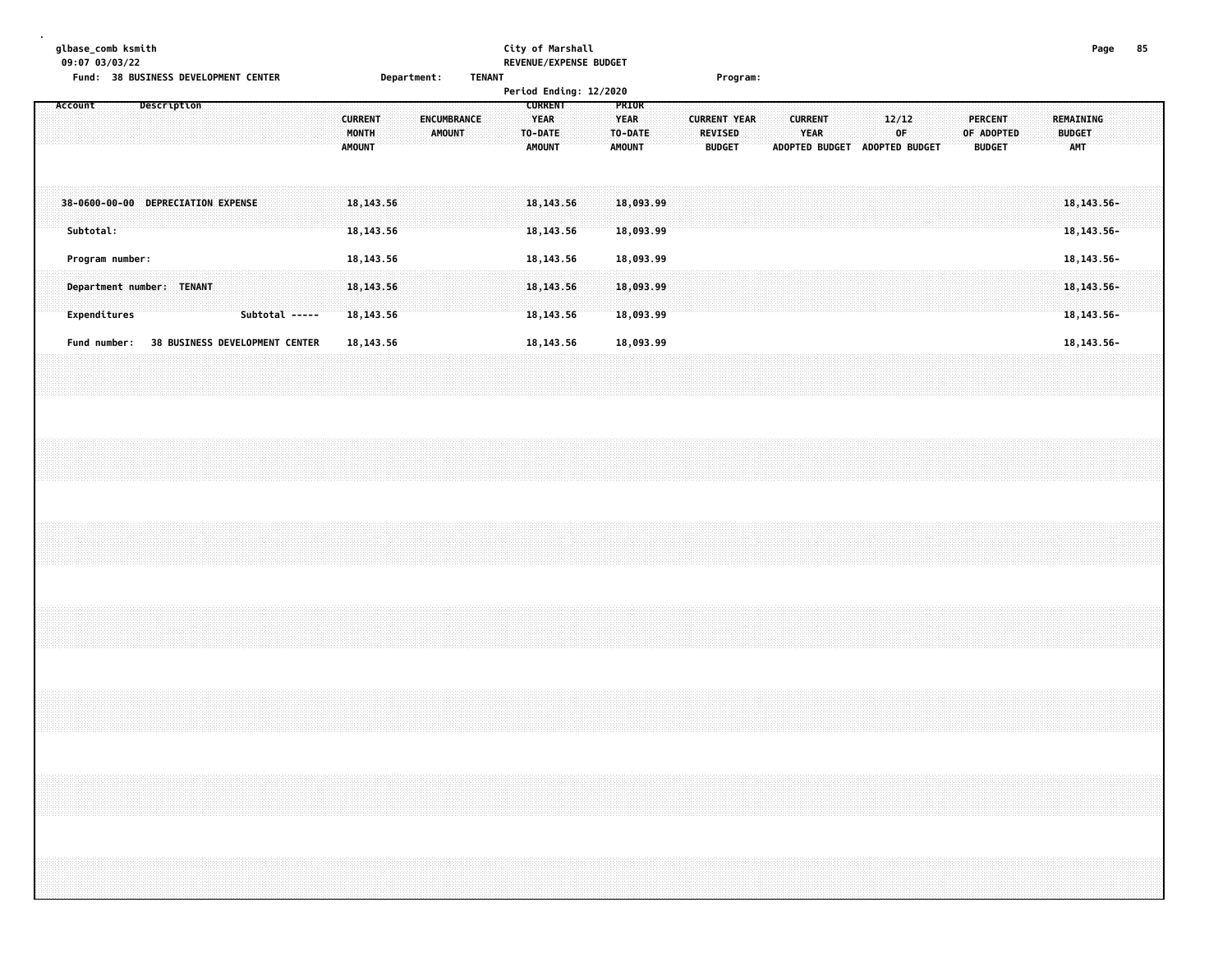| glbase_comb ksmith |           | 09:07 03/03/22                                               |             |                                    | Fund: 38 BUSINESS DEVELOPMENT CENTER |  |                                          |  | Department: |                              | <b>TENANT</b> |                                                           | City of Marshall                       | REVENUE/EXPENSE BUDGET |                                                  |                                     |                     |                                 | Program: |                               |                               |  |             |  |                                               |  |                                               | Page | 85 |  |
|--------------------|-----------|--------------------------------------------------------------|-------------|------------------------------------|--------------------------------------|--|------------------------------------------|--|-------------|------------------------------|---------------|-----------------------------------------------------------|----------------------------------------|------------------------|--------------------------------------------------|-------------------------------------|---------------------|---------------------------------|----------|-------------------------------|-------------------------------|--|-------------|--|-----------------------------------------------|--|-----------------------------------------------|------|----|--|
| Account            |           |                                                              | Description |                                    |                                      |  | <b>CURRENT</b><br>MONTH<br><b>AMOUNT</b> |  |             | ENCUMBRANCE<br><b>AMOUNT</b> |               | <b>CURRENT</b><br><b>YEAR</b><br>TO-DATE<br><b>AMOUNT</b> |                                        | Period Ending: 12/2020 | PRIOR<br><b>YEAR</b><br>TO-DATE<br><b>AMOUNT</b> |                                     | <b>CURRENT YEAR</b> | <b>REVISED</b><br><b>BUDGET</b> |          | ADOPTED BUDGET ADOPTED BUDGET | <b>CURRENT</b><br><b>YEAR</b> |  | 12/12<br>0F |  | <b>PERCENT</b><br>OF ADOPTED<br><b>BUDGET</b> |  | REMAINING<br><b>BUDGET</b><br><b>AMT</b>      |      |    |  |
|                    | Subtotal: |                                                              |             | 38-0600-00-00 DEPRECIATION EXPENSE |                                      |  | 18, 143.56<br>18, 143.56                 |  |             |                              |               |                                                           | 18, 143, 56<br>18, 143.56              |                        |                                                  | 18,093.99<br>18,093.99              |                     |                                 |          |                               |                               |  |             |  |                                               |  | 18, 143.56-<br>18, 143.56-                    |      |    |  |
|                    |           | Program number:<br>Department number: TENANT<br>Expenditures |             |                                    | Subtotal -----                       |  | 18, 143.56<br>18, 143.56<br>18, 143.56   |  |             |                              |               |                                                           | 18, 143.56<br>18, 143.56<br>18, 143.56 |                        |                                                  | 18,093.99<br>18,093.99<br>18,093.99 |                     |                                 |          |                               |                               |  |             |  |                                               |  | 18, 143. 56-<br>18, 143.56-<br>$18, 143.56 -$ |      |    |  |
|                    |           | Fund number:                                                 |             |                                    | 38 BUSINESS DEVELOPMENT CENTER       |  | 18, 143.56                               |  |             |                              |               |                                                           | 18, 143.56                             |                        |                                                  | 18,093.99                           |                     |                                 |          |                               |                               |  |             |  |                                               |  | 18, 143.56-                                   |      |    |  |
|                    |           |                                                              |             |                                    |                                      |  |                                          |  |             |                              |               |                                                           |                                        |                        |                                                  |                                     |                     |                                 |          |                               |                               |  |             |  |                                               |  |                                               |      |    |  |
|                    |           |                                                              |             |                                    |                                      |  |                                          |  |             |                              |               |                                                           |                                        |                        |                                                  |                                     |                     |                                 |          |                               |                               |  |             |  |                                               |  |                                               |      |    |  |
|                    |           |                                                              |             |                                    |                                      |  |                                          |  |             |                              |               |                                                           |                                        |                        |                                                  |                                     |                     |                                 |          |                               |                               |  |             |  |                                               |  |                                               |      |    |  |
|                    |           |                                                              |             |                                    |                                      |  |                                          |  |             |                              |               |                                                           |                                        |                        |                                                  |                                     |                     |                                 |          |                               |                               |  |             |  |                                               |  |                                               |      |    |  |
|                    |           |                                                              |             |                                    |                                      |  |                                          |  |             |                              |               |                                                           |                                        |                        |                                                  |                                     |                     |                                 |          |                               |                               |  |             |  |                                               |  |                                               |      |    |  |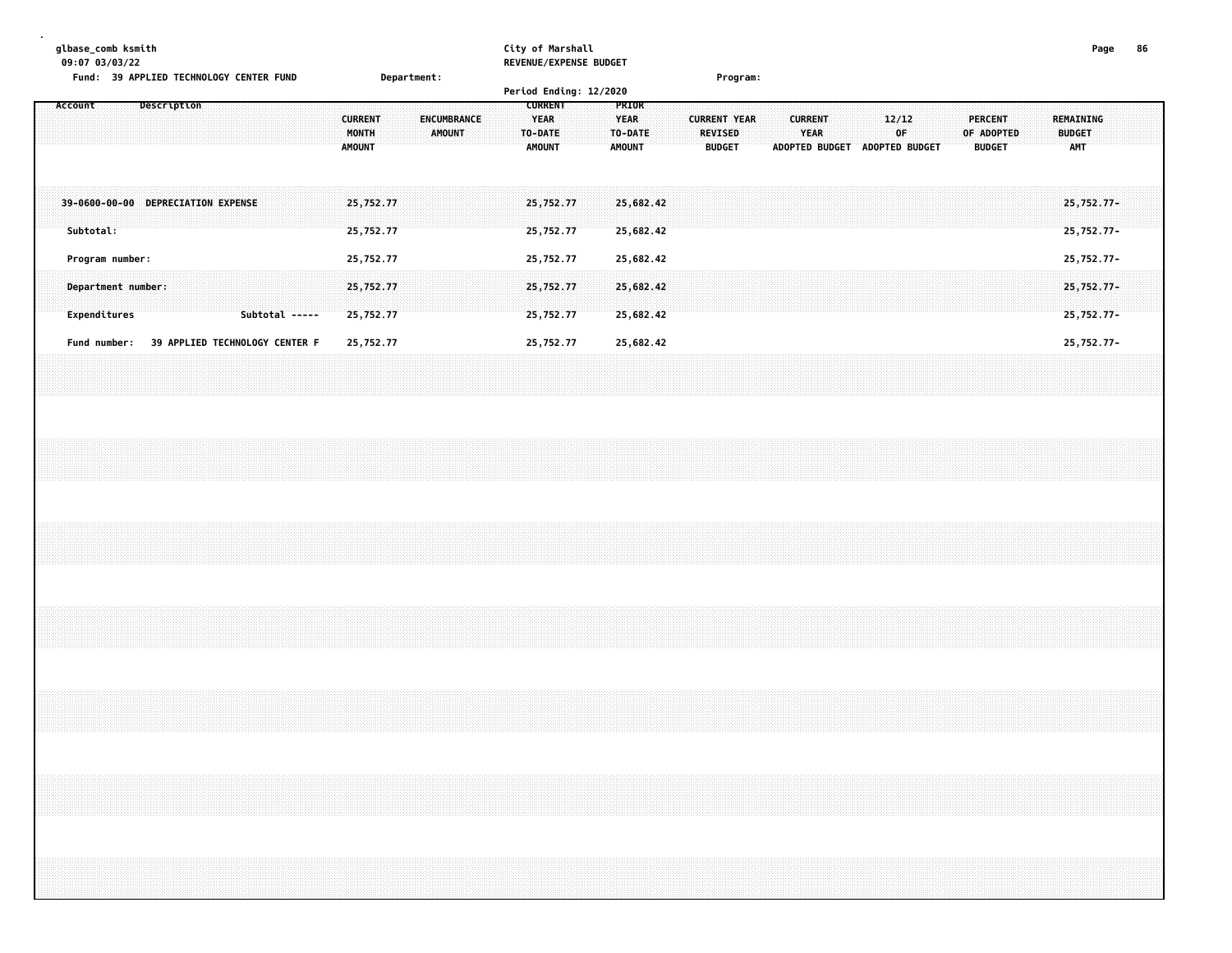| qlbase comb ksmith                      |             | City of Marshall              | Page |  |
|-----------------------------------------|-------------|-------------------------------|------|--|
| 09:07 03/03/22                          |             | <b>REVENUE/EXPENSE BUDGET</b> |      |  |
| Fund: 39 APPLIED TECHNOLOGY CENTER FUND | Department: | <b>Program</b> :              |      |  |

|         |                                                       |             |  |                                       |  |                                                 |                       |  | <b>Period Ending: 12/2020</b>    |                                     |                       |                                     |                     |                                 |  |                                                        |  |                                |  |                                               |  |                                          |                                             |  |
|---------|-------------------------------------------------------|-------------|--|---------------------------------------|--|-------------------------------------------------|-----------------------|--|----------------------------------|-------------------------------------|-----------------------|-------------------------------------|---------------------|---------------------------------|--|--------------------------------------------------------|--|--------------------------------|--|-----------------------------------------------|--|------------------------------------------|---------------------------------------------|--|
| Account |                                                       | Description |  |                                       |  | <b>CURRENT</b><br><b>MONTH</b><br><b>AMOUNT</b> | ENCUMBRANCE<br>AMOUNT |  | YEAR<br>TO-DATE<br><b>AMOUNT</b> | <b>CURRENT</b>                      | YEAR<br><b>AMOUNT</b> | <b>PRIOR</b><br>TO-DATE             | <b>CURRENT YEAR</b> | <b>REVISED</b><br><b>BUDGET</b> |  | <b>CURRENT</b><br><b>YEAR</b><br><b>ADOPTED BUDGET</b> |  | 12/12<br>∶OF<br>ADOPTED BUDGET |  | <b>PERCENT</b><br>OF ADOPTED<br><b>BUDGET</b> |  | REMAINING<br><b>BUDGET</b><br><b>AMT</b> |                                             |  |
|         | 39-0600-00-00 DEPRECIATION EXPENSE<br>Subtotal:       |             |  |                                       |  | 25,752.77<br>25,752.77                          |                       |  |                                  | 25,752,77<br>25,752.77              |                       | 25,682.42<br>25,682.42              |                     |                                 |  |                                                        |  |                                |  |                                               |  |                                          | $25,752.77 -$<br>25,752.77-                 |  |
|         | Program number:<br>Department number:<br>Expenditures |             |  | Subtotal -----                        |  | 25,752.77<br>25,752.77<br>25,752.77             |                       |  |                                  | 25,752.77<br>25,752.77<br>25,752.77 |                       | 25,682.42<br>25,682.42<br>25,682.42 |                     |                                 |  |                                                        |  |                                |  |                                               |  |                                          | 25,752.77-<br>$25,752.77-$<br>$25,752.77 -$ |  |
|         | Fund number:                                          |             |  | <b>39 APPLIED TECHNOLOGY CENTER F</b> |  | 25,752.77                                       |                       |  |                                  | 25,752.77                           |                       | 25,682.42                           |                     |                                 |  |                                                        |  |                                |  |                                               |  |                                          | 25,752.77-                                  |  |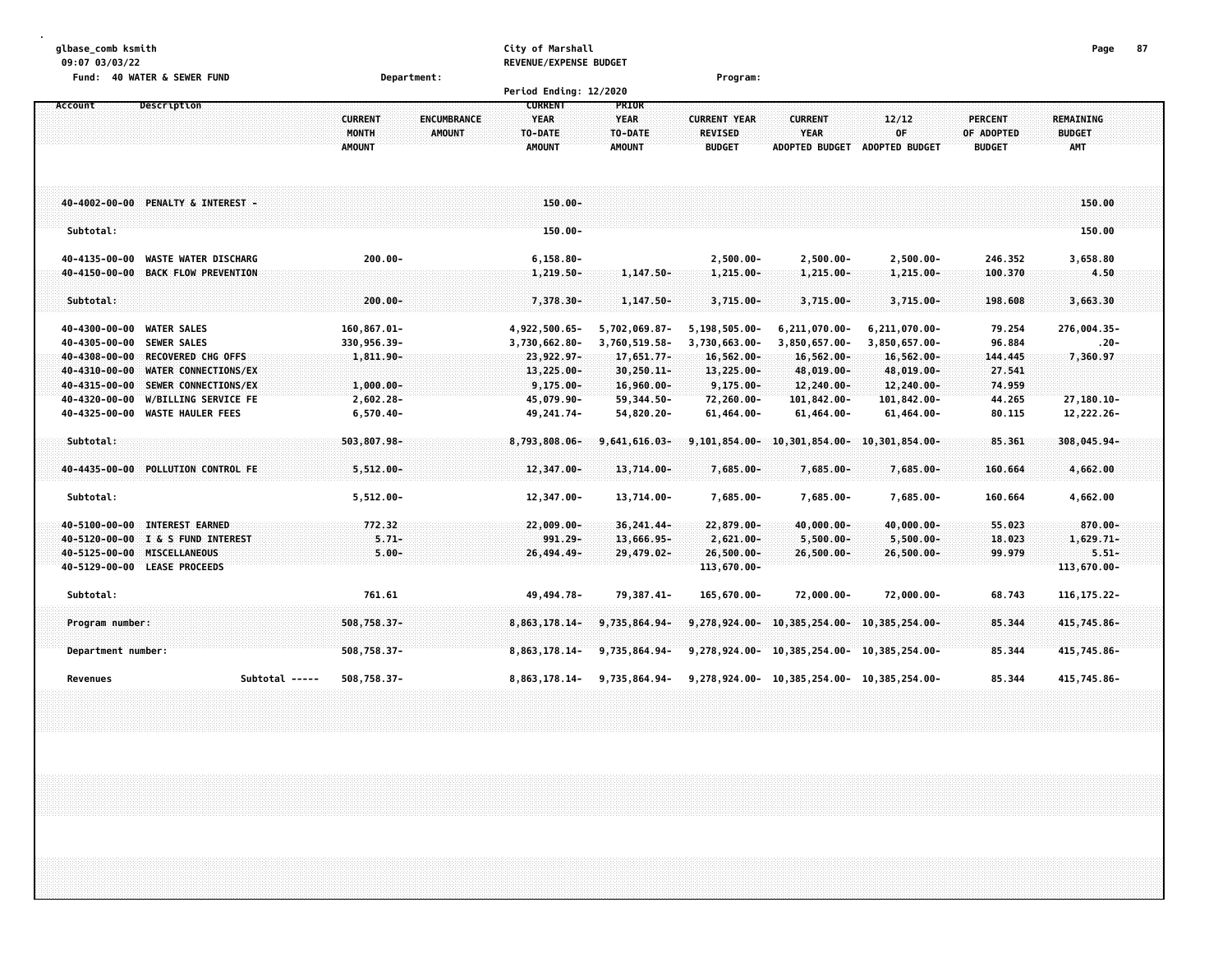# **glbase\_comb ksmith City of Marshall Page 87**

**09:07 03/03/22 REVENUE/EXPENSE BUDGET**

| <b>40 WATER &amp; SEWER FUND</b><br>Fund: | Department:                   |                        |                 | Program:            |                                             |                |                |                  |  |
|-------------------------------------------|-------------------------------|------------------------|-----------------|---------------------|---------------------------------------------|----------------|----------------|------------------|--|
|                                           |                               | Period Ending: 12/2020 |                 |                     |                                             |                |                |                  |  |
| Description<br>Account                    |                               | <b>CURRENT</b>         | PRIOR           |                     |                                             |                |                |                  |  |
|                                           | <b>CURRENT</b><br>ENCUMBRANCE | <b>YEAR</b>            | <b>YEAR</b>     | <b>CURRENT YEAR</b> | <b>CURRENT</b>                              | 12/12          | <b>PERCENT</b> | <b>REMAINING</b> |  |
|                                           | <b>MONTH</b><br><b>AMOUNT</b> | TO-DATE                | TO-DATE         | <b>REVISED</b>      | YEAR                                        | OF             | OF ADOPTED     | <b>BUDGET</b>    |  |
|                                           | <b>AMOUNT</b>                 | <b>AMOUNT</b>          | <b>AMOUNT</b>   | <b>BUDGET</b>       | <b>ADOPTED BUDGET</b>                       | ADOPTED BUDGET | <b>BUDGET</b>  | <b>AMT</b>       |  |
|                                           |                               |                        |                 |                     |                                             |                |                |                  |  |
|                                           |                               |                        |                 |                     |                                             |                |                |                  |  |
|                                           |                               |                        |                 |                     |                                             |                |                |                  |  |
| 40-4002-00-00 PENALTY & INTEREST -        |                               | $150.00 -$             |                 |                     |                                             |                |                | 150.00           |  |
|                                           |                               |                        |                 |                     |                                             |                |                |                  |  |
| Subtotal:                                 |                               | $150.00 -$             |                 |                     |                                             |                |                | 150.00           |  |
|                                           |                               |                        |                 |                     |                                             |                |                |                  |  |
| 40-4135-00-00 WASTE WATER DISCHARG        | $200.00 -$                    | $6, 158.80 -$          |                 | $2,500.00 -$        | $2,500.00 -$                                | $2,500.00 -$   | 246.352        | 3,658.80         |  |
| 40-4150-00-00 BACK FLOW PREVENTION        |                               | $1,219.50 -$           | $1,147.50 -$    | $1,215.00 -$        | $1,215.00 -$                                | 1,215.00-      | 100.370        | 4.50             |  |
|                                           |                               |                        |                 |                     |                                             |                |                |                  |  |
| Subtotal:                                 | $200.00 -$                    | 7,378.30-              | 1,147.50-       | 3,715.00-           | $3,715.00 -$                                | $3,715.00 -$   | 198.608        | 3,663.30         |  |
|                                           |                               |                        |                 |                     |                                             |                |                |                  |  |
| 40-4300-00-00 WATER SALES                 | 160,867.01-                   | 4,922,500.65-          | 5,702,069.87-   | 5,198,505.00-       | 6,211,070.00-                               | 6,211,070.00-  | 79.254         | 276,004.35-      |  |
| 40-4305-00-00 SEWER SALES                 | 330,956.39-                   | 3,730,662.80-          | 3,760,519.58-   | 3,730,663.00-       | 3,850,657.00-                               | 3,850,657.00-  | 96.884         | $.20 -$          |  |
| 40-4308-00-00 RECOVERED CHG OFFS          | 1,811.90-                     | 23,922.97-             | $17,651.77-$    | $16,562.00 -$       | $16,562.00 -$                               | $16,562.00 -$  | 144,445        | 7,360.97         |  |
| 40-4310-00-00 WATER CONNECTIONS/EX        |                               | $13,225.00 -$          | $30,250.11 -$   | $13,225.00 -$       | 48,019.00-                                  | 48,019.00-     | 27.541         |                  |  |
| 40-4315-00-00 SEWER CONNECTIONS/EX        | $1.000.00 -$                  | $9,175.00 -$           | 16,960.00-      | $9,175.00 -$        | 12,240.00-                                  | 12,240.00-     | 74.959         |                  |  |
| 40-4320-00-00 W/BILLING SERVICE FE        | $2,602.28 -$                  | 45,079.90-             | 59,344.50-      | 72,260.00-          | 101,842.00-                                 | 101,842.00-    | 44.265         | 27,180.10-       |  |
| 40-4325-00-00 WASTE HAULER FEES           | $6,570.40 -$                  | 49, 241. 74-           | 54,820.20-      | 61,464.00-          | 61,464.00-                                  | 61,464.00-     | 80.115         | 12,222.26-       |  |
|                                           |                               |                        |                 |                     |                                             |                |                |                  |  |
| Subtotal:                                 | $503, 807.98 -$               | 8,793,808.06-          | $9,641,616.03-$ | $9, 101, 854.00 -$  | $10, 301, 854, 00 - 10, 301, 854, 00 -$     |                | 85.361         | 308,045.94-      |  |
|                                           |                               |                        |                 |                     |                                             |                |                |                  |  |
| 40-4435-00-00 POLLUTION CONTROL FE        | $5,512.00 -$                  | 12,347.00-             | 13,714.00-      | 7,685.00-           | 7,685.00-                                   | 7,685.00-      | 160.664        | 4,662.00         |  |
|                                           |                               |                        |                 |                     |                                             |                |                |                  |  |
| Subtotal:                                 | $5,512.00 -$                  | 12,347.00-             | 13,714.00-      | 7,685.00-           | 7,685.00-                                   | 7,685.00-      | 160.664        | 4,662.00         |  |
|                                           |                               |                        |                 |                     |                                             |                |                |                  |  |
| 40-5100-00-00 INTEREST EARNED             | 772.32                        | $22,009.00 -$          | 36, 241.44-     | 22,879.00-          | $40,000.00 -$                               | $40,000.00 -$  | 55.023         | $870.00 -$       |  |
| 40-5120-00-00 I & S FUND INTEREST         | $5.71 -$                      | 991.29-                | 13,666.95-      | $2,621.00 -$        | $5,500.00 -$                                | $5,500.00 -$   | 18.023         | $1,629.71-$      |  |
| 40-5125-00-00 MISCELLANEOUS               | $5.00 -$                      | 26,494.49-             | 29,479.02-      | 26,500.00-          | $26,500.00 -$                               | $26,500.00 -$  | 99.979         | $5.51 -$         |  |
| 40-5129-00-00 LEASE PROCEEDS              |                               |                        |                 | 113,670.00-         |                                             |                |                | 113,670.00-      |  |
|                                           |                               |                        |                 |                     |                                             |                |                |                  |  |
| Subtotal:                                 | 761.61                        | 49, 494. 78-           | 79,387.41-      | 165,670.00-         | 72,000.00-                                  | 72,000.00-     | 68.743         | 116, 175. 22-    |  |
|                                           |                               |                        |                 |                     |                                             |                |                |                  |  |
| Program number:                           | 508,758.37-                   | 8,863,178.14-          | 9,735,864.94-   | 9,278,924.00-       | 10,385,254.00-                              | 10,385,254.00- | 85.344         | 415,745.86-      |  |
|                                           |                               |                        |                 |                     |                                             |                |                |                  |  |
| Department number:                        | 508,758.37-                   | 8,863,178.14-          | 9,735,864.94-   | 9,278,924.00-       | 10,385,254.00-                              | 10,385,254.00- | 85.344         | 415,745.86-      |  |
|                                           |                               |                        |                 |                     |                                             |                |                |                  |  |
| Subtotal -----<br><b>Revenues</b>         | 508,758.37-                   | 8,863,178.14-          | 9,735,864.94-   |                     | 9,278,924.00- 10,385,254.00- 10,385,254.00- |                | 85.344         | 415,745.86-      |  |
|                                           |                               |                        |                 |                     |                                             |                |                |                  |  |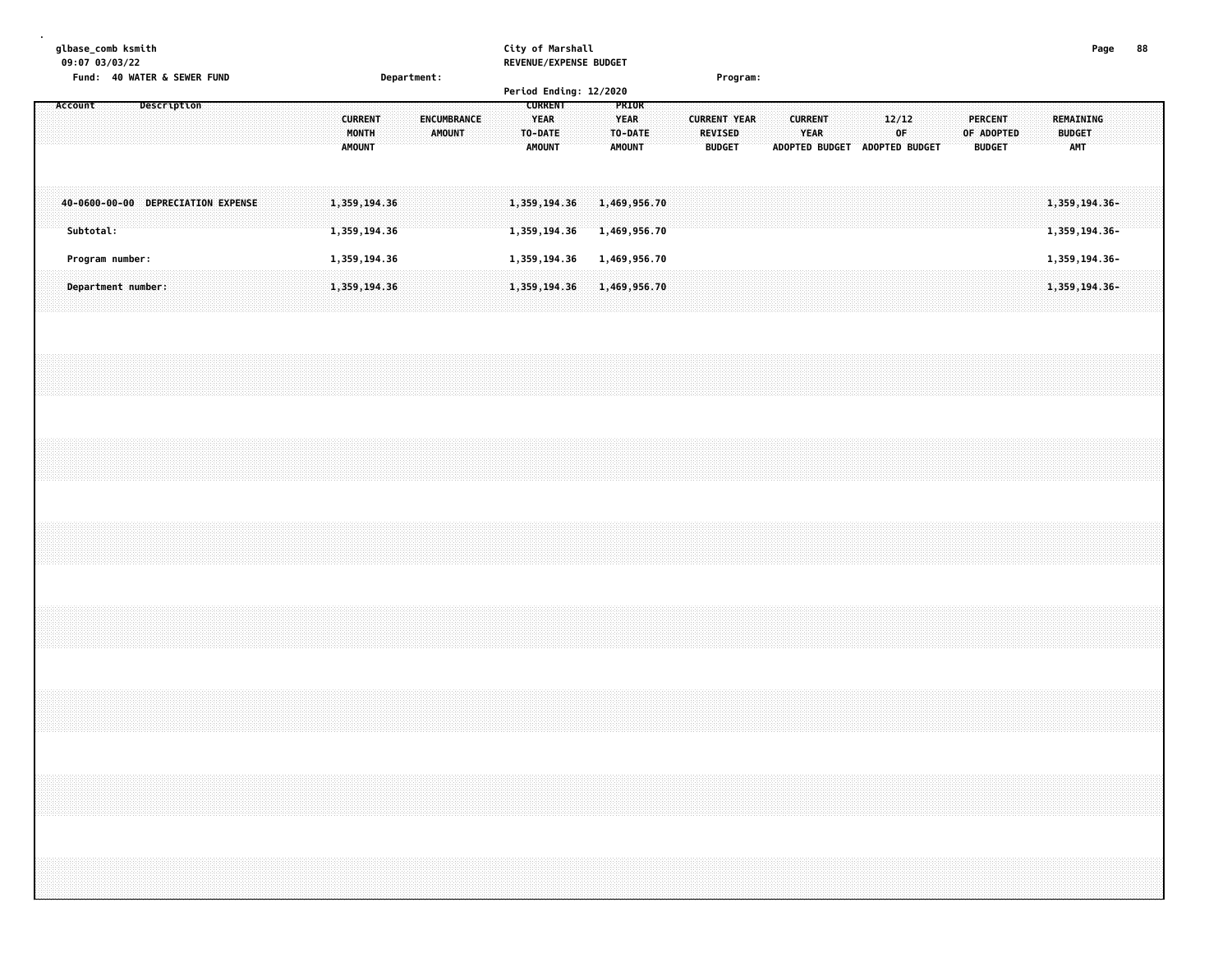| glbase_comb ksmith<br>09:07 03/03/22<br>Fund: 40 WATER & SEWER FUND<br>Department:                                                                                   | City of Marshall<br>REVENUE/EXPENSE BUDGET                                    | Program:                                                                                                                                                                          | 88<br>Page                               |
|----------------------------------------------------------------------------------------------------------------------------------------------------------------------|-------------------------------------------------------------------------------|-----------------------------------------------------------------------------------------------------------------------------------------------------------------------------------|------------------------------------------|
|                                                                                                                                                                      | Period Ending: 12/2020<br><b>CURRENT</b>                                      |                                                                                                                                                                                   |                                          |
| Description<br>Account<br><b>ENCUMBRANCE</b><br><b>CURRENT</b><br>MONTH<br><b>AMOUNT</b><br><b>AMOUNT</b>                                                            | PRIOR<br><b>YEAR</b><br><b>YEAR</b><br>TO-DATE<br>TO-DATE<br>AMOUNT<br>AMOUNT | 12/12<br>PERCENT<br><b>CURRENT YEAR</b><br><b>CURRENT</b><br><b>YEAR</b><br>0F<br>OF ADOPTED<br><b>REVISED</b><br>ADOPTED BUDGET ADOPTED BUDGET<br><b>BUDGET</b><br><b>BUDGET</b> | REMAINING<br><b>BUDGET</b><br><b>AMT</b> |
| 40-0600-00-00 DEPRECIATION EXPENSE<br>1,359,194.36<br>Subtotal:<br>1,359,194.36                                                                                      | 1,359,194.36<br>1,469,956.70<br>1,359,194.36<br>1,469,956.70                  |                                                                                                                                                                                   | 1,359,194.36-<br>1,359,194.36-           |
| Program number:<br>1,359,194.36                                                                                                                                      | 1,359,194.36<br>1,469,956.70                                                  |                                                                                                                                                                                   | 1,359,194.36-                            |
| Department number:<br>1,359,194.36                                                                                                                                   | 1,359,194.36<br>1,469,956.70                                                  |                                                                                                                                                                                   | 1,359,194.36-                            |
|                                                                                                                                                                      |                                                                               |                                                                                                                                                                                   |                                          |
|                                                                                                                                                                      |                                                                               |                                                                                                                                                                                   |                                          |
|                                                                                                                                                                      |                                                                               |                                                                                                                                                                                   |                                          |
|                                                                                                                                                                      |                                                                               |                                                                                                                                                                                   |                                          |
|                                                                                                                                                                      |                                                                               |                                                                                                                                                                                   |                                          |
| ,我们就会在这里,我们就会在这里的时候,我们就会在这里,我们就会在这里,我们就会在这里,我们就会在这里,我们就会在这里,我们就会在这里,我们就会不会不会。""我<br>第115章 我们的人,我们就会在这里,我们就会在这里,我们就会在这里,我们就会在这里,我们就会在这里,我们就会在这里,我们就会在这里,我们就会在这里,我们就会在 |                                                                               |                                                                                                                                                                                   |                                          |
|                                                                                                                                                                      |                                                                               |                                                                                                                                                                                   |                                          |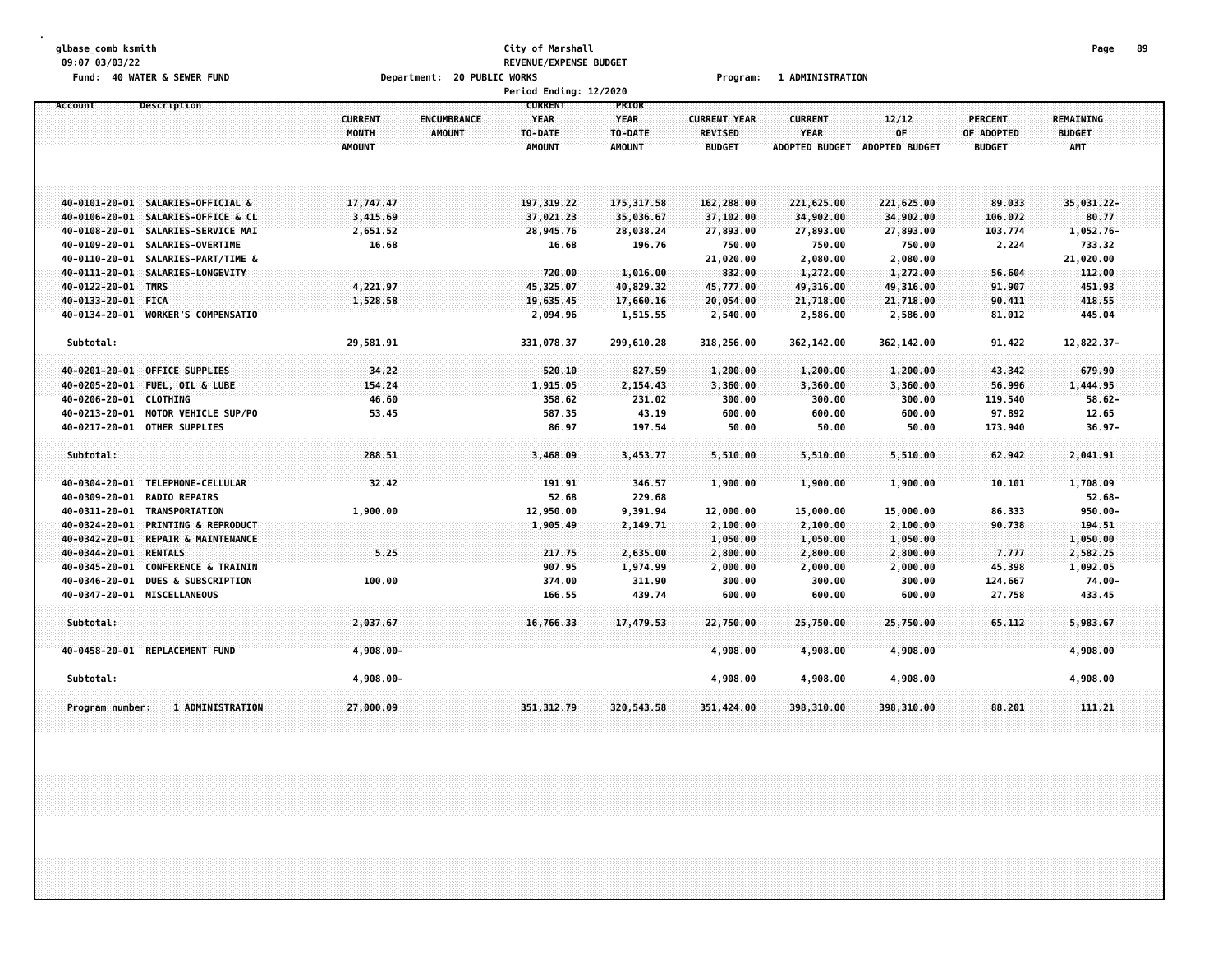### **glbase\_comb ksmith City of Marshall Page 89 09:07 03/03/22 REVENUE/EXPENSE BUDGET**

Fund: 40 WATER & SEWER FUND **Department: 20 PUBLIC WORKS Film Construct Program: 1 ADMINISTRATION** 

|                                                  |                         | <b>Period Ending: 12/2020</b>                                                   |                                        |                                       |                               |                |                              |                            |  |
|--------------------------------------------------|-------------------------|---------------------------------------------------------------------------------|----------------------------------------|---------------------------------------|-------------------------------|----------------|------------------------------|----------------------------|--|
| Account<br>Description                           | <b>CURRENT</b><br>MONTH | <b>CURRENT</b><br><b>ENCUMBRANCE</b><br><b>YEAR</b><br><b>AMOUNT</b><br>TO-DATE | <b>PRIOR</b><br><b>YEAR</b><br>TO-DATE | <b>CURRENT YEAR</b><br><b>REVISED</b> | <b>CURRENT</b><br><b>YEAR</b> | 12/12<br>0F    | <b>PERCENT</b><br>OF ADOPTED | REMAINING<br><b>BUDGET</b> |  |
|                                                  | <b>AMOUNT</b>           | <b>AMOUNT</b>                                                                   | <b>AMOUNT</b>                          | <b>BUDGET</b>                         | <b>ADOPTED BUDGET</b>         | ADOPTED BUDGET | <b>BUDGET</b>                | <b>AMT</b>                 |  |
| 40-0101-20-01 SALARIES-OFFICIAL &                | 17,747.47               | 197,319.22                                                                      | 175, 317, 58                           | 162,288.00                            | 221,625.00                    | 221,625.00     | 89.033                       | 35,031.22-                 |  |
| 40-0106-20-01 SALARIES-OFFICE & CL               | 3,415.69                | 37,021.23                                                                       | 35,036.67                              | 37,102.00                             | 34,902.00                     | 34,902.00      | 106.072                      | 80.77                      |  |
| 40-0108-20-01 SALARIES-SERVICE MAI               | 2,651.52                | 28,945.76                                                                       | 28,038.24                              | 27,893.00                             | 27,893.00                     | 27,893.00      | 103.774                      | $1,052.76 -$               |  |
| SALARIES-OVERTIME<br>40-0109-20-01               | 16.68                   | 16.68                                                                           | 196.76                                 | 750.00                                | 750.00                        | 750.00         | 2.224                        | 733.32                     |  |
| 40-0110-20-01<br>SALARIES-PART/TIME &            |                         |                                                                                 |                                        | 21,020.00                             | 2,080.00                      | 2,080.00       |                              | 21,020.00                  |  |
| 40-0111-20-01 SALARIES-LONGEVITY                 |                         | 720.00                                                                          | 1,016.00                               | 832.00                                | 1,272.00                      | 1,272.00       | 56.604                       | 112.00                     |  |
| 40-0122-20-01 TMRS                               | 4,221.97                | 45,325.07                                                                       | 40,829.32                              | 45,777.00                             | 49,316.00                     | 49,316.00      | 91.907                       | 451.93                     |  |
| 40-0133-20-01 FICA                               | 1,528.58                | 19,635.45                                                                       | 17,660.16                              | 20,054.00                             | 21,718.00                     | 21,718.00      | 90.411                       | 418.55                     |  |
| 40-0134-20-01 WORKER'S COMPENSATIO               |                         | 2,094.96                                                                        | 1,515.55                               | 2,540.00                              | 2,586.00                      | 2,586.00       | 81.012                       | 445.04                     |  |
| Subtotal:                                        | 29,581.91               | 331,078.37                                                                      | 299,610.28                             | 318,256.00                            | 362,142.00                    | 362,142.00     | 91.422                       | 12,822.37-                 |  |
| 40-0201-20-01 OFFICE SUPPLIES                    | 34.22                   | 520.10                                                                          | 827.59                                 | 1,200.00                              | 1,200.00                      | 1,200.00       | 43.342                       | 679.90                     |  |
| 40-0205-20-01<br><b>FUEL, OIL &amp; LUBE</b>     | 154.24                  | 1,915.05                                                                        | 2,154.43                               | 3,360.00                              | 3,360.00                      | 3,360.00       | 56.996                       | 1,444.95                   |  |
| 40-0206-20-01 CLOTHING                           | 46.60                   | 358.62                                                                          | 231.02                                 | 300.00                                | 300.00                        | 300.00         | 119.540                      | $58.62 -$                  |  |
| 40-0213-20-01<br><b>MOTOR VEHICLE SUP/PO</b>     | 53.45                   | 587.35                                                                          | 43.19                                  | 600.00                                | 600.00                        | 600.00         | 97.892                       | 12.65                      |  |
| 40-0217-20-01 OTHER SUPPLIES                     |                         | 86.97                                                                           | 197.54                                 | 50.00                                 | 50.00                         | 50.00          | 173.940                      | $36.97 -$                  |  |
| Subtotal:                                        | 288.51                  | 3,468.09                                                                        | 3,453.77                               | 5,510.00                              | 5,510.00                      | 5,510.00       | 62.942                       | 2,041.91                   |  |
|                                                  |                         |                                                                                 |                                        |                                       |                               |                |                              |                            |  |
| 40-0304-20-01 TELEPHONE-CELLULAR                 | 32.42                   | 191.91                                                                          | 346.57                                 | 1,900.00                              | 1,900.00                      | 1,900.00       | 10.101                       | 1,708.09                   |  |
| 40-0309-20-01<br><b>RADIO REPAIRS</b>            |                         | 52.68                                                                           | 229.68                                 |                                       |                               |                |                              | $52.68 -$                  |  |
| 40-0311-20-01<br>TRANSPORTATION                  | 1,900.00                | 12,950.00                                                                       | 9,391.94                               | 12,000.00                             | 15,000.00                     | 15,000.00      | 86.333                       | $950.00 -$                 |  |
| 40-0324-20-01<br><b>PRINTING &amp; REPRODUCT</b> |                         | 1,905.49                                                                        | 2,149.71                               | 2,100.00                              | 2,100.00                      | 2,100.00       | 90.738                       | 194.51                     |  |
| 40-0342-20-01<br>REPAIR & MAINTENANCE            |                         |                                                                                 |                                        | 1,050.00                              | 1,050.00                      | 1,050.00       |                              | 1,050.00                   |  |
| <b>RENTALS</b><br>40-0344-20-01                  | 5.25                    | 217.75                                                                          | 2,635.00                               | 2,800.00                              | 2,800.00                      | 2,800.00       | 7.777                        | 2,582.25                   |  |
| 40-0345-20-01<br><b>CONFERENCE &amp; TRAININ</b> |                         | 907.95                                                                          | 1,974.99                               | 2,000.00                              | 2,000.00                      | 2,000.00       | 45.398                       | 1,092.05                   |  |
| <b>DUES &amp; SUBSCRIPTION</b><br>40-0346-20-01  | 100.00                  | 374.00                                                                          | 311.90                                 | 300.00                                | 300.00                        | 300.00         | 124.667                      | 74.00-                     |  |
| 40-0347-20-01 MISCELLANEOUS                      |                         | 166.55                                                                          | 439.74                                 | 600.00                                | 600.00                        | 600.00         | 27.758                       | 433.45                     |  |
| Subtotal:                                        | 2,037.67                | 16,766.33                                                                       | 17,479.53                              | 22,750.00                             | 25,750.00                     | 25,750.00      | 65.112                       | 5,983.67                   |  |
| 40-0458-20-01 REPLACEMENT FUND                   | 4,908.00-               |                                                                                 |                                        | 4,908.00                              | 4,908.00                      | 4,908.00       |                              | 4,908.00                   |  |
| Subtotal:                                        | 4,908.00-               |                                                                                 |                                        | 4,908.00                              | 4,908.00                      | 4,908.00       |                              | 4,908.00                   |  |
|                                                  |                         |                                                                                 |                                        |                                       |                               |                |                              |                            |  |
| Program number:<br>1 ADMINISTRATION              | 27,000.09               | 351, 312, 79                                                                    | 320, 543, 58                           | 351,424.00                            | 398,310.00                    | 398,310.00     | 88,201                       | 111.21                     |  |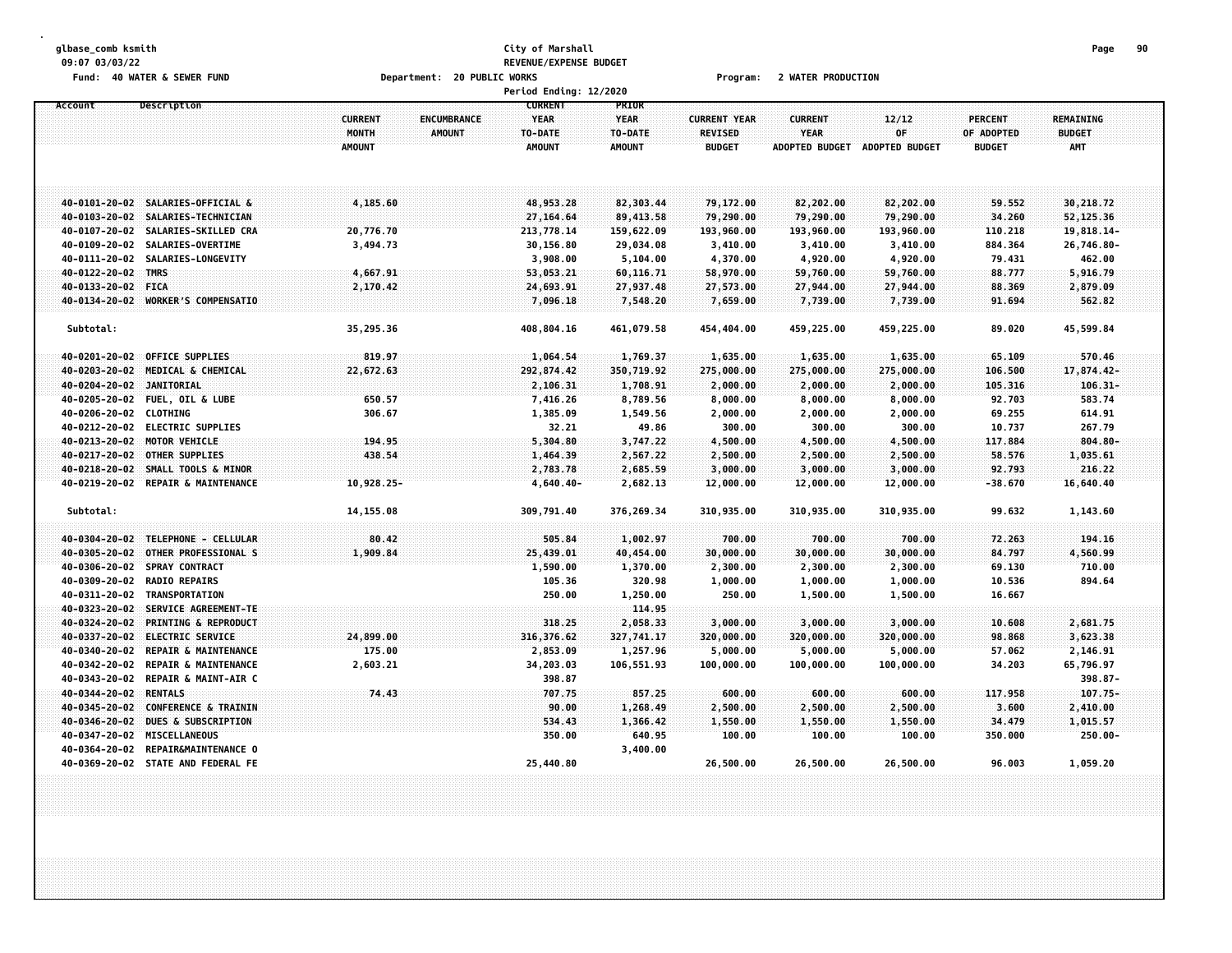#### **glbase\_comb ksmith City of Marshall Page 90 09:07 03/03/22 REVENUE/EXPENSE BUDGET** Fund: 40 WATER & SEWER FUND **Department: 20 PUBLIC WORKS Film Contain Constru**ent: 20 Mater PRODUCTION

|                        |                                    |                                          |                                     | <b>Period Ending: 12/2020</b>                             |                                                  |                                                 |                                                        |                                      |                                               |                                          |  |
|------------------------|------------------------------------|------------------------------------------|-------------------------------------|-----------------------------------------------------------|--------------------------------------------------|-------------------------------------------------|--------------------------------------------------------|--------------------------------------|-----------------------------------------------|------------------------------------------|--|
| Account                | Description                        | <b>CURRENT</b><br>MONTH<br><b>AMOUNT</b> | <b>ENCUMBRANCE</b><br><b>AMOUNT</b> | <b>CURRENT</b><br><b>YEAR</b><br>TO-DATE<br><b>AMOUNT</b> | PRIOR<br><b>YEAR</b><br>TO-DATE<br><b>AMOUNT</b> | <b>CURRENT YEAR</b><br>REVISED<br><b>BUDGET</b> | <b>CURRENT</b><br><b>YEAR</b><br><b>ADOPTED BUDGET</b> | 12/12<br>OF<br><b>ADOPTED BUDGET</b> | <b>PERCENT</b><br>OF ADOPTED<br><b>BUDGET</b> | REMAINING<br><b>BUDGET</b><br><b>AMT</b> |  |
|                        | 40-0101-20-02 SALARIES-OFFICIAL &  | 4,185.60                                 |                                     | 48,953.28                                                 | 82,303.44                                        | 79,172.00                                       | 82,202.00                                              | 82,202.00                            | 59.552                                        | 30,218.72                                |  |
| 40-0103-20-02          | SALARIES-TECHNICIAN                |                                          |                                     | 27,164.64                                                 | 89,413.58                                        | 79,290.00                                       | 79,290.00                                              | 79,290.00                            | 34.260                                        | 52,125.36                                |  |
|                        | 40-0107-20-02 SALARIES-SKILLED CRA | 20,776.70                                |                                     | 213,778.14                                                | 159,622.09                                       | 193,960.00                                      | 193,960.00                                             | 193,960.00                           | 110.218                                       | 19,818.14-                               |  |
| 40-0109-20-02          | SALARIES-OVERTIME                  | 3,494.73                                 |                                     | 30,156.80                                                 | 29,034.08                                        | 3,410.00                                        | 3,410.00                                               | 3,410.00                             | 884.364                                       | 26,746.80-                               |  |
|                        | 40-0111-20-02 SALARIES-LONGEVITY   |                                          |                                     | 3,908.00                                                  | 5,104.00                                         | 4,370.00                                        | 4,920.00                                               | 4,920.00                             | 79.431                                        | 462.00                                   |  |
| 40-0122-20-02 TMRS     |                                    | 4,667.91                                 |                                     | 53,053.21                                                 | 60,116.71                                        | 58,970.00                                       | 59,760.00                                              | 59,760.00                            | 88.777                                        | 5,916.79                                 |  |
| 40-0133-20-02 FICA     |                                    | 2,170.42                                 |                                     | 24,693.91                                                 | 27,937.48                                        | 27,573.00                                       | 27,944.00                                              | 27,944.00                            | 88.369                                        | 2,879.09                                 |  |
|                        | 40-0134-20-02 WORKER'S COMPENSATIO |                                          |                                     | 7,096.18                                                  | 7,548.20                                         | 7,659.00                                        | 7,739.00                                               | 7,739.00                             | 91.694                                        | 562,82                                   |  |
| Subtotal:              |                                    | 35,295.36                                |                                     | 408,804.16                                                | 461,079.58                                       | 454,404.00                                      | 459,225.00                                             | 459,225.00                           | 89.020                                        | 45,599.84                                |  |
|                        | 40-0201-20-02 OFFICE SUPPLIES      | 819.97                                   |                                     | 1,064.54                                                  | 1,769.37                                         | 1,635.00                                        | 1,635.00                                               | 1,635.00                             | 65.109                                        | 570.46                                   |  |
|                        | 40-0203-20-02 MEDICAL & CHEMICAL   | 22,672.63                                |                                     | 292,874.42                                                | 350,719.92                                       | 275,000.00                                      | 275,000.00                                             | 275,000.00                           | 106.500                                       | 17,874.42-                               |  |
| 40-0204-20-02          | JANITORIAL                         |                                          |                                     | 2,106.31                                                  | 1,708.91                                         | 2,000.00                                        | 2,000.00                                               | 2,000.00                             | 105.316                                       | $106.31 -$                               |  |
|                        | 40-0205-20-02 FUEL, OIL & LUBE     | 650.57                                   |                                     | 7,416.26                                                  | 8,789.56                                         | 8,000.00                                        | 8,000.00                                               | 8,000.00                             | 92.703                                        | 583.74                                   |  |
| 40-0206-20-02 CLOTHING |                                    | 306.67                                   |                                     | 1,385.09                                                  | 1,549.56                                         | 2,000.00                                        | 2,000.00                                               | 2,000.00                             | 69.255                                        | 614.91                                   |  |
|                        | 40-0212-20-02 ELECTRIC SUPPLIES    |                                          |                                     | 32.21                                                     | 49.86                                            | 300.00                                          | 300.00                                                 | 300.00                               | 10.737                                        | 267.79                                   |  |
|                        | 40-0213-20-02 MOTOR VEHICLE        | 194.95                                   |                                     | 5,304.80                                                  | 3,747.22                                         | 4,500.00                                        | 4,500.00                                               | 4,500.00                             | 117.884                                       | $804.80 -$                               |  |
| 40-0217-20-02          | <b>OTHER SUPPLIES</b>              | 438.54                                   |                                     | 1,464.39                                                  | 2,567.22                                         | 2,500.00                                        | 2,500.00                                               | 2,500.00                             | 58.576                                        | 1,035.61                                 |  |
| $40 - 0218 - 20 - 02$  | SMALL TOOLS & MINOR                |                                          |                                     | 2,783.78                                                  | 2,685.59                                         | 3,000.00                                        | 3,000.00                                               | 3,000.00                             | 92.793                                        | 216.22                                   |  |
| 40-0219-20-02          | <b>REPAIR &amp; MAINTENANCE</b>    | 10,928.25-                               |                                     | $4,640.40-$                                               | 2,682.13                                         | 12,000.00                                       | 12,000.00                                              | 12,000.00                            | $-38.670$                                     | 16,640.40                                |  |
| Subtotal:              |                                    | 14,155.08                                |                                     | 309,791.40                                                | 376, 269.34                                      | 310,935.00                                      | 310,935.00                                             | 310,935.00                           | 99.632                                        | 1,143.60                                 |  |
|                        | 40-0304-20-02 TELEPHONE - CELLULAR | 80.42                                    |                                     | 505.84                                                    | 1,002.97                                         | 700.00                                          | 700.00                                                 | 700.00                               | 72.263                                        | 194.16                                   |  |
| 40-0305-20-02          | OTHER PROFESSIONAL S               | 1,909.84                                 |                                     | 25,439.01                                                 | 40,454.00                                        | 30,000.00                                       | 30,000.00                                              | 30,000.00                            | 84.797                                        | 4,560.99                                 |  |
|                        | 40-0306-20-02 SPRAY CONTRACT       |                                          |                                     | 1,590.00                                                  | 1,370.00                                         | 2,300.00                                        | 2,300.00                                               | 2,300.00                             | 69.130                                        | 710.00                                   |  |
|                        | 40-0309-20-02 RADIO REPAIRS        |                                          |                                     | 105.36                                                    | 320.98                                           | 1,000.00                                        | 1,000.00                                               | 1,000.00                             | 10.536                                        | 894.64                                   |  |
|                        | 40-0311-20-02 TRANSPORTATION       |                                          |                                     | 250.00                                                    | 1,250.00                                         | 250.00                                          | 1,500.00                                               | 1,500.00                             | 16.667                                        |                                          |  |
|                        | 40-0323-20-02 SERVICE AGREEMENT-TE |                                          |                                     |                                                           | 114.95                                           |                                                 |                                                        |                                      |                                               |                                          |  |
| 40-0324-20-02          | <b>PRINTING &amp; REPRODUCT</b>    |                                          |                                     | 318.25                                                    | 2,058.33                                         | 3,000.00                                        | 3,000.00                                               | 3,000.00                             | 10.608                                        | 2,681.75                                 |  |
| 40-0337-20-02          | <b>ELECTRIC SERVICE</b>            | 24,899.00                                |                                     | 316, 376.62                                               | 327,741.17                                       | 320,000.00                                      | 320,000.00                                             | 320,000.00                           | 98.868                                        | 3,623.38                                 |  |
| 40-0340-20-02          | <b>REPAIR &amp; MAINTENANCE</b>    | 175.00                                   |                                     | 2,853.09                                                  | 1,257.96                                         | 5,000.00                                        | 5,000.00                                               | 5,000.00                             | 57.062                                        | 2,146.91                                 |  |
| 40-0342-20-02          | <b>REPAIR &amp; MAINTENANCE</b>    | 2,603.21                                 |                                     | 34,203.03                                                 | 106,551.93                                       | 100,000.00                                      | 100,000.00                                             | 100,000.00                           | 34.203                                        | 65,796.97                                |  |
| 40-0343-20-02          | <b>REPAIR &amp; MAINT-AIR C</b>    |                                          |                                     | 398.87                                                    |                                                  |                                                 |                                                        |                                      |                                               | 398.87-                                  |  |
| 40-0344-20-02 RENTALS  |                                    | 74.43                                    |                                     | 707.75                                                    | 857.25                                           | 600.00                                          | 600.00                                                 | 600.00                               | 117.958                                       | $107.75 -$                               |  |
| 40-0345-20-02          | <b>CONFERENCE &amp; TRAININ</b>    |                                          |                                     | 90.00                                                     | 1,268.49                                         | 2,500.00                                        | 2,500.00                                               | 2,500.00                             | 3.600                                         | 2,410.00                                 |  |
| 40-0346-20-02          | <b>DUES &amp; SUBSCRIPTION</b>     |                                          |                                     | 534.43                                                    | 1,366.42                                         | 1,550.00                                        | 1,550.00                                               | 1,550.00                             | 34.479                                        | 1,015.57                                 |  |
|                        | 40-0347-20-02 MISCELLANEOUS        |                                          |                                     | 350.00                                                    | 640.95                                           | 100.00                                          | 100.00                                                 | 100.00                               | 350.000                                       | $250.00 -$                               |  |
| 40-0364-20-02          | REPAIR&MAINTENANCE 0               |                                          |                                     |                                                           | 3,400.00                                         |                                                 |                                                        |                                      |                                               |                                          |  |
|                        | 40-0369-20-02 STATE AND FEDERAL FE |                                          |                                     | 25,440.80                                                 |                                                  | 26,500.00                                       | 26,500.00                                              | 26,500.00                            | 96.003                                        | 1,059.20                                 |  |
|                        |                                    |                                          |                                     |                                                           |                                                  |                                                 |                                                        |                                      |                                               |                                          |  |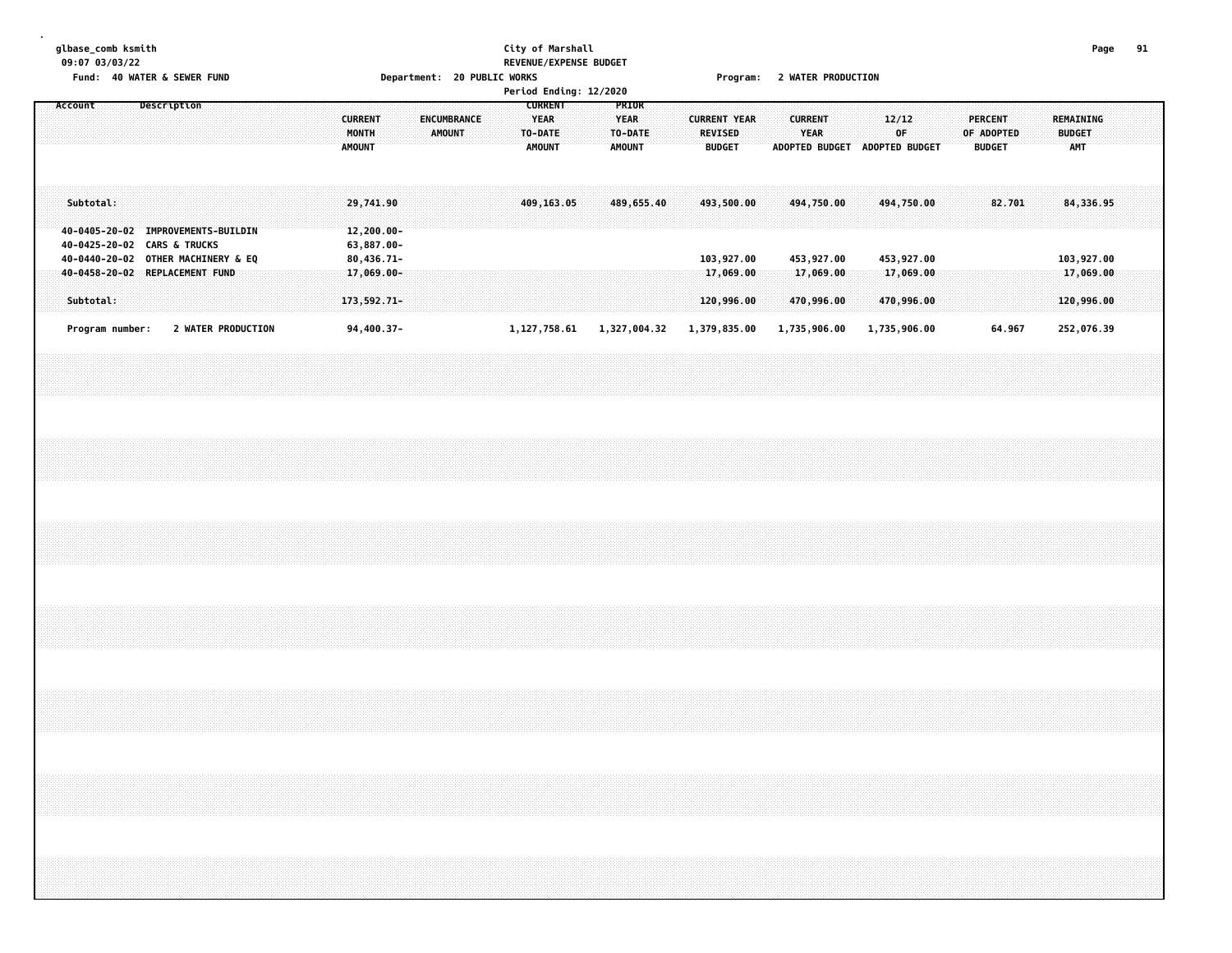### **glbase\_comb ksmith City of Marshall Page 91 09:07 03/03/22 REVENUE/EXPENSE BUDGET** Fund: 40 WATER & SEWER FUND **Department: 20 PUBLIC WORKS Fig. 10 CONTROL** Program: 2 WATER PRODUCTION

|  |           | TV MILLER & SENER LONE                                                                                  |             |                    |  |  |  |                                          |                                        |  | populational to report the   |  |                                                    |                | Period Ending: 12/2020 |                                       |              |  | $\ldots$ $\sigma$               |                            |  |                        |                         |  |                                              |  |                                               |        |  |                                          |  |  |
|--|-----------|---------------------------------------------------------------------------------------------------------|-------------|--------------------|--|--|--|------------------------------------------|----------------------------------------|--|------------------------------|--|----------------------------------------------------|----------------|------------------------|---------------------------------------|--------------|--|---------------------------------|----------------------------|--|------------------------|-------------------------|--|----------------------------------------------|--|-----------------------------------------------|--------|--|------------------------------------------|--|--|
|  | Account   |                                                                                                         | Description |                    |  |  |  | <b>CURRENT</b><br>MONTH<br><b>AMOUNT</b> |                                        |  | ENCUMBRANCE<br><b>AMOUNT</b> |  | <b>CURRENT</b><br><b>YEAR</b><br>TO-DATE<br>AMOUNT |                |                        | PRIOR<br><b>YEAR</b><br><b>AMOUNT</b> | TO-DATE      |  | <b>REVISED</b><br><b>BUDGET</b> | <b>CURRENT YEAR</b>        |  | <b>CURRENT</b><br>YEAR |                         |  | 12/12<br>OF<br>ADOPTED BUDGET ADOPTED BUDGET |  | <b>PERCENT</b><br>OF ADOPTED<br><b>BUDGET</b> |        |  | REMAINING<br><b>BUDGET</b><br><b>AMT</b> |  |  |
|  | Subtotal: |                                                                                                         |             |                    |  |  |  |                                          | 29,741.90                              |  |                              |  |                                                    | 409,163.05     |                        |                                       | 489,655.40   |  |                                 | 493,500.00                 |  |                        | 494,750.00              |  | 494,750.00                                   |  |                                               | 82.701 |  | 84,336.95                                |  |  |
|  |           | 40-0405-20-02 IMPROVEMENTS-BUILDIN<br>40-0425-20-02 CARS & TRUCKS<br>40-0440-20-02 OTHER MACHINERY & EQ |             |                    |  |  |  |                                          | 12,200.00-<br>63,887.00-<br>80,436.71- |  |                              |  |                                                    |                |                        |                                       |              |  |                                 | 103,927.00                 |  |                        | 453,927.00              |  | 453,927.00                                   |  |                                               |        |  | 103,927.00                               |  |  |
|  | Subtotal: | 40-0458-20-02 REPLACEMENT FUND                                                                          |             |                    |  |  |  | 173,592.71-                              | $17,069.00 -$                          |  |                              |  |                                                    |                |                        |                                       |              |  |                                 | $-17,069.00$<br>120,996.00 |  |                        | 17,069.00<br>470,996.00 |  | 17,069.00<br>470,996.00                      |  |                                               |        |  | 17,069.00<br>120,996.00                  |  |  |
|  |           | Program number:                                                                                         |             | 2 WATER PRODUCTION |  |  |  |                                          | 94,400.37-                             |  |                              |  |                                                    | 1, 127, 758.61 |                        |                                       | 1,327,004.32 |  |                                 | 1,379,835.00               |  |                        | 1,735,906.00            |  | 1,735,906.00                                 |  |                                               | 64.967 |  | 252,076.39                               |  |  |
|  |           |                                                                                                         |             |                    |  |  |  |                                          |                                        |  |                              |  |                                                    |                |                        |                                       |              |  |                                 |                            |  |                        |                         |  |                                              |  |                                               |        |  |                                          |  |  |
|  |           |                                                                                                         |             |                    |  |  |  |                                          |                                        |  |                              |  |                                                    |                |                        |                                       |              |  |                                 |                            |  |                        |                         |  |                                              |  |                                               |        |  |                                          |  |  |
|  |           |                                                                                                         |             |                    |  |  |  |                                          |                                        |  |                              |  |                                                    |                |                        |                                       |              |  |                                 |                            |  |                        |                         |  |                                              |  |                                               |        |  |                                          |  |  |
|  |           |                                                                                                         |             |                    |  |  |  |                                          |                                        |  |                              |  |                                                    |                |                        |                                       |              |  |                                 |                            |  |                        |                         |  |                                              |  |                                               |        |  |                                          |  |  |
|  |           |                                                                                                         |             |                    |  |  |  |                                          |                                        |  |                              |  |                                                    |                |                        |                                       |              |  |                                 |                            |  |                        |                         |  |                                              |  |                                               |        |  |                                          |  |  |
|  |           |                                                                                                         |             |                    |  |  |  |                                          |                                        |  |                              |  |                                                    |                |                        |                                       |              |  |                                 |                            |  |                        |                         |  |                                              |  |                                               |        |  |                                          |  |  |
|  |           |                                                                                                         |             |                    |  |  |  |                                          |                                        |  |                              |  |                                                    |                |                        |                                       |              |  |                                 |                            |  |                        |                         |  |                                              |  |                                               |        |  |                                          |  |  |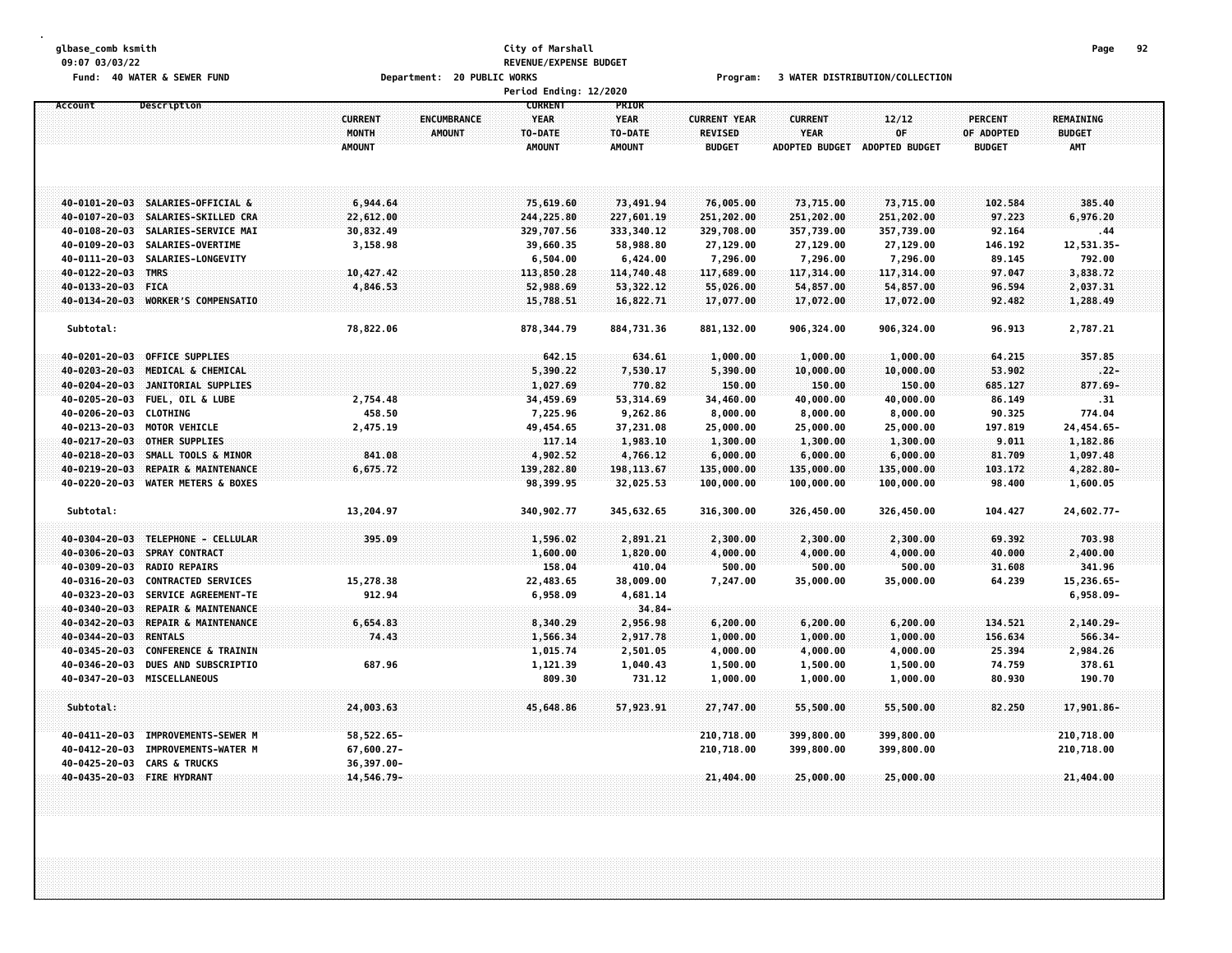## **glbase\_comb ksmith City of Marshall Page 92 09:07 03/03/22 REVENUE/EXPENSE BUDGET**

Fund: 40 WATER & SEWER FUND **Department: 20 PUBLIC WORKS** For the Second Program: 3 WATER DISTRIBUTION/COLLECTION

|                                |                                    |                                          | Period Ending: 12/2020                                                                    |                                                  |                                                        |                                                        |                                      |                                               |                                          |  |
|--------------------------------|------------------------------------|------------------------------------------|-------------------------------------------------------------------------------------------|--------------------------------------------------|--------------------------------------------------------|--------------------------------------------------------|--------------------------------------|-----------------------------------------------|------------------------------------------|--|
| Account                        | Description                        | <b>CURRENT</b><br>MONTH<br><b>AMOUNT</b> | <b>CURRENT</b><br>ENCUMBRANCE<br><b>YEAR</b><br><b>AMOUNT</b><br>TO-DATE<br><b>AMOUNT</b> | PRIOR<br><b>YEAR</b><br>TO-DATE<br><b>AMOUNT</b> | <b>CURRENT YEAR</b><br><b>REVISED</b><br><b>BUDGET</b> | <b>CURRENT</b><br><b>YEAR</b><br><b>ADOPTED BUDGET</b> | 12/12<br>OF<br><b>ADOPTED BUDGET</b> | <b>PERCENT</b><br>OF ADOPTED<br><b>BUDGET</b> | REMAINING<br><b>BUDGET</b><br><b>AMT</b> |  |
|                                |                                    |                                          |                                                                                           |                                                  |                                                        |                                                        |                                      |                                               |                                          |  |
|                                | 40-0101-20-03 SALARIES-OFFICIAL &  | 6,944.64                                 | 75,619.60                                                                                 | 73,491.94                                        | 76,005.00                                              | 73,715.00                                              | 73,715.00                            | 102.584                                       | 385.40                                   |  |
| 40-0107-20-03                  | SALARIES-SKILLED CRA               | 22,612.00                                | 244,225.80                                                                                | 227,601.19                                       | 251,202.00                                             | 251,202.00                                             | 251,202.00                           | 97.223                                        | 6,976.20                                 |  |
| $40 - 0108 - 20 - 03$          | SALARIES-SERVICE MAI               | 30,832.49                                | 329,707.56                                                                                | 333,340.12                                       | 329,708.00                                             | 357,739.00                                             | 357,739.00                           | 92.164                                        | .44                                      |  |
| 40-0109-20-03                  | SALARIES-OVERTIME                  | 3,158.98                                 | 39,660.35                                                                                 | 58,988.80                                        | 27,129.00                                              | 27,129.00                                              | 27,129.00                            | 146.192                                       | 12,531.35-                               |  |
| 40-0111-20-03<br>40-0122-20-03 | SALARIES-LONGEVITY<br>TMRS         |                                          | 6,504.00                                                                                  | 6,424.00                                         | 7,296.00                                               | 7,296.00                                               | 7,296.00                             | 89.145                                        | 792.00                                   |  |
| 40-0133-20-03 FICA             |                                    | 10,427.42                                | 113,850.28<br>52,988.69                                                                   | 114,740.48<br>53,322.12                          | 117,689.00<br>55,026.00                                | 117,314.00<br>54,857.00                                | 117,314.00<br>54,857.00              | 97.047<br>96.594                              | 3,838.72<br>2,037.31                     |  |
| 40-0134-20-03                  | <b>WORKER'S COMPENSATIO</b>        | 4,846.53                                 | 15,788.51                                                                                 | 16,822.71                                        | 17,077.00                                              | 17,072.00                                              | 17,072.00                            | 92.482                                        | 1,288.49                                 |  |
|                                |                                    |                                          |                                                                                           |                                                  |                                                        |                                                        |                                      |                                               |                                          |  |
| Subtotal:                      |                                    | 78,822.06                                | 878, 344.79                                                                               | 884,731.36                                       | 881,132.00                                             | 906,324.00                                             | 906,324.00                           | 96.913                                        | 2,787.21                                 |  |
| 40-0201-20-03                  | <b>OFFICE SUPPLIES</b>             |                                          | 642,15                                                                                    | 634.61                                           | 1,000.00                                               | 1,000.00                                               | 1,000.00                             | 64.215                                        | 357.85                                   |  |
| 40-0203-20-03                  | MEDICAL & CHEMICAL                 |                                          | 5,390.22                                                                                  | 7,530.17                                         | 5,390.00                                               | 10,000.00                                              | 10,000.00                            | 53.902                                        | $.22 -$                                  |  |
| 40-0204-20-03                  | JANITORIAL SUPPLIES                |                                          | 1,027.69                                                                                  | 770.82                                           | 150.00                                                 | 150.00                                                 | 150.00                               | 685.127                                       | 877.69-                                  |  |
| 40-0205-20-03                  | <b>FUEL, OIL &amp; LUBE</b>        | 2,754.48                                 | 34,459.69                                                                                 | 53,314.69                                        | 34,460.00                                              | 40,000.00                                              | 40,000.00                            | 86.149                                        | .31                                      |  |
| 40-0206-20-03 CLOTHING         |                                    | 458.50                                   | 7,225.96                                                                                  | 9,262.86                                         | 8,000.00                                               | 8,000.00                                               | 8,000.00                             | 90.325                                        | 774.04                                   |  |
| 40-0213-20-03                  | <b>MOTOR VEHICLE</b>               | 2,475.19                                 | 49,454.65                                                                                 | 37,231.08                                        | 25,000.00                                              | 25,000.00                                              | 25,000.00                            | 197.819                                       | 24,454.65-                               |  |
| 40-0217-20-03                  | OTHER SUPPLIES                     |                                          | 117.14                                                                                    | 1,983.10                                         | 1,300.00                                               | 1,300.00                                               | 1,300.00                             | 9.011                                         | 1,182.86                                 |  |
| $40 - 0218 - 20 - 03$          | SMALL TOOLS & MINOR                | 841.08                                   | 4,902.52                                                                                  | 4,766.12                                         | 6,000.00                                               | 6,000.00                                               | 6,000.00                             | 81.709                                        | 1,097.48                                 |  |
| 40-0219-20-03                  | REPAIR & MAINTENANCE               | 6,675.72                                 | 139,282.80                                                                                | 198, 113.67                                      | 135,000.00                                             | 135,000.00                                             | 135,000.00                           | 103.172                                       | $4,282.80 -$                             |  |
| 40-0220-20-03                  | <b>WATER METERS &amp; BOXES</b>    |                                          | 98,399.95                                                                                 | 32,025.53                                        | 100,000.00                                             | 100,000.00                                             | 100,000.00                           | 98.400                                        | 1,600.05                                 |  |
| Subtotal:                      |                                    | 13,204.97                                | 340,902.77                                                                                | 345,632.65                                       | 316,300.00                                             | 326,450.00                                             | 326,450.00                           | 104.427                                       | 24,602.77-                               |  |
|                                | 40-0304-20-03 TELEPHONE - CELLULAR | 395.09                                   | 1,596.02                                                                                  | 2,891.21                                         | 2,300.00                                               | 2,300.00                                               | 2,300.00                             | 69.392                                        | 703.98                                   |  |
| 40-0306-20-03                  | <b>SPRAY CONTRACT</b>              |                                          | 1,600.00                                                                                  | 1,820.00                                         | 4,000.00                                               | 4,000.00                                               | 4,000.00                             | 40.000                                        | 2,400.00                                 |  |
| 40-0309-20-03                  | <b>RADIO REPAIRS</b>               |                                          | 158.04                                                                                    | 410.04                                           | 500.00                                                 | 500.00                                                 | 500.00                               | 31.608                                        | 341.96                                   |  |
| 40-0316-20-03                  | <b>CONTRACTED SERVICES</b>         | 15,278.38                                | 22,483.65                                                                                 | 38,009.00                                        | 7,247.00                                               | 35,000.00                                              | 35,000.00                            | 64.239                                        | 15,236.65-                               |  |
| 40-0323-20-03                  | SERVICE AGREEMENT-TE               | 912.94                                   | 6,958.09                                                                                  | 4,681.14                                         |                                                        |                                                        |                                      |                                               | $6,958.09 -$                             |  |
| 40-0340-20-03                  | REPAIR & MAINTENANCE               |                                          |                                                                                           | $34.84 -$                                        |                                                        |                                                        |                                      |                                               |                                          |  |
| 40-0342-20-03                  | REPAIR & MAINTENANCE               | 6,654.83                                 | 8,340.29                                                                                  | 2,956.98                                         | 6, 200.00                                              | 6,200.00                                               | 6,200.00                             | 134.521                                       | $2,140.29 -$                             |  |
| 40-0344-20-03                  | <b>RENTALS</b>                     | 74.43                                    | 1,566.34                                                                                  | 2,917.78                                         | 1,000.00                                               | 1,000.00                                               | 1,000.00                             | 156.634                                       | $566.34-$                                |  |
| 40-0345-20-03                  | <b>CONFERENCE &amp; TRAININ</b>    |                                          | 1,015.74                                                                                  | 2,501.05                                         | 4,000.00                                               | 4,000.00                                               | 4,000.00                             | 25.394                                        | 2,984.26                                 |  |
| 40-0346-20-03                  | <b>DUES AND SUBSCRIPTIO</b>        | 687.96                                   | 1,121.39                                                                                  | 1,040.43                                         | 1,500.00                                               | 1,500.00                                               | 1,500.00                             | 74.759                                        | 378.61                                   |  |
|                                | 40-0347-20-03 MISCELLANEOUS        |                                          | 809.30                                                                                    | 731.12                                           | 1,000.00                                               | 1,000.00                                               | 1,000.00                             | 80.930                                        | 190.70                                   |  |
| Subtotal:                      |                                    | 24,003.63                                | 45,648.86                                                                                 | 57,923.91                                        | 27,747.00                                              | 55,500.00                                              | 55,500.00                            | 82,250                                        | 17,901.86-                               |  |
| 40-0411-20-03                  | IMPROVEMENTS-SEWER M               | 58,522.65-                               |                                                                                           |                                                  | 210,718.00                                             | 399,800.00                                             | 399,800.00                           |                                               | 210,718.00                               |  |
| 40-0412-20-03                  | IMPROVEMENTS-WATER M               | 67,600.27-                               |                                                                                           |                                                  | 210,718.00                                             | 399,800.00                                             | 399,800.00                           |                                               | 210,718.00                               |  |
| 40-0425-20-03                  | <b>CARS &amp; TRUCKS</b>           | 36,397.00-                               |                                                                                           |                                                  |                                                        |                                                        |                                      |                                               |                                          |  |
| 40-0435-20-03 FIRE HYDRANT     |                                    | 14,546.79-                               |                                                                                           |                                                  | 21,404.00                                              | 25,000.00                                              | 25,000.00                            |                                               | 21,404.00                                |  |
|                                |                                    |                                          |                                                                                           |                                                  |                                                        |                                                        |                                      |                                               |                                          |  |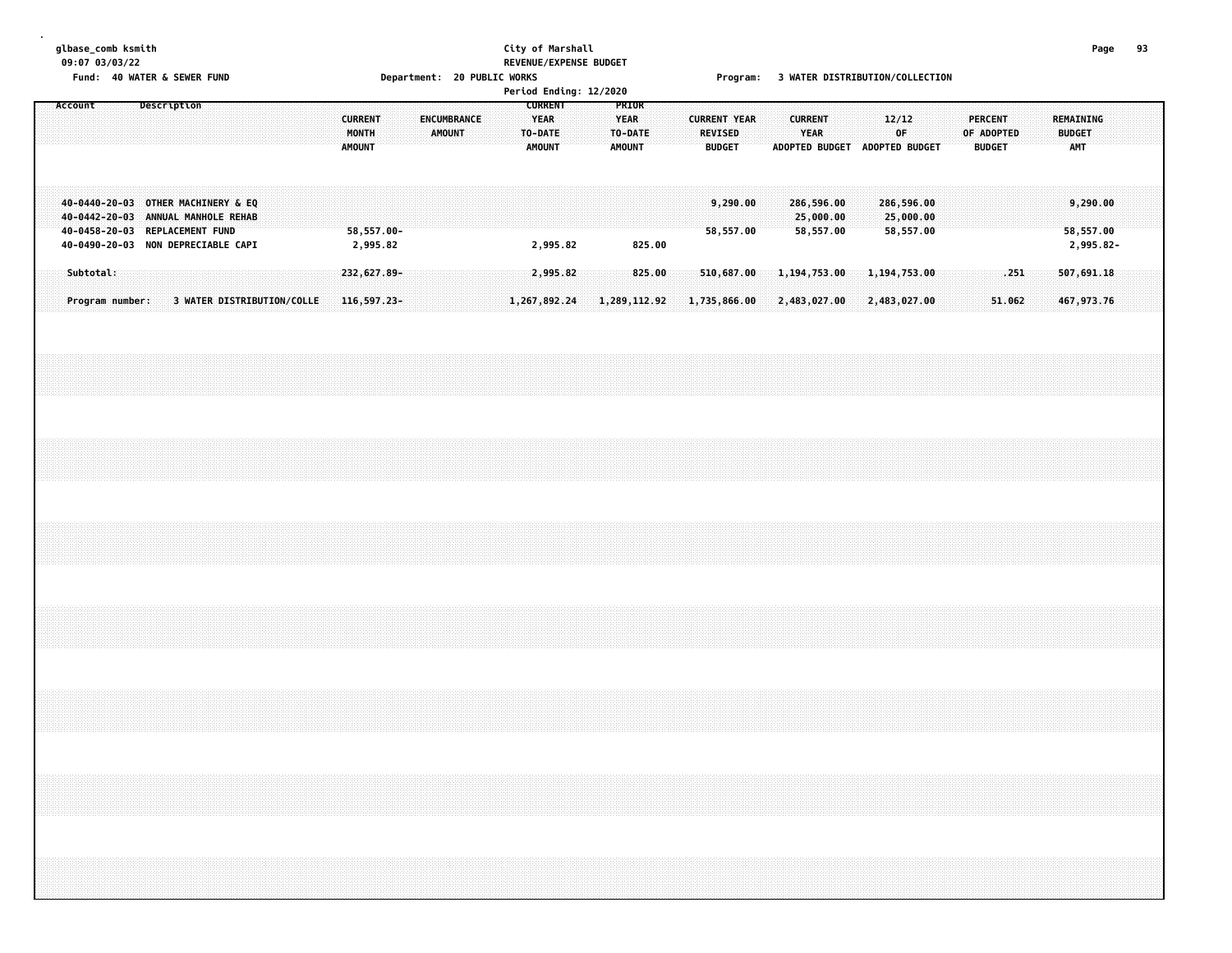## **glbase\_comb ksmith City of Marshall Page 93 09:07 03/03/22 REVENUE/EXPENSE BUDGET**

Fund: 40 WATER & SEWER FUND<br>Department: 20 PUBLIC WORKS [1] The Case of Program: 3 WATER DISTRIBUTION/COLLECTION

|         |                                                                                                                                                  |             |  |                            |  |                                          |                        |  |                       |  | <b>CURRENT</b>                          |  | Period Ending: 12/2020       |                   |  |                                 |                            |                              |                                      |                               |                                      |  |                                               |                |                      |                                    |  |  |
|---------|--------------------------------------------------------------------------------------------------------------------------------------------------|-------------|--|----------------------------|--|------------------------------------------|------------------------|--|-----------------------|--|-----------------------------------------|--|------------------------------|-------------------|--|---------------------------------|----------------------------|------------------------------|--------------------------------------|-------------------------------|--------------------------------------|--|-----------------------------------------------|----------------|----------------------|------------------------------------|--|--|
| Account |                                                                                                                                                  | Description |  |                            |  | <b>CURRENT</b><br>MONTH<br><b>AMOUNT</b> |                        |  | ENCUMBRANCE<br>AMOUNT |  | <b>YEAR</b><br>TO-DATE<br><b>AMOUNT</b> |  | <b>YEAR</b><br><b>AMOUNT</b> | PRIOR<br>TO-DATE: |  | <b>REVISED</b><br><b>BUDGET</b> | <b>CURRENT YEAR</b>        |                              | <b>CURRENT</b><br><b>YEAR</b>        | ADOPTED BUDGET ADOPTED BUDGET | 12/12<br>0F                          |  | <b>PERCENT</b><br>OF ADOPTED<br><b>BUDGET</b> |                | <b>BUDGET</b><br>AMT | REMAINING                          |  |  |
|         | 40-0440-20-03 OTHER MACHINERY & EQ<br>40-0442-20-03 ANNUAL MANHOLE REHAB<br>40-0458-20-03 REPLACEMENT FUND<br>40-0490-20-03 NON DEPRECIABLE CAPI |             |  |                            |  |                                          | 58,557.00-<br>2,995.82 |  |                       |  | 2,995.82                                |  |                              | 825.00            |  |                                 | 9,290.00<br>58,557.00      |                              | 286,596.00<br>25,000.00<br>58,557.00 |                               | 286,596.00<br>25,000.00<br>58,557.00 |  |                                               |                |                      | 9,290.00<br>58,557.00<br>2,995.82- |  |  |
|         | Subtotal:<br>Program number:                                                                                                                     |             |  | 3 WATER DISTRIBUTION/COLLE |  | 232,627.89-<br>116,597.23-               |                        |  |                       |  | 2,995.82<br>1,267,892.24                |  | 1,289,112.92                 | 825.00            |  |                                 | 510,687.00<br>1,735,866.00 | 1,194,753.00<br>2,483,027.00 |                                      |                               | 1,194,753.00<br>2,483,027.00         |  |                                               | .251<br>51.062 |                      | 507,691.18<br>467,973.76           |  |  |
|         |                                                                                                                                                  |             |  |                            |  |                                          |                        |  |                       |  |                                         |  |                              |                   |  |                                 |                            |                              |                                      |                               |                                      |  |                                               |                |                      |                                    |  |  |
|         |                                                                                                                                                  |             |  |                            |  |                                          |                        |  |                       |  |                                         |  |                              |                   |  |                                 |                            |                              |                                      |                               |                                      |  |                                               |                |                      |                                    |  |  |
|         |                                                                                                                                                  |             |  |                            |  |                                          |                        |  |                       |  |                                         |  |                              |                   |  |                                 |                            |                              |                                      |                               |                                      |  |                                               |                |                      |                                    |  |  |
|         |                                                                                                                                                  |             |  |                            |  |                                          |                        |  |                       |  |                                         |  |                              |                   |  |                                 |                            |                              |                                      |                               |                                      |  |                                               |                |                      |                                    |  |  |
|         |                                                                                                                                                  |             |  |                            |  |                                          |                        |  |                       |  |                                         |  |                              |                   |  |                                 |                            |                              |                                      |                               |                                      |  |                                               |                |                      |                                    |  |  |
|         |                                                                                                                                                  |             |  |                            |  |                                          |                        |  |                       |  |                                         |  |                              |                   |  |                                 |                            |                              |                                      |                               |                                      |  |                                               |                |                      |                                    |  |  |
|         |                                                                                                                                                  |             |  |                            |  |                                          |                        |  |                       |  |                                         |  |                              |                   |  |                                 |                            |                              |                                      |                               |                                      |  |                                               |                |                      |                                    |  |  |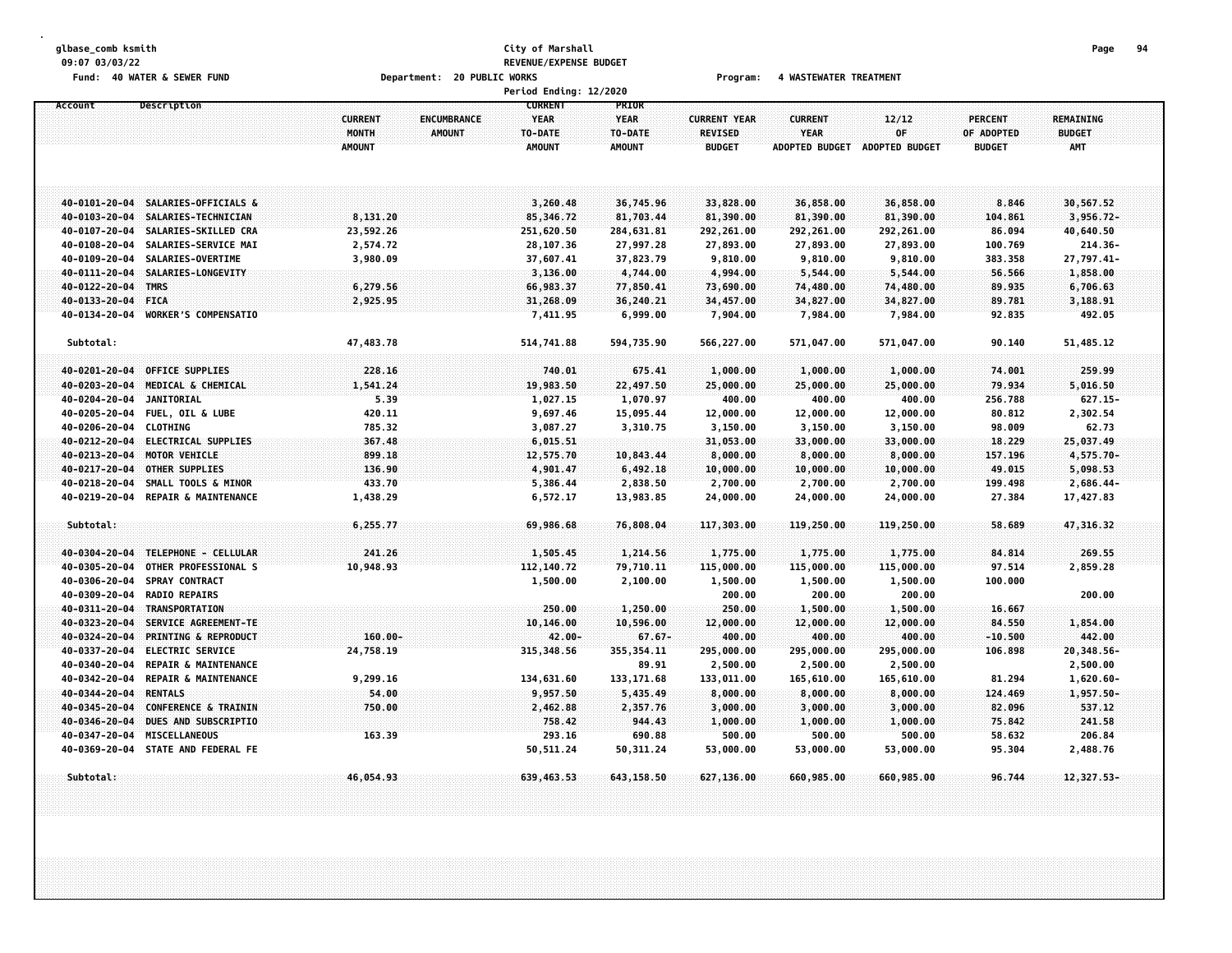#### **glbase\_comb ksmith City of Marshall Page 94 09:07 03/03/22 REVENUE/EXPENSE BUDGET** Fund: 40 WATER & SEWER FUND **Department: 20 PUBLIC WORKS Film Construct Program:** 4 WASTEWATER TREATMENT

|                                |                                         |                                          | Period Ending: 12/2020                                                                    |                                                  |                                                 |                                                        |                                      |                                        |                                          |  |
|--------------------------------|-----------------------------------------|------------------------------------------|-------------------------------------------------------------------------------------------|--------------------------------------------------|-------------------------------------------------|--------------------------------------------------------|--------------------------------------|----------------------------------------|------------------------------------------|--|
| Account                        | Description                             | <b>CURRENT</b><br>MONTH<br><b>AMOUNT</b> | <b>CURRENT</b><br><b>YEAR</b><br>ENCUMBRANCE<br><b>AMOUNT</b><br>TO-DATE<br><b>AMOUNT</b> | PRIOR<br><b>YEAR</b><br>TO-DATE<br><b>AMOUNT</b> | <b>CURRENT YEAR</b><br>REVISED<br><b>BUDGET</b> | <b>CURRENT</b><br><b>YEAR</b><br><b>ADOPTED BUDGET</b> | 12/12<br>0F<br><b>ADOPTED BUDGET</b> | PERCENT<br>OF ADOPTED<br><b>BUDGET</b> | REMAINING<br><b>BUDGET</b><br><b>AMT</b> |  |
| 40-0101-20-04                  | SALARIES-OFFICIALS &                    |                                          | 3,260.48                                                                                  | 36,745.96                                        | 33,828.00                                       | 36,858.00                                              | 36,858.00                            | 8.846                                  | 30,567.52                                |  |
| 40-0103-20-04                  | SALARIES-TECHNICIAN                     | 8,131.20                                 | 85,346.72                                                                                 | 81,703.44                                        | 81,390.00                                       | 81,390.00                                              | 81,390.00                            | 104.861                                | $3,956.72-$                              |  |
| 40-0107-20-04                  | SALARIES-SKILLED CRA                    | 23,592.26                                | 251,620.50                                                                                | 284,631.81                                       | 292,261.00                                      | 292,261.00                                             | 292,261.00                           | 86.094                                 | 40,640.50                                |  |
| 40-0108-20-04                  | SALARIES-SERVICE MAI                    | 2,574.72                                 | 28,107.36                                                                                 | 27,997.28                                        | 27,893.00                                       | 27,893.00                                              | 27,893.00                            | 100.769                                | 214.36-                                  |  |
| 40-0109-20-04<br>40-0111-20-04 | SALARIES-OVERTIME<br>SALARIES-LONGEVITY | 3,980.09                                 | 37,607.41<br>3,136.00                                                                     | 37,823.79<br>4,744.00                            | 9,810.00<br>4,994.00                            | 9,810.00<br>5,544.00                                   | 9,810.00<br>5,544.00                 | 383.358<br>56.566                      | 27,797.41-<br>1,858.00                   |  |
| 40-0122-20-04                  | <b>TMRS</b>                             | 6,279.56                                 | 66,983.37                                                                                 | 77,850.41                                        | 73,690.00                                       | 74,480.00                                              | 74,480.00                            | 89.935                                 | 6,706.63                                 |  |
| 40-0133-20-04                  | <b>FICA</b>                             | 2,925.95                                 | 31,268.09                                                                                 | 36,240.21                                        | 34,457.00                                       | 34,827.00                                              | 34,827.00                            | 89.781                                 | 3,188.91                                 |  |
| 40-0134-20-04                  | <b>WORKER'S COMPENSATIO</b>             |                                          | 7,411.95                                                                                  | 6,999.00                                         | 7,904.00                                        | 7,984.00                                               | 7,984.00                             | 92.835                                 | 492.05                                   |  |
|                                |                                         |                                          |                                                                                           |                                                  |                                                 |                                                        |                                      |                                        |                                          |  |
| Subtotal:                      |                                         | 47,483.78                                | 514,741.88                                                                                | 594,735.90                                       | 566,227.00                                      | 571,047.00                                             | 571,047.00                           | 90.140                                 | 51,485.12                                |  |
| 40-0201-20-04                  | <b>OFFICE SUPPLIES</b>                  | 228.16                                   | 740.01                                                                                    | 675.41                                           | 1,000.00                                        | 1,000.00                                               | 1,000.00                             | 74.001                                 | 259.99                                   |  |
| 40-0203-20-04                  | MEDICAL & CHEMICAL                      | 1,541.24                                 | 19,983.50                                                                                 | 22,497.50                                        | 25,000.00                                       | 25,000.00                                              | 25,000.00                            | 79.934                                 | 5,016.50                                 |  |
| 40-0204-20-04                  | <b>JANITORIAL</b>                       | 5.39                                     | 1,027.15                                                                                  | 1,070.97                                         | 400.00                                          | 400.00                                                 | 400.00                               | 256.788                                | $627.15 -$                               |  |
| 40-0205-20-04                  | FUEL, OIL & LUBE                        | 420.11                                   | 9,697.46                                                                                  | 15,095.44                                        | 12,000.00                                       | 12,000.00                                              | 12,000.00                            | 80.812                                 | 2,302.54                                 |  |
| 40-0206-20-04                  | <b>CLOTHING</b>                         | 785.32                                   | 3,087.27                                                                                  | 3,310.75                                         | 3,150.00                                        | 3,150.00                                               | 3,150.00                             | 98.009                                 | 62.73                                    |  |
| 40-0212-20-04                  | <b>ELECTRICAL SUPPLIES</b>              | 367.48                                   | 6,015.51                                                                                  |                                                  | 31,053.00                                       | 33,000.00                                              | 33,000.00                            | 18.229                                 | 25,037.49                                |  |
| 40-0213-20-04                  | MOTOR VEHICLE                           | 899.18                                   | 12,575.70                                                                                 | 10,843.44                                        | 8,000.00                                        | 8,000.00                                               | 8,000.00                             | 157.196                                | 4,575.70-                                |  |
| 40-0217-20-04                  | OTHER SUPPLIES                          | 136.90                                   | 4,901.47                                                                                  | 6,492.18                                         | 10,000.00                                       | 10,000.00                                              | 10,000.00                            | 49.015                                 | 5,098.53                                 |  |
| 40-0218-20-04                  | SMALL TOOLS & MINOR                     | 433.70                                   | 5,386.44                                                                                  | 2,838.50                                         | 2,700.00                                        | 2,700.00                                               | 2,700.00                             | 199.498                                | 2,686.44-                                |  |
| 40-0219-20-04                  | <b>REPAIR &amp; MAINTENANCE</b>         | 1,438.29                                 | 6,572.17                                                                                  | 13,983.85                                        | 24,000.00                                       | 24,000.00                                              | 24,000.00                            | 27.384                                 | 17,427.83                                |  |
| Subtotal:                      |                                         | 6,255.77                                 | 69,986.68                                                                                 | 76,808.04                                        | 117,303.00                                      | 119,250.00                                             | 119,250.00                           | 58.689                                 | 47,316.32                                |  |
| 40-0304-20-04                  | TELEPHONE - CELLULAR                    | 241.26                                   | 1,505.45                                                                                  | 1,214.56                                         | 1,775.00                                        | 1,775.00                                               | 1,775.00                             | 84.814                                 | 269.55                                   |  |
| 40-0305-20-04                  | OTHER PROFESSIONAL S                    | 10,948.93                                | 112,140.72                                                                                | 79,710.11                                        | 115,000.00                                      | 115,000.00                                             | 115,000.00                           | 97.514                                 | 2,859.28                                 |  |
| 40-0306-20-04                  | <b>SPRAY CONTRACT</b>                   |                                          | 1,500.00                                                                                  | 2,100.00                                         | 1,500.00                                        | 1,500.00                                               | 1,500.00                             | 100.000                                |                                          |  |
| 40-0309-20-04                  | <b>RADIO REPAIRS</b>                    |                                          |                                                                                           |                                                  | 200.00                                          | 200.00                                                 | 200.00                               |                                        | 200.00                                   |  |
| 40-0311-20-04                  | TRANSPORTATION                          |                                          | 250.00                                                                                    | 1,250.00                                         | 250.00                                          | 1,500.00                                               | 1,500.00                             | 16.667                                 |                                          |  |
| 40-0323-20-04                  | SERVICE AGREEMENT-TE                    |                                          | 10,146.00                                                                                 | 10,596.00                                        | 12,000.00                                       | 12,000.00                                              | 12,000.00                            | 84.550                                 | 1,854.00                                 |  |
| 40-0324-20-04                  | PRINTING & REPRODUCT                    | 160.00-                                  | 42.00-                                                                                    | $67.67 -$                                        | 400.00                                          | 400.00                                                 | 400.00                               | $-10.500$                              | 442.00                                   |  |
| 40-0337-20-04                  | <b>ELECTRIC SERVICE</b>                 | 24,758.19                                | 315, 348.56                                                                               | 355, 354.11                                      | 295,000.00                                      | 295,000.00                                             | 295,000.00                           | 106.898                                | 20,348.56-                               |  |
| 40-0340-20-04                  | <b>REPAIR &amp; MAINTENANCE</b>         |                                          |                                                                                           | 89.91                                            | 2,500.00                                        | 2,500.00                                               | 2,500.00                             |                                        | 2,500.00                                 |  |
| 40-0342-20-04                  | REPAIR & MAINTENANCE<br><b>RENTALS</b>  | 9,299.16                                 | 134,631.60                                                                                | 133, 171.68                                      | 133,011.00                                      | 165,610.00                                             | 165,610.00                           | 81.294                                 | $1,620.60 -$                             |  |
| 40-0344-20-04                  | <b>CONFERENCE &amp; TRAININ</b>         | 54.00<br>750.00                          | 9,957.50                                                                                  | 5,435.49                                         | 8,000.00                                        | 8,000.00                                               | 8,000.00                             | 124.469                                | $1,957.50 -$                             |  |
| 40-0345-20-04<br>40-0346-20-04 | DUES AND SUBSCRIPTIO                    |                                          | 2,462.88<br>758.42                                                                        | 2,357.76<br>944.43                               | 3,000.00<br>1,000.00                            | 3,000.00<br>1,000.00                                   | 3,000.00<br>1,000.00                 | 82.096<br>75.842                       | 537.12<br>241.58                         |  |
| 40-0347-20-04                  | <b>MISCELLANEOUS</b>                    | 163.39                                   | 293.16                                                                                    | 690.88                                           | 500.00                                          | 500.00                                                 | 500.00                               | 58.632                                 | 206.84                                   |  |
|                                | 40-0369-20-04 STATE AND FEDERAL FE      |                                          | 50,511.24                                                                                 | 50, 311.24                                       | 53,000.00                                       | 53,000.00                                              | 53,000.00                            | 95.304                                 | 2,488.76                                 |  |
|                                |                                         |                                          |                                                                                           |                                                  |                                                 |                                                        |                                      |                                        |                                          |  |
| Subtotal:                      |                                         | 46,054.93                                | 639,463.53                                                                                | 643, 158.50                                      | 627,136.00                                      | 660,985.00                                             | 660,985.00                           | 96.744                                 | 12,327.53-                               |  |
|                                |                                         |                                          |                                                                                           |                                                  |                                                 |                                                        |                                      |                                        |                                          |  |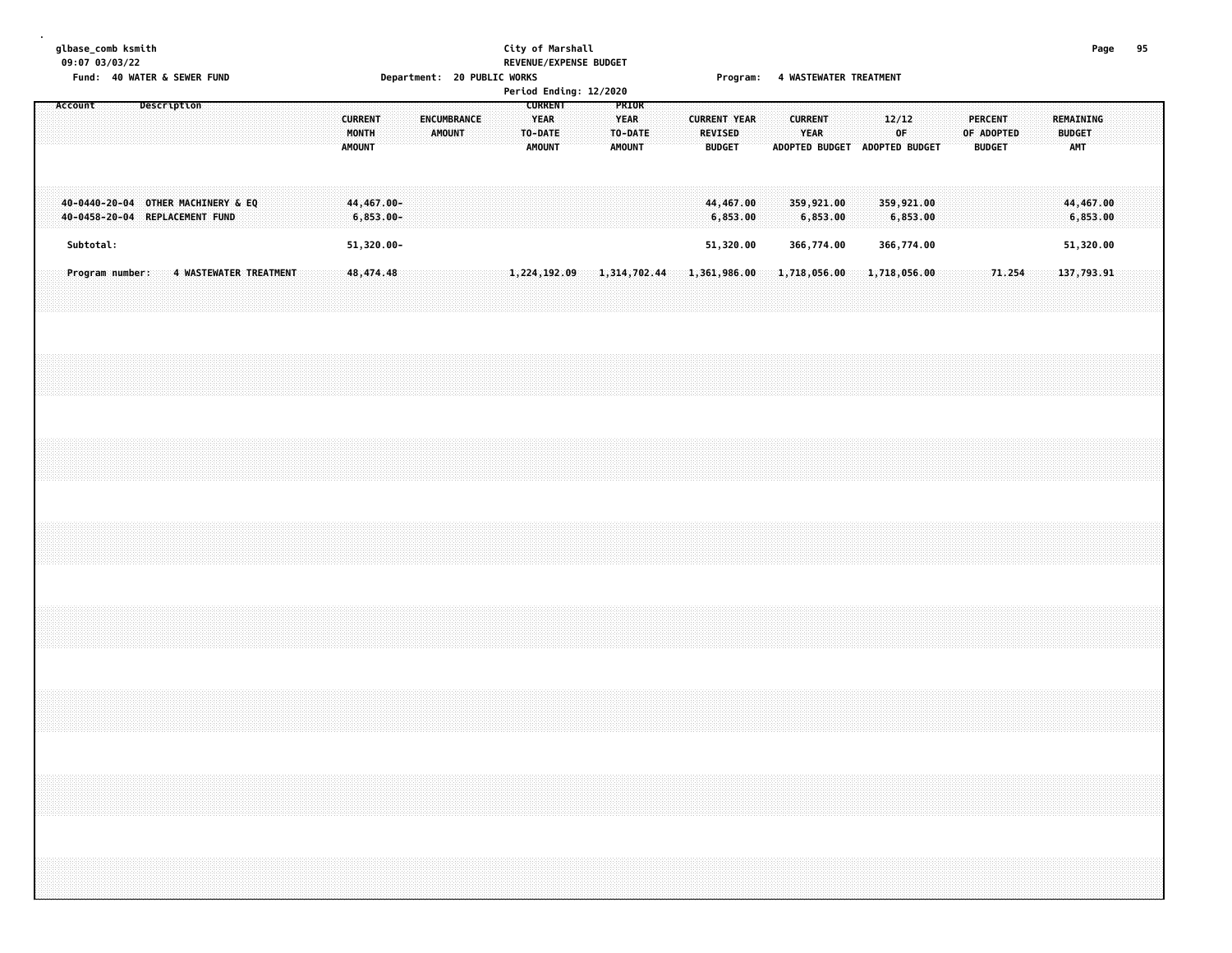### **glbase\_comb ksmith City of Marshall Page 95 09:07 03/03/22 REVENUE/EXPENSE BUDGET** Fund: 40 WATER & SEWER FUND **Department: 20 PUBLIC WORKS Film Construct Program:** 4 WASTEWATER TREATMENT

|                                                                      |                                                                          | Period Ending: 12/2020                                                                                                                                    |                                                                               |                                                                                           |
|----------------------------------------------------------------------|--------------------------------------------------------------------------|-----------------------------------------------------------------------------------------------------------------------------------------------------------|-------------------------------------------------------------------------------|-------------------------------------------------------------------------------------------|
| Account<br><b>Description</b>                                        | <b>CURRENT</b><br>ENCUMBRANCE<br>MONTH<br><b>AMOUNT</b><br><b>AMOUNT</b> | <b>CURRENT</b><br>PRIOR<br><b>YEAR</b><br><b>YEAR</b><br><b>CURRENT YEAR</b><br><b>REVISED</b><br>TO-DATE<br>TO-DATE<br>AMOUNT<br>AMOUNT<br><b>BUDGET</b> | <b>CURRENT</b><br>12/12<br><b>YEAR</b><br>0F<br>ADOPTED BUDGET ADOPTED BUDGET | REMAINING<br><b>PERCENT</b><br>OF ADOPTED<br><b>BUDGET</b><br><b>BUDGET</b><br><b>AMT</b> |
| 40-0440-20-04 OTHER MACHINERY & EQ<br>40-0458-20-04 REPLACEMENT FUND | 44,467.00-<br>$6,853.00-$                                                | 44,467.00<br>6,853.00                                                                                                                                     | 359,921.00<br>359,921.00<br>6,853.00<br>6,853.00                              | 44,467.00<br>6,853.00                                                                     |
| Subtotal:                                                            | 51,320.00-                                                               | 51,320.00                                                                                                                                                 | 366,774.00<br>366,774.00                                                      | 51,320.00                                                                                 |
| Program number:<br>4 WASTEWATER TREATMENT                            | 48,474.48                                                                | $1,224,192.09$ $1,314,702.44$ $1,361,986.00$                                                                                                              | 1,718,056.00<br>1,718,056.00                                                  | 71.254<br>137,793.91                                                                      |
|                                                                      |                                                                          |                                                                                                                                                           |                                                                               |                                                                                           |
|                                                                      |                                                                          |                                                                                                                                                           |                                                                               |                                                                                           |
|                                                                      |                                                                          |                                                                                                                                                           |                                                                               |                                                                                           |
|                                                                      |                                                                          |                                                                                                                                                           |                                                                               |                                                                                           |
|                                                                      |                                                                          |                                                                                                                                                           |                                                                               |                                                                                           |
|                                                                      |                                                                          |                                                                                                                                                           |                                                                               |                                                                                           |
|                                                                      |                                                                          |                                                                                                                                                           |                                                                               |                                                                                           |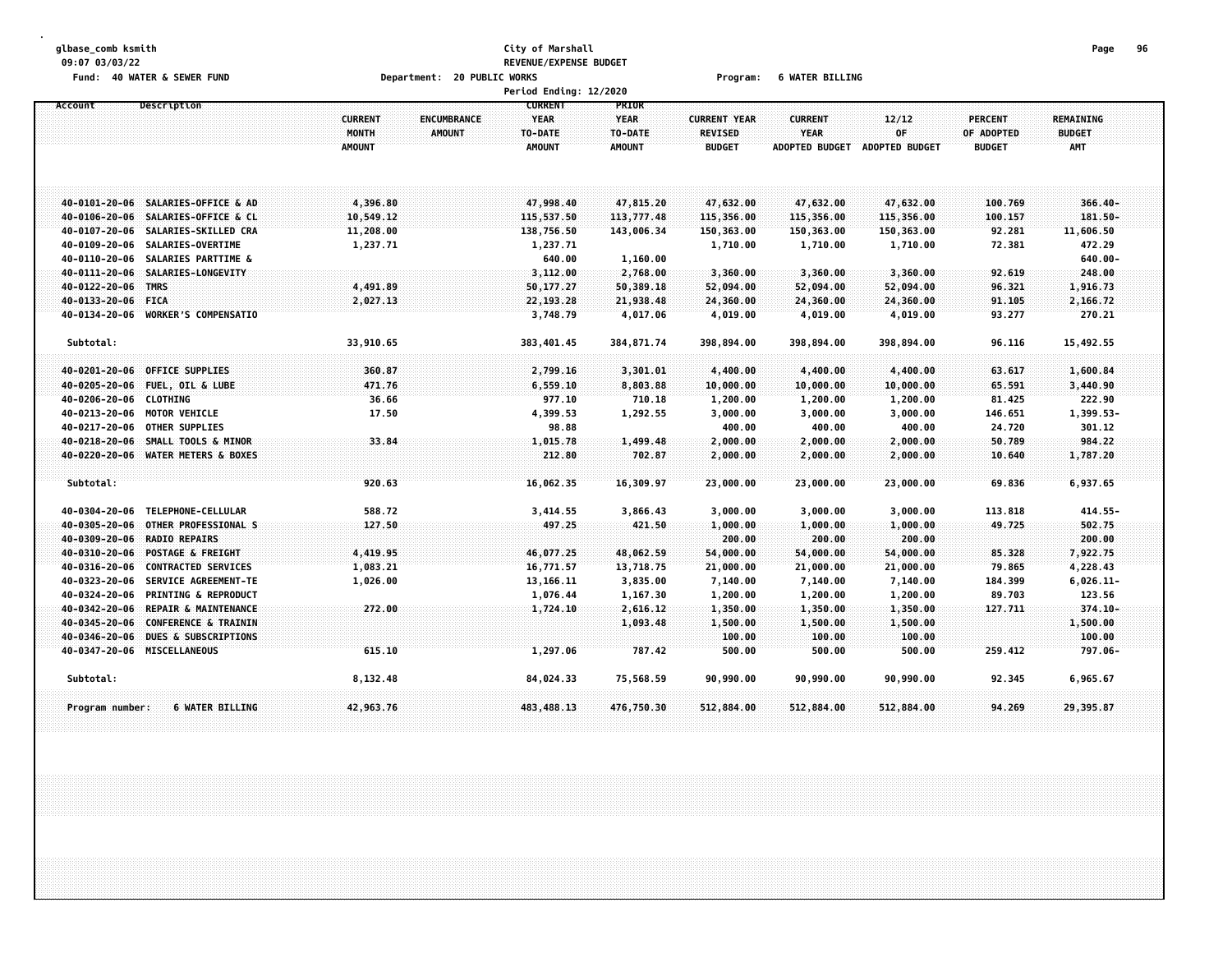#### **glbase\_comb ksmith City of Marshall Page 96 09:07 03/03/22 REVENUE/EXPENSE BUDGET** Fund: 40 WATER & SEWER FUND **Department: 20 PUBLIC WORKS** Fund: 40 WATER BILLING

|                                                  |                                               | Period Ending: 12/2020   |                          |                                 |                               |                       |                             |                      |  |
|--------------------------------------------------|-----------------------------------------------|--------------------------|--------------------------|---------------------------------|-------------------------------|-----------------------|-----------------------------|----------------------|--|
| Description<br>Account                           |                                               | <b>CURRENT</b>           | PRIOR                    |                                 |                               |                       |                             |                      |  |
|                                                  | <b>CURRENT</b><br><b>ENCUMBRANCE</b><br>MONTH | YEAR                     | <b>YEAR</b>              | <b>CURRENT YEAR</b>             | <b>CURRENT</b><br><b>YEAR</b> | 12/12<br>0F           | PERCENT                     | REMAINING            |  |
|                                                  | <b>AMOUNT</b><br><b>AMOUNT</b>                | TO-DATE<br><b>AMOUNT</b> | TO-DATE<br><b>AMOUNT</b> | <b>REVISED</b><br><b>BUDGET</b> |                               | <b>ADOPTED BUDGET</b> | OF ADOPTED<br><b>BUDGET</b> | <b>BUDGET</b><br>AMT |  |
|                                                  |                                               |                          |                          |                                 | <b>ADOPTED BUDGET</b>         |                       |                             |                      |  |
|                                                  |                                               |                          |                          |                                 |                               |                       |                             |                      |  |
| 40-0101-20-06 SALARIES-OFFICE & AD               | 4,396.80                                      | 47,998.40                | 47,815.20                | 47,632.00                       | 47,632.00                     | 47,632.00             | 100.769                     | $366.40 -$           |  |
| 40-0106-20-06 SALARIES-OFFICE & CL               | 10,549.12                                     | 115,537.50               | 113,777.48               | 115,356.00                      | 115,356.00                    | 115,356.00            | 100.157                     | $181.50 -$           |  |
| 40-0107-20-06 SALARIES-SKILLED CRA               | 11,208.00                                     | 138,756.50               | 143,006.34               | 150,363.00                      | 150,363.00                    | 150,363.00            | 92.281                      | 11,606.50            |  |
| 40-0109-20-06 SALARIES-OVERTIME                  | 1,237.71                                      | 1,237.71                 |                          | 1,710.00                        | 1,710.00                      | 1,710.00              | 72.381                      | 472.29               |  |
| <b>SALARIES PARTTIME &amp;</b><br>40-0110-20-06  |                                               | 640.00                   | 1,160.00                 |                                 |                               |                       |                             | $640.00 -$           |  |
| 40-0111-20-06 SALARIES-LONGEVITY                 |                                               | 3,112.00                 | 2,768.00                 | 3,360.00                        | 3,360.00                      | 3,360.00              | 92.619                      | 248.00               |  |
| 40-0122-20-06 TMRS                               | 4,491.89                                      | 50,177.27                | 50,389.18                | 52,094.00                       | 52,094.00                     | 52,094.00             | 96.321                      | 1,916.73             |  |
| 40-0133-20-06 FICA                               | 2,027.13                                      | 22, 193.28               | 21,938.48                | 24,360.00                       | 24,360.00                     | 24,360.00             | 91.105                      | 2,166.72             |  |
| 40-0134-20-06 WORKER'S COMPENSATIO               |                                               | 3,748.79                 | 4,017.06                 | 4,019.00                        | 4,019.00                      | 4,019.00              | 93.277                      | 270.21               |  |
| Subtotal:                                        | 33,910.65                                     | 383,401.45               | 384, 871.74              | 398,894.00                      | 398,894.00                    | 398,894.00            | 96.116                      | 15,492.55            |  |
| 40-0201-20-06 OFFICE SUPPLIES                    | 360.87                                        | 2,799.16                 | 3,301.01                 | 4,400.00                        | 4,400.00                      | 4,400.00              | 63.617                      | 1,600.84             |  |
| 40-0205-20-06 FUEL, OIL & LUBE                   | 471.76                                        | 6,559.10                 | 8,803.88                 | 10,000.00                       | 10,000.00                     | 10,000.00             | 65.591                      | 3,440.90             |  |
| 40-0206-20-06 CLOTHING                           | 36.66                                         | 977.10                   | 710.18                   | 1,200.00                        | 1,200.00                      | 1,200.00              | 81.425                      | 222.90               |  |
| 40-0213-20-06 MOTOR VEHICLE                      | 17.50                                         | 4,399.53                 | 1,292.55                 | 3,000.00                        | 3,000.00                      | 3,000.00              | 146.651                     | 1,399.53-            |  |
| 40-0217-20-06 OTHER SUPPLIES                     |                                               | 98.88                    |                          | 400.00                          | 400.00                        | 400.00                | 24.720                      | 301.12               |  |
| 40-0218-20-06 SMALL TOOLS & MINOR                | 33.84                                         | 1,015.78                 | 1,499.48                 | 2,000.00                        | 2,000.00                      | 2,000.00              | 50.789                      | 984.22               |  |
| 40-0220-20-06 WATER METERS & BOXES               |                                               | 212.80                   | 702.87                   | 2,000.00                        | 2,000.00                      | 2,000.00              | 10.640                      | 1,787.20             |  |
|                                                  |                                               |                          |                          |                                 |                               |                       |                             |                      |  |
| Subtotal:                                        | 920.63                                        | 16,062.35                | 16,309.97                | 23,000.00                       | 23,000.00                     | 23,000.00             | 69.836                      | 6,937.65             |  |
| TELEPHONE-CELLULAR<br>40-0304-20-06              | 588.72                                        | 3,414.55                 | 3,866.43                 | 3,000.00                        | 3,000.00                      | 3,000.00              | 113.818                     | 414.55-              |  |
| 40-0305-20-06<br>OTHER PROFESSIONAL S            | 127.50                                        | 497.25                   | 421.50                   | 1,000.00                        | 1,000.00                      | 1,000.00              | 49.725                      | 502.75               |  |
| 40-0309-20-06<br><b>RADIO REPAIRS</b>            |                                               |                          |                          | 200.00                          | 200.00                        | 200.00                |                             | 200.00               |  |
| 40-0310-20-06<br>POSTAGE & FREIGHT               | 4,419.95                                      | 46,077.25                | 48,062.59                | 54,000.00                       | 54,000.00                     | 54,000.00             | 85.328                      | 7,922.75             |  |
| 40-0316-20-06<br><b>CONTRACTED SERVICES</b>      | 1,083.21                                      | 16,771.57                | 13,718.75                | 21,000.00                       | 21,000.00                     | 21,000.00             | 79.865                      | 4,228.43             |  |
| 40-0323-20-06<br>SERVICE AGREEMENT-TE            | 1,026.00                                      | 13,166.11                | 3,835.00                 | 7,140.00                        | 7,140.00                      | 7,140.00              | 184.399                     | $6,026.11-$          |  |
| 40-0324-20-06<br><b>PRINTING &amp; REPRODUCT</b> |                                               | 1,076.44                 | 1,167.30                 | 1,200.00                        | 1,200.00                      | 1,200.00              | 89.703                      | 123.56               |  |
| 40-0342-20-06<br>REPAIR & MAINTENANCE            | 272.00                                        | 1,724.10                 | 2,616.12                 | 1,350.00                        | 1,350.00                      | 1,350.00              | 127.711                     | $374.10 -$           |  |
| 40-0345-20-06<br><b>CONFERENCE &amp; TRAININ</b> |                                               |                          | 1,093.48                 | 1,500.00                        | 1,500.00                      | 1,500.00              |                             | 1,500.00             |  |
| 40-0346-20-06<br><b>DUES &amp; SUBSCRIPTIONS</b> |                                               |                          |                          | 100.00                          | 100.00                        | 100.00                |                             | 100.00               |  |
| 40-0347-20-06 MISCELLANEOUS                      | 615.10                                        | 1,297.06                 | 787.42                   | 500.00                          | 500.00                        | 500.00                | 259.412                     | 797.06-              |  |
| Subtotal:                                        | 8,132.48                                      | 84,024.33                | 75,568.59                | 90,990.00                       | 90,990.00                     | 90,990.00             | 92.345                      | 6,965.67             |  |
| <b>6 WATER BILLING</b><br>Program number:        | 42,963.76                                     | 483, 488, 13             | 476,750.30               | 512,884.00                      | 512,884.00                    | 512,884.00            | 94.269                      | 29,395.87            |  |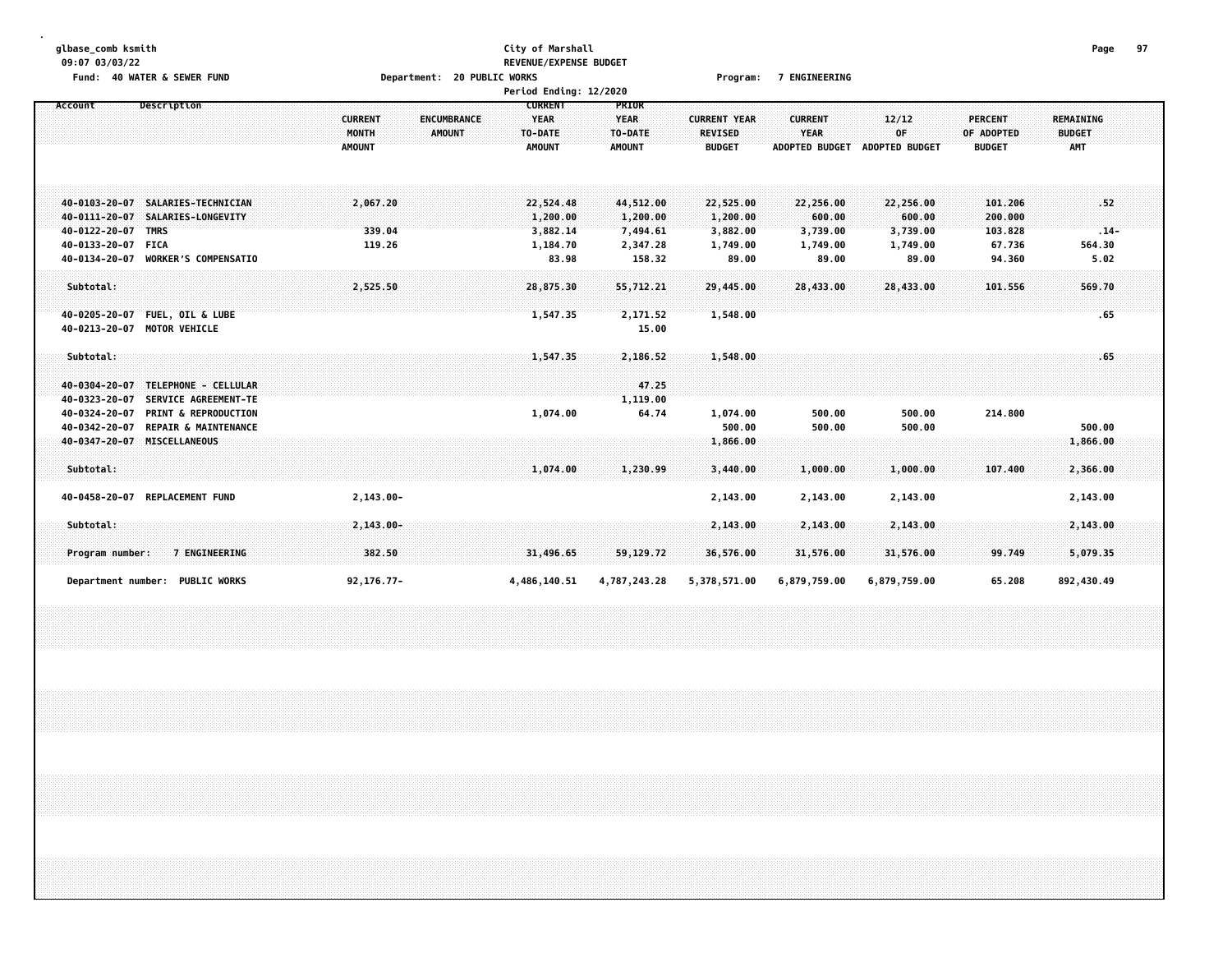| 09:07 03/03/22                                                                            |                                                           | REVENUE/EXPENSE BUDGET                                                          |                                                         |                                                        |                                                 |                               |                                               |                                          |  |
|-------------------------------------------------------------------------------------------|-----------------------------------------------------------|---------------------------------------------------------------------------------|---------------------------------------------------------|--------------------------------------------------------|-------------------------------------------------|-------------------------------|-----------------------------------------------|------------------------------------------|--|
| Fund: 40 WATER & SEWER FUND                                                               |                                                           | Department: 20 PUBLIC WORKS                                                     |                                                         | Program:                                               | <b>7 ENGINEERING</b>                            |                               |                                               |                                          |  |
|                                                                                           |                                                           | Period Ending: 12/2020                                                          |                                                         |                                                        |                                                 |                               |                                               |                                          |  |
| <b>Description</b><br>Account                                                             | <b>CURRENT</b><br>MONTH<br><b>AMOUNT</b><br><b>AMOUNT</b> | <b>CURRENT</b><br><b>YEAR</b><br><b>ENCUMBRANCE</b><br>TO-DATE<br><b>AMOUNT</b> | <b>PRIOR</b><br><b>YEAR</b><br>TO-DATE<br><b>AMOUNT</b> | <b>CURRENT YEAR</b><br><b>REVISED</b><br><b>BUDGET</b> | <b>CURRENT</b><br><b>YEAR</b><br>ADOPTED BUDGET | 12/12<br>OF<br>ADOPTED BUDGET | <b>PERCENT</b><br>OF ADOPTED<br><b>BUDGET</b> | <b>REMAINING</b><br><b>BUDGET</b><br>AMT |  |
|                                                                                           |                                                           |                                                                                 |                                                         |                                                        |                                                 |                               |                                               |                                          |  |
| 40-0103-20-07 SALARIES-TECHNICIAN                                                         | 2,067.20                                                  | 22,524.48                                                                       | 44,512.00                                               | 22,525.00                                              | 22,256.00                                       | 22,256.00                     | 101,206                                       | .52                                      |  |
| 40-0111-20-07 SALARIES-LONGEVITY                                                          |                                                           | 1,200.00                                                                        | 1,200.00                                                | 1,200.00                                               | 600.00                                          | 600.00                        | 200.000                                       |                                          |  |
| 40-0122-20-07 TMRS                                                                        | 339.04                                                    | 3,882.14                                                                        | 7,494.61                                                | 3,882.00                                               | 3,739.00                                        | 3,739.00                      | 103.828                                       | $.14-$                                   |  |
| 40-0133-20-07 FICA<br><b>WORKER'S COMPENSATIO</b><br>40-0134-20-07                        | 119.26                                                    | 1,184.70<br>83.98                                                               | 2,347.28<br>158.32                                      | 1,749.00<br>89.00                                      | 1,749.00<br>89.00                               | 1,749.00<br>89.00             | 67.736<br>94.360                              | 564.30<br>5.02                           |  |
| Subtotal:                                                                                 | 2,525.50                                                  | 28,875.30                                                                       | 55,712.21                                               | 29,445.00                                              | 28,433.00                                       | 28,433.00                     | 101.556                                       | 569.70                                   |  |
| 40-0205-20-07 FUEL, OIL & LUBE                                                            |                                                           | 1,547.35                                                                        | 2,171.52                                                | 1,548.00                                               |                                                 |                               |                                               | .65                                      |  |
| 40-0213-20-07 MOTOR VEHICLE                                                               |                                                           |                                                                                 | 15.00                                                   |                                                        |                                                 |                               |                                               |                                          |  |
| Subtotal:                                                                                 |                                                           | 1,547.35                                                                        | 2,186.52                                                | 1,548.00                                               |                                                 |                               |                                               | .65                                      |  |
| TELEPHONE - CELLULAR<br>40-0304-20-07                                                     |                                                           |                                                                                 | 47.25                                                   |                                                        |                                                 |                               |                                               |                                          |  |
| 40-0323-20-07<br>SERVICE AGREEMENT-TE<br>40-0324-20-07<br><b>PRINT &amp; REPRODUCTION</b> |                                                           | 1,074.00                                                                        | 1,119.00<br>64.74                                       | 1,074.00                                               | 500.00                                          | 500.00                        | 214.800                                       |                                          |  |
| 40-0342-20-07<br><b>REPAIR &amp; MAINTENANCE</b>                                          |                                                           |                                                                                 |                                                         | 500.00                                                 | 500.00                                          | 500.00                        |                                               | 500.00                                   |  |
| 40-0347-20-07 MISCELLANEOUS                                                               |                                                           |                                                                                 |                                                         | 1,866.00                                               |                                                 |                               |                                               | 1,866.00                                 |  |
| Subtotal:                                                                                 |                                                           | 1,074.00                                                                        | 1,230.99                                                | 3,440.00                                               | 1,000.00                                        | 1,000.00                      | 107.400                                       | 2,366.00                                 |  |
| <b>REPLACEMENT FUND</b><br>40-0458-20-07                                                  | $2, 143.00 -$                                             |                                                                                 |                                                         | 2,143.00                                               | 2,143.00                                        | 2,143.00                      |                                               | 2,143.00                                 |  |
| Subtotal:                                                                                 | $2,143.00 -$                                              |                                                                                 |                                                         | 2,143.00                                               | 2,143.00                                        | 2,143.00                      |                                               | 2,143.00                                 |  |
| Program number:<br>7 ENGINEERING                                                          | 382.50                                                    | 31,496.65                                                                       | 59,129.72                                               | 36,576.00                                              | 31,576.00                                       | 31,576.00                     | 99.749                                        | 5,079.35                                 |  |
| <b>PUBLIC WORKS</b><br>Department number:                                                 | $92.176.77 -$                                             | 4,486,140.51                                                                    | 4,787,243.28                                            | 5,378,571.00                                           | 6,879,759.00                                    | 6,879,759.00                  | 65.208                                        | 892,430.49                               |  |

**glbase\_comb ksmith City of Marshall Page 97**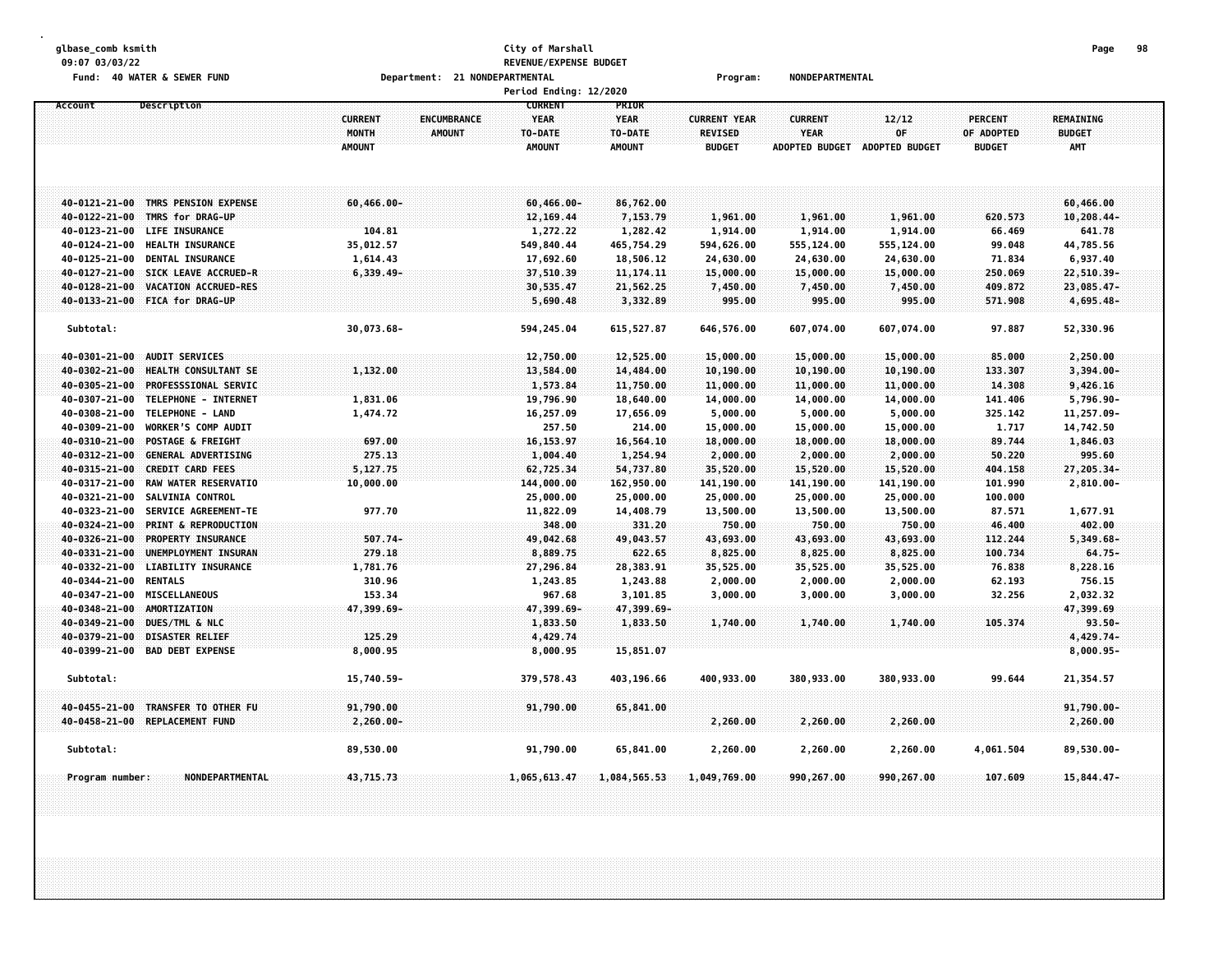#### **glbase\_comb ksmith City of Marshall Page 98 09:07 03/03/22 REVENUE/EXPENSE BUDGET Fund: 40 WATER & SEWER FUND Department: 21 NONDEPARTMENTAL Program: NONDEPARTMENTAL**

|                        |                                 |                                          | Period Ending: 12/2020                                                                           |                                                  |                                                        |                                                        |                               |                                               |                                                 |  |
|------------------------|---------------------------------|------------------------------------------|--------------------------------------------------------------------------------------------------|--------------------------------------------------|--------------------------------------------------------|--------------------------------------------------------|-------------------------------|-----------------------------------------------|-------------------------------------------------|--|
| Account                | Description                     | <b>CURRENT</b><br>MONTH<br><b>AMOUNT</b> | <b>CURRENT</b><br><b>ENCUMBRANCE</b><br><b>YEAR</b><br><b>AMOUNT</b><br>TO-DATE<br><b>AMOUNT</b> | PRIOR<br><b>YEAR</b><br>TO-DATE<br><b>AMOUNT</b> | <b>CURRENT YEAR</b><br><b>REVISED</b><br><b>BUDGET</b> | <b>CURRENT</b><br><b>YEAR</b><br><b>ADOPTED BUDGET</b> | 12/12<br>OF<br>ADOPTED BUDGET | <b>PERCENT</b><br>OF ADOPTED<br><b>BUDGET</b> | <b>REMAINING</b><br><b>BUDGET</b><br><b>AMT</b> |  |
| $-40 - 0121 - 21 - 00$ | TMRS PENSION EXPENSE            | 60,466.00-                               | 60,466.00-                                                                                       | 86,762.00                                        |                                                        |                                                        |                               |                                               | 60,466.00                                       |  |
| 40-0122-21-00          | TMRS for DRAG-UP                |                                          | 12,169.44                                                                                        | 7,153.79                                         | 1,961.00                                               | 1,961.00                                               | 1,961.00                      | 620.573                                       | 10,208.44-                                      |  |
| 40-0123-21-00          | <b>LIFE INSURANCE</b>           | 104.81                                   | 1,272.22                                                                                         | 1,282.42                                         | 1,914.00                                               | 1,914.00                                               | 1,914.00                      | 66.469                                        | 641.78                                          |  |
| 40-0124-21-00          | <b>HEALTH INSURANCE</b>         | 35,012.57                                | 549,840.44                                                                                       | 465,754.29                                       | 594,626.00                                             | 555,124.00                                             | 555,124.00                    | 99.048                                        | 44,785.56                                       |  |
| 40-0125-21-00          | DENTAL INSURANCE                | 1,614.43                                 | 17,692.60                                                                                        | 18,506.12                                        | 24,630.00                                              | 24,630.00                                              | 24,630.00                     | 71.834                                        | 6,937.40                                        |  |
| 40-0127-21-00          | SICK LEAVE ACCRUED-R            | $6,339.49-$                              | 37,510.39                                                                                        | 11, 174. 11                                      | 15,000.00                                              | 15,000.00                                              | 15,000.00                     | 250.069                                       | 22,510.39-                                      |  |
| 40-0128-21-00          | <b>VACATION ACCRUED-RES</b>     |                                          | 30,535.47                                                                                        | 21,562.25                                        | 7,450.00                                               | 7,450.00                                               | 7,450.00                      | 409.872                                       | 23,085.47-                                      |  |
| 40-0133-21-00          | FICA for DRAG-UP                |                                          | 5,690.48                                                                                         | 3,332.89                                         | 995.00                                                 | 995.00                                                 | 995.00                        | 571.908                                       | 4,695.48-                                       |  |
| Subtotal:              |                                 | 30,073.68-                               | 594,245.04                                                                                       | 615, 527.87                                      | 646,576.00                                             | 607,074.00                                             | 607,074.00                    | 97.887                                        | 52,330.96                                       |  |
| 40-0301-21-00          | <b>AUDIT SERVICES</b>           |                                          | 12,750.00                                                                                        | 12,525.00                                        | 15,000.00                                              | 15,000.00                                              | 15,000.00                     | 85,000                                        | 2,250.00                                        |  |
| 40-0302-21-00          | HEALTH CONSULTANT SE            | 1,132.00                                 | 13,584.00                                                                                        | 14,484.00                                        | 10,190.00                                              | 10,190.00                                              | 10,190.00                     | 133.307                                       | $3,394.00 -$                                    |  |
| 40-0305-21-00          | PROFESSSIONAL SERVIC            |                                          | 1,573.84                                                                                         | 11,750.00                                        | 11,000.00                                              | 11,000.00                                              | 11,000.00                     | 14.308                                        | 9,426.16                                        |  |
| 40-0307-21-00          | <b>TELEPHONE - INTERNET</b>     | 1,831.06                                 | 19,796.90                                                                                        | 18,640.00                                        | 14,000.00                                              | 14,000.00                                              | 14,000.00                     | 141.406                                       | 5,796.90-                                       |  |
| 40-0308-21-00          | <b>TELEPHONE - LAND</b>         | 1,474.72                                 | 16,257.09                                                                                        | 17,656.09                                        | 5,000.00                                               | 5,000.00                                               | 5,000.00                      | 325.142                                       | 11,257.09-                                      |  |
| 40-0309-21-00          | WORKER'S COMP AUDIT             |                                          | 257.50                                                                                           | 214.00                                           | 15,000.00                                              | 15,000.00                                              | 15,000.00                     | 1.717                                         | 14,742.50                                       |  |
| 40-0310-21-00          | POSTAGE & FREIGHT               | 697.00                                   | 16, 153.97                                                                                       | 16,564.10                                        | 18,000.00                                              | 18,000.00                                              | 18,000.00                     | 89.744                                        | 1,846.03                                        |  |
| 40-0312-21-00          | <b>GENERAL ADVERTISING</b>      | 275.13                                   | 1,004.40                                                                                         | 1,254.94                                         | 2,000.00                                               | 2,000.00                                               | 2,000.00                      | 50.220                                        | 995.60                                          |  |
| 40-0315-21-00          | <b>CREDIT CARD FEES</b>         | 5,127.75                                 | 62,725.34                                                                                        | 54,737.80                                        | 35,520.00                                              | 15,520.00                                              | 15,520.00                     | 404.158                                       | 27,205.34-                                      |  |
| 40-0317-21-00          | <b>RAW WATER RESERVATIO</b>     | 10,000.00                                | 144,000.00                                                                                       | 162,950.00                                       | 141,190.00                                             | 141,190.00                                             | 141,190.00                    | 101.990                                       | $2,810.00 -$                                    |  |
| 40-0321-21-00          | SALVINIA CONTROL                |                                          | 25,000.00                                                                                        | 25,000.00                                        | 25,000.00                                              | 25,000.00                                              | 25,000.00                     | 100.000                                       |                                                 |  |
| 40-0323-21-00          | SERVICE AGREEMENT-TE            | 977.70                                   | 11,822.09                                                                                        | 14,408.79                                        | 13,500.00                                              | 13,500.00                                              | 13,500.00                     | 87.571                                        | 1,677.91                                        |  |
| 40-0324-21-00          | <b>PRINT &amp; REPRODUCTION</b> |                                          | 348.00                                                                                           | 331.20                                           | 750.00                                                 | 750.00                                                 | 750.00                        | 46.400                                        | 402.00                                          |  |
| 40-0326-21-00          | PROPERTY INSURANCE              | 507.74-                                  | 49,042.68                                                                                        | 49,043.57                                        | 43,693.00                                              | 43,693.00                                              | 43,693.00                     | 112.244                                       | 5,349.68-                                       |  |
| 40-0331-21-00          | UNEMPLOYMENT INSURAN            | 279.18                                   | 8,889.75                                                                                         | 622,65                                           | 8,825.00                                               | 8,825.00                                               | 8,825.00                      | 100.734                                       | $64.75 -$                                       |  |
| 40-0332-21-00          | <b>LIABILITY INSURANCE</b>      | 1,781.76                                 | 27,296.84                                                                                        | 28,383.91                                        | 35,525.00                                              | 35,525.00                                              | 35,525.00                     | 76.838                                        | 8,228.16                                        |  |
| 40-0344-21-00          | <b>RENTALS</b>                  | 310.96                                   | 1,243.85                                                                                         | 1,243.88                                         | 2,000.00                                               | 2,000.00                                               | 2,000.00                      | 62.193                                        | 756.15                                          |  |
| 40-0347-21-00          | MISCELLANEOUS                   | 153.34                                   | 967.68                                                                                           | 3,101.85                                         | 3,000.00                                               | 3,000.00                                               | 3,000.00                      | 32.256                                        | 2,032.32                                        |  |
| 40-0348-21-00          | <b>AMORTIZATION</b>             | 47,399.69-                               | 47,399.69-                                                                                       | 47,399.69-                                       |                                                        |                                                        |                               |                                               | 47,399.69                                       |  |
| 40-0349-21-00          | DUES/TML & NLC                  |                                          | 1,833.50                                                                                         | 1,833.50                                         | 1,740.00                                               | 1,740.00                                               | 1,740.00                      | 105.374                                       | $93.50 -$                                       |  |
| 40-0379-21-00          | <b>DISASTER RELIEF</b>          | 125.29                                   | 4,429.74                                                                                         |                                                  |                                                        |                                                        |                               |                                               | 4,429.74-                                       |  |
| 40-0399-21-00          | <b>BAD DEBT EXPENSE</b>         | 8,000.95                                 | 8,000.95                                                                                         | 15,851.07                                        |                                                        |                                                        |                               |                                               | $8,000.95 -$                                    |  |
| Subtotal:              |                                 | 15,740.59-                               | 379,578.43                                                                                       | 403,196.66                                       | 400,933.00                                             | 380,933.00                                             | 380,933.00                    | 99.644                                        | 21,354.57                                       |  |
| 40-0455-21-00          | TRANSFER TO OTHER FU            | 91,790.00                                | 91,790.00                                                                                        | 65,841.00                                        |                                                        |                                                        |                               |                                               | 91,790.00-                                      |  |
| 40-0458-21-00          | REPLACEMENT FUND                | $2,260.00 -$                             |                                                                                                  |                                                  | 2,260.00                                               | 2,260.00                                               | 2,260.00                      |                                               | 2,260.00                                        |  |
| Subtotal:              |                                 | 89,530.00                                | 91,790.00                                                                                        | 65,841.00                                        | 2,260.00                                               | 2,260.00                                               | 2,260.00                      | 4,061.504                                     | 89,530.00-                                      |  |
|                        |                                 |                                          |                                                                                                  |                                                  |                                                        |                                                        |                               |                                               |                                                 |  |
| Program number:        | NONDEPARTMENTAL                 | 43,715.73                                | 1,065,613.47                                                                                     | 1,084,565.53                                     | 1,049,769.00                                           | 990, 267.00                                            | 990,267.00                    | 107.609                                       | 15,844.47-                                      |  |
|                        |                                 |                                          |                                                                                                  |                                                  |                                                        |                                                        |                               |                                               |                                                 |  |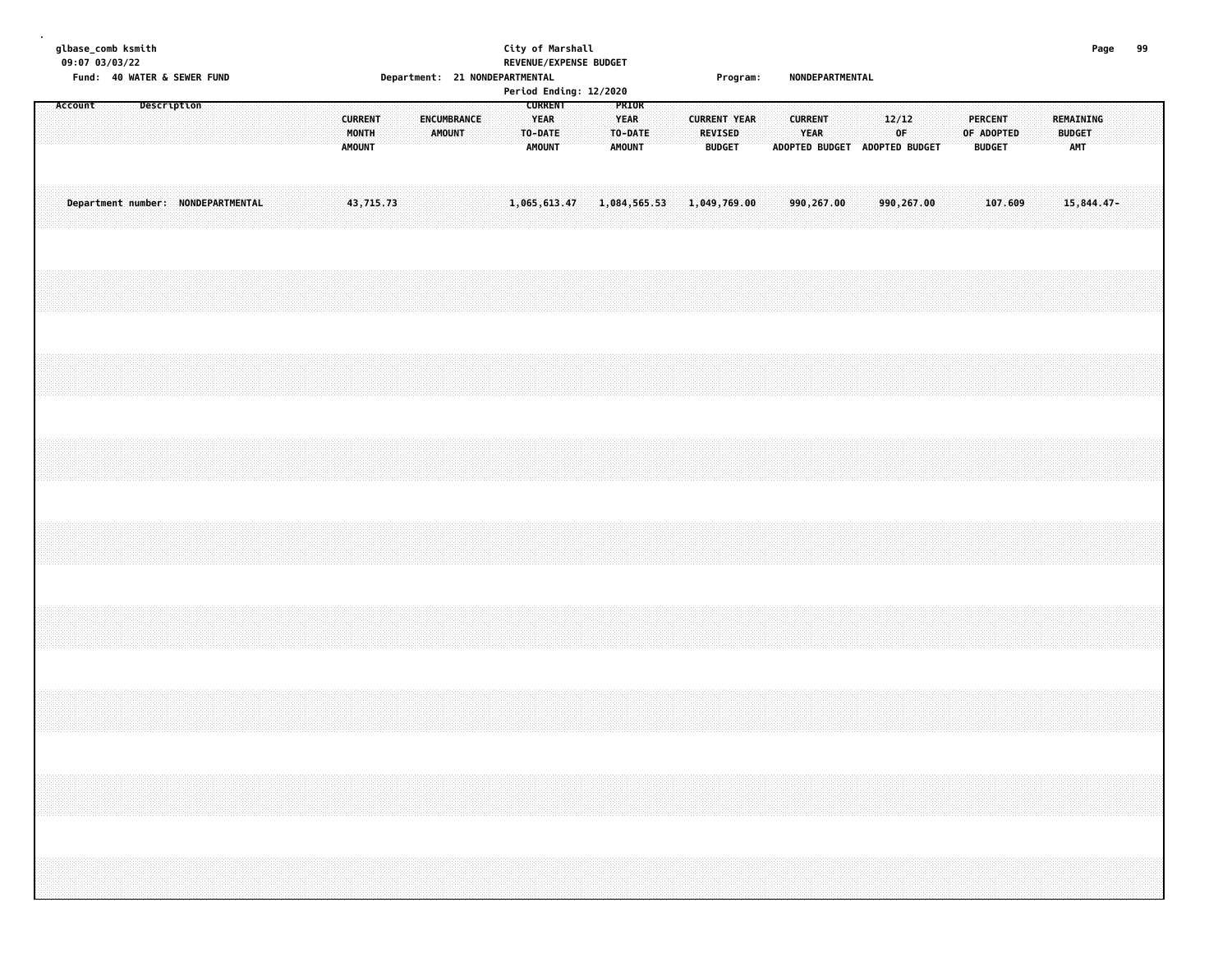| Page 99                                                                                                |                                                  |                                    |  |  |  |                                                                                                                                                                                                                                 |  |
|--------------------------------------------------------------------------------------------------------|--------------------------------------------------|------------------------------------|--|--|--|---------------------------------------------------------------------------------------------------------------------------------------------------------------------------------------------------------------------------------|--|
|                                                                                                        |                                                  |                                    |  |  |  |                                                                                                                                                                                                                                 |  |
|                                                                                                        | REMAINING<br><b>BUDGET</b><br><b>AMT</b>         | 15,844.47-                         |  |  |  | $\sim$ . The contract of the contract of the contract of the contract of the contract of the contract of the contract of the contract of the contract of the contract of the contract of the contract of the contract of the co |  |
|                                                                                                        |                                                  |                                    |  |  |  |                                                                                                                                                                                                                                 |  |
|                                                                                                        |                                                  |                                    |  |  |  |                                                                                                                                                                                                                                 |  |
|                                                                                                        |                                                  | 107.609                            |  |  |  |                                                                                                                                                                                                                                 |  |
|                                                                                                        | <b>PERCENT</b><br>OF ADOPTED<br><b>BUDGET</b>    |                                    |  |  |  |                                                                                                                                                                                                                                 |  |
|                                                                                                        |                                                  |                                    |  |  |  |                                                                                                                                                                                                                                 |  |
|                                                                                                        |                                                  |                                    |  |  |  |                                                                                                                                                                                                                                 |  |
|                                                                                                        |                                                  |                                    |  |  |  |                                                                                                                                                                                                                                 |  |
|                                                                                                        | 12/12<br>0F<br>ADOPTED BUDGET ADOPTED BUDGET     | 990,267.00                         |  |  |  |                                                                                                                                                                                                                                 |  |
|                                                                                                        |                                                  |                                    |  |  |  |                                                                                                                                                                                                                                 |  |
| NONDEPARTMENTAL                                                                                        |                                                  |                                    |  |  |  |                                                                                                                                                                                                                                 |  |
|                                                                                                        |                                                  |                                    |  |  |  |                                                                                                                                                                                                                                 |  |
|                                                                                                        |                                                  |                                    |  |  |  |                                                                                                                                                                                                                                 |  |
|                                                                                                        | <b>CURRENT</b><br>YEAR                           | 990, 267.00                        |  |  |  |                                                                                                                                                                                                                                 |  |
|                                                                                                        |                                                  |                                    |  |  |  |                                                                                                                                                                                                                                 |  |
|                                                                                                        |                                                  |                                    |  |  |  |                                                                                                                                                                                                                                 |  |
| Program:                                                                                               |                                                  |                                    |  |  |  |                                                                                                                                                                                                                                 |  |
|                                                                                                        | <b>BUDGET</b>                                    |                                    |  |  |  |                                                                                                                                                                                                                                 |  |
|                                                                                                        | <b>CURRENT YEAR</b><br>REVISED                   |                                    |  |  |  |                                                                                                                                                                                                                                 |  |
|                                                                                                        |                                                  | 1,049,769.00                       |  |  |  |                                                                                                                                                                                                                                 |  |
|                                                                                                        |                                                  |                                    |  |  |  |                                                                                                                                                                                                                                 |  |
|                                                                                                        |                                                  | 1,084,565.53                       |  |  |  |                                                                                                                                                                                                                                 |  |
|                                                                                                        | PRIOR<br><b>YEAR</b><br>TO-DATE<br><b>AMOUNT</b> |                                    |  |  |  |                                                                                                                                                                                                                                 |  |
|                                                                                                        |                                                  |                                    |  |  |  |                                                                                                                                                                                                                                 |  |
|                                                                                                        |                                                  |                                    |  |  |  |                                                                                                                                                                                                                                 |  |
|                                                                                                        | <b>CURRENT</b><br><b>YEAR</b><br><b>AMOUNT</b>   |                                    |  |  |  |                                                                                                                                                                                                                                 |  |
| City of Marshall<br>REVENUE/EXPENSE BUDGET<br>Department: 21 NONDEPARTMENTAL<br>Period Ending: 12/2020 | TO-DATE                                          | 1,065,613.47                       |  |  |  |                                                                                                                                                                                                                                 |  |
|                                                                                                        |                                                  |                                    |  |  |  |                                                                                                                                                                                                                                 |  |
|                                                                                                        |                                                  |                                    |  |  |  |                                                                                                                                                                                                                                 |  |
|                                                                                                        | ENCUMBRANCE                                      |                                    |  |  |  |                                                                                                                                                                                                                                 |  |
|                                                                                                        | <b>AMOUNT</b>                                    |                                    |  |  |  |                                                                                                                                                                                                                                 |  |
|                                                                                                        |                                                  |                                    |  |  |  |                                                                                                                                                                                                                                 |  |
|                                                                                                        |                                                  |                                    |  |  |  |                                                                                                                                                                                                                                 |  |
|                                                                                                        |                                                  |                                    |  |  |  |                                                                                                                                                                                                                                 |  |
|                                                                                                        | <b>CURRENT</b><br>MONTH<br><b>AMOUNT</b>         | 43,715.73                          |  |  |  |                                                                                                                                                                                                                                 |  |
|                                                                                                        |                                                  |                                    |  |  |  |                                                                                                                                                                                                                                 |  |
|                                                                                                        |                                                  |                                    |  |  |  |                                                                                                                                                                                                                                 |  |
|                                                                                                        |                                                  |                                    |  |  |  |                                                                                                                                                                                                                                 |  |
|                                                                                                        |                                                  |                                    |  |  |  |                                                                                                                                                                                                                                 |  |
|                                                                                                        |                                                  | Department number: NONDEPARTMENTAL |  |  |  |                                                                                                                                                                                                                                 |  |
|                                                                                                        |                                                  |                                    |  |  |  |                                                                                                                                                                                                                                 |  |
|                                                                                                        |                                                  |                                    |  |  |  |                                                                                                                                                                                                                                 |  |
|                                                                                                        |                                                  |                                    |  |  |  |                                                                                                                                                                                                                                 |  |
|                                                                                                        |                                                  |                                    |  |  |  |                                                                                                                                                                                                                                 |  |
|                                                                                                        | Description                                      |                                    |  |  |  |                                                                                                                                                                                                                                 |  |
|                                                                                                        |                                                  |                                    |  |  |  |                                                                                                                                                                                                                                 |  |
|                                                                                                        |                                                  |                                    |  |  |  |                                                                                                                                                                                                                                 |  |
| glbase_comb ksmith<br>09:07 03/03/22<br>Fund: 40 WATER & SEWER FUND                                    | Account                                          |                                    |  |  |  |                                                                                                                                                                                                                                 |  |
|                                                                                                        |                                                  |                                    |  |  |  |                                                                                                                                                                                                                                 |  |
|                                                                                                        |                                                  |                                    |  |  |  |                                                                                                                                                                                                                                 |  |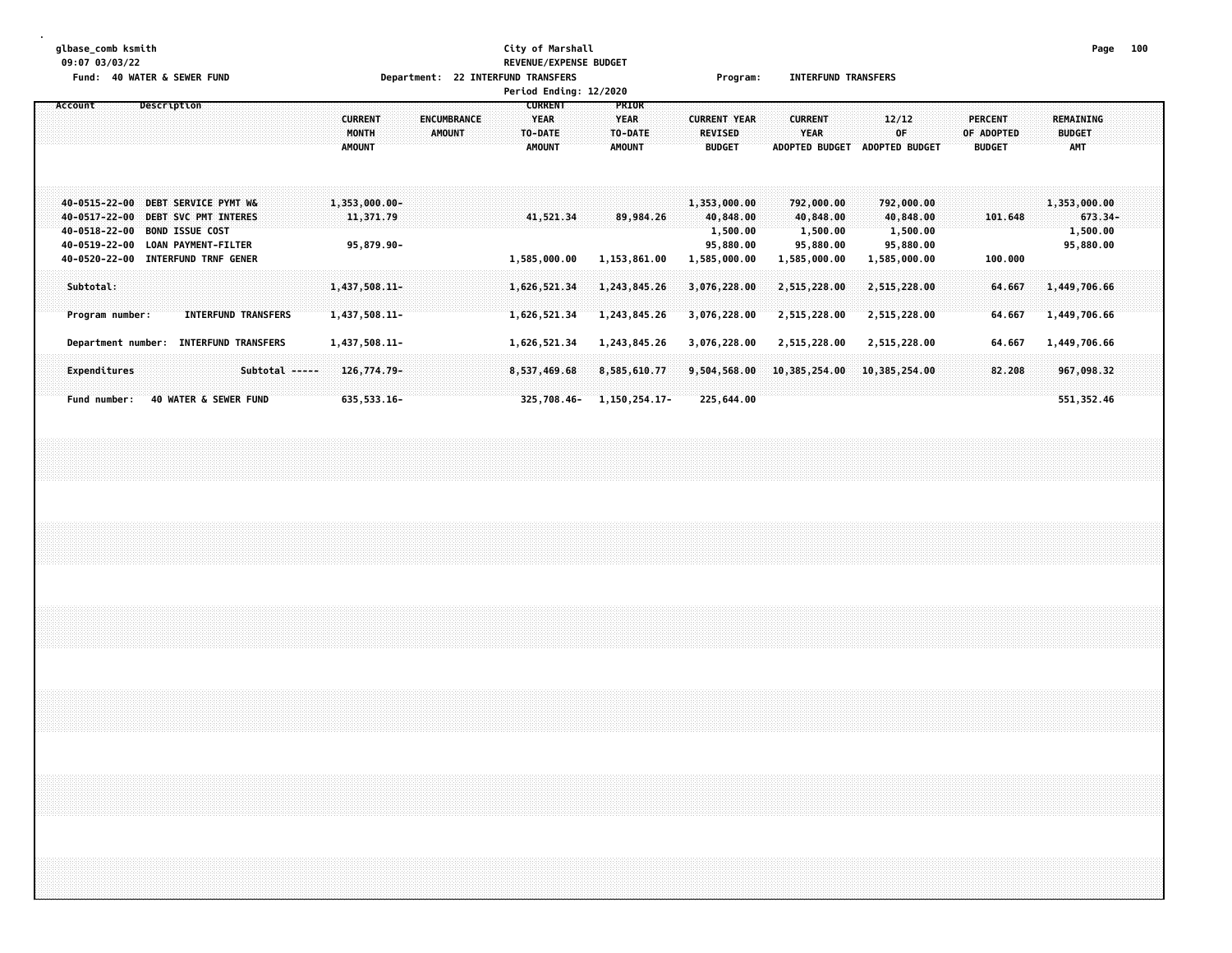#### **glbase\_comb ksmith City of Marshall Page 100 09:07 03/03/22 REVENUE/EXPENSE BUDGET Fund: 40 WATER & SEWER FUND Department: 22 INTERFUND TRANSFERS Program: INTERFUND TRANSFERS Period Ending: 12/2020**

| Account               | Description                |                            | <b>CURRENT</b>         | <b>ENCUMBRANCE</b> | <b>CURRENT</b><br><b>YEAR</b> | <b>PRIOR</b><br><b>YEAR</b> | <b>CURRENT YEAR</b>             | <b>CURRENT</b>                       | 12/12                       | <b>PERCENT</b>              | <b>REMAINING</b>     |  |
|-----------------------|----------------------------|----------------------------|------------------------|--------------------|-------------------------------|-----------------------------|---------------------------------|--------------------------------------|-----------------------------|-----------------------------|----------------------|--|
|                       |                            |                            | MONTH<br><b>AMOUNT</b> | <b>AMOUNT</b>      | TO-DATE<br><b>AMOUNT</b>      | TO-DATE<br><b>AMOUNT</b>    | <b>REVISED</b><br><b>BUDGET</b> | <b>YEAR</b><br><b>ADOPTED BUDGET</b> | 0F<br><b>ADOPTED BUDGET</b> | OF ADOPTED<br><b>BUDGET</b> | <b>BUDGET</b><br>AMT |  |
|                       |                            |                            |                        |                    |                               |                             |                                 |                                      |                             |                             |                      |  |
| 40-0515-22-00         | DEBT SERVICE PYMT W&       |                            | $1,353,000.00 -$       |                    |                               |                             | 1,353,000.00                    | 792,000.00                           | 792,000.00                  |                             | 1,353,000.00         |  |
| $40 - 0517 - 22 - 00$ | DEBT SVC PMT INTERES       |                            | 11,371.79              |                    | 41,521.34                     | 89,984.26                   | 40,848.00                       | 40,848.00                            | 40,848.00                   | 101.648                     | $673.34-$            |  |
| 40-0518-22-00         | <b>BOND ISSUE COST</b>     |                            |                        |                    |                               |                             | 1,500.00                        | 1,500.00                             | 1,500.00                    |                             | 1,500.00             |  |
| 40-0519-22-00         | <b>LOAN PAYMENT-FILTER</b> |                            | 95,879.90-             |                    |                               |                             | 95,880.00                       | 95,880.00                            | 95,880.00                   |                             | 95,880.00            |  |
| 40-0520-22-00         | INTERFUND TRNF GENER       |                            |                        |                    | 1,585,000.00                  | 1,153,861.00                | 1,585,000.00                    | 1,585,000.00                         | 1,585,000.00                | 100.000                     |                      |  |
| Subtotal:             |                            |                            | $1,437,508.11-$        |                    | 1,626,521.34                  | 1,243,845.26                | 3,076,228.00                    | 2,515,228.00                         | 2,515,228.00                | 64.667                      | 1,449,706.66         |  |
|                       |                            |                            |                        |                    |                               |                             |                                 |                                      |                             |                             |                      |  |
| Program number:       |                            | <b>INTERFUND TRANSFERS</b> | 1,437,508.11-          |                    | 1,626,521.34                  | 1,243,845.26                | 3,076,228.00                    | 2,515,228.00                         | 2,515,228.00                | 64.667                      | 1,449,706.66         |  |
|                       |                            |                            |                        |                    |                               |                             |                                 |                                      |                             |                             |                      |  |
| Department number:    |                            | <b>INTERFUND TRANSFERS</b> | 1,437,508.11-          |                    | 1,626,521.34                  | 1,243,845.26                | 3,076,228.00                    | 2,515,228.00                         | 2,515,228.00                | 64.667                      | 1,449,706.66         |  |
| Expenditures          |                            | Subtotal -----             | $126,774.79-$          |                    | 8,537,469.68                  | 8,585,610.77                | 9,504,568.00                    | 10,385,254.00                        | 10,385,254.00               | 82.208                      | 967,098.32           |  |
|                       |                            |                            |                        |                    |                               |                             |                                 |                                      |                             |                             |                      |  |
| <b>Fund number:</b>   | 40 WATER & SEWER FUND      |                            | 635,533.16-            |                    | 325,708.46-                   | 1,150,254.17-               | 225,644.00                      |                                      |                             |                             | 551, 352.46          |  |
|                       |                            |                            |                        |                    |                               |                             |                                 |                                      |                             |                             |                      |  |
|                       |                            |                            |                        |                    |                               |                             |                                 |                                      |                             |                             |                      |  |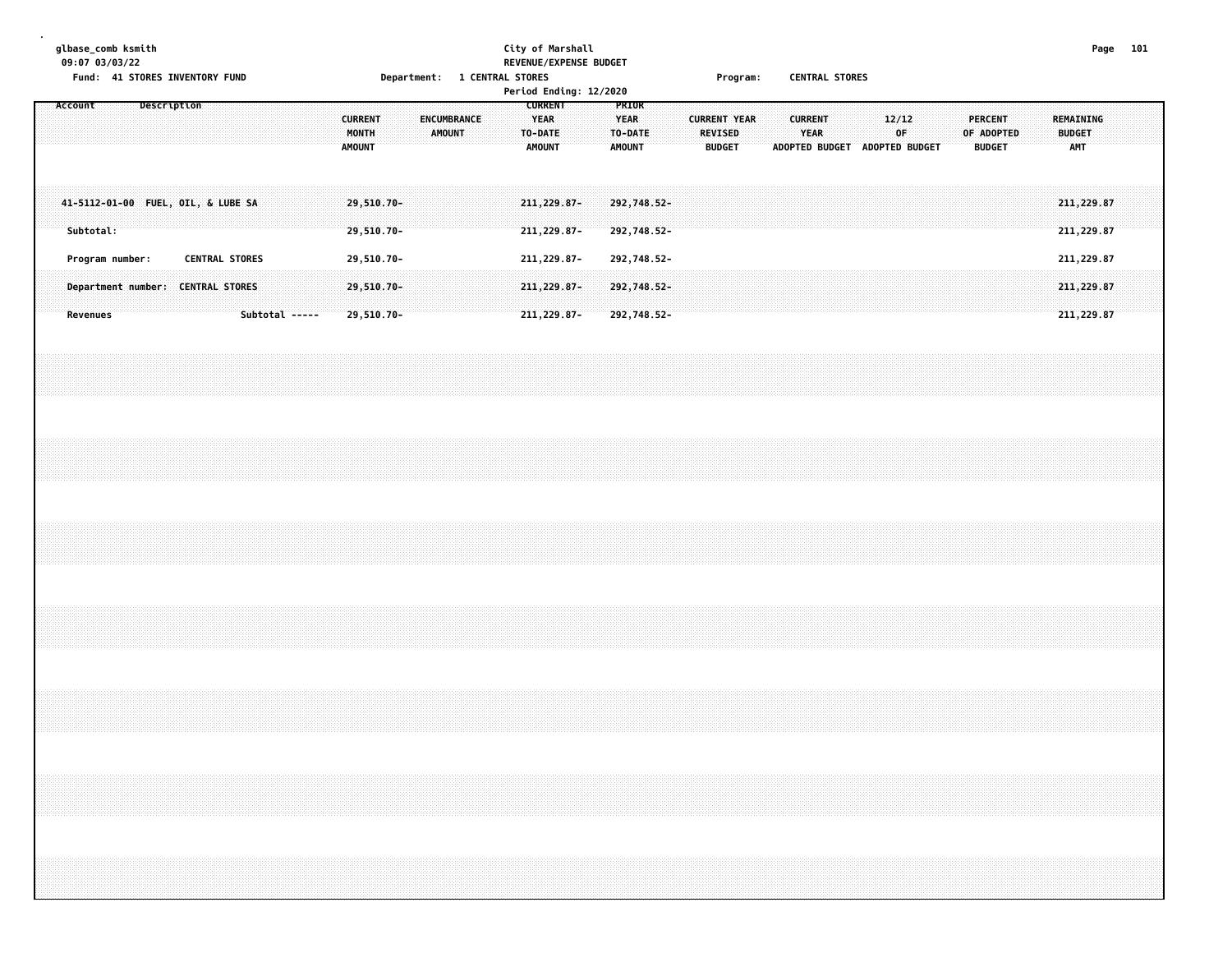| glbase_comb ksmith                                                               |                 | 09:07 03/03/22  |             | Fund: 41 STORES INVENTORY FUND     |  |                |  |                                          |  | Department: 1 CENTRAL STORES |  | City of Marshall<br>REVENUE/EXPENSE BUDGET<br>Period Ending: 12/2020 |                                                |  |                                                  |                            |  |                                 | Program:            |                               |                               | <b>CENTRAL STORES</b> |  |             |  |                                               |  |                                   | Page 101 |  |
|----------------------------------------------------------------------------------|-----------------|-----------------|-------------|------------------------------------|--|----------------|--|------------------------------------------|--|------------------------------|--|----------------------------------------------------------------------|------------------------------------------------|--|--------------------------------------------------|----------------------------|--|---------------------------------|---------------------|-------------------------------|-------------------------------|-----------------------|--|-------------|--|-----------------------------------------------|--|-----------------------------------|----------|--|
| Account                                                                          |                 |                 | Description |                                    |  |                |  | <b>CURRENT</b><br>MONTH<br><b>AMOUNT</b> |  | ENCUMBRANCE<br>AMOUNT        |  | TO-DATE                                                              | <b>CURRENT</b><br><b>YEAR</b><br><b>AMOUNT</b> |  | PRIOR<br><b>YEAR</b><br>TO-DATE<br><b>AMOUNT</b> |                            |  | <b>REVISED</b><br><b>BUDGET</b> | <b>CURRENT YEAR</b> | ADOPTED BUDGET ADOPTED BUDGET | <b>CURRENT</b><br><b>YEAR</b> |                       |  | 12/12<br>0F |  | <b>PERCENT</b><br>OF ADOPTED<br><b>BUDGET</b> |  | REMAINING<br><b>BUDGET</b><br>AMT |          |  |
|                                                                                  | Subtotal:       |                 |             | 41-5112-01-00 FUEL, OIL, & LUBE SA |  |                |  | 29,510.70-<br>$29,510.70 -$              |  |                              |  | 211, 229, 87-<br>211, 229.87-                                        |                                                |  |                                                  | 292,748.52-<br>292,748.52- |  |                                 |                     |                               |                               |                       |  |             |  |                                               |  | 211, 229.87<br>211,229.87         |          |  |
|                                                                                  |                 | Program number: |             | <b>CENTRAL STORES</b>              |  |                |  | 29,510.70-                               |  |                              |  | 211, 229.87-                                                         |                                                |  |                                                  | 292,748.52-                |  |                                 |                     |                               |                               |                       |  |             |  |                                               |  | 211, 229.87                       |          |  |
|                                                                                  | <b>Revenues</b> |                 |             | Department number: CENTRAL STORES  |  | Subtotal ----- |  | 29,510.70-<br>29,510.70-                 |  |                              |  | 211, 229.87-<br>211, 229.87-                                         |                                                |  |                                                  | 292,748.52-<br>292,748.52- |  |                                 |                     |                               |                               |                       |  |             |  |                                               |  | 211,229.87<br>211, 229.87         |          |  |
|                                                                                  |                 |                 |             |                                    |  |                |  |                                          |  |                              |  |                                                                      |                                                |  |                                                  |                            |  |                                 |                     |                               |                               |                       |  |             |  |                                               |  |                                   |          |  |
|                                                                                  |                 |                 |             |                                    |  |                |  |                                          |  |                              |  |                                                                      |                                                |  |                                                  |                            |  |                                 |                     |                               |                               |                       |  |             |  |                                               |  |                                   |          |  |
|                                                                                  |                 |                 |             |                                    |  |                |  |                                          |  |                              |  |                                                                      |                                                |  |                                                  |                            |  |                                 |                     |                               |                               |                       |  |             |  |                                               |  |                                   |          |  |
|                                                                                  |                 |                 |             |                                    |  |                |  |                                          |  |                              |  |                                                                      |                                                |  |                                                  |                            |  |                                 |                     |                               |                               |                       |  |             |  |                                               |  |                                   |          |  |
|                                                                                  |                 |                 |             |                                    |  |                |  |                                          |  |                              |  |                                                                      |                                                |  |                                                  |                            |  |                                 |                     |                               |                               |                       |  |             |  |                                               |  |                                   |          |  |
| ,我们的时候,我们就会在这里的时候,我们就会在这里,我们就会在这里,我们就会在这里,我们就会在这里,我们就会在这里,我们就会在这里,我们就会在这里,我们就会在这 |                 |                 |             |                                    |  |                |  |                                          |  |                              |  |                                                                      |                                                |  |                                                  |                            |  |                                 |                     |                               |                               |                       |  |             |  |                                               |  |                                   |          |  |
|                                                                                  |                 |                 |             |                                    |  |                |  |                                          |  |                              |  |                                                                      |                                                |  |                                                  |                            |  |                                 |                     |                               |                               |                       |  |             |  |                                               |  |                                   |          |  |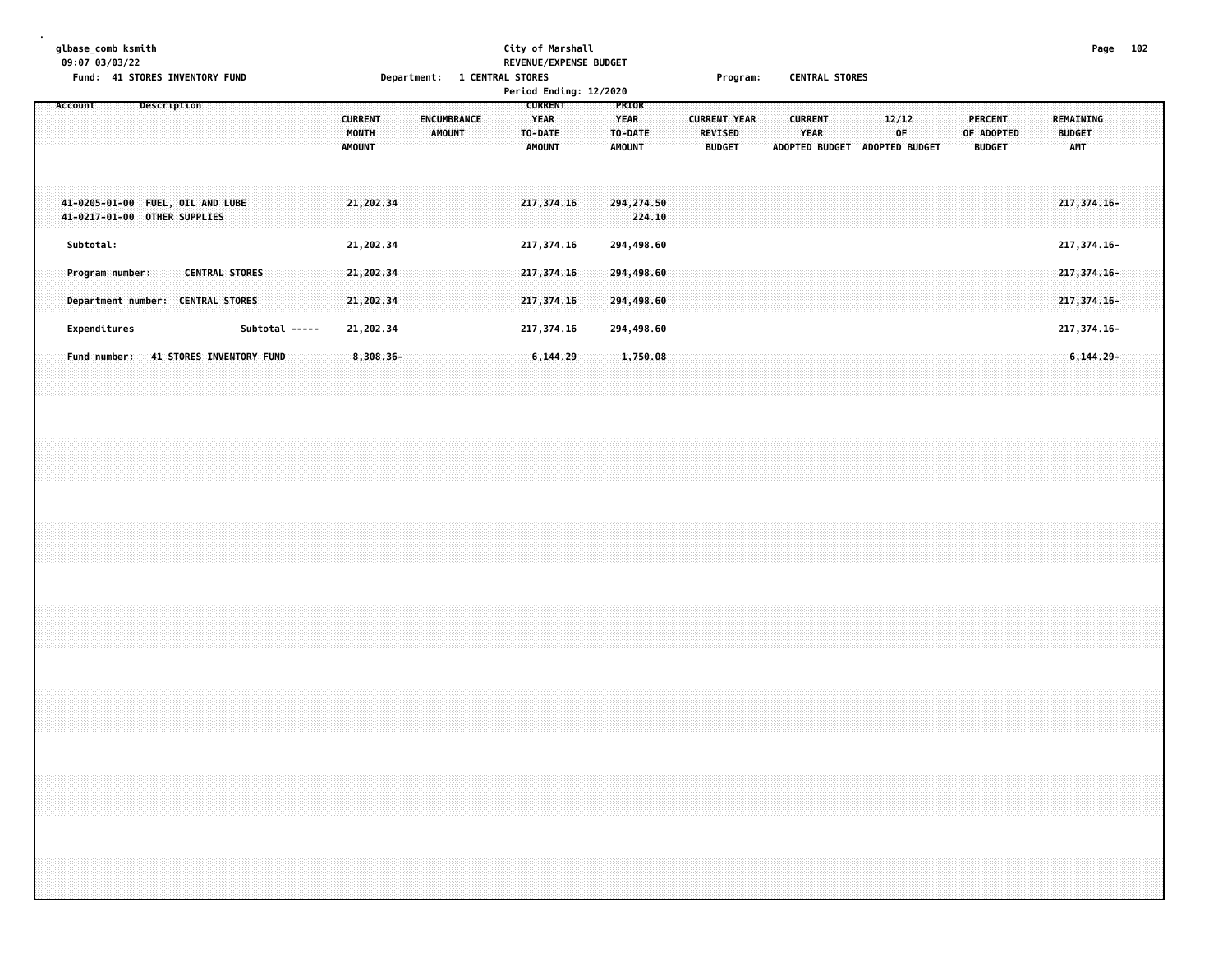| glbase_comb ksmith    |  |
|-----------------------|--|
| <b>AQ·A7 AR/AR/22</b> |  |

## **glbase\_comb ksmith City of Marshall Page 102 09:07 03/03/22 REVENUE/EXPENSE BUDGET**

|                                                 | BLVLNVL/LAFLNJL DUDGLI                                            |                          |
|-------------------------------------------------|-------------------------------------------------------------------|--------------------------|
| <b>Fund:</b><br><b>41 STORES INVENTORY FUND</b> | <b>STORES</b><br><b>CENTRAL</b><br>Program:<br><b>Department:</b> | <b>STORES</b><br>CENTRAL |

|                                                                  |                                                |                                                           | Period Ending: 12/2020                                             |                                                                                                                   |                                                                                   |                                                                                                  |
|------------------------------------------------------------------|------------------------------------------------|-----------------------------------------------------------|--------------------------------------------------------------------|-------------------------------------------------------------------------------------------------------------------|-----------------------------------------------------------------------------------|--------------------------------------------------------------------------------------------------|
| Description<br>Account                                           |                                                | <b>CURRENT</b><br>AMOUNT<br><b>MONTH</b><br><b>AMOUNT</b> | <b>CURRENT</b><br>YEAR<br>ENCUMBRANCE<br>TO-DATE:<br><b>AMOUNT</b> | <b>PRIOR</b><br><b>YEAR</b><br><b>CURRENT YEAR</b><br>TO-DATE<br><b>REVISED</b><br><b>AMOUNT</b><br><b>BUDGET</b> | <b>CURRENT</b><br>12/12<br><b>YEAR</b><br>0F.<br>ADOPTED BUDGET<br>ADOPTED BUDGET | <b>PERCENT</b><br><b>REMAINING</b><br>OF ADOPTED<br><b>BUDGET</b><br><b>AMT</b><br><b>BUDGET</b> |
| 41-0205-01-00 FUEL, OIL AND LUBE<br>41-0217-01-00 OTHER SUPPLIES |                                                | 21,202.34                                                 | 217,374.16                                                         | 294, 274.50<br>224.10                                                                                             |                                                                                   | 217, 374.16-                                                                                     |
| Subtotal:                                                        |                                                | 21,202.34                                                 | 217,374.16                                                         | 294,498.60                                                                                                        |                                                                                   | 217,374.16-                                                                                      |
| Program number:<br>Department number:                            | <b>CENTRAL STORES</b><br><b>CENTRAL STORES</b> | 21,202.34<br>21,202.34                                    | 217,374.16<br>217,374.16                                           | 294,498.60<br>294,498.60                                                                                          |                                                                                   | $217,374.16-$<br>217,374,16-                                                                     |
| Expenditures                                                     | Subtotal -----                                 | 21,202.34                                                 | 217,374.16                                                         | 294,498.60                                                                                                        |                                                                                   | 217,374.16-                                                                                      |
| Fund number:                                                     | <b>41 STORES INVENTORY FUND</b>                | $8,308.36 -$                                              | 6,144.29                                                           | 1,750.08                                                                                                          |                                                                                   | $6, 144.29 -$                                                                                    |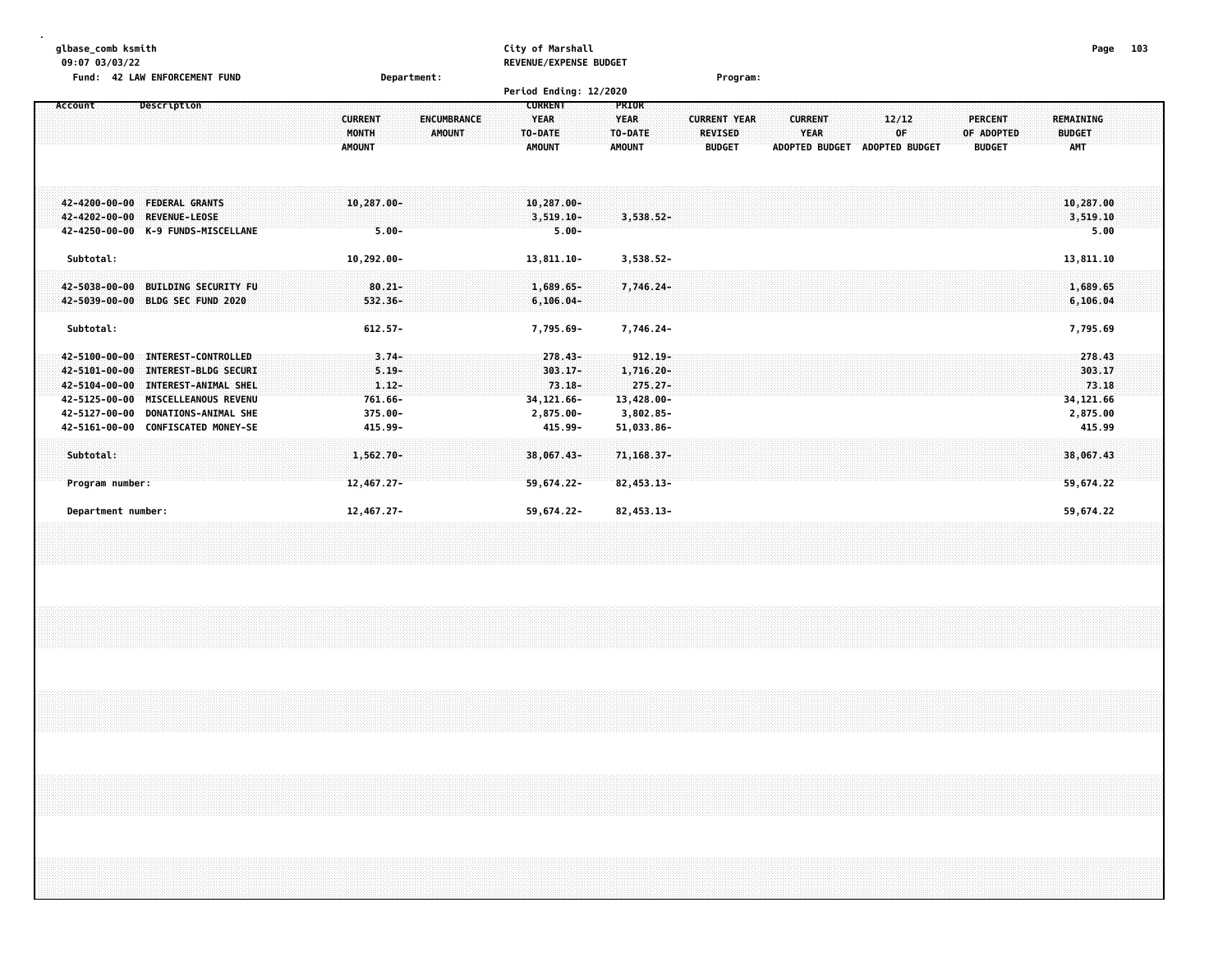| glbase_comb ksmith<br>09:07 03/03/22                                                                                                                                                                                                                             |                                                                                 | City of Marshall<br>REVENUE/EXPENSE BUDGET                                                                                         |                                                        |                                                                                                                                                 | 103<br>Page                                                  |
|------------------------------------------------------------------------------------------------------------------------------------------------------------------------------------------------------------------------------------------------------------------|---------------------------------------------------------------------------------|------------------------------------------------------------------------------------------------------------------------------------|--------------------------------------------------------|-------------------------------------------------------------------------------------------------------------------------------------------------|--------------------------------------------------------------|
| Fund: 42 LAW ENFORCEMENT FUND                                                                                                                                                                                                                                    | Department:                                                                     | Period Ending: 12/2020                                                                                                             | Program:                                               |                                                                                                                                                 |                                                              |
| Description<br>Account                                                                                                                                                                                                                                           | <b>ENCUMBRANCE</b><br><b>CURRENT</b><br><b>MONTH</b><br>AMOUNT<br><b>AMOUNT</b> | <b>CURRENT</b><br>PRIOR<br><b>YEAR</b><br><b>YEAR</b><br>TO-DATE<br>TO-DATE<br><b>AMOUNT</b><br><b>AMOUNT</b>                      | <b>CURRENT YEAR</b><br><b>REVISED</b><br><b>BUDGET</b> | <b>CURRENT</b><br>12/12<br><b>PERCENT</b><br>OF<br><b>YEAR</b><br>OF ADOPTED<br><b>ADOPTED BUDGET</b><br><b>ADOPTED BUDGET</b><br><b>BUDGET</b> | <b>REMAINING</b><br><b>BUDGET</b><br><b>AMT</b>              |
| <b>FEDERAL GRANTS</b><br>$42 - 4200 - 00 - 00$<br>42-4202-00-00<br><b>REVENUE-LEOSE</b><br>42-4250-00-00 K-9 FUNDS-MISCELLANE                                                                                                                                    | $10,287.00 -$<br>$5.00 -$                                                       | $10,287.00 -$<br>$3,519.10 -$<br>$3,538.52-$<br>$5.00 -$                                                                           |                                                        |                                                                                                                                                 | 10,287.00<br>3,519.10<br>5.00                                |
| Subtotal:                                                                                                                                                                                                                                                        | 10,292.00-                                                                      | 13,811.10-<br>3,538.52-                                                                                                            |                                                        |                                                                                                                                                 | 13,811.10                                                    |
| <b>BUILDING SECURITY FU</b><br>42-5038-00-00<br>42-5039-00-00 BLDG SEC FUND 2020                                                                                                                                                                                 | $80.21 -$<br>532.36-                                                            | 7,746.24-<br>1,689.65-<br>$6, 106.04 -$                                                                                            |                                                        |                                                                                                                                                 | 1,689.65<br>6,106.04                                         |
| Subtotal:                                                                                                                                                                                                                                                        | $612.57 -$                                                                      | 7,795.69-<br>7,746.24-                                                                                                             |                                                        |                                                                                                                                                 | 7,795.69                                                     |
| <b>INTEREST-CONTROLLED</b><br>42-5100-00-00<br>42-5101-00-00<br>INTEREST-BLDG SECURI<br>42-5104-00-00 INTEREST-ANIMAL SHEL<br>42-5125-00-00<br><b>MISCELLEANOUS REVENU</b><br>42-5127-00-00<br><b>DONATIONS-ANIMAL SHE</b><br>42-5161-00-00 CONFISCATED MONEY-SE | $3.74-$<br>$5.19 -$<br>$1.12 -$<br>$761.66 -$<br>375.00-<br>415.99-             | $278.43 -$<br>$303.17 -$<br>1,716.20-<br>$73.18 -$<br>34, 121.66-<br>13,428.00-<br>2,875.00-<br>3,802.85-<br>415.99-<br>51,033.86- | $912, 19 -$<br>$275.27 -$                              |                                                                                                                                                 | 278.43<br>303.17<br>73.18<br>34,121.66<br>2,875.00<br>415.99 |
| Subtotal:                                                                                                                                                                                                                                                        | 1,562.70-                                                                       | 38,067.43-<br>71,168.37-                                                                                                           |                                                        |                                                                                                                                                 | 38,067.43                                                    |
| Program number:<br>Department number:                                                                                                                                                                                                                            | 12,467.27-<br>12,467.27-                                                        | 59,674.22-<br>$82,453.13-$<br>59,674.22-<br>82, 453. 13-                                                                           |                                                        |                                                                                                                                                 | 59,674.22<br>59,674.22                                       |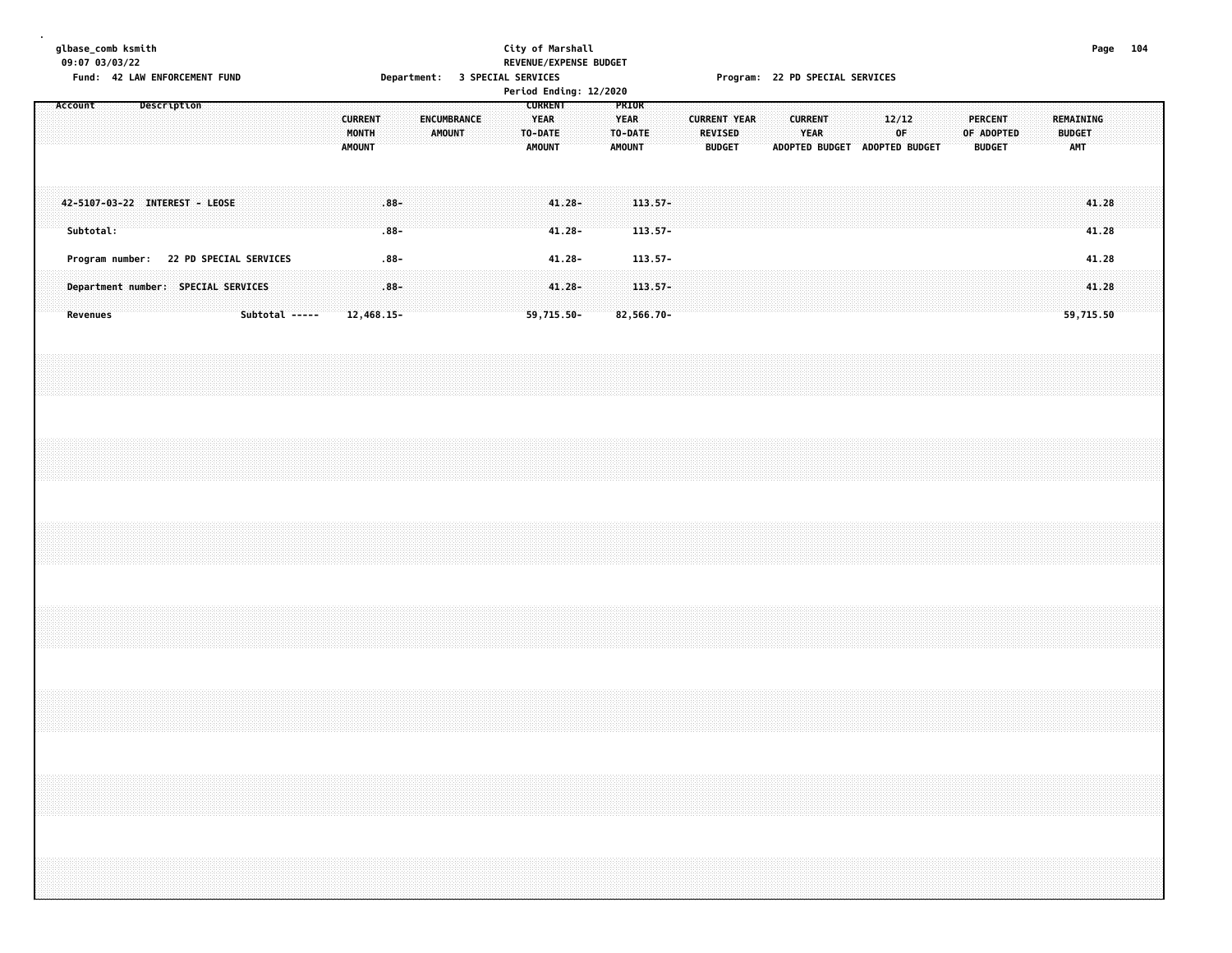| glbase_comb ksmith<br>09:07 03/03/22 |                                                                       |                                | City of Marshall<br>REVENUE/EXPENSE BUDGET                                                                    |                                                                                                                                  | Page 104                                                                           |  |
|--------------------------------------|-----------------------------------------------------------------------|--------------------------------|---------------------------------------------------------------------------------------------------------------|----------------------------------------------------------------------------------------------------------------------------------|------------------------------------------------------------------------------------|--|
|                                      | Fund: 42 LAW ENFORCEMENT FUND                                         | Department: 3 SPECIAL SERVICES | Period Ending: 12/2020                                                                                        | Program: 22 PD SPECIAL SERVICES                                                                                                  |                                                                                    |  |
| Account                              | Description<br><b>CURRENT</b><br>MONTH<br><b>AMOUNT</b>               | ENCUMBRANCE<br>AMOUNT          | <b>CURRENT</b><br>PRIOR<br><b>YEAR</b><br><b>YEAR</b><br>TO-DATE<br>TO-DATE<br><b>AMOUNT</b><br><b>AMOUNT</b> | <b>CURRENT YEAR</b><br><b>CURRENT</b><br>12/12<br><b>YEAR</b><br>REVISED<br>0F<br><b>BUDGET</b><br>ADOPTED BUDGET ADOPTED BUDGET | <b>PERCENT</b><br>REMAINING<br><b>BUDGET</b><br>OF ADOPTED<br><b>BUDGET</b><br>AMT |  |
| Subtotal:                            | 42-5107-03-22 INTEREST - LEOSE                                        | $.88 -$<br>$.88 -$             | $41.28 -$<br>$113.57 -$<br>$41.28 -$<br>$113.57 -$                                                            |                                                                                                                                  | 41.28<br>41.28                                                                     |  |
|                                      | Program number: 22 PD SPECIAL SERVICES                                | $.88 -$                        | $41.28 -$<br>113.57-                                                                                          |                                                                                                                                  | 41.28                                                                              |  |
| <b>Revenues</b>                      | Department number: SPECIAL SERVICES<br>Subtotal -----<br>$12,468.15-$ | $.88 -$                        | $41.28 -$<br>$113.57 -$<br>59,715.50-<br>82,566.70-                                                           |                                                                                                                                  | 41.28<br>59,715.50                                                                 |  |
|                                      |                                                                       |                                |                                                                                                               |                                                                                                                                  |                                                                                    |  |
|                                      |                                                                       |                                |                                                                                                               |                                                                                                                                  |                                                                                    |  |
|                                      |                                                                       |                                |                                                                                                               |                                                                                                                                  |                                                                                    |  |
|                                      |                                                                       |                                |                                                                                                               |                                                                                                                                  |                                                                                    |  |
|                                      |                                                                       |                                |                                                                                                               |                                                                                                                                  |                                                                                    |  |
|                                      |                                                                       |                                |                                                                                                               |                                                                                                                                  |                                                                                    |  |
|                                      |                                                                       |                                |                                                                                                               |                                                                                                                                  |                                                                                    |  |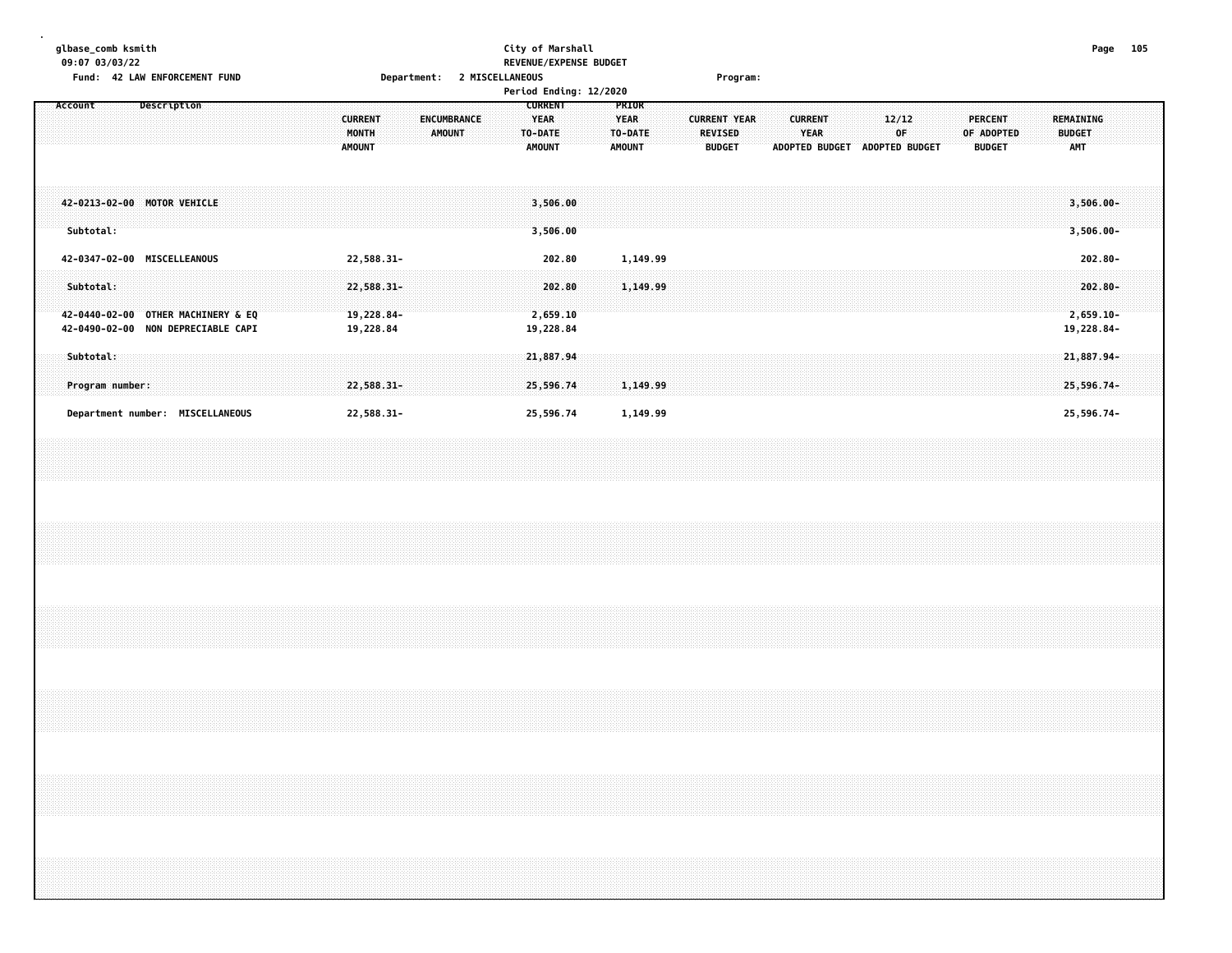### **glbase\_comb ksmith City of Marshall Page 105 09:07 03/03/22 REVENUE/EXPENSE BUDGET Fund: 42 LAW ENFORCEMENT FUND Department: 2 MISCELLANEOUS Program:**

|                                                    |                                                                       |                                          | Period Ending: 12/2020                                                                           |                                                                                                                   |                                                        |                                                                                       |                                          |
|----------------------------------------------------|-----------------------------------------------------------------------|------------------------------------------|--------------------------------------------------------------------------------------------------|-------------------------------------------------------------------------------------------------------------------|--------------------------------------------------------|---------------------------------------------------------------------------------------|------------------------------------------|
| Account                                            | Description                                                           | <b>CURRENT</b><br>MONTH<br><b>AMOUNT</b> | <b>CURRENT</b><br><b>ENCUMBRANCE</b><br><b>YEAR</b><br><b>AMOUNT</b><br>TO-DATE<br><b>AMOUNT</b> | <b>PRIOR</b><br><b>YEAR</b><br><b>CURRENT YEAR</b><br><b>REVISED</b><br>TO-DATE<br><b>AMOUNT</b><br><b>BUDGET</b> | <b>CURRENT</b><br><b>YEAR</b><br><b>ADOPTED BUDGET</b> | 12/12<br><b>PERCENT</b><br>0F<br>OF ADOPTED<br><b>ADOPTED BUDGET</b><br><b>BUDGET</b> | REMAINING<br><b>BUDGET</b><br><b>AMT</b> |
| Subtotal:                                          | 42-0213-02-00 MOTOR VEHICLE                                           |                                          | 3,506.00<br>3,506.00                                                                             |                                                                                                                   |                                                        |                                                                                       | $3,506.00 -$<br>$3,506.00 -$             |
| Subtotal:                                          | 42-0347-02-00 MISCELLEANOUS                                           | 22,588.31-<br>$22,588.31 -$              | 202.80<br>202.80                                                                                 | 1,149.99<br>1,149.99                                                                                              |                                                        |                                                                                       | $202.80 -$<br>$202.80 -$                 |
| 42-0440-02-00                                      | <b>OTHER MACHINERY &amp; EQ</b><br>42-0490-02-00 NON DEPRECIABLE CAPI | 19,228.84-<br>19,228.84                  | 2,659.10<br>19,228.84                                                                            |                                                                                                                   |                                                        |                                                                                       | $2,659.10 -$<br>19,228.84-               |
| Subtotal:<br>Program number:<br>Department number: | <b>MISCELLANEOUS</b>                                                  | 22,588.31-<br>22,588.31-                 | 21,887.94<br>25,596.74<br>25,596.74                                                              | 1,149.99<br>1,149.99                                                                                              |                                                        |                                                                                       | 21,887.94-<br>$25,596.74-$<br>25,596.74- |
|                                                    |                                                                       |                                          |                                                                                                  |                                                                                                                   |                                                        |                                                                                       |                                          |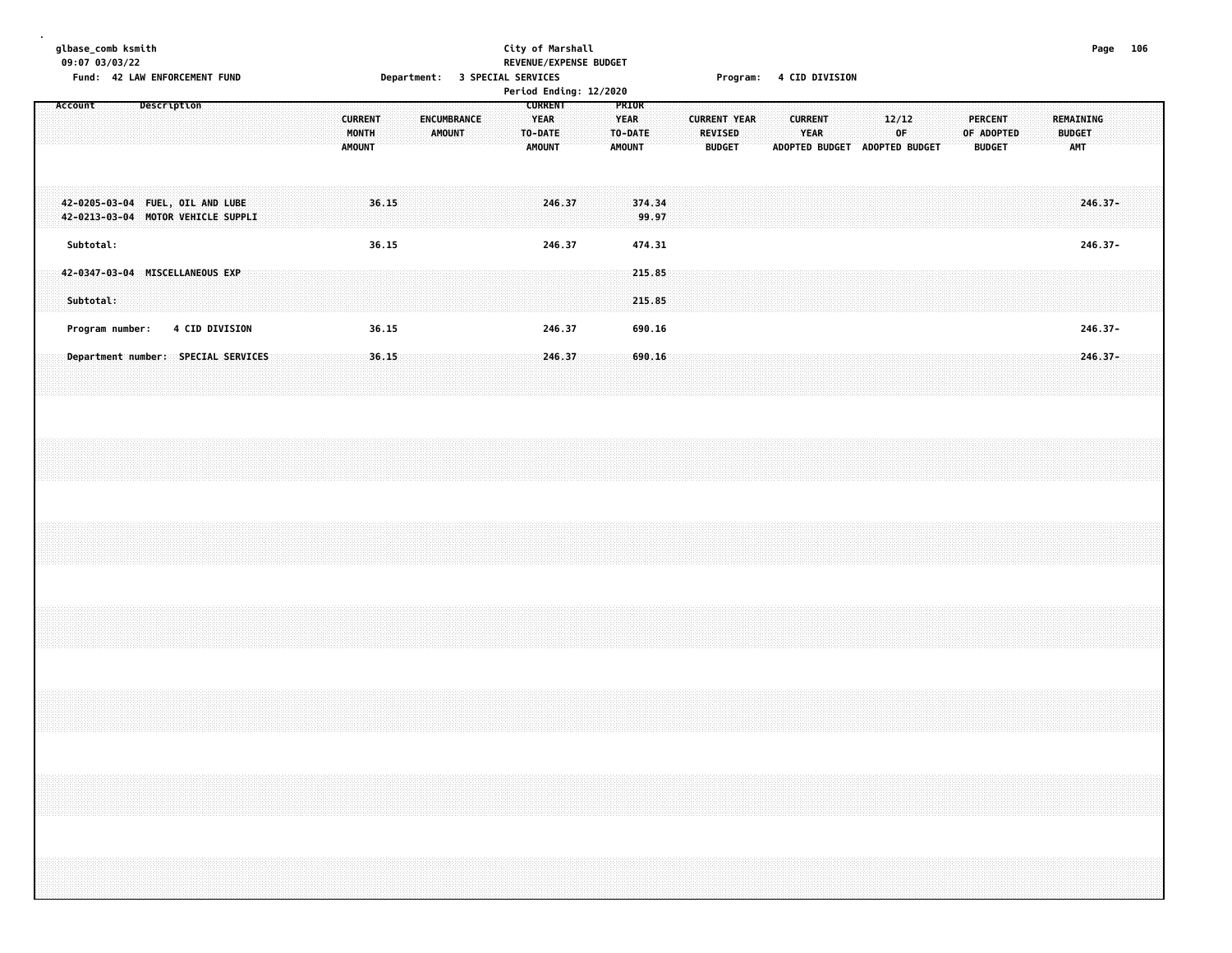| glbase_comb ksmith<br>09:07 03/03/22<br>Fund: 42 LAW ENFORCEMENT FUND  | <b>Department:</b>                                                       | City of Marshall<br>REVENUE/EXPENSE BUDGET<br><b>3 SPECIAL SERVICES</b><br>Period Ending: 12/2020             | <b>4 CID DIVISION</b><br>Program:                                                                         |                                                                         | Page 106                                 |
|------------------------------------------------------------------------|--------------------------------------------------------------------------|---------------------------------------------------------------------------------------------------------------|-----------------------------------------------------------------------------------------------------------|-------------------------------------------------------------------------|------------------------------------------|
| Description<br>Account                                                 | ENCUMBRANCE<br><b>CURRENT</b><br><b>AMOUNT</b><br>MONTH<br><b>AMOUNT</b> | <b>CURRENT</b><br><b>PRIOR</b><br><b>YEAR</b><br>YEAR<br>TO-DATE<br>TO-DATE<br><b>AMOUNT</b><br><b>AMOUNT</b> | <b>CURRENT YEAR</b><br><b>CURRENT</b><br>YEAR<br><b>REVISED</b><br><b>BUDGET</b><br><b>ADOPTED BUDGET</b> | 12/12<br>PERCENT<br>0F<br>OF ADOPTED<br>ADOPTED BUDGET<br><b>BUDGET</b> | REMAINING<br><b>BUDGET</b><br><b>AMT</b> |
| 42-0205-03-04 FUEL, OIL AND LUBE<br>42-0213-03-04 MOTOR VEHICLE SUPPLI | 36.15                                                                    | 246.37<br>374.34<br>99.97                                                                                     |                                                                                                           |                                                                         | $246.37 -$                               |
| Subtotal:                                                              | 36.15                                                                    | 474.31<br>246.37                                                                                              |                                                                                                           |                                                                         | $246.37 -$                               |
| 42-0347-03-04 MISCELLANEOUS EXP<br>Subtotal:                           |                                                                          | 215.85<br>215.85                                                                                              |                                                                                                           |                                                                         |                                          |
| <b>4 CID DIVISION</b><br>Program number:                               | 36.15                                                                    | 690.16<br>246.37                                                                                              |                                                                                                           |                                                                         | $246.37 -$                               |

 **Department number: SPECIAL SERVICES 36.15 246.37 690.16 246.37-**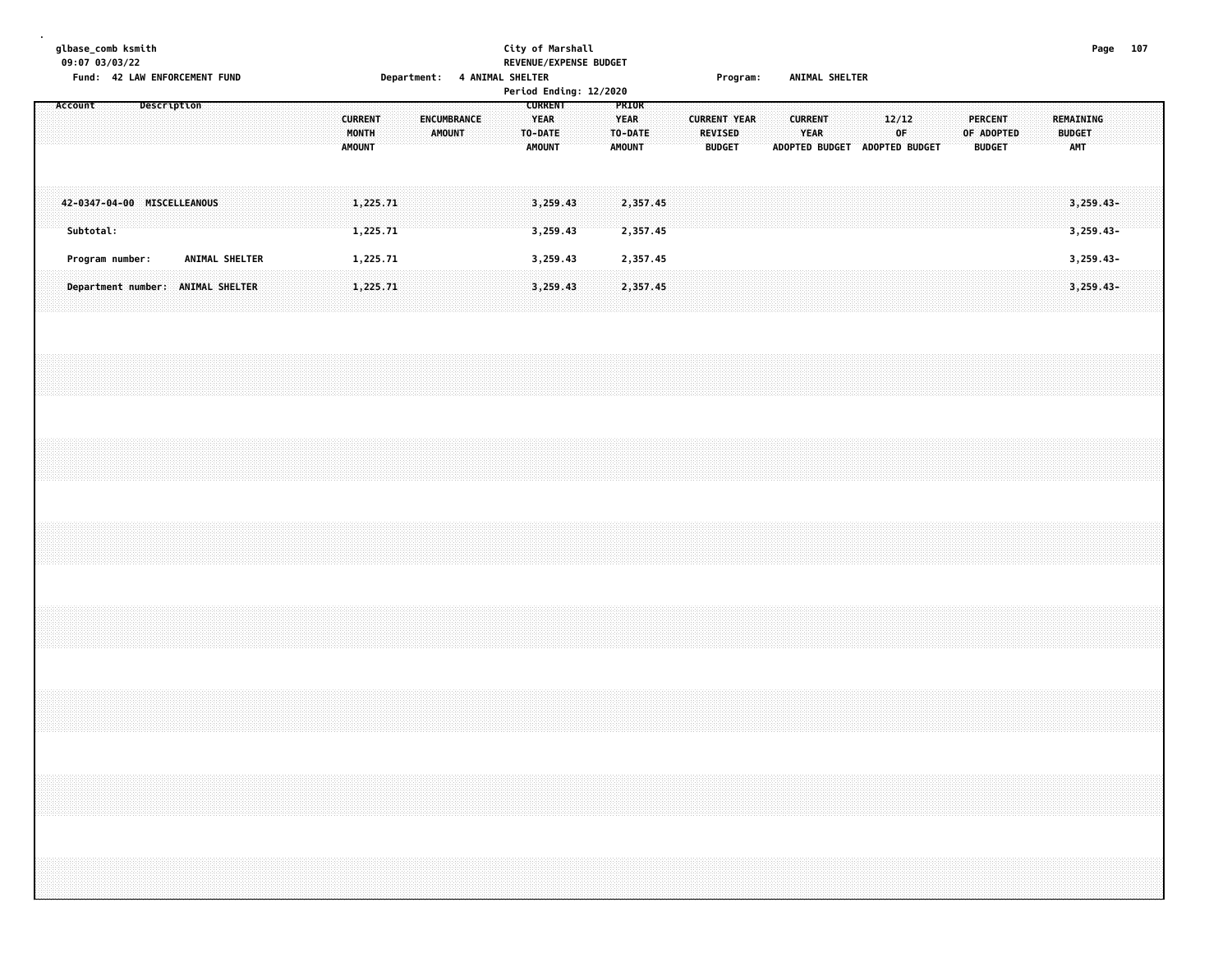|  |           | glbase_comb ksmith<br>09:07 03/03/22 |                                   |  |                |  |  |               |                         |                      |  |        |                              |  | City of Marshall<br>REVENUE/EXPENSE BUDGET                |  |                                                  |  |                                 |                     |  |                        |                |  |                                        |    |  |                                               |  |                                          | Page 107 |  |  |
|--|-----------|--------------------------------------|-----------------------------------|--|----------------|--|--|---------------|-------------------------|----------------------|--|--------|------------------------------|--|-----------------------------------------------------------|--|--------------------------------------------------|--|---------------------------------|---------------------|--|------------------------|----------------|--|----------------------------------------|----|--|-----------------------------------------------|--|------------------------------------------|----------|--|--|
|  |           |                                      | Fund: 42 LAW ENFORCEMENT FUND     |  |                |  |  |               |                         |                      |  |        | Department: 4 ANIMAL SHELTER |  | Period Ending: 12/2020                                    |  |                                                  |  |                                 | Program:            |  |                        | ANIMAL SHELTER |  |                                        |    |  |                                               |  |                                          |          |  |  |
|  | Account   |                                      | Description                       |  |                |  |  | <b>AMOUNT</b> | <b>CURRENT</b><br>MONTH |                      |  | AMOUNT | <b>ENCUMBRANCE</b>           |  | <b>CURRENT</b><br><b>YEAR</b><br>TO-DATE<br><b>AMOUNT</b> |  | PRIOR<br><b>YEAR</b><br>TO-DATE<br><b>AMOUNT</b> |  | <b>REVISED</b><br><b>BUDGET</b> | <b>CURRENT YEAR</b> |  | <b>CURRENT</b><br>YEAR |                |  | 12/12<br>ADOPTED BUDGET ADOPTED BUDGET | 0F |  | <b>PERCENT</b><br>OF ADOPTED<br><b>BUDGET</b> |  | REMAINING<br><b>BUDGET</b><br><b>AMT</b> |          |  |  |
|  | Subtotal: |                                      | 42-0347-04-00 MISCELLEANOUS       |  |                |  |  |               |                         | 1,225.71<br>1,225.71 |  |        |                              |  | 3,259.43<br>3,259.43                                      |  | 2,357.45<br>2,357.45                             |  |                                 |                     |  |                        |                |  |                                        |    |  |                                               |  | $3,259.43-$<br>3,259.43-                 |          |  |  |
|  |           | Program number:                      |                                   |  | ANIMAL SHELTER |  |  |               |                         | 1,225.71             |  |        |                              |  | 3,259.43                                                  |  | 2,357.45                                         |  |                                 |                     |  |                        |                |  |                                        |    |  |                                               |  | 3,259.43-                                |          |  |  |
|  |           |                                      | Department number: ANIMAL SHELTER |  |                |  |  |               |                         | 1,225.71             |  |        |                              |  | 3,259.43                                                  |  | 2,357.45                                         |  |                                 |                     |  |                        |                |  |                                        |    |  |                                               |  | 3,259.43-                                |          |  |  |
|  |           |                                      |                                   |  |                |  |  |               |                         |                      |  |        |                              |  |                                                           |  |                                                  |  |                                 |                     |  |                        |                |  |                                        |    |  |                                               |  |                                          |          |  |  |
|  |           |                                      |                                   |  |                |  |  |               |                         |                      |  |        |                              |  |                                                           |  |                                                  |  |                                 |                     |  |                        |                |  |                                        |    |  |                                               |  |                                          |          |  |  |
|  |           |                                      |                                   |  |                |  |  |               |                         |                      |  |        |                              |  |                                                           |  |                                                  |  |                                 |                     |  |                        |                |  |                                        |    |  |                                               |  |                                          |          |  |  |
|  |           |                                      |                                   |  |                |  |  |               |                         |                      |  |        |                              |  |                                                           |  |                                                  |  |                                 |                     |  |                        |                |  |                                        |    |  |                                               |  |                                          |          |  |  |
|  |           |                                      |                                   |  |                |  |  |               |                         |                      |  |        |                              |  |                                                           |  |                                                  |  |                                 |                     |  |                        |                |  |                                        |    |  |                                               |  |                                          |          |  |  |
|  |           |                                      |                                   |  |                |  |  |               |                         |                      |  |        |                              |  |                                                           |  |                                                  |  |                                 |                     |  |                        |                |  |                                        |    |  |                                               |  |                                          |          |  |  |
|  |           |                                      |                                   |  |                |  |  |               |                         |                      |  |        |                              |  |                                                           |  |                                                  |  |                                 |                     |  |                        |                |  |                                        |    |  |                                               |  |                                          |          |  |  |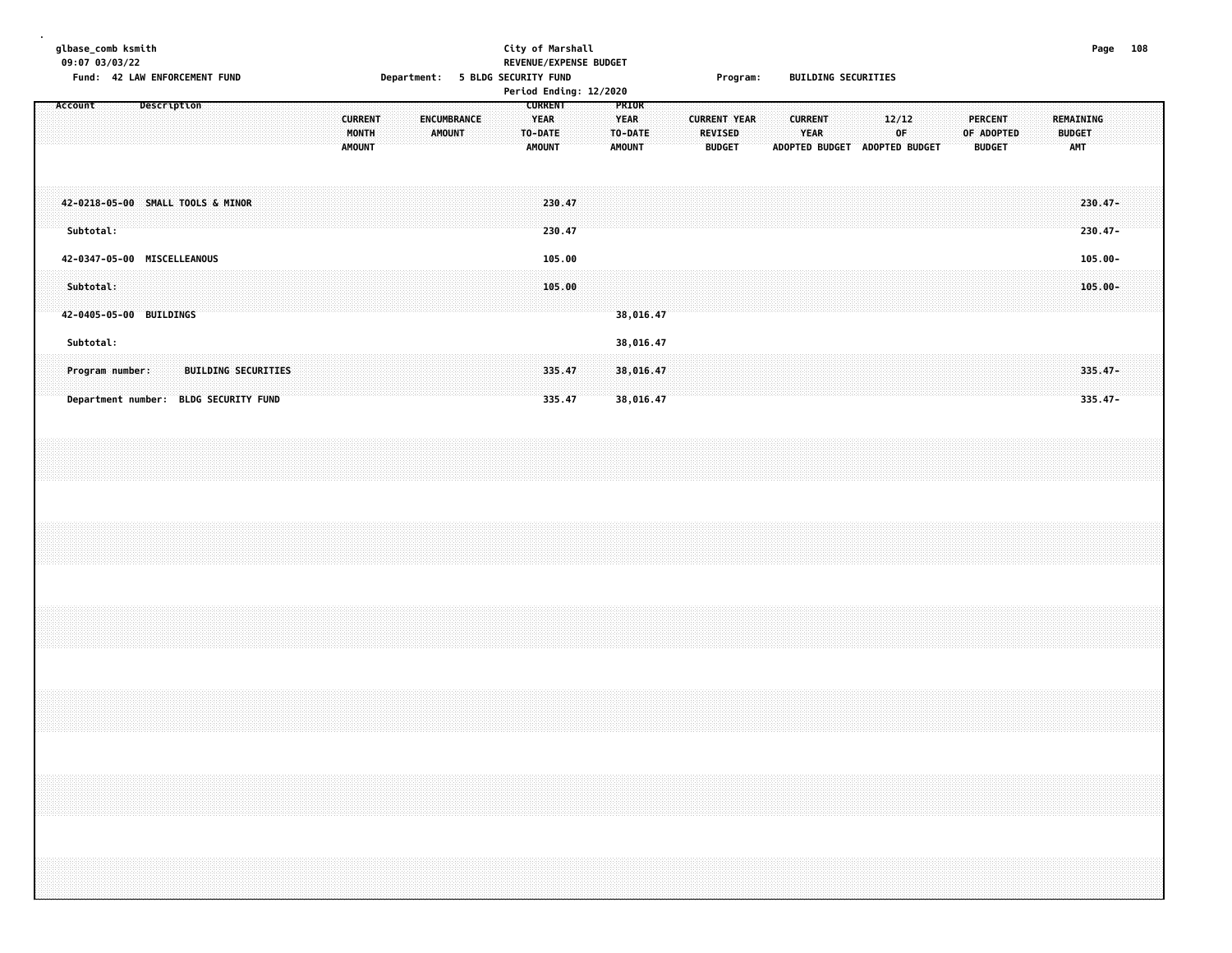# **glbase\_comb ksmith City of Marshall Page 108 09:07 03/03/22 REVENUE/EXPENSE BUDGET**

| Fund: 42 LAW ENFORCEMENT FUND                                                          | Department: 5 BLDG SECURITY FUND<br>Period Ending: 12/2020                                                                                      | <b>BUILDING SECURITIES</b><br>Program:                                                                                                                                                                                        |
|----------------------------------------------------------------------------------------|-------------------------------------------------------------------------------------------------------------------------------------------------|-------------------------------------------------------------------------------------------------------------------------------------------------------------------------------------------------------------------------------|
| Account<br>Description<br><b>CURRENT</b><br>MONTH<br><b>AMOUNT</b>                     | <b>CURRENT</b><br>PRIOR<br><b>ENCUMBRANCE</b><br><b>YEAR</b><br><b>YEAR</b><br><b>AMOUNT</b><br>TO-DATE:<br>TO-DATE:<br><b>AMOUNT</b><br>AMOUNT | <b>CURRENT YEAR</b><br>12/12<br><b>PERCENT</b><br>REMAINING<br><b>CURRENT</b><br>0F<br><b>BUDGET</b><br><b>REVISED</b><br>YEAR<br>OF ADOPTED<br><b>BUDGET</b><br>ADOPTED BUDGET ADOPTED BUDGET<br><b>AMT</b><br><b>BUDGET</b> |
| 42-0218-05-00 SMALL TOOLS & MINOR<br>Subtotal:                                         | 230.47<br>230.47                                                                                                                                | $230.47 -$<br>$230.47 -$                                                                                                                                                                                                      |
| 42-0347-05-00 MISCELLEANOUS                                                            | 105.00                                                                                                                                          | $105.00 -$                                                                                                                                                                                                                    |
| Subtotal:<br>42-0405-05-00 BUILDINGS                                                   | 105.00<br>38,016.47                                                                                                                             | $105.00 -$                                                                                                                                                                                                                    |
| Subtotal:                                                                              | 38,016.47                                                                                                                                       |                                                                                                                                                                                                                               |
| Program number:<br><b>BUILDING SECURITIES</b><br>Department number: BLDG SECURITY FUND | 335.47<br>38,016.47<br>335.47<br>38,016.47                                                                                                      | $335.47 -$<br>$335.47 -$                                                                                                                                                                                                      |
|                                                                                        |                                                                                                                                                 |                                                                                                                                                                                                                               |
|                                                                                        |                                                                                                                                                 |                                                                                                                                                                                                                               |
|                                                                                        |                                                                                                                                                 |                                                                                                                                                                                                                               |
|                                                                                        |                                                                                                                                                 |                                                                                                                                                                                                                               |
|                                                                                        |                                                                                                                                                 |                                                                                                                                                                                                                               |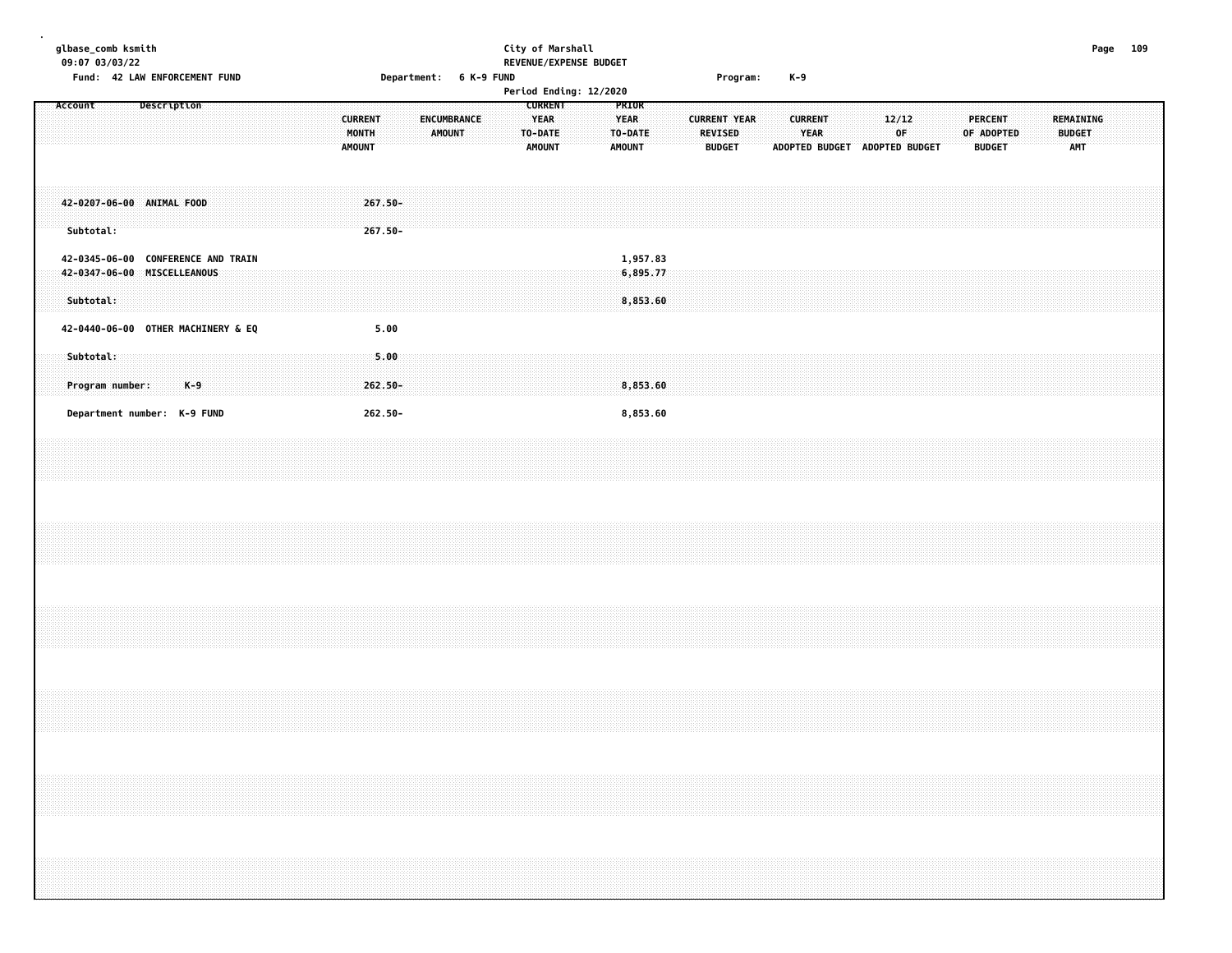| Page | 10 |
|------|----|
|------|----|

| glbase_comb ksmith<br>09:07 03/03/22<br>Fund: 42 LAW ENFORCEMENT FUND          | Department: 6 K-9 FUND                                                   | City of Marshall<br>REVENUE/EXPENSE BUDGET                                                                                              | $K-9$<br>Program:                                                                                         |                                                                                | Page 109                                 |
|--------------------------------------------------------------------------------|--------------------------------------------------------------------------|-----------------------------------------------------------------------------------------------------------------------------------------|-----------------------------------------------------------------------------------------------------------|--------------------------------------------------------------------------------|------------------------------------------|
| Description<br>Account                                                         | <b>CURRENT</b><br><b>ENCUMBRANCE</b><br>AMOUNT<br>MONTH<br><b>AMOUNT</b> | Period Ending: 12/2020<br><b>CURRENT</b><br>PRIOR<br><b>YEAR</b><br><b>YEAR</b><br>TO-DATE<br>TO-DATE<br><b>AMOUNT</b><br><b>AMOUNT</b> | <b>CURRENT YEAR</b><br><b>CURRENT</b><br><b>YEAR</b><br><b>REVISED</b><br><b>BUDGET</b><br>ADOPTED BUDGET | 12/12<br><b>PERCENT</b><br>OF<br>OF ADOPTED<br>ADOPTED BUDGET<br><b>BUDGET</b> | REMAINING<br><b>BUDGET</b><br><b>AMT</b> |
| 42-0207-06-00 ANIMAL FOOD<br>Subtotal:                                         | $267.50 -$<br>$267.50 -$                                                 |                                                                                                                                         |                                                                                                           |                                                                                |                                          |
| 42-0345-06-00 CONFERENCE AND TRAIN<br>42-0347-06-00 MISCELLEANOUS<br>Subtotal: |                                                                          | 1,957.83<br>6,895.77<br>8,853.60                                                                                                        |                                                                                                           |                                                                                |                                          |
| 42-0440-06-00 OTHER MACHINERY & EQ<br>Subtotal:                                | 5.00<br>5.00                                                             |                                                                                                                                         |                                                                                                           |                                                                                |                                          |
| $K-9$<br>Program number:<br>Department number: K-9 FUND                        | 262.50-<br>$262.50 -$                                                    | 8,853.60<br>8,853.60                                                                                                                    |                                                                                                           |                                                                                |                                          |
|                                                                                |                                                                          |                                                                                                                                         |                                                                                                           |                                                                                |                                          |
|                                                                                |                                                                          |                                                                                                                                         |                                                                                                           |                                                                                |                                          |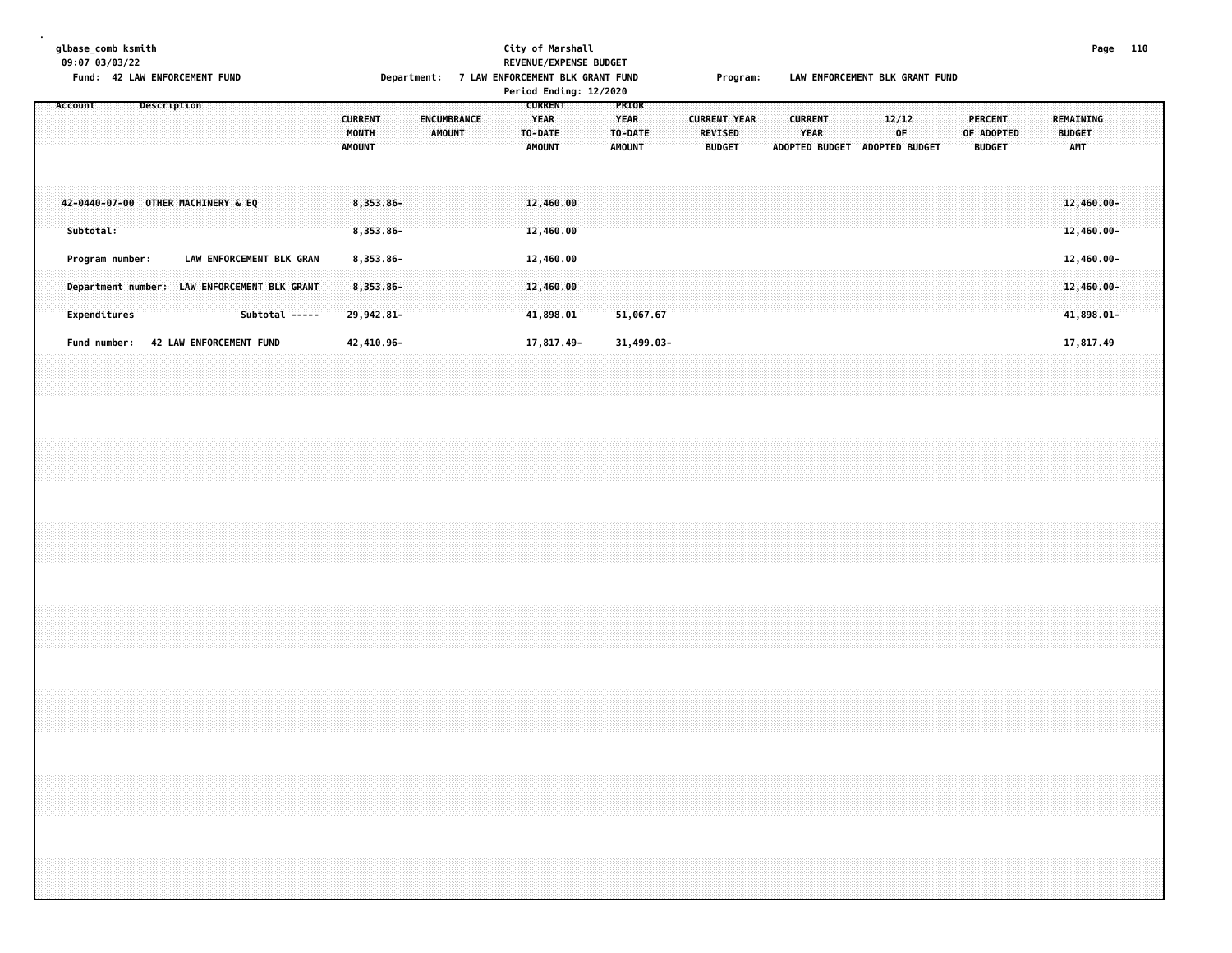| glbase_comb ksmith<br>09:07 03/03/22 |                                 |  |             |  | Fund: 42 LAW ENFORCEMENT FUND      |                         |                                                                                            |                                          |                                      |             |               |  | City of Marshall<br>REVENUE/EXPENSE BUDGET<br>Department: 7 LAW ENFORCEMENT BLK GRANT FUND<br>Period Ending: 12/2020 |                                                           |                                     |  |                                                  |  |                                 | Program:            |  |                        |  | LAW ENFORCEMENT BLK GRANT FUND               |  |                                 |            |  |                                        | Page 110 |  |
|--------------------------------------|---------------------------------|--|-------------|--|------------------------------------|-------------------------|--------------------------------------------------------------------------------------------|------------------------------------------|--------------------------------------|-------------|---------------|--|----------------------------------------------------------------------------------------------------------------------|-----------------------------------------------------------|-------------------------------------|--|--------------------------------------------------|--|---------------------------------|---------------------|--|------------------------|--|----------------------------------------------|--|---------------------------------|------------|--|----------------------------------------|----------|--|
| Account                              |                                 |  | Description |  |                                    |                         |                                                                                            | <b>CURRENT</b><br>MONTH<br><b>AMOUNT</b> |                                      | ENCUMBRANCE | <b>AMOUNT</b> |  |                                                                                                                      | <b>CURRENT</b><br><b>YEAR</b><br>TO-DATE<br><b>AMOUNT</b> |                                     |  | PRIOR<br><b>YEAR</b><br>TO-DATE<br><b>AMOUNT</b> |  | <b>REVISED</b><br><b>BUDGET</b> | <b>CURRENT YEAR</b> |  | <b>CURRENT</b><br>YEAR |  | 12/12<br>0F<br>ADOPTED BUDGET ADOPTED BUDGET |  | <b>PERCENT</b><br><b>BUDGET</b> | OF ADOPTED |  | REMAINING<br><b>BUDGET</b><br>AMT      |          |  |
|                                      | Subtotal:                       |  |             |  | 42-0440-07-00 OTHER MACHINERY & EQ |                         |                                                                                            |                                          | $8,353.86 -$<br>8,353.86-            |             |               |  |                                                                                                                      |                                                           | 12,460.00<br>12,460.00              |  |                                                  |  |                                 |                     |  |                        |  |                                              |  |                                 |            |  | 12,460.00-<br>$12,460.00 -$            |          |  |
|                                      | Program number:<br>Expenditures |  |             |  |                                    |                         | LAW ENFORCEMENT BLK GRAN<br>Department number: LAW ENFORCEMENT BLK GRANT<br>Subtotal ----- |                                          | 8,353.86-<br>8,353.86-<br>29,942.81- |             |               |  |                                                                                                                      |                                                           | 12,460.00<br>12,460.00<br>41,898.01 |  | 51,067.67                                        |  |                                 |                     |  |                        |  |                                              |  |                                 |            |  | 12,460.00-<br>12,460.00-<br>41,898.01- |          |  |
|                                      | Fund number:                    |  |             |  |                                    | 42 LAW ENFORCEMENT FUND |                                                                                            |                                          | 42,410.96-                           |             |               |  |                                                                                                                      |                                                           | 17,817.49-                          |  | 31,499.03-                                       |  |                                 |                     |  |                        |  |                                              |  |                                 |            |  | 17,817.49                              |          |  |
|                                      |                                 |  |             |  |                                    |                         |                                                                                            |                                          |                                      |             |               |  |                                                                                                                      |                                                           |                                     |  |                                                  |  |                                 |                     |  |                        |  |                                              |  |                                 |            |  |                                        |          |  |
|                                      |                                 |  |             |  |                                    |                         |                                                                                            |                                          |                                      |             |               |  |                                                                                                                      |                                                           |                                     |  |                                                  |  |                                 |                     |  |                        |  |                                              |  |                                 |            |  |                                        |          |  |
|                                      |                                 |  |             |  |                                    |                         |                                                                                            |                                          |                                      |             |               |  |                                                                                                                      |                                                           |                                     |  |                                                  |  |                                 |                     |  |                        |  |                                              |  |                                 |            |  |                                        |          |  |
|                                      |                                 |  |             |  |                                    |                         |                                                                                            |                                          |                                      |             |               |  |                                                                                                                      |                                                           |                                     |  |                                                  |  |                                 |                     |  |                        |  |                                              |  |                                 |            |  |                                        |          |  |
|                                      |                                 |  |             |  |                                    |                         |                                                                                            |                                          |                                      |             |               |  |                                                                                                                      |                                                           |                                     |  |                                                  |  |                                 |                     |  |                        |  |                                              |  |                                 |            |  |                                        |          |  |
|                                      |                                 |  |             |  |                                    |                         |                                                                                            |                                          |                                      |             |               |  |                                                                                                                      |                                                           |                                     |  |                                                  |  |                                 |                     |  |                        |  |                                              |  |                                 |            |  |                                        |          |  |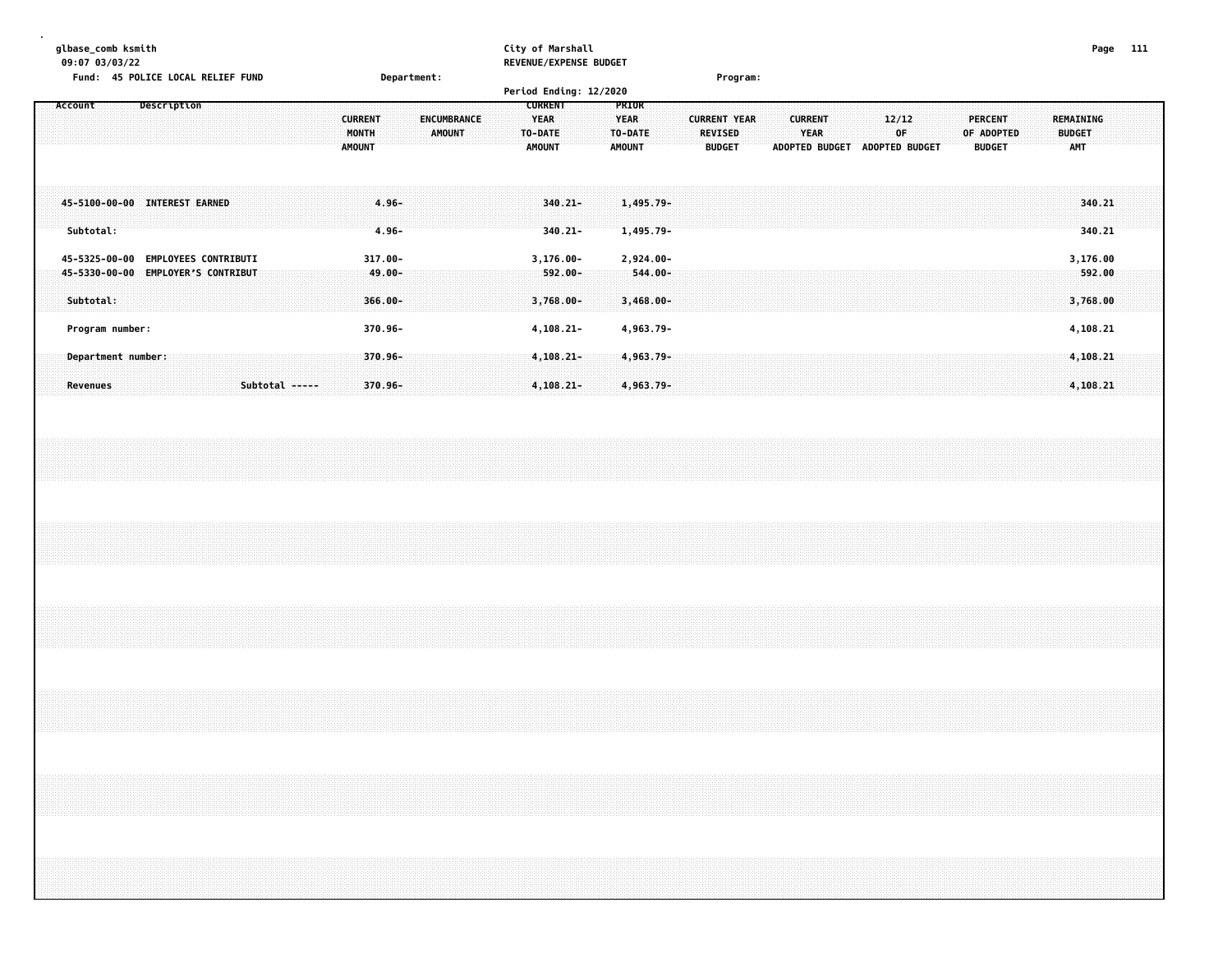**glbase\_comb ksmith City of Marshall Page 111 09:07 03/03/22 REVENUE/EXPENSE BUDGET Fund: 45 POLICE LOCAL RELIEF FUND Department: Program: Period Ending: 12/2020**

| <b>CURRENT</b><br>Description<br><b>PRIOR</b><br>Account<br><b>YEAR</b><br>YEAR<br>ENCUMBRANCE<br><b>CURRENT YEAR</b><br><b>CURRENT</b><br>12/12<br>PERCENT<br><b>CURRENT</b><br>0F<br><b>YEAR</b><br>MONTH<br><b>AMOUNT</b><br>TO-DATE<br>TO-DATE<br><b>REVISED</b><br>OF ADOPTED<br><b>AMOUNT</b><br><b>BUDGET</b><br><b>ADOPTED BUDGET</b><br>ADOPTED BUDGET<br><b>BUDGET</b><br><b>AMOUNT</b><br><b>AMOUNT</b><br>45-5100-00-00 INTEREST EARNED<br>1,495.79-<br>$4.96 -$<br>$340.21 -$<br>$340.21 -$<br>$1,495.79 -$<br>Subtotal:<br>$4.96 -$<br>$317.00 -$<br>45-5325-00-00<br>$3,176.00 -$<br>2,924.00-<br><b>EMPLOYEES CONTRIBUTI</b><br><b>EMPLOYER'S CONTRIBUT</b><br>$-544.00 -$<br>$-45 - 5330 - 00 - 00$<br>$49.00 -$<br>$592.00 -$<br>Subtotal:<br>$366.00 -$<br>$3,768.00 -$<br>$3,468.00 -$<br>370.96-<br>$4, 108.21 -$<br>4,963.79-<br>Program number:<br>$370.96 -$<br>$4,108.21 -$<br>4,963.79-<br>Department number: |                                          |
|-----------------------------------------------------------------------------------------------------------------------------------------------------------------------------------------------------------------------------------------------------------------------------------------------------------------------------------------------------------------------------------------------------------------------------------------------------------------------------------------------------------------------------------------------------------------------------------------------------------------------------------------------------------------------------------------------------------------------------------------------------------------------------------------------------------------------------------------------------------------------------------------------------------------------------------------|------------------------------------------|
|                                                                                                                                                                                                                                                                                                                                                                                                                                                                                                                                                                                                                                                                                                                                                                                                                                                                                                                                         | REMAINING<br><b>BUDGET</b><br><b>AMT</b> |
|                                                                                                                                                                                                                                                                                                                                                                                                                                                                                                                                                                                                                                                                                                                                                                                                                                                                                                                                         | 340.21<br>340.21                         |
|                                                                                                                                                                                                                                                                                                                                                                                                                                                                                                                                                                                                                                                                                                                                                                                                                                                                                                                                         | 3,176.00<br>592.00<br>3,768.00           |
|                                                                                                                                                                                                                                                                                                                                                                                                                                                                                                                                                                                                                                                                                                                                                                                                                                                                                                                                         | 4,108.21                                 |
| Subtotal -----<br>370.96-<br>$4,108.21 -$<br>4,963.79-<br>Revenues                                                                                                                                                                                                                                                                                                                                                                                                                                                                                                                                                                                                                                                                                                                                                                                                                                                                      | 4,108.21<br>4,108.21                     |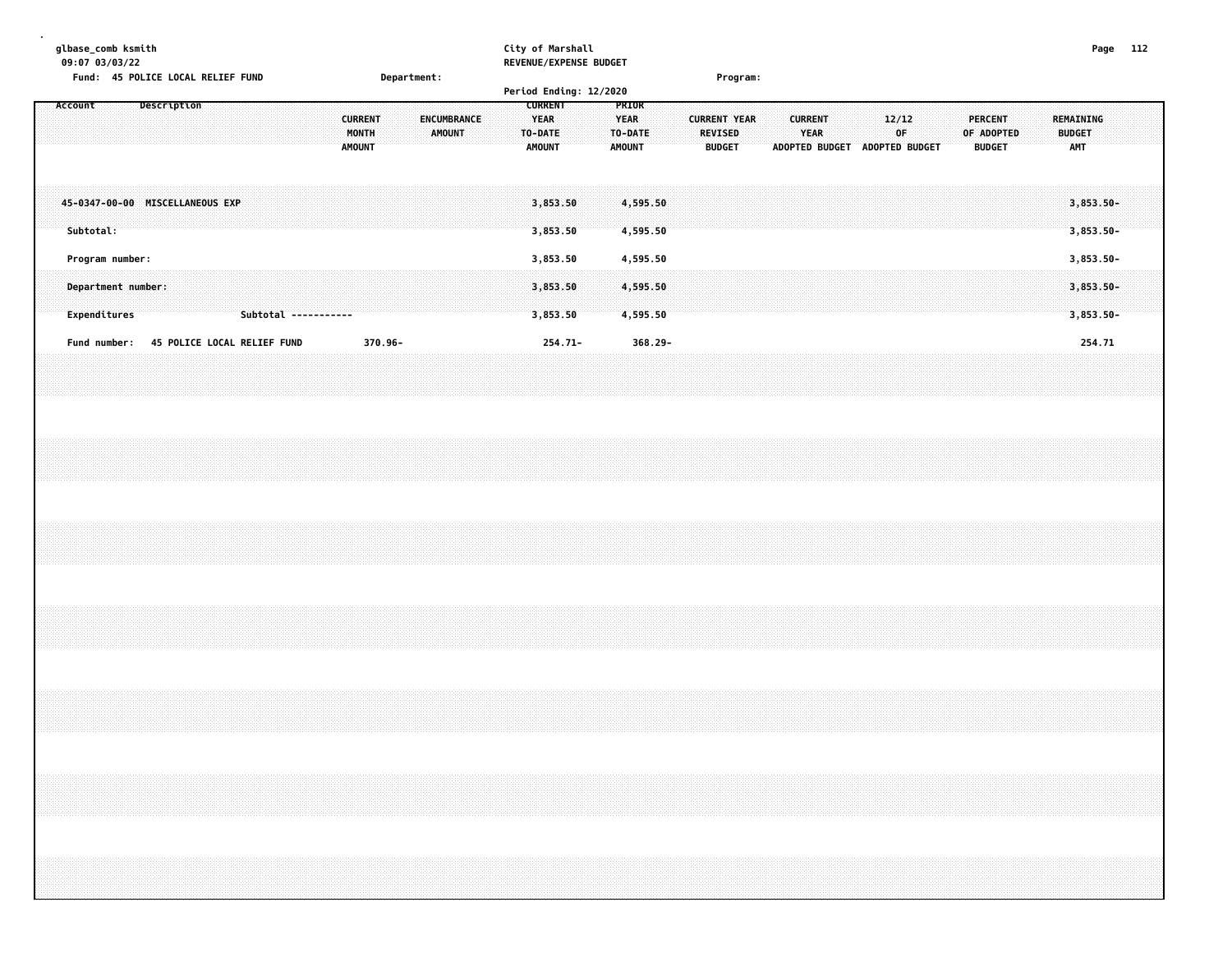| qlbase comb ksmith                |             | City of Marshall              |          | Page | 112 |
|-----------------------------------|-------------|-------------------------------|----------|------|-----|
| 09:07 03/03/22                    |             | <b>REVENUE/EXPENSE BUDGET</b> |          |      |     |
| Fund: 45 POLICE LOCAL RELIEF FUND | Department: |                               | Program: |      |     |
|                                   |             | Period Ending: 12/2020        |          |      |     |

|                                 |                                    |  |                             |  |  |                      |                                          |         |  |        |             |  | $1.31$ coupless control control control of $2.5$   |                      |  |                                                         |         |                                 |                     |  |                        |                |  |             |                |  |                                        |  |                                          |  |
|---------------------------------|------------------------------------|--|-----------------------------|--|--|----------------------|------------------------------------------|---------|--|--------|-------------|--|----------------------------------------------------|----------------------|--|---------------------------------------------------------|---------|---------------------------------|---------------------|--|------------------------|----------------|--|-------------|----------------|--|----------------------------------------|--|------------------------------------------|--|
| Account                         |                                    |  | Description                 |  |  |                      | <b>CURRENT</b><br>MONTH<br><b>AMOUNT</b> |         |  | AMOUNT | ENCUMBRANCE |  | <b>CURRENT</b><br>YEAR<br>TO-DATE<br><b>AMOUNT</b> |                      |  | <b>PRIOR</b><br><b>YEAR</b><br>TO-DATE<br><b>AMOUNT</b> |         | <b>REVISED</b><br><b>BUDGET</b> | <b>CURRENT YEAR</b> |  | <b>CURRENT</b><br>YEAR | ADOPTED BUDGET |  | 12/12<br>0F | ADOPTED BUDGET |  | PERCENT<br>OF ADOPTED<br><b>BUDGET</b> |  | REMAINING<br><b>BUDGET</b><br><b>AMT</b> |  |
| 45-0347-00-00 MISCELLANEOUS EXP | Subtotal:                          |  |                             |  |  |                      |                                          |         |  |        |             |  |                                                    | 3,853.50<br>3,853.50 |  | 4,595.50<br>4,595.50                                    |         |                                 |                     |  |                        |                |  |             |                |  |                                        |  | 3,853.50-<br>$3,853.50 -$                |  |
|                                 | Program number:                    |  |                             |  |  |                      |                                          |         |  |        |             |  |                                                    | 3,853.50             |  | 4,595.50                                                |         |                                 |                     |  |                        |                |  |             |                |  |                                        |  | 3,853.50-                                |  |
|                                 | Department number:<br>Expenditures |  |                             |  |  | Subtotal ----------- |                                          |         |  |        |             |  |                                                    | 3,853.50<br>3,853.50 |  | 4,595.50<br>4,595.50                                    |         |                                 |                     |  |                        |                |  |             |                |  |                                        |  | $3,853.50 -$<br>$3,853.50 -$             |  |
|                                 | Fund number:                       |  | 45 POLICE LOCAL RELIEF FUND |  |  |                      |                                          | 370.96- |  |        |             |  |                                                    | 254.71-              |  |                                                         | 368.29- |                                 |                     |  |                        |                |  |             |                |  |                                        |  | 254.71                                   |  |
|                                 |                                    |  |                             |  |  |                      |                                          |         |  |        |             |  |                                                    |                      |  |                                                         |         |                                 |                     |  |                        |                |  |             |                |  |                                        |  |                                          |  |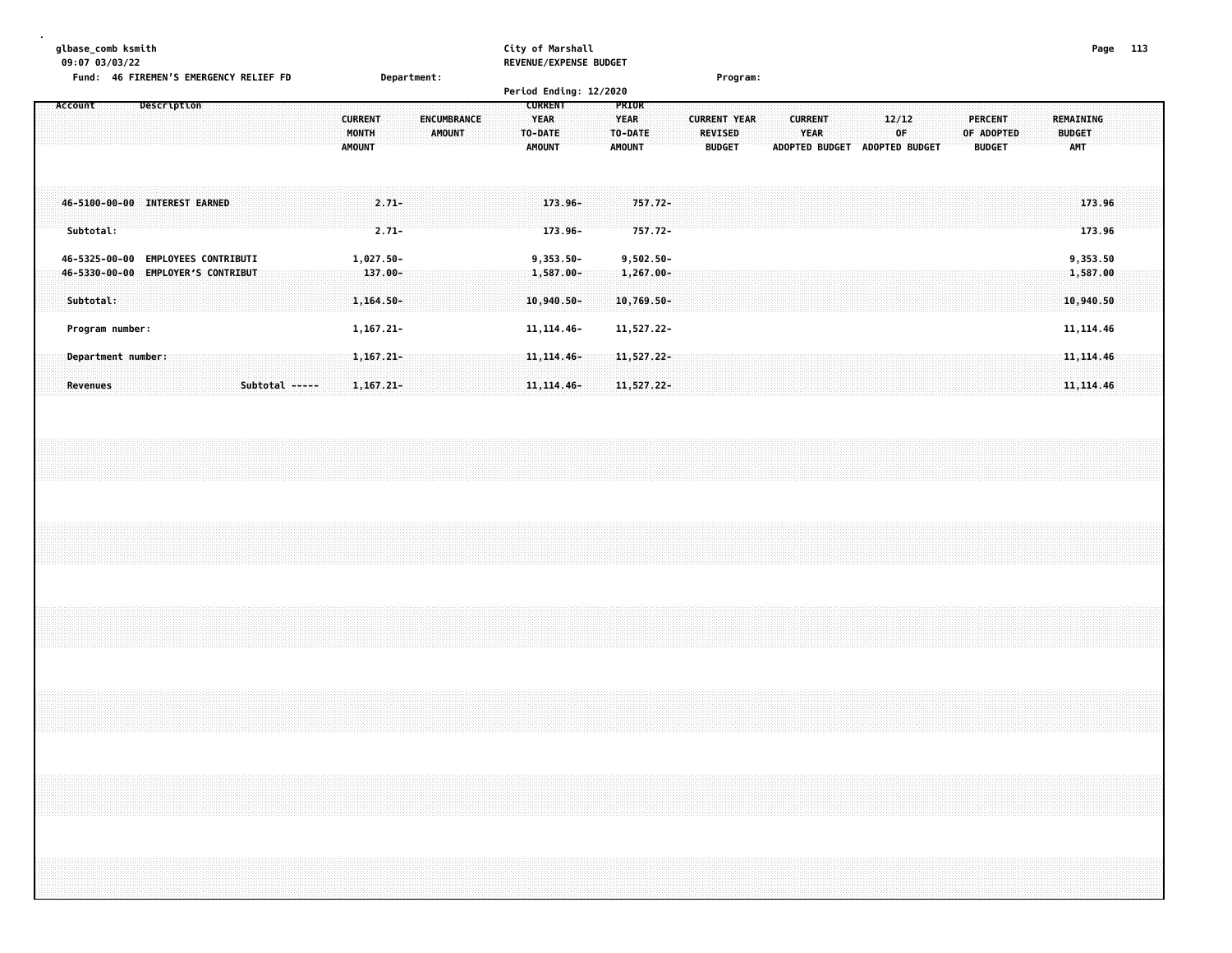| qlbase comb ksmith                     |             | City of Marshall<br>Page      | 113 |
|----------------------------------------|-------------|-------------------------------|-----|
| 09:07 03/03/22                         |             | <b>REVENUE/EXPENSE BUDGET</b> |     |
| Fund: 46 FIREMEN'S EMERGENCY RELIEF FD | Department: | Program:                      |     |

|                                |                                                                   |                |                                        |                              | Period Ending: 12/2020                              |                                                         |                                                        |                                                        |                               |                                                                                    |  |
|--------------------------------|-------------------------------------------------------------------|----------------|----------------------------------------|------------------------------|-----------------------------------------------------|---------------------------------------------------------|--------------------------------------------------------|--------------------------------------------------------|-------------------------------|------------------------------------------------------------------------------------|--|
| Account                        | Description                                                       |                | <b>CURRENT</b><br>MONTH<br>AMOUNT      | <b>ENCUMBRANCE</b><br>AMOUNT | <b>CURRENT</b><br><b>YEAR</b><br>TO-DATE:<br>AMOUNT | <b>PRIOR</b><br><b>YEAR</b><br>TO-DATE<br><b>AMOUNT</b> | <b>CURRENT YEAR</b><br><b>REVISED</b><br><b>BUDGET</b> | <b>CURRENT</b><br><b>YEAR</b><br><b>ADOPTED BUDGET</b> | 12/12<br>0F<br>ADOPTED BUDGET | PERCENT<br>REMAINING<br><b>BUDGET</b><br>OF ADOPTED<br><b>AMT</b><br><b>BUDGET</b> |  |
| Subtotal:                      | 46-5100-00-00 INTEREST EARNED                                     |                | $2.71 -$<br>$2.71 -$                   |                              | $173.96 -$<br>173.96-                               | $757.72 -$<br>757.72-                                   |                                                        |                                                        |                               | 173.96<br>173.96                                                                   |  |
| 46-5325-00-00<br>Subtotal:     | <b>EMPLOYEES CONTRIBUTI</b><br>46-5330-00-00 EMPLOYER'S CONTRIBUT |                | 1,027.50-<br>$137.00 -$<br>$1,164.50-$ |                              | $9,353.50 -$<br>1,587.00-<br>$10,940.50 -$          | $9,502.50 -$<br>$1,267.00 -$<br>10,769.50-              |                                                        |                                                        |                               | 9,353.50<br>1,587.00<br>10,940.50                                                  |  |
| Program number:                |                                                                   |                | $1,167.21-$                            |                              | 11, 114. 46-                                        | 11,527.22-                                              |                                                        |                                                        |                               | 11, 114.46                                                                         |  |
| Department number:<br>Revenues |                                                                   | Subtotal ----- | $1,167.21-$<br>$1,167.21-$             |                              | $11, 114, 46-$<br>$11, 114.46 -$                    | $11,527.22-$<br>$11,527.22-$                            |                                                        |                                                        |                               | 11, 114.46<br>11, 114.46                                                           |  |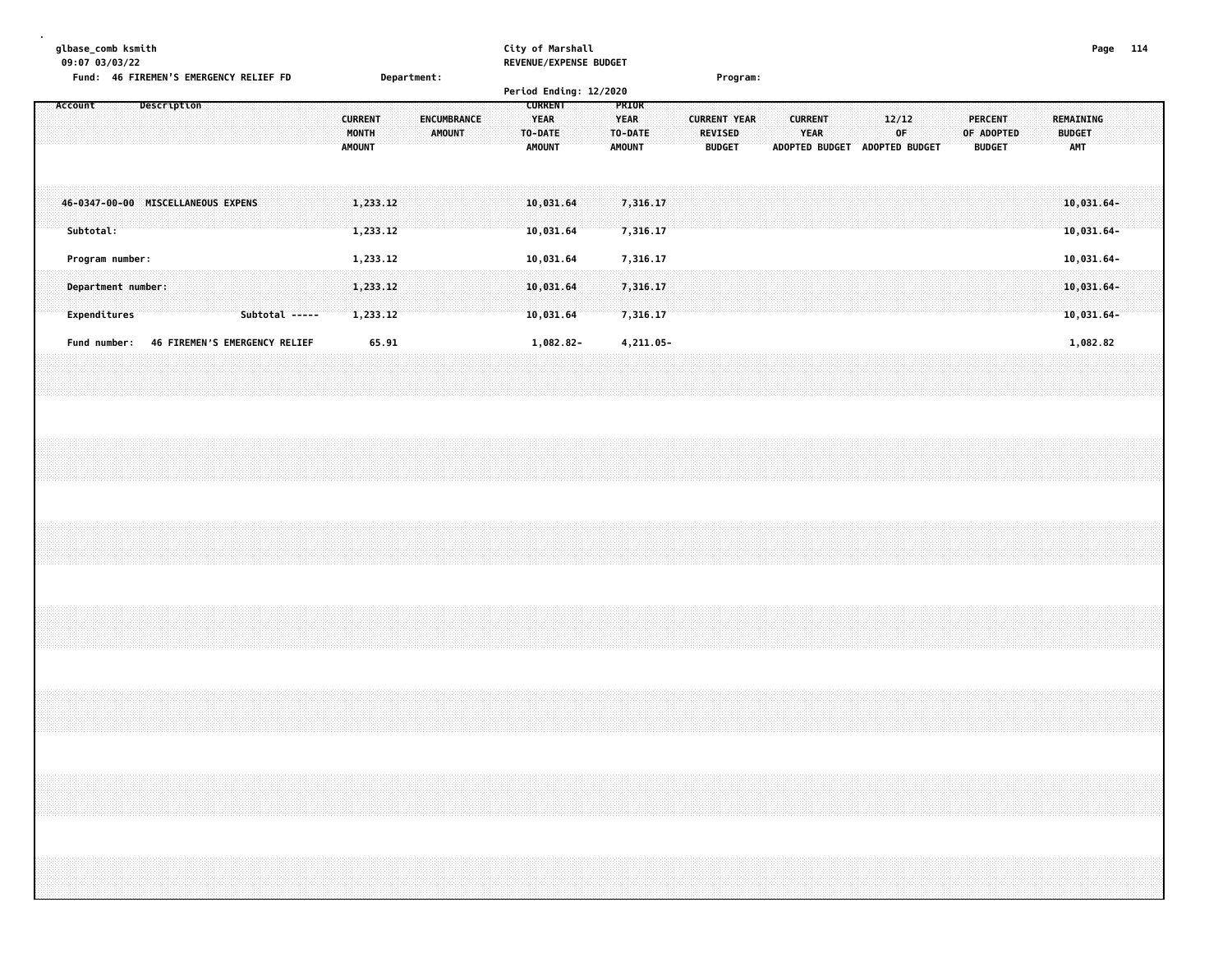| qlbase comb ksmith                     |             | City of Marshall       |                 | Page | 114 |
|----------------------------------------|-------------|------------------------|-----------------|------|-----|
| 09:07 03/03/22                         |             | REVENUE/EXPENSE BUDGET |                 |      |     |
| Fund: 46 FIREMEN'S EMERGENCY RELIEF FD | Department: |                        | <b>Program:</b> |      |     |
|                                        |             | Period Ending: 12/2020 |                 |      |     |

| Account                            | Description                        | <b>CURRENT</b><br>MONTH<br><b>AMOUNT</b> | ENCUMBRANCE<br>AMOUNT | <b>CURRENT</b><br>YEAR<br>TO-DATE<br><b>AMOUNT</b> | <b>PRIOR</b><br><b>YEAR</b><br>TO-DATE<br><b>AMOUNT</b> | <b>CURRENT YEAR</b><br><b>CURRENT</b><br><b>YEAR</b><br><b>REVISED</b><br><b>BUDGET</b><br>ADOPTED BUDGET | 12/12<br>0F.<br>ADOPTED BUDGET | PERCENT<br>REMAINING<br><b>BUDGET</b><br>OF ADOPTED<br><b>AMT</b><br><b>BUDGET</b> |
|------------------------------------|------------------------------------|------------------------------------------|-----------------------|----------------------------------------------------|---------------------------------------------------------|-----------------------------------------------------------------------------------------------------------|--------------------------------|------------------------------------------------------------------------------------|
| Subtotal:                          | 46-0347-00-00 MISCELLANEOUS EXPENS |                                          | 1,233.12<br>1,233.12  | 10,031,64<br>10,031.64                             | 7,316.17<br>7,316.17                                    |                                                                                                           |                                | $10,031.64-$<br>$10,031.64-$                                                       |
| Program number:                    |                                    |                                          | 1,233.12              | 10,031.64                                          | 7,316.17                                                |                                                                                                           |                                | 10,031.64-                                                                         |
| Department number:<br>Expenditures |                                    | Subtotal -----                           | 1,233.12<br>1,233.12  | 10,031.64<br>10,031.64                             | 7,316.17<br>7,316.17                                    |                                                                                                           |                                | $10,031.64-$<br>$10,031.64-$                                                       |
| Fund number:                       | 46 FIREMEN'S EMERGENCY RELIEF      |                                          | 65.91                 | 1,082.82-                                          | 4,211.05-                                               |                                                                                                           |                                | 1,082.82                                                                           |
|                                    |                                    |                                          |                       |                                                    |                                                         |                                                                                                           |                                |                                                                                    |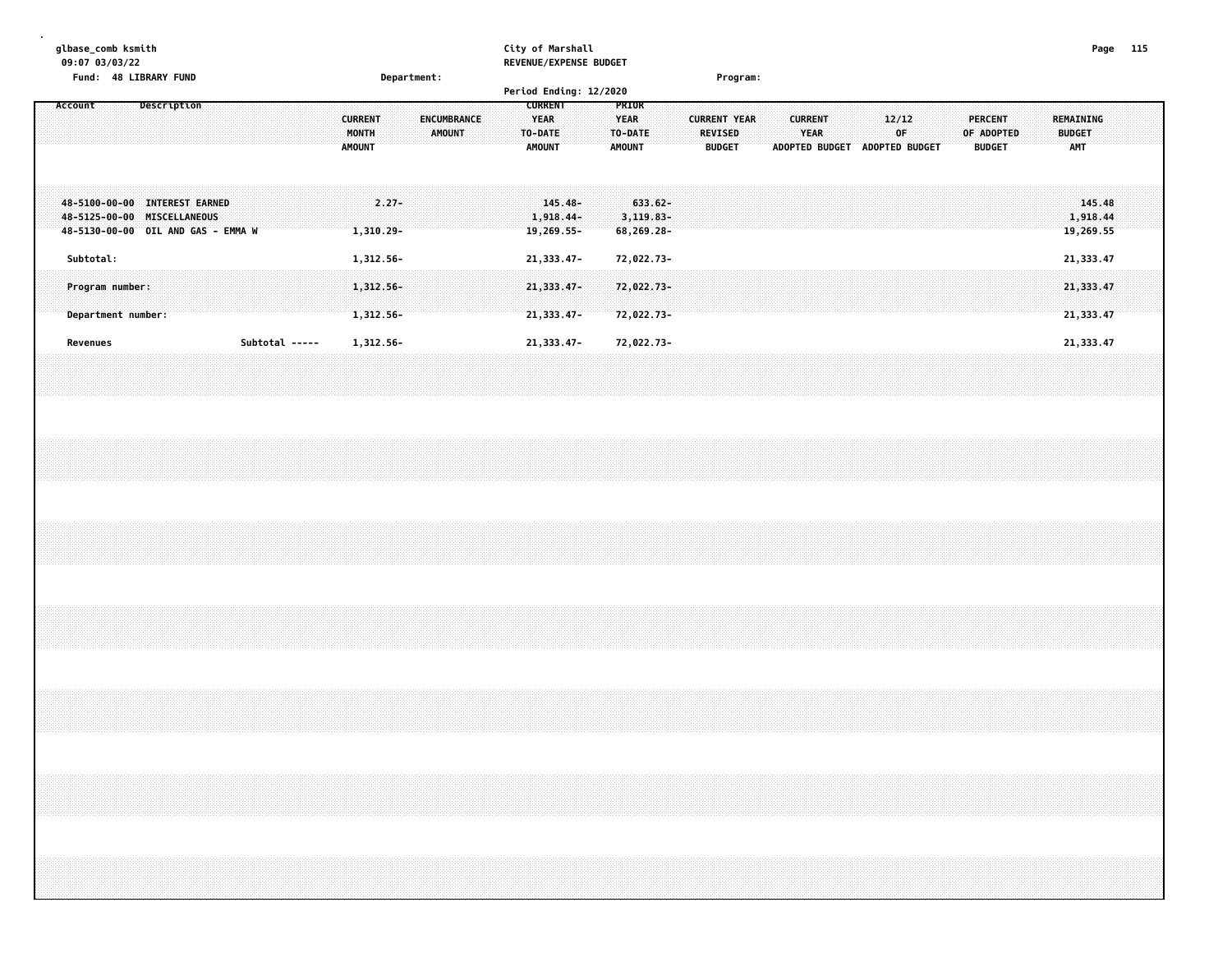|  |          |           | 09:07 03/03/22  | glbase_comb ksmith | Fund: 48 LIBRARY FUND                                                                              |  |  |  |                |  |                                          |                        | Department: |  |                       |  |                                  | City of Marshall                      | REVENUE/EXPENSE BUDGET |                              |                                      |  | Program:                                               |  |                               |  |             |                               |  |                                 |                                                                                  |  |                                          | Page 115                        |  |  |
|--|----------|-----------|-----------------|--------------------|----------------------------------------------------------------------------------------------------|--|--|--|----------------|--|------------------------------------------|------------------------|-------------|--|-----------------------|--|----------------------------------|---------------------------------------|------------------------|------------------------------|--------------------------------------|--|--------------------------------------------------------|--|-------------------------------|--|-------------|-------------------------------|--|---------------------------------|----------------------------------------------------------------------------------|--|------------------------------------------|---------------------------------|--|--|
|  |          |           |                 |                    |                                                                                                    |  |  |  |                |  |                                          |                        |             |  |                       |  |                                  |                                       | Period Ending: 12/2020 |                              |                                      |  |                                                        |  |                               |  |             |                               |  |                                 |                                                                                  |  |                                          |                                 |  |  |
|  | Account  |           |                 |                    | Description                                                                                        |  |  |  |                |  | <b>CURRENT</b><br>MONTH<br><b>AMOUNT</b> |                        |             |  | ENCUMBRANCE<br>AMOUNT |  | <b>YEAR</b><br>TO-DATE<br>AMOUNT | <b>CURRENT</b>                        |                        | <b>YEAR</b><br><b>AMOUNT</b> | PRIOR<br>TO-DATE                     |  | <b>CURRENT YEAR</b><br><b>REVISED</b><br><b>BUDGET</b> |  | <b>CURRENT</b><br><b>YEAR</b> |  | 12/12<br>0F | ADOPTED BUDGET ADOPTED BUDGET |  | <b>PERCENT</b><br><b>BUDGET</b> | OF ADOPTED                                                                       |  | REMAINING<br><b>BUDGET</b><br><b>AMT</b> |                                 |  |  |
|  |          |           |                 |                    | 48-5100-00-00 INTEREST EARNED<br>48-5125-00-00 MISCELLANEOUS<br>48-5130-00-00 OIL AND GAS - EMMA W |  |  |  |                |  |                                          | $2.27 -$<br>1,310.29-  |             |  |                       |  |                                  | $145.48 -$<br>1,918.44-<br>19,269.55- |                        |                              | 633.62-<br>$3,119.83-$<br>68,269.28- |  |                                                        |  |                               |  |             |                               |  |                                 |                                                                                  |  |                                          | 145.48<br>1,918.44<br>19,269.55 |  |  |
|  |          | Subtotal: |                 |                    |                                                                                                    |  |  |  |                |  |                                          | 1,312.56-              |             |  |                       |  |                                  | 21, 333.47-                           |                        |                              | 72,022.73-                           |  |                                                        |  |                               |  |             |                               |  |                                 |                                                                                  |  |                                          | 21,333.47                       |  |  |
|  |          |           | Program number: | Department number: |                                                                                                    |  |  |  |                |  |                                          | 1,312.56-<br>1,312.56- |             |  |                       |  |                                  | 21,333.47-<br>21, 333.47-             |                        |                              | 72,022.73-<br>72,022.73-             |  |                                                        |  |                               |  |             |                               |  |                                 |                                                                                  |  |                                          | 21,333.47<br>21,333.47          |  |  |
|  | Revenues |           |                 |                    |                                                                                                    |  |  |  | Subtotal ----- |  |                                          | 1,312.56-              |             |  |                       |  |                                  | 21, 333.47-                           |                        |                              | 72,022.73-                           |  |                                                        |  |                               |  |             |                               |  |                                 |                                                                                  |  |                                          | 21,333.47                       |  |  |
|  |          |           |                 |                    |                                                                                                    |  |  |  |                |  |                                          |                        |             |  |                       |  |                                  |                                       |                        |                              |                                      |  |                                                        |  |                               |  |             |                               |  |                                 |                                                                                  |  |                                          |                                 |  |  |
|  |          |           |                 |                    |                                                                                                    |  |  |  |                |  |                                          |                        |             |  |                       |  |                                  |                                       |                        |                              |                                      |  |                                                        |  |                               |  |             |                               |  |                                 |                                                                                  |  |                                          |                                 |  |  |
|  |          |           |                 |                    |                                                                                                    |  |  |  |                |  |                                          |                        |             |  |                       |  |                                  |                                       |                        |                              |                                      |  |                                                        |  |                               |  |             |                               |  |                                 |                                                                                  |  |                                          |                                 |  |  |
|  |          |           |                 |                    |                                                                                                    |  |  |  |                |  |                                          |                        |             |  |                       |  |                                  |                                       |                        |                              |                                      |  |                                                        |  |                               |  |             |                               |  |                                 |                                                                                  |  |                                          |                                 |  |  |
|  |          |           |                 |                    |                                                                                                    |  |  |  |                |  |                                          |                        |             |  |                       |  |                                  |                                       |                        |                              |                                      |  |                                                        |  |                               |  |             |                               |  |                                 |                                                                                  |  |                                          |                                 |  |  |
|  |          |           |                 |                    |                                                                                                    |  |  |  |                |  |                                          |                        |             |  |                       |  |                                  |                                       |                        |                              |                                      |  |                                                        |  |                               |  |             |                               |  |                                 | ,我们就会在这里的时候,我们就会在这里的时候,我们就会在这里的时候,我们就会在这里的时候,我们就会在这里的时候,我们就会在这里的时候,我们就会在这里的时候,我们 |  |                                          |                                 |  |  |
|  |          |           |                 |                    |                                                                                                    |  |  |  |                |  |                                          |                        |             |  |                       |  |                                  |                                       |                        |                              |                                      |  |                                                        |  |                               |  |             |                               |  |                                 |                                                                                  |  |                                          |                                 |  |  |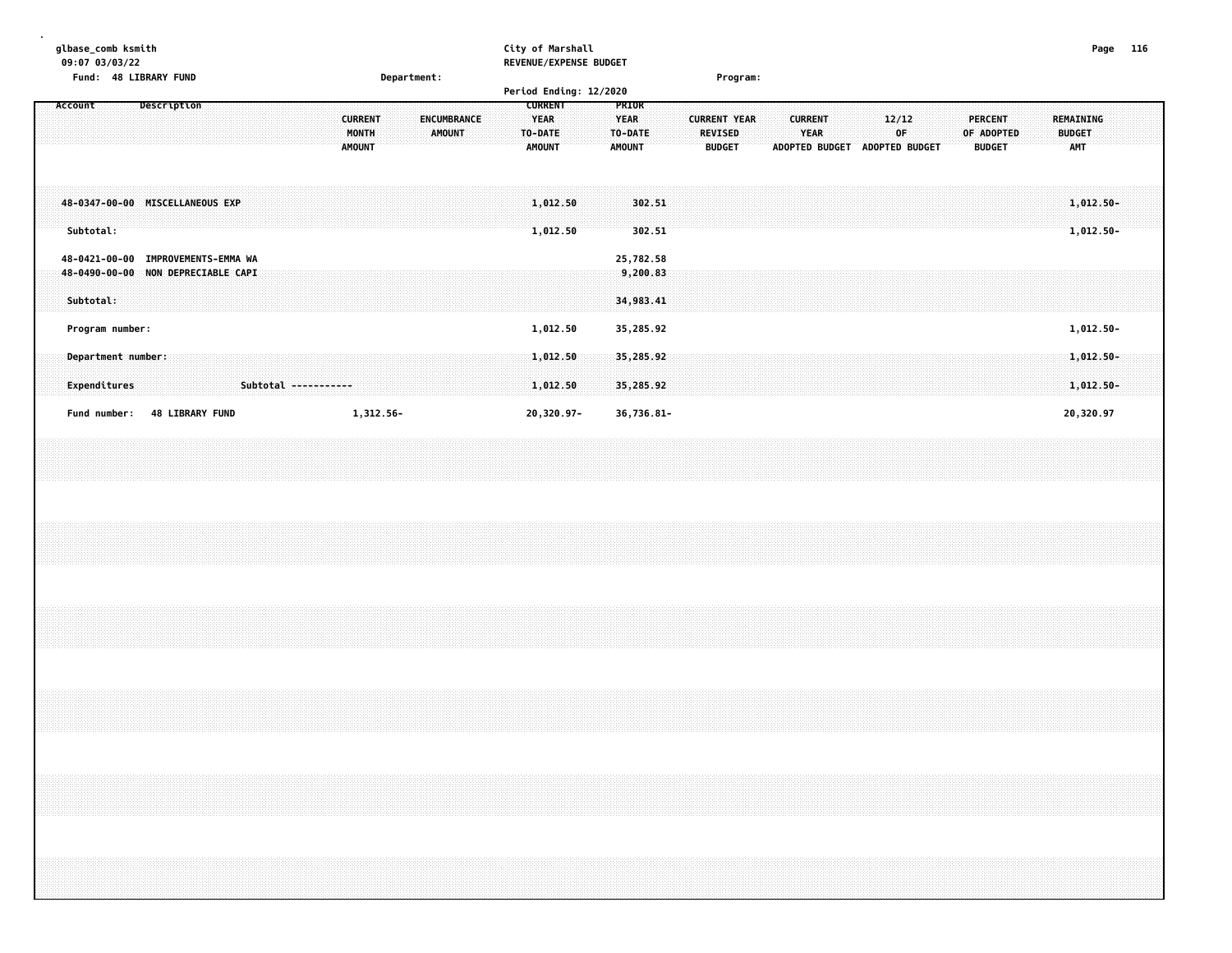| glbase_comb ksmith<br>09:07 03/03/22            |                                                                          | City of Marshall<br>REVENUE/EXPENSE BUDGET                                                                    |                                                                                                                                                                                                           | Page                                            | 116 |
|-------------------------------------------------|--------------------------------------------------------------------------|---------------------------------------------------------------------------------------------------------------|-----------------------------------------------------------------------------------------------------------------------------------------------------------------------------------------------------------|-------------------------------------------------|-----|
| Fund: 48 LIBRARY FUND                           | Department:                                                              |                                                                                                               | Program:                                                                                                                                                                                                  |                                                 |     |
|                                                 |                                                                          | Period Ending: 12/2020                                                                                        |                                                                                                                                                                                                           |                                                 |     |
| <b>Description</b><br>Account                   | <b>CURRENT</b><br>ENCUMBRANCE<br>MONTH<br><b>AMOUNT</b><br><b>AMOUNT</b> | <b>CURRENT</b><br>PRIOR<br><b>YEAR</b><br><b>YEAR</b><br>TO-DATE<br>TO-DATE<br><b>AMOUNT</b><br><b>AMOUNT</b> | <b>CURRENT YEAR</b><br><b>PERCENT</b><br><b>CURRENT</b><br>12/12<br><b>YEAR</b><br><b>REVISED</b><br>OF<br>OF ADOPTED<br><b>ADOPTED BUDGET</b><br><b>BUDGET</b><br><b>ADOPTED BUDGET</b><br><b>BUDGET</b> | <b>REMAINING</b><br><b>BUDGET</b><br><b>AMT</b> |     |
| 48-0347-00-00 MISCELLANEOUS EXP<br>Subtotal:    |                                                                          | 302.51<br>1,012.50<br>1,012.50<br>302.51                                                                      |                                                                                                                                                                                                           | $1,012.50 -$<br>1,012.50-                       |     |
| 48-0421-00-00 IMPROVEMENTS-EMMA WA              |                                                                          | 25,782.58                                                                                                     |                                                                                                                                                                                                           |                                                 |     |
| 48-0490-00-00 NON DEPRECIABLE CAPI<br>Subtotal: |                                                                          | 9,200.83<br>34,983.41                                                                                         |                                                                                                                                                                                                           |                                                 |     |
| Program number:                                 |                                                                          | 1,012.50<br>35,285.92                                                                                         |                                                                                                                                                                                                           | 1,012.50-                                       |     |
| Department number:<br>Expenditures              | Subtotal -----------                                                     | 35,285.92<br>1,012.50<br>1,012.50<br>35,285.92                                                                |                                                                                                                                                                                                           | $1,012.50 -$<br>$1,012.50 -$                    |     |
| <b>48 LIBRARY FUND</b><br>Fund number:          | 1,312.56-                                                                | 20,320.97-<br>36,736.81-                                                                                      |                                                                                                                                                                                                           | 20,320.97                                       |     |
|                                                 |                                                                          |                                                                                                               |                                                                                                                                                                                                           |                                                 |     |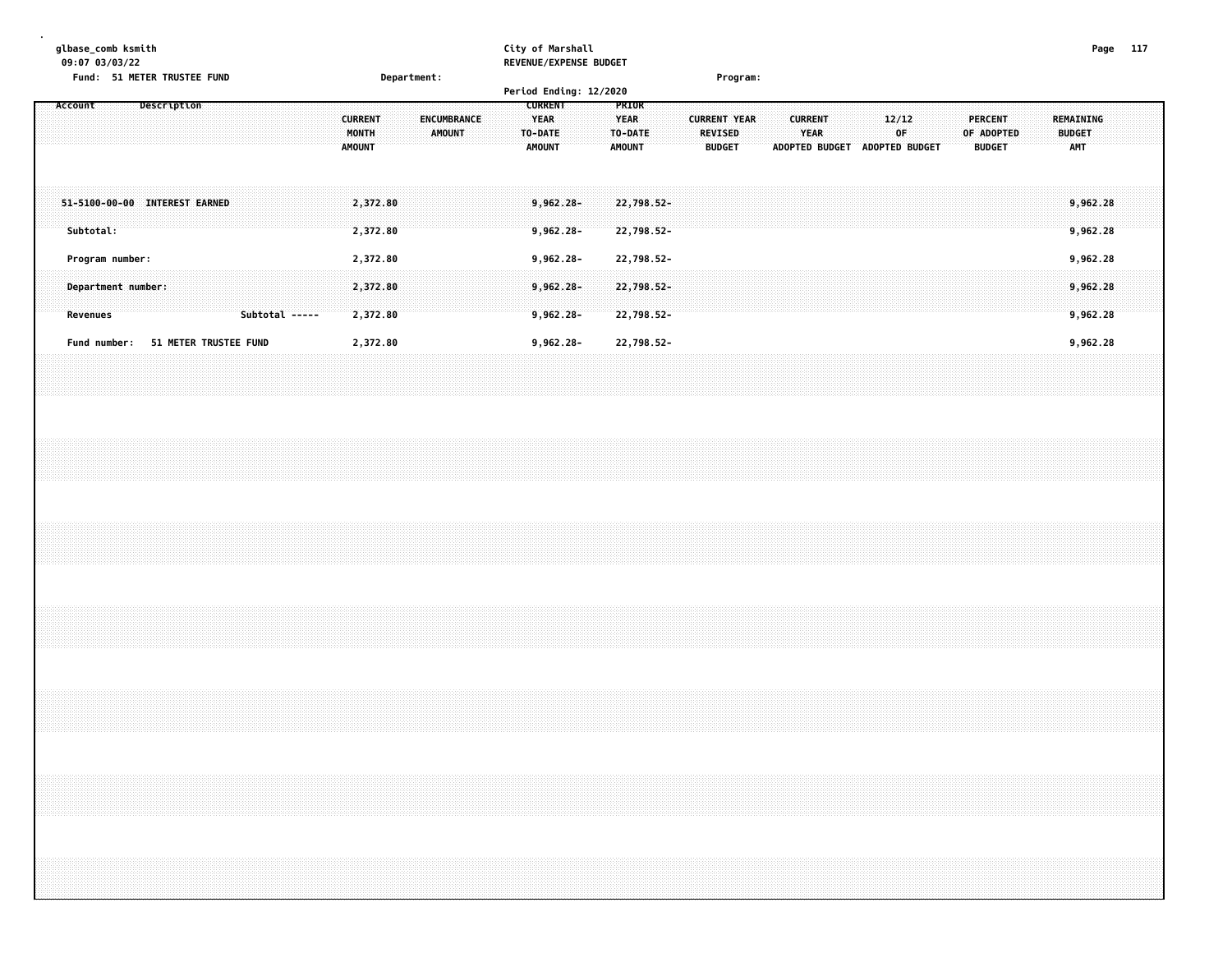| glbase_comb ksmith |                 | 09:07 03/03/22<br>Fund: 51 METER TRUSTEE FUND |             |  |  |                |  |  |                                          |  | Department: |               |  | City of Marshall |                                                    |                              | REVENUE/EXPENSE BUDGET |                              |                          |  |                     |                                 | Program: |  |                               |                               |  |             |  |                                        |  |                             |                      | Page 117 |  |
|--------------------|-----------------|-----------------------------------------------|-------------|--|--|----------------|--|--|------------------------------------------|--|-------------|---------------|--|------------------|----------------------------------------------------|------------------------------|------------------------|------------------------------|--------------------------|--|---------------------|---------------------------------|----------|--|-------------------------------|-------------------------------|--|-------------|--|----------------------------------------|--|-----------------------------|----------------------|----------|--|
| Account            |                 |                                               | Description |  |  |                |  |  | <b>CURRENT</b><br>MONTH<br><b>AMOUNT</b> |  | ENCUMBRANCE | <b>AMOUNT</b> |  |                  | <b>CURRENT</b><br><b>YEAR</b><br>TO-DATE<br>AMOUNT |                              | Period Ending: 12/2020 | <b>YEAR</b><br><b>AMOUNT</b> | PRIOR<br>TO-DATE         |  | <b>CURRENT YEAR</b> | <b>REVISED</b><br><b>BUDGET</b> |          |  | <b>CURRENT</b><br><b>YEAR</b> | ADOPTED BUDGET ADOPTED BUDGET |  | 12/12<br>OF |  | PERCENT<br>OF ADOPTED<br><b>BUDGET</b> |  | <b>BUDGET</b><br><b>AMT</b> | REMAINING            |          |  |
|                    | Subtotal:       | 51-5100-00-00 INTEREST EARNED                 |             |  |  |                |  |  | 2,372.80<br>2,372.80                     |  |             |               |  |                  |                                                    | $9,962.28 -$<br>$9,962.28 -$ |                        |                              | 22,798.52-<br>22,798.52- |  |                     |                                 |          |  |                               |                               |  |             |  |                                        |  |                             | 9,962.28<br>9,962.28 |          |  |
|                    |                 | Program number:                               |             |  |  |                |  |  | 2,372.80                                 |  |             |               |  |                  |                                                    | $9,962.28 -$                 |                        |                              | 22,798.52-               |  |                     |                                 |          |  |                               |                               |  |             |  |                                        |  |                             | 9,962.28             |          |  |
|                    | <b>Revenues</b> | Department number:                            |             |  |  | Subtotal ----- |  |  | 2,372.80<br>2,372.80                     |  |             |               |  |                  |                                                    | $9,962.28 -$<br>$9,962.28 -$ |                        |                              | 22,798.52-<br>22,798.52- |  |                     |                                 |          |  |                               |                               |  |             |  |                                        |  |                             | 9,962.28<br>9,962.28 |          |  |
|                    |                 | Fund number: 51 METER TRUSTEE FUND            |             |  |  |                |  |  | 2,372.80                                 |  |             |               |  |                  |                                                    | 9,962.28-                    |                        |                              | 22,798.52-               |  |                     |                                 |          |  |                               |                               |  |             |  |                                        |  |                             | 9,962.28             |          |  |
|                    |                 |                                               |             |  |  |                |  |  |                                          |  |             |               |  |                  |                                                    |                              |                        |                              |                          |  |                     |                                 |          |  |                               |                               |  |             |  |                                        |  |                             |                      |          |  |
|                    |                 |                                               |             |  |  |                |  |  |                                          |  |             |               |  |                  |                                                    |                              |                        |                              |                          |  |                     |                                 |          |  |                               |                               |  |             |  |                                        |  |                             |                      |          |  |
|                    |                 |                                               |             |  |  |                |  |  |                                          |  |             |               |  |                  |                                                    |                              |                        |                              |                          |  |                     |                                 |          |  |                               |                               |  |             |  |                                        |  |                             |                      |          |  |
|                    |                 |                                               |             |  |  |                |  |  |                                          |  |             |               |  |                  |                                                    |                              |                        |                              |                          |  |                     |                                 |          |  |                               |                               |  |             |  |                                        |  |                             |                      |          |  |
|                    |                 |                                               |             |  |  |                |  |  |                                          |  |             |               |  |                  |                                                    |                              |                        |                              |                          |  |                     |                                 |          |  |                               |                               |  |             |  |                                        |  |                             |                      |          |  |
|                    |                 |                                               |             |  |  |                |  |  |                                          |  |             |               |  |                  |                                                    |                              |                        |                              |                          |  |                     |                                 |          |  |                               |                               |  |             |  |                                        |  |                             |                      |          |  |
|                    |                 |                                               |             |  |  |                |  |  |                                          |  |             |               |  |                  |                                                    |                              |                        |                              |                          |  |                     |                                 |          |  |                               |                               |  |             |  |                                        |  |                             |                      |          |  |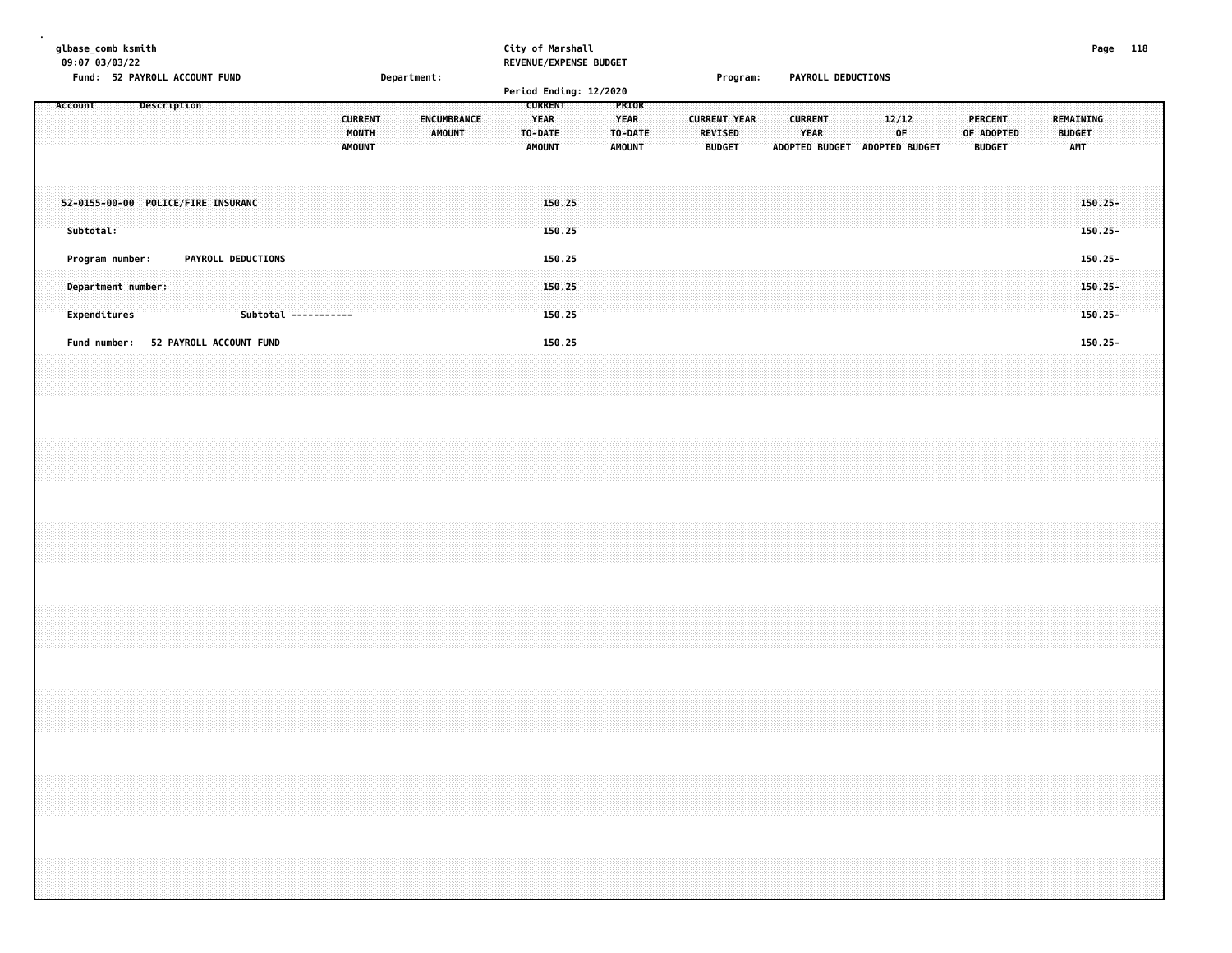| glbase_comb ksmith<br>09:07 03/03/22                                             |              | Fund: 52 PAYROLL ACCOUNT FUND         |                         |  |                                            |  |                                          |  | Department: |               |                    |  |                                                           | City of Marshall           | REVENUE/EXPENSE BUDGET |                                                  |  |                                 | Program:            |                               |                        |  | <b>PAYROLL DEDUCTIONS</b> |             |  |  |                                               |  |                                          | Page 118                            |  |  |
|----------------------------------------------------------------------------------|--------------|---------------------------------------|-------------------------|--|--------------------------------------------|--|------------------------------------------|--|-------------|---------------|--------------------|--|-----------------------------------------------------------|----------------------------|------------------------|--------------------------------------------------|--|---------------------------------|---------------------|-------------------------------|------------------------|--|---------------------------|-------------|--|--|-----------------------------------------------|--|------------------------------------------|-------------------------------------|--|--|
| Account                                                                          |              |                                       | Description             |  |                                            |  | <b>CURRENT</b><br>MONTH<br><b>AMOUNT</b> |  |             | <b>AMOUNT</b> | <b>ENCUMBRANCE</b> |  | <b>CURRENT</b><br><b>YEAR</b><br>TO-DATE<br><b>AMOUNT</b> |                            | Period Ending: 12/2020 | PRIOR<br><b>YEAR</b><br>TO-DATE<br><b>AMOUNT</b> |  | <b>REVISED</b><br><b>BUDGET</b> | <b>CURRENT YEAR</b> | ADOPTED BUDGET ADOPTED BUDGET | <b>CURRENT</b><br>YEAR |  |                           | 12/12<br>0F |  |  | <b>PERCENT</b><br>OF ADOPTED<br><b>BUDGET</b> |  | REMAINING<br><b>BUDGET</b><br><b>AMT</b> |                                     |  |  |
|                                                                                  | Subtotal:    | 52-0155-00-00 POLICE/FIRE INSURANC    |                         |  |                                            |  |                                          |  |             |               |                    |  |                                                           | 150.25<br>150.25           |                        |                                                  |  |                                 |                     |                               |                        |  |                           |             |  |  |                                               |  |                                          | $150.25 -$<br>150.25-               |  |  |
|                                                                                  | Expenditures | Program number:<br>Department number: |                         |  | PAYROLL DEDUCTIONS<br>Subtotal ----------- |  |                                          |  |             |               |                    |  |                                                           | 150.25<br>150.25<br>150.25 |                        |                                                  |  |                                 |                     |                               |                        |  |                           |             |  |  |                                               |  |                                          | 150.25-<br>$150.25 -$<br>$150.25 -$ |  |  |
|                                                                                  | Fund number: |                                       | 52 PAYROLL ACCOUNT FUND |  |                                            |  |                                          |  |             |               |                    |  |                                                           | 150.25                     |                        |                                                  |  |                                 |                     |                               |                        |  |                           |             |  |  |                                               |  |                                          | $150.25 -$                          |  |  |
|                                                                                  |              |                                       |                         |  |                                            |  |                                          |  |             |               |                    |  |                                                           |                            |                        |                                                  |  |                                 |                     |                               |                        |  |                           |             |  |  |                                               |  |                                          |                                     |  |  |
|                                                                                  |              |                                       |                         |  |                                            |  |                                          |  |             |               |                    |  |                                                           |                            |                        |                                                  |  |                                 |                     |                               |                        |  |                           |             |  |  |                                               |  |                                          |                                     |  |  |
|                                                                                  |              |                                       |                         |  |                                            |  |                                          |  |             |               |                    |  |                                                           |                            |                        |                                                  |  |                                 |                     |                               |                        |  |                           |             |  |  |                                               |  |                                          |                                     |  |  |
|                                                                                  |              |                                       |                         |  |                                            |  |                                          |  |             |               |                    |  |                                                           |                            |                        |                                                  |  |                                 |                     |                               |                        |  |                           |             |  |  |                                               |  |                                          |                                     |  |  |
| ,我们的人们就会在这里,我们的人们就会在这里,我们的人们就会在这里,我们的人们就会在这里,我们的人们就会在这里,我们的人们就会在这里,我们的人们就会在这里,我们 |              |                                       |                         |  |                                            |  |                                          |  |             |               |                    |  |                                                           |                            |                        |                                                  |  |                                 |                     |                               |                        |  |                           |             |  |  |                                               |  |                                          |                                     |  |  |
|                                                                                  |              |                                       |                         |  |                                            |  |                                          |  |             |               |                    |  |                                                           |                            |                        |                                                  |  |                                 |                     |                               |                        |  |                           |             |  |  |                                               |  |                                          |                                     |  |  |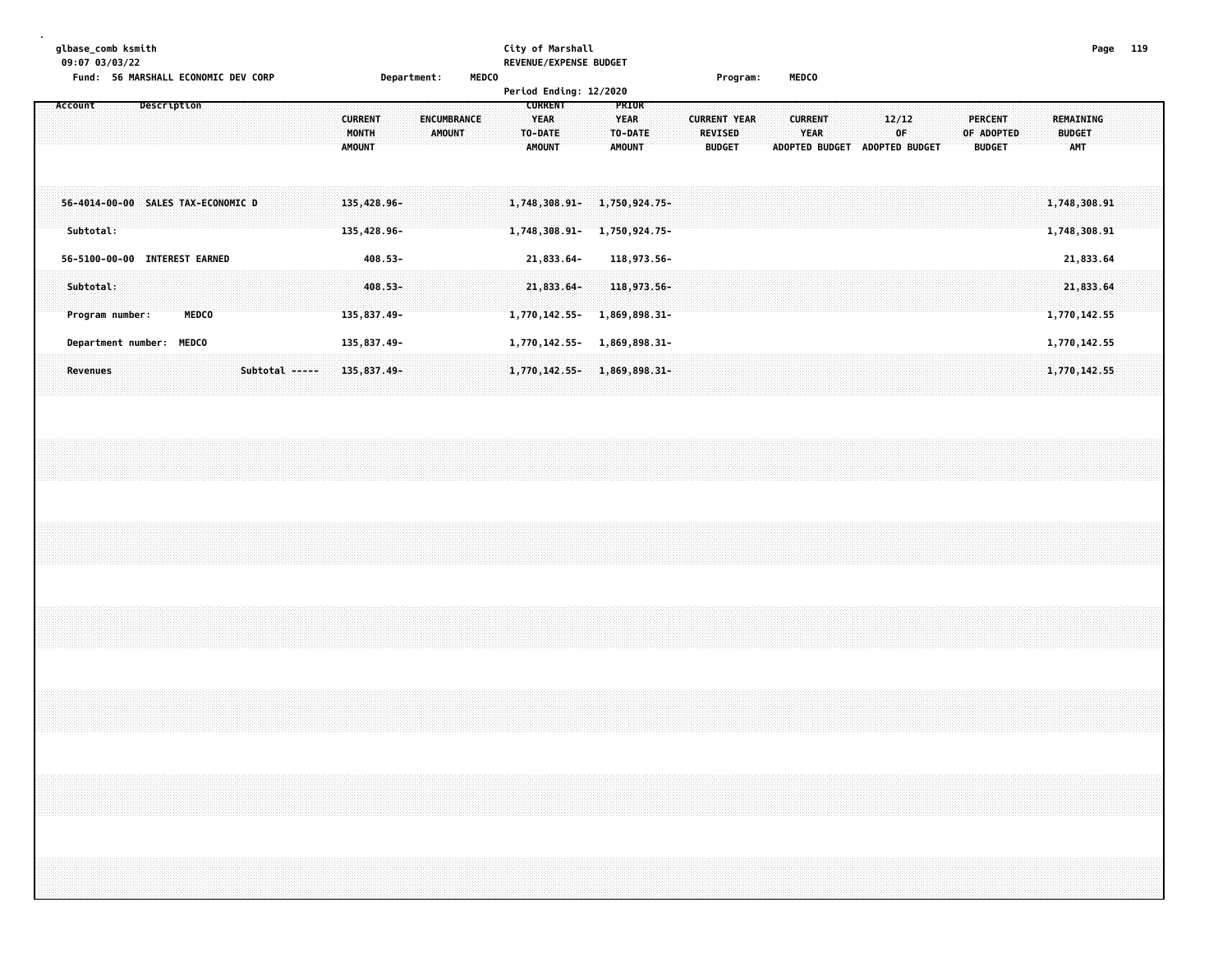| qlbase comb ksmith                            |             | City of Marshall       |         |       | Page | 119 |
|-----------------------------------------------|-------------|------------------------|---------|-------|------|-----|
| 09:07 03/03/22                                |             | REVENUE/EXPENSE BUDGET |         |       |      |     |
| <b>56 MARSHALL ECONOMIC DEV CORP</b><br>Fund: | Department: | <b>MEDCO</b>           | Program | MEDCO |      |     |

|                                                 |             |       |                |                                          |                              |  | Period Ending: 12/2020                             |                       |                                 |                                                        |                |                        |  |                                |  |                                        |                                          |           |  |
|-------------------------------------------------|-------------|-------|----------------|------------------------------------------|------------------------------|--|----------------------------------------------------|-----------------------|---------------------------------|--------------------------------------------------------|----------------|------------------------|--|--------------------------------|--|----------------------------------------|------------------------------------------|-----------|--|
| Account                                         | Description |       |                | <b>CURRENT</b><br>MONTH<br><b>AMOUNT</b> | <b>ENCUMBRANCE</b><br>AMOUNT |  | <b>CURRENT</b><br>YEAR<br>TO-DATE<br><b>AMOUNT</b> | YEAR<br><b>AMOUNT</b> | <b>PRIOR</b><br>TO-DATE         | <b>CURRENT YEAR</b><br><b>REVISED</b><br><b>BUDGET</b> | ADOPTED BUDGET | <b>CURRENT</b><br>YEAR |  | 12/12<br>0F.<br>ADOPTED BUDGET |  | PERCENT<br>OF ADOPTED<br><b>BUDGET</b> | REMAINING<br><b>BUDGET</b><br><b>AMT</b> |           |  |
| 56-4014-00-00 SALES TAX-ECONOMIC D<br>Subtotal: |             |       |                | 135,428.96-<br>135,428.96-               |                              |  | 1,748,308.91-1,750,924.75-<br>1,748,308.91-        |                       | 1,750,924.75-                   |                                                        |                |                        |  |                                |  |                                        | 1,748,308.91<br>1,748,308.91             |           |  |
| 56-5100-00-00 INTEREST EARNED                   |             |       |                | 408.53-                                  |                              |  | 21,833.64-                                         |                       | 118,973.56-                     |                                                        |                |                        |  |                                |  |                                        |                                          | 21,833.64 |  |
| Subtotal:<br>Program number:                    |             | MEDCO |                | 408.53-<br>135,837.49-                   |                              |  | 21,833.64-<br>1,770,142.55-                        |                       | $118,973.56 -$<br>1,869,898.31- |                                                        |                |                        |  |                                |  |                                        | 1,770,142.55                             | 21,833.64 |  |
| Department number: MEDCO                        |             |       |                | 135,837.49-                              |                              |  | 1,770,142.55-                                      |                       | 1,869,898.31-                   |                                                        |                |                        |  |                                |  |                                        | 1,770,142.55                             |           |  |
| Revenues                                        |             |       | Subtotal ----- | 135,837.49-                              |                              |  | $1,770,142.55 - 1,869,898.31 -$                    |                       |                                 |                                                        |                |                        |  |                                |  |                                        | 1,770,142.55                             |           |  |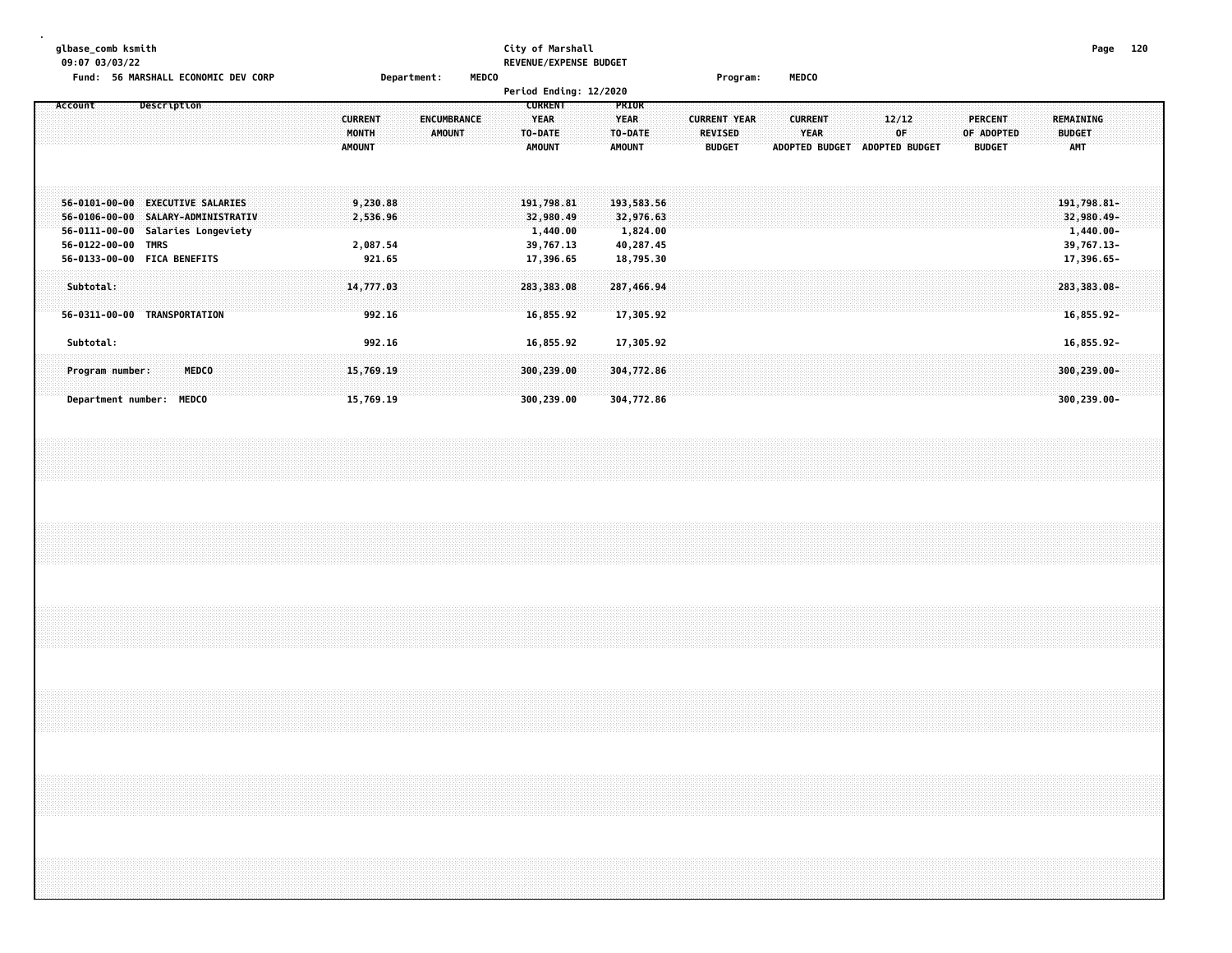| qlbase comb ksmith                  |             | City of Marshall       |         |       | Page | 120 |
|-------------------------------------|-------------|------------------------|---------|-------|------|-----|
| 09:07 03/03/22                      |             | REVENUE/EXPENSE BUDGET |         |       |      |     |
| Fund: 56 MARSHALL ECONOMIC DEV CORP | Department: | <b>MEDCO</b>           | Program | MEDCO |      |     |

|                                                          |                                                                                                             |                                            | Period Ending: 12/2020                                                             |                                                                                                                   |                                                                                         |                                                                                           |
|----------------------------------------------------------|-------------------------------------------------------------------------------------------------------------|--------------------------------------------|------------------------------------------------------------------------------------|-------------------------------------------------------------------------------------------------------------------|-----------------------------------------------------------------------------------------|-------------------------------------------------------------------------------------------|
| Account                                                  | Description                                                                                                 | <b>CURRENT</b><br>MONTH<br><b>AMOUNT</b>   | <b>CURRENT</b><br>YEAR<br><b>ENCUMBRANCE</b><br>AMOUNT<br>TO-DATE<br><b>AMOUNT</b> | <b>PRIOR</b><br><b>YEAR</b><br><b>CURRENT YEAR</b><br>TO-DATE<br><b>REVISED</b><br><b>AMOUNT</b><br><b>BUDGET</b> | <b>CURRENT</b><br>12/12<br><b>YEAR</b><br>0F<br><b>ADOPTED BUDGET</b><br>ADOPTED BUDGET | <b>PERCENT</b><br>REMAINING<br>OF ADOPTED<br><b>BUDGET</b><br><b>AMT</b><br><b>BUDGET</b> |
| 56-0122-00-00 TMRS<br>56-0133-00-00 FICA BENEFITS        | 56-0101-00-00 EXECUTIVE SALARIES<br>56-0106-00-00 SALARY-ADMINISTRATIV<br>56-0111-00-00 Salaries Longeviety | 9,230.88<br>2,536.96<br>2,087.54<br>921.65 | 191,798.81<br>32,980.49<br>1,440.00<br>39,767.13<br>17,396.65                      | 193,583.56<br>32,976.63<br>1,824.00<br>40,287.45<br>18,795.30                                                     |                                                                                         | 191,798.81-<br>32,980.49-<br>$1,440.00 -$<br>39,767.13-<br>17,396.65-                     |
| Subtotal:<br>56-0311-00-00                               | TRANSPORTATION                                                                                              | 14,777.03<br>992.16                        | 283, 383.08<br>16,855.92                                                           | 287,466.94<br>17,305.92                                                                                           |                                                                                         | 283,383.08-<br>$16,855.92-$                                                               |
| Subtotal:<br>Program number:<br>Department number: MEDCO | <b>MEDCO</b>                                                                                                | 992.16<br>15,769.19<br>15,769.19           | 16,855.92<br>300,239.00<br>300,239.00                                              | 17,305.92<br>304,772.86<br>304,772.86                                                                             |                                                                                         | 16,855.92-<br>$300, 239.00 -$<br>300,239.00-                                              |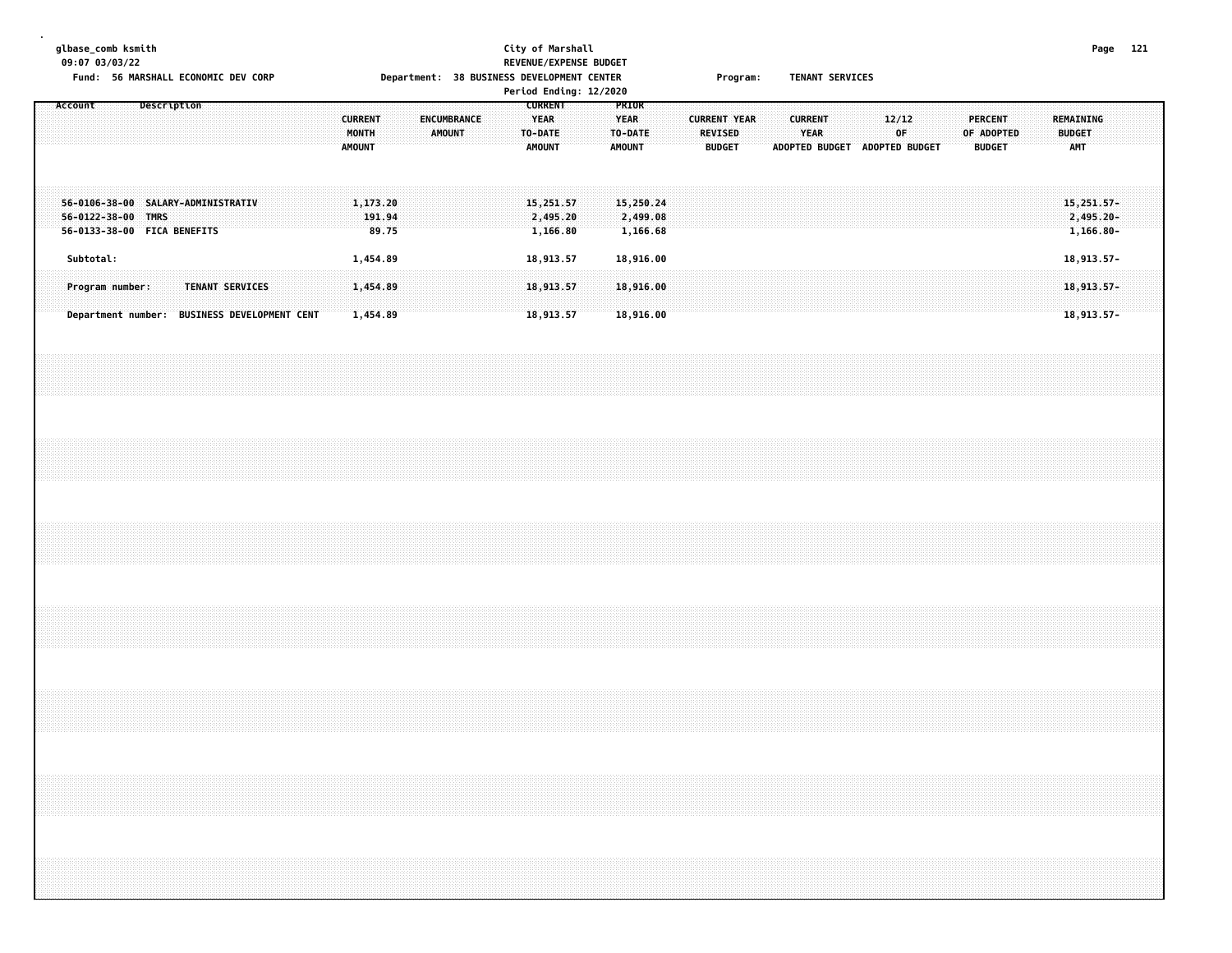**. glbase\_comb ksmith City of Marshall Page 121 09:07 03/03/22 REVENUE/EXPENSE BUDGET** Fund: 56 MARSHALL ECONOMIC DEV CORP **Department: 38 BUSINESS DEVELOPMENT CENTER** Program: TENANT SERVICES **Period Ending: 12/2020 Account Description CURRENT PRIOR CURRENT ENCUMBRANCE YEAR YEAR CURRENT YEAR CURRENT 12/12 PERCENT REMAINING MONTH AMOUNT TO-DATE TO-DATE REVISED YEAR OF OF ADOPTED BUDGET AMOUNT AMOUNT AMOUNT BUDGET ADOPTED BUDGET ADOPTED BUDGET BUDGET AMT 56-0106-38-00 SALARY-ADMINISTRATIV 1,173.20 15,251.57 15,250.24 15,251.57- 56-0122-38-00 TMRS 191.94 2,495.20 2,499.08 2,495.20- 56-0133-38-00 FICA BENEFITS 89.75 1,166.80 1,166.68 1,166.80- Subtotal: 1,454.89 18,913.57 18,916.00 18,913.57- Program number: TENANT SERVICES 1,454.89 18,913.57 18,916.00 18,913.57- Department number: BUSINESS DEVELOPMENT CENT 1,454.89 18,913.57 18,916.00 18,913.57-**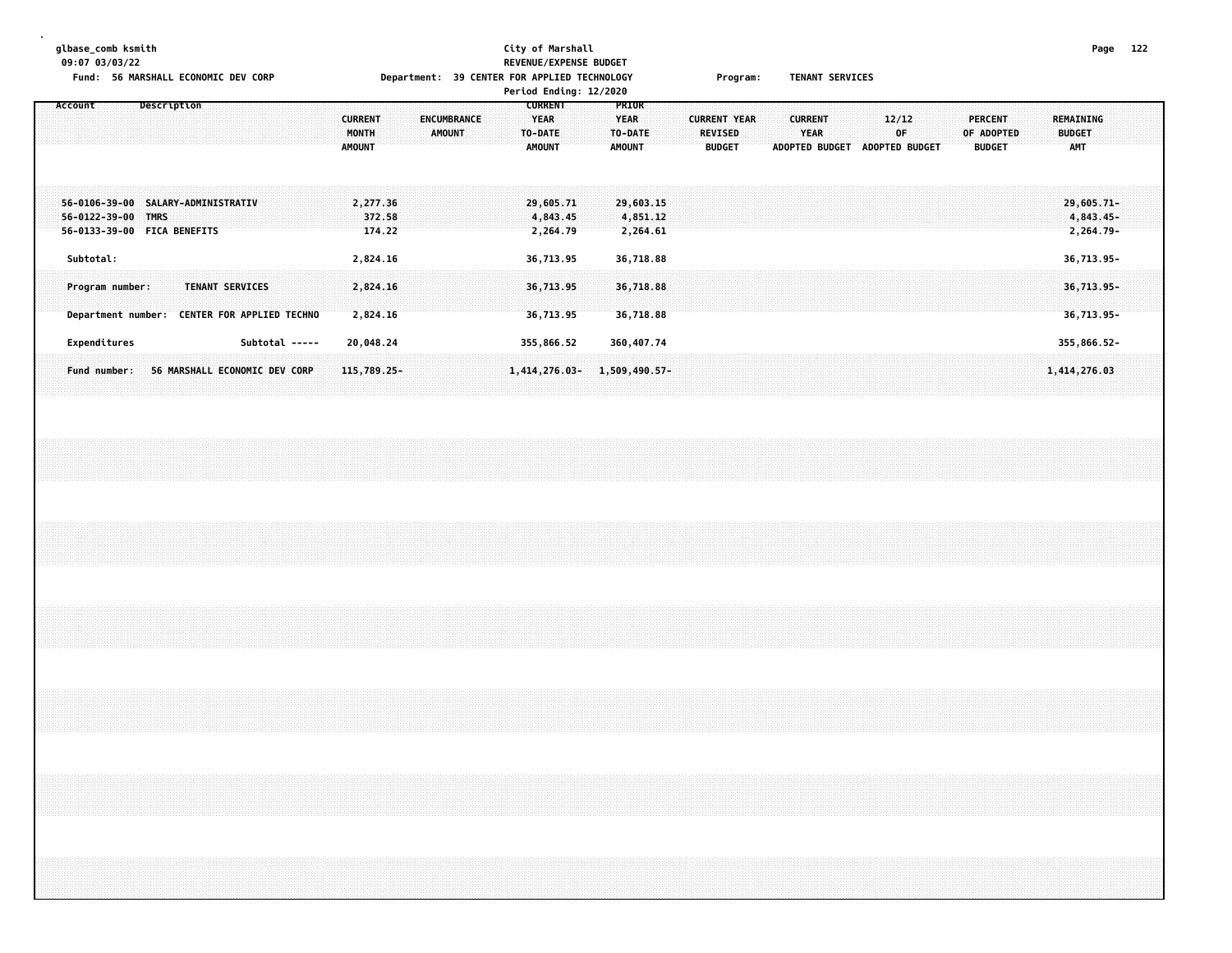**. glbase\_comb ksmith City of Marshall Page 122 09:07 03/03/22 REVENUE/EXPENSE BUDGET** Fund: 56 MARSHALL ECONOMIC DEV CORP **Example 20 Department: 39 CENTER FOR APPLIED TECHNOLOGY** Program: TENANT SERVICES **Period Ending: 12/2020 Account Description CURRENT PRIOR CURRENT ENCUMBRANCE YEAR YEAR CURRENT YEAR CURRENT 12/12 PERCENT REMAINING MONTH AMOUNT TO-DATE TO-DATE REVISED YEAR OF OF ADOPTED BUDGET AMOUNT AMOUNT AMOUNT BUDGET ADOPTED BUDGET ADOPTED BUDGET BUDGET AMT 56-0106-39-00 SALARY-ADMINISTRATIV 2,277.36 29,605.71 29,603.15 29,605.71- 56-0122-39-00 TMRS 372.58 4,843.45 4,851.12 4,843.45- 56-0133-39-00 FICA BENEFITS 174.22 2,264.79 2,264.61 2,264.79- Subtotal: 2,824.16 36,713.95 36,718.88 36,713.95- Program number: TENANT SERVICES 2,824.16 36,713.95 36,718.88 36,713.95-**

Department number: CENTER FOR APPLIED TECHNO 2,824.16 36,713.95 36,713.95 36,718.88 36,718.98 36,718.97 36,713.95- **Expenditures Subtotal ----- 20,048.24 355,866.52 360,407.74 355,866.52-** Fund number: 56 MARSHALL ECONOMIC DEV CORP 115,789.25- 1,414,276.03- 1,509,490.57- 1,509,490.57- 1,414,276.03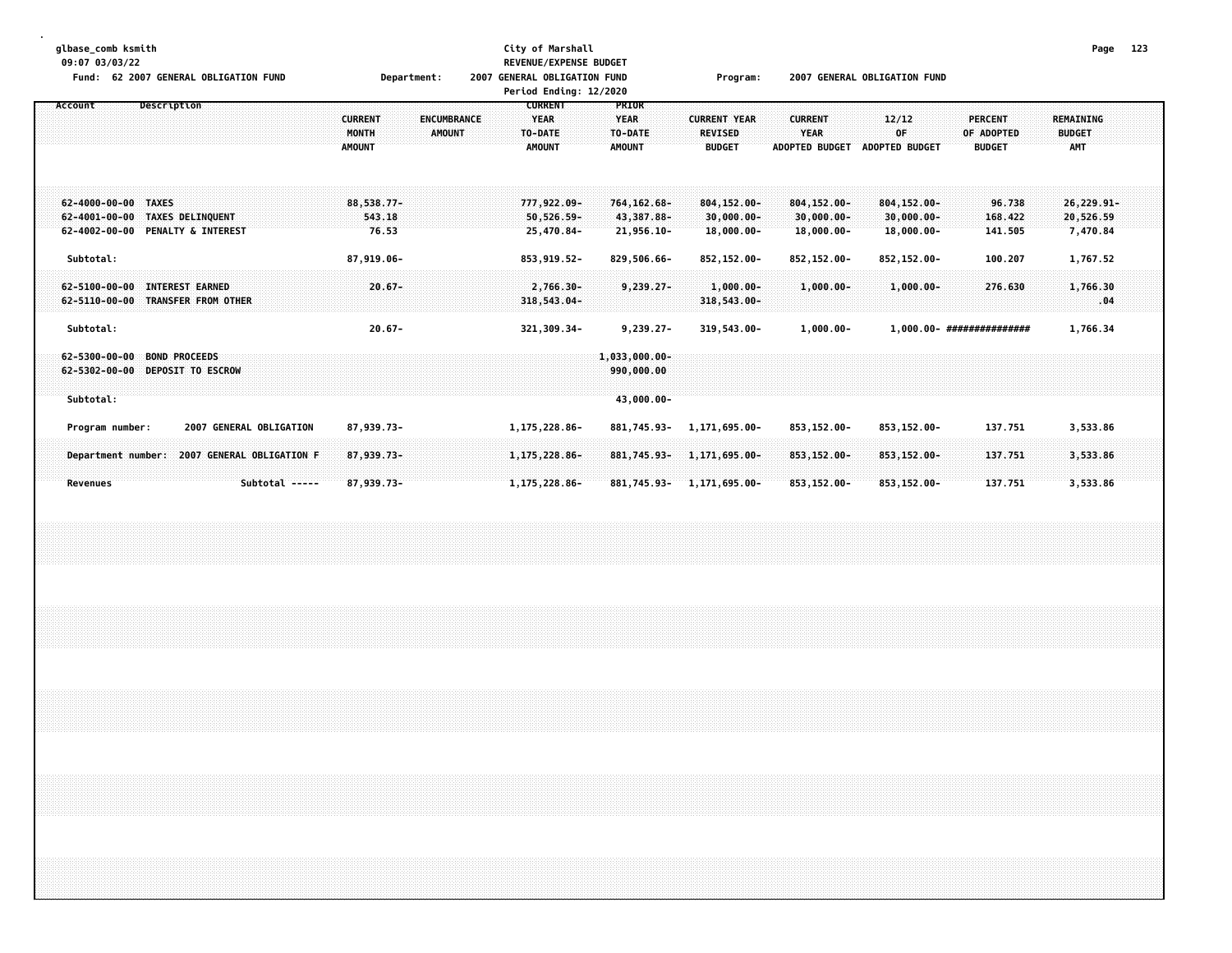| glbase_comb ksmith<br>09:07 03/03/22<br>Fund: 62 2007 GENERAL OBLIGATION FUND             |                         |                | Department:                                                              | City of Marshall<br>REVENUE/EXPENSE BUDGET<br>2007 GENERAL OBLIGATION FUND<br>Period Ending: 12/2020 |                                                  | Program:                                               |                                                                | 2007 GENERAL OBLIGATION FUND                   |                                               | Page 123                                 |
|-------------------------------------------------------------------------------------------|-------------------------|----------------|--------------------------------------------------------------------------|------------------------------------------------------------------------------------------------------|--------------------------------------------------|--------------------------------------------------------|----------------------------------------------------------------|------------------------------------------------|-----------------------------------------------|------------------------------------------|
| Account                                                                                   | Description             |                | <b>CURRENT</b><br>ENCUMBRANCE<br>MONTH<br><b>AMOUNT</b><br><b>AMOUNT</b> | <b>CURRENT</b><br>YEAR<br>TO-DATE<br><b>AMOUNT</b>                                                   | PRIOR<br><b>YEAR</b><br>TO-DATE<br><b>AMOUNT</b> | <b>CURRENT YEAR</b><br><b>REVISED</b><br><b>BUDGET</b> | <b>CURRENT</b><br><b>YEAR</b><br>ADOPTED BUDGET ADOPTED BUDGET | 12/12<br>0F                                    | <b>PERCENT</b><br>OF ADOPTED<br><b>BUDGET</b> | REMAINING<br><b>BUDGET</b><br><b>AMT</b> |
| 62-4000-00-00 TAXES<br>62-4001-00-00 TAXES DELINQUENT<br>62-4002-00-00 PENALTY & INTEREST |                         |                | 88,538.77-<br>543.18<br>76.53                                            | 777,922.09-<br>50,526.59-<br>25,470.84-                                                              | $764, 162, 68 -$<br>43,387.88-<br>21,956.10-     | 804, 152, 00-<br>$30,000.00 -$<br>$18,000.00 -$        | $804, 152.00 -$<br>$30,000.00 -$<br>$18,000.00 -$              | 804, 152.00-<br>$30,000.00 -$<br>$18,000.00 -$ | 96.738<br>168.422<br>141.505                  | 26,229.91-<br>20,526.59<br>7,470.84      |
| Subtotal:<br>62-5100-00-00 INTEREST EARNED                                                |                         |                | 87,919.06-<br>$20.67 -$                                                  | 853,919.52-<br>2,766.30-                                                                             | 829,506.66-<br>$9,239.27 -$                      | 852,152.00-<br>$1,000.00 -$                            | 852,152.00-<br>$1,000.00 -$                                    | 852,152.00-<br>$1,000.00 -$                    | 100.207<br>276.630                            | 1,767.52<br>1,766.30                     |
| 62-5110-00-00 TRANSFER FROM OTHER                                                         |                         |                |                                                                          | 318,543.04-                                                                                          |                                                  | 318,543.00-                                            |                                                                |                                                |                                               | .04.                                     |
| Subtotal:                                                                                 |                         |                | $20.67 -$                                                                | 321, 309.34-                                                                                         | $9,239.27-$                                      | 319,543.00-                                            | $1,000.00 -$                                                   |                                                | $1,000.00 -$ ###############                  | 1,766.34                                 |
| 62-5300-00-00 BOND PROCEEDS<br>62-5302-00-00 DEPOSIT TO ESCROW                            |                         |                |                                                                          |                                                                                                      | $1,033,000.00 -$<br>990,000.00                   |                                                        |                                                                |                                                |                                               |                                          |
| Subtotal:                                                                                 |                         |                |                                                                          |                                                                                                      | 43,000.00-                                       |                                                        |                                                                |                                                |                                               |                                          |
| Program number:                                                                           | 2007 GENERAL OBLIGATION |                | 87,939.73-                                                               | 1, 175, 228.86-                                                                                      | 881,745.93-                                      | 1,171,695.00-                                          | 853,152.00-                                                    | 853, 152.00-                                   | 137.751                                       | 3,533.86                                 |
| Department number: 2007 GENERAL OBLIGATION F<br><b>Revenues</b>                           |                         | Subtotal ----- | 87,939.73-<br>87,939.73-                                                 | 1, 175, 228.86-<br>1, 175, 228.86-                                                                   | 881,745.93-                                      | 1,171,695.00-<br>881,745.93- 1,171,695.00-             | 853,152.00-<br>853,152.00-                                     | 853, 152.00-<br>853, 152.00-                   | 137.751<br>137.751                            | 3,533.86<br>3,533.86                     |
|                                                                                           |                         |                |                                                                          |                                                                                                      |                                                  |                                                        |                                                                |                                                |                                               |                                          |
|                                                                                           |                         |                |                                                                          |                                                                                                      |                                                  |                                                        |                                                                |                                                |                                               |                                          |
|                                                                                           |                         |                |                                                                          |                                                                                                      |                                                  |                                                        |                                                                |                                                |                                               |                                          |
|                                                                                           |                         |                |                                                                          |                                                                                                      |                                                  |                                                        |                                                                |                                                |                                               |                                          |
|                                                                                           |                         |                |                                                                          |                                                                                                      |                                                  |                                                        |                                                                |                                                |                                               |                                          |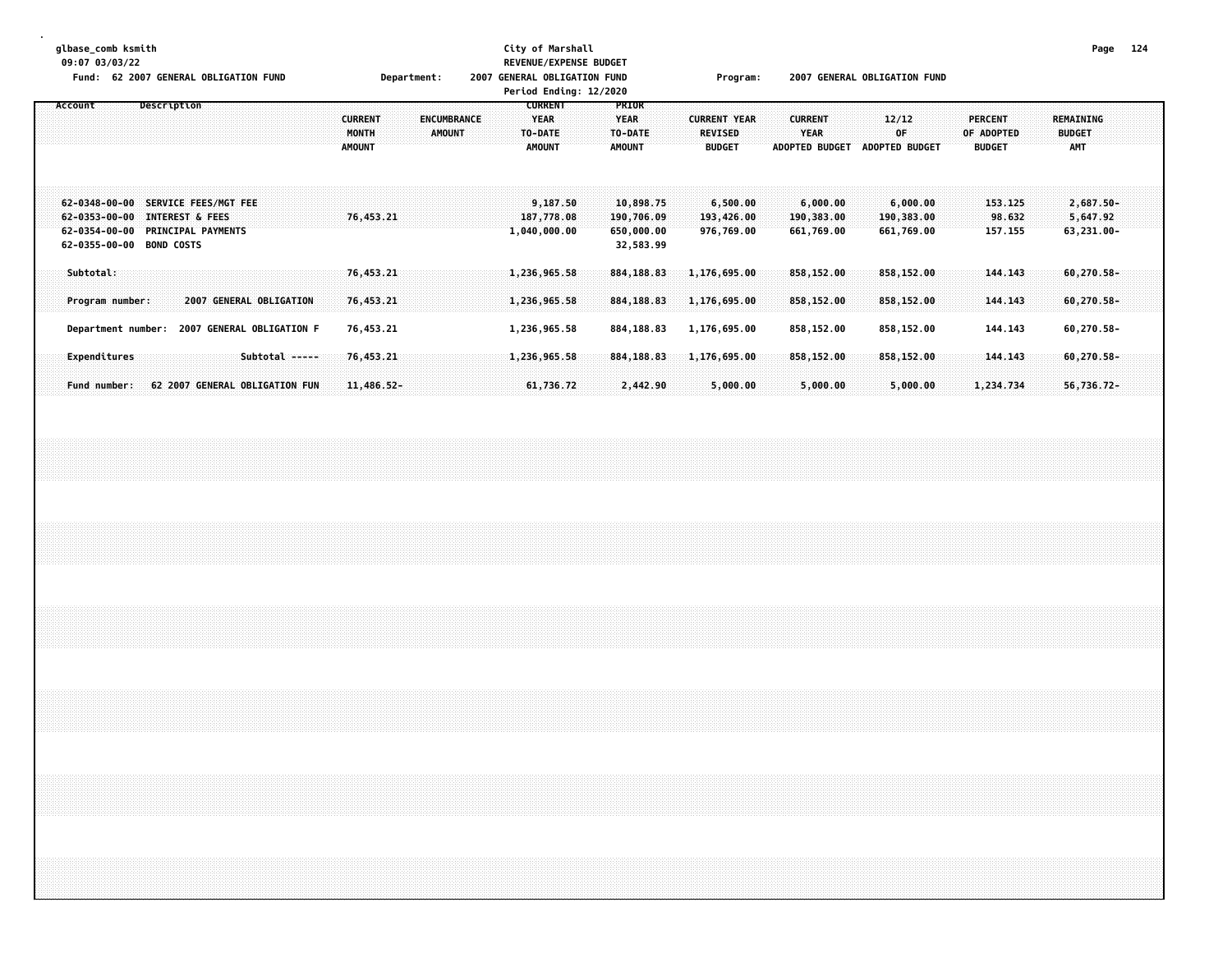| glbase comb ksmith<br>09:07 03/03/22<br>Fund: 62 2007 GENERAL OBLIGATION FUND                                                                                       | Department:<br>2007                                                             | City of Marshall<br>REVENUE/EXPENSE BUDGET<br><b>GENERAL OBLIGATION FUND</b><br>Period Ending: 12/2020        | Program:                                               | 2007 GENERAL OBLIGATION FUND                                                            | Page                                                                                             | 124 |
|---------------------------------------------------------------------------------------------------------------------------------------------------------------------|---------------------------------------------------------------------------------|---------------------------------------------------------------------------------------------------------------|--------------------------------------------------------|-----------------------------------------------------------------------------------------|--------------------------------------------------------------------------------------------------|-----|
| Description<br>Account                                                                                                                                              | <b>CURRENT</b><br><b>ENCUMBRANCE</b><br>MONTH<br><b>AMOUNT</b><br><b>AMOUNT</b> | <b>CURRENT</b><br><b>PRIOR</b><br><b>YEAR</b><br><b>YEAR</b><br>TO-DATE<br>TO-DATE<br><b>AMOUNT</b><br>AMOUNT | <b>CURRENT YEAR</b><br><b>REVISED</b><br><b>BUDGET</b> | <b>CURRENT</b><br>12/12<br>YEAR<br>0F<br><b>ADOPTED BUDGET</b><br><b>ADOPTED BUDGET</b> | <b>REMAINING</b><br><b>PERCENT</b><br>OF ADOPTED<br><b>BUDGET</b><br><b>BUDGET</b><br><b>AMT</b> |     |
| 62-0348-00-00 SERVICE FEES/MGT FEE<br><b>INTEREST &amp; FEES</b><br>$62 - 0353 - 00 - 00$<br>62-0354-00-00<br><b>PRINCIPAL PAYMENTS</b><br>62-0355-00-00 BOND COSTS | 76,453.21                                                                       | 10,898.75<br>9,187.50<br>187,778.08<br>190,706.09<br>1,040,000.00<br>650,000.00<br>32,583.99                  | 6,500.00<br>193,426.00<br>976,769.00                   | 6,000.00<br>6,000.00<br>190,383.00<br>190,383.00<br>661,769.00<br>661,769.00            | $2,687.50 -$<br>153.125<br>98.632<br>5,647.92<br>$63,231.00 -$<br>157.155                        |     |
| Subtotal:                                                                                                                                                           | 76,453.21                                                                       | 884, 188.83<br>1,236,965.58                                                                                   | 1,176,695.00                                           | 858,152.00<br>858,152.00                                                                | 144.143<br>$60, 270.58 -$                                                                        |     |
| 2007 GENERAL OBLIGATION<br>Program number:                                                                                                                          | 76,453.21                                                                       | 884,188.83<br>1,236,965.58                                                                                    | 1,176,695.00                                           | 858,152.00<br>858,152.00                                                                | 144.143<br>60,270.58-                                                                            |     |
| Department number: 2007 GENERAL OBLIGATION F                                                                                                                        | 76,453.21                                                                       | 1,236,965.58<br>884,188.83                                                                                    | 1,176,695.00                                           | 858,152.00<br>858,152.00                                                                | 60,270.58-<br>144.143                                                                            |     |
| Subtotal -----<br>Expenditures                                                                                                                                      | 76,453.21                                                                       | 884, 188, 83<br>1,236,965.58                                                                                  | 1,176,695.00                                           | 858,152.00<br>858,152.00                                                                | 144.143<br>$60, 270.58 -$                                                                        |     |
| 62 2007 GENERAL OBLIGATION FUN<br>Fund number:                                                                                                                      | 11,486.52-                                                                      | 2,442.90<br>61,736.72                                                                                         | 5,000.00                                               | 5,000.00<br>5,000.00                                                                    | 1,234.734<br>$56,736.72-$                                                                        |     |
|                                                                                                                                                                     |                                                                                 |                                                                                                               |                                                        |                                                                                         |                                                                                                  |     |
|                                                                                                                                                                     |                                                                                 |                                                                                                               |                                                        |                                                                                         |                                                                                                  |     |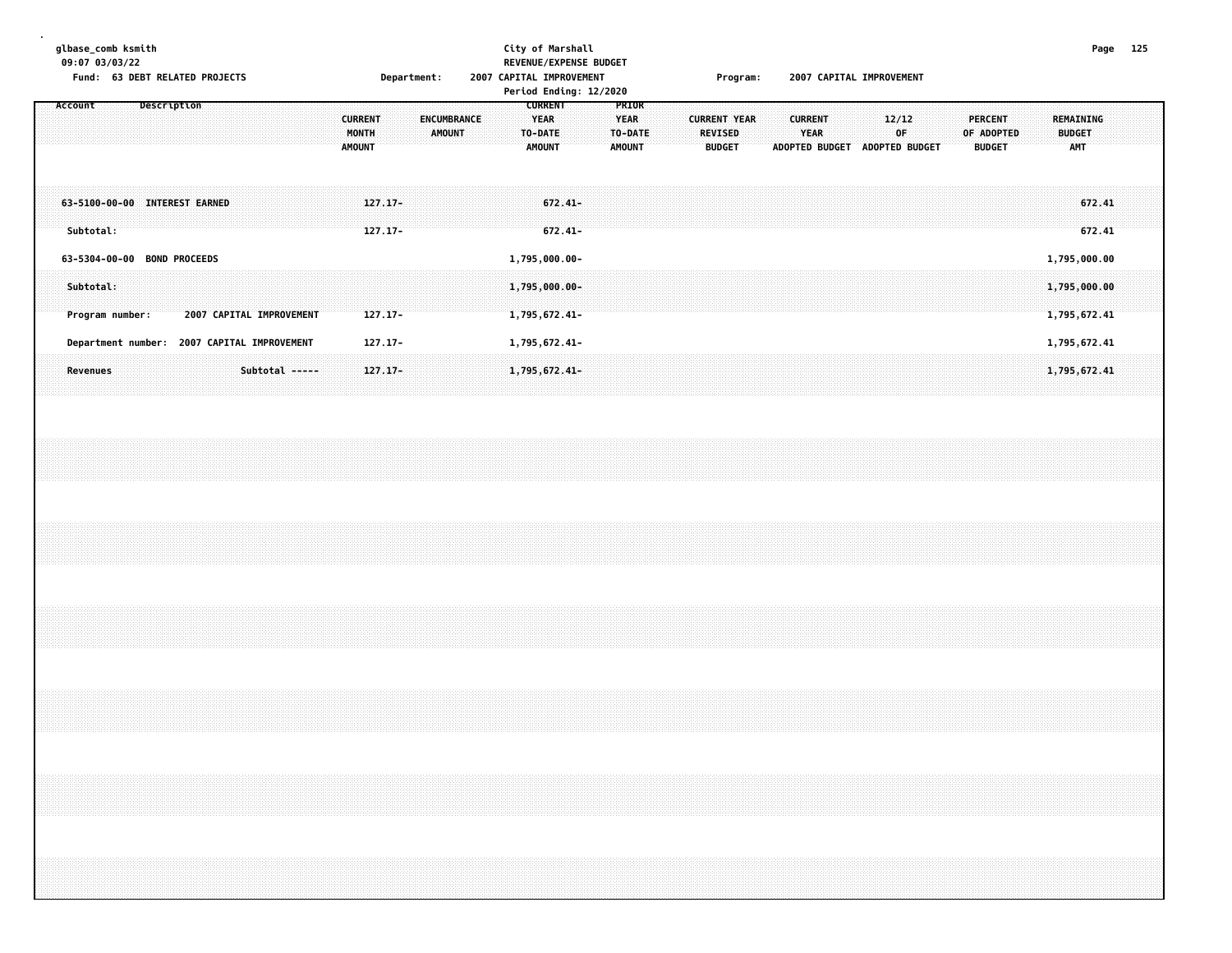| glbase_comb ksmith<br>09:07 03/03/22<br>Fund: 63 DEBT RELATED PROJECTS | Department:                                                              | City of Marshall<br>REVENUE/EXPENSE BUDGET<br>2007 CAPITAL IMPROVEMENT<br>Period Ending: 12/2020              | Program:                                               | 2007 CAPITAL IMPROVEMENT                                                         | 125<br>Page                                                                               |
|------------------------------------------------------------------------|--------------------------------------------------------------------------|---------------------------------------------------------------------------------------------------------------|--------------------------------------------------------|----------------------------------------------------------------------------------|-------------------------------------------------------------------------------------------|
| Description<br>Account                                                 | <b>ENCUMBRANCE</b><br><b>CURRENT</b><br>MONTH<br>AMOUNT<br><b>AMOUNT</b> | <b>CURRENT</b><br><b>PRIOR</b><br><b>YEAR</b><br><b>YEAR</b><br>TO-DATE<br>TO-DATE<br><b>AMOUNT</b><br>AMOUNT | <b>CURRENT YEAR</b><br><b>REVISED</b><br><b>BUDGET</b> | <b>CURRENT</b><br>12/12<br><b>YEAR</b><br>0F<br>ADOPTED BUDGET<br>ADOPTED BUDGET | PERCENT<br><b>REMAINING</b><br>OF ADOPTED<br><b>BUDGET</b><br><b>AMT</b><br><b>BUDGET</b> |
| 63-5100-00-00 INTEREST EARNED<br>Subtotal:                             | $127.17 -$<br>$127.17 -$                                                 | $672.41 -$<br>$672.41-$                                                                                       |                                                        |                                                                                  | 672.41<br>672.41                                                                          |
| 63-5304-00-00 BOND PROCEEDS                                            |                                                                          | 1,795,000.00-                                                                                                 |                                                        |                                                                                  | 1,795,000.00                                                                              |
| Subtotal:<br>2007 CAPITAL IMPROVEMENT<br>Program number:               | $127.17 -$                                                               | 1,795,000.00-<br>1,795,672.41-                                                                                |                                                        |                                                                                  | 1,795,000.00<br>1,795,672.41                                                              |
| <b>2007 CAPITAL IMPROVEMENT</b><br>Department number:                  | 127.17-                                                                  | 1,795,672.41-                                                                                                 |                                                        |                                                                                  | 1,795,672.41                                                                              |
| Subtotal -----<br><b>Revenues</b>                                      | $127.17-$                                                                | 1,795,672.41-                                                                                                 |                                                        |                                                                                  | 1,795,672.41                                                                              |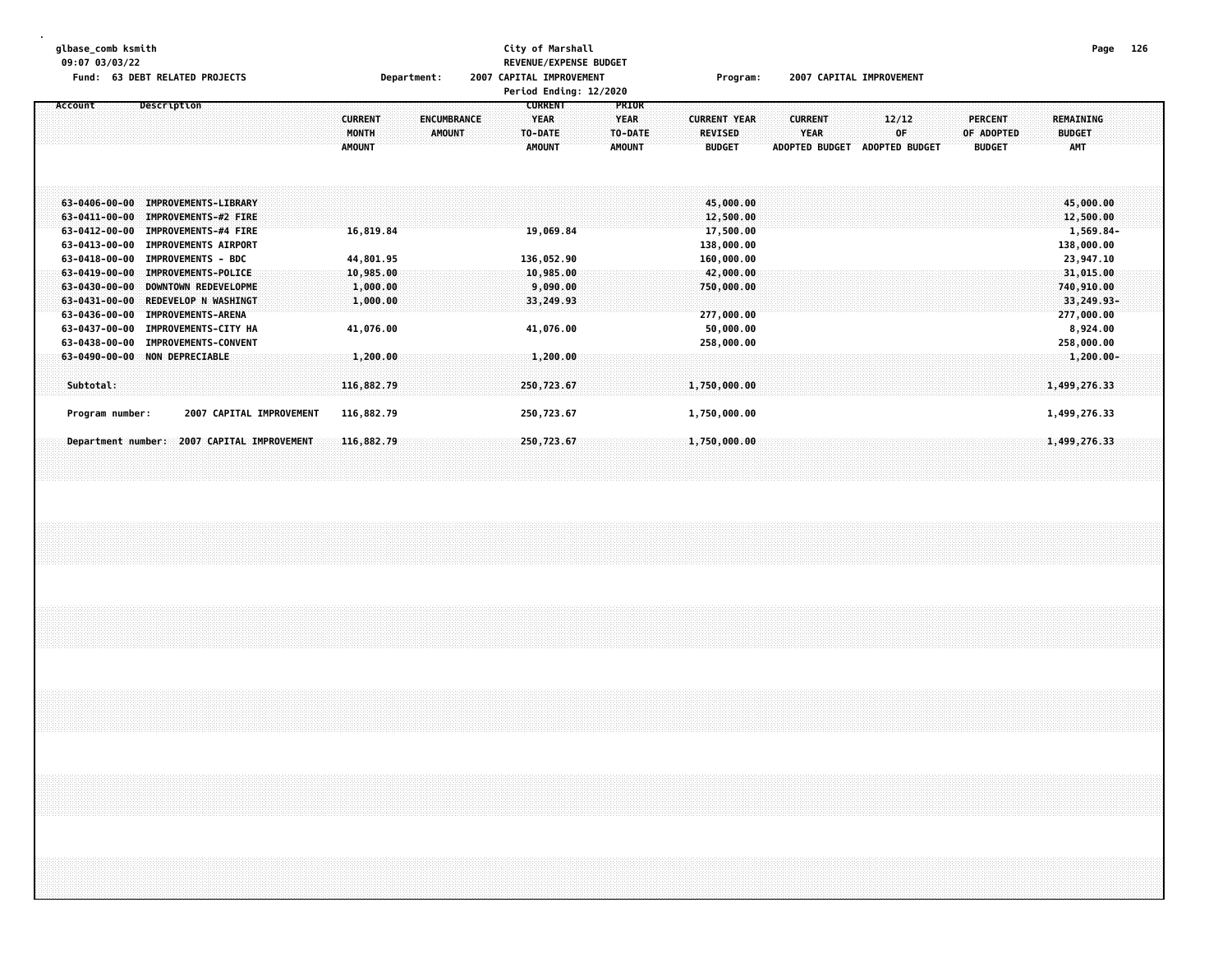| glbase comb ksmith<br>09:07 03/03/22<br>Fund: 63 DEBT RELATED PROJECTS                                                                                                                                                                                                                    | Department:                                                              | City of Marshall<br><b>REVENUE/EXPENSE BUDGET</b><br>2007 CAPITAL IMPROVEMENT<br>Period Ending: 12/2020       | Program:                                                         | 2007 CAPITAL IMPROVEMENT                                                                | 126<br>Page                                                                               |
|-------------------------------------------------------------------------------------------------------------------------------------------------------------------------------------------------------------------------------------------------------------------------------------------|--------------------------------------------------------------------------|---------------------------------------------------------------------------------------------------------------|------------------------------------------------------------------|-----------------------------------------------------------------------------------------|-------------------------------------------------------------------------------------------|
| Description<br>Account                                                                                                                                                                                                                                                                    | <b>CURRENT</b><br><b>ENCUMBRANCE</b><br>MONTH<br>AMOUNT<br><b>AMOUNT</b> | PRIOR<br><b>CURRENT</b><br><b>YEAR</b><br><b>YEAR</b><br>TO-DATE<br>TO-DATE<br><b>AMOUNT</b><br><b>AMOUNT</b> | <b>CURRENT YEAR</b><br><b>REVISED</b><br><b>BUDGET</b>           | <b>CURRENT</b><br>12/12<br>YEAR<br>OF<br><b>ADOPTED BUDGET</b><br><b>ADOPTED BUDGET</b> | PERCENT<br><b>REMAINING</b><br>OF ADOPTED<br><b>BUDGET</b><br><b>AMT</b><br><b>BUDGET</b> |
| 63-0406-00-00 IMPROVEMENTS-LIBRARY<br>$63 - 0411 - 00 - 00$<br>IMPROVEMENTS-#2 FIRE<br>63-0412-00-00<br>IMPROVEMENTS-#4 FIRE<br>63-0413-00-00<br><b>IMPROVEMENTS AIRPORT</b><br>63-0418-00-00 IMPROVEMENTS - BDC                                                                          | 16,819.84<br>44,801.95                                                   | 19,069.84<br>136,052.90                                                                                       | 45,000,00<br>12,500.00<br>17,500.00<br>138,000.00<br>160,000.00  |                                                                                         | 45,000.00<br>12,500.00<br>1,569.84-<br>138,000.00<br>23,947.10                            |
| IMPROVEMENTS-POLICE<br>$63 - 0419 - 00 - 00$<br>$63 - 0430 - 00 - 00$<br>DOWNTOWN REDEVELOPME<br><b>REDEVELOP N WASHINGT</b><br>$63 - 0431 - 00 - 00$<br>63-0436-00-00<br><b>IMPROVEMENTS-ARENA</b><br>63-0437-00-00<br><b>IMPROVEMENTS-CITY HA</b><br>63-0438-00-00 IMPROVEMENTS-CONVENT | 10,985.00<br>1,000.00<br>1,000.00<br>41,076.00                           | 10,985.00<br>9,090.00<br>33,249.93<br>41,076.00                                                               | 42,000.00<br>750,000.00<br>277,000.00<br>50,000.00<br>258,000.00 |                                                                                         | 31,015.00<br>740,910.00<br>33,249.93-<br>277,000.00<br>8,924.00<br>258,000.00             |
| 63-0490-00-00 NON DEPRECIABLE<br>Subtotal:                                                                                                                                                                                                                                                | 1,200.00<br>116,882.79                                                   | 1,200,00<br>250,723.67                                                                                        | 1,750,000.00                                                     |                                                                                         | $1,200.00 -$<br>1,499,276.33                                                              |
| 2007 CAPITAL IMPROVEMENT<br>Program number:<br>Department number: 2007 CAPITAL IMPROVEMENT                                                                                                                                                                                                | 116,882.79<br>116,882.79                                                 | 250,723.67<br>250,723.67                                                                                      | 1,750,000.00<br>1,750,000.00                                     |                                                                                         | 1,499,276.33<br>1,499,276.33                                                              |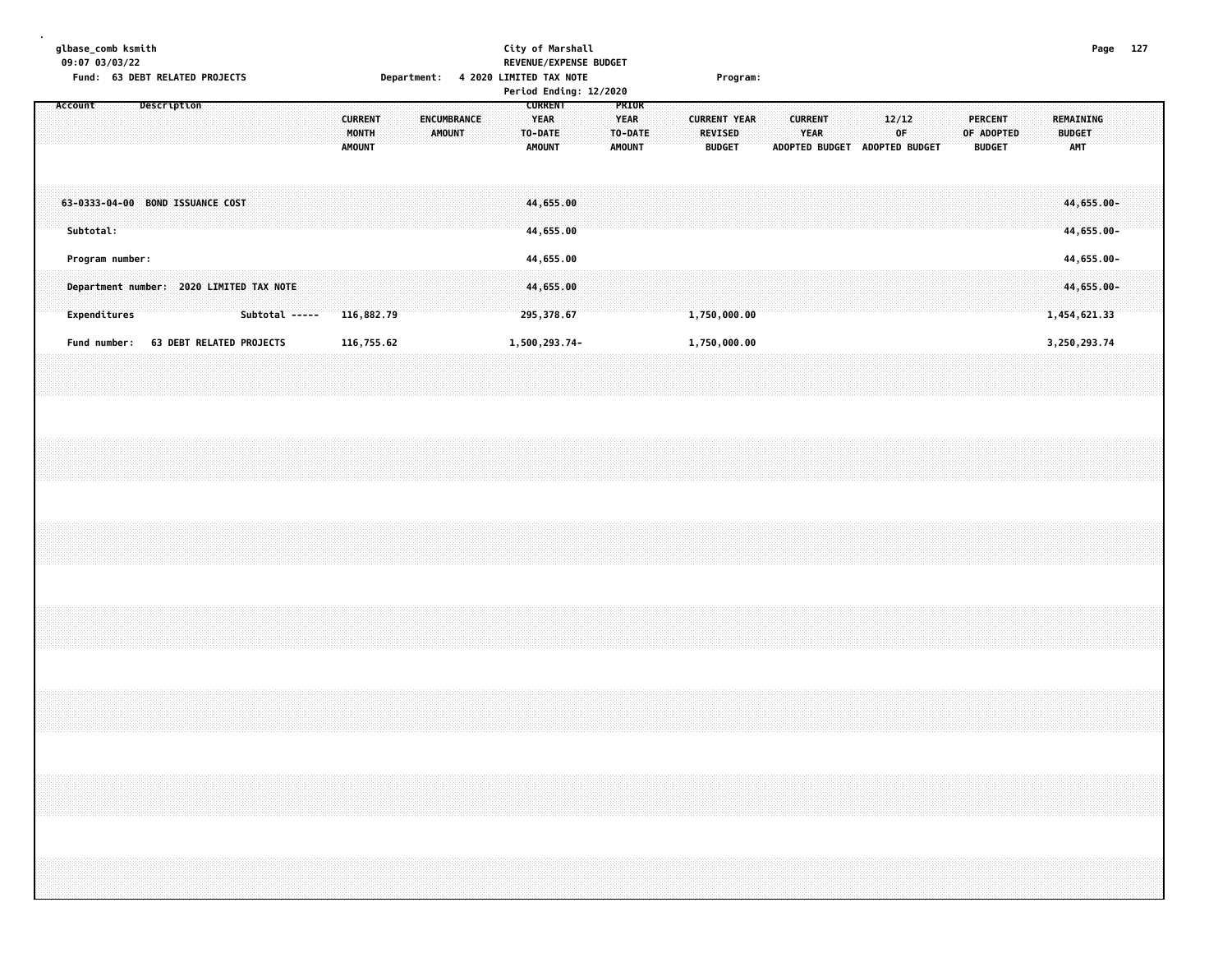## **glbase\_comb ksmith City of Marshall Page 127 09:07 03/03/22 REVENUE/EXPENSE BUDGET** Fund: 63 DEBT RELATED PROJECTS **For a state of the Separtment: 4 2020 LIMITED TAX NOTE** Program:

|                                                          |                           |  |                                 |                                          |                       |  | Period Ending: 12/2020                             |                                           |  |                                                        |  |                                                 |                |             |  |                                        |  |                                          |  |
|----------------------------------------------------------|---------------------------|--|---------------------------------|------------------------------------------|-----------------------|--|----------------------------------------------------|-------------------------------------------|--|--------------------------------------------------------|--|-------------------------------------------------|----------------|-------------|--|----------------------------------------|--|------------------------------------------|--|
| Account                                                  | Description               |  |                                 | <b>CURRENT</b><br>MONTH<br><b>AMOUNT</b> | ENCUMBRANCE<br>AMOUNT |  | <b>CURRENT</b><br>YEAR<br>TO-DATE<br><b>AMOUNT</b> | <b>PRIOR</b><br>YEAR<br>TO-DATE<br>AMOUNT |  | <b>CURRENT YEAR</b><br><b>REVISED</b><br><b>BUDGET</b> |  | <b>CURRENT</b><br>YEAR<br><b>ADOPTED BUDGET</b> | ADOPTED BUDGET | 12/12<br>0F |  | PERCENT<br>OF ADOPTED<br><b>BUDGET</b> |  | REMAINING<br><b>BUDGET</b><br><b>AMT</b> |  |
| $63 - 0333 - 04 - 00$<br>Subtotal:                       | <b>BOND ISSUANCE COST</b> |  |                                 |                                          |                       |  | 44,655.00<br>44,655.00                             |                                           |  |                                                        |  |                                                 |                |             |  |                                        |  | 44,655.00-<br>44,655.00-                 |  |
| Program number:                                          |                           |  |                                 |                                          |                       |  | 44,655.00                                          |                                           |  |                                                        |  |                                                 |                |             |  |                                        |  | 44,655.00-                               |  |
| Department number: 2020 LIMITED TAX NOTE<br>Expenditures |                           |  | Subtotal -----                  | 116,882.79                               |                       |  | 44,655.00<br>295,378.67                            |                                           |  | 1,750,000.00                                           |  |                                                 |                |             |  |                                        |  | 44,655.00-<br>1,454,621.33               |  |
| Fund number:                                             |                           |  | <b>63 DEBT RELATED PROJECTS</b> | 116,755.62                               |                       |  | 1,500,293.74-                                      |                                           |  | 1,750,000.00                                           |  |                                                 |                |             |  |                                        |  | 3,250,293.74                             |  |
|                                                          |                           |  |                                 |                                          |                       |  |                                                    |                                           |  |                                                        |  |                                                 |                |             |  |                                        |  |                                          |  |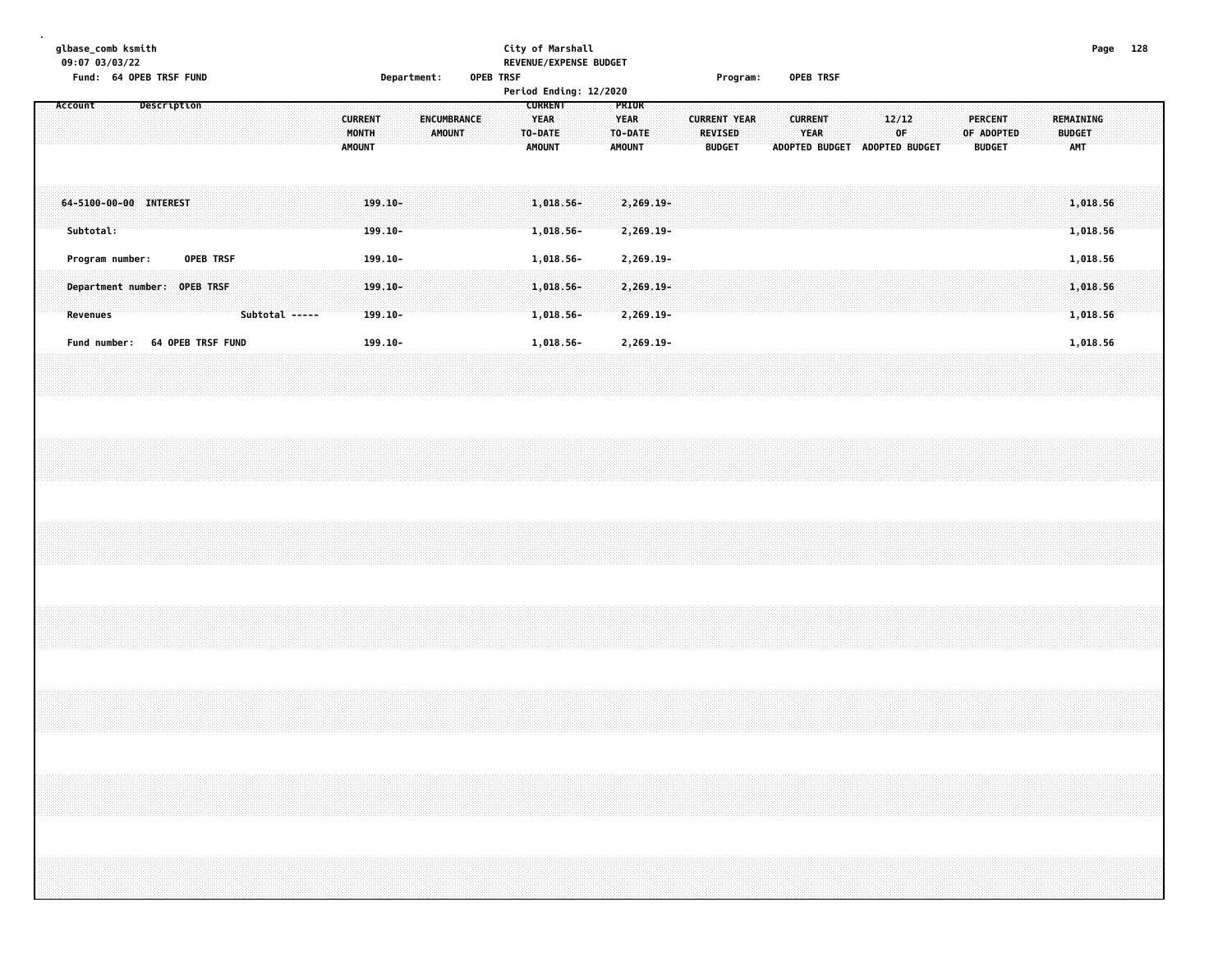|  |         |                 | 09:07 03/03/22 | glbase_comb ksmith | Fund: 64 OPEB TRSF FUND |                                           |  |                |  |                                          | Department:                            |                    |               | OPEB TRSF |                                         | City of Marshall<br>REVENUE/EXPENSE BUDGET<br>Period Ending: 12/2020 |  |                              |                                       |  |                     |                                 | Program: |  | OPEB TRSF                     |  |             |                               |  |                          |            |  |                      |                                  | Page 128 |  |
|--|---------|-----------------|----------------|--------------------|-------------------------|-------------------------------------------|--|----------------|--|------------------------------------------|----------------------------------------|--------------------|---------------|-----------|-----------------------------------------|----------------------------------------------------------------------|--|------------------------------|---------------------------------------|--|---------------------|---------------------------------|----------|--|-------------------------------|--|-------------|-------------------------------|--|--------------------------|------------|--|----------------------|----------------------------------|----------|--|
|  | Account |                 |                |                    | Description             |                                           |  |                |  | <b>CURRENT</b><br>MONTH<br><b>AMOUNT</b> |                                        | <b>ENCUMBRANCE</b> | <b>AMOUNT</b> |           | <b>YEAR</b><br>TO-DATE<br><b>AMOUNT</b> | <b>CURRENT</b>                                                       |  | <b>YEAR</b><br><b>AMOUNT</b> | PRIOR<br>TO-DATE                      |  | <b>CURRENT YEAR</b> | <b>REVISED</b><br><b>BUDGET</b> |          |  | <b>CURRENT</b><br><b>YEAR</b> |  | 12/12<br>OF | ADOPTED BUDGET ADOPTED BUDGET |  | PERCENT<br><b>BUDGET</b> | OF ADOPTED |  | <b>BUDGET</b><br>AMT | REMAINING                        |          |  |
|  |         | Subtotal:       |                |                    | 64-5100-00-00 INTEREST  |                                           |  |                |  |                                          | 199.10-<br>$199.10 -$                  |                    |               |           |                                         | 1,018.56-<br>1,018.56-                                               |  |                              | $2,269.19-$<br>2,269.19-              |  |                     |                                 |          |  |                               |  |             |                               |  |                          |            |  |                      | 1,018.56<br>1,018.56             |          |  |
|  |         | <b>Revenues</b> |                | Program number:    |                         | OPEB TRSF<br>Department number: OPEB TRSF |  | Subtotal ----- |  |                                          | $199.10 -$<br>$199.10 -$<br>$199.10 -$ |                    |               |           |                                         | 1,018.56-<br>1,018.56-<br>1,018.56-                                  |  |                              | 2,269.19-<br>2,269.19-<br>$2,269.19-$ |  |                     |                                 |          |  |                               |  |             |                               |  |                          |            |  |                      | 1,018.56<br>1,018.56<br>1,018.56 |          |  |
|  |         |                 | Fund number:   |                    |                         | 64 OPEB TRSF FUND                         |  |                |  |                                          | $199.10 -$                             |                    |               |           |                                         | 1,018.56-                                                            |  |                              | 2,269.19-                             |  |                     |                                 |          |  |                               |  |             |                               |  |                          |            |  |                      | 1,018.56                         |          |  |
|  |         |                 |                |                    |                         |                                           |  |                |  |                                          |                                        |                    |               |           |                                         |                                                                      |  |                              |                                       |  |                     |                                 |          |  |                               |  |             |                               |  |                          |            |  |                      |                                  |          |  |
|  |         |                 |                |                    |                         |                                           |  |                |  |                                          |                                        |                    |               |           |                                         |                                                                      |  |                              |                                       |  |                     |                                 |          |  |                               |  |             |                               |  |                          |            |  |                      |                                  |          |  |
|  |         |                 |                |                    |                         |                                           |  |                |  |                                          |                                        |                    |               |           |                                         |                                                                      |  |                              |                                       |  |                     |                                 |          |  |                               |  |             |                               |  |                          |            |  |                      |                                  |          |  |
|  |         |                 |                |                    |                         |                                           |  |                |  |                                          |                                        |                    |               |           |                                         |                                                                      |  |                              |                                       |  |                     |                                 |          |  |                               |  |             |                               |  |                          |            |  |                      |                                  |          |  |
|  |         |                 |                |                    |                         |                                           |  |                |  |                                          |                                        |                    |               |           |                                         |                                                                      |  |                              |                                       |  |                     |                                 |          |  |                               |  |             |                               |  |                          |            |  |                      |                                  |          |  |
|  |         |                 |                |                    |                         |                                           |  |                |  |                                          |                                        |                    |               |           |                                         |                                                                      |  |                              |                                       |  |                     |                                 |          |  |                               |  |             |                               |  |                          |            |  |                      |                                  |          |  |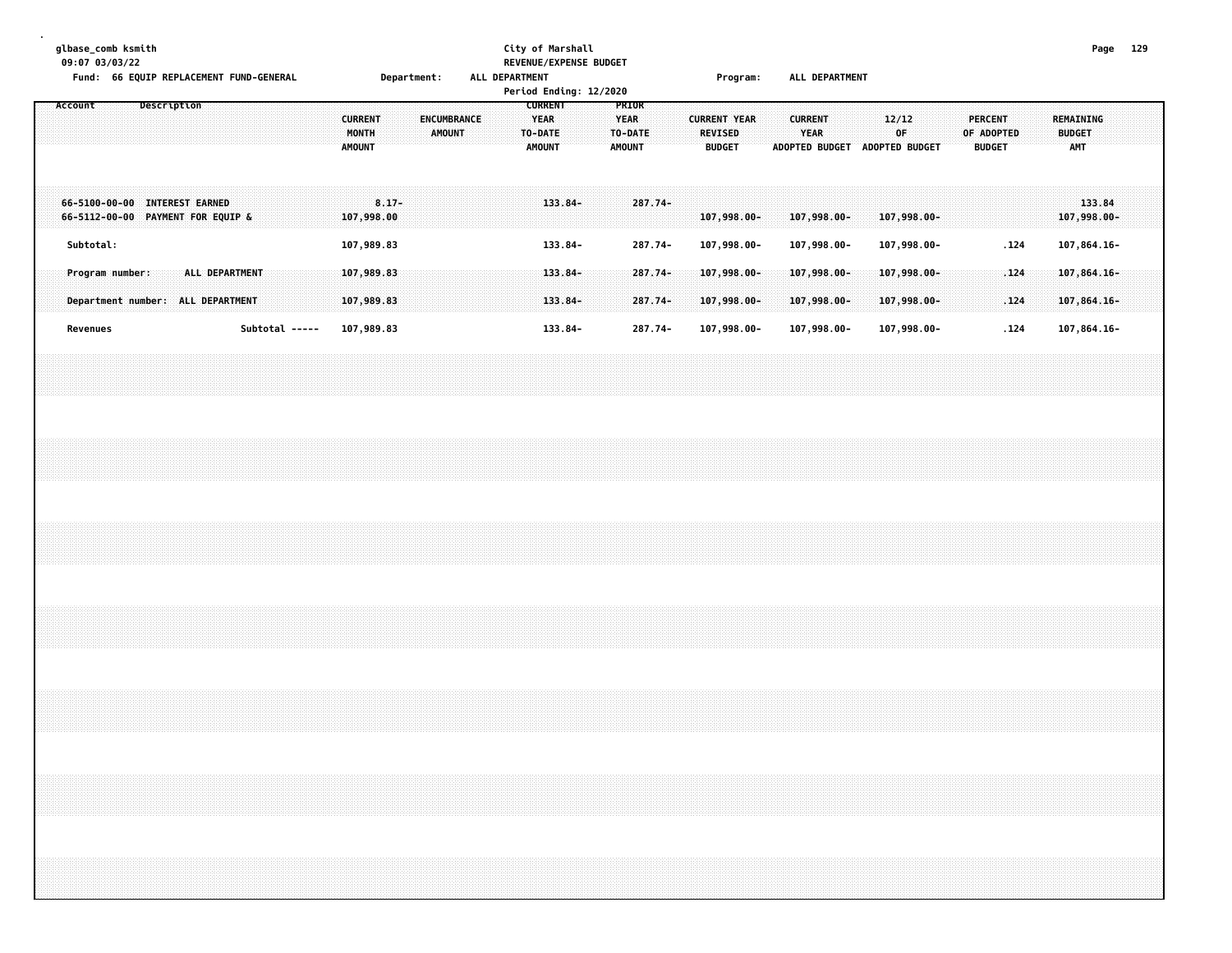| glbase_comb ksmith<br>09:07 03/03/22                               |           |                 |  |             |                                                     | Fund: 66 EQUIP REPLACEMENT FUND-GENERAL |  |  |                                          |                          | Department: |               | ALL DEPARTMENT |  | City of Marshall<br>REVENUE/EXPENSE BUDGET<br>Period Ending: 12/2020 |  |                                                  |                    |  |                                                        | Program: |  |                        |                               | ALL DEPARTMENT |                                               |  |                                 |              |  |                             |                            | Page 129 |  |
|--------------------------------------------------------------------|-----------|-----------------|--|-------------|-----------------------------------------------------|-----------------------------------------|--|--|------------------------------------------|--------------------------|-------------|---------------|----------------|--|----------------------------------------------------------------------|--|--------------------------------------------------|--------------------|--|--------------------------------------------------------|----------|--|------------------------|-------------------------------|----------------|-----------------------------------------------|--|---------------------------------|--------------|--|-----------------------------|----------------------------|----------|--|
| Account                                                            |           |                 |  | Description |                                                     |                                         |  |  | <b>CURRENT</b><br>MONTH<br><b>AMOUNT</b> |                          | ENCUMBRANCE | <b>AMOUNT</b> |                |  | <b>CURRENT</b><br><b>YEAR</b><br>TO-DATE<br><b>AMOUNT</b>            |  | PRIOR<br><b>YEAR</b><br>TO-DATE<br><b>AMOUNT</b> |                    |  | <b>CURRENT YEAR</b><br><b>REVISED</b><br><b>BUDGET</b> |          |  | <b>CURRENT</b><br>YEAR |                               |                | 12/12<br>0F.<br>ADOPTED BUDGET ADOPTED BUDGET |  | <b>PERCENT</b><br><b>BUDGET</b> | OF ADOPTED   |  | <b>BUDGET</b><br><b>AMT</b> | <b>REMAINING</b>           |          |  |
| 66-5100-00-00 INTEREST EARNED<br>66-5112-00-00 PAYMENT FOR EQUIP & |           |                 |  |             |                                                     |                                         |  |  |                                          | $8.17 -$<br>107,998.00   |             |               |                |  | $133.84 -$                                                           |  |                                                  | 287.74-            |  | 107,998.00-                                            |          |  |                        | 107,998.00-                   |                | 107,998.00-                                   |  |                                 |              |  |                             | 133.84<br>107,998.00-      |          |  |
|                                                                    | Subtotal: |                 |  |             |                                                     |                                         |  |  |                                          | 107,989.83               |             |               |                |  | 133.84-                                                              |  |                                                  | 287.74-            |  | 107,998.00-                                            |          |  |                        | 107,998.00-                   |                | 107,998.00-                                   |  |                                 | . 124        |  |                             | 107,864.16-                |          |  |
|                                                                    |           | Program number: |  |             | ALL DEPARTMENT<br>Department number: ALL DEPARTMENT |                                         |  |  |                                          | 107,989.83<br>107,989.83 |             |               |                |  | 133.84-<br>133.84-                                                   |  |                                                  | 287.74-<br>287.74- |  | 107,998.00-<br>107,998.00-                             |          |  |                        | $107,998.00 -$<br>107,998.00- |                | $107,998.00 -$<br>$107,998.00 -$              |  |                                 | .124<br>.124 |  |                             | 107,864.16-<br>107,864.16- |          |  |
|                                                                    | Revenues  |                 |  |             |                                                     | Subtotal -----                          |  |  |                                          | 107,989.83               |             |               |                |  | 133.84-                                                              |  |                                                  | 287.74-            |  | 107,998.00-                                            |          |  |                        | 107,998.00-                   |                | 107,998.00-                                   |  |                                 | .124         |  |                             | 107,864.16-                |          |  |
|                                                                    |           |                 |  |             |                                                     |                                         |  |  |                                          |                          |             |               |                |  |                                                                      |  |                                                  |                    |  |                                                        |          |  |                        |                               |                |                                               |  |                                 |              |  |                             |                            |          |  |
|                                                                    |           |                 |  |             |                                                     |                                         |  |  |                                          |                          |             |               |                |  |                                                                      |  |                                                  |                    |  |                                                        |          |  |                        |                               |                |                                               |  |                                 |              |  |                             |                            |          |  |
|                                                                    |           |                 |  |             |                                                     |                                         |  |  |                                          |                          |             |               |                |  |                                                                      |  |                                                  |                    |  |                                                        |          |  |                        |                               |                |                                               |  |                                 |              |  |                             |                            |          |  |
|                                                                    |           |                 |  |             |                                                     |                                         |  |  |                                          |                          |             |               |                |  |                                                                      |  |                                                  |                    |  |                                                        |          |  |                        |                               |                |                                               |  |                                 |              |  |                             |                            |          |  |
|                                                                    |           |                 |  |             |                                                     |                                         |  |  |                                          |                          |             |               |                |  |                                                                      |  |                                                  |                    |  |                                                        |          |  |                        |                               |                |                                               |  |                                 |              |  |                             |                            |          |  |
|                                                                    |           |                 |  |             |                                                     |                                         |  |  |                                          |                          |             |               |                |  |                                                                      |  |                                                  |                    |  |                                                        |          |  |                        |                               |                |                                               |  |                                 |              |  |                             |                            |          |  |
|                                                                    |           |                 |  |             |                                                     |                                         |  |  |                                          |                          |             |               |                |  |                                                                      |  |                                                  |                    |  |                                                        |          |  |                        |                               |                |                                               |  |                                 |              |  |                             |                            |          |  |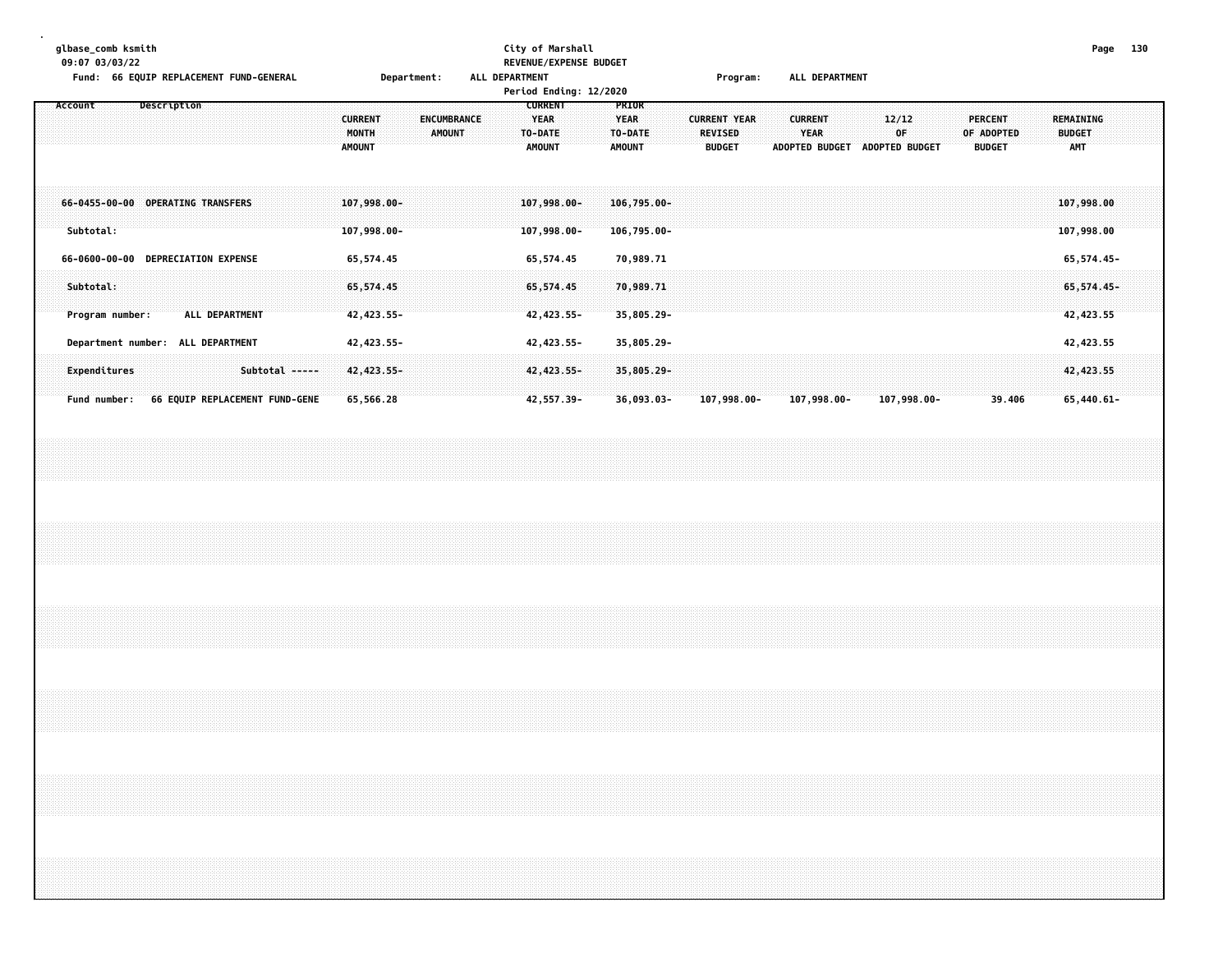| qlbase comb ksmith                      |             | City of Marshall         |          |                | Page | 130 |
|-----------------------------------------|-------------|--------------------------|----------|----------------|------|-----|
| 09:07 03/03/22                          |             | REVENUE/EXPENSE BUDGET   |          |                |      |     |
| Fund: 66 EOUIP REPLACEMENT FUND-GENERAL | Department: | DEPARTMENT<br><b>ALL</b> | Program: | ALL DEPARTMENT |      |     |
|                                         |             | Period Ending: 12/2020   |          |                |      |     |

|                                                |             |                                |                |                                          |                              | <b>Fel LOU ENGLINE: 12/2020</b>                    |                                                  |                                                        |  |                                                        |                                      |                |                             |                                          |  |
|------------------------------------------------|-------------|--------------------------------|----------------|------------------------------------------|------------------------------|----------------------------------------------------|--------------------------------------------------|--------------------------------------------------------|--|--------------------------------------------------------|--------------------------------------|----------------|-----------------------------|------------------------------------------|--|
| Account                                        | Description |                                |                | <b>CURRENT</b><br>MONTH<br><b>AMOUNT</b> | ENCUMBRANCE<br><b>AMOUNT</b> | <b>CURRENT</b><br>YEAR<br>TO-DATE<br><b>AMOUNT</b> | PRIOR<br><b>YEAR</b><br>TO-DATE<br><b>AMOUNT</b> | <b>CURRENT YEAR</b><br><b>REVISED</b><br><b>BUDGET</b> |  | <b>CURRENT</b><br><b>YEAR</b><br><b>ADOPTED BUDGET</b> | 12/12<br>0F<br><b>ADOPTED BUDGET</b> | <b>PERCENT</b> | OF ADOPTED<br><b>BUDGET</b> | REMAINING<br><b>BUDGET</b><br><b>AMT</b> |  |
| 66-0455-00-00 OPERATING TRANSFERS<br>Subtotal: |             |                                |                | 107,998.00-<br>$107,998.00 -$            |                              | $107,998.00 -$<br>$107,998.00 -$                   | 106,795.00-<br>$106,795.00 -$                    |                                                        |  |                                                        |                                      |                |                             | 107,998.00<br>107,998.00                 |  |
| 66-0600-00-00                                  |             | <b>DEPRECIATION EXPENSE</b>    |                | 65,574.45                                |                              | 65,574.45                                          | 70,989.71                                        |                                                        |  |                                                        |                                      |                |                             | 65,574.45-                               |  |
| Subtotal:<br>Program number:                   |             | ALL DEPARTMENT                 |                | 65,574.45<br>42, 423.55-                 |                              | 65,574.45<br>42, 423.55-                           | 70,989.71<br>35,805.29-                          |                                                        |  |                                                        |                                      |                |                             | $65,574.45-$<br>42, 423.55               |  |
| Department number:                             |             | ALL DEPARTMENT                 |                | 42,423.55-                               |                              | 42,423.55-                                         | 35,805.29-                                       |                                                        |  |                                                        |                                      |                |                             | 42,423.55                                |  |
| Expenditures                                   |             |                                | Subtotal ----- | 42,423.55-                               |                              | 42, 423.55-                                        | 35,805.29-                                       |                                                        |  |                                                        |                                      |                |                             | 42,423.55                                |  |
| Fund number:                                   |             | 66 EQUIP REPLACEMENT FUND-GENE |                | 65,566.28                                |                              | 42,557.39-                                         | $36,093.03 -$                                    | 107,998.00-                                            |  | $107,998.00 -$                                         | 107,998.00-                          |                | 39.406                      | $65,440.61 -$                            |  |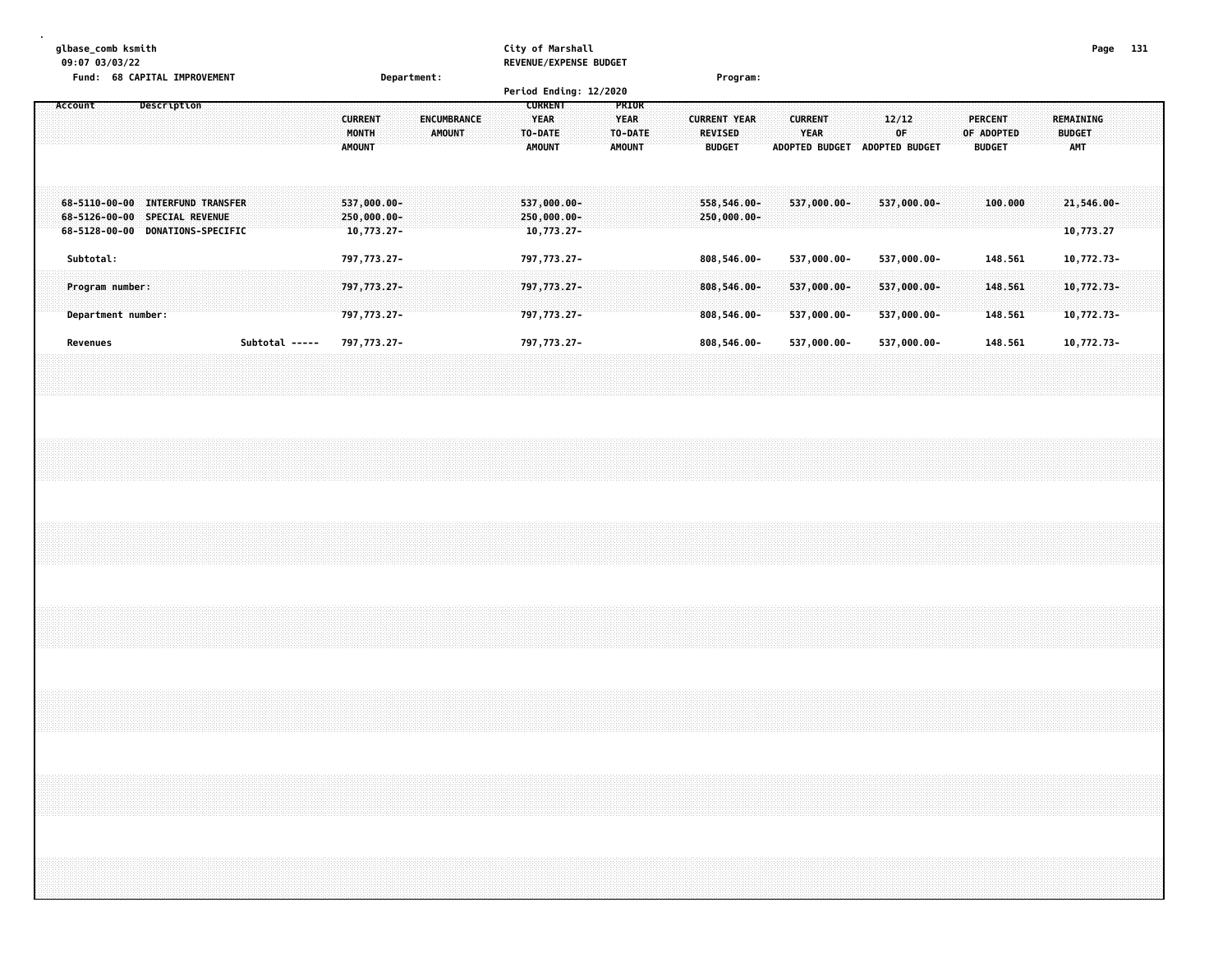|  |         | 09:07 03/03/22 | glbase_comb ksmith |                                                                                                       |  |                |  |  |                                             |  |             |                    |               |  | City of Marshall                                          |  | REVENUE/EXPENSE BUDGET |                              |                  |  |                     |                                 |                            |                               |                        |                |  |             |                |  |                                 |            |  |                             |                         | Page 131 |  |
|--|---------|----------------|--------------------|-------------------------------------------------------------------------------------------------------|--|----------------|--|--|---------------------------------------------|--|-------------|--------------------|---------------|--|-----------------------------------------------------------|--|------------------------|------------------------------|------------------|--|---------------------|---------------------------------|----------------------------|-------------------------------|------------------------|----------------|--|-------------|----------------|--|---------------------------------|------------|--|-----------------------------|-------------------------|----------|--|
|  |         |                |                    | Fund: 68 CAPITAL IMPROVEMENT                                                                          |  |                |  |  |                                             |  | Department: |                    |               |  |                                                           |  | Period Ending: 12/2020 |                              |                  |  |                     |                                 | Program:                   |                               |                        |                |  |             |                |  |                                 |            |  |                             |                         |          |  |
|  | Account |                |                    | Description                                                                                           |  |                |  |  | <b>CURRENT</b><br>MONTH<br><b>AMOUNT</b>    |  |             | <b>ENCUMBRANCE</b> | <b>AMOUNT</b> |  | <b>CURRENT</b><br><b>YEAR</b><br>TO-DATE<br><b>AMOUNT</b> |  |                        | <b>YEAR</b><br><b>AMOUNT</b> | PRIOR<br>TO-DATE |  | <b>CURRENT YEAR</b> | <b>REVISED</b><br><b>BUDGET</b> |                            | ADOPTED BUDGET ADOPTED BUDGET | <b>CURRENT</b><br>YEAR |                |  | 12/12<br>OF |                |  | <b>PERCENT</b><br><b>BUDGET</b> | OF ADOPTED |  | <b>BUDGET</b><br><b>AMT</b> | <b>REMAINING</b>        |          |  |
|  |         |                |                    | 68-5110-00-00 INTERFUND TRANSFER<br>68-5126-00-00 SPECIAL REVENUE<br>68-5128-00-00 DONATIONS-SPECIFIC |  |                |  |  | 537,000.00-<br>250,000.00-<br>$10,773.27 -$ |  |             |                    |               |  | 537,000.00-<br>250,000.00-<br>$10,773.27-$                |  |                        |                              |                  |  |                     |                                 | 558,546.00-<br>250,000.00- |                               |                        | $537,000.00 -$ |  |             | $537,000.00 -$ |  |                                 | 100.000    |  |                             | 21,546.00-<br>10,773.27 |          |  |
|  |         | Subtotal:      |                    |                                                                                                       |  |                |  |  | 797,773.27-                                 |  |             |                    |               |  | 797,773.27-                                               |  |                        |                              |                  |  |                     |                                 | 808,546.00-                |                               |                        | 537,000.00-    |  |             | 537,000.00-    |  |                                 | 148.561    |  |                             | 10,772.73-              |          |  |
|  |         |                | Program number:    |                                                                                                       |  |                |  |  | 797,773.27-                                 |  |             |                    |               |  | 797, 773. 27-                                             |  |                        |                              |                  |  |                     |                                 | 808,546.00-                |                               |                        | $537,000.00 -$ |  |             | 537,000.00-    |  |                                 | 148.561    |  |                             | 10,772.73-              |          |  |
|  |         |                | Department number: |                                                                                                       |  |                |  |  | 797,773.27-                                 |  |             |                    |               |  | 797,773.27-                                               |  |                        |                              |                  |  |                     |                                 | 808,546.00-                |                               |                        | 537,000.00-    |  |             | 537,000.00-    |  |                                 | 148.561    |  |                             | 10,772.73-              |          |  |
|  |         | Revenues       |                    |                                                                                                       |  | Subtotal ----- |  |  | 797,773.27-                                 |  |             |                    |               |  | 797,773.27-                                               |  |                        |                              |                  |  |                     |                                 | 808,546.00-                |                               |                        | 537,000.00-    |  |             | 537,000.00-    |  |                                 | 148.561    |  |                             | 10,772.73-              |          |  |
|  |         |                |                    |                                                                                                       |  |                |  |  |                                             |  |             |                    |               |  |                                                           |  |                        |                              |                  |  |                     |                                 |                            |                               |                        |                |  |             |                |  |                                 |            |  |                             |                         |          |  |
|  |         |                |                    |                                                                                                       |  |                |  |  |                                             |  |             |                    |               |  |                                                           |  |                        |                              |                  |  |                     |                                 |                            |                               |                        |                |  |             |                |  |                                 |            |  |                             |                         |          |  |
|  |         |                |                    |                                                                                                       |  |                |  |  |                                             |  |             |                    |               |  |                                                           |  |                        |                              |                  |  |                     |                                 |                            |                               |                        |                |  |             |                |  |                                 |            |  |                             |                         |          |  |
|  |         |                |                    |                                                                                                       |  |                |  |  |                                             |  |             |                    |               |  |                                                           |  |                        |                              |                  |  |                     |                                 |                            |                               |                        |                |  |             |                |  |                                 |            |  |                             |                         |          |  |
|  |         |                |                    |                                                                                                       |  |                |  |  |                                             |  |             |                    |               |  |                                                           |  |                        |                              |                  |  |                     |                                 |                            |                               |                        |                |  |             |                |  |                                 |            |  |                             |                         |          |  |
|  |         |                |                    |                                                                                                       |  |                |  |  |                                             |  |             |                    |               |  |                                                           |  |                        |                              |                  |  |                     |                                 |                            |                               |                        |                |  |             |                |  |                                 |            |  |                             |                         |          |  |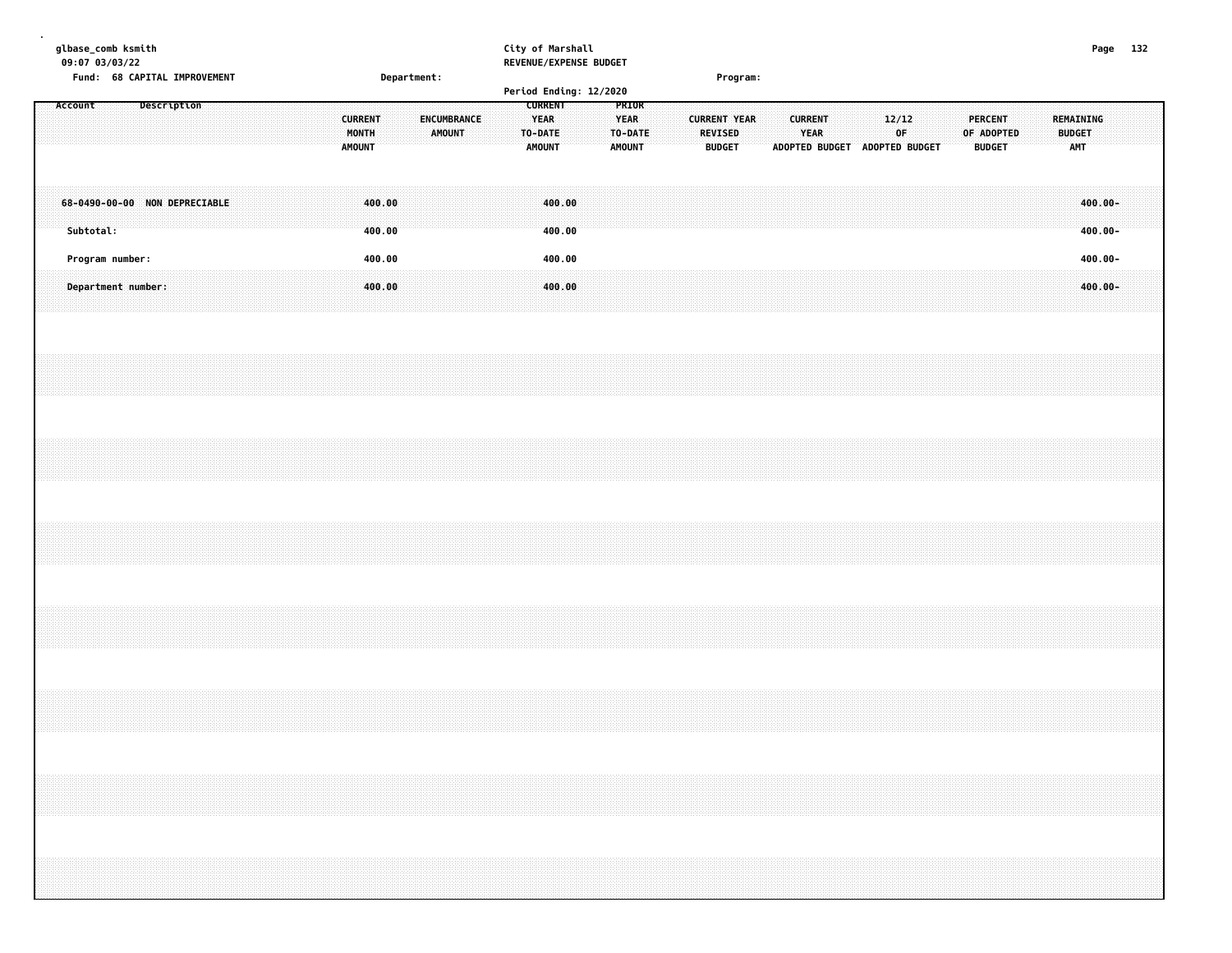| glbase_comb ksmith |           | 09:07 03/03/22<br>Fund: 68 CAPITAL IMPROVEMENT |             |  |  |  |  |                                          |                  |  | Department: |                              |  |                                                           | City of Marshall<br>REVENUE/EXPENSE BUDGET |  |                              |                  |  |                          |                     |  |                        |  |                                              |  |                                 |            |  |                                   | Page 132                                                                                                                                                             |  |
|--------------------|-----------|------------------------------------------------|-------------|--|--|--|--|------------------------------------------|------------------|--|-------------|------------------------------|--|-----------------------------------------------------------|--------------------------------------------|--|------------------------------|------------------|--|--------------------------|---------------------|--|------------------------|--|----------------------------------------------|--|---------------------------------|------------|--|-----------------------------------|----------------------------------------------------------------------------------------------------------------------------------------------------------------------|--|
|                    |           |                                                |             |  |  |  |  |                                          |                  |  |             |                              |  |                                                           | Period Ending: 12/2020                     |  |                              |                  |  |                          | Program:            |  |                        |  |                                              |  |                                 |            |  |                                   |                                                                                                                                                                      |  |
| Account            |           |                                                | Description |  |  |  |  | <b>CURRENT</b><br>MONTH<br><b>AMOUNT</b> |                  |  |             | <b>ENCUMBRANCE</b><br>AMOUNT |  | <b>CURRENT</b><br><b>YEAR</b><br>TO-DATE<br><b>AMOUNT</b> |                                            |  | <b>YEAR</b><br><b>AMOUNT</b> | PRIOR<br>TO-DATE |  | REVISED<br><b>BUDGET</b> | <b>CURRENT YEAR</b> |  | <b>CURRENT</b><br>YEAR |  | 12/12<br>0F<br>ADOPTED BUDGET ADOPTED BUDGET |  | <b>PERCENT</b><br><b>BUDGET</b> | OF ADOPTED |  | REMAINING<br><b>BUDGET</b><br>AMT |                                                                                                                                                                      |  |
|                    | Subtotal: | 68-0490-00-00 NON DEPRECIABLE                  |             |  |  |  |  |                                          | 400.00<br>400.00 |  |             |                              |  |                                                           | 400.00<br>400.00                           |  |                              |                  |  |                          |                     |  |                        |  |                                              |  |                                 |            |  |                                   | $400.00 -$<br>$400.00 -$                                                                                                                                             |  |
|                    |           | Program number:<br>Department number:          |             |  |  |  |  |                                          | 400.00<br>400.00 |  |             |                              |  |                                                           | 400.00<br>400.00                           |  |                              |                  |  |                          |                     |  |                        |  |                                              |  |                                 |            |  |                                   | $400.00 -$<br>$400.00 -$                                                                                                                                             |  |
|                    |           |                                                |             |  |  |  |  |                                          |                  |  |             |                              |  |                                                           |                                            |  |                              |                  |  |                          |                     |  |                        |  |                                              |  |                                 |            |  |                                   |                                                                                                                                                                      |  |
|                    |           |                                                |             |  |  |  |  |                                          |                  |  |             |                              |  |                                                           |                                            |  |                              |                  |  |                          |                     |  |                        |  |                                              |  |                                 |            |  |                                   |                                                                                                                                                                      |  |
|                    |           |                                                |             |  |  |  |  |                                          |                  |  |             |                              |  |                                                           |                                            |  |                              |                  |  |                          |                     |  |                        |  |                                              |  |                                 |            |  |                                   |                                                                                                                                                                      |  |
|                    |           |                                                |             |  |  |  |  |                                          |                  |  |             |                              |  |                                                           |                                            |  |                              |                  |  |                          |                     |  |                        |  |                                              |  |                                 |            |  |                                   |                                                                                                                                                                      |  |
|                    |           |                                                |             |  |  |  |  |                                          |                  |  |             |                              |  |                                                           |                                            |  |                              |                  |  |                          |                     |  |                        |  |                                              |  |                                 |            |  |                                   |                                                                                                                                                                      |  |
|                    |           |                                                |             |  |  |  |  |                                          |                  |  |             |                              |  |                                                           |                                            |  |                              |                  |  |                          |                     |  |                        |  |                                              |  |                                 |            |  |                                   | ,我们就会在这里的时候,我们就会在这里的时候,我们就会在这里的时候,我们就会在这里的时候,我们就会在这里的时候,我们就会在这里的时候,我们就会在这里的时候,我们<br>第2015章 我们的时候,我们就会在这里的时候,我们的时候,我们就会在这里的时候,我们就会在这里的时候,我们就会在这里的时候,我们就会在这里的时候,我们就会在这 |  |
|                    |           |                                                |             |  |  |  |  |                                          |                  |  |             |                              |  |                                                           |                                            |  |                              |                  |  |                          |                     |  |                        |  |                                              |  |                                 |            |  |                                   |                                                                                                                                                                      |  |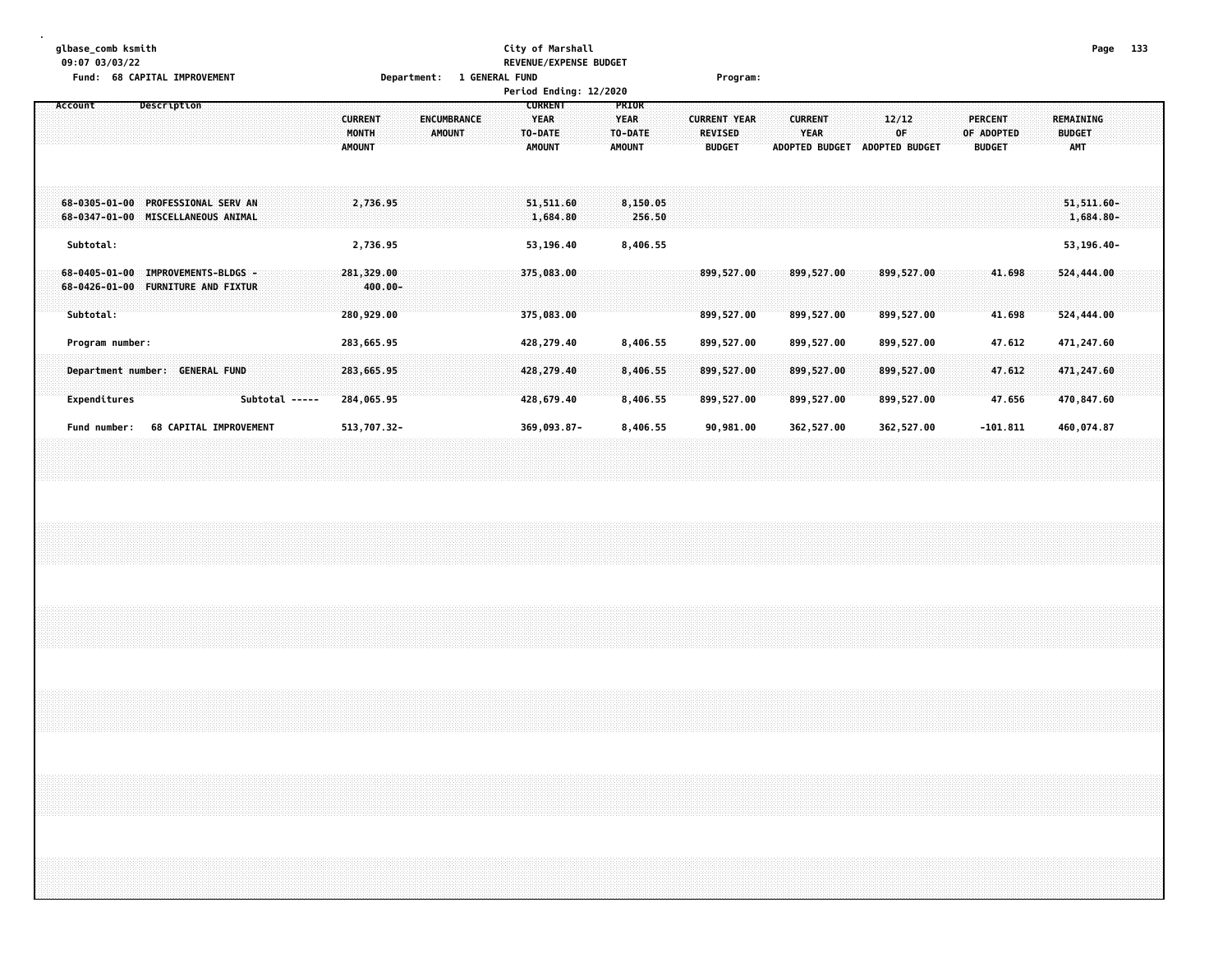## **glbase\_comb ksmith City of Marshall Page 133 09:07 03/03/22 REVENUE/EXPENSE BUDGET**

| Fund:<br><b>68 CAPITAL IMPROVEMENT</b>                                                     | Department:<br><b>1 GENERAL FUND</b>                                     |                                                           |                                                         | Program:                                               |                                                        |                                      |                                               |                                          |
|--------------------------------------------------------------------------------------------|--------------------------------------------------------------------------|-----------------------------------------------------------|---------------------------------------------------------|--------------------------------------------------------|--------------------------------------------------------|--------------------------------------|-----------------------------------------------|------------------------------------------|
|                                                                                            |                                                                          | Period Ending: 12/2020                                    |                                                         |                                                        |                                                        |                                      |                                               |                                          |
| Description<br>Account                                                                     | <b>CURRENT</b><br>ENCUMBRANCE<br>MONTH<br><b>AMOUNT</b><br><b>AMOUNT</b> | <b>CURRENT</b><br><b>YEAR</b><br>TO-DATE<br><b>AMOUNT</b> | <b>PRIOR</b><br><b>YEAR</b><br>TO-DATE<br><b>AMOUNT</b> | <b>CURRENT YEAR</b><br><b>REVISED</b><br><b>BUDGET</b> | <b>CURRENT</b><br><b>YEAR</b><br><b>ADOPTED BUDGET</b> | 12/12<br>0F<br><b>ADOPTED BUDGET</b> | <b>PERCENT</b><br>OF ADOPTED<br><b>BUDGET</b> | REMAINING<br><b>BUDGET</b><br><b>AMT</b> |
| $68 - 0305 - 01 - 00$<br><b>PROFESSIONAL SERV AN</b><br>68-0347-01-00 MISCELLANEOUS ANIMAL | 2,736.95                                                                 | 51,511.60<br>1,684.80                                     | 8,150.05<br>256.50                                      |                                                        |                                                        |                                      |                                               | 51,511.60-<br>1,684.80-                  |
| Subtotal:                                                                                  | 2,736.95                                                                 | 53,196.40                                                 | 8,406.55                                                |                                                        |                                                        |                                      |                                               | 53,196.40-                               |
| IMPROVEMENTS-BLDGS -<br>$68 - 0405 - 01 - 00$<br>68-0426-01-00 FURNITURE AND FIXTUR        | 281,329.00<br>$400.00 -$                                                 | 375,083.00                                                |                                                         | 899,527.00                                             | 899,527.00                                             | 899,527.00                           | 41.698                                        | 524,444.00                               |
| Subtotal:                                                                                  | 280,929.00                                                               | 375,083.00                                                |                                                         | 899,527.00                                             | 899,527.00                                             | 899,527.00                           | 41.698                                        | 524,444.00                               |
| Program number:                                                                            | 283,665.95                                                               | 428,279.40                                                | 8,406.55                                                | 899,527.00                                             | 899,527.00                                             | 899,527.00                           | 47.612                                        | 471,247.60                               |
| <b>GENERAL FUND</b><br>Department number:                                                  | 283,665.95                                                               | 428,279.40                                                | 8,406.55                                                | 899,527.00                                             | 899,527.00                                             | 899,527.00                           | 47.612                                        | 471,247.60                               |
| <b>Expenditures</b><br>Subtotal -----                                                      | 284,065.95                                                               | 428,679.40                                                | 8,406.55                                                | 899,527.00                                             | 899,527.00                                             | 899,527.00                           | 47.656                                        | 470,847.60                               |
| <b>68 CAPITAL IMPROVEMENT</b><br>Fund number:                                              | 513,707.32-                                                              | 369,093.87-                                               | 8,406.55                                                | 90,981.00                                              | 362,527.00                                             | 362,527.00                           | $-101.811$                                    | 460,074.87                               |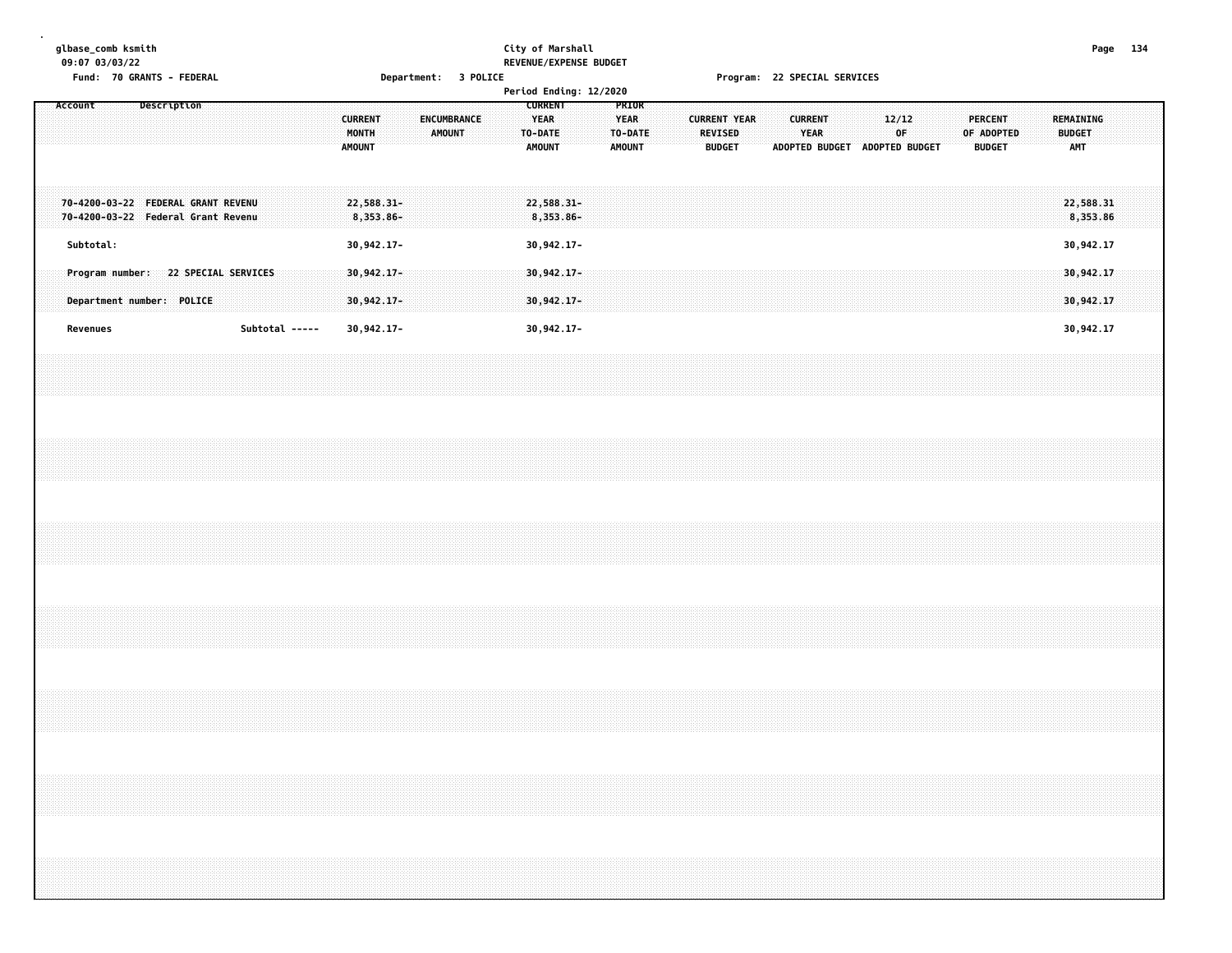## **glbase\_comb ksmith City of Marshall Page 134 09:07 03/03/22 REVENUE/EXPENSE BUDGET**

|                                                                          |           | Fund: 70 GRANTS - FEDERAL |  |                                     |                |  |        |                                          | Department: 3 POLICE |                              |  |  |                                                    | Period Ending: 12/2020                |                              |                  |  |                                                        | Program: 22 SPECIAL SERVICES |                        |                               |       |    |  |         |                             |  |                      |                                    |  |  |
|--------------------------------------------------------------------------|-----------|---------------------------|--|-------------------------------------|----------------|--|--------|------------------------------------------|----------------------|------------------------------|--|--|----------------------------------------------------|---------------------------------------|------------------------------|------------------|--|--------------------------------------------------------|------------------------------|------------------------|-------------------------------|-------|----|--|---------|-----------------------------|--|----------------------|------------------------------------|--|--|
| Account                                                                  |           | Description               |  |                                     |                |  | AMOUNT | <b>CURRENT</b><br>MONTH                  |                      | <b>ENCUMBRANCE</b><br>AMOUNT |  |  | <b>CURRENT</b><br><b>YEAR</b><br>TO-DATE<br>AMOUNT |                                       | <b>YEAR</b><br><b>AMOUNT</b> | PRIOR<br>TO-DATE |  | <b>CURRENT YEAR</b><br><b>REVISED</b><br><b>BUDGET</b> |                              | <b>CURRENT</b><br>YEAR | ADOPTED BUDGET ADOPTED BUDGET | 12/12 | OF |  | PERCENT | OF ADOPTED<br><b>BUDGET</b> |  | <b>BUDGET</b><br>AMT | REMAINING                          |  |  |
| 70-4200-03-22 FEDERAL GRANT REVENU<br>70-4200-03-22 Federal Grant Revenu | Subtotal: |                           |  |                                     |                |  |        | 22,588.31-<br>$8,353.86 -$<br>30,942.17- |                      |                              |  |  |                                                    | 22,588.31-<br>8,353.86-<br>30,942.17- |                              |                  |  |                                                        |                              |                        |                               |       |    |  |         |                             |  |                      | 22,588.31<br>8,353.86<br>30,942.17 |  |  |
|                                                                          |           | Department number: POLICE |  | Program number: 22 SPECIAL SERVICES |                |  |        | 30,942.17-<br>30,942.17-                 |                      |                              |  |  |                                                    | 30,942.17-<br>30,942.17-              |                              |                  |  |                                                        |                              |                        |                               |       |    |  |         |                             |  |                      | 30,942,17<br>30,942.17             |  |  |
|                                                                          | Revenues  |                           |  |                                     | Subtotal ----- |  |        | 30,942.17-                               |                      |                              |  |  |                                                    | 30,942.17-                            |                              |                  |  |                                                        |                              |                        |                               |       |    |  |         |                             |  |                      | 30,942.17                          |  |  |
|                                                                          |           |                           |  |                                     |                |  |        |                                          |                      |                              |  |  |                                                    |                                       |                              |                  |  |                                                        |                              |                        |                               |       |    |  |         |                             |  |                      |                                    |  |  |
|                                                                          |           |                           |  |                                     |                |  |        |                                          |                      |                              |  |  |                                                    |                                       |                              |                  |  |                                                        |                              |                        |                               |       |    |  |         |                             |  |                      |                                    |  |  |
|                                                                          |           |                           |  |                                     |                |  |        |                                          |                      |                              |  |  |                                                    |                                       |                              |                  |  |                                                        |                              |                        |                               |       |    |  |         |                             |  |                      |                                    |  |  |
|                                                                          |           |                           |  |                                     |                |  |        |                                          |                      |                              |  |  |                                                    |                                       |                              |                  |  |                                                        |                              |                        |                               |       |    |  |         |                             |  |                      |                                    |  |  |
|                                                                          |           |                           |  |                                     |                |  |        |                                          |                      |                              |  |  |                                                    |                                       |                              |                  |  |                                                        |                              |                        |                               |       |    |  |         |                             |  |                      |                                    |  |  |
|                                                                          |           |                           |  |                                     |                |  |        |                                          |                      |                              |  |  |                                                    |                                       |                              |                  |  |                                                        |                              |                        |                               |       |    |  |         |                             |  |                      |                                    |  |  |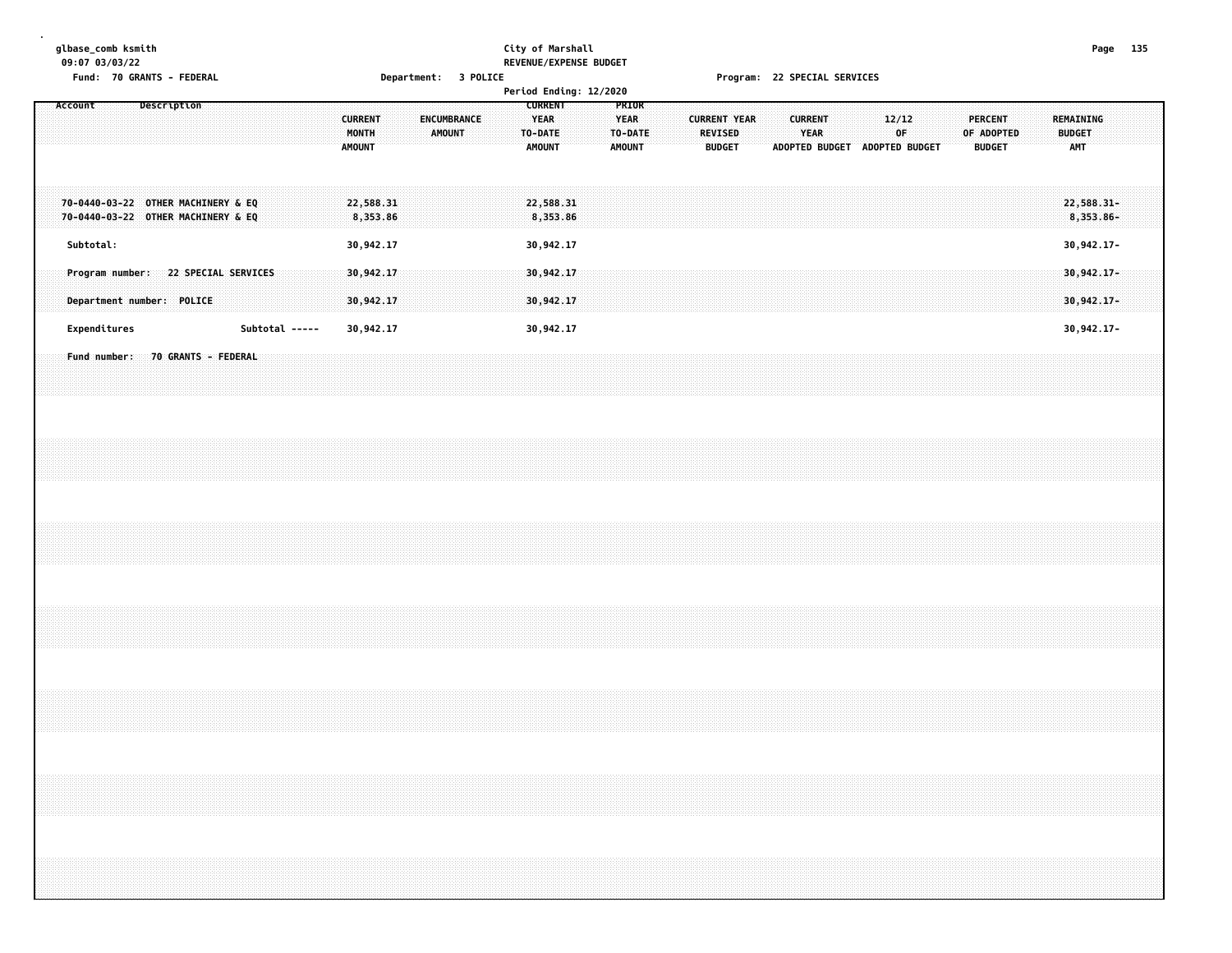## **glbase\_comb ksmith City of Marshall Page 135 09:07 03/03/22 REVENUE/EXPENSE BUDGET**

|                                                                          | Fund: 70 GRANTS - FEDERAL                                        |                |                                          | Department: 3 POLICE         |                                                           | Period Ending: 12/2020                           | Program: 22 SPECIAL SERVICES                                                            |                                                                                        |                                          |
|--------------------------------------------------------------------------|------------------------------------------------------------------|----------------|------------------------------------------|------------------------------|-----------------------------------------------------------|--------------------------------------------------|-----------------------------------------------------------------------------------------|----------------------------------------------------------------------------------------|------------------------------------------|
| Account                                                                  | Description                                                      |                | <b>CURRENT</b><br>MONTH<br><b>AMOUNT</b> | ENCUMBRANCE<br><b>AMOUNT</b> | <b>CURRENT</b><br><b>YEAR</b><br>TO-DATE<br><b>AMOUNT</b> | PRIOR<br><b>YEAR</b><br>TO-DATE<br><b>AMOUNT</b> | <b>CURRENT</b><br><b>CURRENT YEAR</b><br><b>REVISED</b><br><b>YEAR</b><br><b>BUDGET</b> | 12/12<br>PERCENT<br>0F<br>OF ADOPTED<br>ADOPTED BUDGET ADOPTED BUDGET<br><b>BUDGET</b> | <b>REMAINING</b><br><b>BUDGET</b><br>AMT |
| 70-0440-03-22 OTHER MACHINERY & EQ<br>70-0440-03-22 OTHER MACHINERY & EQ |                                                                  |                | 22,588.31<br>8,353.86                    |                              | 22,588.31<br>8,353.86                                     |                                                  |                                                                                         |                                                                                        | 22,588.31-<br>8,353.86-                  |
| Subtotal:                                                                |                                                                  |                | 30,942.17                                |                              | 30,942.17                                                 |                                                  |                                                                                         |                                                                                        | 30,942.17-                               |
|                                                                          | Program number: 22 SPECIAL SERVICES<br>Department number: POLICE |                | 30,942.17<br>30,942.17                   |                              | 30,942.17<br>30,942.17                                    |                                                  |                                                                                         |                                                                                        | $30,942.17-$<br>30,942.17-               |
| Expenditures                                                             |                                                                  | Subtotal ----- | 30,942.17                                |                              | 30,942.17                                                 |                                                  |                                                                                         |                                                                                        | 30,942.17-                               |
|                                                                          | Fund number: 70 GRANTS - FEDERAL                                 |                |                                          |                              |                                                           |                                                  |                                                                                         |                                                                                        |                                          |
|                                                                          |                                                                  |                |                                          |                              |                                                           |                                                  |                                                                                         |                                                                                        |                                          |
|                                                                          |                                                                  |                |                                          |                              |                                                           |                                                  |                                                                                         |                                                                                        |                                          |
|                                                                          |                                                                  |                |                                          |                              |                                                           |                                                  |                                                                                         |                                                                                        |                                          |
|                                                                          |                                                                  |                |                                          |                              |                                                           |                                                  |                                                                                         |                                                                                        |                                          |
|                                                                          |                                                                  |                |                                          |                              |                                                           |                                                  |                                                                                         |                                                                                        |                                          |
|                                                                          |                                                                  |                |                                          |                              |                                                           |                                                  |                                                                                         |                                                                                        |                                          |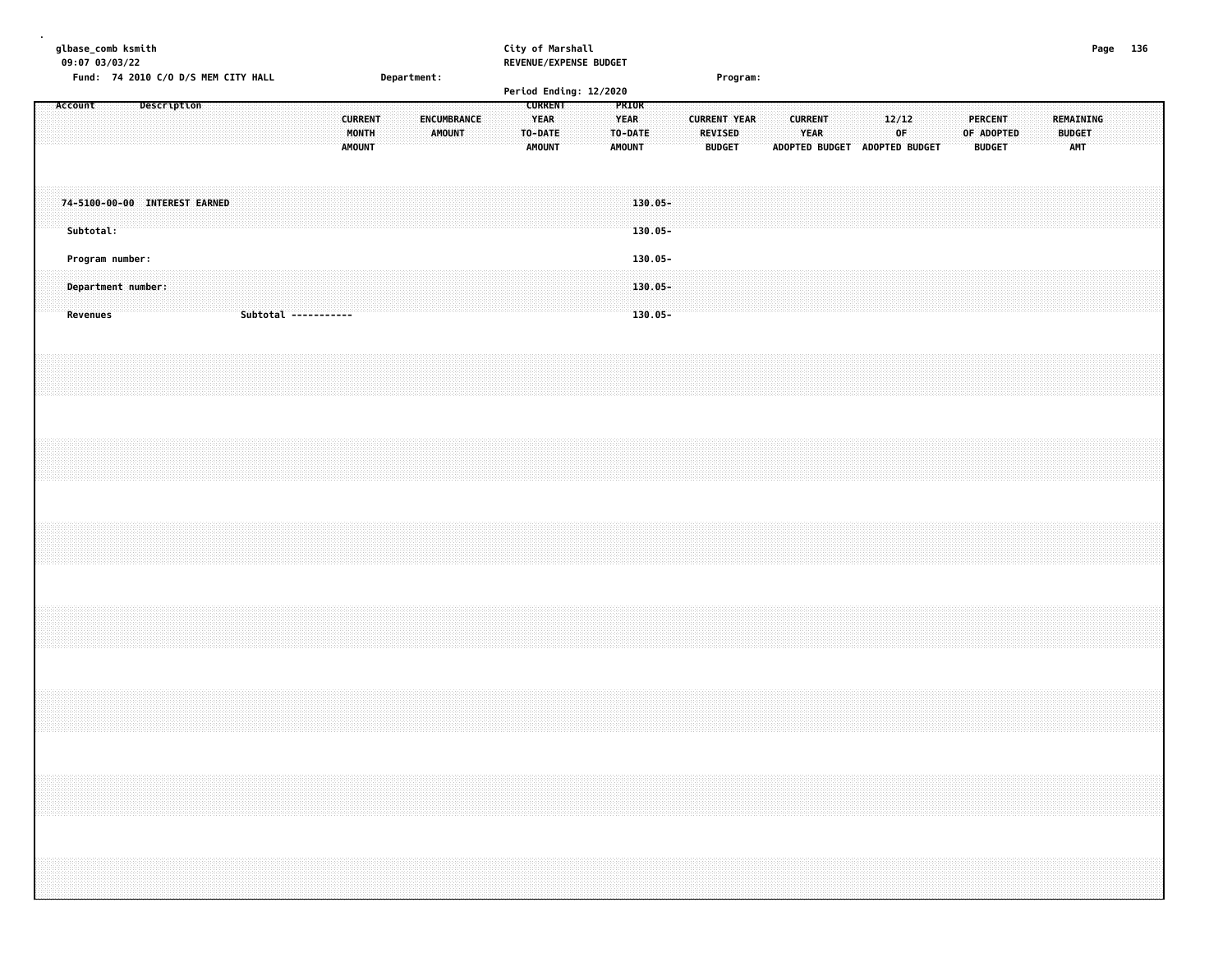|  | glbase_comb ksmith<br>09:07 03/03/22                     |  |  |                               |  |                                     |  |  |                                          |             |               |             |  |                                         | City of Marshall<br>REVENUE/EXPENSE BUDGET |                       |                                        |  |                                                        |  |                               |                        |  |             |  |                                               |  |               |                                | Page 136 |  |
|--|----------------------------------------------------------|--|--|-------------------------------|--|-------------------------------------|--|--|------------------------------------------|-------------|---------------|-------------|--|-----------------------------------------|--------------------------------------------|-----------------------|----------------------------------------|--|--------------------------------------------------------|--|-------------------------------|------------------------|--|-------------|--|-----------------------------------------------|--|---------------|--------------------------------|----------|--|
|  | Account                                                  |  |  |                               |  | Fund: 74 2010 C/O D/S MEM CITY HALL |  |  |                                          | Department: |               |             |  | <b>CURRENT</b>                          | Period Ending: 12/2020                     | PRIOR                 |                                        |  | Program:                                               |  |                               |                        |  |             |  |                                               |  |               |                                |          |  |
|  |                                                          |  |  | Description                   |  |                                     |  |  | <b>CURRENT</b><br>MONTH<br><b>AMOUNT</b> |             | <b>AMOUNT</b> | ENCUMBRANCE |  | <b>YEAR</b><br>TO-DATE<br><b>AMOUNT</b> |                                            | YEAR<br><b>AMOUNT</b> | TO-DATE                                |  | <b>CURRENT YEAR</b><br><b>REVISED</b><br><b>BUDGET</b> |  | ADOPTED BUDGET ADOPTED BUDGET | <b>CURRENT</b><br>YEAR |  | 12/12<br>0F |  | <b>PERCENT</b><br>OF ADOPTED<br><b>BUDGET</b> |  | <b>BUDGET</b> | <b>REMAINING</b><br><b>AMT</b> |          |  |
|  | Subtotal:                                                |  |  | 74-5100-00-00 INTEREST EARNED |  |                                     |  |  |                                          |             |               |             |  |                                         |                                            |                       | $130.05 -$<br>$130.05 -$               |  |                                                        |  |                               |                        |  |             |  |                                               |  |               |                                |          |  |
|  | Program number:<br>Department number:<br><b>Revenues</b> |  |  |                               |  | Subtotal -----------                |  |  |                                          |             |               |             |  |                                         |                                            |                       | $130.05 -$<br>$130.05 -$<br>$130.05 -$ |  |                                                        |  |                               |                        |  |             |  |                                               |  |               |                                |          |  |
|  |                                                          |  |  |                               |  |                                     |  |  |                                          |             |               |             |  |                                         |                                            |                       |                                        |  |                                                        |  |                               |                        |  |             |  |                                               |  |               |                                |          |  |
|  |                                                          |  |  |                               |  |                                     |  |  |                                          |             |               |             |  |                                         |                                            |                       |                                        |  |                                                        |  |                               |                        |  |             |  |                                               |  |               |                                |          |  |
|  |                                                          |  |  |                               |  |                                     |  |  |                                          |             |               |             |  |                                         |                                            |                       |                                        |  |                                                        |  |                               |                        |  |             |  |                                               |  |               |                                |          |  |
|  |                                                          |  |  |                               |  |                                     |  |  |                                          |             |               |             |  |                                         |                                            |                       |                                        |  |                                                        |  |                               |                        |  |             |  |                                               |  |               |                                |          |  |
|  |                                                          |  |  |                               |  |                                     |  |  |                                          |             |               |             |  |                                         |                                            |                       |                                        |  |                                                        |  |                               |                        |  |             |  |                                               |  |               |                                |          |  |
|  |                                                          |  |  |                               |  |                                     |  |  |                                          |             |               |             |  |                                         |                                            |                       |                                        |  |                                                        |  |                               |                        |  |             |  |                                               |  |               |                                |          |  |
|  |                                                          |  |  |                               |  |                                     |  |  |                                          |             |               |             |  |                                         |                                            |                       |                                        |  |                                                        |  |                               |                        |  |             |  |                                               |  |               |                                |          |  |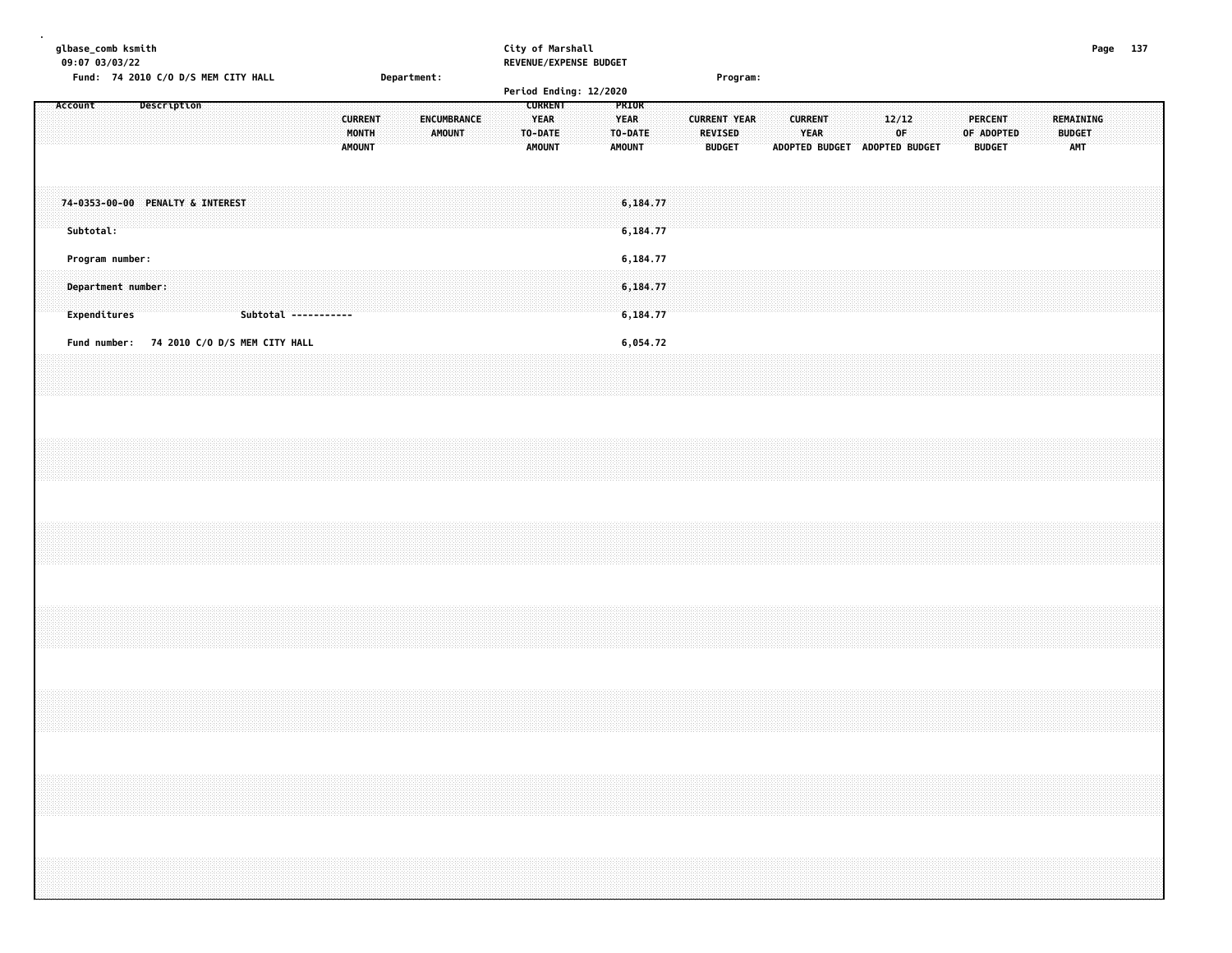| glbase_comb ksmith<br>09:07 03/03/22<br>Fund: 74 2010 C/O D/S MEM CITY HALL<br>Department:         | City of Marshall<br>REVENUE/EXPENSE BUDGET<br>Program:                                                                                                                                                                                                                                                                                                                   | Page 137 |
|----------------------------------------------------------------------------------------------------|--------------------------------------------------------------------------------------------------------------------------------------------------------------------------------------------------------------------------------------------------------------------------------------------------------------------------------------------------------------------------|----------|
| Description<br>Account<br><b>CURRENT</b><br>ENCUMBRANCE<br>MONTH<br><b>AMOUNT</b><br><b>AMOUNT</b> | Period Ending: 12/2020<br><b>CURRENT</b><br>PRIOR<br><b>YEAR</b><br>12/12<br><b>YEAR</b><br><b>CURRENT YEAR</b><br><b>CURRENT</b><br><b>PERCENT</b><br>REMAINING<br><b>REVISED</b><br>OF<br>OF ADOPTED<br><b>BUDGET</b><br>TO-DATE<br>TO-DATE<br><b>YEAR</b><br>AMOUNT<br><b>AMOUNT</b><br><b>AMT</b><br><b>BUDGET</b><br>ADOPTED BUDGET ADOPTED BUDGET<br><b>BUDGET</b> |          |
| 74-0353-00-00 PENALTY & INTEREST<br>Subtotal:                                                      | 6,184.77<br>6,184.77                                                                                                                                                                                                                                                                                                                                                     |          |
| Program number:<br>Department number:<br>Expenditures<br>Subtotal -----------                      | 6,184.77<br>6,184.77<br>6,184.77                                                                                                                                                                                                                                                                                                                                         |          |
| Fund number: 74 2010 C/O D/S MEM CITY HALL                                                         | 6,054.72                                                                                                                                                                                                                                                                                                                                                                 |          |
|                                                                                                    |                                                                                                                                                                                                                                                                                                                                                                          |          |
|                                                                                                    |                                                                                                                                                                                                                                                                                                                                                                          |          |
|                                                                                                    |                                                                                                                                                                                                                                                                                                                                                                          |          |
|                                                                                                    |                                                                                                                                                                                                                                                                                                                                                                          |          |
|                                                                                                    |                                                                                                                                                                                                                                                                                                                                                                          |          |
|                                                                                                    | ,我们就会在这里,我们就会在这里,我们就会在这里,我们就会在这里,我们就会在这里,我们就会在这里,我们就会在这里,我们就会在这里,我们就会在这里,我们就会在这里<br>第一章 一个人的话,我们就会在这里,我们就会在这里,我们就会在这里,我们就会在这里,我们就会在这里,我们就会在这里,我们就会在这里,我们就会在这里,我们就会在这                                                                                                                                                                                                     |          |
|                                                                                                    |                                                                                                                                                                                                                                                                                                                                                                          |          |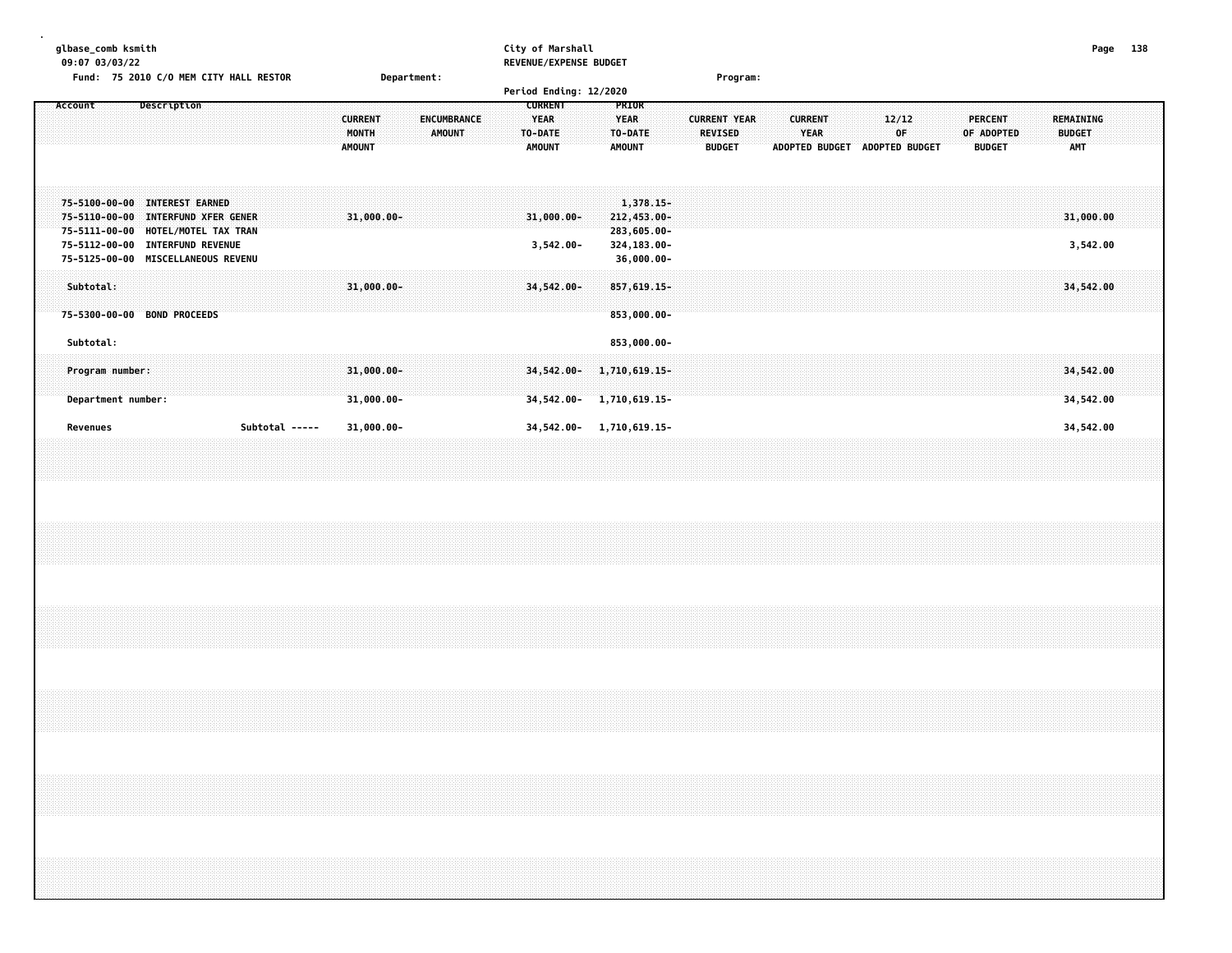| glbase_comb ksmith<br>09:07 03/03/22 | Fund: 75 2010 C/O MEM CITY HALL RESTOR |  |  |                                               |                         | Department: |             |               |   | City of Marshall<br>REVENUE/EXPENSE BUDGET |             |             |  | Program:            |                       |                                            |                         |  |  |            | Page | -138 |
|--------------------------------------|----------------------------------------|--|--|-----------------------------------------------|-------------------------|-------------|-------------|---------------|---|--------------------------------------------|-------------|-------------|--|---------------------|-----------------------|--------------------------------------------|-------------------------|--|--|------------|------|------|
|                                      |                                        |  |  |                                               |                         |             |             |               |   | Period Ending: 12/2020                     |             |             |  |                     |                       |                                            |                         |  |  |            |      |      |
|                                      |                                        |  |  | AMOUNT AMOUNT AMOUNT AMOUNT AND AMOUNT AMOUNT | <b>CURRENT</b><br>MONTH |             | ENCUMBRANCE | <b>AMOUNT</b> | . | <b>YEAR</b>                                | .<br>.<br>. | <b>YEAR</b> |  | <b>CURRENT YEAR</b> | <b>ADOPTED BUDGET</b> | <b>CURRENT COMMUNISTIES</b><br><b>YEAR</b> | 12/12<br>ADOPTED BUDGET |  |  | BUDGET AMT |      |      |

| 75-5100-00-00 INTEREST EARNED<br>75-5110-00-00 INTERFUND XFER GENER<br>75-5111-00-00<br>HOTEL/MOTEL TAX TRAN<br>75-5112-00-00 INTERFUND REVENUE<br>75-5125-00-00 MISCELLANEOUS REVENU |                | $31,000.00 -$                                   | $31,000.00 -$<br>$3,542.00 -$ | $1,378.15-$<br>212,453.00-<br>283,605.00-<br>324,183.00-<br>36,000.00-  | 31,000.00<br>3,542.00               |
|---------------------------------------------------------------------------------------------------------------------------------------------------------------------------------------|----------------|-------------------------------------------------|-------------------------------|-------------------------------------------------------------------------|-------------------------------------|
| Subtotal:<br>75-5300-00-00 BOND PROCEEDS<br>Subtotal:                                                                                                                                 |                | $31,000.00 -$                                   | 34,542.00-                    | $857,619.15-$<br>$853,000.00 -$<br>853,000.00-                          | 34,542.00                           |
| Program number:<br>Department number:<br>Revenues                                                                                                                                     | Subtotal ----- | $31,000.00 -$<br>$31,000.00 -$<br>$31,000.00 -$ | 34,542.00-                    | 34,542.00-1,710,619.15-<br>1,710,619.15-<br>34, 542.00- 1, 710, 619.15- | 34,542.00<br>34,542.00<br>34,542.00 |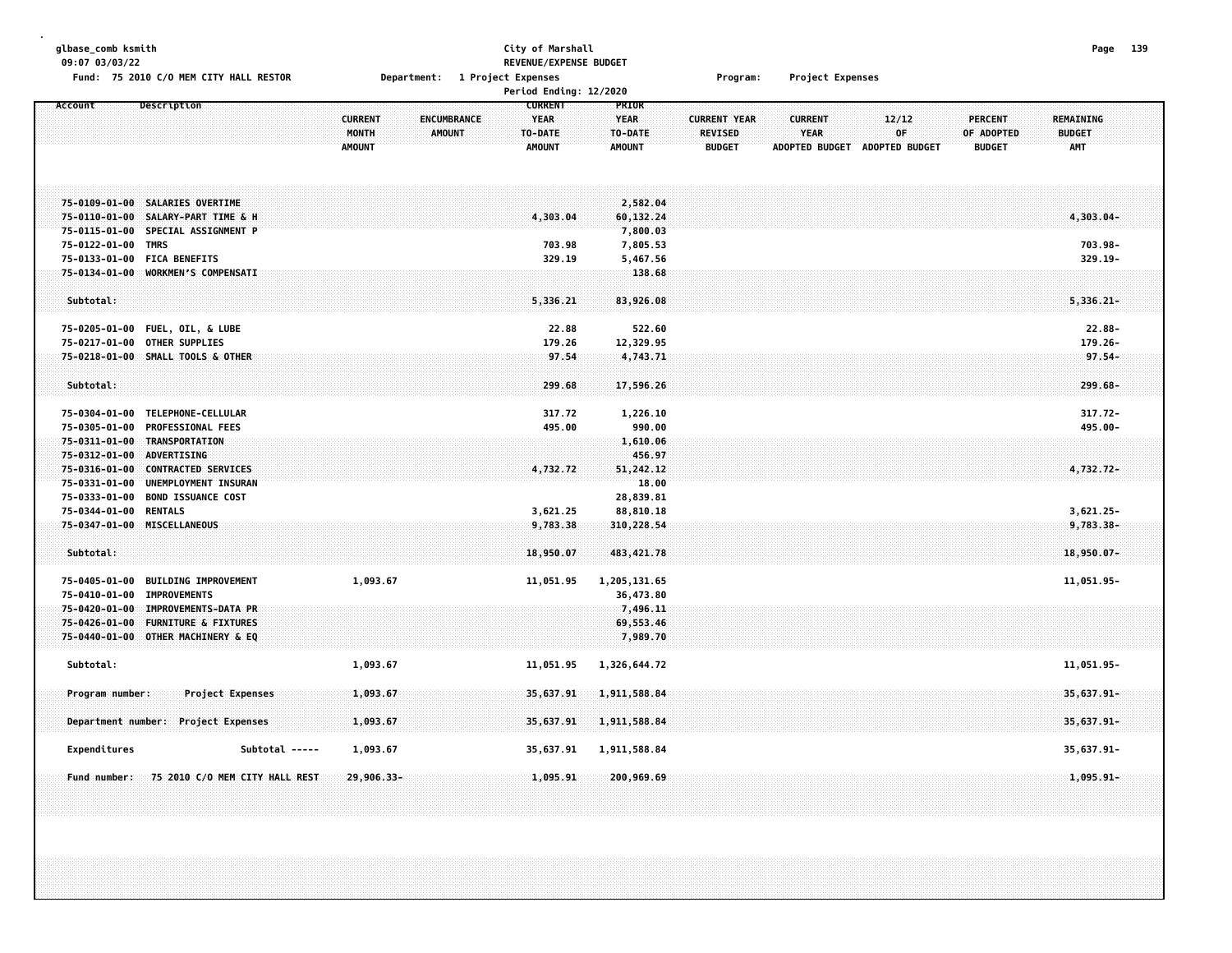| glbase_comb ksmith                                              |                                | City of Marshall       |                    |                                 |                               |                         | Page<br>139      |
|-----------------------------------------------------------------|--------------------------------|------------------------|--------------------|---------------------------------|-------------------------------|-------------------------|------------------|
| 09:07 03/03/22                                                  |                                | REVENUE/EXPENSE BUDGET |                    |                                 |                               |                         |                  |
| Fund: 75 2010 C/O MEM CITY HALL RESTOR                          | Department: 1 Project Expenses |                        |                    | Program:                        | Project Expenses              |                         |                  |
|                                                                 |                                | Period Ending: 12/2020 |                    |                                 |                               |                         |                  |
| Description<br>Account                                          |                                | <b>CURRENT</b>         | PRIOR              |                                 |                               |                         |                  |
|                                                                 | <b>CURRENT</b><br>ENCUMBRANCE  | YEAR                   | YEAR               | <b>CURRENT YEAR</b>             | <b>CURRENT</b>                | 12/12<br><b>PERCENT</b> | <b>REMAINING</b> |
|                                                                 | MONTH<br><b>AMOUNT</b>         | TO-DATE                | TO-DATE            | <b>REVISED</b><br><b>BUDGET</b> | YEAR                          | 0F<br>OF ADOPTED        | <b>BUDGET</b>    |
|                                                                 | <b>AMOUNT</b>                  | <b>AMOUNT</b>          | <b>AMOUNT</b>      |                                 | ADOPTED BUDGET ADOPTED BUDGET | <b>BUDGET</b>           | <b>AMT</b>       |
|                                                                 |                                |                        |                    |                                 |                               |                         |                  |
|                                                                 |                                |                        |                    |                                 |                               |                         |                  |
| 75-0109-01-00 SALARIES OVERTIME                                 |                                |                        | 2,582.04           |                                 |                               |                         |                  |
| 75-0110-01-00<br>SALARY-PART TIME & H                           |                                | 4,303.04               | 60,132.24          |                                 |                               |                         | 4,303.04-        |
| 75-0115-01-00 SPECIAL ASSIGNMENT P                              |                                |                        | 7,800.03           |                                 |                               |                         |                  |
| 75-0122-01-00 TMRS                                              |                                | 703.98                 | 7,805.53           |                                 |                               |                         | 703.98-          |
| 75-0133-01-00 FICA BENEFITS                                     |                                | 329.19                 | 5,467.56           |                                 |                               |                         | $329.19 -$       |
| WORKMEN'S COMPENSATI<br>75-0134-01-00                           |                                |                        | 138.68             |                                 |                               |                         |                  |
|                                                                 |                                |                        |                    |                                 |                               |                         |                  |
| Subtotal:                                                       |                                | 5,336.21               | 83,926.08          |                                 |                               |                         | $5,336.21 -$     |
|                                                                 |                                |                        |                    |                                 |                               |                         |                  |
| 75-0205-01-00 FUEL, OIL, & LUBE                                 |                                | 22.88                  | 522.60             |                                 |                               |                         | $22.88 -$        |
| 75-0217-01-00 OTHER SUPPLIES                                    |                                | 179.26                 | 12,329.95          |                                 |                               |                         | $179.26 -$       |
| 75-0218-01-00 SMALL TOOLS & OTHER                               |                                | 97.54                  | 4,743.71           |                                 |                               |                         | $97.54 -$        |
|                                                                 |                                |                        |                    |                                 |                               |                         |                  |
| Subtotal:                                                       |                                | 299.68                 | 17,596.26          |                                 |                               |                         | 299.68-          |
|                                                                 |                                |                        |                    |                                 |                               |                         |                  |
| 75-0304-01-00 TELEPHONE-CELLULAR                                |                                | 317.72                 | 1,226.10           |                                 |                               |                         | $317.72 -$       |
| 75-0305-01-00 PROFESSIONAL FEES<br>75-0311-01-00 TRANSPORTATION |                                | 495.00                 | 990.00<br>1,610.06 |                                 |                               |                         | 495.00-          |
| 75-0312-01-00 ADVERTISING                                       |                                |                        | 456.97             |                                 |                               |                         |                  |
| 75-0316-01-00 CONTRACTED SERVICES                               |                                | 4,732.72               | 51,242.12          |                                 |                               |                         | 4,732.72-        |
| 75-0331-01-00<br>UNEMPLOYMENT INSURAN                           |                                |                        | 18.00              |                                 |                               |                         |                  |
| 75-0333-01-00 BOND ISSUANCE COST                                |                                |                        | 28,839.81          |                                 |                               |                         |                  |
| 75-0344-01-00 RENTALS                                           |                                | 3,621.25               | 88,810.18          |                                 |                               |                         | $3,621.25 -$     |
| 75-0347-01-00 MISCELLANEOUS                                     |                                | 9,783.38               | 310,228.54         |                                 |                               |                         | $9,783.38 -$     |
|                                                                 |                                |                        |                    |                                 |                               |                         |                  |
| Subtotal:                                                       |                                | 18,950.07              | 483, 421, 78       |                                 |                               |                         | 18,950.07-       |
|                                                                 |                                |                        |                    |                                 |                               |                         |                  |
| 75-0405-01-00<br><b>BUILDING IMPROVEMENT</b>                    | 1,093.67                       | 11,051.95              | 1,205,131.65       |                                 |                               |                         | 11,051.95-       |
| 75-0410-01-00<br><b>IMPROVEMENTS</b>                            |                                |                        | 36,473.80          |                                 |                               |                         |                  |
| 75-0420-01-00 IMPROVEMENTS-DATA PR                              |                                |                        | 7,496.11           |                                 |                               |                         |                  |
| 75-0426-01-00<br><b>FURNITURE &amp; FIXTURES</b>                |                                |                        | 69,553.46          |                                 |                               |                         |                  |
| 75-0440-01-00 OTHER MACHINERY & EQ                              |                                |                        | 7,989.70           |                                 |                               |                         |                  |
|                                                                 |                                |                        |                    |                                 |                               |                         |                  |
| Subtotal:                                                       | 1,093.67                       | 11,051.95              | 1,326,644.72       |                                 |                               |                         | 11,051.95-       |
| Program number:<br><b>Project Expenses</b>                      | 1,093.67                       | 35,637.91              | 1,911,588.84       |                                 |                               |                         | 35,637.91-       |
|                                                                 |                                |                        |                    |                                 |                               |                         |                  |
| Department number: Project Expenses                             | 1,093.67                       | 35,637.91              | 1,911,588.84       |                                 |                               |                         | 35,637.91-       |
|                                                                 |                                |                        |                    |                                 |                               |                         |                  |
| Expenditures<br>Subtotal -----                                  | 1,093.67                       | 35,637.91              | 1,911,588.84       |                                 |                               |                         | 35,637.91-       |
|                                                                 |                                |                        |                    |                                 |                               |                         |                  |
| 75 2010 C/O MEM CITY HALL REST<br>Fund number:                  | 29,906.33-                     | 1,095.91               | 200,969.69         |                                 |                               |                         | $1,095.91-$      |
|                                                                 |                                |                        |                    |                                 |                               |                         |                  |
|                                                                 |                                |                        |                    |                                 |                               |                         |                  |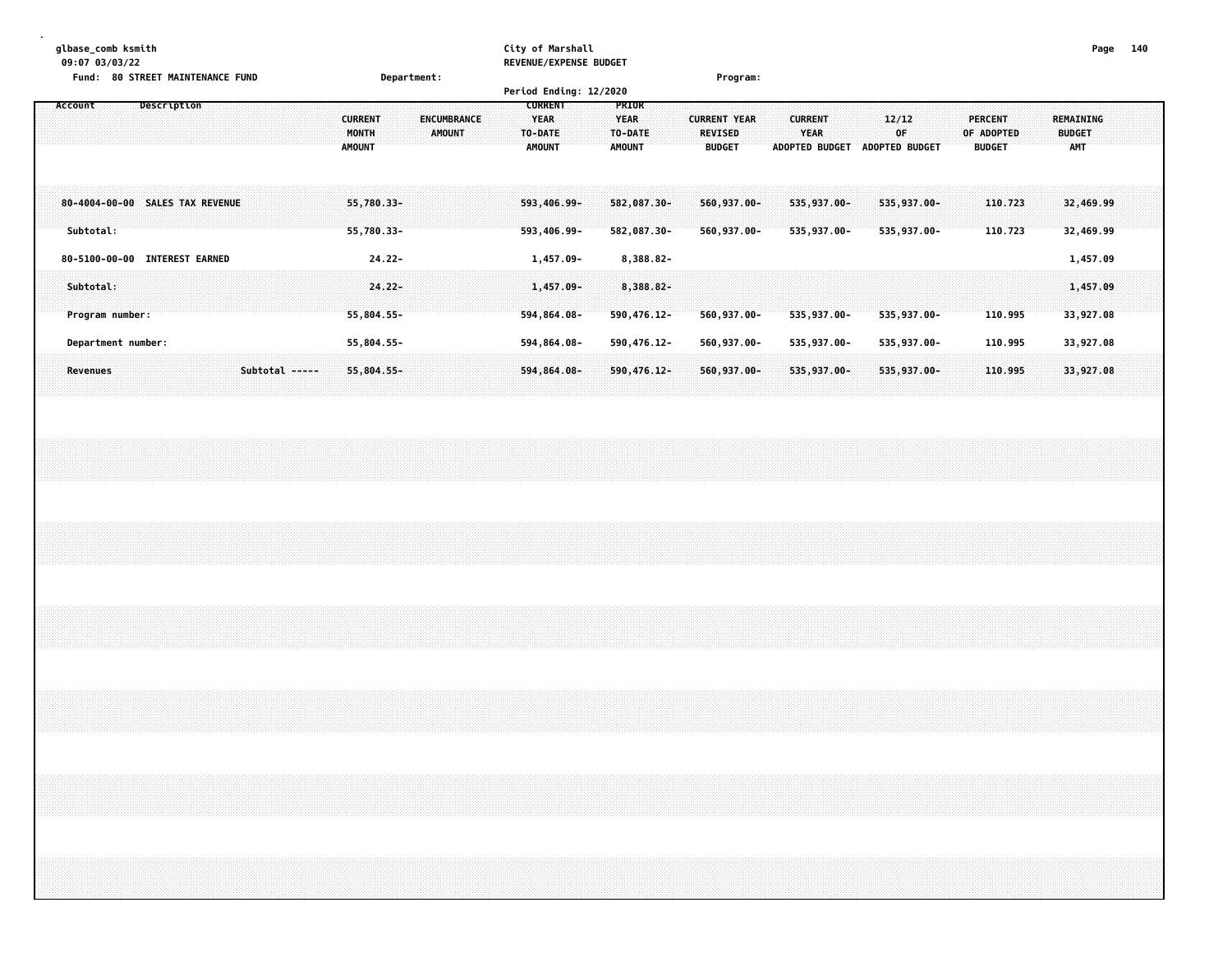**glbase\_comb ksmith City of Marshall Page 140 09:07 03/03/22 REVENUE/EXPENSE BUDGET Fund: 80 STREET MAINTENANCE FUND Department: Program:**

|                                              |                                                                                 | Period Ending: 12/2020                                           |                                                                                                            |                                                 |                               |                                                                                           |
|----------------------------------------------|---------------------------------------------------------------------------------|------------------------------------------------------------------|------------------------------------------------------------------------------------------------------------|-------------------------------------------------|-------------------------------|-------------------------------------------------------------------------------------------|
| Description<br>Account                       | <b>CURRENT</b><br><b>ENCUMBRANCE</b><br><b>AMOUNT</b><br>MONTH<br><b>AMOUNT</b> | <b>CURRENT</b><br><b>YEAR</b><br><b>TO-DATE</b><br><b>AMOUNT</b> | <b>PRIOR</b><br><b>YEAR</b><br><b>CURRENT YEAR</b><br>TO-DATE<br><b>REVISED</b><br><b>BUDGET</b><br>AMOUNT | <b>CURRENT</b><br><b>YEAR</b><br>ADOPTED BUDGET | 12/12<br>0F<br>ADOPTED BUDGET | REMAINING<br><b>PERCENT</b><br><b>BUDGET</b><br>OF ADOPTED<br><b>BUDGET</b><br><b>AMT</b> |
| 80-4004-00-00 SALES TAX REVENUE<br>Subtotal: | $55,780.33 -$<br>55,780.33-                                                     | 593,406.99-<br>593,406.99-                                       | 582,087.30-<br>$560, 937, 00 -$<br>582,087.30-<br>560,937.00-                                              | 535,937.00-<br>535,937.00-                      | 535,937.00-<br>535,937.00-    | 110.723<br>32,469.99<br>110.723<br>32,469.99                                              |
| 80-5100-00-00 INTEREST EARNED                | 24.22-                                                                          | 1,457.09-                                                        | 8,388.82-                                                                                                  |                                                 |                               | 1,457.09                                                                                  |
| Subtotal:<br>Program number:                 | $24.22 -$<br>55,804.55-                                                         | $1,457.09 -$<br>594,864.08-                                      | $8,388.82-$<br>590,476.12-<br>560,937.00-                                                                  | 535,937.00-                                     | 535,937.00-                   | 1,457.09<br>33,927.08<br>110.995                                                          |
| Department number:                           | 55,804.55-                                                                      | 594,864.08-                                                      | 590,476.12-<br>560,937.00-                                                                                 | 535,937.00-                                     | 535,937.00-                   | 33,927.08<br>110.995                                                                      |
| Subtotal -----<br><b>Revenues</b>            | $55,804.55 -$                                                                   | 594,864.08-                                                      | $590,476.12-$<br>$560, 937.00 -$                                                                           | 535,937.00-                                     | 535,937.00-                   | 33,927.08<br>110.995                                                                      |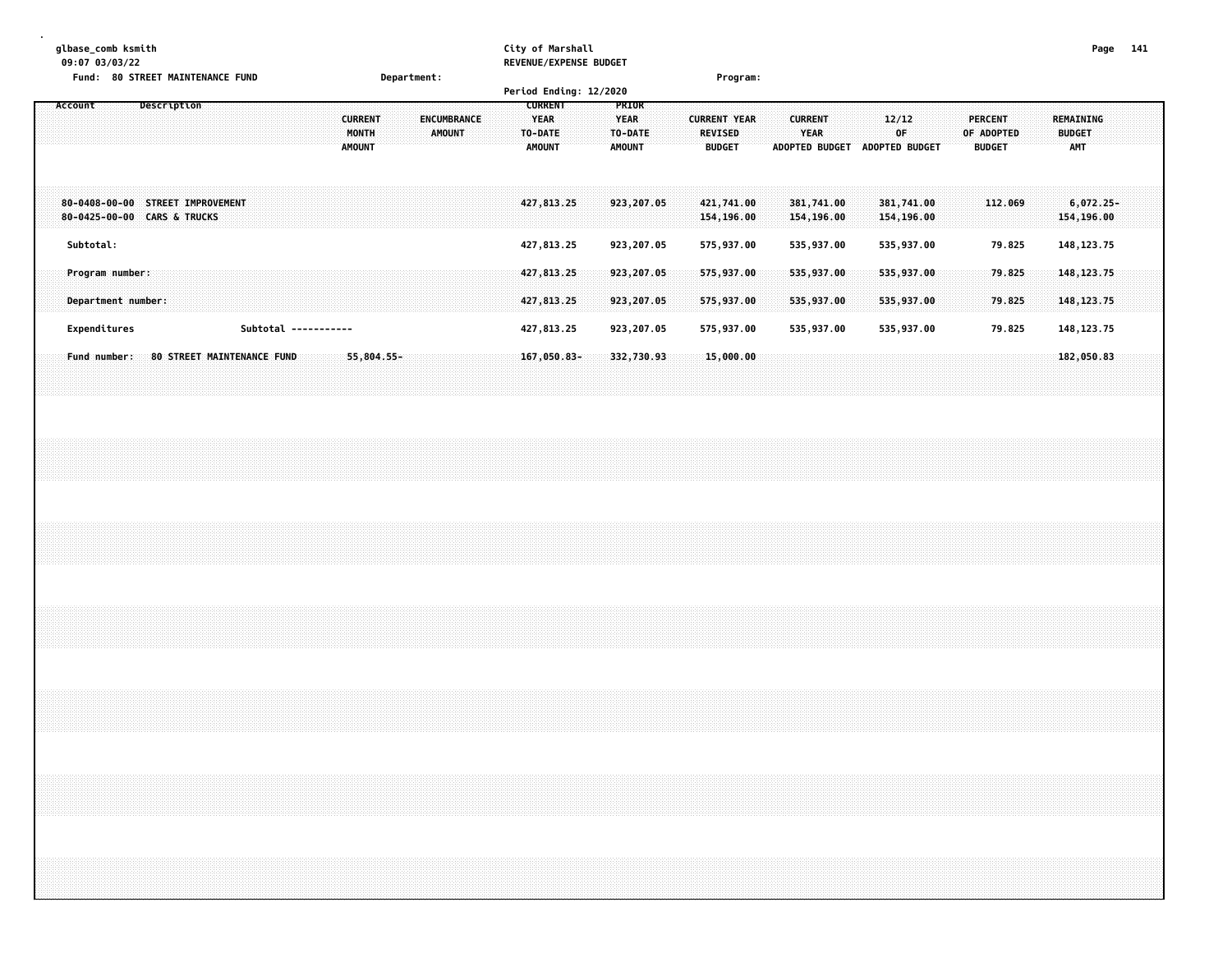| glbase_comb ksmith                                |                    | City of Marshall              |         | Page | 141 |
|---------------------------------------------------|--------------------|-------------------------------|---------|------|-----|
| 09:07 03/03/22                                    |                    | <b>REVENUE/EXPENSE BUDGET</b> |         |      |     |
| <b>80 STREET MAINTENANCE FUND</b><br><b>Fund:</b> | <b>Department:</b> |                               | Program |      |     |

|                                                                 |                                   |                      |                                          |                                     | Period Ending: 12/2020                             |                                           |                                                        |                                                 |                                |                                               |                                          |  |
|-----------------------------------------------------------------|-----------------------------------|----------------------|------------------------------------------|-------------------------------------|----------------------------------------------------|-------------------------------------------|--------------------------------------------------------|-------------------------------------------------|--------------------------------|-----------------------------------------------|------------------------------------------|--|
| Account                                                         | Description                       |                      | <b>CURRENT</b><br>MONTH<br><b>AMOUNT</b> | <b>ENCUMBRANCE</b><br><b>AMOUNT</b> | <b>CURRENT</b><br>YEAR<br>TO-DATE<br><b>AMOUNT</b> | PRIOR<br>YEAR<br>TO-DATE<br><b>AMOUNT</b> | <b>CURRENT YEAR</b><br><b>REVISED</b><br><b>BUDGET</b> | <b>CURRENT</b><br><b>YEAR</b><br>ADOPTED BUDGET | 12/12<br>0F.<br>ADOPTED BUDGET | <b>PERCENT</b><br>OF ADOPTED<br><b>BUDGET</b> | REMAINING<br><b>BUDGET</b><br><b>AMT</b> |  |
| 80-0408-00-00 STREET IMPROVEMENT<br>80-0425-00-00 CARS & TRUCKS |                                   |                      |                                          |                                     | 427,813.25                                         | 923,207.05                                | 421,741.00<br>154,196.00                               | 381,741.00<br>154,196.00                        | 381,741.00<br>154,196.00       | 112,069                                       | $6,072.25 -$<br>154,196.00               |  |
| Subtotal:                                                       |                                   |                      |                                          |                                     | 427,813.25                                         | 923,207.05                                | 575,937.00                                             | 535,937.00                                      | 535,937.00                     | 79.825                                        | 148, 123. 75                             |  |
| Program number:<br>Department number:                           |                                   |                      |                                          |                                     | 427,813.25<br>427,813.25                           | 923,207.05<br>923,207.05                  | 575,937.00<br>575,937.00                               | 535,937.00<br>535,937.00                        | 535,937.00<br>535,937.00       | 79.825<br>79.825                              | 148, 123. 75<br>148, 123, 75             |  |
| Expenditures                                                    |                                   | Subtotal ----------- |                                          |                                     | 427,813.25                                         | 923,207.05                                | 575,937.00                                             | 535,937.00                                      | 535,937.00                     | 79.825                                        | 148, 123. 75                             |  |
| <b>Fund number:</b>                                             | <b>80 STREET MAINTENANCE FUND</b> |                      | 55,804.55-                               |                                     | 167,050,83-                                        | 332,730.93                                | 15,000.00                                              |                                                 |                                |                                               | 182,050.83                               |  |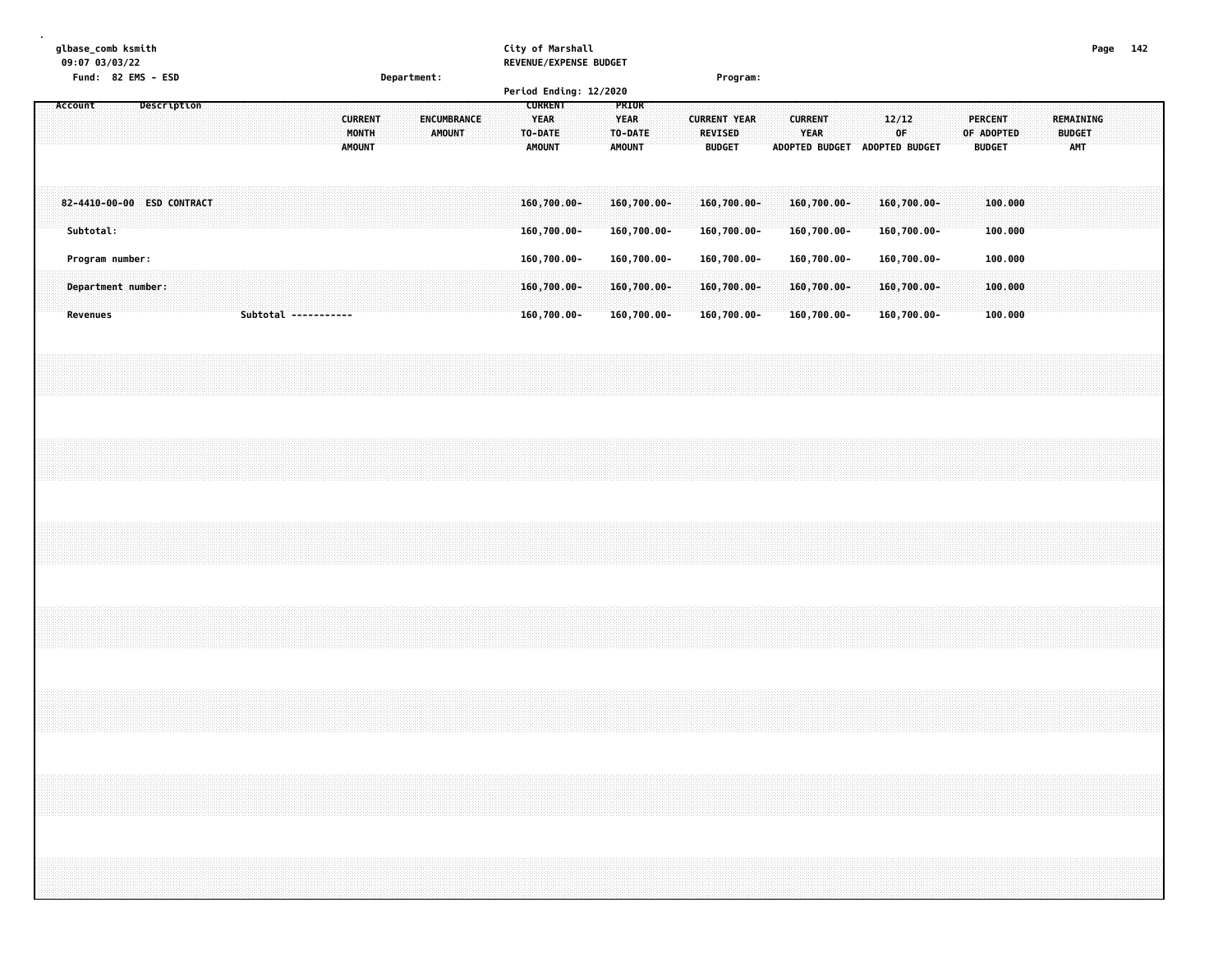| Page 142                                         |                                                           |                                         |                 |                                       |  |  |  |
|--------------------------------------------------|-----------------------------------------------------------|-----------------------------------------|-----------------|---------------------------------------|--|--|--|
|                                                  |                                                           |                                         |                 |                                       |  |  |  |
|                                                  | REMAINING<br><b>BUDGET</b><br><b>AMT</b>                  |                                         |                 |                                       |  |  |  |
|                                                  |                                                           |                                         |                 |                                       |  |  |  |
|                                                  |                                                           |                                         |                 |                                       |  |  |  |
|                                                  |                                                           | 100.000<br>100.000                      | 100.000         | 100.000<br>100.000                    |  |  |  |
|                                                  | <b>PERCENT</b><br>OF ADOPTED<br><b>BUDGET</b>             |                                         |                 |                                       |  |  |  |
|                                                  |                                                           |                                         |                 |                                       |  |  |  |
|                                                  |                                                           |                                         |                 |                                       |  |  |  |
|                                                  |                                                           |                                         |                 |                                       |  |  |  |
|                                                  |                                                           |                                         |                 |                                       |  |  |  |
|                                                  | ADOPTED BUDGET ADOPTED BUDGET                             | 160,700.00-<br>160,700.00-              | 160,700.00-     | 160,700.00-<br>$160,700.00 -$         |  |  |  |
|                                                  | 12/12<br>0F                                               |                                         |                 |                                       |  |  |  |
|                                                  |                                                           |                                         |                 |                                       |  |  |  |
|                                                  |                                                           |                                         |                 |                                       |  |  |  |
|                                                  |                                                           |                                         |                 |                                       |  |  |  |
|                                                  |                                                           |                                         |                 |                                       |  |  |  |
|                                                  | <b>CURRENT</b><br>YEAR                                    | 160,700.00-<br>160,700.00-              | 160,700.00-     | 160,700.00-<br>160,700.00-            |  |  |  |
|                                                  |                                                           |                                         |                 |                                       |  |  |  |
|                                                  |                                                           |                                         |                 |                                       |  |  |  |
|                                                  |                                                           |                                         |                 |                                       |  |  |  |
|                                                  |                                                           |                                         |                 |                                       |  |  |  |
| Program:                                         | <b>REVISED</b><br><b>BUDGET</b>                           | 160,700.00-<br>$160,700.00 -$           | 160,700.00-     | $160,700.00 -$<br>160,700.00-         |  |  |  |
|                                                  |                                                           |                                         |                 |                                       |  |  |  |
|                                                  | <b>CURRENT YEAR</b>                                       |                                         |                 |                                       |  |  |  |
|                                                  |                                                           |                                         |                 |                                       |  |  |  |
|                                                  |                                                           |                                         |                 |                                       |  |  |  |
|                                                  | TO-DATE                                                   | 160,700.00-<br>$160,700.00 -$           | 160,700.00-     | $160,700.00 -$<br>160,700.00-         |  |  |  |
|                                                  | PRIOR<br><b>YEAR</b><br><b>AMOUNT</b>                     |                                         |                 |                                       |  |  |  |
|                                                  |                                                           |                                         |                 |                                       |  |  |  |
|                                                  |                                                           |                                         |                 |                                       |  |  |  |
| City of Marshall                                 |                                                           |                                         |                 |                                       |  |  |  |
|                                                  |                                                           |                                         |                 |                                       |  |  |  |
| REVENUE/EXPENSE BUDGET<br>Period Ending: 12/2020 | <b>CURRENT</b><br><b>YEAR</b><br>TO-DATE<br><b>AMOUNT</b> | 160,700.00-<br>$160,700.00 -$           | 160,700.00-     | 160,700.00-<br>160,700.00-            |  |  |  |
|                                                  |                                                           |                                         |                 |                                       |  |  |  |
|                                                  |                                                           |                                         |                 |                                       |  |  |  |
|                                                  |                                                           |                                         |                 |                                       |  |  |  |
|                                                  | ENCUMBRANCE                                               |                                         |                 |                                       |  |  |  |
|                                                  | <b>AMOUNT</b>                                             |                                         |                 |                                       |  |  |  |
|                                                  |                                                           |                                         |                 |                                       |  |  |  |
|                                                  |                                                           |                                         |                 |                                       |  |  |  |
| Department:                                      |                                                           |                                         |                 |                                       |  |  |  |
|                                                  |                                                           |                                         |                 |                                       |  |  |  |
|                                                  |                                                           |                                         |                 |                                       |  |  |  |
|                                                  | <b>CURRENT</b><br>MONTH<br><b>AMOUNT</b>                  |                                         |                 |                                       |  |  |  |
|                                                  |                                                           |                                         |                 |                                       |  |  |  |
|                                                  |                                                           |                                         |                 |                                       |  |  |  |
|                                                  |                                                           |                                         |                 | Subtotal -----------                  |  |  |  |
|                                                  |                                                           |                                         |                 |                                       |  |  |  |
|                                                  |                                                           |                                         |                 |                                       |  |  |  |
|                                                  |                                                           |                                         |                 |                                       |  |  |  |
|                                                  |                                                           |                                         |                 |                                       |  |  |  |
|                                                  |                                                           |                                         |                 |                                       |  |  |  |
|                                                  |                                                           |                                         |                 |                                       |  |  |  |
|                                                  |                                                           |                                         |                 |                                       |  |  |  |
|                                                  | Description                                               |                                         |                 |                                       |  |  |  |
|                                                  |                                                           |                                         |                 |                                       |  |  |  |
|                                                  |                                                           |                                         |                 |                                       |  |  |  |
|                                                  |                                                           |                                         |                 |                                       |  |  |  |
|                                                  |                                                           |                                         |                 |                                       |  |  |  |
|                                                  |                                                           |                                         |                 |                                       |  |  |  |
|                                                  |                                                           |                                         |                 |                                       |  |  |  |
| 09:07 03/03/22<br>Fund: 82 EMS - ESD             |                                                           | 82-4410-00-00 ESD CONTRACT<br>Subtotal: | Program number: | Department number:<br><b>Revenues</b> |  |  |  |
|                                                  | Account                                                   |                                         |                 |                                       |  |  |  |
|                                                  |                                                           |                                         |                 |                                       |  |  |  |
| glbase_comb ksmith                               |                                                           |                                         |                 |                                       |  |  |  |
|                                                  |                                                           |                                         |                 |                                       |  |  |  |
|                                                  |                                                           |                                         |                 |                                       |  |  |  |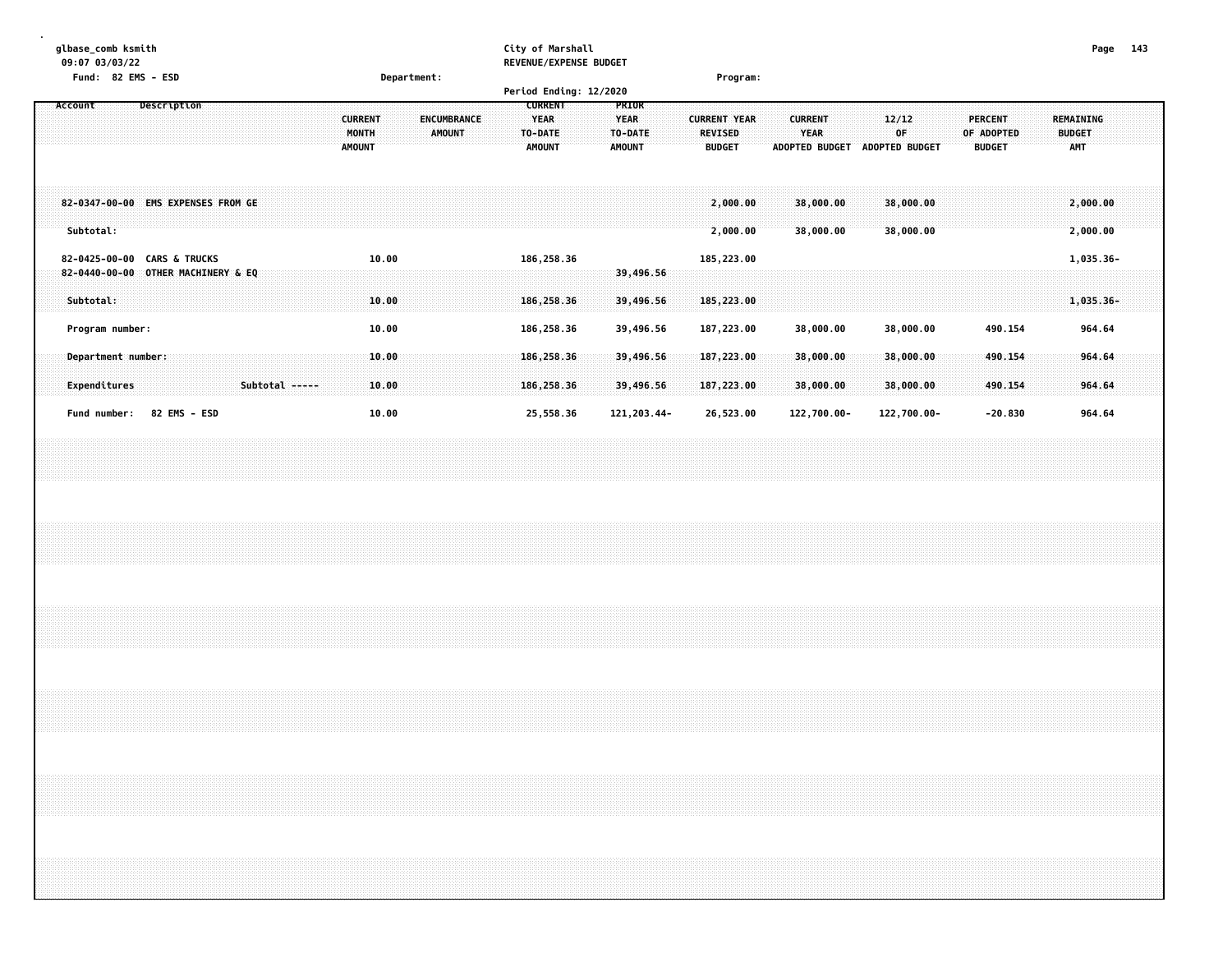|         |           | 09:07 03/03/22 | glbase_comb ksmith | Fund: 82 EMS - ESD                                                |  |                |  |               |                         | Department:    |  |                                     |  | City of Marshall<br>REVENUE/EXPENSE BUDGET                                          |  |                                                  |  | Program:                                               |  |                        |                          |                               |                          |  |                                               |  |                                   |                       | Page 143 |  |
|---------|-----------|----------------|--------------------|-------------------------------------------------------------------|--|----------------|--|---------------|-------------------------|----------------|--|-------------------------------------|--|-------------------------------------------------------------------------------------|--|--------------------------------------------------|--|--------------------------------------------------------|--|------------------------|--------------------------|-------------------------------|--------------------------|--|-----------------------------------------------|--|-----------------------------------|-----------------------|----------|--|
| Account |           |                |                    | <b>Description</b>                                                |  |                |  | <b>AMOUNT</b> | <b>CURRENT</b><br>MONTH |                |  | <b>ENCUMBRANCE</b><br><b>AMOUNT</b> |  | Period Ending: 12/2020<br><b>CURRENT</b><br><b>YEAR</b><br>TO-DATE<br><b>AMOUNT</b> |  | PRIOR<br><b>YEAR</b><br>TO-DATE<br><b>AMOUNT</b> |  | <b>CURRENT YEAR</b><br><b>REVISED</b><br><b>BUDGET</b> |  | <b>CURRENT</b><br>YEAR |                          | ADOPTED BUDGET ADOPTED BUDGET | 12/12<br>0F              |  | <b>PERCENT</b><br>OF ADOPTED<br><b>BUDGET</b> |  | REMAINING<br><b>BUDGET</b><br>AMT |                       |          |  |
|         | Subtotal: |                |                    | 82-0347-00-00 EMS EXPENSES FROM GE                                |  |                |  |               |                         |                |  |                                     |  |                                                                                     |  |                                                  |  | 2,000.00<br>2,000.00                                   |  |                        | 38,000.00<br>38,000.00   |                               | 38,000.00<br>38,000.00   |  |                                               |  |                                   | 2,000.00<br>2,000.00  |          |  |
|         |           |                |                    | 82-0425-00-00 CARS & TRUCKS<br>82-0440-00-00 OTHER MACHINERY & EQ |  |                |  |               |                         | 10.00          |  |                                     |  | 186,258.36                                                                          |  | 39,496.56                                        |  | 185,223.00                                             |  |                        |                          |                               |                          |  |                                               |  |                                   | 1,035.36-             |          |  |
|         | Subtotal: |                | Program number:    |                                                                   |  |                |  |               |                         | 10.00<br>10.00 |  |                                     |  | 186,258.36<br>186,258.36                                                            |  | 39,496.56<br>39,496.56                           |  | 185,223.00<br>187,223.00                               |  |                        | 38,000.00                |                               | 38,000.00                |  | 490.154                                       |  |                                   | $1,035.36-$<br>964.64 |          |  |
|         |           |                | Department number: |                                                                   |  |                |  |               |                         | 10.00          |  |                                     |  | 186,258.36                                                                          |  | 39,496.56                                        |  | 187,223.00                                             |  |                        | 38,000.00                |                               | 38,000.00                |  | 490.154                                       |  |                                   | 964.64                |          |  |
|         |           | Expenditures   |                    | Fund number: 82 EMS - ESD                                         |  | Subtotal ----- |  |               |                         | 10.00<br>10.00 |  |                                     |  | 186,258.36<br>25,558.36                                                             |  | 39,496.56<br>121, 203.44-                        |  | 187,223.00<br>26,523.00                                |  |                        | 38,000.00<br>122,700.00- |                               | 38,000.00<br>122,700.00- |  | 490.154<br>$-20.830$                          |  |                                   | 964.64<br>964.64      |          |  |
|         |           |                |                    |                                                                   |  |                |  |               |                         |                |  |                                     |  |                                                                                     |  |                                                  |  |                                                        |  |                        |                          |                               |                          |  |                                               |  |                                   |                       |          |  |
|         |           |                |                    |                                                                   |  |                |  |               |                         |                |  |                                     |  |                                                                                     |  |                                                  |  |                                                        |  |                        |                          |                               |                          |  |                                               |  |                                   |                       |          |  |
|         |           |                |                    |                                                                   |  |                |  |               |                         |                |  |                                     |  |                                                                                     |  |                                                  |  |                                                        |  |                        |                          |                               |                          |  |                                               |  |                                   |                       |          |  |
|         |           |                |                    |                                                                   |  |                |  |               |                         |                |  |                                     |  |                                                                                     |  |                                                  |  |                                                        |  |                        |                          |                               |                          |  |                                               |  |                                   |                       |          |  |
|         |           |                |                    |                                                                   |  |                |  |               |                         |                |  |                                     |  |                                                                                     |  |                                                  |  |                                                        |  |                        |                          |                               |                          |  |                                               |  |                                   |                       |          |  |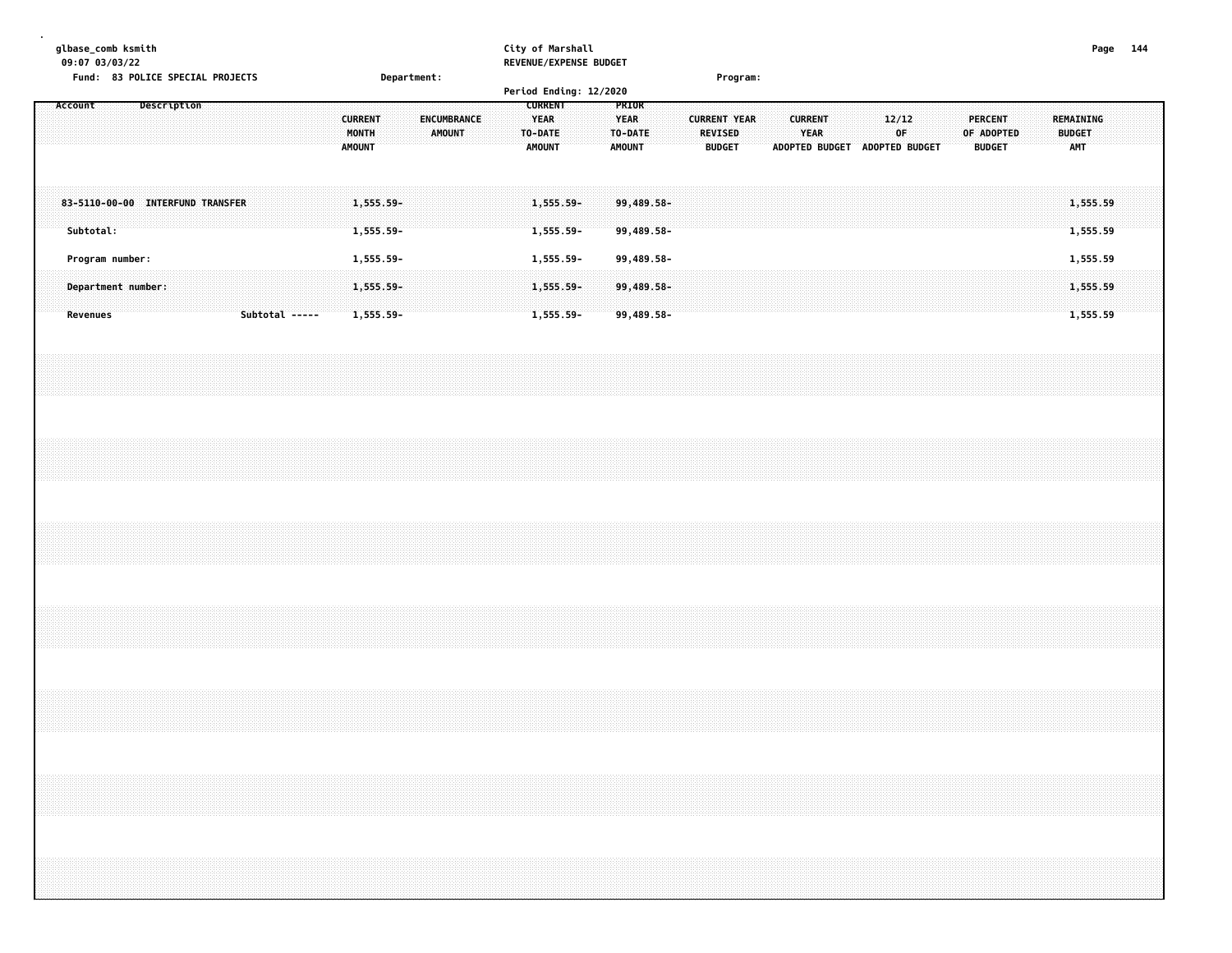| glbase_comb ksmith                      |                    | City of Marshall              |          | Page 144 |  |
|-----------------------------------------|--------------------|-------------------------------|----------|----------|--|
| 09:07 03/03/22                          |                    | <b>REVENUE/EXPENSE BUDGET</b> |          |          |  |
| <b>Fund: 83 POLICE SPECIAL PROJECTS</b> | <b>Department:</b> |                               | Program: |          |  |
|                                         |                    | Period Ending: 12/2020        |          |          |  |

| Description<br>Account                           | <b>ENCUMBRANCE</b><br><b>CURRENT</b><br><b>MONTH</b><br>AMOUNT<br><b>AMOUNT</b> | <b>CURRENT</b><br><b>PRIOR</b><br><b>YEAR</b><br><b>YEAR</b><br><b>TO-DATE</b><br>TO-DATE<br><b>AMOUNT</b><br>AMOUNT | <b>CURRENT YEAR</b><br><b>CURRENT</b><br>12/12<br><b>PERCENT</b><br><b>YEAR</b><br><b>REVISED</b><br>0F.<br><b>ADOPTED BUDGET</b><br><b>BUDGET</b><br><b>ADOPTED BUDGET</b> | REMAINING<br>OF ADOPTED<br><b>BUDGET</b><br><b>AMT</b><br><b>BUDGET</b> |
|--------------------------------------------------|---------------------------------------------------------------------------------|----------------------------------------------------------------------------------------------------------------------|-----------------------------------------------------------------------------------------------------------------------------------------------------------------------------|-------------------------------------------------------------------------|
| 83-5110-00-00 INTERFUND TRANSFER<br>Subtotal:    | $1,555.59 -$<br>1,555.59-                                                       | 1,555.59-<br>99,489.58-<br>1,555.59-<br>99,489.58-                                                                   |                                                                                                                                                                             | 1,555.59<br>1,555.59                                                    |
| Program number:                                  | $1,555.59 -$                                                                    | 99,489.58-<br>$1,555.59 -$                                                                                           |                                                                                                                                                                             | 1,555.59                                                                |
| Department number:<br>Subtotal -----<br>Revenues | $1,555.59 -$<br>1,555.59-                                                       | $1,555.59 -$<br>$99,489.58 -$<br>99,489.58-<br>$1,555.59 -$                                                          |                                                                                                                                                                             | 1,555.59<br>1,555.59                                                    |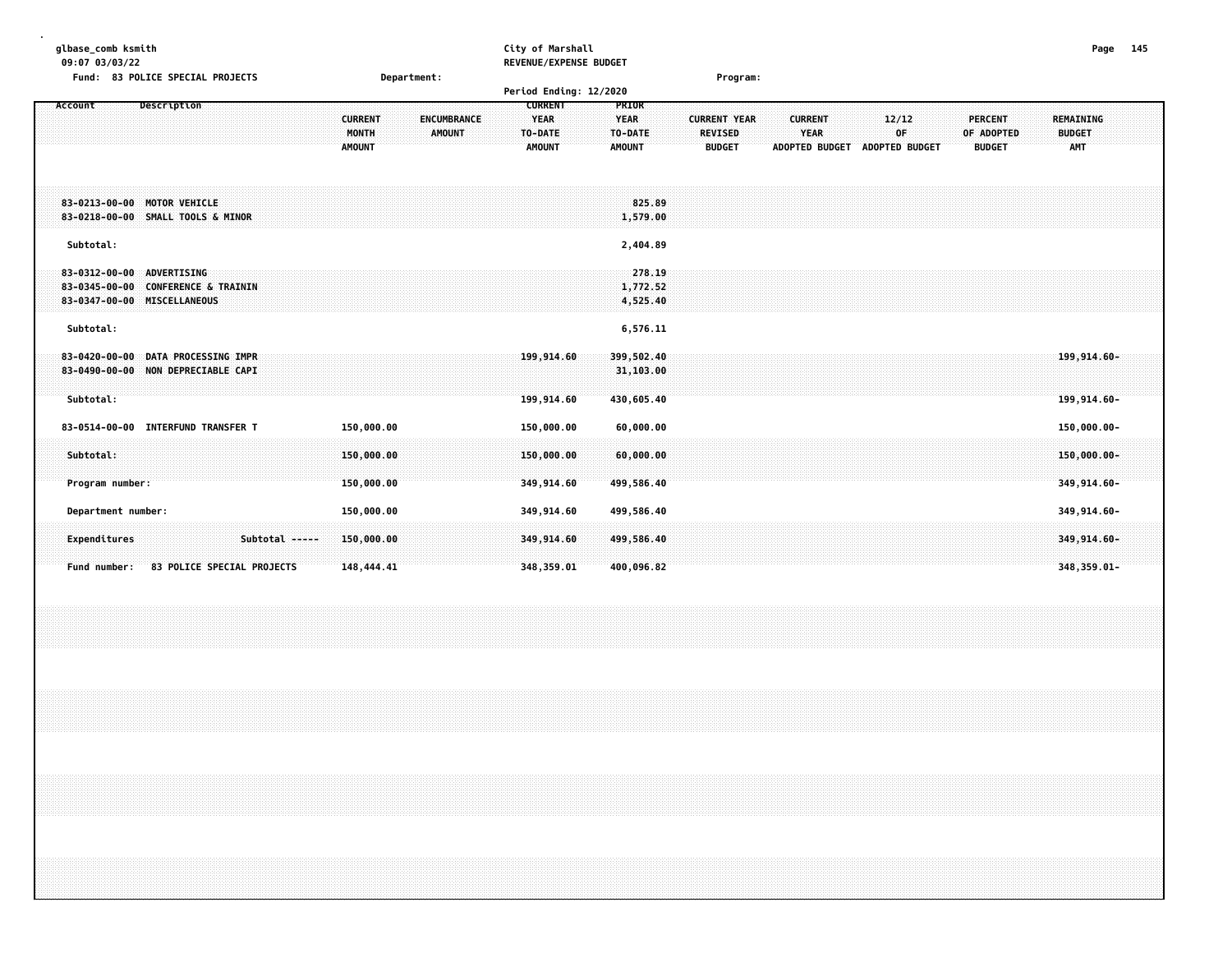| glbase_comb ksmith<br>09:07 03/03/22                                                           |                                                                                 | City of Marshall<br><b>REVENUE/EXPENSE BUDGET</b>                                                             |                                                                                                                  |                                                                                | 145<br>Page                              |
|------------------------------------------------------------------------------------------------|---------------------------------------------------------------------------------|---------------------------------------------------------------------------------------------------------------|------------------------------------------------------------------------------------------------------------------|--------------------------------------------------------------------------------|------------------------------------------|
| Fund: 83 POLICE SPECIAL PROJECTS                                                               | Department:                                                                     | Period Ending: 12/2020                                                                                        | Program:                                                                                                         |                                                                                |                                          |
| Description<br>Account                                                                         | <b>CURRENT</b><br><b>ENCUMBRANCE</b><br>MONTH<br><b>AMOUNT</b><br><b>AMOUNT</b> | <b>CURRENT</b><br>PRIOR<br><b>YEAR</b><br><b>YEAR</b><br>TO-DATE<br>TO-DATE<br><b>AMOUNT</b><br><b>AMOUNT</b> | <b>CURRENT YEAR</b><br><b>CURRENT</b><br><b>YEAR</b><br><b>REVISED</b><br><b>BUDGET</b><br><b>ADOPTED BUDGET</b> | 12/12<br><b>PERCENT</b><br>0F<br>OF ADOPTED<br>ADOPTED BUDGET<br><b>BUDGET</b> | <b>REMAINING</b><br><b>BUDGET</b><br>AMT |
| 83-0213-00-00 MOTOR VEHICLE<br>83-0218-00-00 SMALL TOOLS & MINOR                               |                                                                                 | 825.89<br>1,579.00                                                                                            |                                                                                                                  |                                                                                |                                          |
| Subtotal:                                                                                      |                                                                                 | 2,404.89                                                                                                      |                                                                                                                  |                                                                                |                                          |
| 83-0312-00-00 ADVERTISING<br>83-0345-00-00 CONFERENCE & TRAININ<br>83-0347-00-00 MISCELLANEOUS |                                                                                 | 278.19<br>1,772.52<br>4,525.40                                                                                |                                                                                                                  |                                                                                |                                          |
| Subtotal:                                                                                      |                                                                                 | 6,576.11                                                                                                      |                                                                                                                  |                                                                                |                                          |
| 83-0420-00-00 DATA PROCESSING IMPR<br>83-0490-00-00 NON DEPRECIABLE CAPI<br>Subtotal:          |                                                                                 | 199,914.60<br>399,502.40<br>31,103.00<br>430,605.40<br>199,914.60                                             |                                                                                                                  |                                                                                | $199, 914.60 -$<br>199,914.60-           |
| 83-0514-00-00 INTERFUND TRANSFER T                                                             | 150,000.00                                                                      | 150,000.00<br>60,000.00                                                                                       |                                                                                                                  |                                                                                | 150,000.00-                              |
| Subtotal:<br>Program number:                                                                   | 150,000.00<br>150,000.00                                                        | 60,000.00<br>150,000.00<br>349,914.60<br>499,586.40                                                           |                                                                                                                  |                                                                                | 150,000.00-<br>349,914.60-               |
| Department number:                                                                             | 150,000.00                                                                      | 349,914.60<br>499,586.40                                                                                      |                                                                                                                  |                                                                                | 349,914.60-                              |
|                                                                                                |                                                                                 |                                                                                                               |                                                                                                                  |                                                                                |                                          |
| <b>Expenditures</b><br>Subtotal -----                                                          | 150,000.00                                                                      | 349,914.60<br>499,586.40                                                                                      |                                                                                                                  |                                                                                | 349,914.60-                              |
| 83 POLICE SPECIAL PROJECTS<br>Fund number:                                                     | 148,444.41                                                                      | 400,096.82<br>348,359.01                                                                                      |                                                                                                                  |                                                                                | 348,359.01-                              |

**.**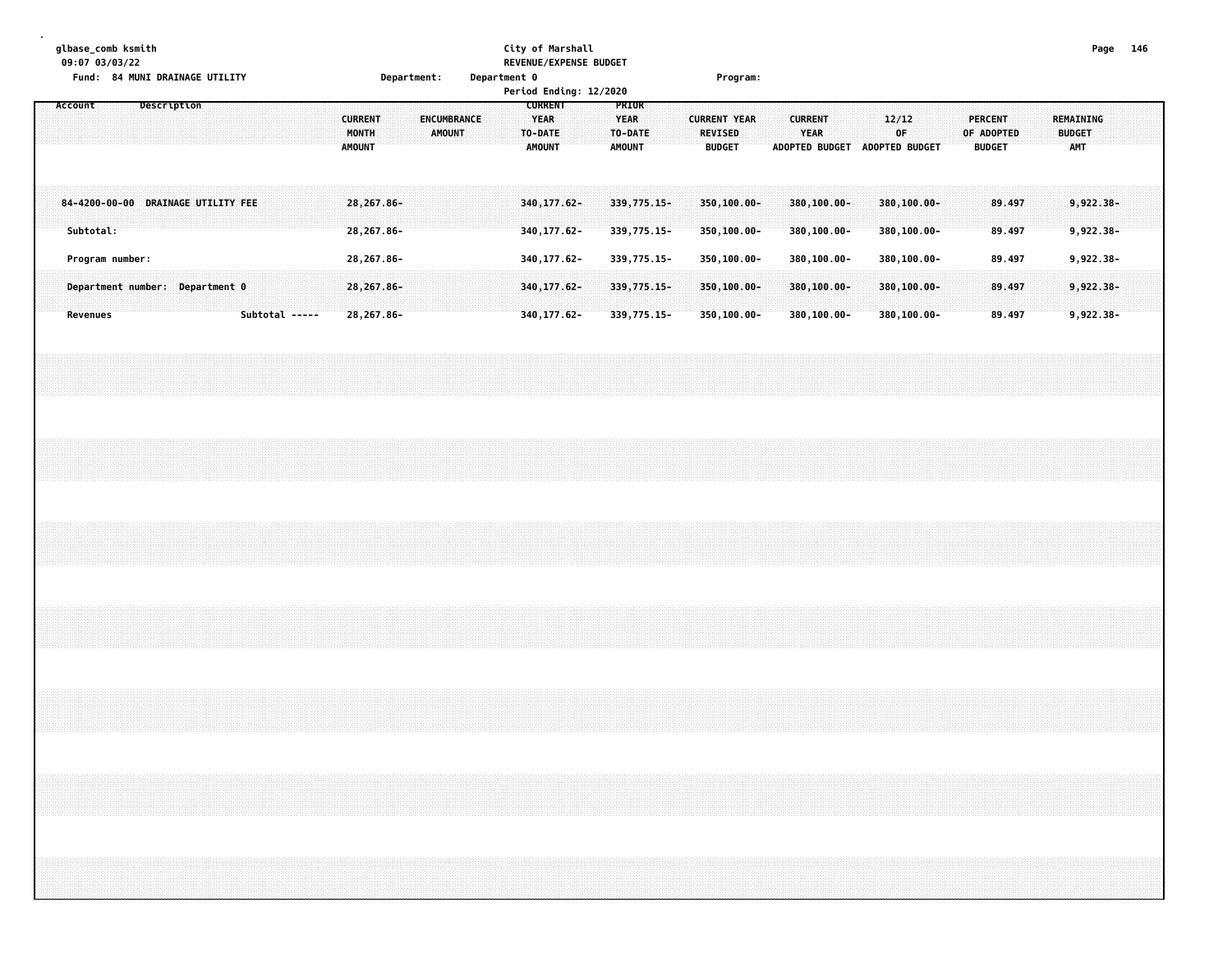|  |         |                 | 09:07 03/03/22 | glbase_comb ksmith |             | Fund: 84 MUNI DRAINAGE UTILITY  |                                    |                |  |                                          |  | Department: |        |                    |  | Department 0 | City of Marshall                                          |  | REVENUE/EXPENSE BUDGET |                                                  |                              |  |                                                        | Program: |  |                        |                            |                               |             |                            |  |                |                                                                                  |  |                            |            | Page 146                  |  |
|--|---------|-----------------|----------------|--------------------|-------------|---------------------------------|------------------------------------|----------------|--|------------------------------------------|--|-------------|--------|--------------------|--|--------------|-----------------------------------------------------------|--|------------------------|--------------------------------------------------|------------------------------|--|--------------------------------------------------------|----------|--|------------------------|----------------------------|-------------------------------|-------------|----------------------------|--|----------------|----------------------------------------------------------------------------------|--|----------------------------|------------|---------------------------|--|
|  | Account |                 |                |                    | Description |                                 |                                    |                |  | <b>CURRENT</b><br>MONTH<br><b>AMOUNT</b> |  |             | AMOUNT | <b>ENCUMBRANCE</b> |  |              | <b>CURRENT</b><br><b>YEAR</b><br>TO-DATE<br><b>AMOUNT</b> |  | Period Ending: 12/2020 | PRIOR<br><b>YEAR</b><br>TO-DATE<br><b>AMOUNT</b> |                              |  | <b>CURRENT YEAR</b><br><b>REVISED</b><br><b>BUDGET</b> |          |  | <b>CURRENT</b><br>YEAR |                            | ADOPTED BUDGET ADOPTED BUDGET | 12/12<br>OF |                            |  | <b>PERCENT</b> | OF ADOPTED<br><b>BUDGET</b>                                                      |  | REMAINING<br><b>BUDGET</b> | <b>AMT</b> |                           |  |
|  |         | Subtotal:       |                |                    |             |                                 | 84-4200-00-00 DRAINAGE UTILITY FEE |                |  | 28,267.86-<br>28,267.86-                 |  |             |        |                    |  |              | 340, 177.62-<br>340, 177.62-                              |  |                        |                                                  | 339, 775. 15-<br>339,775.15- |  | 350,100.00-<br>350,100.00-                             |          |  |                        | 380,100.00-<br>380,100.00- |                               |             | 380,100.00-<br>380,100.00- |  |                | 89.497<br>89.497                                                                 |  |                            | 9,922.38-  | 9,922.38-                 |  |
|  |         |                 |                | Program number:    |             |                                 |                                    |                |  | 28, 267.86-                              |  |             |        |                    |  |              | 340, 177.62-                                              |  |                        |                                                  | 339,775.15-                  |  | 350,100.00-                                            |          |  |                        | 380,100.00-                |                               |             | 380,100.00-                |  |                | 89.497                                                                           |  |                            |            | 9,922.38-                 |  |
|  |         | <b>Revenues</b> |                |                    |             | Department number: Department 0 |                                    | Subtotal ----- |  | 28,267.86-<br>28,267.86-                 |  |             |        |                    |  |              | 340, 177.62-<br>340, 177.62-                              |  |                        |                                                  | 339, 775. 15-<br>339,775.15- |  | 350,100.00-<br>350,100.00-                             |          |  |                        | 380,100.00-<br>380,100.00- |                               |             | 380,100.00-<br>380,100.00- |  |                | 89.497<br>89.497                                                                 |  |                            |            | 9,922.38-<br>$9,922.38 -$ |  |
|  |         |                 |                |                    |             |                                 |                                    |                |  |                                          |  |             |        |                    |  |              |                                                           |  |                        |                                                  |                              |  |                                                        |          |  |                        |                            |                               |             |                            |  |                |                                                                                  |  |                            |            |                           |  |
|  |         |                 |                |                    |             |                                 |                                    |                |  |                                          |  |             |        |                    |  |              |                                                           |  |                        |                                                  |                              |  |                                                        |          |  |                        |                            |                               |             |                            |  |                |                                                                                  |  |                            |            |                           |  |
|  |         |                 |                |                    |             |                                 |                                    |                |  |                                          |  |             |        |                    |  |              |                                                           |  |                        |                                                  |                              |  |                                                        |          |  |                        |                            |                               |             |                            |  |                |                                                                                  |  |                            |            |                           |  |
|  |         |                 |                |                    |             |                                 |                                    |                |  |                                          |  |             |        |                    |  |              |                                                           |  |                        |                                                  |                              |  |                                                        |          |  |                        |                            |                               |             |                            |  |                |                                                                                  |  |                            |            |                           |  |
|  |         |                 |                |                    |             |                                 |                                    |                |  |                                          |  |             |        |                    |  |              |                                                           |  |                        |                                                  |                              |  |                                                        |          |  |                        |                            |                               |             |                            |  |                |                                                                                  |  |                            |            |                           |  |
|  |         |                 |                |                    |             |                                 |                                    |                |  |                                          |  |             |        |                    |  |              |                                                           |  |                        |                                                  |                              |  |                                                        |          |  |                        |                            |                               |             |                            |  |                | ,我们就会在这里的时候,我们就会在这里的时候,我们就会在这里的时候,我们就会在这里的时候,我们就会在这里的时候,我们就会在这里的时候,我们就会在这里的时候,我们 |  |                            |            |                           |  |
|  |         |                 |                |                    |             |                                 |                                    |                |  |                                          |  |             |        |                    |  |              |                                                           |  |                        |                                                  |                              |  |                                                        |          |  |                        |                            |                               |             |                            |  |                |                                                                                  |  |                            |            |                           |  |

**.**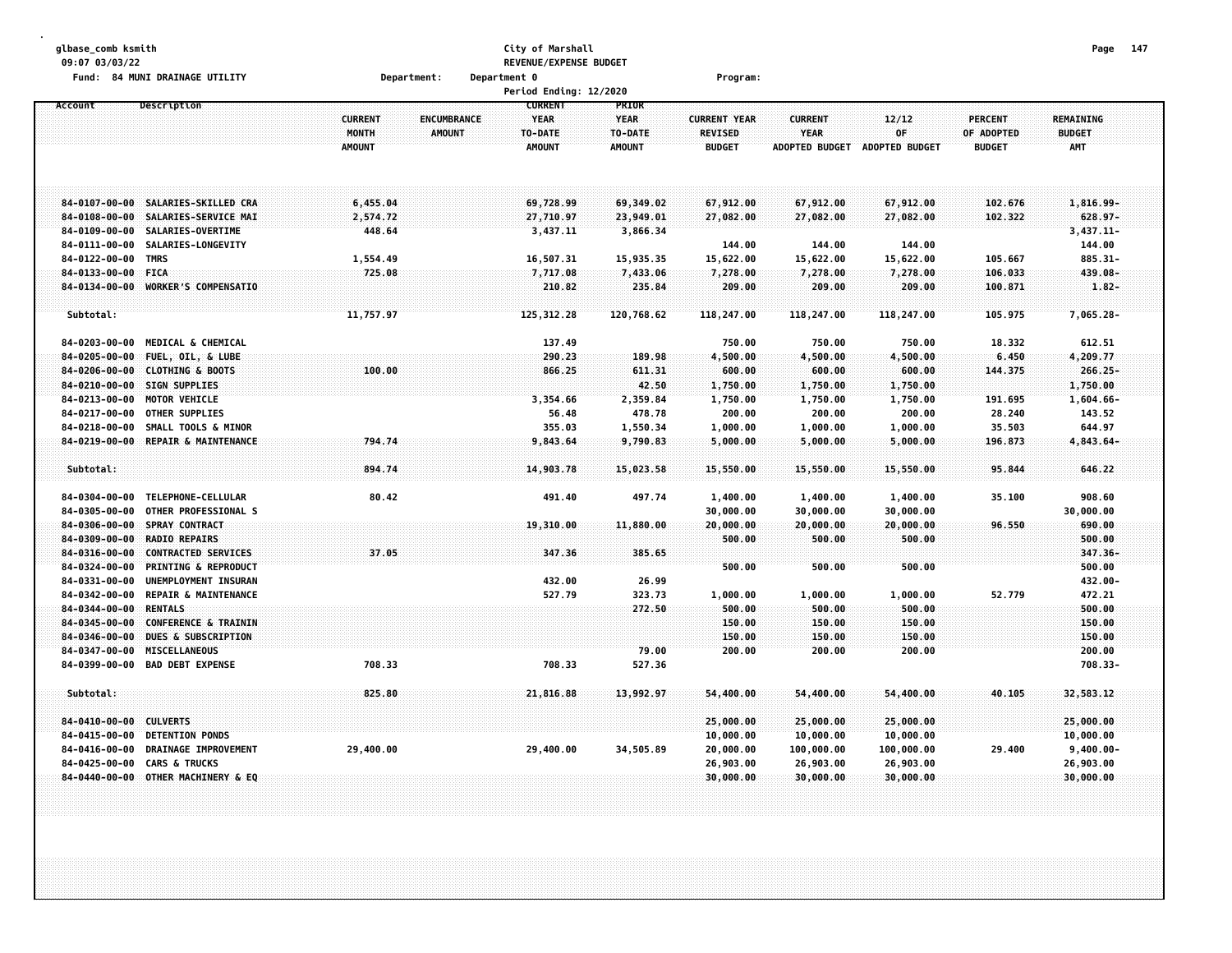| REVENUE/EXPENSE BUDGET<br>Fund: 84 MUNI DRAINAGE UTILITY<br>Department:<br>Department 0<br>Program:<br>Period Ending: 12/2020<br><b>CURRENT</b><br>PRIOR<br>Description<br>Account<br><b>ENCUMBRANCE</b><br><b>YEAR</b><br><b>CURRENT</b><br>12/12<br><b>PERCENT</b><br><b>REMAINING</b><br><b>CURRENT</b><br><b>YEAR</b><br><b>CURRENT YEAR</b><br>MONTH<br><b>AMOUNT</b><br>TO-DATE<br>TO-DATE<br><b>REVISED</b><br>YEAR<br>OF<br>OF ADOPTED<br><b>BUDGET</b><br><b>AMOUNT</b><br><b>AMOUNT</b><br><b>AMOUNT</b><br><b>BUDGET</b><br><b>BUDGET</b><br><b>AMT</b><br><b>ADOPTED BUDGET</b><br>ADOPTED BUDGET<br>$84 - 0107 - 00 - 00$<br>SALARIES-SKILLED CRA<br>6,455.04<br>69,728.99<br>69,349.02<br>67,912.00<br>67,912.00<br>67,912.00<br>1,816.99-<br>102.676<br>2,574.72<br>27,710.97<br>102.322<br>628.97-<br>$84 - 0108 - 00 - 00$<br>SALARIES-SERVICE MAI<br>23,949.01<br>27,082.00<br>27,082.00<br>27,082.00<br>$84 - 0109 - 00 - 00$<br>SALARIES-OVERTIME<br>448.64<br>3,437.11<br>3,866.34<br>$3,437.11-$<br>144.00<br>144.00<br>144.00<br>144.00<br>84-0111-00-00<br>SALARIES-LONGEVITY<br>15,622.00<br>15,622.00<br>15,622.00<br>84-0122-00-00<br><b>TMRS</b><br>1,554.49<br>16,507.31<br>15,935.35<br>105.667<br>$885.31 -$<br>7,278.00<br>7,278.00<br>7,278.00<br>$84 - 0133 - 00 - 00$<br><b>FICA</b><br>725.08<br>7,717.08<br>7,433.06<br>106.033<br>439.08-<br>WORKER'S COMPENSATIO<br>$84 - 0134 - 00 - 00$<br>210.82<br>235.84<br>209.00<br>209.00<br>209.00<br>100.871<br>$1.82 -$<br>Subtotal:<br>11,757.97<br>125, 312.28<br>120,768.62<br>118,247.00<br>118,247.00<br>118,247.00<br>7,065.28-<br>105.975<br>137.49<br>84-0203-00-00<br>MEDICAL & CHEMICAL<br>750.00<br>750.00<br>750.00<br>18.332<br>612.51<br>84-0205-00-00<br>FUEL, OIL, & LUBE<br>290.23<br>189.98<br>4,500.00<br>4,500.00<br>4,500.00<br>6.450<br>4,209.77<br>$84 - 0206 - 00 - 00$<br><b>CLOTHING &amp; BOOTS</b><br>100.00<br>866.25<br>611.31<br>600.00<br>600.00<br>600.00<br>144.375<br>$266.25 -$<br>42.50<br>1,750.00<br>$84 - 0210 - 00 - 00$<br><b>SIGN SUPPLIES</b><br>1,750.00<br>1,750.00<br>1,750.00<br>$84 - 0213 - 00 - 00$<br>MOTOR VEHICLE<br>3,354.66<br>2,359.84<br>1,750.00<br>1,750.00<br>1,750.00<br>191.695<br>1,604.66-<br>478.78<br>$84 - 0217 - 00 - 00$<br>OTHER SUPPLIES<br>56.48<br>200.00<br>200.00<br>200.00<br>28.240<br>143.52<br>$84 - 0218 - 00 - 00$<br>355.03<br>1,550.34<br>1,000.00<br>1,000.00<br>1,000.00<br>35.503<br>644.97<br>SMALL TOOLS & MINOR<br>$84 - 0219 - 00 - 00$<br>REPAIR & MAINTENANCE<br>794.74<br>9,843.64<br>9,790.83<br>5,000.00<br>5,000.00<br>5,000.00<br>196.873<br>$4,843.64-$<br>894.74<br>Subtotal:<br>14,903.78<br>15,023.58<br>15,550.00<br>15,550.00<br>15,550.00<br>95.844<br>646.22<br>84-0304-00-00<br>TELEPHONE-CELLULAR<br>80.42<br>491.40<br>497.74<br>1,400.00<br>1,400.00<br>1,400.00<br>35.100<br>908.60<br>OTHER PROFESSIONAL S<br>30,000.00<br>30,000.00<br>30,000.00<br>30,000.00<br>84-0305-00-00<br>$84 - 0306 - 00 - 00$<br>SPRAY CONTRACT<br>19,310.00<br>11,880.00<br>20,000.00<br>20,000.00<br>20,000.00<br>690.00<br>96.550<br>84-0309-00-00<br><b>RADIO REPAIRS</b><br>500.00<br>500.00<br>500.00<br>500.00<br>37.05<br>84-0316-00-00<br><b>CONTRACTED SERVICES</b><br>347.36<br>385.65<br>347.36-<br>500.00<br>500.00<br>$84 - 0324 - 00 - 00$<br><b>PRINTING &amp; REPRODUCT</b><br>500.00<br>500.00<br>432.00<br>84-0331-00-00<br>UNEMPLOYMENT INSURAN<br>26.99<br>432.00-<br>527.79<br>52.779<br>84-0342-00-00<br><b>REPAIR &amp; MAINTENANCE</b><br>323.73<br>1,000.00<br>1,000.00<br>1,000.00<br>472.21<br>$84 - 0344 - 00 - 00$<br><b>RENTALS</b><br>272.50<br>500.00<br>500.00<br>500.00<br>500.00<br><b>CONFERENCE &amp; TRAININ</b><br>150.00<br>150.00<br>150.00<br>150.00<br>$84 - 0345 - 00 - 00$<br>DUES & SUBSCRIPTION<br>150.00<br>150.00<br>150.00<br>150.00<br>84-0346-00-00<br>MISCELLANEOUS<br>79.00<br>200.00<br>200.00<br>$84 - 0347 - 00 - 00$<br>200.00<br>200.00<br>527.36<br>84-0399-00-00<br><b>BAD DEBT EXPENSE</b><br>708.33<br>708.33<br>708.33-<br>Subtotal:<br>825.80<br>13,992.97<br>40.105<br>32,583.12<br>21,816.88<br>54,400.00<br>54,400.00<br>54,400.00<br>$84 - 0410 - 00 - 00$<br><b>CULVERTS</b><br>25,000.00<br>25,000.00<br>25,000.00<br>25,000.00<br>$84 - 0415 - 00 - 00$<br><b>DETENTION PONDS</b><br>10,000.00<br>10,000.00<br>10,000.00<br>10,000.00<br>DRAINAGE IMPROVEMENT<br>29,400.00<br>34,505.89<br>20,000.00<br>100,000.00<br>100,000.00<br>29.400<br>$9,400.00 -$<br>84-0416-00-00<br>29,400.00<br>84-0425-00-00<br><b>CARS &amp; TRUCKS</b><br>26,903.00<br>26,903.00<br>26,903.00<br>26,903.00<br>$84 - 0440 - 00 - 00$<br><b>OTHER MACHINERY &amp; EQ</b><br>30,000.00<br>30,000.00<br>30,000.00<br>30,000.00 | glbase_comb ksmith |  | City of Marshall |  |  | Page 147 |  |
|-----------------------------------------------------------------------------------------------------------------------------------------------------------------------------------------------------------------------------------------------------------------------------------------------------------------------------------------------------------------------------------------------------------------------------------------------------------------------------------------------------------------------------------------------------------------------------------------------------------------------------------------------------------------------------------------------------------------------------------------------------------------------------------------------------------------------------------------------------------------------------------------------------------------------------------------------------------------------------------------------------------------------------------------------------------------------------------------------------------------------------------------------------------------------------------------------------------------------------------------------------------------------------------------------------------------------------------------------------------------------------------------------------------------------------------------------------------------------------------------------------------------------------------------------------------------------------------------------------------------------------------------------------------------------------------------------------------------------------------------------------------------------------------------------------------------------------------------------------------------------------------------------------------------------------------------------------------------------------------------------------------------------------------------------------------------------------------------------------------------------------------------------------------------------------------------------------------------------------------------------------------------------------------------------------------------------------------------------------------------------------------------------------------------------------------------------------------------------------------------------------------------------------------------------------------------------------------------------------------------------------------------------------------------------------------------------------------------------------------------------------------------------------------------------------------------------------------------------------------------------------------------------------------------------------------------------------------------------------------------------------------------------------------------------------------------------------------------------------------------------------------------------------------------------------------------------------------------------------------------------------------------------------------------------------------------------------------------------------------------------------------------------------------------------------------------------------------------------------------------------------------------------------------------------------------------------------------------------------------------------------------------------------------------------------------------------------------------------------------------------------------------------------------------------------------------------------------------------------------------------------------------------------------------------------------------------------------------------------------------------------------------------------------------------------------------------------------------------------------------------------------------------------------------------------------------------------------------------------------------------------------------------------------------------------------------------------------------------------------------------------------------------------------------------------------------------------------------------------------------------------------------------------------------------------------------------------------------------------------------------------------------------------------------------------------------------------------------------------------------------------------------|--------------------|--|------------------|--|--|----------|--|
|                                                                                                                                                                                                                                                                                                                                                                                                                                                                                                                                                                                                                                                                                                                                                                                                                                                                                                                                                                                                                                                                                                                                                                                                                                                                                                                                                                                                                                                                                                                                                                                                                                                                                                                                                                                                                                                                                                                                                                                                                                                                                                                                                                                                                                                                                                                                                                                                                                                                                                                                                                                                                                                                                                                                                                                                                                                                                                                                                                                                                                                                                                                                                                                                                                                                                                                                                                                                                                                                                                                                                                                                                                                                                                                                                                                                                                                                                                                                                                                                                                                                                                                                                                                                                                                                                                                                                                                                                                                                                                                                                                                                                                                                                                                                                                 | 09:07 03/03/22     |  |                  |  |  |          |  |
|                                                                                                                                                                                                                                                                                                                                                                                                                                                                                                                                                                                                                                                                                                                                                                                                                                                                                                                                                                                                                                                                                                                                                                                                                                                                                                                                                                                                                                                                                                                                                                                                                                                                                                                                                                                                                                                                                                                                                                                                                                                                                                                                                                                                                                                                                                                                                                                                                                                                                                                                                                                                                                                                                                                                                                                                                                                                                                                                                                                                                                                                                                                                                                                                                                                                                                                                                                                                                                                                                                                                                                                                                                                                                                                                                                                                                                                                                                                                                                                                                                                                                                                                                                                                                                                                                                                                                                                                                                                                                                                                                                                                                                                                                                                                                                 |                    |  |                  |  |  |          |  |
|                                                                                                                                                                                                                                                                                                                                                                                                                                                                                                                                                                                                                                                                                                                                                                                                                                                                                                                                                                                                                                                                                                                                                                                                                                                                                                                                                                                                                                                                                                                                                                                                                                                                                                                                                                                                                                                                                                                                                                                                                                                                                                                                                                                                                                                                                                                                                                                                                                                                                                                                                                                                                                                                                                                                                                                                                                                                                                                                                                                                                                                                                                                                                                                                                                                                                                                                                                                                                                                                                                                                                                                                                                                                                                                                                                                                                                                                                                                                                                                                                                                                                                                                                                                                                                                                                                                                                                                                                                                                                                                                                                                                                                                                                                                                                                 |                    |  |                  |  |  |          |  |
|                                                                                                                                                                                                                                                                                                                                                                                                                                                                                                                                                                                                                                                                                                                                                                                                                                                                                                                                                                                                                                                                                                                                                                                                                                                                                                                                                                                                                                                                                                                                                                                                                                                                                                                                                                                                                                                                                                                                                                                                                                                                                                                                                                                                                                                                                                                                                                                                                                                                                                                                                                                                                                                                                                                                                                                                                                                                                                                                                                                                                                                                                                                                                                                                                                                                                                                                                                                                                                                                                                                                                                                                                                                                                                                                                                                                                                                                                                                                                                                                                                                                                                                                                                                                                                                                                                                                                                                                                                                                                                                                                                                                                                                                                                                                                                 |                    |  |                  |  |  |          |  |
|                                                                                                                                                                                                                                                                                                                                                                                                                                                                                                                                                                                                                                                                                                                                                                                                                                                                                                                                                                                                                                                                                                                                                                                                                                                                                                                                                                                                                                                                                                                                                                                                                                                                                                                                                                                                                                                                                                                                                                                                                                                                                                                                                                                                                                                                                                                                                                                                                                                                                                                                                                                                                                                                                                                                                                                                                                                                                                                                                                                                                                                                                                                                                                                                                                                                                                                                                                                                                                                                                                                                                                                                                                                                                                                                                                                                                                                                                                                                                                                                                                                                                                                                                                                                                                                                                                                                                                                                                                                                                                                                                                                                                                                                                                                                                                 |                    |  |                  |  |  |          |  |
|                                                                                                                                                                                                                                                                                                                                                                                                                                                                                                                                                                                                                                                                                                                                                                                                                                                                                                                                                                                                                                                                                                                                                                                                                                                                                                                                                                                                                                                                                                                                                                                                                                                                                                                                                                                                                                                                                                                                                                                                                                                                                                                                                                                                                                                                                                                                                                                                                                                                                                                                                                                                                                                                                                                                                                                                                                                                                                                                                                                                                                                                                                                                                                                                                                                                                                                                                                                                                                                                                                                                                                                                                                                                                                                                                                                                                                                                                                                                                                                                                                                                                                                                                                                                                                                                                                                                                                                                                                                                                                                                                                                                                                                                                                                                                                 |                    |  |                  |  |  |          |  |
|                                                                                                                                                                                                                                                                                                                                                                                                                                                                                                                                                                                                                                                                                                                                                                                                                                                                                                                                                                                                                                                                                                                                                                                                                                                                                                                                                                                                                                                                                                                                                                                                                                                                                                                                                                                                                                                                                                                                                                                                                                                                                                                                                                                                                                                                                                                                                                                                                                                                                                                                                                                                                                                                                                                                                                                                                                                                                                                                                                                                                                                                                                                                                                                                                                                                                                                                                                                                                                                                                                                                                                                                                                                                                                                                                                                                                                                                                                                                                                                                                                                                                                                                                                                                                                                                                                                                                                                                                                                                                                                                                                                                                                                                                                                                                                 |                    |  |                  |  |  |          |  |
|                                                                                                                                                                                                                                                                                                                                                                                                                                                                                                                                                                                                                                                                                                                                                                                                                                                                                                                                                                                                                                                                                                                                                                                                                                                                                                                                                                                                                                                                                                                                                                                                                                                                                                                                                                                                                                                                                                                                                                                                                                                                                                                                                                                                                                                                                                                                                                                                                                                                                                                                                                                                                                                                                                                                                                                                                                                                                                                                                                                                                                                                                                                                                                                                                                                                                                                                                                                                                                                                                                                                                                                                                                                                                                                                                                                                                                                                                                                                                                                                                                                                                                                                                                                                                                                                                                                                                                                                                                                                                                                                                                                                                                                                                                                                                                 |                    |  |                  |  |  |          |  |
|                                                                                                                                                                                                                                                                                                                                                                                                                                                                                                                                                                                                                                                                                                                                                                                                                                                                                                                                                                                                                                                                                                                                                                                                                                                                                                                                                                                                                                                                                                                                                                                                                                                                                                                                                                                                                                                                                                                                                                                                                                                                                                                                                                                                                                                                                                                                                                                                                                                                                                                                                                                                                                                                                                                                                                                                                                                                                                                                                                                                                                                                                                                                                                                                                                                                                                                                                                                                                                                                                                                                                                                                                                                                                                                                                                                                                                                                                                                                                                                                                                                                                                                                                                                                                                                                                                                                                                                                                                                                                                                                                                                                                                                                                                                                                                 |                    |  |                  |  |  |          |  |
|                                                                                                                                                                                                                                                                                                                                                                                                                                                                                                                                                                                                                                                                                                                                                                                                                                                                                                                                                                                                                                                                                                                                                                                                                                                                                                                                                                                                                                                                                                                                                                                                                                                                                                                                                                                                                                                                                                                                                                                                                                                                                                                                                                                                                                                                                                                                                                                                                                                                                                                                                                                                                                                                                                                                                                                                                                                                                                                                                                                                                                                                                                                                                                                                                                                                                                                                                                                                                                                                                                                                                                                                                                                                                                                                                                                                                                                                                                                                                                                                                                                                                                                                                                                                                                                                                                                                                                                                                                                                                                                                                                                                                                                                                                                                                                 |                    |  |                  |  |  |          |  |
|                                                                                                                                                                                                                                                                                                                                                                                                                                                                                                                                                                                                                                                                                                                                                                                                                                                                                                                                                                                                                                                                                                                                                                                                                                                                                                                                                                                                                                                                                                                                                                                                                                                                                                                                                                                                                                                                                                                                                                                                                                                                                                                                                                                                                                                                                                                                                                                                                                                                                                                                                                                                                                                                                                                                                                                                                                                                                                                                                                                                                                                                                                                                                                                                                                                                                                                                                                                                                                                                                                                                                                                                                                                                                                                                                                                                                                                                                                                                                                                                                                                                                                                                                                                                                                                                                                                                                                                                                                                                                                                                                                                                                                                                                                                                                                 |                    |  |                  |  |  |          |  |
|                                                                                                                                                                                                                                                                                                                                                                                                                                                                                                                                                                                                                                                                                                                                                                                                                                                                                                                                                                                                                                                                                                                                                                                                                                                                                                                                                                                                                                                                                                                                                                                                                                                                                                                                                                                                                                                                                                                                                                                                                                                                                                                                                                                                                                                                                                                                                                                                                                                                                                                                                                                                                                                                                                                                                                                                                                                                                                                                                                                                                                                                                                                                                                                                                                                                                                                                                                                                                                                                                                                                                                                                                                                                                                                                                                                                                                                                                                                                                                                                                                                                                                                                                                                                                                                                                                                                                                                                                                                                                                                                                                                                                                                                                                                                                                 |                    |  |                  |  |  |          |  |
|                                                                                                                                                                                                                                                                                                                                                                                                                                                                                                                                                                                                                                                                                                                                                                                                                                                                                                                                                                                                                                                                                                                                                                                                                                                                                                                                                                                                                                                                                                                                                                                                                                                                                                                                                                                                                                                                                                                                                                                                                                                                                                                                                                                                                                                                                                                                                                                                                                                                                                                                                                                                                                                                                                                                                                                                                                                                                                                                                                                                                                                                                                                                                                                                                                                                                                                                                                                                                                                                                                                                                                                                                                                                                                                                                                                                                                                                                                                                                                                                                                                                                                                                                                                                                                                                                                                                                                                                                                                                                                                                                                                                                                                                                                                                                                 |                    |  |                  |  |  |          |  |
|                                                                                                                                                                                                                                                                                                                                                                                                                                                                                                                                                                                                                                                                                                                                                                                                                                                                                                                                                                                                                                                                                                                                                                                                                                                                                                                                                                                                                                                                                                                                                                                                                                                                                                                                                                                                                                                                                                                                                                                                                                                                                                                                                                                                                                                                                                                                                                                                                                                                                                                                                                                                                                                                                                                                                                                                                                                                                                                                                                                                                                                                                                                                                                                                                                                                                                                                                                                                                                                                                                                                                                                                                                                                                                                                                                                                                                                                                                                                                                                                                                                                                                                                                                                                                                                                                                                                                                                                                                                                                                                                                                                                                                                                                                                                                                 |                    |  |                  |  |  |          |  |
|                                                                                                                                                                                                                                                                                                                                                                                                                                                                                                                                                                                                                                                                                                                                                                                                                                                                                                                                                                                                                                                                                                                                                                                                                                                                                                                                                                                                                                                                                                                                                                                                                                                                                                                                                                                                                                                                                                                                                                                                                                                                                                                                                                                                                                                                                                                                                                                                                                                                                                                                                                                                                                                                                                                                                                                                                                                                                                                                                                                                                                                                                                                                                                                                                                                                                                                                                                                                                                                                                                                                                                                                                                                                                                                                                                                                                                                                                                                                                                                                                                                                                                                                                                                                                                                                                                                                                                                                                                                                                                                                                                                                                                                                                                                                                                 |                    |  |                  |  |  |          |  |
|                                                                                                                                                                                                                                                                                                                                                                                                                                                                                                                                                                                                                                                                                                                                                                                                                                                                                                                                                                                                                                                                                                                                                                                                                                                                                                                                                                                                                                                                                                                                                                                                                                                                                                                                                                                                                                                                                                                                                                                                                                                                                                                                                                                                                                                                                                                                                                                                                                                                                                                                                                                                                                                                                                                                                                                                                                                                                                                                                                                                                                                                                                                                                                                                                                                                                                                                                                                                                                                                                                                                                                                                                                                                                                                                                                                                                                                                                                                                                                                                                                                                                                                                                                                                                                                                                                                                                                                                                                                                                                                                                                                                                                                                                                                                                                 |                    |  |                  |  |  |          |  |
|                                                                                                                                                                                                                                                                                                                                                                                                                                                                                                                                                                                                                                                                                                                                                                                                                                                                                                                                                                                                                                                                                                                                                                                                                                                                                                                                                                                                                                                                                                                                                                                                                                                                                                                                                                                                                                                                                                                                                                                                                                                                                                                                                                                                                                                                                                                                                                                                                                                                                                                                                                                                                                                                                                                                                                                                                                                                                                                                                                                                                                                                                                                                                                                                                                                                                                                                                                                                                                                                                                                                                                                                                                                                                                                                                                                                                                                                                                                                                                                                                                                                                                                                                                                                                                                                                                                                                                                                                                                                                                                                                                                                                                                                                                                                                                 |                    |  |                  |  |  |          |  |
|                                                                                                                                                                                                                                                                                                                                                                                                                                                                                                                                                                                                                                                                                                                                                                                                                                                                                                                                                                                                                                                                                                                                                                                                                                                                                                                                                                                                                                                                                                                                                                                                                                                                                                                                                                                                                                                                                                                                                                                                                                                                                                                                                                                                                                                                                                                                                                                                                                                                                                                                                                                                                                                                                                                                                                                                                                                                                                                                                                                                                                                                                                                                                                                                                                                                                                                                                                                                                                                                                                                                                                                                                                                                                                                                                                                                                                                                                                                                                                                                                                                                                                                                                                                                                                                                                                                                                                                                                                                                                                                                                                                                                                                                                                                                                                 |                    |  |                  |  |  |          |  |
|                                                                                                                                                                                                                                                                                                                                                                                                                                                                                                                                                                                                                                                                                                                                                                                                                                                                                                                                                                                                                                                                                                                                                                                                                                                                                                                                                                                                                                                                                                                                                                                                                                                                                                                                                                                                                                                                                                                                                                                                                                                                                                                                                                                                                                                                                                                                                                                                                                                                                                                                                                                                                                                                                                                                                                                                                                                                                                                                                                                                                                                                                                                                                                                                                                                                                                                                                                                                                                                                                                                                                                                                                                                                                                                                                                                                                                                                                                                                                                                                                                                                                                                                                                                                                                                                                                                                                                                                                                                                                                                                                                                                                                                                                                                                                                 |                    |  |                  |  |  |          |  |
|                                                                                                                                                                                                                                                                                                                                                                                                                                                                                                                                                                                                                                                                                                                                                                                                                                                                                                                                                                                                                                                                                                                                                                                                                                                                                                                                                                                                                                                                                                                                                                                                                                                                                                                                                                                                                                                                                                                                                                                                                                                                                                                                                                                                                                                                                                                                                                                                                                                                                                                                                                                                                                                                                                                                                                                                                                                                                                                                                                                                                                                                                                                                                                                                                                                                                                                                                                                                                                                                                                                                                                                                                                                                                                                                                                                                                                                                                                                                                                                                                                                                                                                                                                                                                                                                                                                                                                                                                                                                                                                                                                                                                                                                                                                                                                 |                    |  |                  |  |  |          |  |
|                                                                                                                                                                                                                                                                                                                                                                                                                                                                                                                                                                                                                                                                                                                                                                                                                                                                                                                                                                                                                                                                                                                                                                                                                                                                                                                                                                                                                                                                                                                                                                                                                                                                                                                                                                                                                                                                                                                                                                                                                                                                                                                                                                                                                                                                                                                                                                                                                                                                                                                                                                                                                                                                                                                                                                                                                                                                                                                                                                                                                                                                                                                                                                                                                                                                                                                                                                                                                                                                                                                                                                                                                                                                                                                                                                                                                                                                                                                                                                                                                                                                                                                                                                                                                                                                                                                                                                                                                                                                                                                                                                                                                                                                                                                                                                 |                    |  |                  |  |  |          |  |
|                                                                                                                                                                                                                                                                                                                                                                                                                                                                                                                                                                                                                                                                                                                                                                                                                                                                                                                                                                                                                                                                                                                                                                                                                                                                                                                                                                                                                                                                                                                                                                                                                                                                                                                                                                                                                                                                                                                                                                                                                                                                                                                                                                                                                                                                                                                                                                                                                                                                                                                                                                                                                                                                                                                                                                                                                                                                                                                                                                                                                                                                                                                                                                                                                                                                                                                                                                                                                                                                                                                                                                                                                                                                                                                                                                                                                                                                                                                                                                                                                                                                                                                                                                                                                                                                                                                                                                                                                                                                                                                                                                                                                                                                                                                                                                 |                    |  |                  |  |  |          |  |
|                                                                                                                                                                                                                                                                                                                                                                                                                                                                                                                                                                                                                                                                                                                                                                                                                                                                                                                                                                                                                                                                                                                                                                                                                                                                                                                                                                                                                                                                                                                                                                                                                                                                                                                                                                                                                                                                                                                                                                                                                                                                                                                                                                                                                                                                                                                                                                                                                                                                                                                                                                                                                                                                                                                                                                                                                                                                                                                                                                                                                                                                                                                                                                                                                                                                                                                                                                                                                                                                                                                                                                                                                                                                                                                                                                                                                                                                                                                                                                                                                                                                                                                                                                                                                                                                                                                                                                                                                                                                                                                                                                                                                                                                                                                                                                 |                    |  |                  |  |  |          |  |
|                                                                                                                                                                                                                                                                                                                                                                                                                                                                                                                                                                                                                                                                                                                                                                                                                                                                                                                                                                                                                                                                                                                                                                                                                                                                                                                                                                                                                                                                                                                                                                                                                                                                                                                                                                                                                                                                                                                                                                                                                                                                                                                                                                                                                                                                                                                                                                                                                                                                                                                                                                                                                                                                                                                                                                                                                                                                                                                                                                                                                                                                                                                                                                                                                                                                                                                                                                                                                                                                                                                                                                                                                                                                                                                                                                                                                                                                                                                                                                                                                                                                                                                                                                                                                                                                                                                                                                                                                                                                                                                                                                                                                                                                                                                                                                 |                    |  |                  |  |  |          |  |
|                                                                                                                                                                                                                                                                                                                                                                                                                                                                                                                                                                                                                                                                                                                                                                                                                                                                                                                                                                                                                                                                                                                                                                                                                                                                                                                                                                                                                                                                                                                                                                                                                                                                                                                                                                                                                                                                                                                                                                                                                                                                                                                                                                                                                                                                                                                                                                                                                                                                                                                                                                                                                                                                                                                                                                                                                                                                                                                                                                                                                                                                                                                                                                                                                                                                                                                                                                                                                                                                                                                                                                                                                                                                                                                                                                                                                                                                                                                                                                                                                                                                                                                                                                                                                                                                                                                                                                                                                                                                                                                                                                                                                                                                                                                                                                 |                    |  |                  |  |  |          |  |
|                                                                                                                                                                                                                                                                                                                                                                                                                                                                                                                                                                                                                                                                                                                                                                                                                                                                                                                                                                                                                                                                                                                                                                                                                                                                                                                                                                                                                                                                                                                                                                                                                                                                                                                                                                                                                                                                                                                                                                                                                                                                                                                                                                                                                                                                                                                                                                                                                                                                                                                                                                                                                                                                                                                                                                                                                                                                                                                                                                                                                                                                                                                                                                                                                                                                                                                                                                                                                                                                                                                                                                                                                                                                                                                                                                                                                                                                                                                                                                                                                                                                                                                                                                                                                                                                                                                                                                                                                                                                                                                                                                                                                                                                                                                                                                 |                    |  |                  |  |  |          |  |
|                                                                                                                                                                                                                                                                                                                                                                                                                                                                                                                                                                                                                                                                                                                                                                                                                                                                                                                                                                                                                                                                                                                                                                                                                                                                                                                                                                                                                                                                                                                                                                                                                                                                                                                                                                                                                                                                                                                                                                                                                                                                                                                                                                                                                                                                                                                                                                                                                                                                                                                                                                                                                                                                                                                                                                                                                                                                                                                                                                                                                                                                                                                                                                                                                                                                                                                                                                                                                                                                                                                                                                                                                                                                                                                                                                                                                                                                                                                                                                                                                                                                                                                                                                                                                                                                                                                                                                                                                                                                                                                                                                                                                                                                                                                                                                 |                    |  |                  |  |  |          |  |
|                                                                                                                                                                                                                                                                                                                                                                                                                                                                                                                                                                                                                                                                                                                                                                                                                                                                                                                                                                                                                                                                                                                                                                                                                                                                                                                                                                                                                                                                                                                                                                                                                                                                                                                                                                                                                                                                                                                                                                                                                                                                                                                                                                                                                                                                                                                                                                                                                                                                                                                                                                                                                                                                                                                                                                                                                                                                                                                                                                                                                                                                                                                                                                                                                                                                                                                                                                                                                                                                                                                                                                                                                                                                                                                                                                                                                                                                                                                                                                                                                                                                                                                                                                                                                                                                                                                                                                                                                                                                                                                                                                                                                                                                                                                                                                 |                    |  |                  |  |  |          |  |
|                                                                                                                                                                                                                                                                                                                                                                                                                                                                                                                                                                                                                                                                                                                                                                                                                                                                                                                                                                                                                                                                                                                                                                                                                                                                                                                                                                                                                                                                                                                                                                                                                                                                                                                                                                                                                                                                                                                                                                                                                                                                                                                                                                                                                                                                                                                                                                                                                                                                                                                                                                                                                                                                                                                                                                                                                                                                                                                                                                                                                                                                                                                                                                                                                                                                                                                                                                                                                                                                                                                                                                                                                                                                                                                                                                                                                                                                                                                                                                                                                                                                                                                                                                                                                                                                                                                                                                                                                                                                                                                                                                                                                                                                                                                                                                 |                    |  |                  |  |  |          |  |
|                                                                                                                                                                                                                                                                                                                                                                                                                                                                                                                                                                                                                                                                                                                                                                                                                                                                                                                                                                                                                                                                                                                                                                                                                                                                                                                                                                                                                                                                                                                                                                                                                                                                                                                                                                                                                                                                                                                                                                                                                                                                                                                                                                                                                                                                                                                                                                                                                                                                                                                                                                                                                                                                                                                                                                                                                                                                                                                                                                                                                                                                                                                                                                                                                                                                                                                                                                                                                                                                                                                                                                                                                                                                                                                                                                                                                                                                                                                                                                                                                                                                                                                                                                                                                                                                                                                                                                                                                                                                                                                                                                                                                                                                                                                                                                 |                    |  |                  |  |  |          |  |
|                                                                                                                                                                                                                                                                                                                                                                                                                                                                                                                                                                                                                                                                                                                                                                                                                                                                                                                                                                                                                                                                                                                                                                                                                                                                                                                                                                                                                                                                                                                                                                                                                                                                                                                                                                                                                                                                                                                                                                                                                                                                                                                                                                                                                                                                                                                                                                                                                                                                                                                                                                                                                                                                                                                                                                                                                                                                                                                                                                                                                                                                                                                                                                                                                                                                                                                                                                                                                                                                                                                                                                                                                                                                                                                                                                                                                                                                                                                                                                                                                                                                                                                                                                                                                                                                                                                                                                                                                                                                                                                                                                                                                                                                                                                                                                 |                    |  |                  |  |  |          |  |
|                                                                                                                                                                                                                                                                                                                                                                                                                                                                                                                                                                                                                                                                                                                                                                                                                                                                                                                                                                                                                                                                                                                                                                                                                                                                                                                                                                                                                                                                                                                                                                                                                                                                                                                                                                                                                                                                                                                                                                                                                                                                                                                                                                                                                                                                                                                                                                                                                                                                                                                                                                                                                                                                                                                                                                                                                                                                                                                                                                                                                                                                                                                                                                                                                                                                                                                                                                                                                                                                                                                                                                                                                                                                                                                                                                                                                                                                                                                                                                                                                                                                                                                                                                                                                                                                                                                                                                                                                                                                                                                                                                                                                                                                                                                                                                 |                    |  |                  |  |  |          |  |
|                                                                                                                                                                                                                                                                                                                                                                                                                                                                                                                                                                                                                                                                                                                                                                                                                                                                                                                                                                                                                                                                                                                                                                                                                                                                                                                                                                                                                                                                                                                                                                                                                                                                                                                                                                                                                                                                                                                                                                                                                                                                                                                                                                                                                                                                                                                                                                                                                                                                                                                                                                                                                                                                                                                                                                                                                                                                                                                                                                                                                                                                                                                                                                                                                                                                                                                                                                                                                                                                                                                                                                                                                                                                                                                                                                                                                                                                                                                                                                                                                                                                                                                                                                                                                                                                                                                                                                                                                                                                                                                                                                                                                                                                                                                                                                 |                    |  |                  |  |  |          |  |
|                                                                                                                                                                                                                                                                                                                                                                                                                                                                                                                                                                                                                                                                                                                                                                                                                                                                                                                                                                                                                                                                                                                                                                                                                                                                                                                                                                                                                                                                                                                                                                                                                                                                                                                                                                                                                                                                                                                                                                                                                                                                                                                                                                                                                                                                                                                                                                                                                                                                                                                                                                                                                                                                                                                                                                                                                                                                                                                                                                                                                                                                                                                                                                                                                                                                                                                                                                                                                                                                                                                                                                                                                                                                                                                                                                                                                                                                                                                                                                                                                                                                                                                                                                                                                                                                                                                                                                                                                                                                                                                                                                                                                                                                                                                                                                 |                    |  |                  |  |  |          |  |
|                                                                                                                                                                                                                                                                                                                                                                                                                                                                                                                                                                                                                                                                                                                                                                                                                                                                                                                                                                                                                                                                                                                                                                                                                                                                                                                                                                                                                                                                                                                                                                                                                                                                                                                                                                                                                                                                                                                                                                                                                                                                                                                                                                                                                                                                                                                                                                                                                                                                                                                                                                                                                                                                                                                                                                                                                                                                                                                                                                                                                                                                                                                                                                                                                                                                                                                                                                                                                                                                                                                                                                                                                                                                                                                                                                                                                                                                                                                                                                                                                                                                                                                                                                                                                                                                                                                                                                                                                                                                                                                                                                                                                                                                                                                                                                 |                    |  |                  |  |  |          |  |
|                                                                                                                                                                                                                                                                                                                                                                                                                                                                                                                                                                                                                                                                                                                                                                                                                                                                                                                                                                                                                                                                                                                                                                                                                                                                                                                                                                                                                                                                                                                                                                                                                                                                                                                                                                                                                                                                                                                                                                                                                                                                                                                                                                                                                                                                                                                                                                                                                                                                                                                                                                                                                                                                                                                                                                                                                                                                                                                                                                                                                                                                                                                                                                                                                                                                                                                                                                                                                                                                                                                                                                                                                                                                                                                                                                                                                                                                                                                                                                                                                                                                                                                                                                                                                                                                                                                                                                                                                                                                                                                                                                                                                                                                                                                                                                 |                    |  |                  |  |  |          |  |
|                                                                                                                                                                                                                                                                                                                                                                                                                                                                                                                                                                                                                                                                                                                                                                                                                                                                                                                                                                                                                                                                                                                                                                                                                                                                                                                                                                                                                                                                                                                                                                                                                                                                                                                                                                                                                                                                                                                                                                                                                                                                                                                                                                                                                                                                                                                                                                                                                                                                                                                                                                                                                                                                                                                                                                                                                                                                                                                                                                                                                                                                                                                                                                                                                                                                                                                                                                                                                                                                                                                                                                                                                                                                                                                                                                                                                                                                                                                                                                                                                                                                                                                                                                                                                                                                                                                                                                                                                                                                                                                                                                                                                                                                                                                                                                 |                    |  |                  |  |  |          |  |
|                                                                                                                                                                                                                                                                                                                                                                                                                                                                                                                                                                                                                                                                                                                                                                                                                                                                                                                                                                                                                                                                                                                                                                                                                                                                                                                                                                                                                                                                                                                                                                                                                                                                                                                                                                                                                                                                                                                                                                                                                                                                                                                                                                                                                                                                                                                                                                                                                                                                                                                                                                                                                                                                                                                                                                                                                                                                                                                                                                                                                                                                                                                                                                                                                                                                                                                                                                                                                                                                                                                                                                                                                                                                                                                                                                                                                                                                                                                                                                                                                                                                                                                                                                                                                                                                                                                                                                                                                                                                                                                                                                                                                                                                                                                                                                 |                    |  |                  |  |  |          |  |
|                                                                                                                                                                                                                                                                                                                                                                                                                                                                                                                                                                                                                                                                                                                                                                                                                                                                                                                                                                                                                                                                                                                                                                                                                                                                                                                                                                                                                                                                                                                                                                                                                                                                                                                                                                                                                                                                                                                                                                                                                                                                                                                                                                                                                                                                                                                                                                                                                                                                                                                                                                                                                                                                                                                                                                                                                                                                                                                                                                                                                                                                                                                                                                                                                                                                                                                                                                                                                                                                                                                                                                                                                                                                                                                                                                                                                                                                                                                                                                                                                                                                                                                                                                                                                                                                                                                                                                                                                                                                                                                                                                                                                                                                                                                                                                 |                    |  |                  |  |  |          |  |
|                                                                                                                                                                                                                                                                                                                                                                                                                                                                                                                                                                                                                                                                                                                                                                                                                                                                                                                                                                                                                                                                                                                                                                                                                                                                                                                                                                                                                                                                                                                                                                                                                                                                                                                                                                                                                                                                                                                                                                                                                                                                                                                                                                                                                                                                                                                                                                                                                                                                                                                                                                                                                                                                                                                                                                                                                                                                                                                                                                                                                                                                                                                                                                                                                                                                                                                                                                                                                                                                                                                                                                                                                                                                                                                                                                                                                                                                                                                                                                                                                                                                                                                                                                                                                                                                                                                                                                                                                                                                                                                                                                                                                                                                                                                                                                 |                    |  |                  |  |  |          |  |
|                                                                                                                                                                                                                                                                                                                                                                                                                                                                                                                                                                                                                                                                                                                                                                                                                                                                                                                                                                                                                                                                                                                                                                                                                                                                                                                                                                                                                                                                                                                                                                                                                                                                                                                                                                                                                                                                                                                                                                                                                                                                                                                                                                                                                                                                                                                                                                                                                                                                                                                                                                                                                                                                                                                                                                                                                                                                                                                                                                                                                                                                                                                                                                                                                                                                                                                                                                                                                                                                                                                                                                                                                                                                                                                                                                                                                                                                                                                                                                                                                                                                                                                                                                                                                                                                                                                                                                                                                                                                                                                                                                                                                                                                                                                                                                 |                    |  |                  |  |  |          |  |
|                                                                                                                                                                                                                                                                                                                                                                                                                                                                                                                                                                                                                                                                                                                                                                                                                                                                                                                                                                                                                                                                                                                                                                                                                                                                                                                                                                                                                                                                                                                                                                                                                                                                                                                                                                                                                                                                                                                                                                                                                                                                                                                                                                                                                                                                                                                                                                                                                                                                                                                                                                                                                                                                                                                                                                                                                                                                                                                                                                                                                                                                                                                                                                                                                                                                                                                                                                                                                                                                                                                                                                                                                                                                                                                                                                                                                                                                                                                                                                                                                                                                                                                                                                                                                                                                                                                                                                                                                                                                                                                                                                                                                                                                                                                                                                 |                    |  |                  |  |  |          |  |
|                                                                                                                                                                                                                                                                                                                                                                                                                                                                                                                                                                                                                                                                                                                                                                                                                                                                                                                                                                                                                                                                                                                                                                                                                                                                                                                                                                                                                                                                                                                                                                                                                                                                                                                                                                                                                                                                                                                                                                                                                                                                                                                                                                                                                                                                                                                                                                                                                                                                                                                                                                                                                                                                                                                                                                                                                                                                                                                                                                                                                                                                                                                                                                                                                                                                                                                                                                                                                                                                                                                                                                                                                                                                                                                                                                                                                                                                                                                                                                                                                                                                                                                                                                                                                                                                                                                                                                                                                                                                                                                                                                                                                                                                                                                                                                 |                    |  |                  |  |  |          |  |
|                                                                                                                                                                                                                                                                                                                                                                                                                                                                                                                                                                                                                                                                                                                                                                                                                                                                                                                                                                                                                                                                                                                                                                                                                                                                                                                                                                                                                                                                                                                                                                                                                                                                                                                                                                                                                                                                                                                                                                                                                                                                                                                                                                                                                                                                                                                                                                                                                                                                                                                                                                                                                                                                                                                                                                                                                                                                                                                                                                                                                                                                                                                                                                                                                                                                                                                                                                                                                                                                                                                                                                                                                                                                                                                                                                                                                                                                                                                                                                                                                                                                                                                                                                                                                                                                                                                                                                                                                                                                                                                                                                                                                                                                                                                                                                 |                    |  |                  |  |  |          |  |
|                                                                                                                                                                                                                                                                                                                                                                                                                                                                                                                                                                                                                                                                                                                                                                                                                                                                                                                                                                                                                                                                                                                                                                                                                                                                                                                                                                                                                                                                                                                                                                                                                                                                                                                                                                                                                                                                                                                                                                                                                                                                                                                                                                                                                                                                                                                                                                                                                                                                                                                                                                                                                                                                                                                                                                                                                                                                                                                                                                                                                                                                                                                                                                                                                                                                                                                                                                                                                                                                                                                                                                                                                                                                                                                                                                                                                                                                                                                                                                                                                                                                                                                                                                                                                                                                                                                                                                                                                                                                                                                                                                                                                                                                                                                                                                 |                    |  |                  |  |  |          |  |
|                                                                                                                                                                                                                                                                                                                                                                                                                                                                                                                                                                                                                                                                                                                                                                                                                                                                                                                                                                                                                                                                                                                                                                                                                                                                                                                                                                                                                                                                                                                                                                                                                                                                                                                                                                                                                                                                                                                                                                                                                                                                                                                                                                                                                                                                                                                                                                                                                                                                                                                                                                                                                                                                                                                                                                                                                                                                                                                                                                                                                                                                                                                                                                                                                                                                                                                                                                                                                                                                                                                                                                                                                                                                                                                                                                                                                                                                                                                                                                                                                                                                                                                                                                                                                                                                                                                                                                                                                                                                                                                                                                                                                                                                                                                                                                 |                    |  |                  |  |  |          |  |
|                                                                                                                                                                                                                                                                                                                                                                                                                                                                                                                                                                                                                                                                                                                                                                                                                                                                                                                                                                                                                                                                                                                                                                                                                                                                                                                                                                                                                                                                                                                                                                                                                                                                                                                                                                                                                                                                                                                                                                                                                                                                                                                                                                                                                                                                                                                                                                                                                                                                                                                                                                                                                                                                                                                                                                                                                                                                                                                                                                                                                                                                                                                                                                                                                                                                                                                                                                                                                                                                                                                                                                                                                                                                                                                                                                                                                                                                                                                                                                                                                                                                                                                                                                                                                                                                                                                                                                                                                                                                                                                                                                                                                                                                                                                                                                 |                    |  |                  |  |  |          |  |
|                                                                                                                                                                                                                                                                                                                                                                                                                                                                                                                                                                                                                                                                                                                                                                                                                                                                                                                                                                                                                                                                                                                                                                                                                                                                                                                                                                                                                                                                                                                                                                                                                                                                                                                                                                                                                                                                                                                                                                                                                                                                                                                                                                                                                                                                                                                                                                                                                                                                                                                                                                                                                                                                                                                                                                                                                                                                                                                                                                                                                                                                                                                                                                                                                                                                                                                                                                                                                                                                                                                                                                                                                                                                                                                                                                                                                                                                                                                                                                                                                                                                                                                                                                                                                                                                                                                                                                                                                                                                                                                                                                                                                                                                                                                                                                 |                    |  |                  |  |  |          |  |
|                                                                                                                                                                                                                                                                                                                                                                                                                                                                                                                                                                                                                                                                                                                                                                                                                                                                                                                                                                                                                                                                                                                                                                                                                                                                                                                                                                                                                                                                                                                                                                                                                                                                                                                                                                                                                                                                                                                                                                                                                                                                                                                                                                                                                                                                                                                                                                                                                                                                                                                                                                                                                                                                                                                                                                                                                                                                                                                                                                                                                                                                                                                                                                                                                                                                                                                                                                                                                                                                                                                                                                                                                                                                                                                                                                                                                                                                                                                                                                                                                                                                                                                                                                                                                                                                                                                                                                                                                                                                                                                                                                                                                                                                                                                                                                 |                    |  |                  |  |  |          |  |
|                                                                                                                                                                                                                                                                                                                                                                                                                                                                                                                                                                                                                                                                                                                                                                                                                                                                                                                                                                                                                                                                                                                                                                                                                                                                                                                                                                                                                                                                                                                                                                                                                                                                                                                                                                                                                                                                                                                                                                                                                                                                                                                                                                                                                                                                                                                                                                                                                                                                                                                                                                                                                                                                                                                                                                                                                                                                                                                                                                                                                                                                                                                                                                                                                                                                                                                                                                                                                                                                                                                                                                                                                                                                                                                                                                                                                                                                                                                                                                                                                                                                                                                                                                                                                                                                                                                                                                                                                                                                                                                                                                                                                                                                                                                                                                 |                    |  |                  |  |  |          |  |
|                                                                                                                                                                                                                                                                                                                                                                                                                                                                                                                                                                                                                                                                                                                                                                                                                                                                                                                                                                                                                                                                                                                                                                                                                                                                                                                                                                                                                                                                                                                                                                                                                                                                                                                                                                                                                                                                                                                                                                                                                                                                                                                                                                                                                                                                                                                                                                                                                                                                                                                                                                                                                                                                                                                                                                                                                                                                                                                                                                                                                                                                                                                                                                                                                                                                                                                                                                                                                                                                                                                                                                                                                                                                                                                                                                                                                                                                                                                                                                                                                                                                                                                                                                                                                                                                                                                                                                                                                                                                                                                                                                                                                                                                                                                                                                 |                    |  |                  |  |  |          |  |

**.**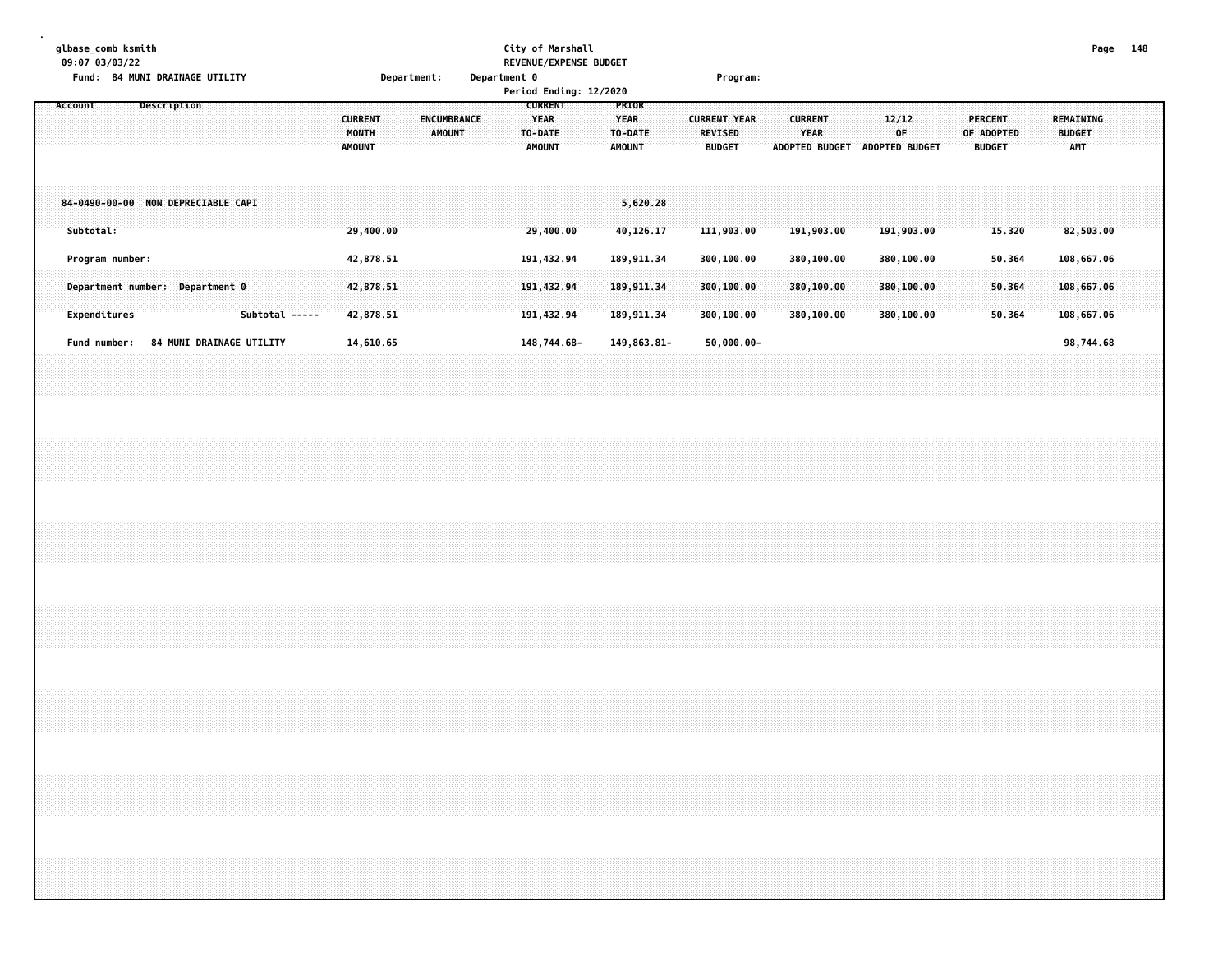|  |         |           | glbase_comb ksmith<br>09:07 03/03/22<br>Fund: 84 MUNI DRAINAGE UTILITY |  |             |  |                          |  |  |                                          |                        | Department: |        |             |  | Department 0 | City of Marshall<br>REVENUE/EXPENSE BUDGET<br>Period Ending: 12/2020 |  |                                                  |                         |  | Program:                                        |  |                          |  |             |                               |  |                                               |  |                                          | Page 148                |  |
|--|---------|-----------|------------------------------------------------------------------------|--|-------------|--|--------------------------|--|--|------------------------------------------|------------------------|-------------|--------|-------------|--|--------------|----------------------------------------------------------------------|--|--------------------------------------------------|-------------------------|--|-------------------------------------------------|--|--------------------------|--|-------------|-------------------------------|--|-----------------------------------------------|--|------------------------------------------|-------------------------|--|
|  | Account |           |                                                                        |  | Description |  |                          |  |  | <b>CURRENT</b><br>MONTH<br><b>AMOUNT</b> |                        |             | AMOUNT | ENCUMBRANCE |  |              | <b>CURRENT</b><br><b>YEAR</b><br>TO-DATE<br><b>AMOUNT</b>            |  | PRIOR<br><b>YEAR</b><br>TO-DATE<br><b>AMOUNT</b> |                         |  | <b>CURRENT YEAR</b><br>REVISED<br><b>BUDGET</b> |  | <b>CURRENT</b><br>YEAR   |  | 12/12<br>0F | ADOPTED BUDGET ADOPTED BUDGET |  | <b>PERCENT</b><br>OF ADOPTED<br><b>BUDGET</b> |  | REMAINING<br><b>BUDGET</b><br><b>AMT</b> |                         |  |
|  |         |           | 84-0490-00-00 NON DEPRECIABLE CAPI                                     |  |             |  |                          |  |  |                                          |                        |             |        |             |  |              |                                                                      |  |                                                  | 5,620.28                |  |                                                 |  |                          |  |             |                               |  |                                               |  |                                          |                         |  |
|  |         | Subtotal: | Program number:                                                        |  |             |  |                          |  |  |                                          | 29,400.00<br>42,878.51 |             |        |             |  |              | 29,400.00<br>191,432.94                                              |  |                                                  | 40,126.17<br>189,911.34 |  | 111,903.00<br>300,100.00                        |  | 191,903.00<br>380,100.00 |  |             | 191,903.00<br>380,100.00      |  | 15.320<br>50.364                              |  |                                          | 82,503.00<br>108,667.06 |  |
|  |         |           | Department number: Department 0                                        |  |             |  |                          |  |  |                                          | 42,878.51              |             |        |             |  |              | 191,432.94                                                           |  |                                                  | 189, 911.34             |  | 300,100.00                                      |  | 380,100.00               |  |             | 380,100.00                    |  | 50.364                                        |  |                                          | 108,667.06              |  |
|  |         |           | Expenditures                                                           |  |             |  | Subtotal -----           |  |  |                                          | 42,878.51              |             |        |             |  |              | 191,432.94                                                           |  |                                                  | 189, 911.34             |  | 300,100.00                                      |  | 380,100.00               |  |             | 380,100.00                    |  | 50.364                                        |  |                                          | 108,667.06              |  |
|  |         |           | Fund number:                                                           |  |             |  | 84 MUNI DRAINAGE UTILITY |  |  |                                          | 14,610.65              |             |        |             |  |              | 148,744.68-                                                          |  |                                                  | 149,863.81-             |  | $50,000.00 -$                                   |  |                          |  |             |                               |  |                                               |  |                                          | 98,744.68               |  |
|  |         |           |                                                                        |  |             |  |                          |  |  |                                          |                        |             |        |             |  |              |                                                                      |  |                                                  |                         |  |                                                 |  |                          |  |             |                               |  |                                               |  |                                          |                         |  |
|  |         |           |                                                                        |  |             |  |                          |  |  |                                          |                        |             |        |             |  |              |                                                                      |  |                                                  |                         |  |                                                 |  |                          |  |             |                               |  |                                               |  |                                          |                         |  |
|  |         |           |                                                                        |  |             |  |                          |  |  |                                          |                        |             |        |             |  |              |                                                                      |  |                                                  |                         |  |                                                 |  |                          |  |             |                               |  |                                               |  |                                          |                         |  |
|  |         |           |                                                                        |  |             |  |                          |  |  |                                          |                        |             |        |             |  |              |                                                                      |  |                                                  |                         |  |                                                 |  |                          |  |             |                               |  |                                               |  |                                          |                         |  |
|  |         |           |                                                                        |  |             |  |                          |  |  |                                          |                        |             |        |             |  |              |                                                                      |  |                                                  |                         |  |                                                 |  |                          |  |             |                               |  |                                               |  |                                          |                         |  |
|  |         |           |                                                                        |  |             |  |                          |  |  |                                          |                        |             |        |             |  |              |                                                                      |  |                                                  |                         |  |                                                 |  |                          |  |             |                               |  |                                               |  |                                          |                         |  |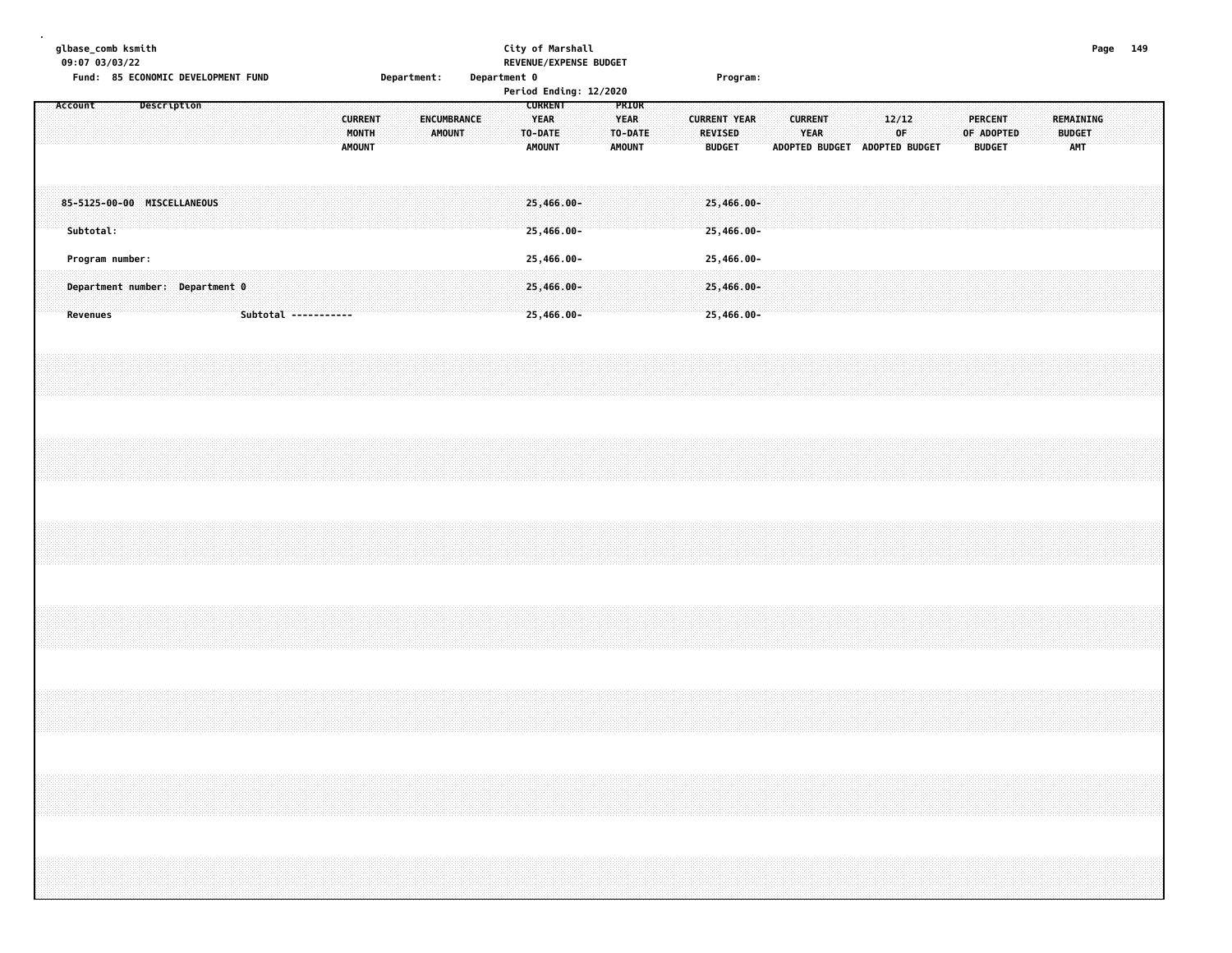| glbase_comb ksmith | 09:07 03/03/22                                     |  |             |  |  | Fund: 85 ECONOMIC DEVELOPMENT FUND |  |                                                                                                                                                                      |                                          | Department: |               |                    | Department 0 | City of Marshall<br>REVENUE/EXPENSE BUDGET<br>Period Ending: 12/2020 |  |                                       |         |  |                                 | Program:                 |  |                        |                               |             |  |  |                                               |  |                                          |  | Page 149 |  |
|--------------------|----------------------------------------------------|--|-------------|--|--|------------------------------------|--|----------------------------------------------------------------------------------------------------------------------------------------------------------------------|------------------------------------------|-------------|---------------|--------------------|--------------|----------------------------------------------------------------------|--|---------------------------------------|---------|--|---------------------------------|--------------------------|--|------------------------|-------------------------------|-------------|--|--|-----------------------------------------------|--|------------------------------------------|--|----------|--|
| Account            |                                                    |  | Description |  |  |                                    |  |                                                                                                                                                                      | <b>CURRENT</b><br>MONTH<br><b>AMOUNT</b> |             | <b>AMOUNT</b> | <b>ENCUMBRANCE</b> |              | <b>CURRENT</b><br><b>YEAR</b><br>TO-DATE<br><b>AMOUNT</b>            |  | PRIOR<br><b>YEAR</b><br><b>AMOUNT</b> | TO-DATE |  | <b>REVISED</b><br><b>BUDGET</b> | <b>CURRENT YEAR</b>      |  | <b>CURRENT</b><br>YEAR | ADOPTED BUDGET ADOPTED BUDGET | 12/12<br>OF |  |  | <b>PERCENT</b><br>OF ADOPTED<br><b>BUDGET</b> |  | REMAINING<br><b>BUDGET</b><br><b>AMT</b> |  |          |  |
|                    | 85-5125-00-00 MISCELLANEOUS<br>Subtotal:           |  |             |  |  |                                    |  |                                                                                                                                                                      |                                          |             |               |                    |              | 25,466.00-<br>$25,466.00 -$                                          |  |                                       |         |  |                                 | 25,466.00-<br>25,466.00- |  |                        |                               |             |  |  |                                               |  |                                          |  |          |  |
|                    | Program number:                                    |  |             |  |  |                                    |  |                                                                                                                                                                      |                                          |             |               |                    |              | 25,466.00-                                                           |  |                                       |         |  |                                 | 25,466.00-               |  |                        |                               |             |  |  |                                               |  |                                          |  |          |  |
|                    | Department number: Department 0<br><b>Revenues</b> |  |             |  |  |                                    |  | Subtotal -----------                                                                                                                                                 |                                          |             |               |                    |              | 25,466.00-<br>25,466.00-                                             |  |                                       |         |  |                                 | 25,466.00-<br>25,466.00- |  |                        |                               |             |  |  |                                               |  |                                          |  |          |  |
|                    |                                                    |  |             |  |  |                                    |  |                                                                                                                                                                      |                                          |             |               |                    |              |                                                                      |  |                                       |         |  |                                 |                          |  |                        |                               |             |  |  |                                               |  |                                          |  |          |  |
|                    |                                                    |  |             |  |  |                                    |  |                                                                                                                                                                      |                                          |             |               |                    |              |                                                                      |  |                                       |         |  |                                 |                          |  |                        |                               |             |  |  |                                               |  |                                          |  |          |  |
|                    |                                                    |  |             |  |  |                                    |  |                                                                                                                                                                      |                                          |             |               |                    |              |                                                                      |  |                                       |         |  |                                 |                          |  |                        |                               |             |  |  |                                               |  |                                          |  |          |  |
|                    |                                                    |  |             |  |  |                                    |  |                                                                                                                                                                      |                                          |             |               |                    |              |                                                                      |  |                                       |         |  |                                 |                          |  |                        |                               |             |  |  |                                               |  |                                          |  |          |  |
|                    |                                                    |  |             |  |  |                                    |  |                                                                                                                                                                      |                                          |             |               |                    |              |                                                                      |  |                                       |         |  |                                 |                          |  |                        |                               |             |  |  |                                               |  |                                          |  |          |  |
|                    |                                                    |  |             |  |  |                                    |  | ,我们就会在这里的时候,我们就会在这里的时候,我们就会在这里的时候,我们就会在这里的时候,我们就会在这里的时候,我们就会在这里的时候,我们就会在这里的时候,我们<br>第251章 我们的时候,我们就会在这里的时候,我们就会在这里的时候,我们就会在这里的时候,我们就会在这里的时候,我们就会在这里的时候,我们就会在这里的时候,我们 |                                          |             |               |                    |              |                                                                      |  |                                       |         |  |                                 |                          |  |                        |                               |             |  |  |                                               |  |                                          |  |          |  |
|                    |                                                    |  |             |  |  |                                    |  |                                                                                                                                                                      |                                          |             |               |                    |              |                                                                      |  |                                       |         |  |                                 |                          |  |                        |                               |             |  |  |                                               |  |                                          |  |          |  |